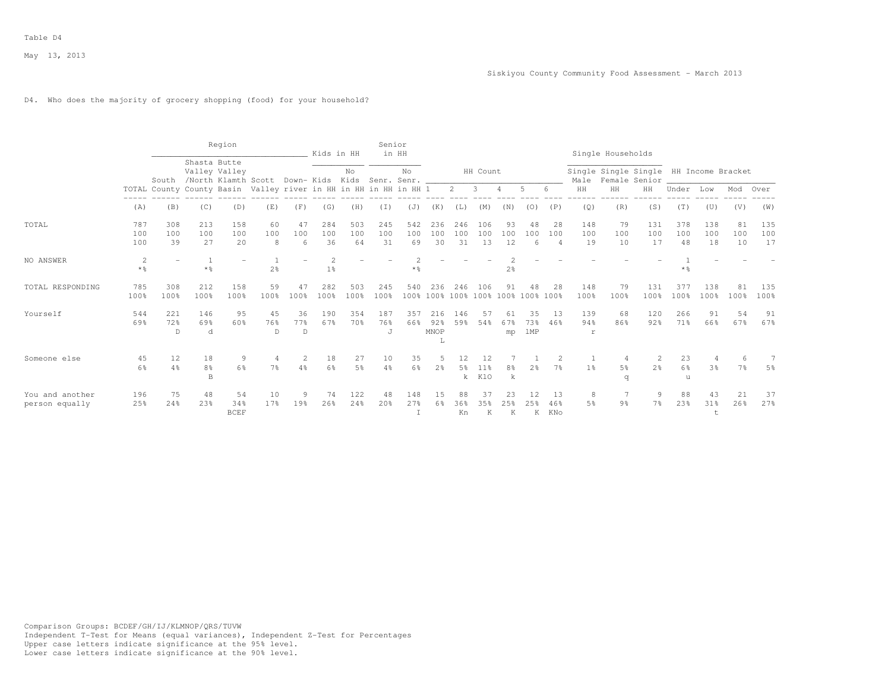## D4. Who does the majority of grocery shopping (food) for your household?

|                                   |                        |                  |                             | Region                               |                                                                  |                 | Kids in HH           |                      | Senior                | in HH            |                          |                  |                              |                 |                  |                                  |                  | Single Households   |                                                         |                  |                     |                 |                  |
|-----------------------------------|------------------------|------------------|-----------------------------|--------------------------------------|------------------------------------------------------------------|-----------------|----------------------|----------------------|-----------------------|------------------|--------------------------|------------------|------------------------------|-----------------|------------------|----------------------------------|------------------|---------------------|---------------------------------------------------------|------------------|---------------------|-----------------|------------------|
|                                   |                        | South            | Shasta Butte                | Valley Valley<br>/North Klamth Scott |                                                                  | Down- Kids Kids |                      | No                   | Senr. Senr.           | No.              |                          |                  | HH Count                     |                 |                  |                                  | Male             |                     | Single Single Single HH Income Bracket<br>Female Senior |                  |                     |                 |                  |
|                                   |                        |                  |                             |                                      | TOTAL County County Basin Valley river in HH in HH in HH in HH 1 |                 |                      |                      |                       |                  |                          | $2^{\circ}$      | 3                            | 4               | 5                | 6                                | HH               | HH                  | HH                                                      | Under            | Low                 | Mod             | Over             |
|                                   | (A)                    | (B)              | (C)                         | (D)                                  | (E)                                                              | (F)             | (G)                  | (H)                  | (I)                   | (J)              | (K)                      | (L)              | (M)                          | (N)             | (0)              | (P)                              | (Q)              | (R)                 | (S)                                                     | (T)              | (U)                 | (V)             | (W)              |
| TOTAL                             | 787<br>100<br>100      | 308<br>100<br>39 | 213<br>100<br>27            | 158<br>100<br>20                     | 60<br>100<br>8                                                   | 47<br>100<br>6  | 284<br>100<br>36     | 503<br>100<br>64     | 245<br>100<br>31      | 542<br>100<br>69 | 236<br>100<br>30         | 246<br>100<br>31 | 106<br>100<br>13             | 93<br>100<br>12 | 48<br>100<br>6   | 28<br>100<br>$\overline{4}$      | 148<br>100<br>19 | 79<br>100<br>10     | 131<br>100<br>17                                        | 378<br>100<br>48 | 138<br>100<br>18    | 81<br>100<br>10 | 135<br>100<br>17 |
| NO ANSWER                         | 2<br>$*$ $\frac{6}{9}$ |                  | -1<br>$\star$ $\frac{6}{9}$ |                                      | 2 <sup>°</sup>                                                   |                 | $\mathfrak{D}$<br>1% |                      |                       | * %              |                          |                  |                              | $2\frac{6}{6}$  |                  |                                  |                  |                     |                                                         | * 응              |                     |                 |                  |
| TOTAL RESPONDING                  | 785<br>100%            | 308<br>100%      | 212<br>100%                 | 158<br>100%                          | 59<br>100%                                                       | 47<br>100%      | 282<br>100%          | 503<br>100%          | 245<br>100%           | 540              | 236<br>100% 100%         | 246<br>100%      | 106                          | 91<br>100% 100% | 48<br>100%       | 28<br>100%                       | 148<br>100%      | 79<br>100%          | 131<br>100%                                             | 377<br>100%      | 138<br>100%         | 81<br>100%      | 135<br>100%      |
| Yourself                          | 544<br>69%             | 221<br>72%<br>D  | 146<br>69%<br>d             | 95<br>60%                            | 45<br>76%<br>D                                                   | 36<br>77%<br>D  | 190<br>67%           | 354<br>70%           | 187<br>76%<br>$\cdot$ | 357<br>66%       | 216<br>92%<br>MNOP<br>T. | 146<br>59%       | 57<br>54%                    | 61<br>67%<br>mp | 35<br>73%<br>1MP | 13<br>46%                        | 139<br>94%<br>r  | 68<br>86%           | 120<br>92%                                              | 266<br>71%       | 91<br>66%           | 54<br>67%       | 91<br>67%        |
| Someone else                      | 45<br>6%               | 12<br>4%         | 18<br>8%<br>$\mathbf B$     | 9<br>$6\frac{6}{6}$                  | 7월                                                               | 4%              | 18<br>6%             | 27<br>5 <sup>°</sup> | 10<br>4%              | 35<br>6%         | 2%                       | 5%<br>k.         | 12<br>11 <sup>8</sup><br>KlO | 8%<br>k         | 2 <sup>°</sup>   | $\mathfrak{D}$<br>7 <sup>°</sup> | 1 <sup>°</sup>   | 5 <sup>8</sup><br>q | 2<br>$2\frac{6}{9}$                                     | 23<br>6%<br>u    | 4<br>3 <sup>°</sup> | 6<br>7%         | 5%               |
| You and another<br>person equally | 196<br>25%             | 75<br>24%        | 48<br>23%                   | 54<br>34%<br><b>BCEF</b>             | 10<br>17%                                                        | 9<br>19%        | 74<br>26%            | 122<br>24%           | 48<br>20%             | 148<br>27%       | 15<br>6%                 | 88<br>36%<br>Kn  | 37<br>35%<br>K               | 23<br>25%<br>K  | 12<br>25%<br>Κ   | 13<br>46%<br>KNo                 | 8<br>5%          | 9 <sub>8</sub>      | 9<br>$7\frac{6}{6}$                                     | 88<br>23%        | 43<br>31%<br>t      | 21<br>26%       | 37<br>27%        |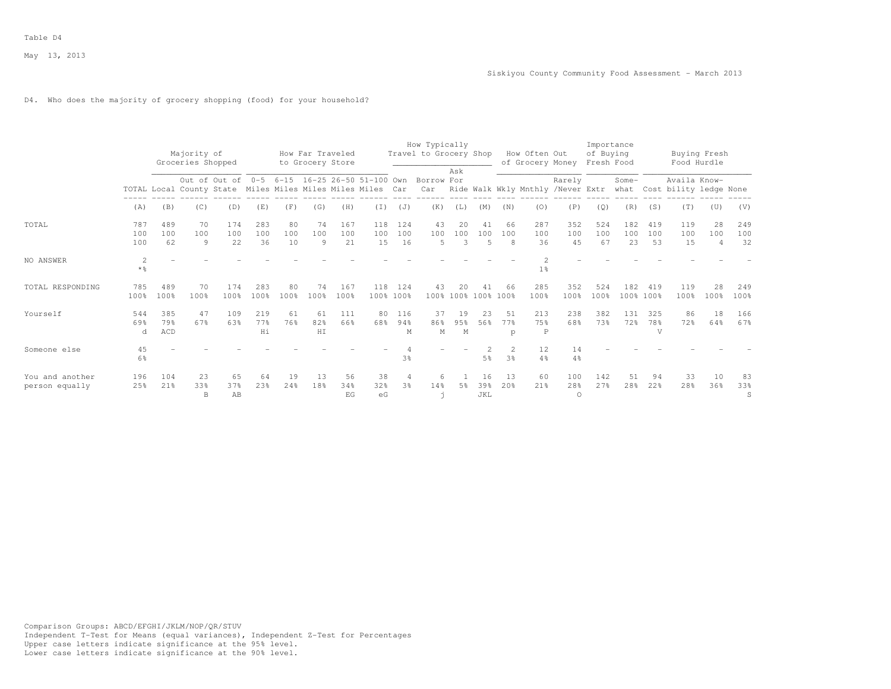## D4. Who does the majority of grocery shopping (food) for your household?

|                                   |                        |                            | Majority of<br>Groceries Shopped |                  |                  |                 | How Far Traveled<br>to Grocery Store |                  |                                                                                               |                                  | How Typically<br>Travel to Grocery Shop |                 |                             |                                         | How Often Out<br>of Grocery Money |                        | Importance<br>of Buying<br>Fresh Food |                  |                              | Buying Fresh<br>Food Hurdle                 |                             |                  |
|-----------------------------------|------------------------|----------------------------|----------------------------------|------------------|------------------|-----------------|--------------------------------------|------------------|-----------------------------------------------------------------------------------------------|----------------------------------|-----------------------------------------|-----------------|-----------------------------|-----------------------------------------|-----------------------------------|------------------------|---------------------------------------|------------------|------------------------------|---------------------------------------------|-----------------------------|------------------|
|                                   |                        |                            |                                  | Out of Out of    |                  |                 |                                      |                  | 0-5 6-15 16-25 26-50 51-100 Own<br>TOTAL Local County State Miles Miles Miles Miles Miles Car |                                  | Borrow For<br>Car                       | Ask             |                             |                                         | Ride Walk Wkly Mnthly /Never Extr | Rarely                 |                                       | Some-            |                              | Availa Know-<br>what Cost bility ledge None |                             |                  |
|                                   | (A)                    | (B)                        | (C)                              | (D)              | (E)              | (F)             | (G)                                  | (H)              | (I)                                                                                           | (J)                              | (K)                                     | (L)             | (M)                         | (N)                                     | (0)                               | (P)                    | (Q)                                   | (R)              | (S)                          | (T)                                         | (U)                         | (V)              |
| TOTAL                             | 787<br>100<br>100      | 489<br>100<br>62           | 70<br>100<br>9                   | 174<br>100<br>22 | 283<br>100<br>36 | 80<br>100<br>10 | 74<br>100<br>9                       | 167<br>100<br>21 | 118<br>100<br>15                                                                              | 124<br>100<br>16                 | 43<br>100<br>-5                         | 2.0<br>100<br>3 | 41<br>100<br>$\overline{5}$ | 66<br>100<br>8                          | 287<br>100<br>36                  | 352<br>100<br>45       | 524<br>100<br>67                      | 182<br>100<br>23 | 419<br>100<br>53             | 119<br>100<br>15                            | 28<br>100<br>$\overline{4}$ | 249<br>100<br>32 |
| NO ANSWER                         | 2<br>$*$ $\frac{6}{6}$ |                            |                                  |                  |                  |                 |                                      |                  |                                                                                               |                                  |                                         |                 |                             |                                         | 1 <sup>°</sup>                    |                        |                                       |                  |                              |                                             |                             |                  |
| TOTAL RESPONDING                  | 785<br>100%            | 489<br>100%                | 70<br>100%                       | 174<br>100%      | 283<br>100%      | 80<br>100%      | 74<br>100%                           | 167<br>100%      | 118                                                                                           | 124<br>100% 100%                 | 43                                      | 20              | 41<br>100% 100% 100% 100%   | 66                                      | 285<br>100%                       | 352<br>100%            | 524<br>100%                           | 182              | 419<br>100% 100%             | 119<br>100%                                 | 2.8<br>100%                 | 249<br>100%      |
| Yourself                          | 544<br>69%<br>d        | 385<br>79%<br>$\verb ACD $ | 47<br>67%                        | 109<br>63%       | 219<br>77%<br>Hi | 61<br>76%       | 61<br>82%<br>HI                      | 111<br>66%       | 80<br>68%                                                                                     | 116<br>94%<br>М                  | 37<br>86%<br>M                          | 19<br>95%<br>M  | 23<br>56%                   | 51<br>77%<br>p                          | 213<br>75%<br>P                   | 238<br>68%             | 382<br>73%                            | 131<br>72%       | 325<br>78%<br>$\overline{V}$ | 86<br>72%                                   | 18<br>64%                   | 166<br>67%       |
| Someone else                      | 45<br>$6\frac{6}{9}$   |                            |                                  |                  |                  |                 |                                      |                  |                                                                                               | 3 <sup>°</sup>                   |                                         |                 | 5 <sup>°</sup>              | $\mathbf{2}^{\prime}$<br>3 <sup>°</sup> | 12<br>$4\frac{6}{6}$              | 14<br>$4\%$            |                                       |                  |                              |                                             |                             |                  |
| You and another<br>person equally | 196<br>25%             | 104<br>21%                 | 23<br>33%<br>B                   | 65<br>37%<br>AB  | 64<br>23%        | 19<br>24%       | 13<br>18%                            | 56<br>34%<br>EG  | 38<br>32%<br>eG                                                                               | $\overline{4}$<br>3 <sup>8</sup> | 6<br>14%                                | .5%             | 16<br>39%<br>JKL            | 13<br>20 <sub>8</sub>                   | 60<br>21%                         | 100<br>28%<br>$\Omega$ | 142<br>2.7%                           | 51<br>28%        | 94<br>22%                    | 33<br>28 <sup>8</sup>                       | 10<br>36%                   | 83<br>33%<br>S   |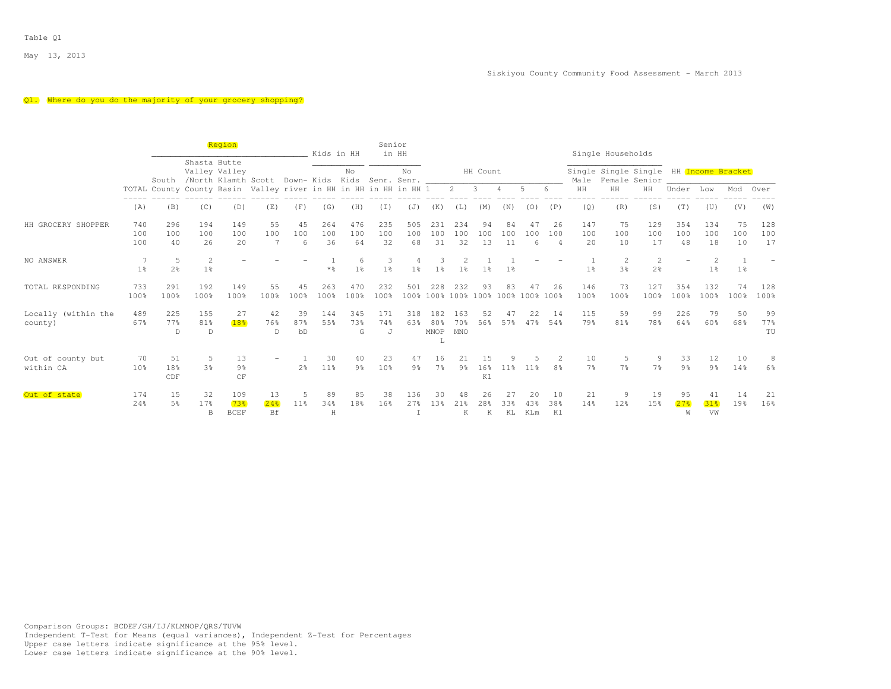## Q1. Where do you do the majority of your grocery shopping?

|                                |                       |                      |                                  | Region                               |                                                                  |                 | Kids in HH       |                      | Senior<br>in HH     |                      |                         |                   |                                |                 |                   |                             |                      | Single Households    |                                                         |                            |                             |                 |                  |
|--------------------------------|-----------------------|----------------------|----------------------------------|--------------------------------------|------------------------------------------------------------------|-----------------|------------------|----------------------|---------------------|----------------------|-------------------------|-------------------|--------------------------------|-----------------|-------------------|-----------------------------|----------------------|----------------------|---------------------------------------------------------|----------------------------|-----------------------------|-----------------|------------------|
|                                |                       | South                | Shasta Butte                     | Valley Valley<br>/North Klamth Scott |                                                                  | Down- Kids Kids |                  | No                   | Senr. Senr.         | No.                  |                         |                   | HH Count                       |                 |                   |                             | Male                 |                      | Single Single Single HH Income Bracket<br>Female Senior |                            |                             |                 |                  |
|                                |                       |                      |                                  |                                      | TOTAL County County Basin Valley river in HH in HH in HH in HH 1 |                 |                  |                      |                     |                      |                         | $2^{\circ}$       | $\overline{\mathbf{3}}$        | 4               | 5                 | 6                           | HH                   | HH                   | HH                                                      | Under                      | Low                         | Mod             | Over             |
|                                | (A)                   | (B)                  | (C)                              | (D)                                  | (E)                                                              | (F)             | (G)              | (H)                  | (I)                 | (J)                  | (K)                     | (L)               | (M)                            | (N)             | (0)               | (P)                         | (Q)                  | (R)                  | (S)                                                     | (T)                        | (U)                         | (V)             | (W)              |
| HH GROCERY SHOPPER             | 740<br>100<br>100     | 296<br>100<br>40     | 194<br>100<br>26                 | 149<br>100<br>20                     | 55<br>100<br>7                                                   | 45<br>100<br>6  | 264<br>100<br>36 | 476<br>100<br>64     | 235<br>100<br>32    | 505<br>100<br>68     | 231<br>100<br>31        | 234<br>100<br>32  | 94<br>100<br>13                | 84<br>100<br>11 | 47<br>100<br>6    | 26<br>100<br>$\overline{4}$ | 147<br>100<br>20     | 75<br>100<br>10      | 129<br>100<br>17                                        | 354<br>100<br>48           | 134<br>100<br>18            | 75<br>100<br>10 | 128<br>100<br>17 |
| NO ANSWER                      | 1 <sup>°</sup>        | 5<br>2 <sup>°</sup>  | $\overline{c}$<br>1 <sup>°</sup> |                                      |                                                                  |                 | $*$ %            | 6<br>1 <sup>°</sup>  | 3<br>1 <sup>°</sup> | 1 <sup>°</sup>       | 3<br>1 <sup>8</sup>     | 1 <sup>°</sup>    | 1 <sup>°</sup>                 | 1%              |                   |                             | 1 <sup>°</sup>       | $\overline{2}$<br>3% | 2<br>$2\frac{6}{9}$                                     |                            | 2<br>1 <sup>°</sup>         | 1 <sup>°</sup>  |                  |
| TOTAL RESPONDING               | 733<br>100%           | 291<br>100%          | 192<br>100%                      | 149<br>100%                          | 55<br>100%                                                       | 4.5<br>100%     | 263<br>100%      | 470<br>100%          | 232<br>100%         | 501                  | 228                     | 232               | 93<br>100% 100% 100% 100% 100% | 83              | 47<br>100% 100%   | 26                          | 146<br>100%          | 73<br>100%           | 127<br>100%                                             | 354<br>100%                | 132<br>100%                 | 74<br>100%      | 128<br>100%      |
| Locally (within the<br>county) | 489<br>67%            | 225<br>77%<br>D      | 155<br>81%<br>D                  | 27<br>18%                            | 42<br>76%<br>$\mathbb{D}$                                        | 39<br>87%<br>bD | 144<br>55%       | 345<br>73%<br>G      | 171<br>74%<br>J     | 318<br>63%           | 182<br>80%<br>MNOP<br>L | 163<br>70%<br>MNO | 52<br>56%                      | 47<br>57%       | 22<br>47%         | 14<br>54%                   | 115<br>79%           | 59<br>81%            | 99<br>78%                                               | 226<br>64%                 | 79<br>60%                   | 50<br>68%       | 99<br>77%<br>TU  |
| Out of county but<br>within CA | 70<br>10 <sup>8</sup> | 51<br>18%<br>CDF     | 5<br>3 <sup>8</sup>              | 13<br>9%<br>CF                       |                                                                  | 2 <sup>8</sup>  | 30<br>11%        | 40<br>9 <sub>8</sub> | 23<br>10%           | 47<br>$9\frac{6}{6}$ | 16<br>7 <sup>°</sup>    | 21<br>9%          | 15<br>16%<br>K1                | 11%             | 11 <sup>8</sup>   | 8%                          | 10<br>7 <sup>°</sup> | 5<br>7 <sup>°</sup>  | 9<br>7 <sup>°</sup>                                     | 33<br>9 <sup>8</sup>       | 12<br>9%                    | 10<br>14%       | 8<br>6%          |
| Out of state                   | 174<br>24%            | 15<br>5 <sup>°</sup> | 32<br>17%<br>B                   | 109<br>73%<br><b>BCEF</b>            | 13<br>24%<br>Bf                                                  | 11%             | 89<br>34%<br>H   | 85<br>18%            | 38<br>16%           | 136<br>27%           | 30<br>1.3%              | 48<br>2.1%<br>K   | 26<br>28 <sup>8</sup><br>K     | 27<br>33%<br>KL | 20<br>4.3%<br>KLm | 10<br>38%<br>K1             | 21<br>14%            | 9<br>12%             | 19<br>15%                                               | 95<br>27 <sub>8</sub><br>W | 41<br>31 <sub>8</sub><br>VW | 14<br>19%       | 21<br>16%        |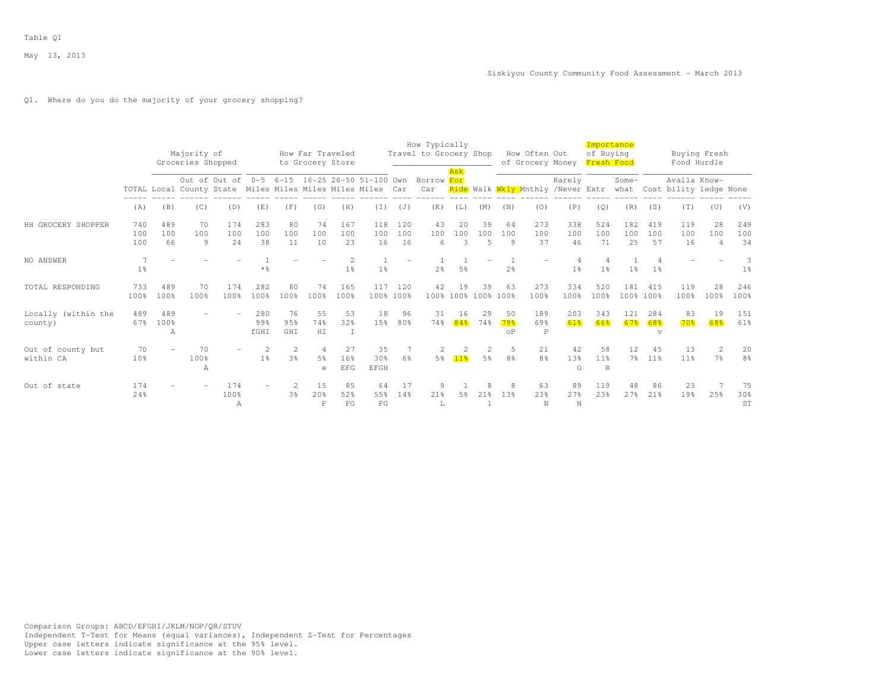# Q1. Where do you do the majority of your grocery shopping?

|                                |                       |                  | Majority of       |                  |                     |                     | How Far Traveled                               |                         |                                                                                                             |                      | How Typically<br>Travel to Grocery Shop |                          |                           |                         | How Often Out        |                                                                        | Importance<br>of Buying    |                      |                       |                                             | Buying Fresh                |                      |
|--------------------------------|-----------------------|------------------|-------------------|------------------|---------------------|---------------------|------------------------------------------------|-------------------------|-------------------------------------------------------------------------------------------------------------|----------------------|-----------------------------------------|--------------------------|---------------------------|-------------------------|----------------------|------------------------------------------------------------------------|----------------------------|----------------------|-----------------------|---------------------------------------------|-----------------------------|----------------------|
|                                |                       |                  | Groceries Shopped |                  |                     |                     | to Grocery Store                               |                         |                                                                                                             |                      |                                         | Ask                      |                           |                         |                      | of Grocery Money Fresh Food                                            |                            |                      |                       | Food Hurdle                                 |                             |                      |
|                                |                       |                  |                   |                  |                     |                     |                                                |                         | Out of Out of 0-5 6-15 16-25 26-50 51-100 Own<br>TOTAL Local County State Miles Miles Miles Miles Miles Car |                      | Borrow For<br>Car                       |                          |                           |                         |                      | Rarely<br><mark>Ride</mark> Walk <mark>Wkly M</mark> nthly /Never Extr |                            | Some-                |                       | Availa Know-<br>what Cost bility ledge None |                             |                      |
|                                | (A)                   | (B)              | (C)               | (D)              | (E)                 | (F)                 | (G)                                            | (H)                     | (T)                                                                                                         | (J)                  | (K)                                     | (L)                      | (M)                       | (N)                     | (0)                  | (P)                                                                    | (Q)                        | (R)                  | (S)                   | (T)                                         | (U)                         | (V)                  |
| HH GROCERY SHOPPER             | 740<br>100<br>100     | 489<br>100<br>66 | 70<br>100<br>9    | 174<br>100<br>24 | 283<br>100<br>38    | 80<br>100<br>11     | 74<br>100<br>10                                | 167<br>100<br>23        | 118<br>100<br>16                                                                                            | 120<br>100<br>16     | 43<br>100<br>6                          | 20<br>100<br>3           | 39<br>100<br>5            | 64<br>100<br>9          | 273<br>100<br>37     | 338<br>100<br>46                                                       | 524<br>100<br>71           | 182<br>100<br>25     | 419<br>100<br>57      | 119<br>100<br>16                            | 28<br>100<br>$\overline{4}$ | 249<br>100<br>34     |
| NO ANSWER                      | 7<br>1 <sup>°</sup>   |                  |                   |                  | $*$ %               |                     |                                                | 1 <sup>°</sup>          | 1 <sup>°</sup>                                                                                              |                      | 2 <sup>°</sup>                          | 5%                       |                           | 2 <sup>°</sup>          |                      | 1 <sup>°</sup>                                                         | 1 <sup>8</sup>             | 1 <sup>°</sup>       | $1\%$                 |                                             |                             | 3<br>1 <sup>°</sup>  |
| TOTAL RESPONDING               | 733<br>100%           | 489<br>100%      | 70<br>100%        | 174<br>100%      | 282<br>100%         | 80<br>100%          | 74<br>100%                                     | 165<br>100%             |                                                                                                             | 117 120<br>100% 100% | 42                                      | 19                       | 39<br>100% 100% 100% 100% | 63                      | 273<br>100%          | 334<br>100%                                                            | 520<br>100%                | 181<br>100% 100%     | 415                   | 119<br>100%                                 | 28<br>100%                  | 246<br>100%          |
| Locally (within the<br>county) | 489<br>67%            | 489<br>100%<br>А |                   |                  | 280<br>99%<br>fGHI  | 76<br>95%<br>GHI    | 55<br>74%<br>HI                                | 53<br>32%               | 18<br>1.5%                                                                                                  | 96<br>80%            | 31<br>74%                               | 16<br>84%                | 29<br>74%                 | 50<br>79.8<br>$\circ$ P | 189<br>69%<br>P      | 203<br>61%                                                             | 343<br>66%                 | 121<br>67%           | 284<br>68%<br>v       | 83<br>70 <sup>8</sup>                       | 19<br>68%                   | 151<br>61%           |
| Out of county but<br>within CA | 70<br>10 <sup>8</sup> |                  | 70<br>100%<br>A   |                  | 2<br>1 <sup>°</sup> | 2<br>$3\frac{6}{6}$ | $\overline{4}$<br>5 <sup>°</sup><br>$\epsilon$ | 27<br>16%<br><b>EFG</b> | 35<br>30 <sup>8</sup><br>EFGH                                                                               | 6 <sup>9</sup>       | 2                                       | $\overline{2}$<br>5% 11% | 2<br>5 <sup>°</sup>       | 5<br>8 <sup>°</sup>     | 21<br>8 <sup>°</sup> | 42<br>13%<br>$\cap$                                                    | 58<br>11 <sup>8</sup><br>R | 12<br>7 <sup>°</sup> | 45<br>11 <sup>°</sup> | 13<br>11 <sup>°</sup>                       | 2<br>7 <sup>°</sup>         | 20<br>8 <sup>°</sup> |
| Out of state                   | 174<br>24%            |                  |                   | 174<br>100%<br>Α |                     | 3 <sup>°</sup>      | 15<br>20%<br>F                                 | 85<br>52%<br>FG         | 64<br>55%<br>FG                                                                                             | 17<br>14%            | 21%                                     | 5%                       | 21%                       | 1.3%                    | 63<br>23%<br>N       | 89<br>27%<br>$_{\rm N}$                                                | 119<br>2.3%                | 48<br>2.7%           | 86<br>21%             | 23<br>19%                                   | 25%                         | 75<br>30%<br>ST      |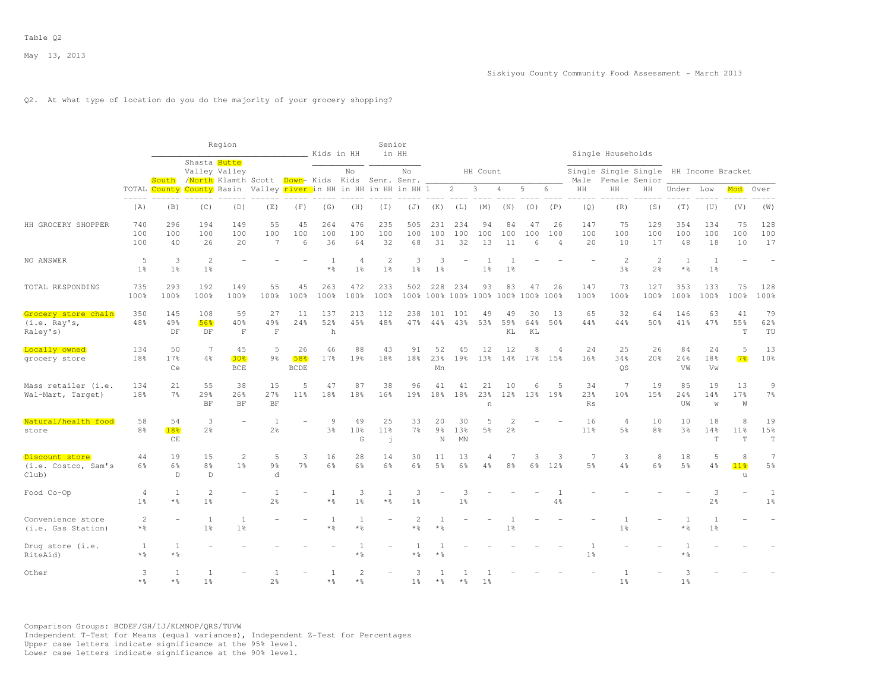# Q2. At what type of location do you do the majority of your grocery shopping?

|                                                 |                         |                             |                                     | Region                           |                                                 |                          | Kids in HH                      |                                  | Senior<br>in HH                |                       |                                 |                                 |                       |                 |                               |                             |                                   | Single Households                |                                       |                       |                                |                           |                                  |
|-------------------------------------------------|-------------------------|-----------------------------|-------------------------------------|----------------------------------|-------------------------------------------------|--------------------------|---------------------------------|----------------------------------|--------------------------------|-----------------------|---------------------------------|---------------------------------|-----------------------|-----------------|-------------------------------|-----------------------------|-----------------------------------|----------------------------------|---------------------------------------|-----------------------|--------------------------------|---------------------------|----------------------------------|
|                                                 |                         | South                       | Shasta Butte                        | Valley Valley                    | /North Klamth Scott Down- Kids Kids Senr. Senr. |                          |                                 | No                               |                                | No                    |                                 |                                 | HH Count              |                 |                               |                             | Male                              |                                  | Single Single Single<br>Female Senior |                       | HH Income Bracket              |                           |                                  |
|                                                 | $   -$                  | TOTAL County County Basin   |                                     |                                  | Valley river in HH in HH in HH in HH 1          |                          |                                 |                                  |                                |                       |                                 | $\overline{c}$                  | 3                     | 4               | 5                             | 6                           | HH                                | HH                               | HH                                    | Under                 | Low                            | Mod                       | Over                             |
|                                                 | (A)                     | (B)                         | (C)                                 | (D)                              | (E)                                             | (F)                      | (G)                             | (H)                              | (I)                            | (J)                   | (K)                             | (L)                             | (M)                   | (N)             | (0)                           | (P)                         | (Q)                               | (R)                              | (S)                                   | (T)                   | (U)                            | (V)                       | (W)                              |
| HH GROCERY SHOPPER                              | 740<br>100<br>100       | 296<br>100<br>40            | 194<br>100<br>26                    | 149<br>100<br>2.0                | 55<br>100<br>7                                  | 45<br>100<br>6           | 264<br>100<br>36                | 476<br>100<br>64                 | 235<br>100<br>32               | 505<br>100<br>68      | 231<br>100<br>31                | 234<br>100<br>32                | 94<br>100<br>13       | 84<br>100<br>11 | 47<br>100<br>$6 \overline{6}$ | 26<br>100<br>$\overline{4}$ | 147<br>100<br>20                  | 75<br>100<br>10                  | 129<br>100<br>17                      | 354<br>100<br>48      | 134<br>100<br>18               | 75<br>100<br>10           | 128<br>100<br>17                 |
| NO ANSWER                                       | 5<br>1 <sup>8</sup>     | 3<br>1 <sup>°</sup>         | 2<br>1 <sup>°</sup>                 |                                  |                                                 |                          | -1<br>* %                       | $\overline{4}$<br>1 <sup>°</sup> | $\mathbf{2}$<br>1 <sup>°</sup> | 3<br>1 <sup>°</sup>   | $\mathcal{R}$<br>1 <sup>°</sup> |                                 | 1 <sup>8</sup>        | 1 <sup>°</sup>  |                               |                             |                                   | $\overline{2}$<br>3%             | $\overline{c}$<br>$2\frac{6}{6}$      | 1<br>$*$ %            | <sup>1</sup><br>1 <sup>°</sup> |                           |                                  |
| TOTAL RESPONDING                                | 735<br>100%             | 293<br>100%                 | 192<br>100%                         | 149<br>100%                      | 55<br>100%                                      | 45<br>100%               | 263<br>100%                     | 472<br>100%                      | 233<br>100%                    | 502                   | 228                             | 234<br>100% 100% 100% 100% 100% | 93                    | 83              | 47<br>$100\%$                 | 26<br>100%                  | 147<br>100%                       | 73<br>100%                       | 127<br>100%                           | 353<br>100%           | 133<br>100%                    | 75<br>100%                | 128<br>100%                      |
| Grocery store chain<br>(i.e. Ray's,<br>Raley's) | 350<br>48%              | 145<br>49%<br>DF            | 108<br>56%<br>DF                    | 59<br>40%<br>$\mathbf F$         | 27<br>49%<br>$\mathbf F$                        | 11<br>24%                | 137<br>52%<br>h                 | 213<br>45%                       | 112<br>48%                     | 238<br>47%            | 101<br>44%                      | 101<br>43%                      | 49<br>53%             | 49<br>59%<br>KL | 30<br>64%<br>KL               | 13<br>50%                   | 65<br>44%                         | 32<br>44%                        | 64<br>50%                             | 146<br>41%            | 63<br>47%                      | 41<br>55%<br>T            | 79<br>62%<br>TU                  |
| Locally owned<br>grocery store                  | 134<br>18%              | 50<br>17 <sub>8</sub><br>Ce | 7<br>4%                             | 45<br>30%<br>$_{\rm BCE}$        | 5<br>9 <sup>°</sup>                             | 26<br>58%<br><b>BCDE</b> | 46<br>17%                       | 88<br>19%                        | 43<br>18%                      | 91<br>18%             | 52<br>23%<br>Mn                 | 45<br>19%                       | 12<br>13 <sup>8</sup> | 12<br>14%       | 8<br>17%                      | $\Delta$<br>15%             | 24<br>16%                         | 25<br>34%<br><b>OS</b>           | 26<br>20%                             | 84<br>24%<br>VW       | 24<br>18%<br>Vw                | 5<br>7 <sup>8</sup>       | 13<br>10%                        |
| Mass retailer (i.e.<br>Wal-Mart, Target)        | 134<br>18%              | 21<br>7%                    | 55<br>29%<br>$\rm{BF}$              | 38<br>26%<br>BF                  | 15<br>27%<br>$\rm{BF}$                          | 5<br>11 <sup>°</sup>     | 47<br>18%                       | 87<br>18%                        | 38<br>16%                      | 96<br>19%             | 41<br>18%                       | 41<br>18%                       | 21<br>23%<br>$\,$ n   | 10<br>12%       | $\epsilon$<br>13%             | .5<br>19%                   | 34<br>23%<br><b>Rs</b>            | 7<br>10%                         | 19<br>15%                             | 85<br>24%<br>UW       | 19<br>14%<br>W                 | 13<br>17%<br>W            | 9<br>7%                          |
| Natural/health food<br>store                    | 58<br>8 <sup>°</sup>    | 54<br>18%<br>CE             | 3<br>2 <sup>°</sup>                 |                                  | $\overline{1}$<br>2 <sup>o</sup>                |                          | $\mathcal{Q}$<br>3 <sup>°</sup> | 49<br>10%<br>G                   | 25<br>11%<br>j.                | 33<br>7 <sup>°</sup>  | 20<br>$9\frac{6}{9}$<br>N       | 30<br>13%<br>MN                 | .5<br>5 <sup>°</sup>  | 2 <sup>°</sup>  |                               |                             | 16<br>11 <sup>°</sup>             | $\overline{4}$<br>5 <sup>°</sup> | 10<br>8 <sup>°</sup>                  | 10<br>3%              | 18<br>14%<br>$\mathbf T$       | 8<br>11%<br>T             | 19<br>15%<br>$\mathbb T$         |
| Discount store<br>(i.e. Costco, Sam's<br>Club)  | 44<br>6%                | 19<br>6%<br>$\mathbb{D}$    | 15<br>8 <sup>°</sup><br>$\mathbb D$ | 2<br>1 <sup>8</sup>              | 5<br>$9\frac{6}{6}$<br>d                        | 3<br>$7\frac{6}{9}$      | 16<br>6%                        | 28<br>6%                         | 14<br>6%                       | 30<br>6 <sup>°</sup>  | 11<br>5 <sup>°</sup>            | 13<br>6%                        | $\overline{4}$<br>4%  | 8 <sup>°</sup>  | 3<br>6%                       | 3<br>12%                    | $7\phantom{.0}$<br>5 <sup>9</sup> | 3<br>4%                          | 8<br>6%                               | 18<br>5%              | 5<br>4%                        | 8<br>11 <sub>8</sub><br>u | $\overline{7}$<br>5 <sup>°</sup> |
| Food Co-Op                                      | 4<br>1 <sup>°</sup>     | 1<br>$*$ $\frac{6}{5}$      | $\mathbf{2}$<br>$1\frac{6}{6}$      |                                  | 1<br>$2\frac{6}{6}$                             |                          | -1<br>* %                       | 3<br>$1\frac{6}{6}$              | 1<br>$*$ %                     | 3<br>1 <sup>°</sup>   |                                 | 3<br>1 <sup>°</sup>             |                       |                 |                               | $4\frac{6}{6}$              |                                   |                                  |                                       |                       | 3<br>2%                        |                           | 1<br>1 <sup>°</sup>              |
| Convenience store<br>(i.e. Gas Station)         | $\overline{c}$<br>$*$ % |                             | 1<br>1 <sup>°</sup>                 | $\overline{1}$<br>1 <sup>8</sup> |                                                 |                          | -1<br>* %                       | 1<br>$*$ %                       |                                | $\overline{2}$<br>* % | $*$ %                           |                                 |                       | 1 <sup>°</sup>  |                               |                             |                                   | $\overline{1}$<br>1 <sup>°</sup> |                                       | $\overline{1}$<br>* % | 1<br>$1\frac{6}{6}$            |                           |                                  |
| Drug store (i.e.<br>RiteAid)                    | 1<br>$*$ %              | -1<br>$*$ %                 |                                     |                                  |                                                 |                          |                                 | $\overline{1}$<br>$*$ %          |                                | 1<br>* %              | $*$ %                           |                                 |                       |                 |                               |                             | 1 <sup>°</sup>                    |                                  |                                       | -1<br>* 응             |                                |                           |                                  |
| Other                                           | 3<br>$*$ %              | $\overline{1}$<br>$*$ 2     | 1<br>1 <sup>°</sup>                 |                                  | 1<br>$2\frac{6}{6}$                             |                          | -1                              | $\overline{c}$<br>* 2            |                                | 3<br>1 <sup>°</sup>   |                                 |                                 | 1 <sup>8</sup>        |                 |                               |                             |                                   | $\overline{1}$<br>1 <sup>°</sup> |                                       | 3<br>1 <sup>°</sup>   |                                |                           |                                  |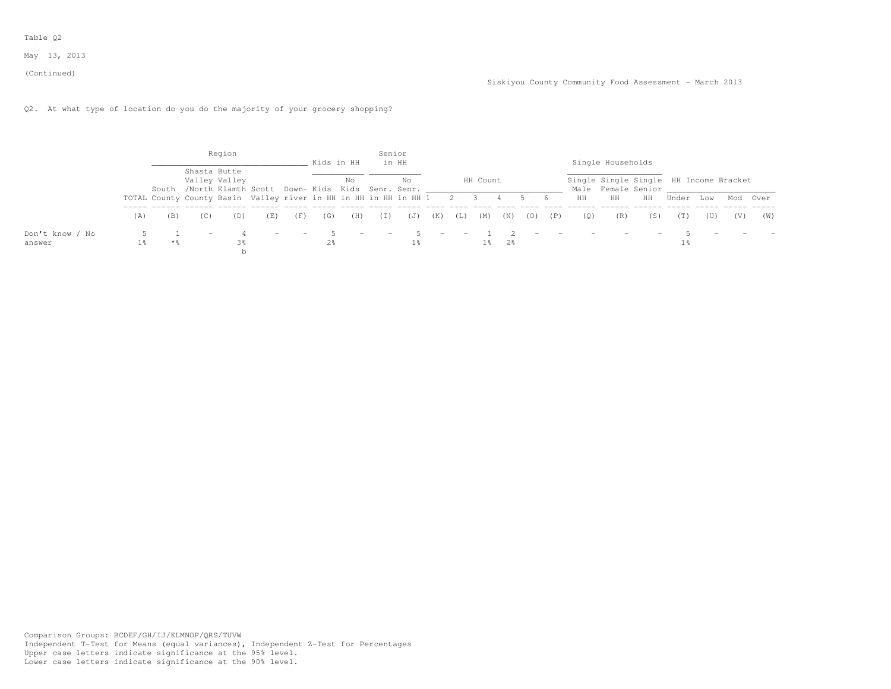(Continued)

# Q2. At what type of location do you do the majority of your grocery shopping?

|                           |     |       |                                                                      | Region        |                          |                          | Kids in HH            |                                 | Senior | in HH          |        |     |          |             |     |                |                          | Single Households        |                                                              |       |     |     |          |
|---------------------------|-----|-------|----------------------------------------------------------------------|---------------|--------------------------|--------------------------|-----------------------|---------------------------------|--------|----------------|--------|-----|----------|-------------|-----|----------------|--------------------------|--------------------------|--------------------------------------------------------------|-------|-----|-----|----------|
|                           |     |       | Shasta Butte<br>South /North Klamth Scott Down-Kids Kids Senr. Senr. | Valley Valley |                          |                          |                       | No                              |        | No.            |        |     | HH Count |             |     |                |                          |                          | Single Single Single HH Income Bracket<br>Male Female Senior |       |     |     |          |
|                           |     |       | TOTAL County County Basin Valley river in HH in HH in HH in HH 1 2 3 |               |                          |                          |                       |                                 |        |                |        |     |          |             |     | 6              | HH                       | HH                       | HH                                                           | Under | Low |     | Mod Over |
|                           | (A) | (B)   | (C)                                                                  | (D)           | (E)                      | (F)                      | (G)                   | (H)                             | (I)    | (J)            | (K)    | (L) | (M)      | (N)         | (0) | $(\mathbb{P})$ | ( O )                    | (R)                      | (S)                                                          | (T)   | (U) | (V) | (W)      |
| Don't know / No<br>answer | 1%  | $*$ & | $\hspace{0.1mm}-\hspace{0.1mm}$                                      |               | $\overline{\phantom{0}}$ | $\overline{\phantom{a}}$ | - 5<br>$2\frac{6}{9}$ | $\hspace{0.1mm}-\hspace{0.1mm}$ | $\sim$ | 5 <sup>1</sup> | $\sim$ |     |          | $1\%$ $2\%$ |     | $\sim$ $-$     | $\overline{\phantom{0}}$ | $\overline{\phantom{0}}$ |                                                              |       |     |     |          |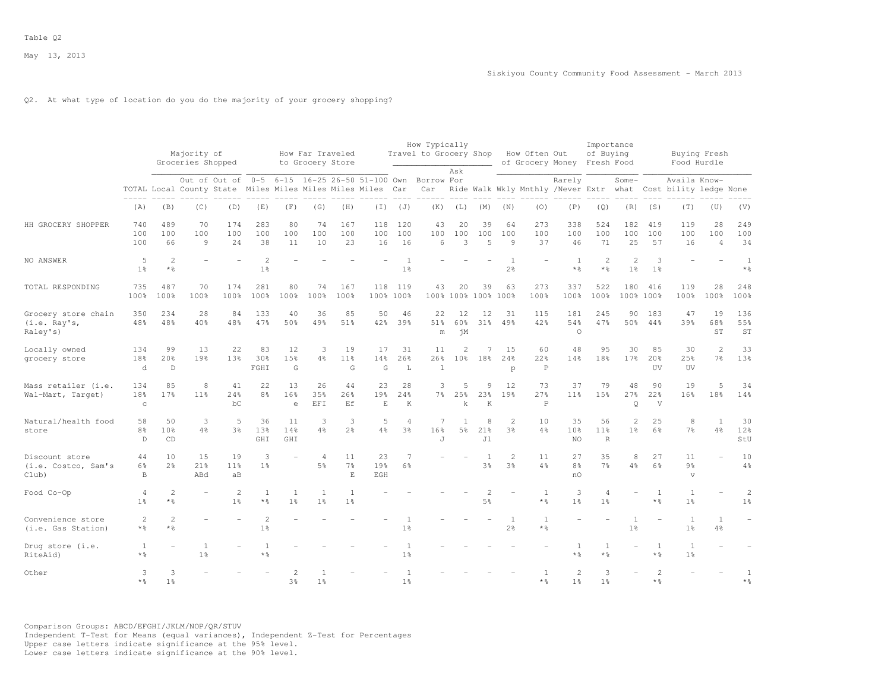# Q2. At what type of location do you do the majority of your grocery shopping?

|                                                 |                                  |                                      | Majority of<br>Groceries Shopped<br>Out of Out of 0-5 6-15 16-25 26-50 51-100 Own Borrow For |                                                            |                                  |                           | How Far Traveled<br>to Grocery Store |                                     |                  |                                  | How Typically<br>Travel to Grocery Shop |                                  |                                  |                                  | How Often Out                     | of Grocery Money Fresh Food      | Importance<br>of Buying               |                                  |                                   |                                                                               | Buying Fresh<br>Food Hurdle    |                                   |
|-------------------------------------------------|----------------------------------|--------------------------------------|----------------------------------------------------------------------------------------------|------------------------------------------------------------|----------------------------------|---------------------------|--------------------------------------|-------------------------------------|------------------|----------------------------------|-----------------------------------------|----------------------------------|----------------------------------|----------------------------------|-----------------------------------|----------------------------------|---------------------------------------|----------------------------------|-----------------------------------|-------------------------------------------------------------------------------|--------------------------------|-----------------------------------|
|                                                 |                                  |                                      |                                                                                              | TOTAL Local County State Miles Miles Miles Miles Miles Car |                                  |                           |                                      |                                     |                  |                                  | Car                                     | Ask                              |                                  |                                  |                                   | Rarely                           |                                       | $Some-$                          |                                   | Availa Know-<br>Ride Walk Wkly Mnthly /Never Extr what Cost bility ledge None |                                |                                   |
|                                                 | (A)                              | (B)                                  | (C)                                                                                          | (D)                                                        | (E)                              | (F)                       | (G)                                  | (H)                                 | (I)              | (J)                              | (K)                                     | (L)                              | (M)                              | (N)                              | (0)                               | (P)                              | (Q)                                   | (R)                              | (S)                               | (T)                                                                           | (U)                            | (V)                               |
| HH GROCERY SHOPPER                              | 740<br>100<br>100                | 489<br>100<br>66                     | 70<br>100<br>9                                                                               | 174<br>100<br>24                                           | 283<br>100<br>38                 | 80<br>100<br>11           | 74<br>100<br>10                      | 167<br>100<br>23                    | 118<br>100<br>16 | 120<br>100<br>16                 | 43<br>100<br>6                          | 20<br>100<br>3                   | 39<br>100<br>5                   | 64<br>100<br>9                   | 273<br>100<br>37                  | 338<br>100<br>46                 | 524<br>100<br>71                      | 182<br>100<br>25                 | 419<br>100<br>57                  | 119<br>100<br>16                                                              | 28<br>100<br>$\overline{4}$    | 249<br>100<br>34                  |
| NO ANSWER                                       | 5<br>1 <sup>°</sup>              | $\mathbf{2}$<br>$*$ %                |                                                                                              |                                                            | $\overline{c}$<br>1 <sup>°</sup> |                           |                                      |                                     |                  | 1 <sup>°</sup>                   |                                         |                                  |                                  | $\overline{1}$<br>2 <sup>o</sup> |                                   | $\mathbf{1}$<br>$*$ %            | $\overline{2}$<br>$\star$ %           | $\overline{c}$<br>1 <sup>°</sup> | 3<br>1 <sup>8</sup>               |                                                                               |                                | $\mathbf{1}$<br>$*$ $\frac{6}{6}$ |
| TOTAL RESPONDING                                | 735<br>100%                      | 487<br>100%                          | 70<br>100%                                                                                   | 174<br>100%                                                | 281<br>100%                      | 80<br>100%                | 74<br>100%                           | 167<br>100%                         | 118              | 119<br>100% 100%                 | 43<br>100%                              | 20<br>100%                       | 39<br>100%                       | 63<br>100%                       | 273<br>100%                       | 337<br>100%                      | 522<br>100%                           | 180                              | 416<br>100% 100%                  | 119<br>100%                                                                   | 28<br>100%                     | 248<br>100%                       |
| Grocery store chain<br>(i.e. Ray's,<br>Raley's) | 350<br>48%                       | 234<br>48%                           | 28<br>40%                                                                                    | 84<br>48%                                                  | 133<br>47%                       | 40<br>50%                 | 36<br>49%                            | 85<br>51%                           | 50<br>42%        | 46<br>39%                        | 22<br>51%<br>m                          | 12<br>60%<br>ήM                  | 12<br>31%                        | 31<br>49%                        | 115<br>42%                        | 181<br>54%<br>$\circ$            | 245<br>47%                            | 90<br>50%                        | 183<br>44%                        | 47<br>39%                                                                     | 19<br>68%<br>ST                | 136<br>55%<br>ST                  |
| Locally owned<br>grocery store                  | 134<br>18%<br>d                  | 99<br>20 <sup>8</sup><br>$\mathbb D$ | 13<br>19%                                                                                    | 22<br>13%                                                  | 83<br>30%<br>FGHI                | 12<br>15%<br>$\mathsf{G}$ | 3<br>4%                              | 19<br>11%<br>G                      | 17<br>14%<br>G   | 31<br>26%<br>$\mathbf{L}$        | 11<br>26%<br>$\overline{1}$             | $\mathfrak{D}$<br>10%            | $\overline{7}$<br>18%            | 15<br>24%<br>p                   | 60<br>22%<br>$\mathbf P$          | 48<br>14%                        | 9.5<br>18%                            | 30<br>17 <sub>8</sub>            | 85<br>20%<br>UV                   | 30<br>25%<br>UV                                                               | $\overline{\mathcal{L}}$<br>7% | 33<br>13%                         |
| Mass retailer (i.e.<br>Wal-Mart, Target)        | 134<br>18%<br>$\rm ^c$           | 85<br>17%                            | 8<br>11%                                                                                     | 41<br>24%<br>bC                                            | 22<br>8 <sup>°</sup>             | 13<br>16%<br>$\Theta$     | 26<br>35%<br>EFI                     | 44<br>26%<br>F.f                    | 23<br>19%<br>E   | 28<br>24%<br>K                   | 3<br>$7\frac{6}{9}$                     | 5<br>25%<br>$\mathbf k$          | 9<br>23%<br>K                    | 12<br>19%                        | 73<br>27%<br>$\, {\mathbb P}$     | 37<br>11%                        | 79<br>15%                             | 48<br>27%<br>$\circ$             | 90<br>22%<br>V                    | 19<br>16%                                                                     | 5<br>18%                       | 34<br>14%                         |
| Natural/health food<br>store                    | 58<br>8%<br>D                    | 50<br>10 <sup>8</sup><br>CD          | 3<br>4%                                                                                      | 5<br>$3\frac{6}{9}$                                        | 36<br>13%<br>GHI                 | 11<br>14%<br>GHI          | 3<br>$4\frac{6}{6}$                  | 3<br>2 <sup>°</sup>                 | 5<br>4%          | $\overline{A}$<br>3 <sup>°</sup> | 7<br>16%<br>J                           | $\overline{1}$<br>$5\frac{6}{6}$ | 8<br>21%<br>J1                   | $\mathfrak{D}$<br>$3\frac{6}{6}$ | 10<br>4%                          | 35<br>10%<br>NO.                 | 56<br>11 <sup>°</sup><br>$\mathbb{R}$ | 2<br>1 <sup>°</sup>              | 25<br>6%                          | 8<br>$7\frac{6}{6}$                                                           | $\mathbf{1}$<br>4%             | 30<br>12%<br>StU                  |
| Discount store<br>(i.e. Costco, Sam's<br>Club)  | 44<br>6%<br>$\mathbf B$          | 10<br>2.8                            | 15<br>21%<br>ABd                                                                             | 19<br>11 <sup>8</sup><br>aB                                | 3<br>1 <sup>8</sup>              |                           | $\overline{4}$<br>5 <sup>°</sup>     | 11<br>7 <sup>°</sup><br>$\mathbf E$ | 23<br>19%<br>EGH | 7<br>6%                          |                                         |                                  | $\mathbf{1}$<br>3%               | $\overline{c}$<br>3%             | 11<br>4%                          | 27<br>8%<br>nO                   | 35<br>7 <sup>8</sup>                  | 8<br>4%                          | 27<br>6%                          | 11<br>9%<br>$\overline{\mathbf{V}}$                                           |                                | 10<br>$4\frac{6}{6}$              |
| Food Co-Op                                      | $\overline{4}$<br>1 <sup>°</sup> | $\mathbf{2}$<br>$*$ %                |                                                                                              | $\overline{c}$<br>1 <sup>°</sup>                           | 1<br>$*$ $\frac{6}{5}$           | 1<br>1 <sup>°</sup>       | $\mathbf{1}$<br>1 <sup>°</sup>       | $\mathbf{1}$<br>1 <sup>°</sup>      |                  |                                  |                                         |                                  | $\overline{2}$<br>5 <sup>°</sup> |                                  | $\mathbf{1}$<br>$*$ $\frac{6}{5}$ | 3<br>1 <sup>°</sup>              | $\overline{4}$<br>1 <sup>°</sup>      |                                  | <sup>1</sup><br>* %               | $\mathbf{1}$<br>$1\frac{6}{6}$                                                |                                | $\overline{c}$<br>1 <sup>°</sup>  |
| Convenience store<br>(i.e. Gas Station)         | 2<br>* %                         | $\overline{c}$<br>$*$ %              |                                                                                              |                                                            | $\overline{c}$<br>1 <sup>°</sup> |                           |                                      |                                     |                  | 1 <sup>°</sup>                   |                                         |                                  |                                  | 1<br>$2\frac{6}{6}$              | $\overline{1}$<br>* %             |                                  |                                       | $\mathbf{1}$<br>$1\frac{6}{6}$   |                                   | $\mathbf{1}$<br>1 <sup>°</sup>                                                | 1<br>4%                        |                                   |
| Drug store (i.e.<br>RiteAid)                    | 1<br>$*$ $\frac{6}{5}$           |                                      | $\overline{1}$<br>1 <sup>°</sup>                                                             |                                                            | $*$ %                            |                           |                                      |                                     |                  | 1 <sup>°</sup>                   |                                         |                                  |                                  |                                  |                                   | 1<br>$*$ %                       | 1<br>* %                              |                                  | 1<br>* %                          | 1<br>1 <sup>°</sup>                                                           |                                |                                   |
| Other                                           | 3<br>$*$ %                       | 3<br>1 <sup>8</sup>                  |                                                                                              |                                                            |                                  | 3 <sup>o</sup>            | 1 <sup>8</sup>                       |                                     |                  | 1 <sup>8</sup>                   |                                         |                                  |                                  |                                  | $*$ %                             | $\overline{c}$<br>1 <sup>8</sup> | 3<br>1 <sup>8</sup>                   |                                  | $\overline{\mathcal{L}}$<br>$*$ % |                                                                               |                                | 1<br>$*$ %                        |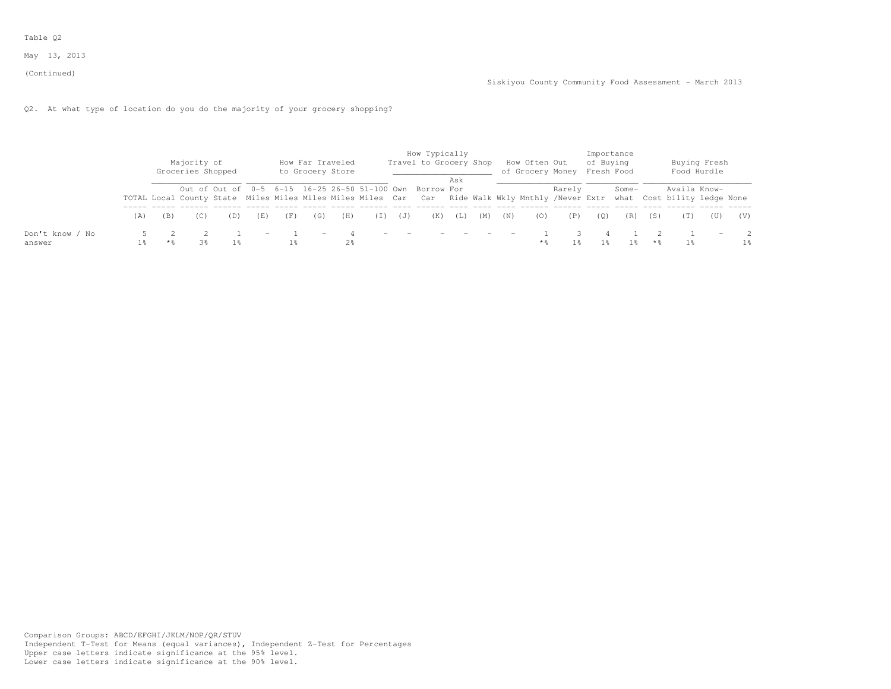# Q2. At what type of location do you do the majority of your grocery shopping?

|                           |     | Majority of<br>Groceries Shopped |     |     | How Far Traveled<br>to Grocery Store |                |       |                          | How Typically<br>Travel to Grocery Shop                                                                                                                                                  |     |                                      |            | How Often Out | of Grocery Money | of Buying<br>Fresh Food | Importance |     |                | Buying Fresh<br>Food Hurdle |     |
|---------------------------|-----|----------------------------------|-----|-----|--------------------------------------|----------------|-------|--------------------------|------------------------------------------------------------------------------------------------------------------------------------------------------------------------------------------|-----|--------------------------------------|------------|---------------|------------------|-------------------------|------------|-----|----------------|-----------------------------|-----|
|                           |     |                                  |     |     |                                      |                |       |                          | Out of Out of 0-5 6-15 16-25 26-50 51-100 Own Borrow For<br>TOTAL Local County State Miles Miles Miles Miles Miles Car Car Ride Walk Wkly Mnthly /Never Extr what Cost bility ledge None | Ask |                                      |            |               | Rarely           |                         | Some-      |     | Availa Know-   |                             |     |
|                           | (A) |                                  | (E) | (F) | (G)                                  | (H)            | ( I ) | (U)                      | (K)                                                                                                                                                                                      | (L) | (M)                                  | (N)        |               | (P)              | (0)                     | (R)        | (S) |                | (U)                         | (V) |
| Don't know / No<br>answer |     | 3%                               | $-$ |     | $\overline{\phantom{a}}$             | 2 <sup>8</sup> |       | $\overline{\phantom{0}}$ |                                                                                                                                                                                          |     | the company's state of the company's | $\sim$ $-$ |               |                  |                         |            | * 2 | 1 <sup>8</sup> | $\overline{\phantom{m}}$    | 1%  |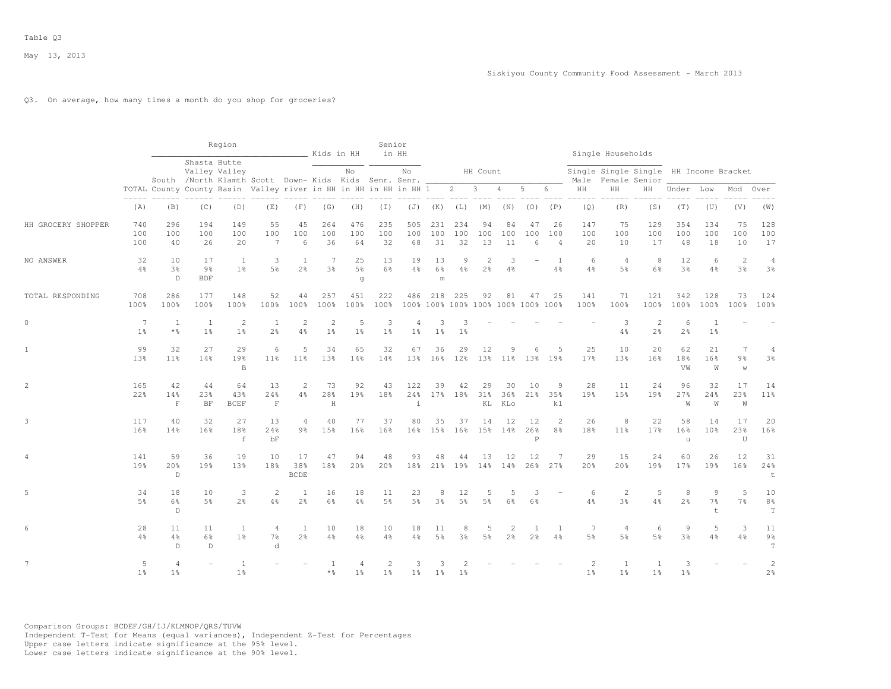## Q3. On average, how many times a month do you shop for groceries?

|                    |                       |                                  |                                    | Region                                                                                 |                                |                                | Kids in HH                       |                           | Senior                           | in HH                            |                                    |                      |                     |                                  |                                  |                                |                                   | Single Households                                            |                       |                      |                                |                                        |                                     |
|--------------------|-----------------------|----------------------------------|------------------------------------|----------------------------------------------------------------------------------------|--------------------------------|--------------------------------|----------------------------------|---------------------------|----------------------------------|----------------------------------|------------------------------------|----------------------|---------------------|----------------------------------|----------------------------------|--------------------------------|-----------------------------------|--------------------------------------------------------------|-----------------------|----------------------|--------------------------------|----------------------------------------|-------------------------------------|
|                    |                       |                                  |                                    | Shasta Butte<br>Valley Valley<br>South /North Klamth Scott Down- Kids Kids Senr. Senr. |                                |                                |                                  | No                        |                                  | No                               |                                    |                      | HH Count            |                                  |                                  |                                |                                   | Single Single Single HH Income Bracket<br>Male Female Senior |                       |                      |                                |                                        |                                     |
|                    |                       |                                  |                                    | TOTAL County County Basin Valley river in HH in HH in HH in HH 1                       |                                |                                |                                  |                           |                                  |                                  |                                    |                      | $2 \qquad 3$        | 4                                | $5 -$                            | 6                              | HH                                | HH                                                           | HH                    | Under Low            |                                | Mod                                    | Over                                |
|                    | (A)                   | (B)                              | (C)                                | (D)                                                                                    | (E)                            | (F)                            | (G)                              | (H)                       | $(\top)$                         |                                  | $(J)$ $(K)$                        | (L)                  | (M)                 | (N)                              | (0)                              | (P)                            | (Q)                               | (R)                                                          | (S)                   | (T)                  | (U)                            | (V)                                    | (W)                                 |
| HH GROCERY SHOPPER | 740<br>100<br>100     | 296<br>100<br>40                 | 194<br>100<br>26                   | 149<br>100<br>20                                                                       | 55<br>100<br>$\overline{7}$    | 45<br>100<br>6                 | 264<br>100<br>36                 | 476<br>100<br>64          | 235<br>100<br>32                 | 505<br>100<br>68                 | 231<br>100<br>31                   | 234<br>100<br>32     | 94<br>100<br>13     | 84<br>100<br>11                  | 47<br>100<br>6                   | 26<br>100<br>$\overline{4}$    | 147<br>100<br>20                  | 75<br>100<br>10                                              | 129<br>100<br>17      | 354<br>100<br>48     | 134<br>100<br>18               | 75<br>100<br>10                        | 128<br>100<br>17                    |
| NO ANSWER          | 32<br>4%              | 10<br>3%<br>D                    | 17<br>$9\frac{6}{6}$<br><b>BDF</b> | <sup>1</sup><br>1 <sup>°</sup>                                                         | 3<br>5 <sup>°</sup>            | 1<br>2 <sup>°</sup>            | 7<br>3 <sup>°</sup>              | 25<br>5 <sup>°</sup><br>g | 13<br>6%                         | 19<br>$4\%$                      | 13<br>6%<br>m                      | 9<br>$4\%$           | 2<br>2 <sup>°</sup> | 3<br>$4\frac{6}{6}$              |                                  | 1<br>$4\frac{6}{6}$            | 6<br>$4\frac{6}{6}$               | $\overline{4}$<br>5 <sup>°</sup>                             | 8<br>$6\frac{6}{9}$   | 12<br>3 <sup>°</sup> | 6<br>4%                        | $\mathbf{2}$<br>3%                     | $\overline{4}$<br>3 <sup>°</sup>    |
| TOTAL RESPONDING   | 708<br>100%           | 286<br>100%                      | 177<br>100%                        | 148<br>100%                                                                            | 52<br>100%                     | 44<br>100%                     | 257<br>100%                      | 451<br>100%               | 222<br>100%                      | 486                              | 100% 100% 100% 100% 100% 100% 100% | 218 225              | 92                  | 81                               | 47                               | 25                             | 141<br>100%                       | 71<br>100%                                                   | 121<br>100%           | 342<br>100%          | 128<br>100%                    | 73<br>100%                             | 124<br>100%                         |
| $\mathbf{0}$       | 7<br>1 <sup>°</sup>   | 1<br>$*$ $\frac{6}{6}$           | 1<br>1 <sup>°</sup>                | 2<br>1 <sup>°</sup>                                                                    | 1<br>2 <sup>o</sup>            | $\overline{2}$<br>4%           | $\overline{2}$<br>1 <sup>°</sup> | 5<br>1 <sup>°</sup>       | 3<br>1 <sup>°</sup>              | $\overline{4}$<br>1 <sup>°</sup> | 3<br>1 <sup>°</sup>                | 3<br>1 <sup>°</sup>  |                     |                                  |                                  |                                |                                   | 3<br>$4\%$                                                   | 2<br>2 <sup>°</sup>   | 6<br>2 <sup>o</sup>  | <sup>1</sup><br>1 <sup>°</sup> |                                        |                                     |
| $\mathbf{1}$       | 99<br>13 <sup>8</sup> | 32<br>11 <sup>°</sup>            | 27<br>14%                          | 29<br>19%<br>$\mathbb B$                                                               | 6<br>11 <sup>8</sup>           | 5<br>$11\%$                    | 34<br>13%                        | 65<br>14%                 | 32<br>14%                        | 67                               | 36<br>13% 16%                      | 29<br>$12$ %         | 12                  | 9<br>13% 11%                     | 6                                | .5<br>13% 19%                  | 25<br>17%                         | 10<br>13%                                                    | 20<br>16 <sup>8</sup> | 62<br>18%<br>VW      | 21<br>16%<br>W                 | $7\phantom{.0}$<br>$9\frac{6}{9}$<br>W | 4<br>3%                             |
| 2                  | 165<br>22%            | 42<br>14%<br>$\mathbf F$         | 44<br>23%<br>BF                    | 64<br>43%<br><b>BCEF</b>                                                               | 13<br>24%<br>$\mathbf F$       | 2<br>4%                        | 73<br>28%<br>H                   | 92<br>19%                 | 43<br>18%                        | 122<br>24%<br>i                  | 39                                 | 42<br>17% 18%        | 29<br>31%<br>KL     | 30<br>36%<br>KLo                 | 10<br>21 <sup>8</sup>            | 9<br>35%<br>k <sub>1</sub>     | 28<br>19%                         | 11<br>15%                                                    | 24<br>19 <sub>8</sub> | 96<br>27%<br>W       | 32<br>24%<br>W                 | 17<br>23%<br>W                         | 14<br>11%                           |
| 3                  | 117<br>16%            | 40<br>14%                        | 32<br>16%                          | 27<br>18%<br>f                                                                         | 13<br>24%<br>bF                | 4<br>9%                        | 40<br>15%                        | 77<br>16%                 | 37<br>16%                        | 80<br>16%                        | 35                                 | 37<br>15% 16%        | 14<br>15%           | 12<br>14%                        | 12<br>26%<br>$\, {\bf P}$        | 2<br>8 <sup>°</sup>            | 26<br>18%                         | 8<br>11%                                                     | 22<br>17%             | 58<br>16%<br>u       | 14<br>10 <sup>8</sup>          | 17<br>23%<br>U                         | 20<br>16%                           |
| 4                  | 141<br>19%            | 59<br>20%<br>D                   | 36<br>19%                          | 19<br>13%                                                                              | 10<br>18%                      | 17<br>38%<br><b>BCDE</b>       | 47<br>18%                        | 94<br>20%                 | 48<br>20%                        | 93<br>18%                        | 48<br>21%                          | 44<br>19%            | 13<br>14%           | 12<br>14%                        | 12<br>26%                        | 7<br>27%                       | 29<br>20%                         | 15<br>20%                                                    | 24<br>19%             | 60<br>17%            | 26<br>19%                      | 12<br>16%                              | 31<br>24%<br>t                      |
| 5                  | 34<br>5 <sup>°</sup>  | 18<br>6%<br>D                    | 10<br>5 <sup>°</sup>               | 3<br>2 <sup>°</sup>                                                                    | $\mathbf{2}$<br>$4\frac{6}{6}$ | $\mathbf{1}$<br>$2\frac{6}{9}$ | 16<br>$6\%$                      | 18<br>$4\frac{6}{6}$      | 11<br>5 <sup>°</sup>             | 23<br>5%                         | 8<br>3%                            | 12<br>5 <sup>°</sup> | 5<br>5 <sup>°</sup> | 5<br>$6\frac{6}{9}$              | 3<br>6%                          |                                | 6<br>4%                           | $\overline{c}$<br>3 <sup>°</sup>                             | 5<br>$4\frac{6}{6}$   | 8<br>2 <sup>o</sup>  | 9<br>7%<br>$\mathsf{t}$        | 5<br>7 <sup>°</sup>                    | 10<br>8 <sup>°</sup><br>$\mathbf T$ |
| 6                  | 28<br>4%              | 11<br>4%<br>D                    | 11<br>6%<br>D                      | 1<br>1 <sup>°</sup>                                                                    | 4<br>$7\%$<br>d                | 1<br>$2\frac{6}{9}$            | 10<br>4%                         | 18<br>$4\frac{6}{6}$      | 10<br>4%                         | 18<br>$4\frac{6}{6}$             | 11<br>5 <sup>°</sup>               | 8<br>3%              | 5<br>5 <sup>°</sup> | $\overline{2}$<br>2 <sup>°</sup> | $\overline{1}$<br>2 <sup>°</sup> | $\mathbf{1}$<br>$4\frac{6}{6}$ | $7\phantom{.0}$<br>5 <sup>°</sup> | 4<br>5%                                                      | 6<br>5 <sup>°</sup>   | 9<br>$3\frac{6}{9}$  | 5<br>4%                        | 3<br>4%                                | 11<br>$9\frac{6}{9}$<br>$\mathbf T$ |
| $7\phantom{.}$     | 5<br>1 <sup>°</sup>   | $\overline{4}$<br>1 <sup>°</sup> |                                    | 1<br>1 <sup>°</sup>                                                                    |                                |                                | * 응                              | 4<br>1 <sup>°</sup>       | $\overline{2}$<br>1 <sup>°</sup> | 3<br>1 <sup>°</sup>              | 3<br>1 <sup>°</sup>                | 1 <sup>°</sup>       |                     |                                  |                                  |                                | 2<br>1 <sup>°</sup>               | 1<br>1 <sup>°</sup>                                          | 1 <sup>°</sup>        | 3<br>1 <sup>°</sup>  |                                |                                        | 2<br>2 <sup>°</sup>                 |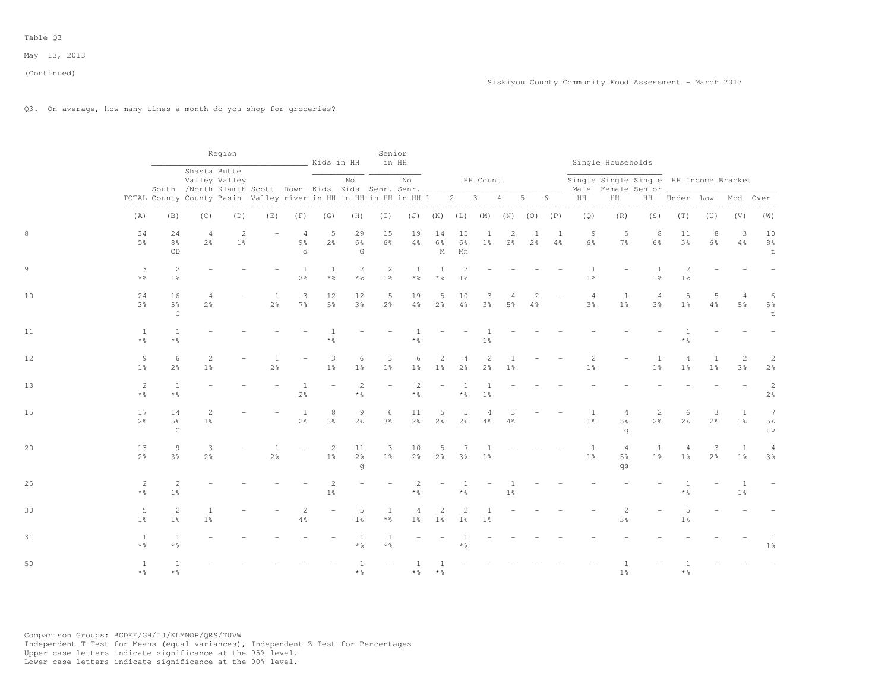# Q3. On average, how many times a month do you shop for groceries?

|    |                                  |                                   |                                  | Region                                                                |                      |                                       | Kids in HH                        |                                     | Senior                           | in HH                      |                                     |                                  |                     |                     |                     |                      |                                  | Single Households                      |                                                                    |                                  |                                |                                  |                                     |
|----|----------------------------------|-----------------------------------|----------------------------------|-----------------------------------------------------------------------|----------------------|---------------------------------------|-----------------------------------|-------------------------------------|----------------------------------|----------------------------|-------------------------------------|----------------------------------|---------------------|---------------------|---------------------|----------------------|----------------------------------|----------------------------------------|--------------------------------------------------------------------|----------------------------------|--------------------------------|----------------------------------|-------------------------------------|
|    |                                  |                                   | Shasta Butte                     | Valley Valley<br>South /North Klamth Scott Down-Kids Kids Senr. Senr. |                      |                                       |                                   | No                                  |                                  | No                         |                                     |                                  | HH Count            |                     |                     |                      |                                  |                                        | Single Single Single HH Income Bracket<br>Male Female Senior _____ |                                  |                                |                                  |                                     |
|    |                                  |                                   |                                  | TOTAL County County Basin Valley river in HH in HH in HH in HH 1      |                      |                                       |                                   |                                     |                                  |                            |                                     | $2 \t 3$                         |                     | 4                   | $5 -$               | 6                    | HH                               | $\rm{HH}$                              |                                                                    | HH Under Low                     |                                | Mod                              | Over                                |
|    | (A)                              | (B)                               | (C)                              | (D)                                                                   | (E)                  | (F)                                   | (G)                               | (H)                                 | ( I )                            | (J)                        | (K)                                 | $(L)$ $(M)$                      |                     | (N)                 | $(O)$ $(P)$         |                      | $- - - - -$<br>(Q)               | $- - - - -$<br>(R)                     | (S)                                                                | (T)                              | (U)                            | (V)                              | (W)                                 |
|    | 34<br>$5\%$                      | 24<br>$8\frac{6}{9}$<br>CD        | $\overline{4}$<br>2 <sup>°</sup> | $\overline{2}$<br>1 <sup>°</sup>                                      |                      | $\overline{4}$<br>$9\frac{6}{9}$<br>d | 5<br>2 <sup>°</sup>               | 29<br>$6\frac{6}{9}$<br>G           | 15<br>6%                         | 19<br>$4\frac{6}{6}$       | 14<br>$6\frac{6}{9}$<br>$\mathbb M$ | 15<br>$6\frac{6}{9}$<br>Mn       | $1\frac{6}{9}$      | 2<br>2 <sup>o</sup> | 1<br>2 <sup>o</sup> | -1<br>$4\frac{6}{6}$ | 9<br>$6\frac{6}{9}$              | 5<br>$7\frac{6}{6}$                    | 8<br>$6\frac{6}{9}$                                                | 11<br>$3\frac{6}{9}$             | 8<br>$6\frac{6}{9}$            | 3<br>4%                          | 10<br>$8\frac{6}{9}$<br>$\mathsf t$ |
| 9  | 3<br>$*$ $\frac{6}{5}$           | 2<br>$1\%$                        |                                  |                                                                       |                      | 1<br>$2\frac{6}{9}$                   | $\mathbf{1}$<br>$*$ $\frac{6}{6}$ | 2<br>$*$ %                          | $\overline{c}$<br>1 <sup>°</sup> | 1<br>$\star$ $\frac{6}{6}$ | 1<br>$*$ %                          | $\overline{2}$<br>1 <sup>°</sup> |                     |                     |                     |                      | $\overline{1}$<br>1 <sup>°</sup> |                                        | 1 <sup>°</sup>                                                     | $\overline{2}$<br>1 <sup>°</sup> |                                |                                  |                                     |
| 10 | 24<br>3 <sup>°</sup>             | 16<br>5%<br>$\mathsf C$           | 4<br>$2\frac{6}{9}$              |                                                                       | -1<br>$2\frac{6}{6}$ | 3<br>$7\frac{6}{9}$                   | 12<br>$5\frac{6}{9}$              | 12<br>$3\frac{6}{9}$                | 5<br>2 <sup>o</sup>              | 19<br>$4\%$                | 5<br>$2\frac{6}{6}$                 | 10<br>$4\,$ %                    | 3<br>$3\frac{6}{6}$ | $5\frac{6}{9}$      | 4%                  |                      | $\overline{4}$<br>$3\frac{6}{9}$ | $\mathbf{1}$<br>$1\frac{6}{6}$         | $\overline{4}$<br>$3\frac{6}{6}$                                   | 5<br>1 <sup>°</sup>              | 5<br>$4\,$ %                   | $\overline{4}$<br>$5\frac{6}{9}$ | 6<br>$5\frac{6}{9}$<br>$\mathsf t$  |
| 11 | <sup>1</sup><br>$*$ %            | 1<br>$*$ %                        |                                  |                                                                       |                      |                                       | $\mathbf{1}$<br>$*$ %             |                                     |                                  | $*$ %                      |                                     |                                  | $1\frac{6}{6}$      |                     |                     |                      |                                  |                                        |                                                                    | $*$ %                            |                                |                                  |                                     |
| 12 | $\overline{9}$<br>1 <sup>°</sup> | 6<br>2 <sup>°</sup>               | $\overline{c}$<br>$1\frac{6}{9}$ |                                                                       | $2\frac{6}{6}$       |                                       | 3<br>$1\frac{6}{6}$               | 6<br>1 <sup>°</sup>                 | 3<br>1 <sup>°</sup>              | 6<br>1 <sup>°</sup>        | $\overline{c}$<br>1 <sup>°</sup>    | 4<br>2 <sup>o</sup>              | 2<br>$2\frac{6}{9}$ | 1 <sup>°</sup>      |                     |                      | 1 <sup>°</sup>                   |                                        | 1 <sup>°</sup>                                                     | 4<br>1 <sup>°</sup>              | $\mathbf{1}$<br>1 <sup>°</sup> | 2<br>3 <sup>°</sup>              | $\overline{c}$<br>$2\frac{6}{6}$    |
| 13 | 2<br>$*$ %                       | $\mathbf{1}$<br>$*$ $\frac{6}{5}$ |                                  |                                                                       |                      | $\mathbf{1}$<br>$2\frac{6}{9}$        | ÷.                                | $\overline{c}$<br>$*$ $\frac{6}{6}$ |                                  | $\overline{c}$<br>$*$ %    |                                     | $\star$ %                        | 1 <sup>°</sup>      |                     |                     |                      |                                  |                                        |                                                                    |                                  |                                |                                  | $\sqrt{2}$<br>$2\frac{6}{6}$        |
| 15 | 17<br>2 <sup>o</sup>             | 14<br>5%<br>$\mathsf{C}$          | $\overline{2}$<br>1 <sup>°</sup> |                                                                       |                      | 1<br>$2\frac{6}{9}$                   | 8<br>$3\frac{6}{9}$               | $\overline{9}$<br>$2\frac{6}{6}$    | 6<br>3 <sup>°</sup>              | 11<br>2 <sup>o</sup>       | 5<br>$2\frac{6}{6}$                 | 5<br>$2\frac{6}{6}$              | $4\frac{6}{6}$      | $4\frac{6}{6}$      |                     |                      | $\overline{1}$<br>1 <sup>°</sup> | 4<br>$5\frac{6}{9}$<br>q               | $\overline{c}$<br>$2\frac{6}{6}$                                   | 6<br>$2\frac{6}{6}$              | 3<br>2%                        | 1<br>1 <sup>°</sup>              | 7<br>$5\frac{6}{9}$<br>tv           |
| 20 | 13<br>2 <sup>o</sup>             | 9<br>3 <sup>°</sup>               | 3<br>$2\frac{6}{9}$              |                                                                       | $2\frac{6}{6}$       |                                       | 2<br>1 <sup>°</sup>               | 11<br>$2\frac{6}{6}$<br>g           | 3<br>1 <sup>°</sup>              | 10<br>$2\frac{6}{6}$       | 5<br>2 <sup>o</sup>                 | 3 <sup>o</sup>                   | 1 <sup>°</sup>      |                     |                     |                      | 1<br>$1\frac{6}{6}$              | $\overline{4}$<br>5 <sup>°</sup><br>qs | <sup>1</sup><br>1 <sup>°</sup>                                     | $\overline{4}$<br>1 <sup>°</sup> | 3<br>$2\frac{6}{6}$            | 1<br>1 <sup>°</sup>              | $\overline{4}$<br>$3\frac{6}{6}$    |
| 25 | 2<br>$*$ $\frac{6}{5}$           | 2<br>1 <sup>°</sup>               |                                  |                                                                       |                      |                                       | $\overline{c}$<br>$1\frac{6}{6}$  |                                     |                                  | $\star$ %                  |                                     | * %                              |                     | $1\frac{6}{6}$      |                     |                      |                                  |                                        |                                                                    | $*$ $\frac{6}{5}$                |                                | -1<br>1 <sup>°</sup>             |                                     |
| 30 | - 5<br>1 <sup>°</sup>            | $\overline{c}$<br>1 <sup>°</sup>  | $\mathbf{1}$<br>$1\frac{6}{9}$   |                                                                       |                      | $\overline{c}$<br>4%                  | $\overline{\phantom{a}}$          | 5<br>$1\frac{6}{6}$                 | 1<br>$*$ $\frac{6}{6}$           | 4<br>1 <sup>°</sup>        | $\overline{c}$<br>1 <sup>°</sup>    | $\mathcal{D}$<br>1 <sup>°</sup>  | 1 <sup>°</sup>      |                     |                     |                      |                                  | $\overline{c}$<br>$3\frac{6}{9}$       |                                                                    | 5<br>1 <sup>°</sup>              |                                |                                  |                                     |
| 31 | <sup>1</sup><br>$*$ %            | 1<br>$*$ $\frac{6}{6}$            |                                  |                                                                       |                      |                                       |                                   | $\star$ $\frac{0}{6}$               | $*$ $\frac{6}{6}$                |                            |                                     | $\star$ %                        |                     |                     |                     |                      |                                  |                                        |                                                                    |                                  |                                |                                  | $1\,$ %                             |
| 50 | <sup>1</sup><br>$*$ %            | 1<br>$*$ $\frac{6}{6}$            |                                  |                                                                       |                      |                                       |                                   | $\overline{1}$<br>$*$ %             |                                  | $*$ $\frac{6}{5}$          | -1<br>$*$ %                         |                                  |                     |                     |                     |                      |                                  | 1<br>1 <sup>°</sup>                    |                                                                    | $*$ %                            |                                |                                  |                                     |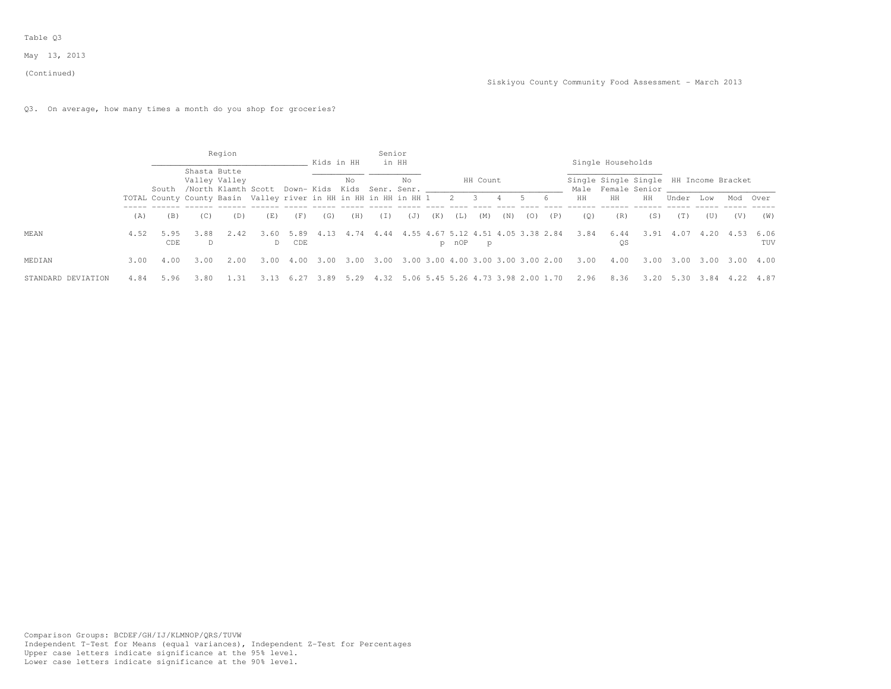#### (Continued)

# Q3. On average, how many times a month do you shop for groceries?

|                    |      |                                                                        |              | Region                                                                 |           |             | Kids in HH |      | Senior   | in HH                              |     |       |          |     |                                    |     |      | Single Households |                                                              |       |      |      |                    |
|--------------------|------|------------------------------------------------------------------------|--------------|------------------------------------------------------------------------|-----------|-------------|------------|------|----------|------------------------------------|-----|-------|----------|-----|------------------------------------|-----|------|-------------------|--------------------------------------------------------------|-------|------|------|--------------------|
|                    |      |                                                                        | Shasta Butte | Valley Valley<br>South /North Klamth Scott Down- Kids Kids Senr. Senr. |           |             |            | No   |          | No                                 |     |       | HH Count |     |                                    |     |      |                   | Single Single Single HH Income Bracket<br>Male Female Senior |       |      |      |                    |
|                    |      | TOTAL County County Basin Valley river in HH in HH in HH in HH 1 2 3 4 |              |                                                                        |           |             |            |      |          |                                    |     |       |          |     | 5 6                                |     | HH   | HH                | HH                                                           | Under | Low  | Mod  | Over               |
|                    | (A)  | (B)                                                                    | (C)          | (D)                                                                    | (E)       | (F)         | (G)        | (H)  | $(\top)$ | (J)                                | (K) | (L)   | (M)      | (N) | (0)                                | (P) | (0)  | (R)               | (S)                                                          | (T)   | (U)  | (V)  | (W)                |
| <b>MEAN</b>        | 4.52 | 5.95<br>CDE                                                            | 3.88<br>D.   | 2.42                                                                   | 3.60<br>D | 5.89<br>CDE |            | . 74 | 4.44     | 4.55 4.67 5.12 4.51 4.05 3.38 2.84 |     | p nOP | p        |     |                                    |     | 3.84 | 6.44<br><b>OS</b> | 3.91                                                         | 4.07  | 4.20 | 4.53 | 6.06<br><b>TUV</b> |
| MEDIAN             | 3.00 | 4.00                                                                   | 3.00         | 2.00                                                                   | 3.00      | 4.00        | 3.00       | 3.00 | 3.00     |                                    |     |       |          |     | 3.00 3.00 4.00 3.00 3.00 3.00 2.00 |     | 3.00 | 4.00              | 3.00                                                         | 3.00  | 3.00 | 3.00 | 4.00               |
| STANDARD DEVIATION | 4.84 | 5.96                                                                   | 3.80         |                                                                        |           |             | 3.89       | 5.29 | 4.32     |                                    |     |       |          |     | 5.06 5.45 5.26 4.73 3.98 2.00 1.70 |     | 2.96 | 8.36              | 3.20                                                         | 5.30  | 3.84 |      | 4.87               |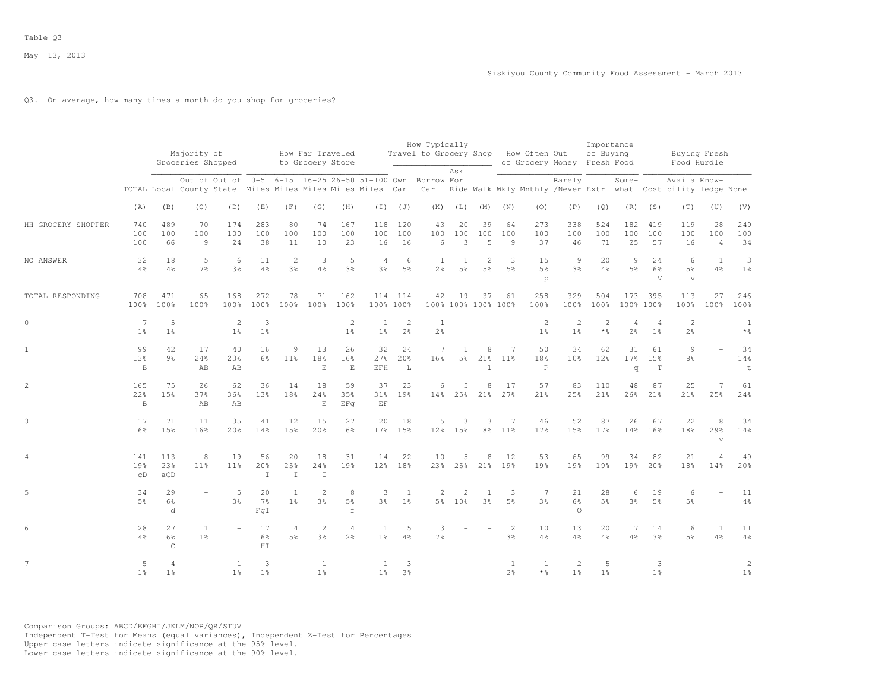## Q3. On average, how many times a month do you shop for groceries?

|                    |                           |                                  | Majority of<br>Groceries Shopped<br>Out of Out of 0-5 6-15 16-25 26-50 51-100 Own Borrow For |                                                            |                             |                                | How Far Traveled<br>to Grocery Store |                                  |                         |                                  | How Typically<br>Travel to Grocery Shop |                          |                                  |                                  | How Often Out                     | of Grocery Money Fresh Food                                             | Importance<br>of Buying             |                                  |                      |                                    | Buying Fresh<br>Food Hurdle |                                   |
|--------------------|---------------------------|----------------------------------|----------------------------------------------------------------------------------------------|------------------------------------------------------------|-----------------------------|--------------------------------|--------------------------------------|----------------------------------|-------------------------|----------------------------------|-----------------------------------------|--------------------------|----------------------------------|----------------------------------|-----------------------------------|-------------------------------------------------------------------------|-------------------------------------|----------------------------------|----------------------|------------------------------------|-----------------------------|-----------------------------------|
|                    |                           |                                  |                                                                                              | TOTAL Local County State Miles Miles Miles Miles Miles Car |                             |                                |                                      |                                  |                         |                                  | Car                                     | Ask                      |                                  |                                  |                                   | Rarely<br>Ride Walk Wkly Mnthly /Never Extr what Cost bility ledge None |                                     | $Some-$                          |                      | Availa Know-                       |                             |                                   |
|                    | (A)                       | (B)                              | (C)                                                                                          | (D)                                                        | (E)                         | (F)                            | (G)                                  | (H)                              |                         | $(I)$ $(J)$                      | (K)                                     | (L)                      | (M)                              | (N)                              | (0)                               | (P)                                                                     | (Q)                                 | (R)                              | (S)                  | (T)                                | (U)                         | (V)                               |
| HH GROCERY SHOPPER | 740<br>100<br>100         | 489<br>100<br>66                 | 70<br>100<br>$\overline{9}$                                                                  | 174<br>100<br>24                                           | 283<br>100<br>38            | 80<br>100<br>11                | 74<br>100<br>10                      | 167<br>100<br>23                 | 118<br>100<br>16        | 120<br>100<br>16                 | 43<br>100<br>6                          | 20<br>100<br>3           | 39<br>100<br>5                   | 64<br>100<br>$\overline{9}$      | 273<br>100<br>37                  | 338<br>100<br>46                                                        | 524<br>100<br>71                    | 182<br>100<br>25                 | 419<br>100<br>57     | 119<br>100<br>16                   | 28<br>100<br>$\overline{4}$ | 249<br>100<br>34                  |
| NO ANSWER          | 32<br>4%                  | 18<br>4%                         | 5<br>7 <sup>°</sup>                                                                          | 6<br>$3\frac{6}{9}$                                        | 11<br>$4\frac{6}{6}$        | $\mathbf{2}$<br>3 <sup>o</sup> | 3<br>4%                              | 5<br>3 <sup>°</sup>              | 4<br>3 <sup>°</sup>     | 6<br>5 <sup>°</sup>              | <sup>1</sup><br>2 <sup>°</sup>          | 1<br>5 <sup>°</sup>      | $\overline{2}$<br>5 <sup>°</sup> | 3<br>5 <sup>8</sup>              | 15<br>5%<br>p                     | 9<br>3%                                                                 | 20<br>4%                            | 9<br>5 <sup>°</sup>              | 24<br>6%<br>V        | 6<br>$5\frac{6}{6}$<br>$\mathbf v$ | $\mathbf{1}$<br>4%          | 3<br>1 <sup>°</sup>               |
| TOTAL RESPONDING   | 708<br>100%               | 471<br>100%                      | 65<br>100%                                                                                   | 168<br>100%                                                | 272<br>100%                 | 78<br>100%                     | 71<br>100%                           | 162<br>100%                      |                         | 114 114<br>100% 100%             | 42                                      | 19                       | 37<br>100% 100% 100% 100%        | 61                               | 258<br>100%                       | 329<br>100%                                                             | 504<br>100%                         | 173                              | 395<br>100% 100%     | 113<br>100%                        | 27<br>100%                  | 246<br>100%                       |
| $\circ$            | 7<br>1 <sup>°</sup>       | 5<br>1 <sup>°</sup>              |                                                                                              | $\mathbf{2}$<br>1 <sup>°</sup>                             | 3<br>1 <sup>°</sup>         |                                |                                      | 2<br>1 <sup>°</sup>              | 1<br>1 <sup>°</sup>     | $\overline{c}$<br>2 <sup>°</sup> | 1<br>2 <sup>°</sup>                     |                          |                                  |                                  | 2<br>1 <sup>°</sup>               | $\overline{2}$<br>1 <sup>°</sup>                                        | $\overline{2}$<br>$*$ $\frac{6}{6}$ | $\overline{4}$<br>2 <sup>°</sup> | 4<br>1 <sup>°</sup>  | $\mathbf{2}$<br>$2\frac{6}{6}$     |                             | $\mathbf{1}$<br>$*$ $\frac{6}{6}$ |
| $\mathbf{1}$       | 99<br>13%<br>B            | 42<br>9 <sub>8</sub>             | 17<br>24%<br>AB                                                                              | 40<br>23%<br>AB                                            | 16<br>6%                    | 9<br>11 <sup>8</sup>           | 13<br>18%<br>$\mathbf E$             | 26<br>16%<br>$\mathbf E$         | 32<br>27%<br><b>EFH</b> | 24<br>20%<br>L                   | 7<br>16%                                | 1<br>5 <sup>°</sup>      | 8<br>21%<br>$\overline{1}$       | $\overline{7}$<br>11%            | 50<br>18%<br>$\mathbf P$          | 34<br>10%                                                               | 62<br>12%                           | 31<br>17 <sup>°</sup><br>q       | 61<br>15%<br>T       | $\circ$<br>8 <sup>°</sup>          |                             | 34<br>14%<br>$\mathsf t$          |
| $\mathbf{2}$       | 165<br>22%<br>$\mathbf B$ | 75<br>15%                        | 26<br>37%<br>AB                                                                              | 62<br>36%<br>AB                                            | 36<br>13%                   | 14<br>18%                      | 18<br>24%<br>$\mathbf E$             | 59<br>35%<br>EFq                 | 37<br>$\rm EF$          | 23<br>31% 19%                    | 6<br>14%                                | .5<br>25%                | 8<br>21%                         | 17<br>27%                        | 57<br>21%                         | 83<br>25%                                                               | 110<br>21%                          | 48<br>26%                        | 87<br>21%            | 25<br>21%                          | $\overline{7}$<br>25%       | 61<br>24%                         |
| 3                  | 117<br>16%                | 71<br>15%                        | 11<br>16%                                                                                    | 35<br>20 <sup>8</sup>                                      | 41<br>14%                   | 12<br>15%                      | 15<br>20%                            | 27<br>16%                        | 20                      | 18<br>17% 15%                    | 5                                       | 3<br>12% 15%             | 3<br>8 <sup>°</sup>              | 7<br>$11\%$                      | 46<br>17%                         | 52<br>15%                                                               | 87<br>17%                           | 26<br>14%                        | 67<br>16%            | 22<br>18%                          | 8<br>29%<br>$\mathbf{V}$    | 34<br>14%                         |
| 4                  | 141<br>19%<br>CD          | 113<br>23%<br>aCD                | 8<br>11%                                                                                     | 19<br>11 <sup>8</sup>                                      | 56<br>20%<br>$\mathbbm{I}$  | 20<br>25%<br>$\mathbf I$       | 18<br>24%<br>$\mathbb T$             | 31<br>19%                        | 14                      | 22<br>12% 18%                    | 10<br>23%                               | 5<br>25%                 | 8<br>21%                         | 12<br>19%                        | 53<br>19%                         | 65<br>19%                                                               | 99<br>19%                           | 34<br>19%                        | 82<br>20%            | 21<br>18%                          | 4<br>14%                    | 49<br>20%                         |
| 5                  | 34<br>5%                  | 29<br>6%<br>d                    |                                                                                              | 5<br>3%                                                    | 20<br>7 <sup>°</sup><br>FqI | $\overline{1}$<br>$1\%$        | $\overline{2}$<br>3 <sup>8</sup>     | 8<br>5%<br>$\mathbf f$           | 3<br>3 <sup>°</sup>     | $\mathbf{1}$<br>$1\%$            | 2                                       | $\overline{2}$<br>5% 10% | 1<br>3 <sup>8</sup>              | 3<br>5%                          | 7<br>3 <sup>8</sup>               | 21<br>6%<br>$\circ$                                                     | 28<br>5 <sup>°</sup>                | 6<br>3%                          | 19<br>5%             | 6<br>$5\frac{6}{6}$                |                             | 11<br>$4\frac{6}{6}$              |
| 6                  | 28<br>4%                  | 27<br>6%<br>Ċ.                   | $\mathbf{1}$<br>1 <sup>°</sup>                                                               |                                                            | 17<br>$6\frac{6}{9}$<br>HI  | 4<br>5%                        | $\overline{2}$<br>3%                 | $\overline{4}$<br>2 <sup>°</sup> | 1<br>1 <sup>°</sup>     | 5<br>4%                          | 3<br>7 <sup>°</sup>                     |                          |                                  | $\overline{2}$<br>3 <sup>o</sup> | 10<br>4%                          | 13<br>$4\%$                                                             | 20<br>$4\frac{6}{6}$                | 7<br>$4\frac{6}{6}$              | 14<br>3 <sup>o</sup> | 6<br>$5\frac{6}{9}$                | $\mathbf{1}$<br>4%          | 11<br>$4\frac{6}{6}$              |
| $\overline{7}$     | 5<br>1 <sup>°</sup>       | $\overline{4}$<br>1 <sup>°</sup> |                                                                                              | 1<br>1 <sup>°</sup>                                        | 3<br>1 <sup>°</sup>         |                                | 1 <sup>°</sup>                       |                                  | 1 <sup>°</sup>          | 3<br>3 <sup>°</sup>              |                                         |                          |                                  | -1<br>$2\frac{6}{6}$             | $\mathbf{1}$<br>$*$ $\frac{6}{5}$ | 2<br>1 <sup>°</sup>                                                     | 5<br>1 <sup>°</sup>                 |                                  | 3<br>1 <sup>°</sup>  |                                    |                             | $\overline{2}$<br>1 <sup>°</sup>  |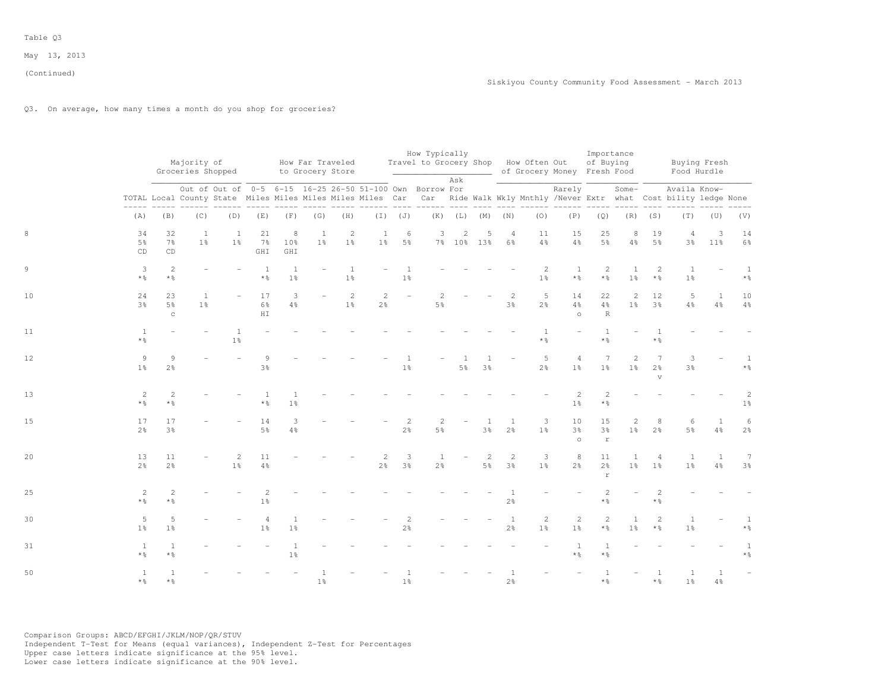Q3. On average, how many times a month do you shop for groceries?

|    |                                   |                            | Majority of<br>Groceries Shopped |                                  |                                       |                                      | How Far Traveled<br>to Grocery Store |                                  |                                  |                                  | How Typically<br>Travel to Grocery Shop How Often Out                                                                                                                                    |                |                   |                                  |                                  | of Grocery Money Fresh Food      | of Buying                           | Importance                     |                                                   |                                  | Buying Fresh<br>Food Hurdle    |                                       |
|----|-----------------------------------|----------------------------|----------------------------------|----------------------------------|---------------------------------------|--------------------------------------|--------------------------------------|----------------------------------|----------------------------------|----------------------------------|------------------------------------------------------------------------------------------------------------------------------------------------------------------------------------------|----------------|-------------------|----------------------------------|----------------------------------|----------------------------------|-------------------------------------|--------------------------------|---------------------------------------------------|----------------------------------|--------------------------------|---------------------------------------|
|    |                                   |                            |                                  |                                  |                                       |                                      |                                      |                                  |                                  |                                  | Out of Out of 0-5 6-15 16-25 26-50 51-100 Own Borrow For<br>TOTAL Local County State Miles Miles Miles Miles Miles Car Car Ride Walk Wkly Mnthly /Never Extr what Cost bility ledge None | Ask            |                   | $---$                            |                                  | Rarely                           |                                     | Some-                          |                                                   | Availa Know-                     |                                |                                       |
|    | (A)                               | (B)                        | (C)                              | (D)                              | (E)                                   | (F)                                  | (G)                                  | (H)                              |                                  | $(I)$ $(J)$                      |                                                                                                                                                                                          |                | $(K)$ $(L)$ $(M)$ | (N)                              | (0)                              | (P)                              | (Q)                                 |                                | $(R)$ $(S)$                                       | (T)                              | (U)                            | (V)                                   |
|    | 34<br>$5\frac{6}{9}$<br>CD        | 32<br>$7\frac{6}{9}$<br>CD | $\mathbf{1}$<br>1 <sup>°</sup>   | <sup>1</sup><br>$1\%$            | 21<br>$7\%$<br>GHI                    | 8<br>10%<br>GHI                      | $\mathbf{1}$<br>1 <sup>°</sup>       | $\overline{c}$<br>1 <sup>°</sup> | $\mathbf{1}$                     | 6<br>1% 5%                       | 3                                                                                                                                                                                        | 2              | 5<br>7% 10% 13%   | $\overline{4}$<br>6%             | 11<br>$4\frac{6}{6}$             | 15<br>$4\,$ %                    | 25<br>$5\frac{6}{9}$                | 8<br>$4\frac{6}{9}$            | 19<br>5 <sup>°</sup>                              | $\overline{4}$<br>$3\frac{6}{9}$ | 3<br>$11\%$                    | 14<br>$6\frac{6}{9}$                  |
|    | 3<br>$*$ %                        | 2<br>$*$ %                 |                                  |                                  | <sup>1</sup><br>$\star$ $\frac{0}{6}$ | <sup>1</sup><br>1 <sup>°</sup>       |                                      | $\mathbf{1}$<br>1 <sup>°</sup>   |                                  | 1%                               |                                                                                                                                                                                          |                |                   |                                  | 2<br>$1\frac{6}{6}$              | <sup>1</sup><br>$\star$ %        | 2<br>$*$ $\frac{6}{5}$              | $\mathbf{1}$<br>$1\frac{6}{6}$ | $\overline{2}$<br>$*$ %                           | $\mathbf{1}$<br>$1\frac{6}{6}$   |                                | <sup>1</sup><br>$\star$ $\frac{6}{6}$ |
| 10 | 24<br>3 <sup>°</sup>              | 23<br>5%<br>$_{\rm C}$     | $\mathbf{1}$<br>1 <sup>°</sup>   |                                  | 17<br>$6\frac{6}{9}$<br>${\rm H\,I}$  | 3<br>$4\frac{6}{6}$                  |                                      | 2<br>1 <sup>°</sup>              | $\overline{c}$<br>2 <sup>o</sup> |                                  | 2<br>5%                                                                                                                                                                                  |                |                   | 2<br>$3\frac{6}{6}$              | 5<br>2 <sup>o</sup>              | 14<br>4%<br>$\circ$              | 22<br>$4\frac{6}{6}$<br>R           | 2<br>1 <sup>°</sup>            | 12<br>3 <sup>o</sup>                              | 5<br>$4\frac{6}{6}$              | $\mathbf{1}$<br>$4\frac{6}{6}$ | 10<br>$4\frac{6}{6}$                  |
| 11 | $\mathbf{1}$<br>$*$ $\frac{6}{6}$ |                            |                                  | $\overline{1}$<br>$1\frac{6}{6}$ |                                       |                                      |                                      |                                  |                                  |                                  |                                                                                                                                                                                          |                |                   |                                  | $\mathbf{1}$<br>$*$ %            |                                  | <sup>1</sup><br>$*$ %               |                                | $*$ %                                             |                                  |                                |                                       |
| 12 | $\overline{9}$<br>1 <sup>°</sup>  | 9<br>$2\frac{6}{6}$        |                                  |                                  | 9<br>3 <sup>°</sup>                   |                                      |                                      |                                  |                                  | 1 <sup>°</sup>                   |                                                                                                                                                                                          | 5 <sup>°</sup> | 3%                |                                  | 5<br>$2\frac{6}{6}$              | $\overline{4}$<br>1 <sup>°</sup> | 7<br>1 <sup>°</sup>                 | 2<br>$1\%$                     | $7\phantom{.0}$<br>2 <sup>o</sup><br>$\mathbf{v}$ | 3<br>$3\frac{6}{9}$              |                                | $*$ $\frac{6}{6}$                     |
| 13 | 2<br>$*$ %                        | $\mathbf{2}$<br>$*$ %      |                                  |                                  | $\overline{1}$<br>$*$ $\frac{6}{6}$   | $1\frac{6}{6}$                       |                                      |                                  |                                  |                                  |                                                                                                                                                                                          |                |                   |                                  |                                  | 2<br>$1\frac{6}{6}$              | $\mathfrak{D}$<br>$*$ $\frac{6}{6}$ |                                |                                                   |                                  |                                | $\overline{c}$<br>$1\,$               |
| 15 | 17<br>2 <sup>o</sup>              | 17<br>3 <sup>o</sup>       |                                  |                                  | 14<br>$5\frac{6}{9}$                  | $\ensuremath{\mathsf{3}}$<br>$4\,$ % |                                      |                                  |                                  | 2<br>$2\frac{6}{6}$              | 2<br>$5\frac{6}{9}$                                                                                                                                                                      |                | $3\frac{6}{9}$    | 2 <sup>o</sup>                   | 3<br>$1\%$                       | 10<br>$3\frac{6}{9}$<br>$\circ$  | 15<br>$3\frac{6}{6}$<br>$\mathbf r$ | 2<br>1 <sup>°</sup>            | 8<br>$2\frac{6}{6}$                               | 6<br>$5\frac{6}{9}$              | 1<br>$4\frac{6}{6}$            | 6<br>$2\frac{6}{6}$                   |
| 20 | 13<br>2 <sup>o</sup>              | 11<br>2 <sup>o</sup>       |                                  | 2<br>1 <sup>°</sup>              | 11<br>$4\frac{6}{6}$                  |                                      |                                      |                                  | 2<br>2 <sup>o</sup>              | 3<br>$3\frac{6}{9}$              | 1<br>2 <sup>o</sup>                                                                                                                                                                      |                | 2<br>5%           | $\overline{2}$<br>3 <sup>8</sup> | 3<br>1 <sup>°</sup>              | 8<br>2 <sup>°</sup>              | 11<br>$2\frac{6}{6}$<br>$\mathbf r$ | 1<br>1 <sup>°</sup>            | $\overline{4}$<br>1 <sup>8</sup>                  | <sup>1</sup><br>1 <sup>8</sup>   | $\mathbf{1}$<br>$4\frac{6}{6}$ | $7\phantom{.0}$<br>3 <sup>°</sup>     |
| 25 | $\mathbf{2}$<br>$*$ %             | $\mathbf{2}$<br>$*$ %      |                                  |                                  | $\overline{c}$<br>1 <sup>°</sup>      |                                      |                                      |                                  |                                  |                                  |                                                                                                                                                                                          |                |                   | 1<br>$2\frac{6}{6}$              |                                  |                                  | $\overline{2}$<br>$*$ %             |                                | 2<br>$*$ %                                        |                                  |                                |                                       |
| 30 | 5<br>1 <sup>°</sup>               | 5<br>1 <sup>°</sup>        |                                  |                                  | $\overline{4}$<br>1 <sup>°</sup>      | $\mathbf{1}$<br>1 <sup>°</sup>       |                                      |                                  |                                  | $\overline{c}$<br>$2\frac{6}{6}$ |                                                                                                                                                                                          |                |                   | <sup>1</sup><br>$2\frac{6}{6}$   | $\overline{c}$<br>1 <sup>°</sup> | $\overline{c}$<br>1 <sup>°</sup> | $\overline{2}$<br>$*$ $\frac{6}{6}$ | $\mathbf{1}$<br>1 <sup>°</sup> | 2<br>$*$ $\frac{6}{5}$                            | $\mathbf{1}$<br>$1\frac{6}{6}$   |                                | 1<br>$*$ %                            |
| 31 | 1<br>$*$ %                        | $*$ %                      |                                  |                                  |                                       | $1\frac{6}{6}$                       |                                      |                                  |                                  |                                  |                                                                                                                                                                                          |                |                   |                                  |                                  | $*$ %                            | $\star$ %                           |                                |                                                   |                                  |                                | $\mathbf{1}$<br>$*$ %                 |
| 50 | $\mathbf{1}$<br>$*$ $\frac{6}{9}$ | $\mathbf{1}$<br>$*$ %      |                                  |                                  |                                       |                                      | $1\frac{6}{6}$                       |                                  |                                  | 1 <sup>°</sup>                   |                                                                                                                                                                                          |                |                   | 2 <sup>°</sup>                   |                                  |                                  | $\overline{1}$<br>$*$ %             |                                | $*$ %                                             | $\mathbf{1}$<br>1 <sup>°</sup>   | 1<br>$4\frac{6}{6}$            |                                       |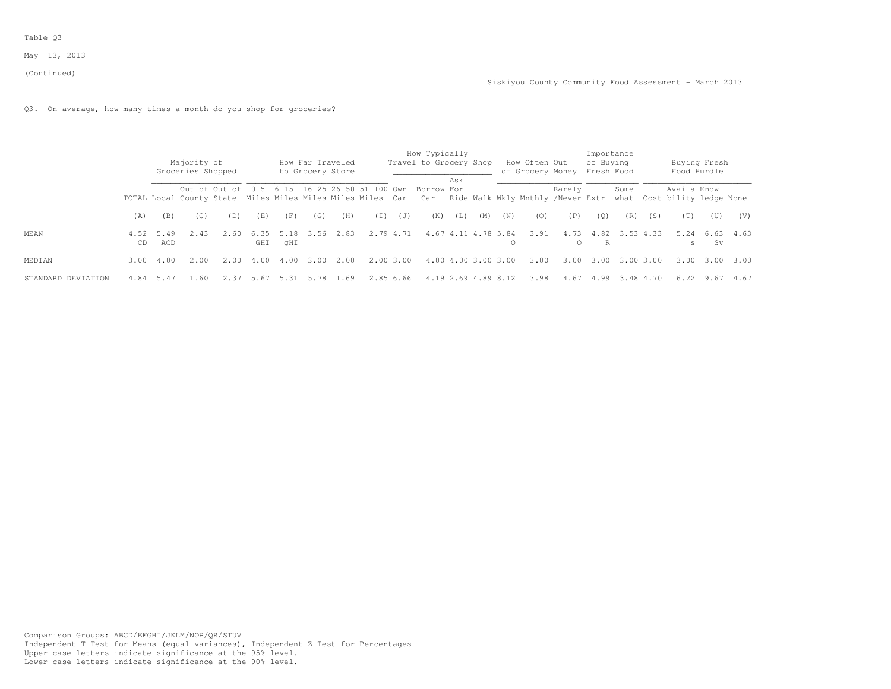(Continued)

Q3. On average, how many times a month do you shop for groceries?

|                    |            |             | Majority of                                                                                                                                                        |       |             |             | How Far Traveled<br>to Grocery Store |      |           |           | How Typically<br>Travel to Grocery Shop    |     |                     |     | How Often Out<br>of Grocery Money Fresh Food |                  | Importance<br>of Buying |                |     | Food Hurdle  | Buying Fresh |      |
|--------------------|------------|-------------|--------------------------------------------------------------------------------------------------------------------------------------------------------------------|-------|-------------|-------------|--------------------------------------|------|-----------|-----------|--------------------------------------------|-----|---------------------|-----|----------------------------------------------|------------------|-------------------------|----------------|-----|--------------|--------------|------|
|                    |            |             | Groceries Shopped<br>Out of Out of<br>TOTAL Local County State Miles Miles Miles Miles Miles Car Car Ride Walk Wkly Mnthly /Never Extr what Cost bility ledge None |       |             |             |                                      |      |           |           | 0-5 6-15 16-25 26-50 51-100 Own Borrow For | Ask |                     |     |                                              | Rarely           |                         | Some-          |     | Availa Know- |              |      |
|                    | (A)        | (B)         | (C)                                                                                                                                                                | (D)   | (E)         | (F)         | (G)                                  | (H)  | (I)       | (J)       | (K)                                        | (L) | (M)                 | (N) | (0)                                          | (P)              | (0)                     | (R)            | (S) | (T)          | (U)          | (V)  |
| <b>MEAN</b>        | 4.52<br>CD | 5.49<br>ACD | 2.43                                                                                                                                                               | 2.60  | 6.35<br>GHI | 5.18<br>qHI | . 56.<br>3.                          | 2.83 |           | 2.79 4.71 |                                            |     | 4.67 4.11 4.78 5.84 |     | 3.91                                         | 4.73<br>$\Omega$ | R                       | 4.82 3.53 4.33 |     | 5.24<br>s    | 6.63<br>. Sv | 4.63 |
| MEDIAN             | 3.00       | 4.00        | 2.00                                                                                                                                                               | 2.00  | 4.00        | 4.00        | 3.00                                 | 2.00 | 2.00 3.00 |           |                                            |     | 4.00 4.00 3.00 3.00 |     | 3.00                                         | 3.00             | 3.00                    | 3.003.00       |     | 3.00         | 3.00         | 3.00 |
| STANDARD DEVIATION | 4.84       | 5.47        | - 60                                                                                                                                                               | -2.37 | 5.67        | 5.31        | 5.78                                 | 1.69 |           | 2.85 6.66 |                                            |     | 4.19 2.69 4.89 8.12 |     | 3.98                                         | 4.67             | 4.99                    | 3.484.70       |     | 6.22         | 9.67         | 4.67 |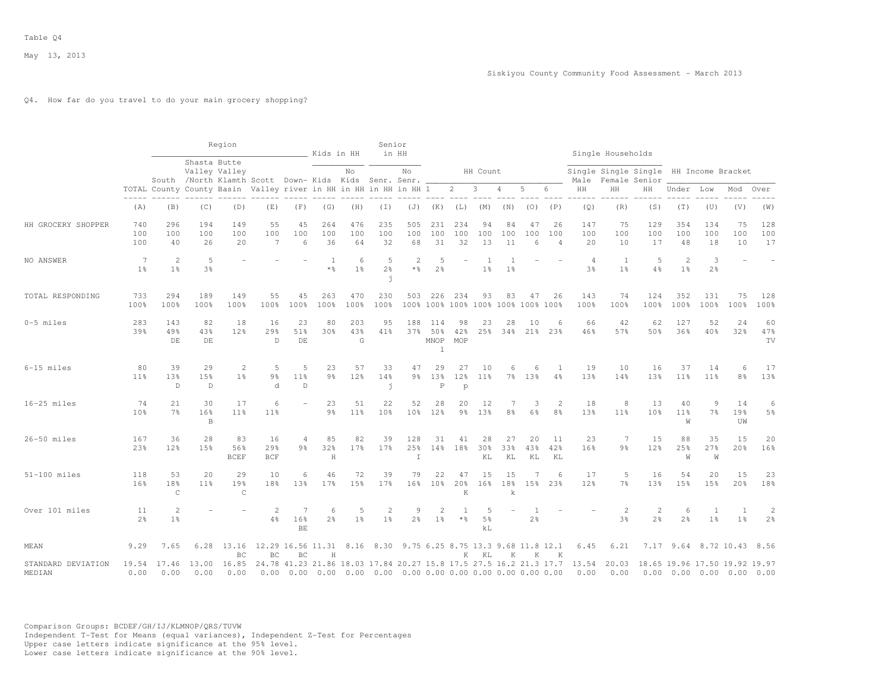## Q4. How far do you travel to do your main grocery shopping?

|                              |                                  |                          |                           | Region                                                                 |                              |                                                                           | Kids in HH            |                     | Senior<br>in HH                                                              |                                         |                                    |                            |                           |                 |                       |                       |                      | Single Households                     |                                  |                                  |                                                              |                                |                     |
|------------------------------|----------------------------------|--------------------------|---------------------------|------------------------------------------------------------------------|------------------------------|---------------------------------------------------------------------------|-----------------------|---------------------|------------------------------------------------------------------------------|-----------------------------------------|------------------------------------|----------------------------|---------------------------|-----------------|-----------------------|-----------------------|----------------------|---------------------------------------|----------------------------------|----------------------------------|--------------------------------------------------------------|--------------------------------|---------------------|
|                              |                                  |                          | Shasta Butte              | Valley Valley<br>South /North Klamth Scott Down- Kids Kids Senr. Senr. |                              |                                                                           |                       | No                  |                                                                              | No.                                     |                                    |                            | HH Count                  |                 |                       |                       | Male                 | Single Single Single<br>Female Senior |                                  |                                  | HH Income Bracket                                            |                                |                     |
|                              |                                  |                          |                           | TOTAL County County Basin Valley river in HH in HH in HH in HH 1       |                              |                                                                           |                       |                     |                                                                              |                                         |                                    | 2                          | 3                         | 4               | 5                     | 6                     | HH                   | HH                                    | HН                               | Under                            | Low                                                          | Mod                            | Over                |
|                              | (A)                              | (B)                      | (C)                       | (D)                                                                    | (E)                          | (F)                                                                       | (G)                   | (H)                 | (T)                                                                          | (J)                                     | (K)                                | (L)                        | (M)                       | (N)             | (0)                   | (P)                   | (Q)                  | (R)                                   | (S)                              | (T)                              | (U)                                                          | (V)                            | (W)                 |
| HH GROCERY SHOPPER           | 740<br>100<br>100                | 296<br>100<br>40         | 194<br>100<br>26          | 149<br>100<br>2.0                                                      | 55<br>100<br>7               | 45<br>100<br>6                                                            | 264<br>100<br>36      | 476<br>100<br>64    | 235<br>100<br>32                                                             | 505<br>100<br>68                        | 231<br>100<br>31                   | 234<br>100<br>32           | 94<br>100<br>13           | 84<br>100<br>11 | 47<br>100<br>$\kappa$ | 26<br>100<br>$\Delta$ | 147<br>100<br>20     | 75<br>100<br>10                       | 129<br>100<br>17                 | 354<br>100<br>48                 | 134<br>100<br>18                                             | 75<br>100<br>10                | 128<br>100<br>17    |
| NO ANSWER                    | $\overline{7}$<br>1 <sup>°</sup> | 2<br>1 <sup>°</sup>      | 5<br>3 <sup>°</sup>       |                                                                        |                              |                                                                           | $\overline{1}$<br>* % | 6<br>1 <sup>°</sup> | 5<br>2%<br>j                                                                 | $\overline{2}$<br>$*$ %                 | 5<br>2 <sup>°</sup>                |                            | 1 <sup>°</sup>            | 1 <sup>°</sup>  |                       |                       | $\overline{4}$<br>3% | 1<br>1 <sup>°</sup>                   | 5<br>4%                          | $\overline{c}$<br>1 <sup>°</sup> | 3<br>2 <sup>°</sup>                                          |                                |                     |
| TOTAL RESPONDING             | 733<br>100%                      | 294<br>100%              | 189<br>100%               | 149<br>100%                                                            | 55<br>100%                   | 45<br>100%                                                                | 263<br>100%           | 470<br>100%         | 230<br>100%                                                                  | 503                                     | 226<br>100% 100% 100% 100% 100%    | 234                        | 93                        | 83              | 47                    | 26<br>100% 100%       | 143<br>100%          | 74<br>100%                            | 124<br>100%                      | 352<br>100%                      | 131<br>100%                                                  | 75<br>100%                     | 128<br>100%         |
| 0-5 miles                    | 283<br>39%                       | 143<br>49%<br>DE         | 82<br>43%<br>$\rm{DE}$    | 18<br>12 <sup>8</sup>                                                  | 16<br>29%<br>$\mathbb D$     | 23<br>51%<br>DE                                                           | 80<br>30%             | 203<br>43%<br>G     | 95<br>41%                                                                    | 188<br>37%                              | 114<br>50%<br>MNOP<br>$\mathbf{1}$ | 98<br>42%<br>MOP           | 23<br>25%                 | 28<br>34%       | 10<br>21%             | 6<br>23%              | 66<br>46%            | 42<br>57%                             | 62<br>50%                        | 127<br>36%                       | 52<br>40%                                                    | 24<br>32%                      | 60<br>47%<br>TV     |
| 6-15 miles                   | 80<br>11 <sup>8</sup>            | 39<br>13%<br>D           | 29<br>15%<br>$\mathbb{D}$ | $\mathbf{2}$<br>1 <sup>8</sup>                                         | 5<br>$9\frac{6}{6}$<br>d     | 5<br>11%<br>$\mathbb D$                                                   | 23<br>9 <sub>8</sub>  | 57<br>12%           | 33<br>14%<br>j                                                               | 47<br>$9\frac{6}{6}$                    | 29<br>13%<br>$\, {\mathbb P}$      | 27<br>12%<br>$\mathbf{p}$  | 10<br>$11\%$              | 6               | 6<br>7% 13%           | 4%                    | 19<br>13%            | 10<br>14%                             | 16<br>13%                        | 37<br>11 <sup>8</sup>            | 14<br>$11\%$                                                 | 6<br>8 <sup>°</sup>            | 17<br>13%           |
| 16-25 miles                  | 74<br>10 <sup>8</sup>            | 21<br>7%                 | 30<br>16%<br>B            | 17<br>11 <sup>8</sup>                                                  | 6<br>11%                     |                                                                           | 23<br>$9\frac{6}{9}$  | 51<br>11%           | 22<br>10%                                                                    | 52<br>10 <sup>8</sup>                   | 28<br>12%                          | 20<br>$9\frac{6}{6}$       | 12<br>13%                 | 7<br>8%         | 3<br>6%               | $\overline{2}$<br>8%  | 18<br>13%            | 8<br>11 <sup>8</sup>                  | 13<br>10%                        | 40<br>11%<br>W                   | 9<br>7%                                                      | 14<br>19%<br>UW                | 6<br>5 <sup>°</sup> |
| 26-50 miles                  | 167<br>23%                       | 36<br>12%                | 28<br>15%                 | 83<br>56%<br><b>BCEF</b>                                               | 16<br>29%<br>$_{\rm BCF}$    | 4<br>9 <sub>8</sub>                                                       | 85<br>32%<br>$\rm H$  | 82<br>17%           | 39<br>17%                                                                    | 128<br>25%<br>I                         | 31<br>14%                          | 41<br>18%                  | 28<br>30%<br>KL           | 27<br>33%<br>KL | 20<br>43%<br>KL       | 11<br>42%<br>KL       | 23<br>16%            | 7<br>9 <sub>8</sub>                   | 15<br>12%                        | 88<br>25%<br>W                   | 35<br>27%<br>W                                               | 15<br>20%                      | 20<br>16%           |
| $51-100$ miles               | 118<br>16%                       | 53<br>18%<br>$\mathsf C$ | 20<br>11 <sup>8</sup>     | 29<br>19%<br>$\mathsf{C}$                                              | 10<br>18%                    | 6<br>13%                                                                  | 46<br>17%             | 72<br>15%           | 39<br>17%                                                                    | 79<br>16%                               | 22<br>10 <sup>8</sup>              | 47<br>20%<br>$\mathbbm{K}$ | 15<br>16%                 | 15<br>18%<br>k  | 7<br>15%              | 6<br>23%              | 17<br>12%            | .5<br>7 <sup>°</sup>                  | 16<br>13%                        | 54<br>15%                        | 20<br>15%                                                    | 15<br>20%                      | 23<br>18%           |
| Over 101 miles               | 11<br>2 <sup>o</sup>             | 2<br>1 <sup>°</sup>      |                           |                                                                        | $\mathbf{2}$<br>4%           | 7<br>16%<br>BE                                                            | 6<br>2 <sup>°</sup>   | 5<br>1 <sup>°</sup> | $\overline{2}$<br>1 <sup>°</sup>                                             | 9<br>$2\frac{6}{6}$                     | 2<br>1 <sup>°</sup>                | $*$ $\frac{6}{5}$          | 5<br>5 <sup>°</sup><br>kL |                 | 2 <sup>°</sup>        |                       |                      | $\overline{2}$<br>3%                  | $\overline{c}$<br>$2\frac{6}{9}$ | 6<br>2 <sup>o</sup>              | 1<br>1 <sup>°</sup>                                          | $\mathbf{1}$<br>1 <sup>°</sup> | 2<br>2 <sup>°</sup> |
| MEAN                         | 9.29                             | 7.65                     |                           | 6.28 13.16<br>BC                                                       | 12.29 16.56 11.31 8.16<br>BC | BC                                                                        | H                     |                     |                                                                              | 8.30 9.75 6.25 8.75 13.3 9.68 11.8 12.1 |                                    | K                          | KL                        | K               | K                     | K                     | 6.45                 | 6.21                                  |                                  |                                  | 7.17 9.64 8.72 10.43                                         |                                | 8.56                |
| STANDARD DEVIATION<br>MEDIAN | 19.54<br>0.00                    | 17.46<br>0.00            | 13.00<br>0.00             | 16.85<br>0.00                                                          | 0.00                         | 24.78 41.23 21.86 18.03 17.84 20.27 15.8 17.5 27.5 16.2 21.3 17.7<br>0.00 |                       |                     | $0.00$ $0.00$ $0.00$ $0.00$ $0.00$ $0.00$ $0.00$ $0.00$ $0.00$ $0.00$ $0.00$ |                                         |                                    |                            |                           |                 |                       |                       | 13.54<br>0.00        | 20.03<br>0.00                         |                                  |                                  | 18.65 19.96 17.50 19.92 19.97<br>$0.00$ $0.00$ $0.00$ $0.00$ |                                | 0.00                |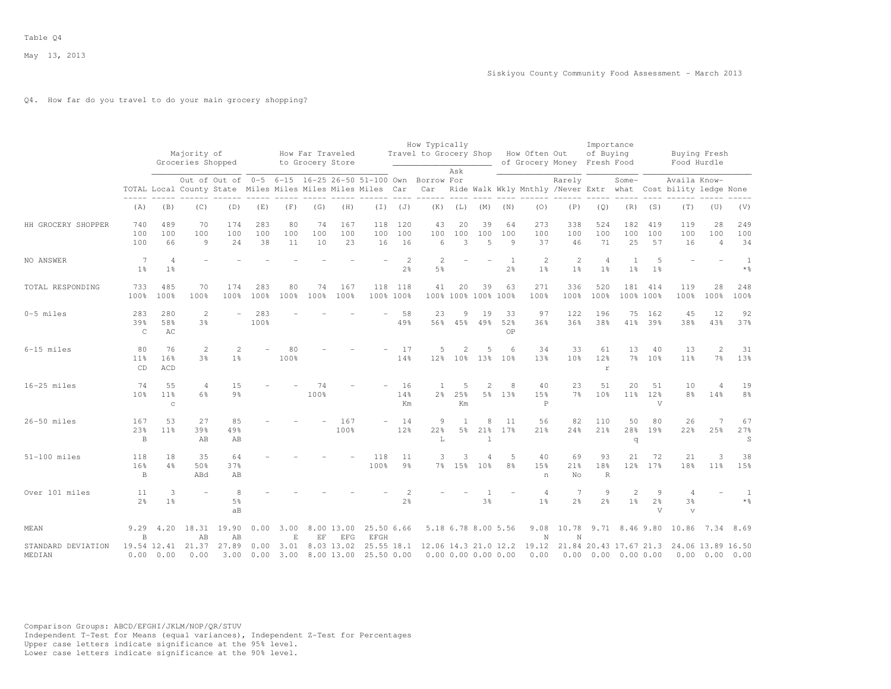# Q4. How far do you travel to do your main grocery shopping?

|                              |                            |                                       | Majority of<br>Groceries Shopped                                            |                                 |                  |                 | How Far Traveled<br>to Grocery Store |                          |                                 |                      | How Typically<br>Travel to Grocery Shop |                       |                             |                      | How Often Out<br>of Grocery Money Fresh Food  |                       | Importance<br>of Buying                     |                      |                          | Buying Fresh<br>Food Hurdle            |                             |                        |
|------------------------------|----------------------------|---------------------------------------|-----------------------------------------------------------------------------|---------------------------------|------------------|-----------------|--------------------------------------|--------------------------|---------------------------------|----------------------|-----------------------------------------|-----------------------|-----------------------------|----------------------|-----------------------------------------------|-----------------------|---------------------------------------------|----------------------|--------------------------|----------------------------------------|-----------------------------|------------------------|
|                              |                            |                                       | Out of Out of<br>TOTAL Local County State Miles Miles Miles Miles Miles Car |                                 |                  |                 |                                      |                          | 0-5 6-15 16-25 26-50 51-100 Own |                      | Borrow For<br>Car                       | Ask                   |                             |                      | Ride Walk Wkly Mnthly /Never Extr what        | Rarely                |                                             | Some-                |                          | Availa Know-<br>Cost bility ledge None |                             |                        |
|                              | (A)                        | (B)                                   | (C)                                                                         | (D)                             | (E)              | (F)             | (G)                                  | (H)                      | (I)                             | (J)                  | (K)                                     | (L)                   | (M)                         | (N)                  | (0)                                           | (P)                   | (Q)                                         | (R)                  | (S)                      | (T)                                    | (U)                         | (V)                    |
| HH GROCERY SHOPPER           | 740<br>100<br>100          | 489<br>100<br>66                      | 70<br>100<br>9                                                              | 174<br>100<br>24                | 283<br>100<br>38 | 80<br>100<br>11 | 74<br>100<br>10                      | 167<br>100<br>23         | 118<br>100<br>16                | 120<br>100<br>16     | 43<br>100<br>6                          | 20<br>100<br>3        | 39<br>100<br>5              | 64<br>100<br>9       | 273<br>100<br>37                              | 338<br>100<br>46      | 524<br>100<br>71                            | 182<br>100<br>25     | 419<br>100<br>57         | 119<br>100<br>16                       | 28<br>100<br>$\overline{4}$ | 249<br>100<br>34       |
| NO ANSWER                    | 7<br>$1\frac{6}{9}$        | $\overline{4}$<br>$1\%$               |                                                                             |                                 |                  |                 |                                      |                          |                                 | $\overline{2}$<br>2% | $\overline{2}$<br>5 <sup>°</sup>        |                       |                             | 1<br>2%              | $\overline{2}$<br>1 <sup>°</sup>              | 2<br>1%               | $\overline{4}$<br>1 <sup>°</sup>            | 1<br>$1\frac{6}{9}$  | 5<br>1 <sup>°</sup>      |                                        |                             | 1<br>$*$ $\frac{6}{6}$ |
| TOTAL RESPONDING             | 733<br>100%                | 485<br>100%                           | 70<br>100%                                                                  | 174<br>100%                     | 283<br>100%      | 80<br>100%      | 74<br>100%                           | 167<br>100%              | 118<br>100% 100%                | 118                  | 41                                      | 20                    | 39<br>100% 100% 100% 100%   | 63                   | 271<br>100%                                   | 336<br>100%           | 520<br>100%                                 | 181<br>100% 100%     | 414                      | 119<br>100%                            | 28<br>100%                  | 248<br>100%            |
| $0-5$ miles                  | 283<br>39%<br>$\mathsf{C}$ | 280<br>58%<br>AC                      | $\mathbf{2}$<br>3%                                                          |                                 | 283<br>100%      |                 |                                      |                          |                                 | 58<br>49%            | 23<br>56%                               | 9<br>45%              | 19<br>49%                   | 33<br>52%<br>OP      | 97<br>36%                                     | 122<br>36%            | 196<br>38%                                  | 75<br>41%            | 162<br>39%               | 45<br>38%                              | 12<br>43%                   | 92<br>37%              |
| 6-15 miles                   | 80<br>11%<br>CD            | 76<br>16%<br>ACD                      | 2<br>3%                                                                     | $\mathcal{L}$<br>1 <sup>8</sup> |                  | 80<br>100%      |                                      |                          |                                 | 17<br>14%            | 5<br>12 <sub>8</sub>                    | $\overline{2}$<br>10% | 5<br>13%                    | 6<br>10 <sup>8</sup> | 34<br>13%                                     | 33<br>10 <sup>8</sup> | 61<br>12%<br>$\Gamma$                       | 13<br>7 <sup>8</sup> | 40<br>10 <sup>8</sup>    | 13<br>11 <sup>8</sup>                  | 2<br>7 <sup>°</sup>         | 31<br>13%              |
| $16-25$ miles                | 74<br>10%                  | 55<br>11 <sup>8</sup><br>$\mathtt{C}$ | 4<br>6%                                                                     | 15<br>$9\frac{6}{9}$            |                  |                 | 74<br>100%                           |                          |                                 | 16<br>14%<br>Km      | 1<br>2 <sup>°</sup>                     | 5<br>25%<br>Km        | $\overline{2}$<br>5%        | 8<br>13%             | 40<br>15%<br>$\mathbf P$                      | 23<br>7 <sup>°</sup>  | 51<br>10%                                   | 20<br>$11\%$         | 51<br>12%<br>V           | 10<br>8%                               | $\overline{4}$<br>14%       | 19<br>8 <sup>°</sup>   |
| $26-50$ miles                | 167<br>23%<br>$\, {\bf B}$ | 53<br>11 <sup>8</sup>                 | 27<br>39%<br>AB                                                             | 85<br>49%<br>AB                 |                  |                 |                                      | 167<br>100%              |                                 | 14<br>12%            | 9<br>22%<br>L                           | $\overline{1}$<br>5%  | 8<br>21%<br>$\overline{1}$  | 11<br>17%            | 56<br>21%                                     | 82<br>24%             | 110<br>21%                                  | 50<br>28%<br>q       | 80<br>19%                | 26<br>22%                              | $\overline{7}$<br>25%       | 67<br>27%<br>S         |
| $51-100$ miles               | 118<br>16%<br>B            | 18<br>4%                              | 35<br>50%<br>ABd                                                            | 64<br>37%<br>AB                 |                  |                 |                                      |                          | 118<br>100%                     | 11<br>9 <sub>8</sub> | 3                                       | 3<br>7% 15%           | $\overline{4}$<br>10%       | 5<br>8%              | 40<br>15%<br>n                                | 69<br>21%<br>No       | 93<br>18%<br>$\mathbb R$                    | 21<br>12%            | 72<br>17%                | 21<br>18%                              | 3<br>$11\%$                 | 38<br>15%              |
| Over 101 miles               | 11<br>2 <sup>°</sup>       | 3<br>1 <sup>°</sup>                   |                                                                             | 8<br>5%<br>aB                   |                  |                 |                                      |                          |                                 | $2\frac{6}{6}$       |                                         |                       | 3%                          |                      | $\overline{4}$<br>1 <sup>°</sup>              | 7<br>2 <sup>°</sup>   | 9<br>2 <sup>°</sup>                         | 2<br>1 <sup>°</sup>  | 9<br>$2\frac{6}{9}$<br>V | 4<br>3 <sup>°</sup><br>$\mathbf{V}$    |                             | 1<br>$*$ $\frac{6}{6}$ |
| MEAN                         | 9.29<br>B                  | 4.20                                  | 18.31<br>AB                                                                 | 19.90<br>AB                     | 0.00             | 3.00<br>E       | EF                                   | 8.00 13.00<br>EFG        | 25.50 6.66<br><b>EFGH</b>       |                      |                                         |                       | 5.18 6.78 8.00 5.56         |                      | 9.08<br>$\mathbb N$                           | 10.78<br>N            |                                             |                      |                          | 9.71 8.46 9.80 10.86                   | 7.34                        | 8.69                   |
| STANDARD DEVIATION<br>MEDIAN |                            | 19.54 12.41<br>0.00 0.00              | 21.37<br>0.00                                                               | 27.89<br>3.00                   | 0.00<br>0.00     | 3.01<br>3.00    |                                      | 8.03 13.02<br>8.00 13.00 | 25.50 0.00                      |                      |                                         |                       | $0.00$ $0.00$ $0.00$ $0.00$ |                      | 25.55 18.1 12.06 14.3 21.0 12.2 19.12<br>0.00 |                       | 21.84 20.43 17.67 21.3<br>$0.00 \quad 0.00$ | 0.0000.00            |                          | 24.06 13.89 16.50                      | $0.00 \quad 0.00$           | 0.00                   |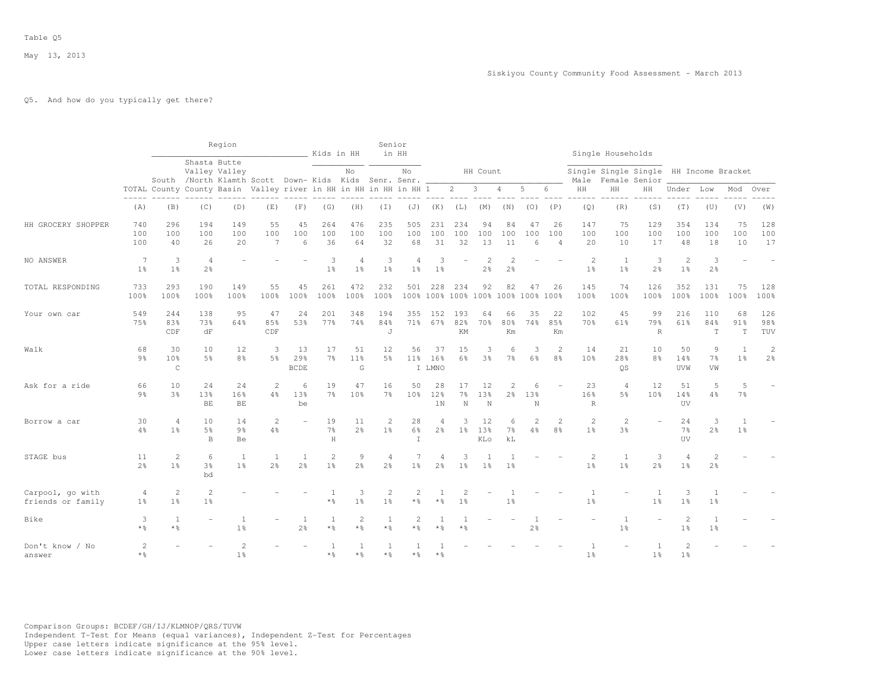# Q5. And how do you typically get there?

|                                       |                         |                                      |                                      | Region                                                                                                                    |                                  |                          | Kids in HH                       |                                  | Senior                           | in HH                            |                     |                                           |                                 |                                  |                |                             |                                            | Single Households                |                                        |                                    |                                  |                                |                                  |
|---------------------------------------|-------------------------|--------------------------------------|--------------------------------------|---------------------------------------------------------------------------------------------------------------------------|----------------------------------|--------------------------|----------------------------------|----------------------------------|----------------------------------|----------------------------------|---------------------|-------------------------------------------|---------------------------------|----------------------------------|----------------|-----------------------------|--------------------------------------------|----------------------------------|----------------------------------------|------------------------------------|----------------------------------|--------------------------------|----------------------------------|
|                                       |                         |                                      |                                      | Shasta Butte<br>Valley Valley                                                                                             |                                  |                          |                                  | No                               |                                  | No                               |                     |                                           | HH Count                        |                                  |                |                             |                                            |                                  | Single Single Single HH Income Bracket |                                    |                                  |                                |                                  |
|                                       |                         |                                      |                                      | South /North Klamth Scott Down- Kids Kids Senr. Senr.<br>TOTAL County County Basin Valley river in HH in HH in HH in HH 1 |                                  |                          |                                  |                                  |                                  |                                  |                     | $\overline{2}$                            | 3                               | $\overline{4}$                   | 5              | 6                           | Male<br>HH                                 | HH                               | Female Senior<br>HH                    | Under Low                          |                                  | Mod                            | Over                             |
|                                       | (A)                     | (B)                                  | (C)                                  | (D)                                                                                                                       | (E)                              | (F)                      | (G)                              | (H)                              | (I)                              | (J)                              | (K)                 | (L)                                       | (M)                             | (N)                              | (0)            | (P)                         | (Q)                                        | (R)                              | (S)                                    | (T)                                | (U)                              | (V)                            | (W)                              |
| HH GROCERY SHOPPER                    | 740<br>100<br>100       | 296<br>100<br>40                     | 194<br>100<br>26                     | 149<br>100<br>20                                                                                                          | 55<br>100<br>$\overline{7}$      | 45<br>100<br>6           | 264<br>100<br>36                 | 476<br>100<br>64                 | 235<br>100<br>32                 | 505<br>100<br>68                 | 231<br>100<br>31    | 234<br>100<br>32                          | 94<br>100<br>13                 | 84<br>100<br>11                  | 47<br>100<br>6 | 26<br>100<br>$\overline{4}$ | 147<br>100<br>20                           | 75<br>100<br>10                  | 129<br>100<br>17                       | 354<br>100<br>48                   | 134<br>100<br>18                 | 75<br>100<br>10                | 128<br>100<br>17                 |
| NO ANSWER                             | 7<br>1 <sup>°</sup>     | 3<br>1 <sup>°</sup>                  | $\overline{4}$<br>2 <sup>o</sup>     |                                                                                                                           |                                  |                          | 3<br>1 <sup>°</sup>              | $\overline{4}$<br>1 <sup>°</sup> | 3<br>1 <sup>°</sup>              | $\overline{4}$<br>1 <sup>°</sup> | 3<br>1 <sup>°</sup> |                                           | $\mathcal{L}$<br>2 <sup>°</sup> | $\overline{c}$<br>$2\frac{6}{6}$ |                |                             | 2<br>1 <sup>°</sup>                        | 1<br>1 <sup>°</sup>              | 3<br>$2\frac{6}{6}$                    | 2<br>1 <sup>°</sup>                | 3<br>$2\frac{6}{6}$              |                                |                                  |
| TOTAL RESPONDING                      | 733<br>100%             | 293<br>100%                          | 190<br>100%                          | 149<br>100%                                                                                                               | 55<br>100%                       | 45<br>100%               | 261<br>100%                      | 472<br>100%                      | 232<br>100%                      | 501                              | 228                 | 234<br>100% 100% 100% 100% 100% 100% 100% | 92                              | 82                               | 47             | 26                          | 145<br>100%                                | 74<br>100%                       | 126<br>100%                            | 352<br>100%                        | 131<br>100%                      | 75<br>100%                     | 128<br>100%                      |
| Your own car                          | 549<br>75%              | 244<br>83%<br>CDF                    | 138<br>73%<br>dF                     | 95<br>64%                                                                                                                 | 47<br>85%<br>CDF                 | 24<br>53%                | 201<br>77%                       | 348<br>74%                       | 194<br>84%<br>J                  | 355<br>71%                       | 152<br>67%          | 193<br>82%<br>KM                          | 64<br>70%                       | 66<br>80%<br>Km                  | 35<br>74%      | 22<br>85%<br>Km             | 102<br>70%                                 | 45<br>61%                        | 99<br>79%<br>$\mathbb R$               | 216<br>61%                         | 110<br>84%<br>$\mathbf T$        | 68<br>91%<br>$\mathbf T$       | 126<br>98%<br>TUV                |
| Walk                                  | 68<br>9 <sub>8</sub>    | 30<br>10 <sup>8</sup><br>$\mathsf C$ | 10<br>5 <sup>°</sup>                 | 12<br>8 <sup>°</sup>                                                                                                      | 3<br>5 <sup>°</sup>              | 13<br>29%<br><b>BCDE</b> | 17<br>$7\frac{6}{9}$             | 51<br>11 <sup>°</sup><br>G       | 12<br>5%                         | 56<br>$11\%$                     | 37<br>16%<br>I LMNO | 15<br>6%                                  | 3<br>3 <sup>8</sup>             | 6<br>7 <sup>°</sup>              | 3<br>6%        | 2<br>8%                     | 14<br>10 <sup>°</sup>                      | 21<br>28%<br><b>OS</b>           | 10<br>8 <sup>°</sup>                   | 50<br>14%<br>UVW                   | 9<br>7%<br>VW                    | $\mathbf{1}$<br>1 <sup>°</sup> | $\overline{c}$<br>2 <sup>°</sup> |
| Ask for a ride                        | 66<br>$9\frac{6}{6}$    | 10<br>3 <sup>°</sup>                 | 24<br>13%<br>BE                      | 24<br>16%<br>BE.                                                                                                          | $\overline{2}$<br>4%             | 6<br>13%<br>be           | 19<br>7 <sup>°</sup>             | 47<br>10%                        | 16<br>$7\%$                      | 50<br>10 <sup>o</sup>            | 28<br>12%<br>1N     | 17<br>$7\%$<br>$\mathbb N$                | 12<br>13%<br>N                  | $\overline{c}$<br>$2\frac{6}{6}$ | 6<br>13%<br>N  |                             | 23<br>16%<br>$\mathbb{R}$                  | $\overline{4}$<br>5%             | 12<br>10 <sup>°</sup>                  | 51<br>14%<br><b>UV</b>             | 5<br>4%                          | 5<br>7 <sup>°</sup>            |                                  |
| Borrow a car                          | 30<br>4%                | $\overline{4}$<br>1 <sup>°</sup>     | 10<br>5 <sup>°</sup><br>$\mathbf{B}$ | 14<br>9 <sub>8</sub><br>Be                                                                                                | $\overline{c}$<br>$4\frac{6}{6}$ |                          | 19<br>$7\frac{6}{9}$<br>H        | 11<br>2 <sup>o</sup>             | 2<br>1 <sup>°</sup>              | 28<br>6%<br>$\top$               | 4<br>$2\frac{6}{9}$ | 1 <sup>°</sup>                            | 12<br>13%<br>KLo                | 6<br>$7\%$<br>kL                 | 4%             | $\mathfrak{D}$<br>8%        | $\overline{\mathcal{L}}$<br>1 <sup>°</sup> | $\overline{2}$<br>3 <sup>o</sup> |                                        | 24<br>7 <sup>°</sup><br><b>TIV</b> | 3<br>2 <sup>°</sup>              | 1 <sup>°</sup>                 |                                  |
| STAGE bus                             | 11<br>2 <sup>°</sup>    | $\overline{2}$<br>1 <sup>°</sup>     | 6<br>3 <sup>°</sup><br>bd            | 1<br>1 <sup>°</sup>                                                                                                       | 1<br>$2\frac{6}{6}$              | 2 <sup>°</sup>           | $\overline{2}$<br>$1\frac{6}{9}$ | 9<br>2 <sup>o</sup>              | $\overline{4}$<br>2 <sup>°</sup> | 1 <sup>°</sup>                   | 2 <sup>°</sup>      | 1 <sup>°</sup>                            | 1 <sup>°</sup>                  | 1 <sup>°</sup>                   |                |                             | $\overline{2}$<br>1 <sup>°</sup>           | -1<br>1 <sup>°</sup>             | 3<br>2 <sup>o</sup>                    | $\overline{A}$<br>1 <sup>°</sup>   | $\overline{2}$<br>2 <sup>°</sup> |                                |                                  |
| Carpool, go with<br>friends or family | 4<br>1 <sup>°</sup>     | 2<br>1 <sup>°</sup>                  | $\overline{c}$<br>1 <sup>°</sup>     |                                                                                                                           |                                  |                          | $*$ $\frac{6}{5}$                | 3<br>1 <sup>°</sup>              | $\overline{c}$<br>1 <sup>°</sup> | $\overline{2}$<br>$*$ %          | $*$ $\frac{6}{5}$   | $1\frac{6}{6}$                            |                                 | 1 <sup>°</sup>                   |                |                             | $\overline{1}$<br>1 <sup>°</sup>           |                                  | 1<br>1 <sup>°</sup>                    | 3<br>1 <sup>°</sup>                | $\overline{1}$<br>1 <sup>°</sup> |                                |                                  |
| Bike                                  | 3<br>$*$ %              | $\mathbf{1}$<br>$*$ %                |                                      | 1 <sup>°</sup>                                                                                                            |                                  | 1<br>2 <sup>°</sup>      | 1<br>$*$ &                       | $\overline{c}$<br>$\star$ %      | $\mathbf{1}$<br>* %              | $\overline{c}$<br>* ÷            | * %                 |                                           |                                 |                                  | 2 <sup>o</sup> |                             |                                            | $\mathbf{1}$<br>1 <sup>°</sup>   |                                        | $\overline{c}$<br>1 <sup>°</sup>   | $\overline{1}$<br>1 <sup>°</sup> |                                |                                  |
| Don't know / No<br>answer             | $\overline{c}$<br>$*$ % |                                      |                                      | 2<br>1 <sup>°</sup>                                                                                                       |                                  |                          | $*$ $\frac{6}{5}$                | $\overline{1}$<br>$*$ %          | * %                              | * %                              | $*$ %               |                                           |                                 |                                  |                |                             | 1 <sup>°</sup>                             |                                  | 1 <sup>°</sup>                         | $\overline{c}$<br>1 <sup>°</sup>   |                                  |                                |                                  |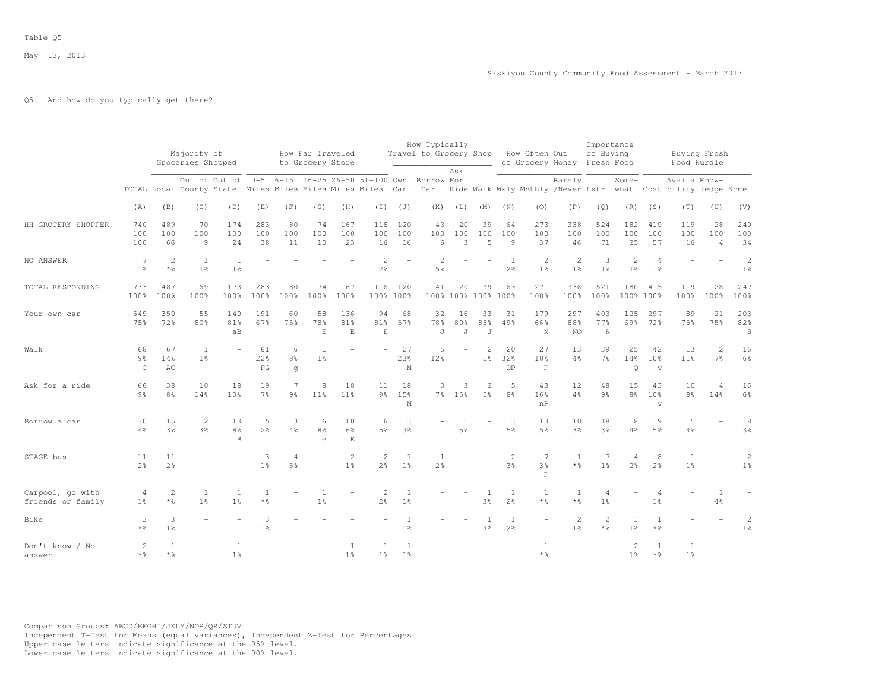# Q5. And how do you typically get there?

|                                       |                                      |                         | Majority of<br>Groceries Shopped |                                                                             |                      |                                  | How Far Traveled<br>to Grocery Store |                                  |                                  |                                  | How Typically<br>Travel to Grocery Shop           |                |                                  |                                | How Often Out<br>of Grocery Money Fresh Food |                                  | Importance<br>of Buying     |                                  |                                       |                                        | Buying Fresh<br>Food Hurdle      |                                  |
|---------------------------------------|--------------------------------------|-------------------------|----------------------------------|-----------------------------------------------------------------------------|----------------------|----------------------------------|--------------------------------------|----------------------------------|----------------------------------|----------------------------------|---------------------------------------------------|----------------|----------------------------------|--------------------------------|----------------------------------------------|----------------------------------|-----------------------------|----------------------------------|---------------------------------------|----------------------------------------|----------------------------------|----------------------------------|
|                                       |                                      |                         |                                  | Out of Out of<br>TOTAL Local County State Miles Miles Miles Miles Miles Car |                      |                                  |                                      |                                  |                                  |                                  | 0-5 6-15 16-25 26-50 51-100 Own Borrow For<br>Car | Ask            |                                  |                                | Ride Walk Wkly Mnthly /Never Extr what       | Rarely                           |                             | Some-                            |                                       | Availa Know-<br>Cost bility ledge None |                                  |                                  |
|                                       | (A)                                  | (B)                     | (C)                              | (D)                                                                         | (E)                  | (F)                              | (G)                                  | (H)                              | (T)                              | (J)                              | (K)                                               | (L)            | (M)                              | (N)                            | (0)                                          | (P)                              | (Q)                         | (R)                              | (S)                                   | (T)                                    | (U)                              | (V)                              |
| HH GROCERY SHOPPER                    | 740<br>100<br>100                    | 489<br>100<br>66        | 70<br>100<br>9                   | 174<br>100<br>24                                                            | 283<br>100<br>38     | 80<br>100<br>11                  | 74<br>100<br>10                      | 167<br>100<br>23                 | 118<br>100<br>16                 | 120<br>100<br>16                 | 43<br>100<br>$6 \overline{6}$                     | 20<br>100<br>3 | 39<br>100<br>$\overline{5}$      | 64<br>100<br>$\circ$           | 273<br>100<br>37                             | 338<br>100<br>46                 | 524<br>100<br>71            | 182<br>100<br>25                 | 419<br>100<br>57                      | 119<br>100<br>16                       | 28<br>100<br>$\overline{4}$      | 249<br>100<br>34                 |
| NO ANSWER                             | $7\phantom{.0}$<br>1 <sup>°</sup>    | $\mathbf{2}$<br>$*$ %   | <sup>1</sup><br>1 <sup>°</sup>   | 1 <sup>°</sup>                                                              |                      |                                  |                                      |                                  | $\overline{2}$<br>$2\frac{6}{6}$ |                                  | $\overline{2}$<br>5%                              |                |                                  | 1<br>$2\frac{6}{6}$            | 2<br>1 <sup>°</sup>                          | 2<br>1 <sup>°</sup>              | 3<br>1 <sup>°</sup>         | $\mathbf{2}$<br>1 <sup>°</sup>   | 4<br>1 <sup>°</sup>                   |                                        |                                  | $\overline{c}$<br>1 <sup>°</sup> |
| TOTAL RESPONDING                      | 733<br>100%                          | 487<br>100%             | 69<br>100%                       | 173<br>100%                                                                 | 283<br>100%          | 80<br>100%                       | 74<br>100%                           | 167<br>100%                      | 116                              | 120<br>100% 100%                 | 41                                                | 20             | 39<br>100% 100% 100% 100%        | 63                             | 271<br>100%                                  | 336<br>100%                      | 521<br>100%                 | 180                              | 415<br>100% 100%                      | 119<br>100%                            | 28<br>100%                       | 247<br>100%                      |
| Your own car                          | 549<br>75%                           | 350<br>72%              | 55<br>80%                        | 140<br>81%<br>aB                                                            | 191<br>67%           | 60<br>75%                        | 58<br>78%<br>$\mathbf E$             | 136<br>81%<br>$\mathbf E$        | 94<br>81%<br>$\mathbf E$         | 68<br>57%                        | 32<br>78%<br>J                                    | 16<br>80%<br>J | 33<br>85%<br>J                   | 31<br>49%                      | 179<br>66%<br>N                              | 297<br>88%<br><b>NO</b>          | 403<br>77%<br>$\mathbb R$   | 125<br>69%                       | 297<br>72%                            | 89<br>75%                              | 21<br>75%                        | 203<br>82%<br>S                  |
| Walk                                  | 68<br>9 <sub>8</sub><br>$\mathsf{C}$ | 67<br>14%<br>AC         | <sup>1</sup><br>1 <sup>°</sup>   |                                                                             | 61<br>22%<br>FG      | 6<br>8%<br>g                     | $\overline{1}$<br>1 <sup>°</sup>     |                                  |                                  | 27<br>23%<br>M                   | 5<br>12%                                          |                | $\overline{2}$<br>5 <sup>°</sup> | 20<br>32%<br>OP                | 27<br>10%<br>$\mathsf{P}$                    | 13<br>4%                         | 39<br>7 <sup>°</sup>        | 25<br>14%<br>$\circ$             | 42<br>10%<br>$\mathbf{v}$             | 13<br>11 <sup>°</sup>                  | $\overline{2}$<br>7 <sup>°</sup> | 16<br>$6\%$                      |
| Ask for a ride                        | 66<br>$9\frac{6}{9}$                 | 38<br>8%                | 10<br>14%                        | 18<br>10%                                                                   | 19<br>$7\frac{6}{6}$ | $\overline{7}$<br>9 <sub>8</sub> | 8<br>11%                             | 18<br>11 <sup>8</sup>            | 11<br>$9\frac{6}{6}$             | 18<br>15%<br>M                   | 3                                                 | 3<br>7% 15%    | $\overline{2}$<br>5%             | 5<br>8%                        | 43<br>16%<br>nP                              | 12<br>4%                         | 48<br>9 <sub>8</sub>        | 15<br>8 <sup>°</sup>             | 43<br>10 <sup>8</sup><br>$\mathbf{V}$ | 10<br>8 <sup>°</sup>                   | $\overline{4}$<br>14%            | 16<br>$6\%$                      |
| Borrow a car                          | 30<br>$4\frac{6}{6}$                 | 15<br>3 <sup>°</sup>    | 2<br>3 <sup>°</sup>              | 13<br>8 <sup>°</sup><br>$\mathbf B$                                         | 5<br>$2\frac{6}{6}$  | 3<br>4%                          | 6<br>$8\frac{6}{6}$<br>e             | 10<br>$6\%$<br>$\mathbf E$       | 6<br>5 <sup>°</sup>              | 3<br>$3\frac{6}{9}$              |                                                   | $5\%$          |                                  | 3<br>$5\frac{6}{6}$            | 13<br>5 <sup>°</sup>                         | 10<br>3%                         | 18<br>3 <sup>o</sup>        | 8<br>$4\frac{6}{9}$              | 19<br>5 <sup>°</sup>                  | 5<br>$4\frac{6}{6}$                    |                                  | 8<br>$3\frac{6}{6}$              |
| STAGE bus                             | 11<br>$2\frac{6}{9}$                 | 11<br>2 <sup>°</sup>    |                                  |                                                                             | 3<br>1 <sup>9</sup>  | $\overline{4}$<br>5 <sup>°</sup> |                                      | $\overline{2}$<br>$1\frac{6}{9}$ | $\mathfrak{D}$<br>2 <sup>°</sup> | $\overline{1}$<br>1 <sup>°</sup> | 2 <sup>°</sup>                                    |                |                                  | 2<br>3 <sup>°</sup>            | 7<br>3 <sup>°</sup><br>$\mathbf P$           | 1<br>$*$ %                       | 7<br>1 <sup>°</sup>         | $\overline{4}$<br>2 <sup>°</sup> | 8<br>2 <sup>°</sup>                   | $\mathbf{1}$<br>1 <sup>8</sup>         |                                  | $\overline{2}$<br>1 <sup>°</sup> |
| Carpool, go with<br>friends or family | 4<br>1 <sup>°</sup>                  | $\overline{c}$<br>$*$ % | -1<br>1 <sup>°</sup>             | 1<br>1 <sup>°</sup>                                                         | 1<br>$*$ %           |                                  | -1<br>$1\frac{6}{6}$                 |                                  | $\overline{2}$<br>2 <sup>°</sup> | 1<br>1 <sup>°</sup>              |                                                   |                | -1<br>3 <sup>°</sup>             | 1<br>2 <sup>o</sup>            | 1<br>$*$ $\frac{6}{5}$                       | -1<br>$*$ %                      | 4<br>1 <sup>°</sup>         |                                  | 4<br>1 <sup>°</sup>                   |                                        | 1<br>$4\frac{6}{6}$              |                                  |
| Bike                                  | 3<br>$*$ %                           | 3<br>1 <sup>°</sup>     |                                  |                                                                             | 3<br>$1\frac{6}{6}$  |                                  |                                      |                                  |                                  | $1\%$                            |                                                   |                | 3%                               | $\mathbf{1}$<br>$2\frac{6}{6}$ |                                              | $\overline{c}$<br>$1\frac{6}{6}$ | $\overline{2}$<br>$\star$ % | $\mathbf{1}$<br>$1\frac{6}{9}$   | $\overline{1}$<br>$*$ $\frac{6}{6}$   |                                        |                                  | $\overline{2}$<br>1 <sup>°</sup> |
| Don't know / No<br>answer             | 2<br>$*$ %                           | $\overline{1}$<br>$*$ % |                                  | 1 <sup>°</sup>                                                              |                      |                                  |                                      | 1 <sup>°</sup>                   | 1 <sup>°</sup>                   | $\overline{1}$<br>1 <sup>°</sup> |                                                   |                |                                  |                                | $*$ %                                        |                                  |                             | 2<br>1 <sup>8</sup>              | $\mathbf{1}$<br>$*$ %                 | $\mathbf{1}$<br>1 <sup>8</sup>         |                                  |                                  |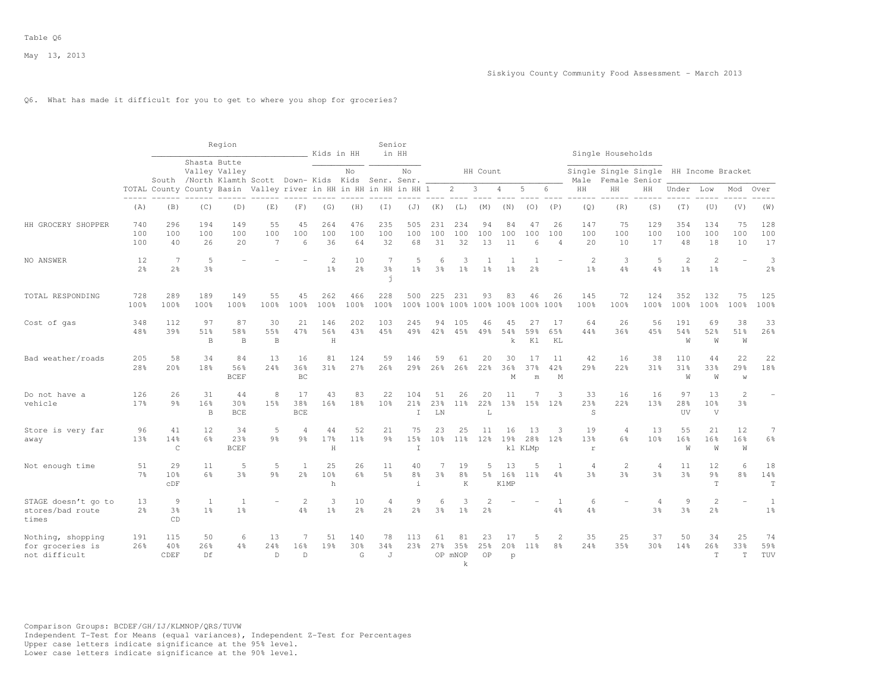# Q6. What has made it difficult for you to get to where you shop for groceries?

|                                                        |                      |                           |                           | Region                                                                 |                             |                         | Kids in HH                       |                       | Senior               | in HH               |                       |                                       |                 |                          |                      |                             |                                  | Single Households    |                                       |                                  |                                     |                                  |                          |
|--------------------------------------------------------|----------------------|---------------------------|---------------------------|------------------------------------------------------------------------|-----------------------------|-------------------------|----------------------------------|-----------------------|----------------------|---------------------|-----------------------|---------------------------------------|-----------------|--------------------------|----------------------|-----------------------------|----------------------------------|----------------------|---------------------------------------|----------------------------------|-------------------------------------|----------------------------------|--------------------------|
|                                                        |                      |                           | Shasta Butte              | Valley Valley<br>South /North Klamth Scott Down- Kids Kids Senr. Senr. |                             |                         |                                  | No                    |                      | No                  |                       |                                       | HH Count        |                          |                      |                             | Male                             |                      | Single Single Single<br>Female Senior |                                  | HH Income Bracket                   |                                  |                          |
|                                                        | $- - - - -$          |                           |                           | TOTAL County County Basin Valley river in HH in HH in HH in HH 1       |                             |                         |                                  |                       |                      |                     |                       | $\overline{c}$                        | 3               | 4                        | 5                    | 6                           | ΗH                               | HH                   | HН                                    | Under                            | Low                                 | Mod                              | Over                     |
|                                                        | (A)                  | (B)                       | (C)                       | (D)                                                                    | (E)                         | (F)                     | (G)                              | (H)                   | (I)                  | (J)                 | (K)                   | (L)                                   | (M)             | (N)                      | (0)                  | (P)                         | (Q)                              | (R)                  | (S)                                   | (T)                              | (U)                                 | (V)                              | (W)                      |
| HH GROCERY SHOPPER                                     | 740<br>100<br>100    | 296<br>100<br>40          | 194<br>100<br>26          | 149<br>100<br>20                                                       | 55<br>100<br>$\overline{7}$ | 45<br>100<br>6          | 264<br>100<br>36                 | 476<br>100<br>64      | 235<br>100<br>32     | 505<br>100<br>68    | 231<br>100<br>31      | 234<br>100<br>32                      | 94<br>100<br>13 | 84<br>100<br>11          | 47<br>100<br>6       | 26<br>100<br>$\overline{4}$ | 147<br>100<br>20                 | 75<br>100<br>10      | 129<br>100<br>17                      | 354<br>100<br>48                 | 134<br>100<br>18                    | 75<br>100<br>10                  | 128<br>100<br>17         |
| NO ANSWER                                              | 12<br>2 <sup>°</sup> | 7<br>2 <sup>°</sup>       | 5<br>3 <sup>°</sup>       |                                                                        |                             |                         | $\overline{2}$<br>1 <sup>°</sup> | 10<br>2 <sup>o</sup>  | 7<br>3%<br>j         | 5<br>1 <sup>°</sup> | 6<br>3%               | 3<br>1 <sup>°</sup>                   | 1 <sup>°</sup>  | 1 <sup>°</sup>           | 2 <sup>°</sup>       |                             | $\overline{2}$<br>1 <sup>°</sup> | 3<br>4%              | 5<br>4%                               | $\overline{c}$<br>1 <sup>°</sup> | $\overline{c}$<br>1 <sup>°</sup>    |                                  | 3<br>2 <sup>°</sup>      |
| TOTAL RESPONDING                                       | 728<br>100%          | 289<br>100%               | 189<br>100%               | 149<br>100%                                                            | 55<br>100%                  | 45<br>100%              | 262<br>100%                      | 466<br>100%           | 228<br>100%          | 500                 | 225                   | 231<br>100% 100% 100% 100% 100%       | 93              | 83                       | 46<br>$100\%$        | 26<br>100%                  | 145<br>100%                      | 72<br>100%           | 124<br>100%                           | 352<br>100%                      | 132<br>100%                         | 75<br>100%                       | 125<br>100%              |
| Cost of gas                                            | 348<br>48%           | 112<br>39%                | 97<br>51%<br>$\mathbf{B}$ | 87<br>58%<br>B                                                         | 30<br>55%<br>$\,$ B         | 21<br>47%               | 146<br>56%<br>$\rm H$            | 202<br>43%            | 103<br>45%           | 245<br>49%          | 94<br>42%             | 105<br>45%                            | 46<br>49%       | 45<br>54%<br>k           | 27<br>59%<br>K1      | 17<br>65%<br>KL             | 64<br>44%                        | 26<br>36%            | 56<br>45%                             | 191<br>54%<br>W                  | 69<br>52%<br>W                      | 38<br>51%<br>W                   | 33<br>26%                |
| Bad weather/roads                                      | 205<br>28%           | 58<br>20%                 | 34<br>18%                 | 84<br>56%<br><b>BCEF</b>                                               | 13<br>24%                   | 16<br>36%<br>BC         | 81<br>31%                        | 124<br>27%            | 59<br>26%            | 146<br>29%          | 59<br>26%             | 61<br>26%                             | 20<br>22%       | 30<br>36%<br>М           | 17<br>37%<br>m       | 11<br>42%<br>M              | 42<br>29%                        | 16<br>22%            | 38<br>31%                             | 110<br>31%<br>W                  | 44<br>33%<br>W                      | 22<br>29%<br>W                   | 22<br>18%                |
| Do not have a<br>vehicle                               | 126<br>17%           | 26<br>9%                  | 31<br>16%<br>B            | 44<br>30%<br><b>BCE</b>                                                | 8<br>15%                    | 17<br>38%<br><b>BCE</b> | 43<br>16%                        | 83<br>18%             | 22<br>10%            | 104<br>21%<br>I     | 51<br>23%<br>LN       | 26<br>11 <sup>8</sup>                 | 20<br>22%<br>L  | 11<br>13%                | 15%                  | 3<br>12%                    | 33<br>23%<br>S                   | 16<br>22%            | 16<br>13%                             | 97<br>28%<br>UV                  | 13<br>10%<br>V                      | $\overline{2}$<br>3 <sup>8</sup> |                          |
| Store is very far<br>away                              | 96<br>13%            | 41<br>14%<br>$\mathsf{C}$ | 12<br>6%                  | 34<br>23%<br><b>BCEF</b>                                               | 5<br>9 <sub>8</sub>         | 4<br>$9\frac{6}{9}$     | 44<br>17%<br>H                   | 52<br>11 <sup>°</sup> | 21<br>9 <sub>8</sub> | 75<br>15%<br>$\top$ | 23<br>10 <sup>8</sup> | 25<br>11 <sup>8</sup>                 | 11<br>12%       | 16<br>19%                | 13<br>28%<br>kl KLMp | 3<br>12%                    | 19<br>13%<br>$\mathbf r$         | $\overline{4}$<br>6% | 13<br>10 <sup>8</sup>                 | 55<br>16%<br>W                   | 21<br>16%<br>W                      | 12<br>16%<br>W                   | 7<br>$6\frac{6}{9}$      |
| Not enough time                                        | 51<br>7 <sup>°</sup> | 29<br>10%<br>CDF          | 11<br>6%                  | .5<br>3%                                                               | 5<br>9 <sub>8</sub>         | $\mathbf{1}$<br>2%      | 25<br>10%<br>h                   | 26<br>6%              | 11<br>5%             | 40<br>8%<br>$\pm$   | 7<br>3%               | 19<br>8 <sup>°</sup><br>$\mathbbm{K}$ | 5<br>5%         | 13<br>16%<br><b>KlMP</b> | 5<br>11%             | 4%                          | $\overline{4}$<br>3 <sup>8</sup> | $\overline{2}$<br>3% | $\overline{4}$<br>3 <sup>°</sup>      | 11<br>3 <sup>°</sup>             | 12<br>9 <sub>8</sub><br>$\mathbf T$ | 6<br>8 <sup>°</sup>              | 18<br>14%<br>$\mathbf T$ |
| STAGE doesn't go to<br>stores/bad route<br>times       | 13<br>2 <sup>°</sup> | 9<br>3%<br>CD             | 1<br>1 <sup>°</sup>       | -1<br>1 <sup>°</sup>                                                   |                             | $\overline{c}$<br>4%    | 3<br>1 <sup>°</sup>              | 10<br>$2\frac{6}{6}$  | 4<br>2%              | 9<br>2%             | 6<br>3%               | 3<br>1 <sup>°</sup>                   | 2 <sup>°</sup>  |                          |                      | -1<br>4%                    | 6<br>4%                          |                      | 4<br>3 <sup>°</sup>                   | 9<br>3 <sup>8</sup>              | $\mathbf{2}$<br>2%                  |                                  | 1<br>1%                  |
| Nothing, shopping<br>for groceries is<br>not difficult | 191<br>26%           | 115<br>40%<br>CDEF        | 50<br>26%<br>Df           | 6<br>4%                                                                | 13<br>24%<br>D              | 7<br>16%<br>D           | 51<br>19%                        | 140<br>30%<br>G       | 78<br>34%<br>J       | 113<br>23%          | 61<br>27%             | 81<br>35%<br>OP mNOP<br>k             | 23<br>25%<br>OP | 17<br>20%<br>p           | 5<br>11 <sup>8</sup> | 2<br>8%                     | 35<br>24%                        | 25<br>35%            | 37<br>30%                             | 50<br>14%                        | 34<br>26%<br>T                      | 25<br>33%<br>T                   | 74<br>59%<br>TUV         |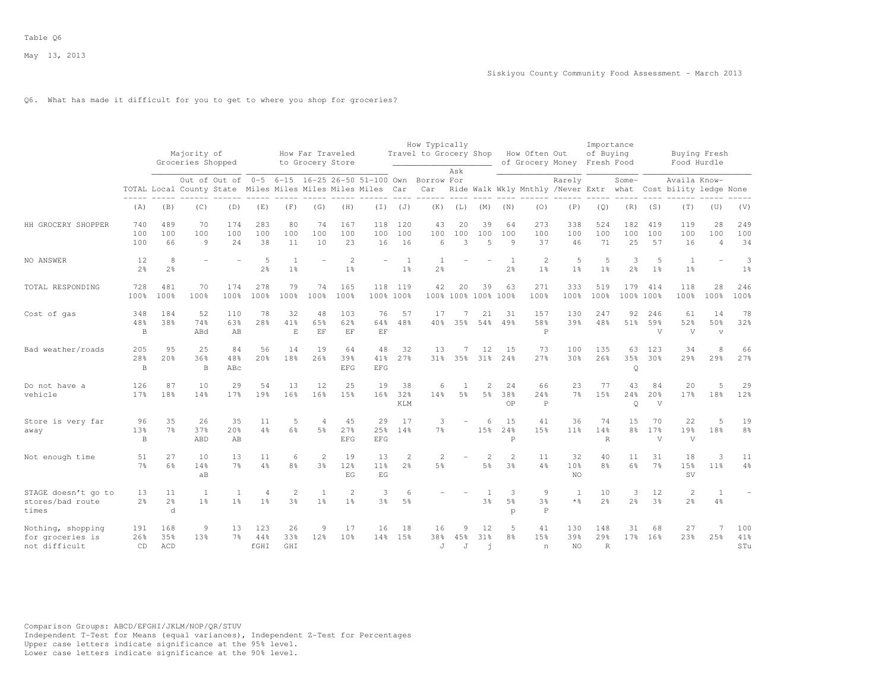## Q6. What has made it difficult for you to get to where you shop for groceries?

|                                                        |                           |                           | Majority of<br>Groceries Shopped                       |                                |                      |                                  | How Far Traveled<br>to Grocery Store |                                  |                                  |                                  | How Typically<br>Travel to Grocery Shop |                       |                      |                                  | How Often Out<br>of Grocery Money  |                              | Importance<br>of Buying<br>Fresh Food |                       |                       | Buying Fresh<br>Food Hurdle            |                                      |                      |
|--------------------------------------------------------|---------------------------|---------------------------|--------------------------------------------------------|--------------------------------|----------------------|----------------------------------|--------------------------------------|----------------------------------|----------------------------------|----------------------------------|-----------------------------------------|-----------------------|----------------------|----------------------------------|------------------------------------|------------------------------|---------------------------------------|-----------------------|-----------------------|----------------------------------------|--------------------------------------|----------------------|
|                                                        |                           |                           | TOTAL Local County State Miles Miles Miles Miles Miles | Out of Out of                  | $0 - 5$              |                                  |                                      |                                  | 6-15 16-25 26-50 51-100 Own      | Car                              | Borrow For<br>Car                       | Ask                   |                      |                                  | Ride Walk Wkly Mnthly /Never Extr  | Rarely                       |                                       | Some-<br>what         |                       | Availa Know-<br>Cost bility ledge None |                                      |                      |
|                                                        | (A)                       | (B)                       | (C)                                                    | (D)                            | (E)                  | (F)                              | (G)                                  | (H)                              | (I)                              | (J)                              | (K)                                     | (L)                   | (M)                  | (N)                              | (0)                                | (P)                          | (Q)                                   | (R)                   | (S)                   | (T)                                    | (U)                                  | (V)                  |
| HH GROCERY SHOPPER                                     | 740<br>100<br>100         | 489<br>100<br>66          | 70<br>100<br>9                                         | 174<br>100<br>24               | 283<br>100<br>38     | 80<br>100<br>11                  | 74<br>100<br>10                      | 167<br>100<br>23                 | 118<br>100<br>16                 | 120<br>100<br>16                 | 43<br>100<br>6                          | 20<br>100<br>3        | 39<br>100<br>5       | 64<br>100<br>9                   | 273<br>100<br>37                   | 338<br>100<br>46             | 524<br>100<br>71                      | 182<br>100<br>25      | 419<br>100<br>57      | 119<br>100<br>16                       | 28<br>100<br>$\overline{4}$          | 249<br>100<br>34     |
| NO ANSWER                                              | 12<br>$2\frac{6}{9}$      | 8<br>2 <sup>°</sup>       |                                                        |                                | 5<br>2 <sup>o</sup>  | 1 <sup>°</sup>                   |                                      | $\overline{c}$<br>1 <sup>°</sup> |                                  | $\mathbf{1}$<br>1 <sup>°</sup>   | 2 <sup>°</sup>                          |                       |                      | $\overline{1}$<br>$2\frac{6}{6}$ | $\overline{c}$<br>1 <sup>°</sup>   | 5<br>1 <sup>°</sup>          | -5<br>1 <sup>°</sup>                  | 3<br>$2\frac{6}{9}$   | 5<br>1 <sup>°</sup>   | $\mathbf{1}$<br>1 <sup>°</sup>         |                                      | 3<br>1 <sup>°</sup>  |
| TOTAL RESPONDING                                       | 728<br>100%               | 481<br>100%               | 70<br>100%                                             | 174<br>100%                    | 278<br>100%          | 79<br>100%                       | 74<br>100%                           | 165<br>100%                      | 118                              | 119<br>100% 100%                 | 42                                      | 20                    | 39<br>100% 100% 100% | 63<br>100%                       | 271<br>100%                        | 333<br>100%                  | 519<br>100%                           | 179<br>100%           | 414<br>100%           | 118<br>100%                            | 28<br>100%                           | 246<br>100%          |
| Cost of gas                                            | 348<br>48%<br>B           | 184<br>38%                | 52<br>74%<br>ABd                                       | 110<br>63%<br>AB               | 78<br>28%            | 32<br>41%<br>$_{\rm E}$          | 48<br>65%<br>EF                      | 103<br>62%<br>EF                 | 76<br>64%<br>$\operatorname{EF}$ | 57<br>48%                        | 17<br>40%                               | 35%                   | 21<br>54%            | 31<br>49%                        | 157<br>58%<br>$\mathbb P$          | 130<br>39%                   | 247<br>48%                            | 92<br>51%             | 246<br>59%<br>V       | 61<br>52%<br>V                         | 14<br>50%<br>$\overline{\mathbf{V}}$ | 78<br>32%            |
| Bad weather/roads                                      | 205<br>28%<br>B           | 9.5<br>20%                | 25<br>36%<br>B                                         | 84<br>48%<br>ABc               | 56<br>20%            | 14<br>18%                        | 19<br>26%                            | 64<br>39%<br><b>EFG</b>          | 48<br>41%<br><b>EFG</b>          | 32<br>27%                        | 13<br>$31\%$                            | 35%                   | 12<br>31%            | 15<br>24%                        | 73<br>27%                          | 100<br>30%                   | 135<br>26%                            | 63<br>35%<br>Q        | 123<br>30%            | 34<br>29%                              | 8<br>29%                             | 66<br>27%            |
| Do not have a<br>vehicle                               | 126<br>17 <sub>8</sub>    | 87<br>18%                 | 10<br>14%                                              | 29<br>17%                      | 54<br>19%            | 13<br>16%                        | 12<br>16%                            | 25<br>15%                        | 19<br>16%                        | 38<br>32%<br>KLM                 | 6<br>14%                                | 1<br>5 <sup>°</sup>   | $\overline{c}$<br>5% | 24<br>38%<br>OP                  | 66<br>24%<br>$\mathbb P$           | 23<br>7 <sup>°</sup>         | 77<br>1.5%                            | 43<br>24%<br>Q        | 84<br>20%<br>V        | 20<br>17%                              | 5<br>18%                             | 29<br>12%            |
| Store is very far<br>away                              | 96<br>13%<br>$\, {\bf B}$ | 35<br>7%                  | 26<br>37%<br>ABD                                       | 35<br>20%<br>AB                | 11<br>4%             | 5<br>6%                          | $\overline{4}$<br>5 <sup>8</sup>     | 45<br>27%<br><b>EFG</b>          | 29<br>25%<br>EFG                 | 17<br>14%                        | 3<br>7 <sup>°</sup>                     |                       | 6<br>15%             | 1.5<br>24%<br>P                  | 41<br>15%                          | 36<br>11%                    | 74<br>14%<br>$\mathbb R$              | 15<br>8 <sup>8</sup>  | 70<br>17%<br>V        | 22<br>19%<br>$\mathbf{V}$              | 5<br>18%                             | 19<br>8 <sup>°</sup> |
| Not enough time                                        | 51<br>7 <sup>°</sup>      | 27<br>6%                  | 10<br>14%<br>aB                                        | 13<br>7 <sup>°</sup>           | 11<br>$4\frac{6}{6}$ | 6<br>8%                          | $\overline{c}$<br>3%                 | 19<br>12%<br>F.G                 | 13<br>11 <sup>8</sup><br>F.G     | $\overline{c}$<br>$2\frac{6}{6}$ | $\overline{2}$<br>5%                    |                       | 2<br>5%              | $\mathbf{2}$<br>3%               | 11<br>4%                           | 32<br>10%<br>NO <sub>1</sub> | 40<br>8%                              | 11<br>6%              | 31<br>7 <sup>°</sup>  | 18<br>15%<br>SV                        | 3<br>$11$ %                          | 11<br>$4\frac{6}{6}$ |
| STAGE doesn't go to<br>stores/bad route<br>times       | 13<br>2 <sup>°</sup>      | 11<br>2 <sup>°</sup><br>d | 1<br>1 <sup>°</sup>                                    | $\mathbf{1}$<br>1 <sup>°</sup> | 4<br>$1\frac{6}{6}$  | $\mathfrak{D}$<br>3 <sup>8</sup> | 1<br>1 <sup>°</sup>                  | $\overline{2}$<br>1 <sup>°</sup> | 3<br>3%                          | 6<br>5 <sup>°</sup>              |                                         |                       | 3 <sup>°</sup>       | 3<br>5 <sup>8</sup><br>p         | 9<br>3 <sup>8</sup><br>$\mathbb P$ | 1<br>$\star$ %               | 10<br>2 <sup>°</sup>                  | 3<br>2 <sup>°</sup>   | 12<br>3 <sup>°</sup>  | $\overline{c}$<br>$2\frac{6}{6}$       | 1<br>4%                              |                      |
| Nothing, shopping<br>for groceries is<br>not difficult | 191<br>26%<br>CD          | 168<br>35%<br>ACD         | 9<br>13%                                               | 13<br>7 <sup>°</sup>           | 123<br>44%<br>fGHI   | 26<br>33%<br>GHI                 | 9<br>12%                             | 17<br>10%                        | 16<br>14%                        | 18<br>15%                        | 16<br>38%<br>J                          | 9<br>45%<br>$\cdot$ T | 12<br>31%<br>h       | 5<br>8 <sup>°</sup>              | 41<br>15%<br>n                     | 130<br>39%<br>NO.            | 148<br>29%<br>$\mathbb{R}$            | 31<br>17 <sub>8</sub> | 68<br>16 <sup>8</sup> | 27<br>23%                              | 7<br>25%                             | 100<br>41%<br>STu    |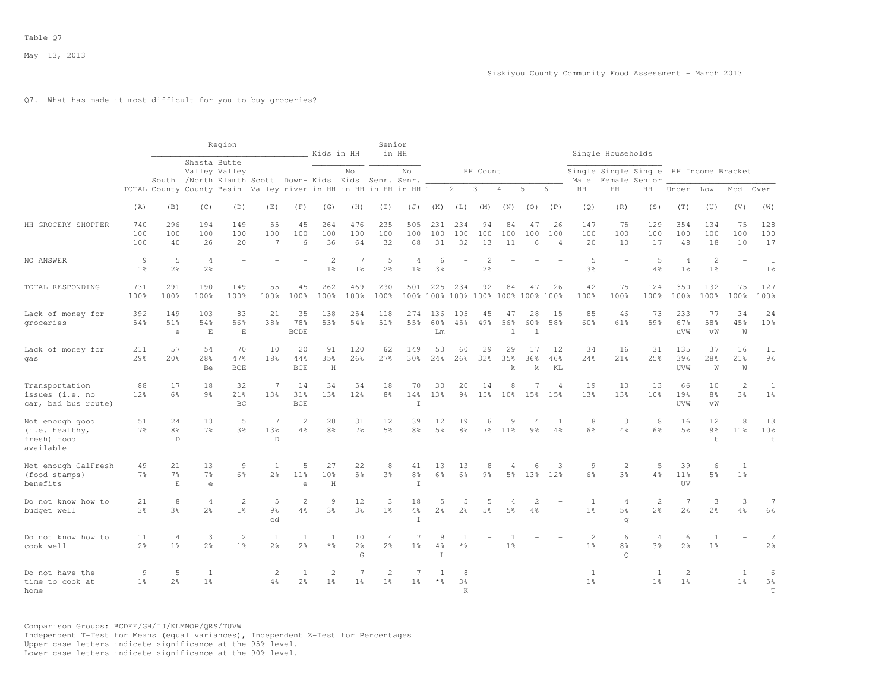### Q7. What has made it most difficult for you to buy groceries?

|                                                               |                                  |                                      |                                    | Region                  |                                                                  |                                  | Kids in HH                       |                                  | Senior                           | in HH                            |                        |                                           |                                  |                           |                             |                             |                                  | Single Households                     |                                       |                                    |                                     |                                  |                                    |
|---------------------------------------------------------------|----------------------------------|--------------------------------------|------------------------------------|-------------------------|------------------------------------------------------------------|----------------------------------|----------------------------------|----------------------------------|----------------------------------|----------------------------------|------------------------|-------------------------------------------|----------------------------------|---------------------------|-----------------------------|-----------------------------|----------------------------------|---------------------------------------|---------------------------------------|------------------------------------|-------------------------------------|----------------------------------|------------------------------------|
|                                                               |                                  |                                      | Shasta Butte                       | Valley Valley           | South /North Klamth Scott Down- Kids Kids Senr. Senr.            |                                  |                                  | No                               |                                  | No                               |                        |                                           | HH Count                         |                           |                             |                             | Male                             |                                       | Single Single Single<br>Female Senior |                                    | HH Income Bracket                   |                                  |                                    |
|                                                               | $- - - - -$                      |                                      |                                    |                         | TOTAL County County Basin Valley river in HH in HH in HH in HH 1 |                                  |                                  |                                  |                                  |                                  |                        | $\overline{2}$                            | 3                                | 4                         | 5                           | 6                           | ΗH                               | HH                                    | HН                                    | Under                              | Low                                 | Mod                              | Over                               |
|                                                               | (A)                              | (B)                                  | (C)                                | (D)                     | (E)                                                              | (F)                              | (G)                              | (H)                              | $(\top)$                         | (J)                              | (K)                    | (L)                                       | (M)                              | (N)                       | (0)                         | (P)                         | (Q)                              | (R)                                   | (S)                                   | (T)                                | (U)                                 | (V)                              | (W)                                |
| HH GROCERY SHOPPER                                            | 740<br>100<br>100                | 296<br>100<br>40                     | 194<br>100<br>26                   | 149<br>100<br>20        | 55<br>100<br>7                                                   | 45<br>100<br>6                   | 264<br>100<br>36                 | 476<br>100<br>64                 | 235<br>100<br>32                 | 505<br>100<br>68                 | 231<br>100<br>31       | 234<br>100<br>32                          | 94<br>100<br>13                  | 84<br>100<br>11           | 47<br>100<br>6              | 26<br>100<br>$\overline{4}$ | 147<br>100<br>20                 | 75<br>100<br>10                       | 129<br>100<br>17                      | 354<br>100<br>48                   | 134<br>100<br>18                    | 75<br>100<br>10                  | 128<br>100<br>17                   |
| NO ANSWER                                                     | $\overline{9}$<br>1 <sup>°</sup> | 5<br>2 <sup>°</sup>                  | $\overline{4}$<br>2 <sup>°</sup>   |                         |                                                                  |                                  | $\overline{c}$<br>1 <sup>°</sup> | 7<br>1 <sup>°</sup>              | 5<br>2 <sup>°</sup>              | $\overline{4}$<br>1 <sup>°</sup> | 6<br>3 <sup>°</sup>    |                                           | $\overline{c}$<br>2 <sup>°</sup> |                           |                             |                             | 5<br>3 <sup>°</sup>              |                                       | 5<br>4%                               | $\overline{4}$<br>1 <sup>°</sup>   | $\mathbf{2}$<br>1 <sup>°</sup>      | $\overline{\phantom{a}}$         | $\mathbf{1}$<br>1 <sup>°</sup>     |
| TOTAL RESPONDING                                              | 731<br>100%                      | 291<br>100%                          | 190<br>100%                        | 149<br>100%             | 55<br>100%                                                       | 45<br>100%                       | 262<br>100%                      | 469<br>100%                      | 230<br>100%                      | 501                              | 225                    | 234<br>100% 100% 100% 100% 100% 100% 100% | 92                               | 84                        | 47                          | 26                          | 142<br>100%                      | 75<br>100%                            | 124<br>100%                           | 350<br>100%                        | 132<br>100%                         | 75<br>100%                       | 127<br>100%                        |
| Lack of money for<br>groceries                                | 392<br>54%                       | 149<br>51%<br>$\epsilon$             | 103<br>54%<br>$\mathbf E$          | 83<br>56%<br>E          | 21<br>38%                                                        | 35<br>78%<br><b>BCDE</b>         | 138<br>53%                       | 254<br>54%                       | 118<br>51%                       | 274<br>55%                       | 136<br>60%<br>Lm       | 105<br>45%                                | 45<br>49%                        | 47<br>56%<br>$\mathbf{1}$ | 28<br>60%<br>$\overline{1}$ | 1.5<br>58%                  | 85<br>60%                        | 46<br>61%                             | 73<br>59%                             | 233<br>67%<br>uVW                  | 77<br>58%<br>vW                     | 34<br>45%<br>W                   | 24<br>19%                          |
| Lack of money for<br>gas                                      | 211<br>29 <sub>8</sub>           | 57<br>20 <sup>8</sup>                | 54<br>28 <sup>8</sup><br>Be        | 70<br>47%<br><b>BCE</b> | 10<br>18%                                                        | 20<br>44%<br><b>BCE</b>          | 91<br>35%<br>H                   | 120<br>26%                       | 62<br>2.7%                       | 149<br>30%                       | 53<br>24%              | 60<br>26%                                 | 29<br>32%                        | 29<br>3.5%<br>$\mathbf k$ | 17<br>36%<br>$\mathbf k$    | 12<br>46%<br>KL             | 34<br>2.4%                       | 16<br>21%                             | 31<br>25%                             | 135<br>39%<br>UVW                  | 37<br>28 <sup>8</sup><br>W          | 16<br>21 <sup>8</sup><br>W       | 11<br>9 <sub>8</sub>               |
| Transportation<br>issues (i.e. no<br>car, bad bus route)      | 88<br>12%                        | 17<br>6%                             | 18<br>9 <sub>8</sub>               | 32<br>21%<br>BC         | 7<br>13%                                                         | 14<br>31%<br><b>BCE</b>          | 34<br>13%                        | 54<br>12%                        | 18<br>8 <sup>°</sup>             | 70<br>14%<br>T                   | 30<br>13%              | 20<br>$9\frac{6}{6}$                      | 14<br>15%                        | 8<br>10 <sup>8</sup>      | 15%                         | $\overline{4}$<br>15%       | 19<br>13%                        | 10<br>13%                             | 13<br>10%                             | 66<br>19%<br>UVW                   | 10<br>8%<br>vW                      | $\overline{c}$<br>3 <sup>8</sup> | $\mathbf{1}$<br>$1\%$              |
| Not enough good<br>(i.e. healthy,<br>fresh) food<br>available | 51<br>7 <sup>°</sup>             | 24<br>8 <sup>°</sup><br>$\mathbb{D}$ | 13<br>7 <sup>°</sup>               | 5<br>3%                 | $\overline{7}$<br>13%<br>$\mathbb{D}$                            | $\mathcal{L}$<br>4%              | 20<br>8 <sup>°</sup>             | 31<br>7 <sup>°</sup>             | 12<br>5 <sup>°</sup>             | 39<br>8 <sup>°</sup>             | 12<br>5 <sup>°</sup>   | 19<br>8 <sup>°</sup>                      | 6<br>$7\%$                       | 9<br>$11\%$               | 9 <sub>8</sub>              | 4%                          | 8<br>6%                          | 3<br>4%                               | 8<br>6%                               | 16<br>$5\frac{6}{9}$               | 12<br>9 <sub>8</sub><br>$\mathbf t$ | 8<br>11 <sup>°</sup>             | 13<br>10%<br>$+$                   |
| Not enough CalFresh<br>(food stamps)<br>benefits              | 49<br>7 <sup>°</sup>             | 21<br>7 <sup>8</sup><br>E.           | 13<br>$7\frac{6}{6}$<br>$\epsilon$ | 9<br>6%                 | 1<br>2 <sup>8</sup>                                              | 5<br>11%<br>$\triangle$          | 27<br>10%<br>$\mathbf H$         | 22<br>5 <sup>9</sup>             | 8<br>3%                          | 41<br>8 <sup>°</sup><br>T        | 13<br>6%               | 13<br>6%                                  | 8<br>9 <sub>8</sub>              | 4<br>5%                   | 6<br>13%                    | 3<br>12%                    | $\overline{9}$<br>6%             | $\overline{2}$<br>3%                  | 5<br>$4\frac{6}{6}$                   | 39<br>11 <sup>°</sup><br><b>UV</b> | 6<br>5%                             | 1<br>1 <sup>8</sup>              |                                    |
| Do not know how to<br>budget well                             | 21<br>3 <sup>°</sup>             | 8<br>3 <sup>°</sup>                  | $\overline{4}$<br>2 <sup>o</sup>   | 2<br>1 <sup>8</sup>     | 5<br>9%<br>cd                                                    | 2<br>$4\frac{6}{6}$              | 9<br>3 <sup>°</sup>              | 12<br>3 <sup>°</sup>             | 3<br>1 <sup>°</sup>              | 18<br>$4\frac{6}{6}$<br>T.       | 5<br>$2\frac{6}{9}$    | 5<br>2 <sup>o</sup>                       | 5<br>5 <sup>°</sup>              | 4<br>5 <sup>°</sup>       | 2<br>4%                     |                             | $\overline{1}$<br>1 <sup>°</sup> | $\overline{4}$<br>5 <sup>°</sup><br>q | 2<br>2 <sup>°</sup>                   | 7<br>$2\frac{6}{9}$                | 3<br>2.8                            | 3<br>4%                          | 7<br>6%                            |
| Do not know how to<br>cook well                               | 11<br>2 <sup>°</sup>             | $\overline{4}$<br>1 <sup>°</sup>     | 3<br>2 <sup>°</sup>                | 2<br>1 <sup>°</sup>     | 1<br>$2\frac{6}{6}$                                              | 1<br>2 <sup>°</sup>              | -1<br>$*$ %                      | 10<br>2 <sup>o</sup><br>G        | $\overline{4}$<br>2 <sup>°</sup> | 7<br>1 <sup>°</sup>              | 9<br>4%<br>$\mathbb L$ | $*$ %                                     |                                  | 1 <sup>°</sup>            |                             |                             | $\overline{c}$<br>1 <sup>°</sup> | 6<br>8%<br>$\circ$                    | $\overline{4}$<br>3 <sup>°</sup>      | 6<br>2 <sup>°</sup>                | 1<br>1 <sup>°</sup>                 |                                  | $\overline{2}$<br>2 <sup>°</sup>   |
| Do not have the<br>time to cook at<br>home                    | $\mathsf{Q}$<br>$1\%$            | 5<br>2 <sup>°</sup>                  | $\mathbf{1}$<br>1 <sup>°</sup>     |                         | $\overline{c}$<br>4%                                             | $\overline{1}$<br>$2\frac{6}{6}$ | $\overline{c}$<br>1 <sup>°</sup> | $\overline{7}$<br>1 <sup>°</sup> | $\overline{2}$<br>1 <sup>8</sup> | $\overline{7}$<br>1 <sup>°</sup> | $*$ %                  | 3%<br>K                                   |                                  |                           |                             |                             | 1 <sup>°</sup>                   |                                       | $\overline{1}$<br>1 <sup>°</sup>      | $\overline{c}$<br>1 <sup>°</sup>   |                                     | $\overline{1}$<br>1 <sup>°</sup> | 6<br>5 <sup>°</sup><br>$\mathbf T$ |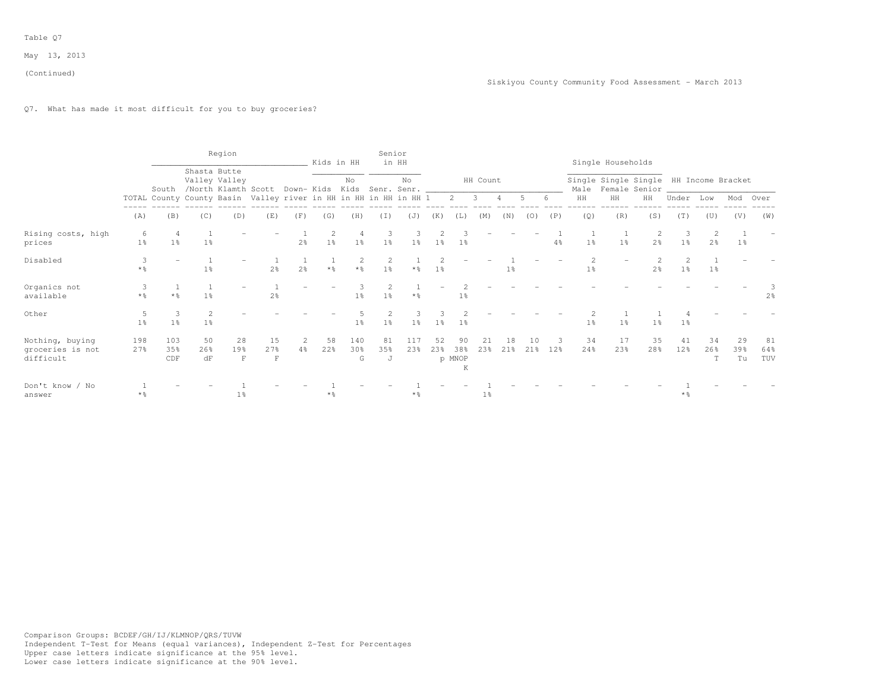# Q7. What has made it most difficult for you to buy groceries?

|                                                  |                        |                   |                        | Region                        |                                                                  |                |                | Kids in HH              | Senior                           | in HH          |                |                          |                |                |           |                |                | Single Households                                            |                |                    |                     |                 |                  |
|--------------------------------------------------|------------------------|-------------------|------------------------|-------------------------------|------------------------------------------------------------------|----------------|----------------|-------------------------|----------------------------------|----------------|----------------|--------------------------|----------------|----------------|-----------|----------------|----------------|--------------------------------------------------------------|----------------|--------------------|---------------------|-----------------|------------------|
|                                                  |                        | South             |                        | Shasta Butte<br>Valley Valley | /North Klamth Scott Down- Kids Kids Senr. Senr.                  |                |                | No                      |                                  | No             |                |                          | HH Count       |                |           |                |                | Single Single Single HH Income Bracket<br>Male Female Senior |                |                    |                     |                 |                  |
|                                                  |                        |                   |                        |                               | TOTAL County County Basin Valley river in HH in HH in HH in HH 1 |                |                |                         |                                  |                |                | 2                        | 3              |                |           |                | HH             | HH                                                           | HH             | Under              | Low                 | Mod             | Over             |
|                                                  | (A)                    | (B)               | (C)                    | (D)                           | (E)                                                              | (F)            | (G)            | (H)                     | (T)                              | (J)            | (K)            | (L)                      | (M)            | (N)            | (0)       | (P)            | (Q)            | (R)                                                          | (S)            | (T)                | (U)                 | (V)             | (W)              |
| Rising costs, high<br>prices                     | 6<br>1 <sup>°</sup>    | 1 <sup>8</sup>    | 1 <sup>°</sup>         |                               |                                                                  | 2 <sup>°</sup> | $1\frac{6}{9}$ | 1 <sup>°</sup>          | 1 <sup>°</sup>                   | 1 <sup>°</sup> | $1\%$          | $1\overline{6}$          |                |                |           | $4\frac{6}{6}$ | 1 <sup>°</sup> | 1 <sup>°</sup>                                               | 2 <sup>o</sup> | 1 <sup>°</sup>     | 2<br>2 <sup>o</sup> | $1\%$           |                  |
| Disabled                                         | 3<br>$*$ $\frac{6}{6}$ |                   | 1 <sup>°</sup>         |                               | 2 <sup>°</sup>                                                   | $2\frac{6}{9}$ | $*$ %          | $\overline{2}$<br>$*$ % | $\overline{2}$<br>1 <sup>°</sup> |                | 1 <sup>°</sup> |                          |                | 1 <sub>8</sub> |           |                | 1 <sup>°</sup> |                                                              | 2 <sup>°</sup> | $1\%$              | $1\%$               |                 |                  |
| Organics not<br>available                        | $*$ %                  | $*2$              | 1 <sup>8</sup>         |                               | 2 <sup>o</sup>                                                   |                |                | 1 <sup>°</sup>          | 1 <sup>°</sup>                   | $*$ %          |                | $1\%$                    |                |                |           |                |                |                                                              |                |                    |                     |                 | 2 <sup>8</sup>   |
| Other                                            | 1 <sup>°</sup>         | 1 <sup>°</sup>    | 2<br>1 <sup>°</sup>    |                               |                                                                  |                |                | $1\frac{6}{6}$          | 1 <sup>°</sup>                   | 1 <sup>°</sup> | 1 <sup>°</sup> | $1\%$                    |                |                |           |                | 1 <sup>°</sup> | 1 <sup>°</sup>                                               | 1 <sup>°</sup> | $1\%$              |                     |                 |                  |
| Nothing, buying<br>groceries is not<br>difficult | 198<br>27%             | 103<br>35%<br>CDF | 50<br>26%<br>$\rm{d}F$ | 28<br>19%<br>F                | 15<br>27%<br>$\mathbf F$                                         | $4\%$          | 58<br>22%      | 140<br>30%<br>G         | 81<br>35%<br>J                   | 117<br>23%     | 52<br>23%      | 90<br>38%<br>p MNOP<br>K | 21<br>23%      | 18<br>21%      | 10<br>21% | 12%            | 34<br>24%      | 17<br>23%                                                    | 35<br>28%      | 41<br>12%          | 34<br>26%<br>T      | 29<br>39%<br>Tu | 81<br>64%<br>TUV |
| Don't know / No<br>answer                        | $*$ $\frac{6}{5}$      |                   |                        | 1 <sup>8</sup>                |                                                                  |                | * %            |                         |                                  | $*$ %          |                |                          | 1 <sup>°</sup> |                |           |                |                |                                                              |                | $*$ $\frac{6}{10}$ |                     |                 |                  |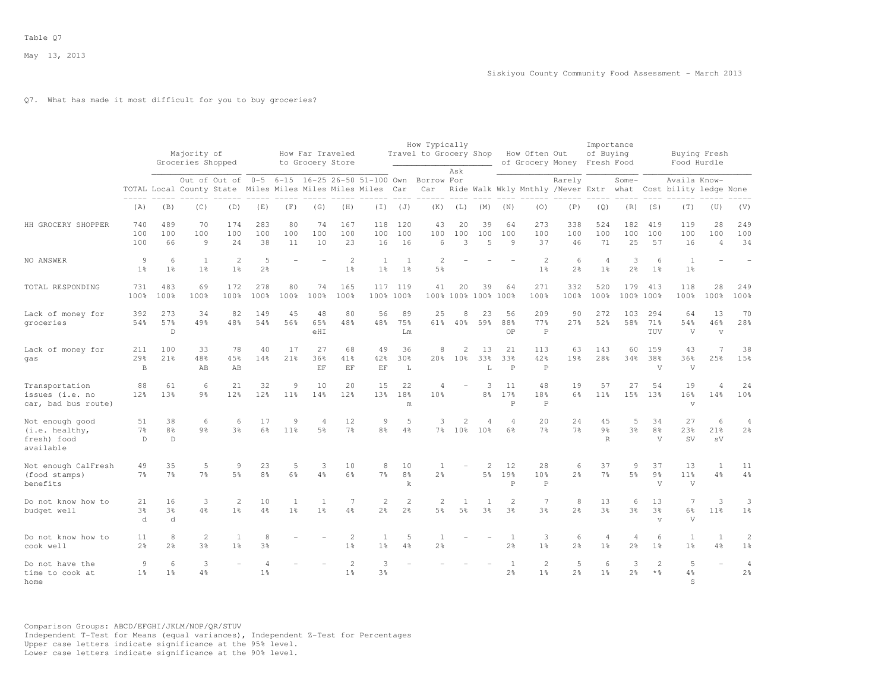## Q7. What has made it most difficult for you to buy groceries?

|                                                               |                            |                           | Majority of<br>Groceries Shopped |                                                            |                            |                      | How Far Traveled<br>to Grocery Store |                                  |                                  |                                  | How Typically<br>Travel to Grocery Shop                         |                                   |                                 |                                | How Often Out                     | of Grocery Money Fresh Food | Importance<br>of Buying              |                                  |                                        |                                                                                           | Buying Fresh<br>Food Hurdle          |                                  |
|---------------------------------------------------------------|----------------------------|---------------------------|----------------------------------|------------------------------------------------------------|----------------------------|----------------------|--------------------------------------|----------------------------------|----------------------------------|----------------------------------|-----------------------------------------------------------------|-----------------------------------|---------------------------------|--------------------------------|-----------------------------------|-----------------------------|--------------------------------------|----------------------------------|----------------------------------------|-------------------------------------------------------------------------------------------|--------------------------------------|----------------------------------|
|                                                               |                            |                           |                                  | TOTAL Local County State Miles Miles Miles Miles Miles Car |                            |                      |                                      |                                  |                                  |                                  | Out of Out of 0-5 6-15 16-25 26-50 51-100 Own Borrow For<br>Car | Ask                               |                                 |                                | $- - - - -$                       | Rarely                      |                                      | Some-                            | $---$                                  | Availa Know-<br>Ride Walk Wkly Mnthly /Never Extr what Cost bility ledge None<br>$------$ |                                      |                                  |
|                                                               | (A)                        | (B)                       | (C)                              | (D)                                                        | (E)                        | (F)                  | (G)                                  | (H)                              | $(\top)$                         | (J)                              | (K)                                                             | (L)                               | (M)                             | (N)                            | (0)                               | (P)                         | (Q)                                  | (R)                              | (S)                                    | (T)                                                                                       | (U)                                  | (V)                              |
| HH GROCERY SHOPPER                                            | 740<br>100<br>100          | 489<br>100<br>66          | 70<br>100<br>$\overline{9}$      | 174<br>100<br>2.4                                          | 283<br>100<br>38           | 80<br>100<br>11      | 74<br>100<br>10                      | 167<br>100<br>23                 | 118<br>100<br>16                 | 120<br>100<br>16                 | 43<br>100<br>$6\overline{6}$                                    | 20<br>100<br>3                    | 39<br>100<br>5                  | 64<br>100<br>9                 | 273<br>100<br>37                  | 338<br>100<br>46            | 524<br>100<br>71                     | 182<br>100<br>25                 | 419<br>100<br>57                       | 119<br>100<br>16                                                                          | 28<br>100<br>$\overline{4}$          | 249<br>100<br>34                 |
| NO ANSWER                                                     | 9<br>1 <sup>°</sup>        | 6<br>1 <sup>°</sup>       | 1<br>1 <sup>8</sup>              | $\overline{2}$<br>1 <sup>8</sup>                           | 5<br>2 <sup>°</sup>        |                      |                                      | $\overline{2}$<br>1 <sup>°</sup> | 1<br>1 <sup>°</sup>              | $\overline{1}$<br>1 <sup>°</sup> | 2<br>5 <sup>8</sup>                                             |                                   |                                 |                                | $\overline{2}$<br>1 <sup>°</sup>  | 6<br>2 <sup>o</sup>         | $\overline{4}$<br>1 <sup>°</sup>     | 3<br>$2\frac{6}{9}$              | 6<br>1 <sup>°</sup>                    | 1<br>1 <sup>°</sup>                                                                       |                                      |                                  |
| TOTAL RESPONDING                                              | 731<br>100%                | 483<br>100%               | 69<br>100%                       | 172<br>100%                                                | 278<br>100%                | 80<br>100%           | 74<br>100%                           | 165<br>100%                      |                                  | 117 119<br>100% 100%             | 41                                                              | 20                                | 39<br>100% 100% 100% 100%       | 64                             | 271<br>100%                       | 332<br>100%                 | 520<br>100%                          | 179                              | 413<br>100% 100%                       | 118<br>100%                                                                               | 28<br>100%                           | 249<br>100%                      |
| Lack of money for<br>groceries                                | 392<br>54%                 | 273<br>57%<br>$\mathbb D$ | 34<br>49%                        | 82<br>48%                                                  | 149<br>54%                 | 45<br>56%            | 48<br>65%<br>$e$ HI                  | 80<br>48%                        | 56<br>48%                        | 89<br>75%<br>Lm                  | 25<br>61%                                                       | 8<br>40%                          | 23<br>59%                       | 56<br>88%<br>0P                | 209<br>77%<br>$\mathbb P$         | 90<br>27%                   | 272<br>52%                           | 103<br>58%                       | 294<br>71%<br>TUV                      | 64<br>54%<br>$\mathbf{V}$                                                                 | 13<br>46%<br>$\overline{\mathbf{V}}$ | 70<br>28%                        |
| Lack of money for<br>gas                                      | 211<br>29%<br>$\, {\bf B}$ | 100<br>21%                | 33<br>48%<br>AB                  | 78<br>45%<br>AB                                            | 40<br>14%                  | 17<br>21%            | 27<br>36%<br>EF                      | 68<br>41%<br>EF                  | 49<br>42%<br>EF                  | 36<br>30 <sub>8</sub><br>L       | 8<br>20 <sub>8</sub>                                            | $\overline{2}$<br>10 <sup>8</sup> | 13<br>33%<br>L                  | 21<br>33%<br>$\mathsf{P}$      | 113<br>42%<br>$\mathbb P$         | 63<br>19%                   | 143<br>28%                           | 60<br>34%                        | 159<br>38%<br>$\overline{V}$           | 43<br>36%<br>V                                                                            | $\overline{7}$<br>25%                | 38<br>15%                        |
| Transportation<br>issues (i.e. no<br>car, bad bus route)      | 88<br>12%                  | 61<br>13%                 | 6<br>9 <sub>8</sub>              | 21<br>12%                                                  | 32<br>12%                  | 9<br>$11\%$          | 10<br>14%                            | 20<br>12%                        | 15<br>13 <sup>8</sup>            | 22<br>18%<br>m                   | 4<br>10%                                                        |                                   | 3<br>8 <sup>°</sup>             | 11<br>17%<br>P                 | 48<br>18%<br>$\mathsf{P}$         | 19<br>6%                    | 57<br>11%                            | 27<br>15%                        | 54<br>13 <sup>8</sup>                  | 19<br>16%<br>$\mathbf{v}$                                                                 | 4<br>14%                             | 24<br>10%                        |
| Not enough good<br>(i.e. healthy,<br>fresh) food<br>available | 51<br>7 <sup>°</sup><br>D. | 38<br>8%<br>$\mathbb{D}$  | 6<br>9 <sub>8</sub>              | 6<br>3%                                                    | 17<br>6%                   | 9<br>11 <sup>8</sup> | 4<br>5%                              | 12<br>7 <sup>°</sup>             | $\overline{9}$<br>8 <sup>8</sup> | 5<br>4%                          | 3<br>7 <sup>°</sup>                                             | $\overline{c}$<br>10 <sup>8</sup> | $\overline{4}$<br>10%           | 4<br>6%                        | 20<br>7 <sup>°</sup>              | 24<br>7%                    | 45<br>9 <sub>8</sub><br>$\mathbb{R}$ | 5<br>3%                          | 34<br>8 <sup>°</sup><br>V              | 27<br>23%<br>SV                                                                           | 6<br>21%<br>sV                       | 4<br>2 <sup>°</sup>              |
| Not enough CalFresh<br>(food stamps)<br>benefits              | 49<br>$7\frac{6}{9}$       | 35<br>7 <sup>°</sup>      | 5<br>$7\frac{6}{9}$              | 9<br>5 <sup>°</sup>                                        | 23<br>8 <sup>°</sup>       | 5<br>6%              | 3<br>$4\frac{6}{6}$                  | 10<br>6%                         | 8<br>7 <sup>°</sup>              | 10<br>8%<br>k                    | -1<br>2 <sup>°</sup>                                            |                                   | $\mathcal{L}$<br>5 <sup>°</sup> | 12<br>19%<br>P                 | 2.8<br>10%<br>$\mathsf{P}$        | 6<br>2 <sup>o</sup>         | 37<br>$7\frac{6}{6}$                 | 9<br>$5\frac{6}{9}$              | 37<br>9 <sub>8</sub><br>V              | 13<br>11 <sup>°</sup><br>V                                                                | $\overline{1}$<br>4%                 | 11<br>$4\%$                      |
| Do not know how to<br>budget well                             | 21<br>3%<br>d              | 16<br>3 <sup>8</sup><br>d | 3<br>4%                          | 2<br>1 <sup>°</sup>                                        | 10<br>4%                   | 1<br>1 <sup>°</sup>  | 1<br>1 <sup>°</sup>                  | 7<br>4%                          | 2<br>2 <sup>°</sup>              | $\mathbf{2}$<br>2 <sup>°</sup>   | 2<br>5 <sup>8</sup>                                             | 1<br>5%                           | -1<br>3 <sup>°</sup>            | $\mathbf{2}$<br>3 <sup>°</sup> | $7\phantom{.0}$<br>3 <sup>8</sup> | 8<br>2 <sup>°</sup>         | 13<br>3 <sup>8</sup>                 | 6<br>3%                          | 13<br>3 <sup>o</sup><br>$\overline{V}$ | 7<br>$6\frac{6}{9}$<br>$\mathbf{V}$                                                       | 3<br>11 <sup>8</sup>                 | 3<br>1 <sup>°</sup>              |
| Do not know how to<br>cook well                               | 11<br>2 <sup>°</sup>       | 8<br>2 <sup>°</sup>       | 2<br>3%                          | $\mathbf{1}$<br>1 <sup>°</sup>                             | 8<br>3 <sup>°</sup>        |                      |                                      | $\overline{2}$<br>1 <sup>°</sup> | $\mathbf{1}$<br>1 <sup>°</sup>   | 5<br>4%                          | <sup>1</sup><br>2 <sup>°</sup>                                  |                                   |                                 | 1<br>2 <sup>°</sup>            | 3<br>1 <sup>°</sup>               | 6<br>2 <sup>°</sup>         | $\overline{4}$<br>1 <sup>°</sup>     | $\overline{4}$<br>2 <sup>°</sup> | 6<br>1 <sup>°</sup>                    | 1<br>1 <sup>°</sup>                                                                       | $\mathbf{1}$<br>4%                   | $\overline{c}$<br>$1\%$          |
| Do not have the<br>time to cook at<br>home                    | 9<br>1 <sup>8</sup>        | 6<br>1 <sup>°</sup>       | 3<br>4%                          |                                                            | $\Delta$<br>1 <sup>8</sup> |                      |                                      | $\overline{c}$<br>1 <sup>8</sup> | 3<br>3%                          |                                  |                                                                 |                                   |                                 | 1<br>2 <sup>o</sup>            | $\overline{c}$<br>1 <sup>°</sup>  | 5<br>2 <sup>°</sup>         | 6<br>1 <sup>°</sup>                  | 3<br>2.8                         | $\overline{c}$<br>$*$ %                | 5<br>4%<br>S                                                                              |                                      | $\overline{4}$<br>2 <sup>°</sup> |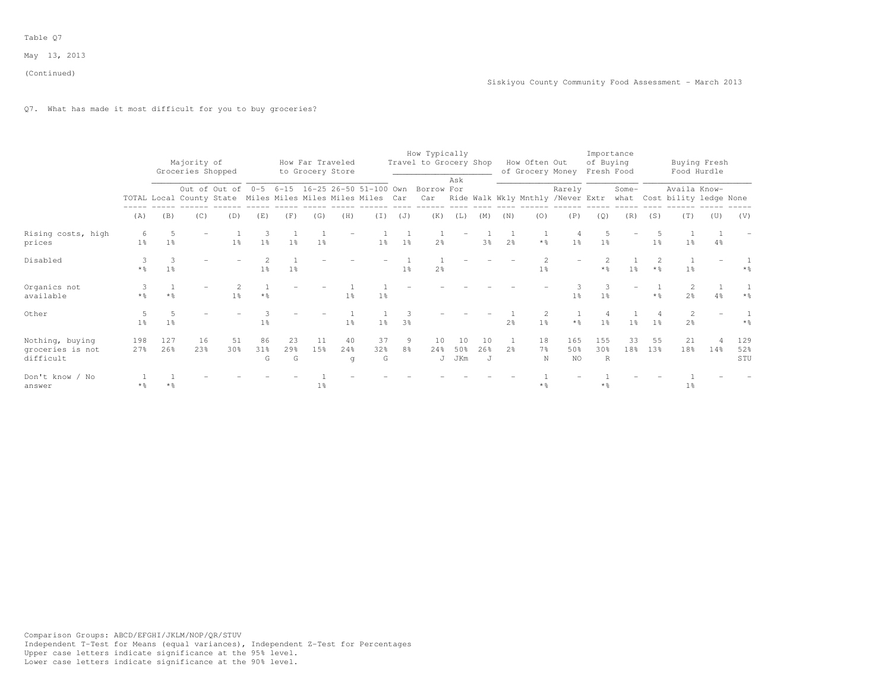# Q7. What has made it most difficult for you to buy groceries?

|                                                  |                      |                                  | Majority of<br>Groceries Shopped                           |                |                |                | How Far Traveled<br>to Grocery Store |                |                |                     | How Typically<br>Travel to Grocery Shop                  |                  |                |                | How Often Out<br>of Grocery Money |                                  | of Buying<br>Fresh Food    | Importance     |                |                                                                                   | Buying Fresh<br>Food Hurdle |                   |
|--------------------------------------------------|----------------------|----------------------------------|------------------------------------------------------------|----------------|----------------|----------------|--------------------------------------|----------------|----------------|---------------------|----------------------------------------------------------|------------------|----------------|----------------|-----------------------------------|----------------------------------|----------------------------|----------------|----------------|-----------------------------------------------------------------------------------|-----------------------------|-------------------|
|                                                  |                      |                                  | TOTAL Local County State Miles Miles Miles Miles Miles Car |                |                |                |                                      |                |                |                     | Out of Out of 0-5 6-15 16-25 26-50 51-100 Own Borrow For | Ask              |                |                |                                   | Rarely                           |                            | Some-          |                | Availa Know-<br>Car Ride Walk Wkly Mnthly /Never Extr what Cost bility ledge None |                             |                   |
|                                                  | (A)                  | (B)                              | (C)                                                        | (D)            | (E)            | (F)            | (G)                                  | (H)            | (T)            | (J)                 | (K)                                                      | (L)              | (M)            | (N)            | (0)                               | (P)                              | (Q)                        | (R)            | (S)            | (T)                                                                               | (U)                         | (V)               |
| Rising costs, high<br>prices                     | 6<br>1 <sup>°</sup>  | $\overline{5}$<br>1 <sup>°</sup> |                                                            | 1 <sup>°</sup> | 1 <sup>°</sup> | 1 <sup>°</sup> | 1 <sup>°</sup>                       |                | 1 <sup>°</sup> | 1 <sup>°</sup>      | 2 <sup>o</sup>                                           |                  | 3%             | 2 <sup>o</sup> | $*$ %                             | $\overline{4}$<br>1 <sup>°</sup> | 1 <sup>°</sup>             |                | 1 <sup>°</sup> | 1 <sup>°</sup>                                                                    | 4%                          |                   |
| Disabled                                         | $*$ $\frac{6}{3}$    | 3<br>1 <sup>8</sup>              |                                                            |                | 1 <sup>8</sup> | 1 <sup>°</sup> |                                      |                |                | 1 <sup>8</sup>      | 2 <sup>o</sup>                                           |                  |                |                | 1 <sup>°</sup>                    |                                  | $*$ %                      | 1 <sup>8</sup> | $*$ %          | 1 <sup>°</sup>                                                                    |                             | * %               |
| Organics not<br>available                        | * %                  | $*$ %                            |                                                            | $1\frac{6}{9}$ | * %            |                |                                      | 1 <sup>°</sup> | 1 <sup>8</sup> |                     |                                                          |                  |                |                |                                   | 1 <sup>°</sup>                   | 1 <sup>°</sup>             |                | $*$ %          | 2 <sup>8</sup>                                                                    | 4%                          | $*$ $\frac{6}{5}$ |
| Other                                            | .5<br>1 <sup>°</sup> | 1 <sup>°</sup>                   |                                                            |                | 1 <sup>°</sup> |                |                                      | 1 <sup>°</sup> | 1 <sup>°</sup> | 3 <sup>°</sup>      |                                                          |                  |                | 2 <sup>°</sup> | 1 <sup>°</sup>                    | $*$ $\frac{6}{6}$                | 1 <sup>°</sup>             | 1 <sup>°</sup> | 1%             | 2<br>2 <sup>o</sup>                                                               |                             | $*$ %             |
| Nothing, buying<br>groceries is not<br>difficult | 198<br>27%           | 127<br>26%                       | 16<br>23%                                                  | 51<br>30%      | 86<br>31%<br>G | 23<br>29%<br>G | 11<br>15%                            | 40<br>24%<br>q | 37<br>32%<br>G | 9<br>8 <sup>°</sup> | 10<br>24%<br>J                                           | 10<br>50%<br>JKm | 10<br>26%<br>J | 2 <sup>o</sup> | 18<br>$7\frac{6}{9}$<br>N         | 165<br>50%<br><b>NO</b>          | 155<br>30%<br>$\mathbb{R}$ | 33<br>18%      | 55<br>13%      | 21<br>18%                                                                         | 14%                         | 129<br>52%<br>STU |
| Don't know / No<br>answer                        | $*2$                 |                                  |                                                            |                |                |                | $1\%$                                |                |                |                     |                                                          |                  |                |                | $*$ $\frac{6}{5}$                 |                                  | $*$ $\frac{6}{5}$          |                |                | $1\frac{6}{6}$                                                                    |                             |                   |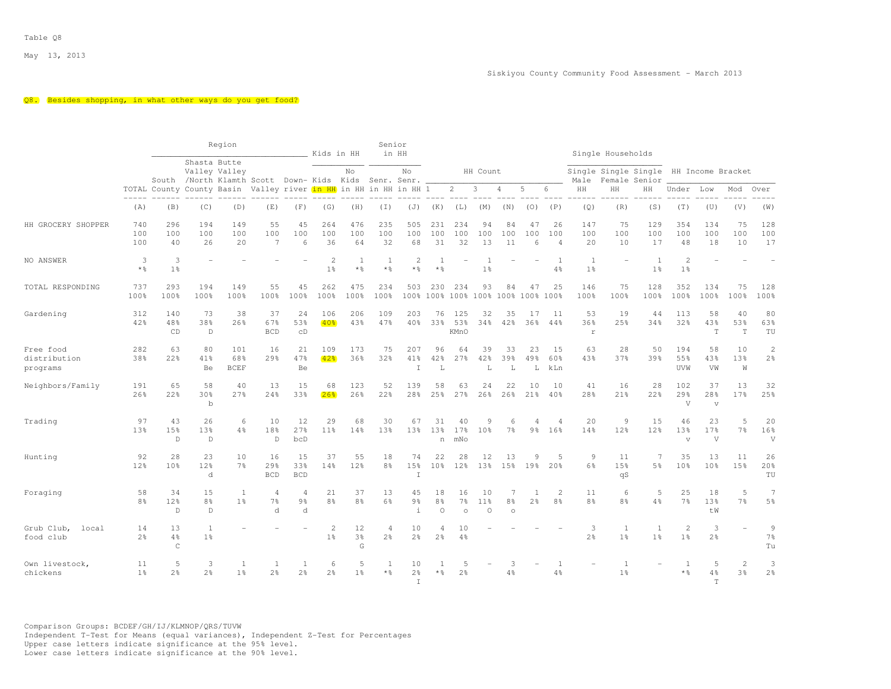#### Q8. Besides shopping, in what other ways do you get food?

|                                       |                      |                            |                                      | Region                    |                                                       |                          | Kids in HH                       |                           | Senior<br>in HH                  |                                    |                                  |                                           |                      |                     |                                |                                  |                          | Single Households              |                                       |                                     |                           |                          |                                        |
|---------------------------------------|----------------------|----------------------------|--------------------------------------|---------------------------|-------------------------------------------------------|--------------------------|----------------------------------|---------------------------|----------------------------------|------------------------------------|----------------------------------|-------------------------------------------|----------------------|---------------------|--------------------------------|----------------------------------|--------------------------|--------------------------------|---------------------------------------|-------------------------------------|---------------------------|--------------------------|----------------------------------------|
|                                       |                      |                            | Shasta Butte                         | Valley Valley             | South /North Klamth Scott Down- Kids Kids Senr. Senr. |                          |                                  | No                        |                                  | No                                 |                                  |                                           | HH Count             |                     |                                |                                  | Male                     |                                | Single Single Single<br>Female Senior | HH Income Bracket                   |                           |                          |                                        |
|                                       |                      | TOTAL County County Basin  |                                      |                           | Valley river in HH in HH in HH in HH 1                |                          |                                  |                           |                                  |                                    |                                  | $\overline{c}$                            | 3                    | $\overline{4}$      | 5                              | 6                                | HH                       | HH                             | HH                                    | Under                               | Low                       | Mod                      | Over                                   |
|                                       | (A)                  | (B)                        | (C)                                  | (D)                       | (E)                                                   | (F)                      | (G)                              | (H)                       | (T)                              | (J)                                | (K)                              | (L)                                       | (M)                  | (N)                 | (0)                            | (P)                              | (Q)                      | (R)                            | (S)                                   | (T)                                 | (U)                       | (V)                      | (W)                                    |
| HH GROCERY SHOPPER                    | 740<br>100<br>100    | 296<br>100<br>40           | 194<br>100<br>26                     | 149<br>100<br>20          | 55<br>100<br>$\overline{7}$                           | 45<br>100<br>6           | 264<br>100<br>36                 | 476<br>100<br>64          | 235<br>100<br>32                 | 505<br>100<br>68                   | 231<br>100<br>31                 | 234<br>100<br>32                          | 94<br>100<br>13      | 84<br>100<br>11     | 47<br>100<br>6                 | 26<br>100<br>$\overline{4}$      | 147<br>100<br>20         | 75<br>100<br>10                | 129<br>100<br>17                      | 354<br>100<br>48                    | 134<br>100<br>18          | 75<br>100<br>10          | 128<br>100<br>17                       |
| NO ANSWER                             | 3<br>$*$ %           | 3<br>1 <sup>°</sup>        |                                      |                           |                                                       |                          | $\overline{2}$<br>1 <sup>°</sup> | 1<br>$\star$ %            | -1<br>* %                        | $\overline{c}$<br>* %              | -1<br>$*$ &                      |                                           | 1 <sup>°</sup>       |                     |                                | -1<br>4%                         | 1<br>1 <sup>°</sup>      |                                | 1<br>1 <sup>°</sup>                   | $\overline{c}$<br>1 <sup>°</sup>    |                           |                          |                                        |
| TOTAL RESPONDING                      | 737<br>100%          | 293<br>100%                | 194<br>100%                          | 149<br>100%               | 55<br>100%                                            | 45<br>100%               | 262<br>100%                      | 475<br>100%               | 234<br>100%                      | 503                                | 230                              | 234<br>100% 100% 100% 100% 100% 100% 100% | 93                   | 84                  | 47                             | 25                               | 146<br>100%              | 75<br>100%                     | 128<br>100%                           | 352<br>100%                         | 134<br>100%               | 75<br>100%               | 128<br>100%                            |
| Gardening                             | 312<br>42%           | 140<br>48%<br>CD           | 73<br>38%<br>$\mathbb D$             | 38<br>26%                 | 37<br>67%<br><b>BCD</b>                               | 24<br>53%<br>CD          | 106<br>40 <sub>8</sub>           | 206<br>43%                | 109<br>47%                       | 203<br>40%                         | 76<br>33%                        | 125<br>53%<br><b>KMnO</b>                 | 32<br>34%            | 35<br>42%           | 17<br>36%                      | 11<br>44%                        | 53<br>36%<br>$\mathbf r$ | 19<br>25%                      | 44<br>34%                             | 113<br>32%                          | 58<br>43%<br>$\mathbf T$  | 40<br>53%<br>$\mathbf T$ | 80<br>63%<br>TU                        |
| Free food<br>distribution<br>programs | 282<br>38%           | 63<br>22%                  | 80<br>41%<br>Be                      | 101<br>68%<br><b>BCEF</b> | 16<br>29%                                             | 21<br>47%<br>Be          | 109<br>42.8                      | 173<br>36%                | 75<br>32%                        | 207<br>41%<br>$\top$               | 96<br>42%<br>L                   | 64<br>27%                                 | 39<br>42%<br>L       | 33<br>39%<br>L      | 23<br>49%<br>L                 | 1.5<br>60%<br>kLn                | 63<br>43%                | 28<br>37%                      | 50<br>39%                             | 194<br>55%<br>UVW                   | 58<br>43%<br>VW           | 10<br>13%<br>W           | $\sqrt{2}$<br>$2\frac{6}{9}$           |
| Neighbors/Family                      | 191<br>26%           | 65<br>22%                  | 58<br>30%<br>$\mathbf b$             | 40<br>27%                 | 13<br>24%                                             | 15<br>33%                | 68<br>26 <sup>o</sup>            | 123<br>26%                | 52<br>22%                        | 139<br>28%                         | 58<br>25%                        | 63<br>27%                                 | 24<br>26%            | 22<br>26%           | 10<br>21%                      | 10<br>40%                        | 41<br>28%                | 16<br>21%                      | 28<br>22%                             | 102<br>29%<br>V                     | 37<br>28%<br>$\mathbf{V}$ | 13<br>17%                | 32<br>25%                              |
| Trading                               | 97<br>13%            | 43<br>15%<br>$\mathbb D$   | 26<br>13%<br>$\mathbb D$             | 6<br>4%                   | 10<br>18%<br>$\mathbb D$                              | 12<br>27%<br>bcD         | 29<br>11%                        | 68<br>14%                 | 30<br>13%                        | 67<br>13%                          | 31<br>13%<br>n                   | 40<br>17%<br>mNo                          | 9<br>10 <sup>8</sup> | 6<br>7 <sup>°</sup> | $9\frac{6}{9}$                 | $\overline{4}$<br>16%            | 20<br>14%                | 9<br>12%                       | 15<br>12%                             | 46<br>13%<br>$\sqrt{ }$             | 23<br>17%<br>V            | 5<br>7 <sup>°</sup>      | 20<br>16%<br>V                         |
| Hunting                               | 92<br>12%            | 28<br>10 <sup>8</sup>      | 23<br>12%<br>d                       | 10<br>7%                  | 16<br>29%<br><b>BCD</b>                               | 15<br>33%<br><b>BCD</b>  | 37<br>14%                        | 55<br>12%                 | 18<br>8 <sup>8</sup>             | 74<br>15%<br>$\top$                | 22<br>10 <sup>8</sup>            | 28<br>12 <sup>8</sup>                     | 12<br>13%            | 13<br>15%           | 9<br>19%                       | 5<br>20 <sup>8</sup>             | 9<br>6%                  | 11<br>15%<br>qS                | 7<br>5%                               | 35<br>10 <sup>9</sup>               | 13<br>10 <sup>8</sup>     | 11<br>15%                | 26<br>20%<br>TU                        |
| Foraging                              | 58<br>8 <sup>°</sup> | 34<br>12 <sup>°</sup><br>D | 15<br>$8\frac{6}{9}$<br>$\mathbb{D}$ | 1<br>1 <sup>8</sup>       | $\overline{4}$<br>7 <sup>°</sup><br>d                 | 4<br>$9\frac{6}{9}$<br>d | 21<br>8 <sup>°</sup>             | 37<br>8 <sup>°</sup>      | 13<br>6%                         | 45<br>$9\frac{6}{6}$<br>$\ddot{1}$ | 18<br>8 <sup>°</sup><br>$\Omega$ | 16<br>$7\frac{6}{6}$<br>$\Omega$          | 10<br>11%<br>$\circ$ | 7<br>8%<br>$\circ$  | $\mathbf{1}$<br>2 <sup>°</sup> | $\overline{2}$<br>8 <sup>°</sup> | 11<br>8 <sup>9</sup>     | 6<br>8 <sup>8</sup>            | 5<br>4%                               | 25<br>7%                            | 18<br>13%<br>tW           | 5<br>7%                  | $\overline{7}$<br>$5\frac{6}{9}$       |
| Grub Club,<br>local<br>food club      | 14<br>2 <sup>°</sup> | 13<br>4%<br>$\mathsf{C}$   | <sup>1</sup><br>1 <sup>°</sup>       |                           |                                                       |                          | 2<br>1 <sup>8</sup>              | 12<br>3 <sup>°</sup><br>G | $\overline{4}$<br>2 <sup>°</sup> | 10<br>2 <sup>°</sup>               | $\overline{4}$<br>2%             | 10<br>$4\%$                               |                      |                     |                                |                                  | 3<br>2 <sup>o</sup>      | $\mathbf{1}$<br>1 <sup>°</sup> | 1<br>1 <sup>°</sup>                   | $\sqrt{2}$<br>1 <sup>°</sup>        | 3<br>2 <sup>°</sup>       |                          | $\overline{9}$<br>$7\frac{6}{6}$<br>Tu |
| Own livestock,<br>chickens            | 11<br>1 <sup>°</sup> | 5<br>2%                    | 3<br>$2\frac{6}{9}$                  | 1<br>1 <sup>°</sup>       | $\mathbf{1}$<br>$2\frac{6}{6}$                        | 1<br>$2\frac{6}{9}$      | 6<br>2 <sup>°</sup>              | 5<br>1 <sup>°</sup>       | 1<br>$*$ $\frac{6}{5}$           | 10<br>$2\frac{6}{6}$<br>$\top$     | $*$ $\frac{6}{5}$                | 2 <sup>o</sup>                            |                      | 3<br>4%             |                                | $\overline{1}$<br>$4\frac{6}{6}$ |                          | $\mathbf{1}$<br>1 <sup>°</sup> |                                       | $\overline{1}$<br>$*$ $\frac{6}{5}$ | 5<br>4%<br>T              | 2<br>3 <sup>8</sup>      | 3<br>2 <sup>°</sup>                    |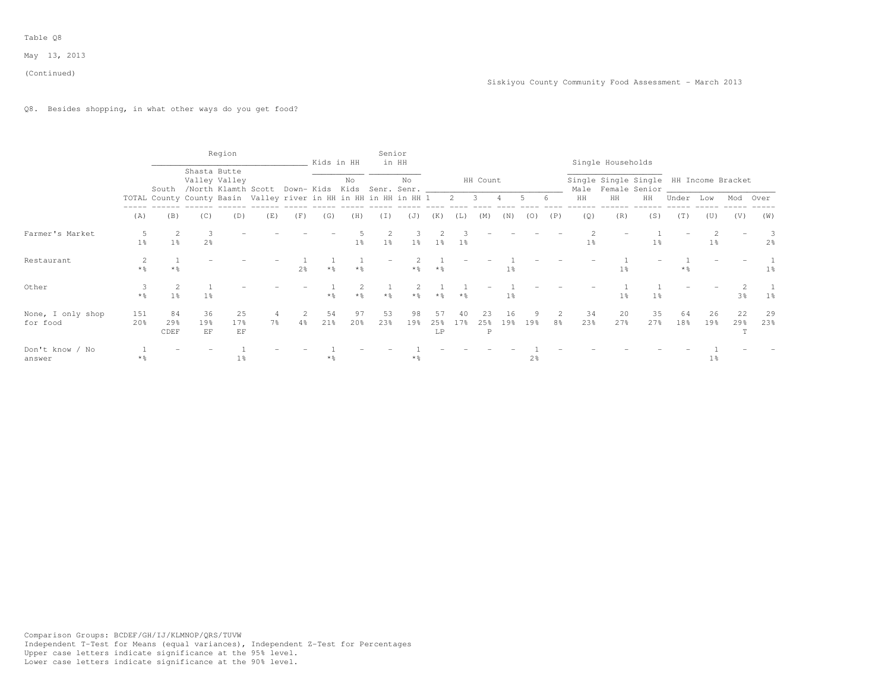(Continued)

# Q8. Besides shopping, in what other ways do you get food?

|                               |                |                   |                     | Region                        |                                                                                  |                | Kids in HH        |                   |           | Senior<br>in HH |                   |                       |                |                |                |                      |                | Single Households |                                                                 |           |                |                       |                     |
|-------------------------------|----------------|-------------------|---------------------|-------------------------------|----------------------------------------------------------------------------------|----------------|-------------------|-------------------|-----------|-----------------|-------------------|-----------------------|----------------|----------------|----------------|----------------------|----------------|-------------------|-----------------------------------------------------------------|-----------|----------------|-----------------------|---------------------|
|                               |                |                   |                     | Shasta Butte<br>Valley Valley | South /North Klamth Scott Down-Kids Kids Senr. Senr. ___________________________ |                |                   | No                |           | No              |                   |                       | HH Count       |                |                |                      |                |                   | Single Single Single HH Income Bracket<br>Male Female Senior __ |           |                |                       |                     |
|                               |                |                   |                     |                               | TOTAL County County Basin Valley river in HH in HH in HH in HH 1 2 3 4           |                |                   |                   |           |                 |                   |                       |                |                | 5 6            |                      | HH             | HH                | HH                                                              | Under     | Low            | Mod Over              |                     |
|                               | (A)            | (B)               | (C)                 | (D)                           | (E)                                                                              | (F)            | (G)               | (H)               | (I)       | (J)             | (K)               | (L)                   | (M)            | (N)            | (0)            | (P)                  | (Q)            | (R)               | (S)                                                             | (T)       | (U)            | (V)                   | (W)                 |
| Farmer's Market               | $1\frac{6}{9}$ | 1 <sup>°</sup>    | 3<br>2 <sup>°</sup> |                               |                                                                                  |                |                   | $1\%$             | $1\%$     | -3-<br>$1\%$    | $1\%$             | 1%                    |                |                |                |                      | $1\frac{6}{9}$ |                   | $1\frac{6}{6}$                                                  |           | 1 <sup>8</sup> |                       | 3<br>2 <sup>8</sup> |
| Restaurant                    | $*$ 2          |                   |                     |                               |                                                                                  | 2 <sup>°</sup> | $*$ $\frac{6}{5}$ | $*$ $\frac{6}{9}$ |           | $\star$ %       | $*$ $\frac{6}{5}$ |                       |                | $1\%$          |                |                      |                | $1\%$             |                                                                 |           |                |                       | $1\,$ s             |
| Other                         | $*$ $\approx$  | 1 <sup>°</sup>    | 1 <sup>°</sup>      |                               |                                                                                  |                | $*$ 2             | $*$ 2             | $*$ 2     | 2<br>$*$ 2      | $*$ 2             | $*$ 2                 |                | 1 <sup>°</sup> |                |                      |                | 1 <sup>°</sup>    | 1 <sup>°</sup>                                                  |           |                | 3%                    | 1%                  |
| None, I only shop<br>for food | 151<br>20%     | 84<br>29%<br>CDEF | 36<br>19%<br>EF     | 25<br>17%<br>EF               | 7 <sup>8</sup>                                                                   | 2<br>$4\%$     | 54<br>21%         | 97<br>20%         | 53<br>23% | 98<br>19%       | 57<br>25%<br>LP   | 40<br>17 <sup>8</sup> | 23<br>25%<br>P | 16<br>19%      | 19%            | $\overline{2}$<br>8% | 34<br>23%      | 20<br>27%         | 35<br>27%                                                       | 64<br>18% | 26<br>19%      | 22<br>29 <sub>8</sub> | 29<br>23%           |
| Don't know / No<br>answer     | * %            |                   |                     | $1\frac{6}{6}$                |                                                                                  |                | $*$ %             |                   |           | $\star$ %       |                   |                       |                |                | $2\frac{6}{9}$ |                      |                |                   |                                                                 |           | $1\frac{6}{6}$ |                       |                     |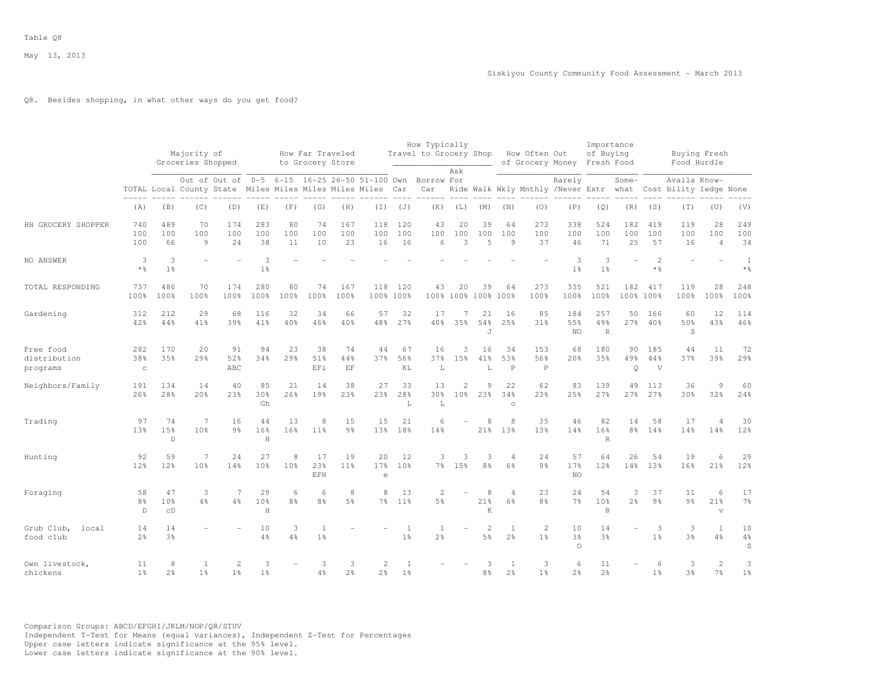# Q8. Besides shopping, in what other ways do you get food?

|                                       |                           |                             | Majority of<br>Groceries Shopped |                                                                                                                        |                                               |                      | How Far Traveled<br>to Grocery Store |                      |                       |                                | How Typically<br>Travel to Grocery Shop |                                   |                             |                                  | How Often Out                    | of Grocery Money Fresh Food | Importance<br>of Buying    |                      |                                     | Food Hurdle                                                                   | Buying Fresh                        |                        |
|---------------------------------------|---------------------------|-----------------------------|----------------------------------|------------------------------------------------------------------------------------------------------------------------|-----------------------------------------------|----------------------|--------------------------------------|----------------------|-----------------------|--------------------------------|-----------------------------------------|-----------------------------------|-----------------------------|----------------------------------|----------------------------------|-----------------------------|----------------------------|----------------------|-------------------------------------|-------------------------------------------------------------------------------|-------------------------------------|------------------------|
|                                       |                           |                             |                                  | Out of Out of 0-5 6-15 16-25 26-50 51-100 Own Borrow For<br>TOTAL Local County State Miles Miles Miles Miles Miles Car |                                               |                      |                                      |                      |                       |                                | Car                                     | Ask                               |                             |                                  |                                  | Rarely                      |                            | Some-                |                                     | Availa Know-<br>Ride Walk Wkly Mnthly /Never Extr what Cost bility ledge None |                                     |                        |
|                                       | (A)                       | (B)                         | (C)                              | (D)                                                                                                                    | (E)                                           | (F)                  | (G)                                  | (H)                  | (I)                   | (J)                            | (K)                                     | (L)                               | (M)                         | (N)                              | (0)                              | (P)                         | (Q)                        | (R)                  | (S)                                 | (T)                                                                           | (U)                                 | (V)                    |
| HH GROCERY SHOPPER                    | 740<br>100<br>100         | 489<br>100<br>66            | 70<br>100<br>9                   | 174<br>100<br>24                                                                                                       | 283<br>100<br>38                              | 80<br>100<br>11      | 74<br>100<br>10                      | 167<br>100<br>23     | 118<br>100<br>16      | 120<br>100<br>16               | 43<br>100<br>6                          | 20<br>100<br>3                    | 39<br>100<br>5              | 64<br>100<br>9                   | 273<br>100<br>37                 | 338<br>100<br>46            | 524<br>100<br>71           | 182<br>100<br>25     | 419<br>100<br>57                    | 119<br>100<br>16                                                              | 28<br>100<br>$\overline{4}$         | 249<br>100<br>34       |
| NO ANSWER                             | 3<br>$*$ %                | 3<br>1 <sup>°</sup>         |                                  |                                                                                                                        | $\mathcal{L}_{\mathcal{L}}$<br>1 <sup>°</sup> |                      |                                      |                      |                       |                                |                                         |                                   |                             |                                  |                                  | 3<br>1 <sup>°</sup>         | 3<br>1 <sup>°</sup>        |                      | $\overline{c}$<br>$*$ $\frac{6}{6}$ |                                                                               |                                     | 1<br>$*$ $\frac{6}{6}$ |
| TOTAL RESPONDING                      | 737<br>100%               | 486<br>100%                 | 70<br>100%                       | 174<br>100%                                                                                                            | 280<br>100%                                   | 80<br>100%           | 74<br>100%                           | 167<br>100%          | 118<br>100% 100%      | 120                            | 43                                      | 20                                | 39<br>100% 100% 100%        | 64<br>100%                       | 273<br>100%                      | 335<br>100%                 | 521<br>100%                | 182                  | 417<br>100% 100%                    | 119<br>100%                                                                   | 28<br>100%                          | 248<br>100%            |
| Gardening                             | 312<br>42%                | 212<br>44%                  | 29<br>41%                        | 68<br>39%                                                                                                              | 116<br>41%                                    | 32<br>40%            | 34<br>46%                            | 66<br>40%            | 57<br>48%             | 32<br>27%                      | 17<br>40%                               | 7<br>35%                          | 21<br>54%<br>$\overline{J}$ | 16<br>25%                        | 85<br>31%                        | 184<br>55%<br>NO            | 257<br>49%<br>$\mathbb{R}$ | 50<br>27%            | 166<br>40%                          | 60<br>50%<br>S                                                                | 12<br>43%                           | 114<br>46%             |
| Free food<br>distribution<br>programs | 282<br>38%<br>$\mathbf C$ | 170<br>35%                  | 20<br>29 <sub>8</sub>            | 91<br>52%<br>ABC                                                                                                       | 94<br>34%                                     | 23<br>29%            | 38<br>51%<br>EFi                     | 74<br>44%<br>EF      | 44<br>37%             | 67<br>56%<br>KL                | 16<br>37%<br>L                          | 3<br>15%                          | 16<br>41%<br>L              | 34<br>53%<br>$\, {\bf P}$        | 153<br>56%<br>$\, {\mathbb P}$   | 68<br>20%                   | 180<br>35%                 | 90<br>49%<br>$\circ$ | 185<br>44%<br>V                     | 44<br>37%                                                                     | 11<br>39%                           | 72<br>29%              |
| Neighbors/Family                      | 191<br>26%                | 134<br>28%                  | 14<br>20%                        | 40<br>23%                                                                                                              | 85<br>30 <sup>8</sup><br>Gh                   | 21<br>26%            | 14<br>19%                            | 38<br>23%            | 27<br>23%             | 33<br>28%<br>L                 | 13<br>30%<br>L                          | $\overline{c}$<br>10 <sup>8</sup> | 9<br>2.3%                   | 22<br>34%<br>$\circ$             | 62<br>2.3%                       | 83<br>25%                   | 139<br>27%                 | 49<br>27%            | 113<br>27%                          | 36<br>30 <sup>8</sup>                                                         | 9<br>32%                            | 60<br>24%              |
| Trading                               | 97<br>13%                 | 74<br>15%<br>$\mathbb D$    | $\overline{7}$<br>10%            | 16<br>9 <sub>8</sub>                                                                                                   | 44<br>16%<br>H                                | 13<br>16%            | 8<br>11 <sup>8</sup>                 | 15<br>9 <sub>8</sub> | 15<br>13 <sup>8</sup> | 21<br>18%                      | 6<br>14%                                |                                   | 8<br>21%                    | 8<br>13%                         | 35<br>13%                        | 46<br>14%                   | 82<br>16%<br>$\mathbb{R}$  | 14<br>$8\frac{6}{9}$ | 58<br>14%                           | 17<br>14 <sup>°</sup>                                                         | $\overline{4}$<br>14%               | 30<br>12%              |
| Hunting                               | 92<br>12%                 | 59<br>12%                   | $\overline{7}$<br>10%            | 24<br>14%                                                                                                              | 27<br>10 <sup>°</sup>                         | 8<br>10 <sup>8</sup> | 17<br>23%<br>EFH                     | 19<br>11%            | 20<br>17%<br>$\Theta$ | 12<br>10 <sup>8</sup>          | 3                                       | 3<br>7% 15%                       | 3<br>8 <sup>°</sup>         | $\overline{4}$<br>6 <sup>°</sup> | 24<br>9 <sub>8</sub>             | 57<br>17%<br>NO.            | 64<br>12%                  | 26<br>14%            | 54<br>13 <sup>°</sup>               | 19<br>16%                                                                     | 6<br>21%                            | 29<br>12%              |
| Foraging                              | 58<br>8%<br>D             | 47<br>10 <sup>8</sup><br>CD | 3<br>4%                          | 7<br>4%                                                                                                                | 29<br>10%<br>H                                | 6<br>8%              | 6<br>8 <sup>o</sup>                  | 8<br>5%              | 8<br>7 <sup>°</sup>   | 13<br>$11\%$                   | $\mathcal{L}$<br>5 <sup>°</sup>         |                                   | 8<br>21%<br>K               | $\Delta$<br>6%                   | 23<br>8 <sup>9</sup>             | 24<br>7 <sup>°</sup>        | 54<br>10%<br>$\mathbb{R}$  | 3<br>2 <sup>8</sup>  | 37<br>$9\frac{6}{6}$                | 11<br>9 <sub>8</sub>                                                          | 6<br>21%<br>$\overline{\mathbf{V}}$ | 17<br>$7\%$            |
| Grub Club,<br>local<br>food club      | 14<br>2 <sup>°</sup>      | 14<br>3%                    |                                  |                                                                                                                        | 10<br>4%                                      | 3<br>4%              | $\mathbf{1}$<br>1 <sup>8</sup>       |                      |                       | 1<br>1 <sup>°</sup>            | 1<br>2 <sup>°</sup>                     | $\overline{\phantom{a}}$          | $\overline{2}$<br>5%        | $\mathbf{1}$<br>2 <sup>°</sup>   | $\overline{2}$<br>1 <sup>°</sup> | 10<br>3%<br>$\circ$         | 14<br>3%                   |                      | 3<br>1 <sup>°</sup>                 | 3<br>3 <sup>8</sup>                                                           | $\mathbf{1}$<br>4%                  | 10<br>$4\%$<br>S       |
| Own livestock,<br>chickens            | 11<br>1 <sup>°</sup>      | 8<br>$2\frac{6}{6}$         | 1<br>1 <sup>°</sup>              | $\overline{2}$<br>1 <sup>°</sup>                                                                                       | 3<br>$1\frac{6}{6}$                           |                      | 3<br>$4\frac{6}{6}$                  | 3<br>2 <sup>°</sup>  | $\overline{c}$<br>2%  | $\mathbf{1}$<br>1 <sup>°</sup> |                                         |                                   | 3<br>8%                     | 1<br>$2\frac{6}{6}$              | 3<br>1 <sup>°</sup>              | 6<br>2 <sup>°</sup>         | 11<br>2 <sup>o</sup>       |                      | 6<br>1 <sup>°</sup>                 | 3<br>3%                                                                       | $\overline{c}$<br>7 <sup>°</sup>    | 3<br>1 <sup>°</sup>    |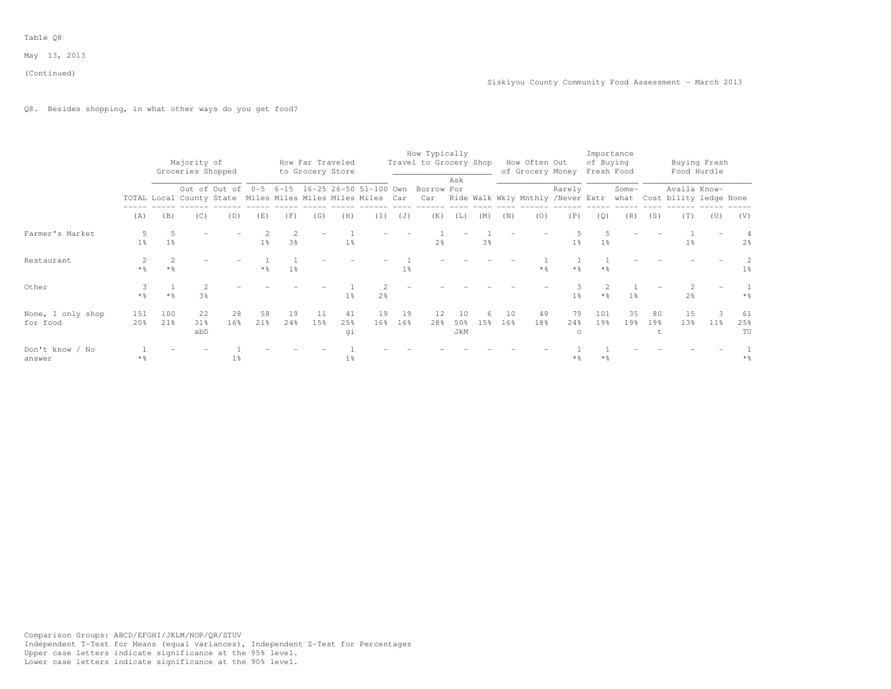(Continued)

Q8. Besides shopping, in what other ways do you get food?

|                               |                        |                | Majority of<br>Groceries Shopped |           |                |                |           | How Far Traveled<br>to Grocery Store |           |           | How Typically<br>Travel to Grocery Shop                  |                  |                |           | How Often Out<br>of Grocery Money |                       | of Buying<br>Fresh Food | Importance     |                       |                                                                                                                                        | Buying Fresh<br>Food Hurdle |                 |
|-------------------------------|------------------------|----------------|----------------------------------|-----------|----------------|----------------|-----------|--------------------------------------|-----------|-----------|----------------------------------------------------------|------------------|----------------|-----------|-----------------------------------|-----------------------|-------------------------|----------------|-----------------------|----------------------------------------------------------------------------------------------------------------------------------------|-----------------------------|-----------------|
|                               |                        |                |                                  |           |                |                |           |                                      |           |           | Out of Out of 0-5 6-15 16-25 26-50 51-100 Own Borrow For | Ask              |                |           |                                   | Rarely                |                         | Some-          |                       | Availa Know-<br>TOTAL Local County State Miles Miles Miles Miles Car Car Ride Walk Wkly Mnthly /Never Extr what Cost bility ledge None |                             |                 |
|                               | (A)                    | (B)            | (C)                              | (D)       | (E)            | (F)            | (G)       | (H)                                  | (I)       | (J)       | (K)                                                      | (L)              | (M)            | (N)       | (0)                               | (P)                   | (Q)                     | (R)            | (S)                   | (T)                                                                                                                                    | (U)                         | (V)             |
| Farmer's Market               | $1\%$                  | 1 <sup>8</sup> |                                  |           | $1\frac{6}{5}$ | 3 <sup>°</sup> |           | 1 <sup>°</sup>                       |           |           | 2 <sup>°</sup>                                           |                  | 3 <sup>8</sup> |           |                                   | 1 <sub>8</sub>        | 1 <sup>°</sup>          |                |                       | $1\%$                                                                                                                                  |                             | 2 <sup>8</sup>  |
| Restaurant                    | 2<br>* %               | $*$ 2          |                                  |           | $*$ %          | 1 <sup>°</sup> |           |                                      |           | $1\%$     |                                                          |                  |                |           | $*$ %                             | $*$ %                 | $*$ %                   |                |                       |                                                                                                                                        |                             | 1 <sup>°</sup>  |
| Other                         | $*$ $\frac{6}{2}$      | $*2$           | 3 <sup>°</sup>                   |           |                |                |           | 1 <sup>°</sup>                       | 2%        |           |                                                          |                  |                |           |                                   | 1 <sup>°</sup>        | $*$ $\frac{6}{5}$       | 1 <sup>°</sup> |                       | 2 <sup>°</sup>                                                                                                                         |                             | $*$ %           |
| None, I only shop<br>for food | 151<br>20 <sup>8</sup> | 100<br>21%     | 22<br>31%<br>abD                 | 28<br>16% | 58<br>21%      | 19<br>24%      | 11<br>15% | 41<br>25%<br>qi                      | 19<br>16% | 19<br>16% | 12<br>28%                                                | 10<br>50%<br>JkM | 6<br>1.5%      | 10<br>16% | 49<br>18%                         | 79<br>24%<br>$\Omega$ | 101<br>19%              | 35<br>19%      | 80<br>19 <sup>°</sup> | 15<br>1.3%                                                                                                                             | 3<br>$11\%$                 | 61<br>25%<br>TU |
| Don't know / No<br>answer     | * %                    |                |                                  | $1\%$     |                |                |           | $1\%$                                |           |           |                                                          |                  |                |           |                                   | $*$ %                 | $*$ %                   |                |                       |                                                                                                                                        |                             | $*$ %           |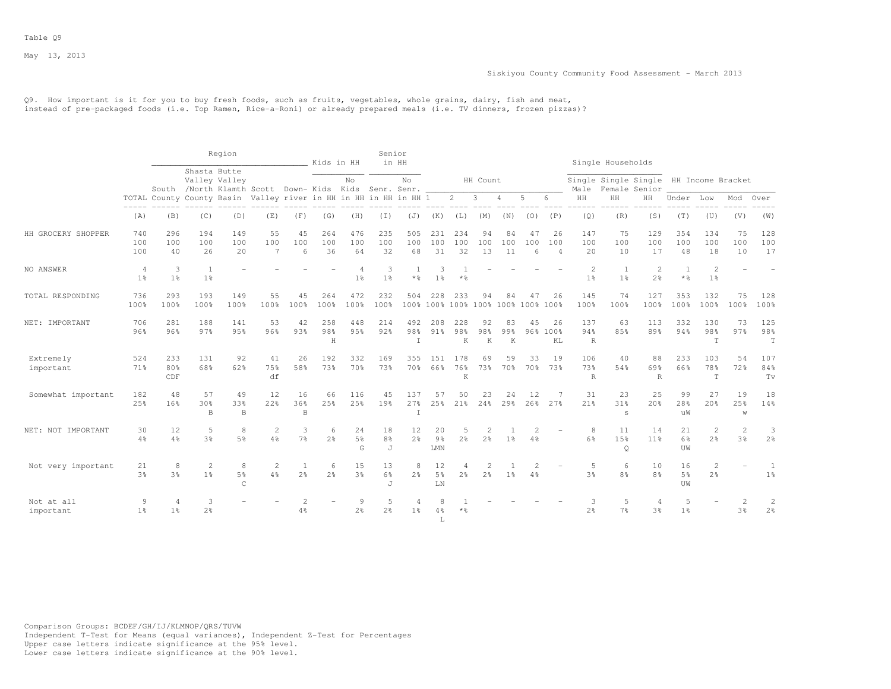#### Siskiyou County Community Food Assessment - March 2013

Q9. How important is it for you to buy fresh foods, such as fruits, vegetables, whole grains, dairy, fish and meat, instead of pre-packaged foods (i.e. Top Ramen, Rice-a-Roni) or already prepared meals (i.e. TV dinners, frozen pizzas)?

|                         |                     |                                  |                                | Region                                                                |                             |                     | Kids in HH          |                           | Senior                    | in HH                 |                                     |                                 |                                  |                 |                |                             |                                | Single Households                      |                          |                            |                                |                     |                                  |
|-------------------------|---------------------|----------------------------------|--------------------------------|-----------------------------------------------------------------------|-----------------------------|---------------------|---------------------|---------------------------|---------------------------|-----------------------|-------------------------------------|---------------------------------|----------------------------------|-----------------|----------------|-----------------------------|--------------------------------|----------------------------------------|--------------------------|----------------------------|--------------------------------|---------------------|----------------------------------|
|                         |                     |                                  | Shasta Butte                   | Valley Valley<br>South /North Klamth Scott Down-Kids Kids Senr. Senr. |                             |                     |                     | No                        |                           | No                    |                                     |                                 | HH Count                         |                 |                |                             | Male                           | Single Single Single HH Income Bracket | Female Senior            |                            |                                |                     |                                  |
|                         |                     |                                  |                                | TOTAL County County Basin Valley river in HH in HH in HH in HH 1      |                             |                     |                     |                           |                           |                       |                                     | $2^{\circ}$                     | 3                                | 4               | 5              | 6                           | $\rm{HH}$                      | HH                                     | HH                       | Under                      | Low                            | Mod                 | Over                             |
|                         | (A)                 | (B)                              | (C)                            | (D)                                                                   | (E)                         | (F)                 | (G)                 | (H)                       | (I)                       | (J)                   | (K)                                 | (L)                             | (M)                              | (N)             | (0)            | (P)                         | (Q)                            | (R)                                    | (S)                      | (T)                        | (U)                            | (V)                 | (W)                              |
| HH GROCERY SHOPPER      | 740<br>100<br>100   | 296<br>100<br>40                 | 194<br>100<br>26               | 149<br>100<br>20                                                      | 55<br>100<br>$\overline{7}$ | 45<br>100<br>6      | 264<br>100<br>36    | 476<br>100<br>64          | 235<br>100<br>32          | 505<br>100<br>68      | 231<br>100<br>31                    | 234<br>100<br>32                | 94<br>100<br>13                  | 84<br>100<br>11 | 47<br>100<br>6 | 26<br>100<br>$\overline{4}$ | 147<br>100<br>20               | 75<br>100<br>10                        | 129<br>100<br>17         | 354<br>100<br>48           | 134<br>100<br>18               | 75<br>100<br>10     | 128<br>100<br>17                 |
| NO ANSWER               | 4<br>1 <sup>°</sup> | 3<br>1 <sup>°</sup>              | <sup>1</sup><br>1 <sup>°</sup> |                                                                       |                             |                     |                     | 4<br>1 <sup>°</sup>       | 3<br>1 <sup>°</sup>       | $\star$ $\frac{6}{6}$ | 3<br>1 <sup>°</sup>                 | $*$ %                           |                                  |                 |                |                             | 2<br>1 <sup>°</sup>            | 1<br>1 <sup>°</sup>                    | 2<br>2 <sup>°</sup>      | 1<br>$\star$ $\frac{6}{6}$ | 2<br>1 <sup>°</sup>            |                     |                                  |
| TOTAL RESPONDING        | 736<br>100%         | 293<br>100%                      | 193<br>100%                    | 149<br>100%                                                           | 55<br>100%                  | 45<br>100%          | 264<br>100%         | 472<br>100%               | 232<br>100%               | 504                   | 228<br>100% 100%                    | 233<br>100% 100% 100% 100% 100% | 94                               | 84              | 47             | 26                          | 145<br>100%                    | 74<br>100%                             | 127<br>100%              | 353<br>100%                | 132<br>100%                    | 75<br>100%          | 128<br>100%                      |
| NET: IMPORTANT          | 706<br>96%          | 281<br>96%                       | 188<br>97%                     | 141<br>95%                                                            | 53<br>96%                   | 42<br>93%           | 258<br>98%<br>H     | 448<br>9.5%               | 214<br>92%                | 492<br>98%<br>T       | 208<br>91%                          | 228<br>98%<br>K                 | 92<br>98%<br>K                   | 83<br>99%<br>K  | 45             | 26<br>96% 100%<br>KL        | 137<br>94%<br>$\, {\mathbb R}$ | 63<br>85%                              | 113<br>89%               | 332<br>94%                 | 130<br>98%<br>T                | 73<br>97%           | 125<br>98%<br>$\mathbf T$        |
| Extremely<br>important  | 524<br>71%          | 233<br>80%<br>CDF                | 131<br>68%                     | 92<br>62%                                                             | 41<br>75%<br>df             | 26<br>58%           | 192<br>73%          | 332<br>70%                | 169<br>73%                | 355<br>70%            | 1.51<br>66%                         | 178<br>76%<br>K                 | 69<br>73%                        | 59<br>70%       | 33<br>70%      | 19<br>73%                   | 106<br>73%<br>$\mathbb R$      | 40<br>54%                              | 88<br>69%<br>$\mathbb R$ | 233<br>66%                 | 103<br>78%<br>$\mathbb T$      | 54<br>72%           | 107<br>84%<br>Tv                 |
| Somewhat important      | 182<br>25%          | 48<br>16%                        | 57<br>30%<br>B                 | 49<br>33%<br>$\mathbb B$                                              | 12<br>22%                   | 16<br>36%<br>B      | 66<br>25%           | 116<br>25%                | 45<br>19%                 | 137<br>27%<br>T       | 57<br>25%                           | 50<br>21%                       | 23<br>24%                        | 24<br>29%       | 12<br>26%      | 27%                         | 31<br>21%                      | 23<br>31%<br>s                         | 25<br>20%                | 99<br>28%<br>uW            | 27<br>20%                      | 19<br>25%<br>W      | 18<br>14%                        |
| NET: NOT IMPORTANT      | 30<br>$4\%$         | 12<br>4%                         | 5<br>3 <sup>8</sup>            | 8<br>5 <sup>9</sup>                                                   | $\overline{c}$<br>4%        | 3<br>$7\frac{6}{9}$ | 6<br>2.8            | 24<br>$5\frac{6}{6}$<br>G | 18<br>8 <sup>°</sup><br>J | 12<br>2 <sup>o</sup>  | 20<br>$9\frac{6}{9}$<br>${\rm LMN}$ | $2\frac{6}{6}$                  | $\overline{2}$<br>2 <sup>°</sup> | 1 <sup>°</sup>  | 4%             |                             | 8<br>6%                        | 11<br>15%<br>$\mathsf{Q}$              | 14<br>11 <sup>9</sup>    | 21<br>6%<br>UW             | 2<br>2 <sup>o</sup>            | 2<br>3 <sup>8</sup> | 3<br>2 <sup>o</sup>              |
| Not very important      | 21<br>3%            | 8<br>3%                          | 2<br>1 <sup>8</sup>            | 8<br>5%<br>$\subset$                                                  | $\mathcal{D}$<br>4%         | 2 <sup>°</sup>      | 6<br>2 <sup>8</sup> | 15<br>3 <sup>8</sup>      | 13<br>6%<br>J             | 8<br>2 <sup>8</sup>   | 12<br>5 <sup>8</sup><br>LN          | 2 <sup>°</sup>                  | $\overline{\mathcal{L}}$<br>2.8  | 1 <sup>°</sup>  | 4%             |                             | $\overline{5}$<br>3%           | 6<br>8 <sup>°</sup>                    | 10<br>8 <sup>°</sup>     | 16<br>5 <sup>8</sup><br>UW | $\mathbf{2}$<br>2 <sup>°</sup> |                     | 1 <sup>°</sup>                   |
| Not at all<br>important | 9<br>1 <sup>°</sup> | $\overline{4}$<br>1 <sup>°</sup> | 3<br>2 <sup>o</sup>            |                                                                       |                             | 4%                  |                     | 9<br>2 <sup>o</sup>       | .5<br>2 <sup>o</sup>      | 1 <sup>°</sup>        | 4%<br>L                             | **                              |                                  |                 |                |                             | 3<br>2 <sup>°</sup>            | .5<br>7 <sup>°</sup>                   | 4<br>3 <sup>°</sup>      | 5<br>1 <sup>°</sup>        |                                | 3%                  | $\overline{c}$<br>2 <sup>°</sup> |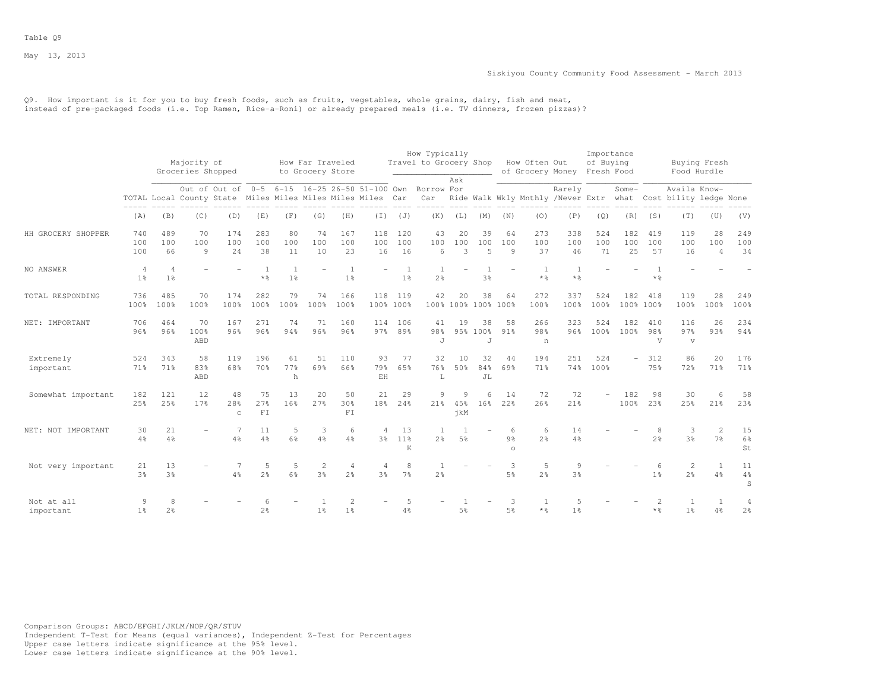Q9. How important is it for you to buy fresh foods, such as fruits, vegetables, whole grains, dairy, fish and meat, instead of pre-packaged foods (i.e. Top Ramen, Rice-a-Roni) or already prepared meals (i.e. TV dinners, frozen pizzas)?

|                         |                                  |                     |                                  |                                                                                                                        |                           |                                  |                                      |                                  |                                        |                                  | How Typically                    |                 |                             |                                |                                   |                                             | Importance              |                          |                              |                                        |                             |                           |
|-------------------------|----------------------------------|---------------------|----------------------------------|------------------------------------------------------------------------------------------------------------------------|---------------------------|----------------------------------|--------------------------------------|----------------------------------|----------------------------------------|----------------------------------|----------------------------------|-----------------|-----------------------------|--------------------------------|-----------------------------------|---------------------------------------------|-------------------------|--------------------------|------------------------------|----------------------------------------|-----------------------------|---------------------------|
|                         |                                  |                     | Majority of<br>Groceries Shopped |                                                                                                                        |                           |                                  | How Far Traveled<br>to Grocery Store |                                  |                                        |                                  | Travel to Grocery Shop           |                 |                             |                                | How Often Out<br>of Grocery Money |                                             | of Buying<br>Fresh Food |                          |                              | Buying Fresh<br>Food Hurdle            |                             |                           |
|                         |                                  |                     |                                  | Out of Out of 0-5 6-15 16-25 26-50 51-100 Own Borrow For<br>TOTAL Local County State Miles Miles Miles Miles Miles Car |                           |                                  |                                      |                                  |                                        |                                  | Car                              | Ask             |                             |                                |                                   | Rarely<br>Ride Walk Wkly Mnthly /Never Extr |                         | Some-<br>what            |                              | Availa Know-<br>Cost bility ledge None |                             |                           |
|                         | (A)                              | (B)                 | (C)                              | (D)                                                                                                                    | (E)                       | (F)                              | (G)                                  | (H)                              | (I)                                    | (J)                              | (K)                              | (L)             | (M)                         | (N)                            | (0)                               | (P)                                         | (Q)                     | (R)                      | (S)                          | (T)                                    | (U)                         | (V)                       |
| HH GROCERY SHOPPER      | 740<br>100<br>100                | 489<br>100<br>66    | 70<br>100<br>9                   | 174<br>100<br>2.4                                                                                                      | 283<br>100<br>38          | 80<br>100<br>11                  | 74<br>100<br>10                      | 167<br>100<br>23                 | 118<br>100<br>16                       | 120<br>100<br>16                 | 43<br>100<br>$6 \overline{6}$    | 20<br>100<br>3  | 39<br>100<br>$\overline{5}$ | 64<br>100<br>9                 | 273<br>100<br>37                  | 338<br>100<br>46                            | 524<br>100<br>71        | 182<br>100<br>2.5        | 419<br>100<br>57             | 119<br>100<br>16                       | 28<br>100<br>$\overline{4}$ | 249<br>100<br>34          |
| NO ANSWER               | $\overline{4}$<br>1 <sup>°</sup> | 4<br>1 <sup>°</sup> |                                  |                                                                                                                        | 1<br>$*$ %                | $\overline{1}$<br>1 <sup>°</sup> |                                      | $\overline{1}$<br>1 <sup>°</sup> |                                        | $\overline{1}$<br>1 <sup>°</sup> | 2 <sup>°</sup>                   |                 | $\mathbf{1}$<br>3%          |                                | $\overline{1}$<br>$*$ %           | $\overline{1}$<br>$*$ %                     |                         |                          | $*$ %                        |                                        |                             |                           |
| TOTAL RESPONDING        | 736<br>100%                      | 485<br>100%         | 70<br>100%                       | 174<br>100%                                                                                                            | 282<br>100%               | 79<br>100%                       | 74<br>100%                           | 166<br>100%                      | 118<br>100% 100%                       | 119                              | 42                               | 20              | 38<br>100% 100% 100% 100%   | 64                             | 272<br>100%                       | 337<br>100%                                 | 524<br>100%             | 182                      | 418<br>100% 100%             | 119<br>100%                            | 28<br>100%                  | 249<br>100%               |
| NET: IMPORTANT          | 706<br>96%                       | 464<br>96%          | 70<br>100%<br>ABD                | 167<br>96%                                                                                                             | 271<br>96%                | 74<br>94%                        | 71<br>96%                            | 160<br>96%                       | 97%                                    | 114 106<br>89%                   | 41<br>98%<br>J                   | 19              | 38<br>95% 100%<br>J         | 58<br>91%                      | 266<br>98%<br>n                   | 323<br>96%                                  | 524<br>100%             | 182<br>100%              | 410<br>98%<br>$\overline{V}$ | 116<br>97%<br>$\sqrt{ }$               | 26<br>93%                   | 234<br>94%                |
| Extremely<br>important  | 524<br>71%                       | 343<br>71%          | 58<br>83%<br>ABD                 | 119<br>68%                                                                                                             | 196<br>70%                | 61<br>77%<br>h                   | 51<br>69%                            | 110<br>66%                       | 93<br>79%<br>$\mathop{\hbox{\rm E}} H$ | 77<br>6.5%                       | 32<br>76%<br>L                   | 10<br>50%       | 32<br>84%<br>JL             | 44<br>69%                      | 194<br>71%                        | 251<br>74%                                  | 524<br>100%             | $\overline{\phantom{0}}$ | 312<br>75%                   | 86<br>72%                              | 20<br>71%                   | 176<br>71%                |
| Somewhat important      | 182<br>25%                       | 121<br>25%          | 12<br>17%                        | 48<br>28%<br>$\mathsf{C}$                                                                                              | 75<br>27%<br>${\rm F\,I}$ | 13<br>16%                        | 20<br>27%                            | 50<br>30%<br>FI                  | 21<br>18%                              | 29<br>24%                        | 9<br>21%                         | 9<br>45%<br>jkM | 6<br>16%                    | 14<br>22%                      | 72<br>26%                         | 72<br>21%                                   |                         | 182<br>100%              | 98<br>23%                    | 30<br>25%                              | 6<br>21%                    | 58<br>23%                 |
| NET: NOT IMPORTANT      | 30<br>4%                         | 21<br>4%            |                                  | 4%                                                                                                                     | 11<br>4%                  | 5<br>6%                          | 3<br>4%                              | 6<br>4%                          | 4                                      | 13<br>3% 11%<br>K                | <sup>1</sup><br>2 <sup>8</sup>   | 5%              |                             | 6<br>9 <sub>8</sub><br>$\circ$ | 6<br>2.8                          | 14<br>4%                                    |                         |                          | 8<br>2 <sup>°</sup>          | 3<br>3 <sup>°</sup>                    | $\overline{c}$<br>7%        | 15<br>$6\%$<br>St         |
| Not very important      | 21<br>3 <sup>°</sup>             | 13<br>3%            |                                  | 4%                                                                                                                     | 5<br>2 <sup>o</sup>       | 5<br>6%                          | 2<br>3%                              | 4<br>2 <sup>8</sup>              | $\overline{4}$<br>3%                   | 8<br>7 <sup>°</sup>              | $\overline{1}$<br>2 <sup>°</sup> |                 |                             | 3<br>5 <sup>8</sup>            | 5<br>2.8                          | 9<br>3%                                     |                         |                          | 6<br>1 <sup>8</sup>          | 2<br>2 <sup>o</sup>                    | 1<br>$4\frac{6}{6}$         | 11<br>$4\frac{6}{6}$<br>S |
| Not at all<br>important | 9<br>1 <sup>°</sup>              | 8<br>$2\frac{6}{6}$ |                                  |                                                                                                                        | $2\frac{6}{9}$            |                                  | 1 <sup>°</sup>                       | $\overline{c}$<br>1 <sup>°</sup> |                                        | 4%                               |                                  | 5 <sup>8</sup>  |                             | 3<br>$5\frac{6}{6}$            | $*$ %                             | .5<br>1%                                    |                         |                          | 2<br>$*$ %                   | -1<br>1 <sup>°</sup>                   | 1<br>4%                     | 4<br>$2\frac{6}{6}$       |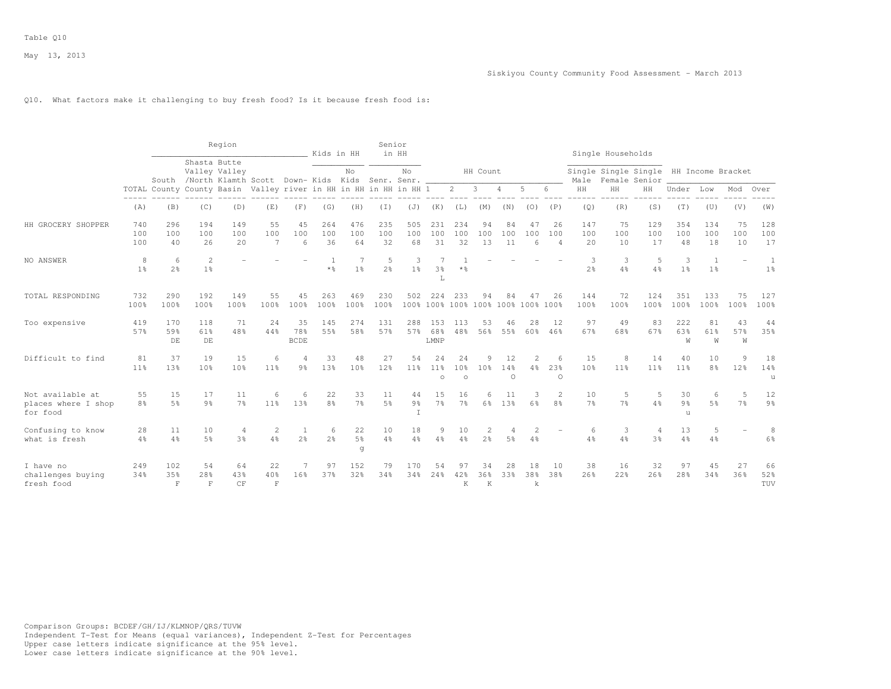## Q10. What factors make it challenging to buy fresh food? Is it because fresh food is:

|                                                     |                       |                           |                                  | Region                                                                 |                                        |                          | Kids in HH              |                           | Senior               | in HH                     |                         |                                  |                      |                      |                      |                             |                      | Single Households                                       |                       |                       |                      |                      |                      |
|-----------------------------------------------------|-----------------------|---------------------------|----------------------------------|------------------------------------------------------------------------|----------------------------------------|--------------------------|-------------------------|---------------------------|----------------------|---------------------------|-------------------------|----------------------------------|----------------------|----------------------|----------------------|-----------------------------|----------------------|---------------------------------------------------------|-----------------------|-----------------------|----------------------|----------------------|----------------------|
|                                                     |                       |                           | Shasta Butte                     | Valley Valley<br>South /North Klamth Scott Down- Kids Kids Senr. Senr. |                                        |                          |                         | No                        |                      | No                        |                         |                                  | HH Count             |                      |                      |                             | Male                 | Single Single Single HH Income Bracket<br>Female Senior |                       |                       |                      |                      |                      |
|                                                     | $---$                 | TOTAL County County Basin |                                  |                                                                        | Valley river in HH in HH in HH in HH 1 |                          |                         |                           |                      |                           |                         | $\mathbf{2}$                     | 3                    | 4                    | 5                    | 6.                          | $\rm{HH}$            | HH                                                      | HH                    | Under                 | Low                  | Mod                  | Over                 |
|                                                     | (A)                   | (B)                       | (C)                              | (D)                                                                    | (E)                                    | (F)                      | (G)                     | (H)                       | (I)                  | (J)                       | (K)                     | (L)                              | (M)                  | (N)                  | (0)                  | (P)                         | (Q)                  | (R)                                                     | (S)                   | (T)                   | (U)                  | (V)                  | (W)                  |
| HH GROCERY SHOPPER                                  | 740<br>100<br>100     | 296<br>100<br>40          | 194<br>100<br>26                 | 149<br>100<br>20                                                       | 55<br>100<br>7                         | 45<br>100<br>6           | 264<br>100<br>36        | 476<br>100<br>64          | 235<br>100<br>32     | 505<br>100<br>68          | 231<br>100<br>31        | 234<br>100<br>32                 | 94<br>100<br>13      | 84<br>100<br>11      | 47<br>100<br>6       | 26<br>100<br>$\overline{4}$ | 147<br>100<br>20     | 75<br>100<br>10                                         | 129<br>100<br>17      | 354<br>100<br>48      | 134<br>100<br>18     | 75<br>100<br>10      | 128<br>100<br>17     |
| NO ANSWER                                           | 8<br>1 <sup>°</sup>   | 6<br>2 <sup>°</sup>       | $\overline{c}$<br>1 <sup>°</sup> |                                                                        |                                        |                          | -1<br>$*$ $\frac{6}{6}$ | 1 <sup>°</sup>            | 5<br>2 <sup>o</sup>  | 3<br>1 <sup>°</sup>       | 3%<br>L                 | $*$ $\frac{6}{5}$                |                      |                      |                      |                             | 3<br>2 <sup>o</sup>  | -3<br>4%                                                | -5<br>4%              | 3<br>1 <sup>°</sup>   | 1<br>1 <sup>°</sup>  |                      | 1<br>1 <sup>°</sup>  |
| TOTAL RESPONDING                                    | 732<br>100%           | 290<br>100%               | 192<br>100%                      | 149<br>100%                                                            | 55<br>100%                             | 45<br>100%               | 263<br>100%             | 469<br>100%               | 230<br>100%          | 502                       | 224                     | 233<br>100% 100% 100% 100% 100%  | 94                   | 84                   | 47<br>100%           | 26<br>100%                  | 144<br>100%          | 72<br>100%                                              | 124<br>100%           | 351<br>100%           | 133<br>100%          | 75<br>100%           | 127<br>100%          |
| Too expensive                                       | 419<br>57%            | 170<br>59%<br>DE          | 118<br>61%<br>DE                 | 71<br>48%                                                              | 24<br>44%                              | 35<br>78%<br><b>BCDE</b> | 145<br>55%              | 274<br>58%                | 131<br>57%           | 288<br>57%                | 153<br>68%<br>LMNP      | 113<br>48%                       | 53<br>56%            | 46<br>55%            | 28<br>60%            | 12<br>46%                   | 97<br>67%            | 49<br>68%                                               | 83<br>67%             | 222<br>63%<br>M       | 81<br>61%<br>W       | 43<br>57%<br>W       | 44<br>35%            |
| Difficult to find                                   | 81<br>11 <sup>°</sup> | 37<br>13%                 | 19<br>10 <sup>°</sup>            | 15<br>10%                                                              | 6<br>11 <sup>8</sup>                   | 9 <sub>8</sub>           | 33<br>13%               | 48<br>10 <sup>8</sup>     | 27<br>12%            | 54<br>11 <sub>8</sub>     | 24<br>$11\%$<br>$\circ$ | 24<br>10 <sub>8</sub><br>$\circ$ | 9<br>10 <sup>8</sup> | 12<br>14%<br>$\circ$ | $\mathfrak{D}$<br>4% | 6<br>23%<br>$\circ$         | 15<br>10%            | 8<br>11%                                                | 14<br>11 <sup>°</sup> | 40<br>11 <sup>°</sup> | 10<br>8 <sup>°</sup> | 9<br>12 <sup>°</sup> | 18<br>14%<br>u       |
| Not available at<br>places where I shop<br>for food | 55<br>8 <sup>°</sup>  | 15<br>5 <sup>°</sup>      | 17<br>9 <sub>8</sub>             | 11<br>7 <sup>°</sup>                                                   | 6<br>11 <sup>8</sup>                   | 6<br>13%                 | 22<br>8%                | 33<br>7 <sup>°</sup>      | 11<br>$5\frac{6}{6}$ | 44<br>9 <sub>8</sub><br>T | 15<br>7 <sup>°</sup>    | 16<br>7 <sup>°</sup>             | 6<br>$6\frac{6}{9}$  | 11<br>13%            | З<br>6%              | $\overline{2}$<br>8%        | 10<br>7 <sup>°</sup> | 5<br>7 <sup>°</sup>                                     | 5<br>4%               | 30<br>9%<br>u         | 6<br>5 <sup>°</sup>  | 5<br>7%              | 12<br>9 <sub>8</sub> |
| Confusing to know<br>what is fresh                  | 28<br>$4\%$           | 11<br>4%                  | 10<br>5%                         | 4<br>3%                                                                | $\overline{2}$<br>4%                   | 1<br>$2\frac{6}{9}$      | 6<br>2 <sup>°</sup>     | 22<br>$5\frac{6}{6}$<br>g | 10<br>4%             | 18<br>4%                  | 9<br>4%                 | 10<br>4%                         | 2<br>2 <sup>°</sup>  | 5%                   | 4%                   |                             | 6<br>4%              | 3<br>4%                                                 | 4<br>3 <sup>°</sup>   | 13<br>4%              | 5<br>4%              |                      | 8<br>6%              |
| I have no<br>challenges buying<br>fresh food        | 249<br>34%            | 102<br>35%<br>$\mathbf F$ | 54<br>28%<br>$\mathbb{F}$        | 64<br>43%<br>CF                                                        | 22<br>40%<br>$\mathbf F$               | 16%                      | 97<br>37%               | 152<br>32%                | 79<br>34%            | 170<br>34%                | 54<br>24%               | 97<br>42%<br>K                   | 34<br>36%<br>K       | 28<br>33%            | 18<br>38%<br>k       | 10<br>38%                   | 38<br>26%            | 16<br>22%                                               | 32<br>26%             | 97<br>28%             | 45<br>34%            | 27<br>36%            | 66<br>52%<br>TUV     |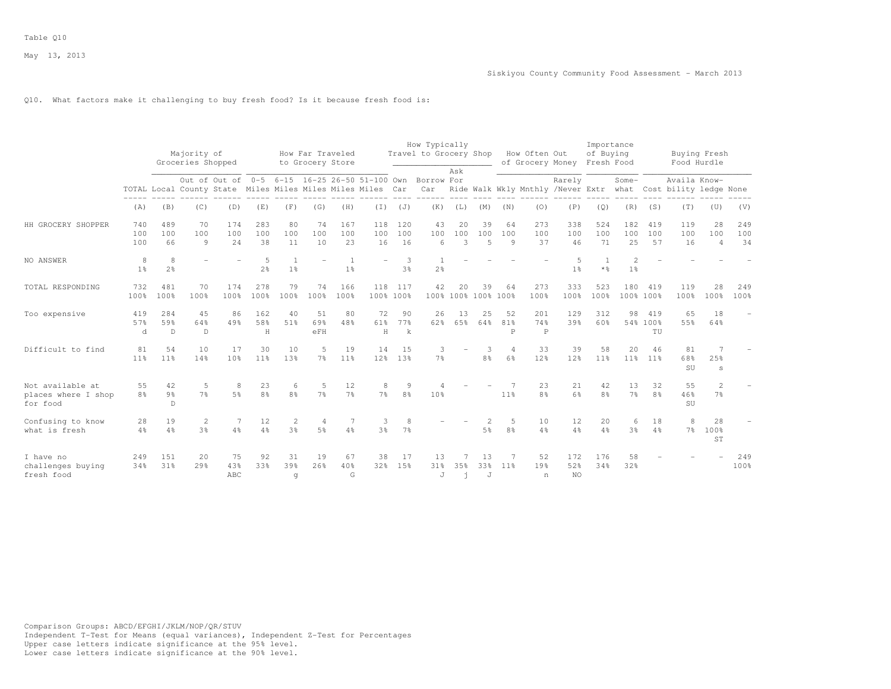## Q10. What factors make it challenging to buy fresh food? Is it because fresh food is:

|                                                     |                      |                                      | Majority of<br>Groceries Shopped |                                                            |                       |                       | How Far Traveled<br>to Grocery Store |                       |                       |                          | How Typically<br>Travel to Grocery Shop |                |                           |                      | How Often Out<br>of Grocery Money |                                                               | Importance<br>of Buying<br>Fresh Food |                       |                       | Food Hurdle         | Buying Fresh                     |                  |
|-----------------------------------------------------|----------------------|--------------------------------------|----------------------------------|------------------------------------------------------------|-----------------------|-----------------------|--------------------------------------|-----------------------|-----------------------|--------------------------|-----------------------------------------|----------------|---------------------------|----------------------|-----------------------------------|---------------------------------------------------------------|---------------------------------------|-----------------------|-----------------------|---------------------|----------------------------------|------------------|
|                                                     |                      |                                      |                                  | Out of Out of 0-5 6-15 16-25 26-50 51-100 Own              |                       |                       |                                      |                       |                       |                          | Borrow For                              | Ask            |                           |                      |                                   | Rarely                                                        |                                       | Some-                 |                       | Availa Know-        |                                  |                  |
|                                                     |                      |                                      |                                  | TOTAL Local County State Miles Miles Miles Miles Miles Car |                       |                       |                                      |                       |                       |                          | Car                                     |                |                           |                      |                                   | Ride Walk Wkly Mnthly /Never Extr what Cost bility ledge None |                                       |                       |                       |                     |                                  |                  |
|                                                     | (A)                  | (B)                                  | (C)                              | (D)                                                        | (E)                   | (F)                   | (G)                                  | (H)                   | $(\top)$              | (J)                      | (K)                                     | (L)            | (M)                       | (N)                  | (0)                               | (P)                                                           | (Q)                                   | (R)                   | (S)                   | (T)                 | (U)                              | (V)              |
| HH GROCERY SHOPPER                                  | 740<br>100<br>100    | 489<br>100<br>66                     | 70<br>100<br>9                   | 174<br>100<br>24                                           | 283<br>100<br>38      | 80<br>100<br>11       | 74<br>100<br>10                      | 167<br>100<br>23      | 118<br>100<br>16      | 120<br>100<br>16         | 43<br>100<br>6                          | 20<br>100<br>3 | 39<br>100<br>5            | 64<br>100<br>$\circ$ | 273<br>100<br>37                  | 338<br>100<br>46                                              | 524<br>100<br>71                      | 182<br>100<br>25      | 419<br>100<br>57      | 119<br>100<br>16    | 28<br>100<br>$\overline{4}$      | 249<br>100<br>34 |
| NO ANSWER                                           | 8<br>1 <sup>°</sup>  | 8<br>2 <sup>o</sup>                  |                                  |                                                            | 5<br>2 <sup>o</sup>   | 1 <sup>°</sup>        |                                      | 1 <sup>°</sup>        |                       | 3<br>3 <sup>°</sup>      | -1<br>2 <sup>°</sup>                    |                |                           |                      |                                   | 5<br>1 <sup>°</sup>                                           | $*$ $\frac{6}{6}$                     | 2<br>1 <sup>°</sup>   |                       |                     |                                  |                  |
| TOTAL RESPONDING                                    | 732<br>100%          | 481<br>100%                          | 70<br>100%                       | 174<br>100%                                                | 278<br>100%           | 79<br>100%            | 74<br>100%                           | 166<br>100%           | 118                   | 117<br>100% 100%         | 42                                      | 20             | 39<br>100% 100% 100% 100% | 64                   | 273<br>100%                       | 333<br>100%                                                   | 523<br>100%                           | 180<br>100% 100%      | 419                   | 119<br>100%         | 28<br>100%                       | 249<br>100%      |
| Too expensive                                       | 419<br>57%<br>d      | 284<br>59%<br>$\mathbb D$            | 45<br>64%<br>D                   | 86<br>49%                                                  | 162<br>58%<br>H       | 40<br>51%             | 51<br>69%<br>eFH                     | 80<br>48%             | 72<br>61%<br>H        | 90<br>77%<br>$\mathbf k$ | 26<br>62%                               | 13<br>65%      | 25<br>64%                 | 52<br>81%<br>P       | 201<br>74%<br>$\mathbb P$         | 129<br>39%                                                    | 312<br>60%                            | 98                    | 419<br>54% 100%<br>TU | 65<br>55%           | 18<br>64%                        |                  |
| Difficult to find                                   | 81<br>11%            | 54<br>11 <sup>°</sup>                | 10<br>14%                        | 17<br>10%                                                  | 30<br>11 <sup>°</sup> | 10<br>13%             | 5<br>7 <sup>°</sup>                  | 19<br>11 <sup>°</sup> | 14<br>12 <sup>8</sup> | 15<br>13 <sup>8</sup>    | 3<br>7 <sup>°</sup>                     |                | 3<br>8 <sup>°</sup>       | $\overline{4}$<br>6% | 33<br>12%                         | 39<br>12%                                                     | 58<br>11%                             | 20<br>11 <sup>°</sup> | 46<br>11%             | 81<br>68%<br>SU     | 25%<br>S                         |                  |
| Not available at<br>places where I shop<br>for food | 55<br>8 <sup>°</sup> | 42<br>$9\frac{6}{6}$<br>$\mathbb{D}$ | 5<br>7 <sup>°</sup>              | 8<br>5 <sup>°</sup>                                        | 23<br>8 <sup>°</sup>  | 6<br>8 <sup>°</sup>   | 5<br>7 <sup>°</sup>                  | 12<br>7 <sup>°</sup>  | 8<br>7 <sup>°</sup>   | 9<br>8 <sup>°</sup>      | 10%                                     |                |                           | 11%                  | 23<br>8 <sup>°</sup>              | 21<br>6%                                                      | 42<br>8 <sup>°</sup>                  | 13<br>7 <sup>°</sup>  | 32<br>8 <sup>°</sup>  | 55<br>46%<br>SU     | $\overline{2}$<br>7 <sup>°</sup> |                  |
| Confusing to know<br>what is fresh                  | 28<br>$4\%$          | 19<br>$4\frac{6}{6}$                 | 2<br>3 <sup>°</sup>              | 7<br>$4\%$                                                 | 12<br>$4\frac{6}{6}$  | 2<br>3 <sup>°</sup>   | 4<br>5 <sup>°</sup>                  | 4%                    | 3<br>3 <sup>°</sup>   | 8<br>7 <sup>°</sup>      |                                         |                | 5 <sup>°</sup>            | 5.<br>8 <sup>°</sup> | 10<br>$4\frac{6}{9}$              | 12<br>$4\frac{6}{6}$                                          | 20<br>4%                              | 6<br>3 <sup>°</sup>   | 18<br>$4\frac{6}{6}$  | 8<br>7 <sup>°</sup> | 28<br>100%<br>ST                 |                  |
| I have no<br>challenges buying<br>fresh food        | 249<br>34%           | 151<br>31%                           | 20<br>$29$ <sup>2</sup>          | 75<br>43%<br>ABC                                           | 92<br>33%             | 31<br>39%<br>$\alpha$ | 19<br>26%                            | 67<br>40%<br>G        | 38<br>32 <sub>8</sub> | 17<br>15%                | 13<br>31%<br>J                          | 35%<br>ń       | 13<br>33%<br>J            | 7<br>11 <sup>8</sup> | 52<br>19%<br>n                    | 172<br>52%<br><b>NO</b>                                       | 176<br>34%                            | 58<br>32%             |                       |                     |                                  | 249<br>100%      |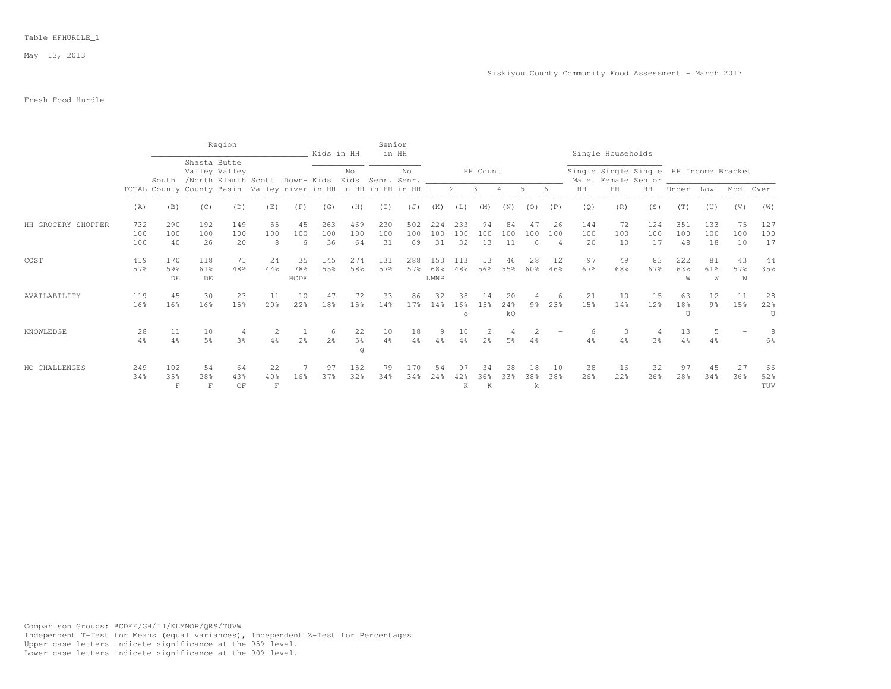## Fresh Food Hurdle

|                    |                   |                                                                  |                      | Region                               |                         |                          | Kids in HH           |                           | Senior               | in HH                             |                    |                      |                 |                 |                |                             |                  | Single Households  |                                        |                             |                      |                 |                           |
|--------------------|-------------------|------------------------------------------------------------------|----------------------|--------------------------------------|-------------------------|--------------------------|----------------------|---------------------------|----------------------|-----------------------------------|--------------------|----------------------|-----------------|-----------------|----------------|-----------------------------|------------------|--------------------|----------------------------------------|-----------------------------|----------------------|-----------------|---------------------------|
|                    |                   | South                                                            | Shasta Butte         | Valley Valley<br>/North Klamth Scott |                         |                          |                      | No                        |                      | No<br>Down- Kids Kids Senr. Senr. |                    |                      | HH Count        |                 |                |                             |                  | Male Female Senior | Single Single Single HH Income Bracket |                             |                      |                 |                           |
|                    |                   | TOTAL County County Basin Valley river in HH in HH in HH in HH 1 |                      |                                      |                         |                          |                      |                           |                      |                                   |                    | $\mathbf{2}$         | -3              |                 |                |                             | HH               | HH                 | HH                                     | Under                       | Low                  | Mod             | Over                      |
|                    | (A)               | (B)                                                              | (C)                  | (D)                                  | (E)                     | (F)                      | (G)                  | (H)                       | (I)                  | (J)                               | (K)                | $(\bot)$             | (M)             | (N)             | (O)            | (P)                         | (Q)              | (R)                | (S)                                    | (T)                         | (U)                  | (V)             | (W)                       |
| HH GROCERY SHOPPER | 732<br>100<br>100 | 290<br>100<br>40                                                 | 192<br>100<br>26     | 149<br>100<br>20                     | 55<br>100<br>8          | 45<br>100<br>6           | 263<br>100<br>36     | 469<br>100<br>64          | 230<br>100<br>31     | 502<br>100<br>69                  | 224<br>100<br>31   | 233<br>100<br>32     | 94<br>100<br>13 | 84<br>100<br>11 | 47<br>100<br>6 | 26<br>100<br>$\overline{4}$ | 144<br>100<br>20 | 72<br>100<br>10    | 124<br>100<br>17                       | 351<br>100<br>48            | 133<br>100<br>18     | 75<br>100<br>10 | 127<br>100<br>17          |
| COST               | 419<br>57%        | 170<br>59%<br>DE                                                 | 118<br>61%<br>DE     | 71<br>48%                            | 24<br>44%               | 35<br>78%<br><b>BCDE</b> | 145<br>55%           | 274<br>58%                | 131<br>57%           | 288<br>57%                        | 153<br>68%<br>LMNP | 113<br>48%           | 53<br>56%       | 46<br>55%       | 28<br>60%      | 12<br>46%                   | 97<br>67%        | 49<br>68%          | 83<br>67%                              | 222<br>63%<br>W             | 81<br>61%<br>W       | 43<br>57%<br>W  | 44<br>35%                 |
| AVAILABILITY       | 119<br>16%        | 45<br>16%                                                        | 30<br>16%            | 23<br>15%                            | 11<br>20%               | 10<br>22%                | 47<br>18%            | 72<br>15%                 | 33<br>14%            | 86<br>17 <sub>8</sub>             | 32<br>14%          | 38<br>16%<br>$\circ$ | 14<br>1.5%      | 20<br>24%<br>kO | 9%             | 23%                         | 21<br>15%        | 10<br>14%          | 15<br>12%                              | 63<br>18%<br>$\overline{U}$ | 12<br>$9\frac{6}{6}$ | 11<br>15%       | 28<br>22%<br>$\mathbf{U}$ |
| KNOWLEDGE          | 28<br>$4\%$       | 11<br>4%                                                         | 10<br>5 <sup>°</sup> | 3%                                   | 2<br>4%                 | 2 <sup>°</sup>           | -6<br>2 <sup>o</sup> | 22<br>$5\frac{6}{9}$<br>g | 10<br>$4\frac{6}{6}$ | 18<br>4%                          | 9<br>4%            |                      | 2 <sup>°</sup>  | 5%              |                |                             | 4%               | -3<br>4%           | 3 <sup>8</sup>                         | 13<br>4%                    | 5<br>4%              |                 | 6%                        |
| NO CHALLENGES      | 249<br>34%        | 102<br>35%<br>F                                                  | 54<br>28%<br>F       | 64<br>43%<br>CF                      | 22<br>40%<br>$_{\rm F}$ | 16%                      | 97<br>37%            | 152<br>32%                | 79<br>34%            | 170<br>34%                        | 54<br>24%          | K                    | 36%<br>K        | 28<br>33%       | 18<br>38%<br>k | 10<br>38%                   | 38<br>26%        | 16<br>22%          | 32<br>26%                              | 97<br>28%                   | 45<br>34%            | 27<br>36%       | 66<br>52%<br>TUV          |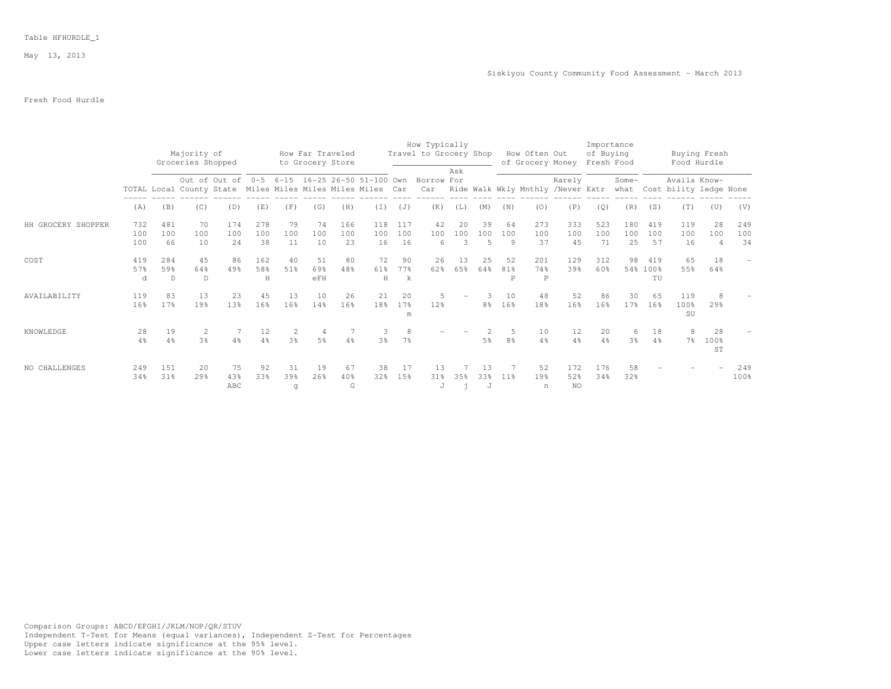## Table HFHURDLE\_1

May 13, 2013

# Fresh Food Hurdle

|                    |            |                       | Majority of<br>Groceries Shopped                                                                                                     |                  |                      |                | How Far Traveled<br>to Grocery Store |                |                      |                     | How Typically<br>Travel to Grocery Shop |           |                |                      | How Often Out<br>of Grocery Money |                         | Importance<br>of Buying<br>Fresh Food |                       |                      | Buying Fresh<br>Food Hurdle |                       |             |
|--------------------|------------|-----------------------|--------------------------------------------------------------------------------------------------------------------------------------|------------------|----------------------|----------------|--------------------------------------|----------------|----------------------|---------------------|-----------------------------------------|-----------|----------------|----------------------|-----------------------------------|-------------------------|---------------------------------------|-----------------------|----------------------|-----------------------------|-----------------------|-------------|
|                    |            |                       |                                                                                                                                      |                  |                      |                |                                      |                |                      |                     |                                         | Ask       |                |                      |                                   |                         |                                       | Some-                 |                      | Availa Know-                |                       |             |
|                    |            |                       | Out of Out of 0-5 6-15 16-25 26-50 51-100 Own Borrow For<br>TOTAL Local County State Miles Miles Miles Miles Miles Car<br>(C)<br>(D) |                  |                      |                |                                      |                |                      |                     | Car                                     |           |                |                      | Ride Walk Wkly Mnthly /Never Extr | Rarely                  |                                       |                       |                      | what Cost bility ledge None |                       |             |
|                    | (A)        | (B)                   |                                                                                                                                      |                  | (E)                  | (F)            | (G)                                  | (H)            | (I)                  | (J)                 | (K)                                     | (L)       | (M)            | (N)                  | (0)                               | (P)                     | (Q)                                   | (R)                   | (S)                  | (T)                         | (U)                   | (V)         |
| HH GROCERY SHOPPER | 732        | 481                   | 70                                                                                                                                   | 174              | 278                  | 79             | 74                                   | 166            | 118                  | 117                 | 42                                      | 20        | 39             | 64                   | 273                               | 333                     | 523                                   | 180                   | 419                  | 119                         | -28                   | 249         |
|                    | 100<br>100 | 100<br>66             | 100<br>10                                                                                                                            | 100<br>24        | 100<br>38            | 100<br>11      | 100<br>10                            | 100<br>23      | 100<br>16            | 100<br>16           | 100<br>6                                | 100<br>3  | 100<br>.5      | 100<br>9             | 100<br>37                         | 100<br>45               | 100<br>71                             | 100<br>25             | 100<br>57            | 100<br>16                   | 100<br>$\overline{4}$ | 100<br>34   |
| COST               | 419<br>57% | 284<br>59%            | 45<br>64%                                                                                                                            | 86<br>49%        | 162<br>58%           | 40<br>51%      | 51<br>69%                            | 80<br>48%      | 72<br>61%            | 90<br>77%           | 26<br>62%                               | 13<br>65% | 25<br>64%      | 52<br>81%            | 201<br>74%                        | 129<br>39%              | 312<br>60%                            | 98                    | 419<br>54% 100%      | 65<br>55%                   | 18<br>64%             |             |
|                    | d          | $\mathbb{D}$          | D                                                                                                                                    |                  | H                    |                | eFH                                  |                | H                    | k                   |                                         |           |                | P                    | P                                 |                         |                                       |                       | TU                   |                             |                       |             |
| AVAILABILITY       | 119<br>16% | 83<br>17 <sup>8</sup> | 13<br>19%                                                                                                                            | 23<br>1.3%       | 45<br>16%            | 13<br>16%      | 10<br>14%                            | 26<br>16%      | 21<br>18%            | 20<br>17%<br>m      | 5<br>12%                                |           | 8 <sup>°</sup> | 10<br>16%            | 48<br>18 <sup>9</sup>             | 52<br>16%               | 86<br>16%                             | 30<br>17 <sup>°</sup> | 65<br>16%            | 119<br>100%<br>SU           | 8<br>29%              |             |
| KNOWLEDGE          | 28<br>4%   | 19<br>4%              | 2<br>3%                                                                                                                              | 4%               | 12<br>$4\frac{6}{6}$ | 3 <sup>°</sup> | -4<br>5 <sup>°</sup>                 | 4%             | З.<br>3 <sup>8</sup> | 8<br>7 <sup>°</sup> |                                         |           | 5 <sup>°</sup> | 5.<br>8 <sup>°</sup> | 10<br>4%                          | 12<br>$4\frac{6}{6}$    | 20<br>$4\%$                           | 6<br>3 <sup>°</sup>   | 18<br>$4\frac{6}{9}$ | 8<br>$7\frac{6}{9}$         | 2.8<br>100%<br>ST     |             |
| NO CHALLENGES      | 249<br>34% | 151<br>31%            | 20<br>29%                                                                                                                            | 75<br>43%<br>ABC | 92<br>33%            | 31<br>39%<br>q | 19<br>26%                            | 67<br>40%<br>G | 38<br>32%            | 17<br>15%           | 13<br>31%<br>J                          | 35%       | 13<br>33%<br>J | 11%                  | 52<br>19%<br>n                    | 172<br>52%<br><b>NO</b> | 176<br>34%                            | 58<br>32%             |                      |                             |                       | 249<br>100% |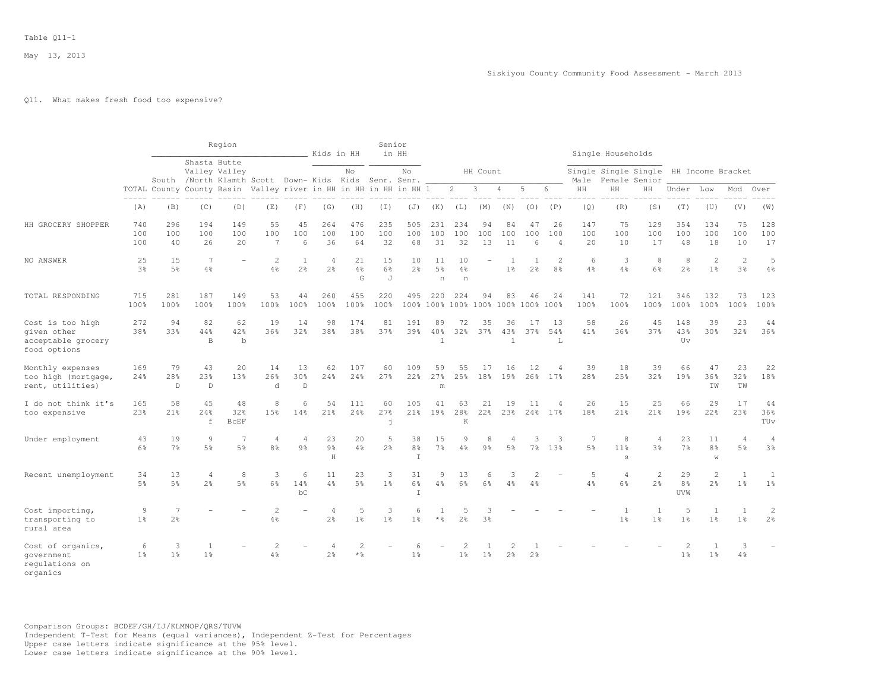## Q11. What makes fresh food too expensive?

|                                                                       |                      |                          |                                  | Region                                                                                 |                                  |                          | Kids in HH                       |                      | Senior<br>in HH     |                                |                                   |                                  |                     |                           |                     |                                  |                                   | Single Households         |                                  |                                  |                                     |                                  |                                  |
|-----------------------------------------------------------------------|----------------------|--------------------------|----------------------------------|----------------------------------------------------------------------------------------|----------------------------------|--------------------------|----------------------------------|----------------------|---------------------|--------------------------------|-----------------------------------|----------------------------------|---------------------|---------------------------|---------------------|----------------------------------|-----------------------------------|---------------------------|----------------------------------|----------------------------------|-------------------------------------|----------------------------------|----------------------------------|
|                                                                       |                      |                          |                                  | Shasta Butte<br>Valley Valley<br>South /North Klamth Scott Down- Kids Kids Senr. Senr. |                                  |                          |                                  | No                   |                     | No                             |                                   |                                  | HH Count            |                           |                     |                                  | Male                              | Single Single Single      | Female Senior                    |                                  | HH Income Bracket                   |                                  |                                  |
|                                                                       |                      |                          |                                  | TOTAL County County Basin Valley river in HH in HH in HH in HH 1                       |                                  |                          |                                  |                      |                     |                                |                                   | $\overline{2}$                   | 3                   | 4                         | $\overline{5}$      | 6                                | HH                                | HH                        | HH                               | Under                            | Low                                 | Mod                              | Over                             |
|                                                                       | $---$<br>(A)         | (B)                      | (C)                              | (D)                                                                                    | (E)                              | (F)                      | (G)                              | (H)                  | (T)                 | (J)                            | (K)                               | (L)                              | (M)                 | (N)                       | (0)                 | (P)                              | (Q)                               | (R)                       | (S)                              | (T)                              | (U)                                 | (V)                              | (W)                              |
| HH GROCERY SHOPPER                                                    | 740<br>100<br>100    | 296<br>100<br>40         | 194<br>100<br>26                 | 149<br>100<br>20                                                                       | 55<br>100<br>$\overline{7}$      | 45<br>100<br>6           | 264<br>100<br>36                 | 476<br>100<br>64     | 235<br>100<br>32    | 505<br>100<br>68               | 231<br>100<br>31                  | 234<br>100<br>32                 | 94<br>100<br>13     | 84<br>100<br>11           | 47<br>100<br>6      | 26<br>100<br>$\overline{4}$      | 147<br>100<br>20                  | 75<br>100<br>10           | 129<br>100<br>17                 | 354<br>100<br>48                 | 134<br>100<br>18                    | 75<br>100<br>10                  | 128<br>100<br>17                 |
| NO ANSWER                                                             | 25<br>3%             | 15<br>5%                 | 7<br>$4\frac{6}{9}$              |                                                                                        | $\overline{2}$<br>4%             | 1<br>$2\frac{6}{9}$      | $\overline{4}$<br>2 <sup>o</sup> | 21<br>4%<br>G        | 15<br>$6\%$<br>J    | 10<br>$2\frac{6}{6}$           | 11<br>5 <sup>°</sup><br>n         | 10<br>$4\frac{6}{6}$<br>n        |                     | 1 <sup>°</sup>            | 2 <sup>°</sup>      | $\overline{2}$<br>8 <sup>°</sup> | 6<br>$4\frac{6}{6}$               | 3<br>4%                   | 8<br>6%                          | 8<br>2 <sup>o</sup>              | $\mathbf{2}$<br>1 <sup>°</sup>      | 2<br>3%                          | 5<br>4%                          |
| TOTAL RESPONDING                                                      | 715<br>100%          | 281<br>100%              | 187<br>100%                      | 149<br>100%                                                                            | 53<br>100%                       | 44<br>100%               | 260<br>100%                      | 455<br>100%          | 220<br>100%         | 495                            | 220<br>100% 100%                  | 224<br>100% 100% 100%            | 94                  | 83                        | 46<br>100%          | 24<br>100%                       | 141<br>100%                       | 72<br>100%                | 121<br>100%                      | 346<br>100%                      | 132<br>100%                         | 73<br>100%                       | 123<br>100%                      |
| Cost is too high<br>given other<br>acceptable grocery<br>food options | 272<br>38%           | 94<br>33%                | 82<br>44%<br>B                   | 62<br>42%<br>$\mathbf b$                                                               | 19<br>36%                        | 14<br>32%                | 98<br>38%                        | 174<br>38%           | 81<br>37%           | 191<br>39%                     | 89<br>40%<br>$\overline{1}$       | 72<br>32%                        | 35<br>37%           | 36<br>43%<br>$\mathbf{1}$ | 17<br>37%           | 13<br>54%<br>T.                  | 58<br>41%                         | 26<br>36%                 | 45<br>37%                        | 148<br>43%<br>Uv                 | 39<br>30%                           | 23<br>32%                        | 44<br>36%                        |
| Monthly expenses<br>too high (mortgage,<br>rent, utilities)           | 169<br>2.4%          | 79<br>28%<br>$\mathbb D$ | 43<br>23%<br>$\mathbb{D}$        | 20<br>1.3%                                                                             | 14<br>26%<br>d                   | 13<br>30%<br>$\mathbb D$ | 62<br>24%                        | 107<br>2.4%          | 60<br>27%           | 109<br>22%                     | 59<br>27%<br>$\mathfrak m$        | 55<br>25%                        | 17<br>18%           | 16<br>19%                 | 12                  | $\overline{4}$<br>26% 17%        | 39<br>28%                         | 18<br>25%                 | 39<br>32%                        | 66<br>19%                        | 47<br>36%<br>ΤW                     | 23<br>32%<br><b>TW</b>           | 22<br>18%                        |
| I do not think it's<br>too expensive                                  | 165<br>23%           | 58<br>21%                | 45<br>24%<br>$\mathtt{f}$        | 48<br>32%<br><b>BCEF</b>                                                               | 8<br>15%                         | 6<br>14%                 | 54<br>21%                        | 111<br>24%           | 60<br>27%<br>j      | 105<br>21%                     | 41<br>19%                         | 63<br>28%<br>K                   | 21<br>22%           | 19<br>23%                 | 11<br>24%           | $\overline{4}$<br>17%            | 26<br>18%                         | 15<br>21%                 | 25<br>21%                        | 66<br>19%                        | 29<br>22%                           | 17<br>23%                        | 44<br>36%<br>TUv                 |
| Under employment                                                      | 43<br>6%             | 19<br>7 <sup>°</sup>     | 9<br>5 <sup>°</sup>              | -7<br>5%                                                                               | $\overline{4}$<br>8 <sup>°</sup> | 4<br>9 <sub>8</sub>      | 23<br>$9\frac{6}{6}$<br>$\rm H$  | 20<br>$4\frac{6}{6}$ | 5<br>$2\frac{6}{6}$ | 38<br>8 <sup>°</sup><br>$\top$ | 15<br>7 <sup>°</sup>              | 9<br>$4\frac{6}{6}$              | 8<br>9 <sub>8</sub> | 4<br>5 <sup>°</sup>       | 3<br>7 <sup>°</sup> | 3<br>13%                         | $7\phantom{.0}$<br>5 <sup>°</sup> | 8<br>11 <sup>°</sup><br>S | $\overline{4}$<br>3 <sup>°</sup> | 23<br>7 <sup>°</sup>             | 11<br>8 <sup>°</sup><br>$\mathbb W$ | 4<br>5%                          | $\overline{4}$<br>$3\frac{6}{9}$ |
| Recent unemployment                                                   | 34<br>5 <sup>°</sup> | 13<br>5%                 | $\overline{4}$<br>2 <sup>°</sup> | 8<br>5%                                                                                | 3<br>$6\frac{6}{6}$              | 6<br>14%<br>bC           | 11<br>$4\frac{6}{6}$             | 23<br>5 <sup>9</sup> | 3<br>1 <sup>°</sup> | 31<br>6%<br>T                  | 9<br>4%                           | 13<br>$6\%$                      | 6<br>6%             | 4%                        | 4%                  |                                  | 5<br>4%                           | $\overline{4}$<br>6%      | 2<br>$2\frac{6}{6}$              | 29<br>8 <sup>°</sup><br>UVW      | $\mathbf{2}$<br>2 <sup>°</sup>      | $\overline{1}$<br>1 <sup>8</sup> | 1<br>1 <sup>°</sup>              |
| Cost importing,<br>transporting to<br>rural area                      | 9<br>1 <sup>8</sup>  | 7<br>2 <sup>8</sup>      |                                  |                                                                                        | $\overline{2}$<br>4%             |                          | $\overline{4}$<br>2 <sup>o</sup> | 5<br>1 <sup>°</sup>  | 3<br>1 <sup>8</sup> | 6<br>1 <sup>8</sup>            | $\mathbf{1}$<br>$*$ $\frac{6}{5}$ | .5<br>2.8                        | 3<br>3%             |                           |                     |                                  |                                   | 1<br>1 <sup>8</sup>       | 1<br>1 <sup>8</sup>              | 5<br>1 <sup>8</sup>              | 1<br>1 <sup>8</sup>                 | 1<br>1 <sup>8</sup>              | 2<br>2 <sup>°</sup>              |
| Cost of organics,<br>qovernment<br>requlations on<br>organics         | 6<br>1 <sup>8</sup>  | 3<br>1 <sup>8</sup>      | 1<br>1 <sup>°</sup>              |                                                                                        | 2<br>4%                          |                          | $\overline{4}$<br>2 <sup>o</sup> | 2<br>$*$ %           |                     | 6<br>1 <sup>°</sup>            |                                   | $\overline{2}$<br>1 <sup>°</sup> | 1 <sup>°</sup>      | 2<br>2 <sup>°</sup>       | 2 <sup>°</sup>      |                                  |                                   |                           |                                  | $\overline{2}$<br>1 <sup>°</sup> | 1<br>1 <sup>°</sup>                 | 3<br>4%                          |                                  |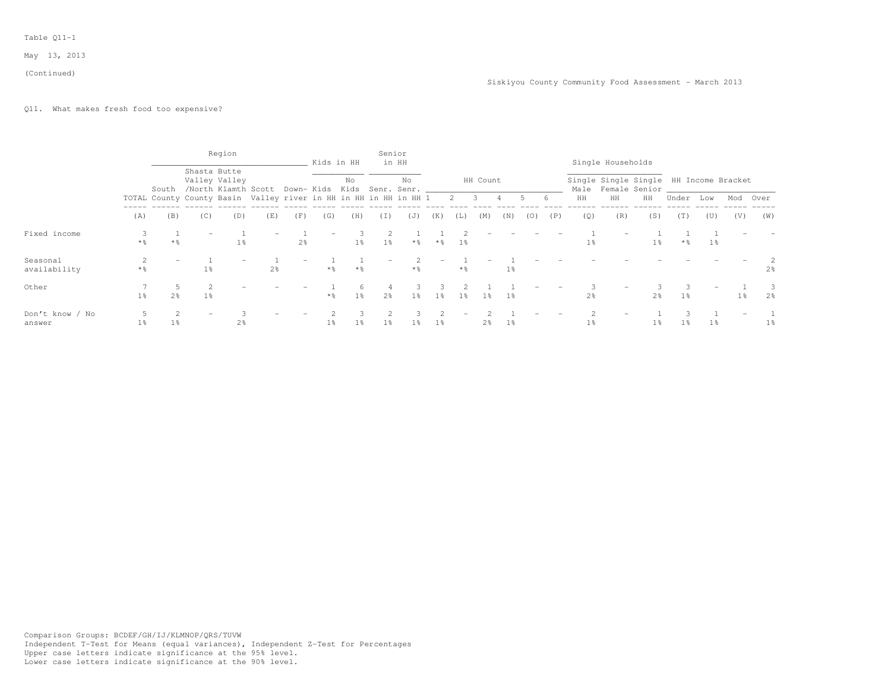#### (Continued)

# Q11. What makes fresh food too expensive?

|                           |                   |                     |                                                                        | Region         |                |                | Kids in HH |                | Senior         | in HH     |                |                   |                |                |     |     |                | Single Households                                            |                |                |                |       |                     |
|---------------------------|-------------------|---------------------|------------------------------------------------------------------------|----------------|----------------|----------------|------------|----------------|----------------|-----------|----------------|-------------------|----------------|----------------|-----|-----|----------------|--------------------------------------------------------------|----------------|----------------|----------------|-------|---------------------|
|                           |                   | South               | Shasta Butte<br>/North Klamth Scott Down- Kids Kids Senr. Senr.        | Valley Valley  |                |                |            | No             |                | No        |                |                   | HH Count       |                |     |     |                | Single Single Single HH Income Bracket<br>Male Female Senior |                |                |                |       |                     |
|                           |                   |                     | TOTAL County County Basin Valley river in HH in HH in HH in HH 1 2 3 4 |                |                |                |            |                |                |           |                |                   |                |                | 5.  | 6   | HH             | HH                                                           | HH             | Under          | Low            | Mod   | Over                |
|                           | (A)               | (B)                 | (C)                                                                    | (D)            | (E)            | (F)            | (G)        | (H)            | (I)            | (J)       | (K)            | (L)               | (M)            | (N)            | (0) | (P) | (Q)            | (R)                                                          | (S)            | (T)            | (U)            | (V)   | (W)                 |
| Fixed income              | $*$ %             | $*$ %               | $\overline{\phantom{m}}$                                               | $1\%$          |                | 2 <sup>°</sup> |            | $1\%$          | $1\%$          | $\star$ % | $\star$ %      | <b>1%</b>         |                |                |     |     | $1\%$          |                                                              | $1\%$          | * 응            | 1%             |       |                     |
| Seasonal<br>availability  | $*$ $\frac{6}{5}$ |                     | 1 <sup>°</sup>                                                         |                | 2 <sup>°</sup> |                | $*$        | $*$ %          |                | $*$ &     |                | $*$ $\frac{6}{5}$ |                | $1\%$          |     |     |                |                                                              |                |                |                |       | 2 <sup>8</sup>      |
| Other                     | $1\%$             | 5<br>2 <sup>°</sup> | 2<br>1%                                                                |                |                |                | * 응        | 1 <sup>°</sup> | 2 <sup>8</sup> | $1\%$     | З.<br>$1\%$    | 1 <sup>8</sup>    | 1 <sup>8</sup> | 1 <sup>8</sup> |     |     | 2 <sup>°</sup> |                                                              | 2 <sup>°</sup> | $1\%$          |                | $1\%$ | 3<br>2 <sup>°</sup> |
| Don't know / No<br>answer | $1\%$             | $1\%$               | $\overline{\phantom{m}}$                                               | 2 <sub>8</sub> |                |                | $1\%$      | $1\frac{6}{9}$ | 1 응            | $1\%$     | 1 <sub>8</sub> |                   | $2\frac{6}{9}$ | $1\%$          |     |     | $1\frac{6}{6}$ |                                                              | 1 <sup>°</sup> | $1\frac{6}{9}$ | 1 <sub>8</sub> |       | $1\,$ s             |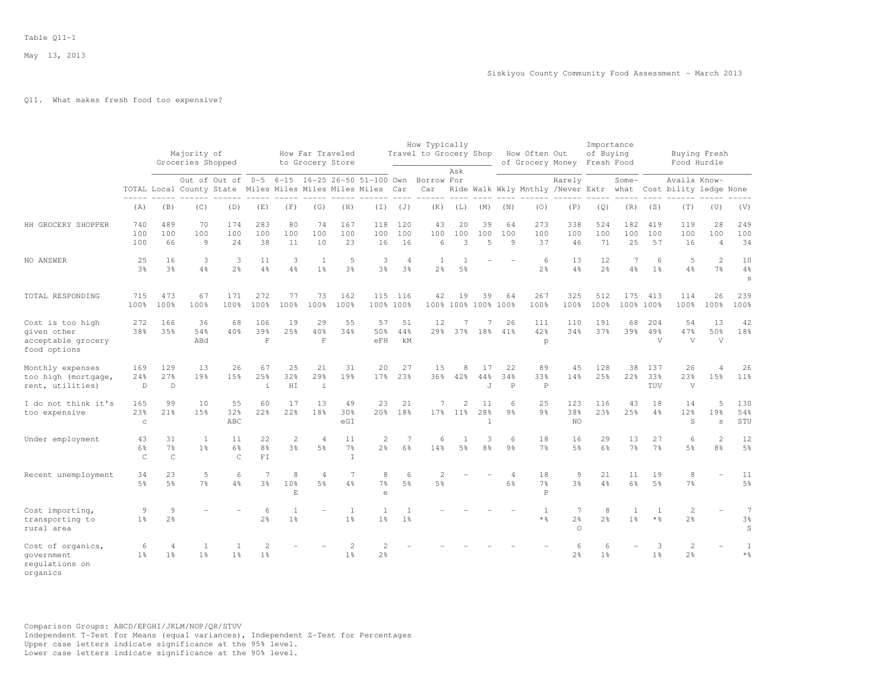## Q11. What makes fresh food too expensive?

|                                                                       |                         |                                      | Majority of<br>Groceries Shopped |                                                                                 |                                  |                           | How Far Traveled<br>to Grocery Store |                                  |                                  |                                  | How Typically<br>Travel to Grocery Shop       | Ask            |                           |                                  | How Often Out            | of Grocery Money                                                        | Importance<br>of Buying<br>Fresh Food |                                |                            |                                  | Buying Fresh<br>Food Hurdle      |                                                        |
|-----------------------------------------------------------------------|-------------------------|--------------------------------------|----------------------------------|---------------------------------------------------------------------------------|----------------------------------|---------------------------|--------------------------------------|----------------------------------|----------------------------------|----------------------------------|-----------------------------------------------|----------------|---------------------------|----------------------------------|--------------------------|-------------------------------------------------------------------------|---------------------------------------|--------------------------------|----------------------------|----------------------------------|----------------------------------|--------------------------------------------------------|
|                                                                       |                         |                                      |                                  | Out of Out of 0-5<br>TOTAL Local County State Miles Miles Miles Miles Miles Car |                                  |                           |                                      |                                  |                                  |                                  | 6-15 16-25 26-50 51-100 Own Borrow For<br>Car |                |                           |                                  |                          | Rarely<br>Ride Walk Wkly Mnthly /Never Extr what Cost bility ledge None |                                       | Some-                          |                            | Availa Know-                     |                                  |                                                        |
|                                                                       | (A)                     | (B)                                  | (C)                              | (D)                                                                             | (E)                              | (F)                       | (G)                                  | (H)                              | $(\top)$                         | (J)                              | (K)                                           | (L)            | (M)                       | (N)                              | (0)                      | (P)                                                                     | (Q)                                   | (R)                            | (S)                        | (T)                              | (U)                              | (V)                                                    |
| HH GROCERY SHOPPER                                                    | 740<br>100<br>100       | 489<br>100<br>66                     | 70<br>100<br>9                   | 174<br>100<br>24                                                                | 283<br>100<br>38                 | 80<br>100<br>11           | 74<br>100<br>10                      | 167<br>100<br>23                 | 118<br>100<br>16                 | 120<br>100<br>16                 | 43<br>100<br>6                                | 20<br>100<br>3 | 39<br>100<br>5            | 64<br>100<br>9                   | 273<br>100<br>37         | 338<br>100<br>46                                                        | 524<br>100<br>71                      | 182<br>100<br>25               | 419<br>100<br>57           | 119<br>100<br>16                 | 28<br>100<br>$\overline{4}$      | 249<br>100<br>34                                       |
| NO ANSWER                                                             | 25<br>3%                | 16<br>3%                             | 3<br>4%                          | 3<br>2 <sup>o</sup>                                                             | 11<br>4%                         | 3<br>4%                   | -1<br>$1\frac{6}{6}$                 | 5<br>3%                          | 3<br>3%                          | $\overline{4}$<br>3 <sup>o</sup> | 1<br>2 <sup>°</sup>                           | 5 <sub>8</sub> |                           |                                  | 6<br>2 <sup>°</sup>      | 13<br>$4\%$                                                             | 12<br>2 <sup>o</sup>                  | 7<br>$4\frac{6}{9}$            | 6<br>1 <sup>°</sup>        | 5<br>$4\frac{6}{6}$              | $\overline{2}$<br>7 <sup>°</sup> | 10<br>$4\frac{6}{6}$<br>S                              |
| TOTAL RESPONDING                                                      | 715<br>100%             | 473<br>100%                          | 67<br>100%                       | 171<br>100%                                                                     | 272<br>100%                      | 77<br>100%                | 73<br>100%                           | 162<br>100%                      | 115                              | 116<br>100% 100%                 | 42                                            | 19             | 39                        | 64<br>100% 100% 100% 100%        | 267<br>100%              | 325<br>100%                                                             | 512<br>100%                           | 175<br>100%                    | 413<br>100%                | 114<br>100%                      | 26<br>100%                       | 239<br>100%                                            |
| Cost is too high<br>given other<br>acceptable grocery<br>food options | 272<br>38%              | 166<br>35%                           | 36<br>54%<br>ABd                 | 68<br>40%                                                                       | 106<br>39%<br>$\mathbf F$        | 19<br>25%                 | 29<br>40%<br>$\mathbf F$             | 55<br>34%                        | 57<br>50%<br>eFH                 | 51<br>44%<br>kМ                  | 12<br>29 <sub>8</sub>                         | 7<br>37%       | 7<br>18%                  | 26<br>41%                        | 111<br>42%<br>p          | 110<br>34%                                                              | 191<br>37%                            | 68<br>39%                      | 204<br>49%<br>$\mathbf{V}$ | 54<br>47%<br>$\overline{V}$      | 13<br>50%<br>V                   | 42<br>18%                                              |
| Monthly expenses<br>too high (mortgage,<br>rent, utilities)           | 169<br>24%<br>D         | 129<br>27%<br>D                      | 13<br>19%                        | 26<br>15%                                                                       | 67<br>25%<br>i                   | 25<br>32%<br>HI           | 21<br>29%<br>$\dot{1}$               | 31<br>19%                        | 20<br>17%                        | 27<br>23%                        | 15<br>36%                                     | 8<br>42%       | 17<br>44%<br>J            | 22<br>34%<br>$\, {\bf P}$        | 89<br>33%<br>$\mathbb P$ | 45<br>14%                                                               | 128<br>25%                            | 38<br>22 <sub>8</sub>          | 137<br>33%<br>TUV          | 26<br>23%<br>V                   | 4<br>15%                         | 26<br>11 <sup>8</sup>                                  |
| I do not think it's<br>too expensive                                  | 165<br>23%<br>$\rm _C$  | 99<br>21%                            | 10<br>15%                        | 55<br>32%<br>ABC                                                                | 60<br>22%                        | 17<br>22%                 | 13<br>18%                            | 49<br>30%<br>eGI                 | 23<br>20 <sup>8</sup>            | 21<br>18%                        | 7<br>17%                                      | 2<br>$11\%$    | 11<br>28%<br>$\mathbf{1}$ | 6<br>9 <sub>8</sub>              | 25<br>9 <sub>8</sub>     | 123<br>38%<br>NO                                                        | 116<br>23%                            | 43<br>25%                      | 18<br>4%                   | 14<br>12%<br>S                   | 5<br>19%<br>s                    | 130<br>54%<br>STU                                      |
| Under employment                                                      | 43<br>6%<br>$\mathsf C$ | 31<br>$7\frac{6}{6}$<br>$\mathsf{C}$ | -1<br>1 <sup>°</sup>             | 11<br>6%<br>$\mathsf{C}$                                                        | 22<br>8 <sup>°</sup><br>FI       | $\mathbf{2}$<br>3%        | $\overline{4}$<br>5%                 | 11<br>7%<br>$\mathbb{I}$         | $\overline{2}$<br>2%             | 7<br>6%                          | 6<br>14%                                      | 1<br>5%        | 3<br>8 <sup>°</sup>       | 6<br>9 <sup>°</sup>              | 18<br>7 <sup>°</sup>     | 16<br>5%                                                                | 29<br>6%                              | 13<br>7 <sup>°</sup>           | 27<br>7%                   | 6<br>5%                          | 2<br>8%                          | 12<br>5 <sup>°</sup>                                   |
| Recent unemployment                                                   | 34<br>5%                | 23<br>5%                             | 5<br>7 <sup>8</sup>              | 6<br>4%                                                                         | $\overline{7}$<br>3 <sup>8</sup> | 8<br>10 <sup>8</sup><br>E | 4<br>5%                              | $\overline{7}$<br>4%             | 8<br>7%<br>$\epsilon$            | 6<br>5%                          | $\overline{2}$<br>5%                          |                |                           | $\overline{4}$<br>6 <sup>°</sup> | 18<br>7%<br>$\mathbf P$  | $\overline{9}$<br>3%                                                    | 21<br>4%                              | 11<br>6%                       | 19<br>5 <sup>°</sup>       | 8<br>7 <sup>°</sup>              |                                  | 11<br>5 <sup>°</sup>                                   |
| Cost importing,<br>transporting to<br>rural area                      | 9<br>1 <sup>°</sup>     | $\overline{9}$<br>2 <sup>°</sup>     |                                  |                                                                                 | 6<br>2 <sup>°</sup>              | 1<br>1 <sup>°</sup>       |                                      | <sup>1</sup><br>1 <sup>°</sup>   | 1<br>1 <sup>°</sup>              | 1<br>1 <sup>°</sup>              |                                               |                |                           |                                  | 1<br>* %                 | 7<br>$2\frac{6}{6}$<br>$\circ$                                          | 8<br>2 <sup>°</sup>                   | $\mathbf{1}$<br>1 <sup>°</sup> | 1<br>$*$ %                 | $\overline{c}$<br>$2\frac{6}{6}$ |                                  | $\overline{7}$<br>$3\frac{6}{6}$<br>$\, \mathbb{S} \,$ |
| Cost of organics,<br>qovernment<br>requlations on<br>organics         | 6<br>1 <sup>°</sup>     | $\overline{4}$<br>1 <sup>°</sup>     | -1<br>1 <sup>°</sup>             | 1<br>1 <sup>°</sup>                                                             | 2<br>1 <sup>°</sup>              |                           |                                      | $\overline{c}$<br>1 <sup>°</sup> | $\overline{2}$<br>2 <sup>o</sup> |                                  |                                               |                |                           |                                  |                          | 6<br>2 <sup>°</sup>                                                     | 6<br>1 <sup>°</sup>                   |                                | 3<br>1 <sup>°</sup>        | $\overline{c}$<br>2 <sup>°</sup> |                                  | 1<br>$\star$ %                                         |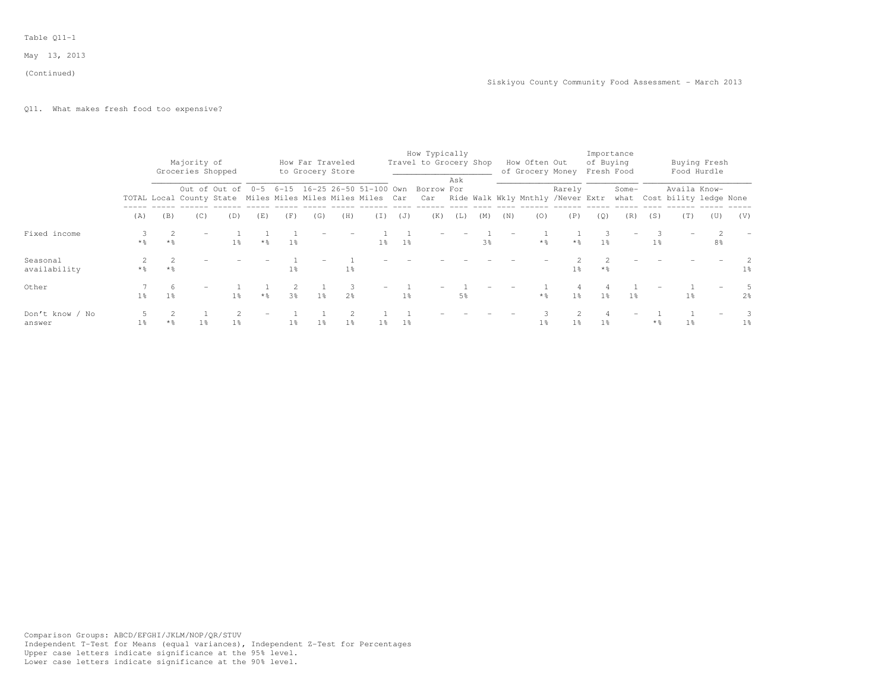#### (Continued)

## Q11. What makes fresh food too expensive?

|                           |                |                     | Majority of<br>Groceries Shopped                           |                |                   |                | How Far Traveled<br>to Grocery Store |                      |                                 |                | How Typically<br>Travel to Grocery Shop                                         |     |                |     | How Often Out<br>of Grocery Money |                | of Buying         | Importance<br>Fresh Food |                |                | Buying Fresh<br>Food Hurdle |                |
|---------------------------|----------------|---------------------|------------------------------------------------------------|----------------|-------------------|----------------|--------------------------------------|----------------------|---------------------------------|----------------|---------------------------------------------------------------------------------|-----|----------------|-----|-----------------------------------|----------------|-------------------|--------------------------|----------------|----------------|-----------------------------|----------------|
|                           |                |                     | TOTAL Local County State Miles Miles Miles Miles Miles Car | Out of Out of  |                   |                |                                      |                      | 0-5 6-15 16-25 26-50 51-100 Own |                | Borrow For<br>Car Ride Walk Wkly Mnthly /Never Extr what Cost bility ledge None | Ask |                |     |                                   | Rarely         |                   | Some-                    |                | Availa Know-   |                             |                |
|                           | (A)            | (B)                 | (C)                                                        | (D)            | (E)               | (F)            | (G)                                  | (H)                  | (I)                             | (J)            | (K)                                                                             | (L) | (M)            | (N) | (0)                               | (P)            | (0)               | (R)                      | (S)            | (T)            | (U)                         | (V)            |
| Fixed income              | $*$ %          | $*$ $\frac{6}{5}$   |                                                            | $1\%$          | $*$ %             | 1 <sup>°</sup> |                                      |                      | 1 <sub>8</sub>                  | $1\frac{6}{9}$ |                                                                                 |     | 3 <sup>8</sup> |     | $*$ %                             | $*$ %          | $1\%$             | $\qquad \qquad -$        | 1 <sup>°</sup> |                | 8 <sup>8</sup>              |                |
| Seasonal<br>availability  | * %            | $*$ 2               |                                                            |                |                   | $1\%$          |                                      | $1\%$                |                                 |                |                                                                                 |     |                |     |                                   | 1 <sup>°</sup> | $*$ $\frac{6}{5}$ |                          |                |                |                             | $1\%$          |
| Other                     | $1\%$          | 6<br>$1\frac{6}{9}$ |                                                            | 1 <sup>8</sup> | $*$ $\frac{6}{5}$ | 3%             | 1%                                   | -3<br>2 <sup>°</sup> |                                 | 1 <sup>°</sup> |                                                                                 | 5%  |                |     | $\star$ $\frac{6}{6}$             | $1\%$          | $1\%$             | $1\%$                    |                | $1\frac{6}{9}$ |                             | $2\frac{6}{5}$ |
| Don't know / No<br>answer | 1 <sup>8</sup> | $*$ %               | 1 <sup>°</sup>                                             | 1 <sup>8</sup> |                   | 1 <sup>°</sup> | 1 <sup>°</sup>                       | 1 <sup>°</sup>       | $1\frac{6}{6}$                  | 1 <sup>°</sup> |                                                                                 |     |                |     | 1 <sup>°</sup>                    | 1 <sup>°</sup> | 1 <sup>°</sup>    |                          | $*$ %          | 1 <sup>°</sup> |                             | $1\%$          |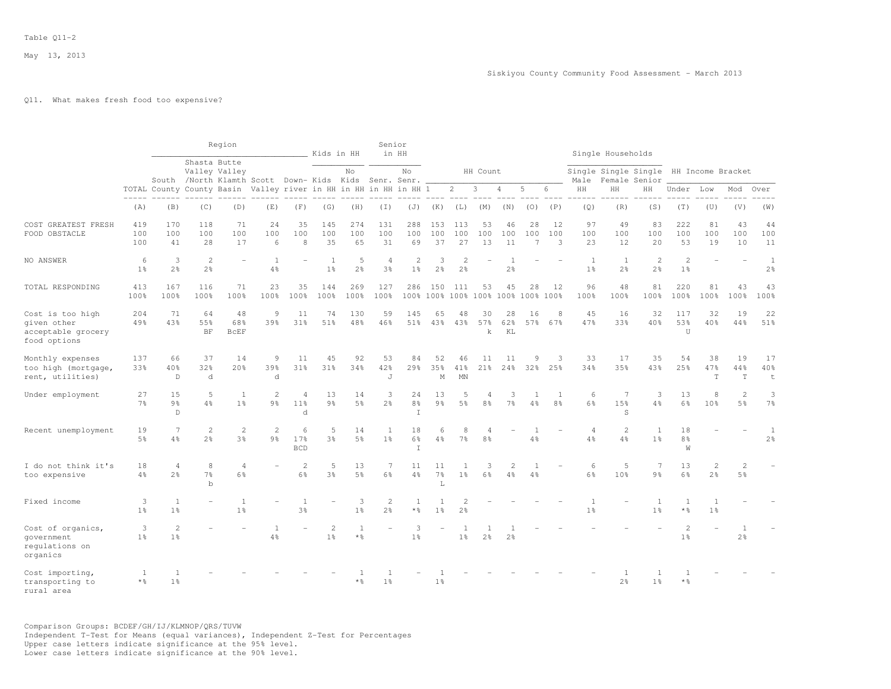### Q11. What makes fresh food too expensive?

|                                                                       |                        |                                  |                                    | Region                   |                                                                  |                                        | Kids in HH                       |                       | Senior                           | in HH                            |                                |                                           |                                  |                                  |                              |                     |                                  | Single Households                      |                                  |                                            |                                |                                |                                |
|-----------------------------------------------------------------------|------------------------|----------------------------------|------------------------------------|--------------------------|------------------------------------------------------------------|----------------------------------------|----------------------------------|-----------------------|----------------------------------|----------------------------------|--------------------------------|-------------------------------------------|----------------------------------|----------------------------------|------------------------------|---------------------|----------------------------------|----------------------------------------|----------------------------------|--------------------------------------------|--------------------------------|--------------------------------|--------------------------------|
|                                                                       |                        |                                  | Shasta Butte                       | Valley Valley            | South /North Klamth Scott Down- Kids Kids Senr. Senr.            |                                        |                                  | No                    |                                  | No                               |                                |                                           | HH Count                         |                                  |                              |                     | Male                             | Single Single Single HH Income Bracket | Female Senior                    |                                            |                                |                                |                                |
|                                                                       | $- - - - -$            |                                  |                                    |                          | TOTAL County County Basin Valley river in HH in HH in HH in HH 1 |                                        |                                  |                       |                                  |                                  |                                | $\overline{2}$                            | 3                                | 4                                | 5                            | 6                   | HH                               | HH                                     | HH                               | Under                                      | Low                            | Mod                            | Over                           |
|                                                                       | (A)                    | (B)                              | (C)                                | (D)                      | (E)                                                              | (F)                                    | (G)                              | (H)                   | (T)                              | (J)                              | (K)                            | (L)                                       | (M)                              | (N)                              | (0)                          | (P)                 | (Q)                              | (R)                                    | (S)                              | (T)                                        | (U)                            | (V)                            | (W)                            |
| COST GREATEST FRESH<br>FOOD OBSTACLE                                  | 419<br>100<br>100      | 170<br>100<br>41                 | 118<br>100<br>28                   | 71<br>100<br>17          | 24<br>100<br>6                                                   | 35<br>100<br>8                         | 145<br>100<br>35                 | 274<br>100<br>65      | 131<br>100<br>31                 | 288<br>100<br>69                 | 153<br>100<br>37               | 113<br>100<br>27                          | 53<br>100<br>13                  | 46<br>100<br>11                  | 28<br>100<br>$7\phantom{.0}$ | 12<br>100<br>3      | 97<br>100<br>23                  | 49<br>100<br>12                        | 83<br>100<br>20                  | 222<br>100<br>53                           | 81<br>100<br>19                | 43<br>100<br>10                | 44<br>100<br>11                |
| NO ANSWER                                                             | 6<br>1 <sup>°</sup>    | 3<br>2%                          | $\mathbf{2}$<br>2 <sup>°</sup>     |                          | $\mathbf{1}$<br>$4\frac{6}{6}$                                   |                                        | 1<br>1 <sup>°</sup>              | 5<br>2%               | $\overline{4}$<br>3 <sup>°</sup> | $\overline{2}$<br>1 <sup>°</sup> | 3<br>2%                        | $\overline{2}$<br>2 <sup>°</sup>          |                                  | $\overline{1}$<br>2 <sup>°</sup> |                              |                     | 1<br>1 <sup>°</sup>              | $\mathbf{1}$<br>2 <sup>°</sup>         | $\overline{c}$<br>2 <sup>°</sup> | $\overline{c}$<br>1 <sup>°</sup>           |                                |                                | $\mathbf{1}$<br>2 <sup>°</sup> |
| TOTAL RESPONDING                                                      | 413<br>100%            | 167<br>100%                      | 116<br>100%                        | 71<br>100%               | 23<br>100%                                                       | 35<br>100%                             | 144<br>100%                      | 269<br>100%           | 127<br>100%                      | 286                              | 150                            | 111<br>100% 100% 100% 100% 100% 100% 100% | 53                               | 45                               | 28                           | 12                  | 96<br>100%                       | 48<br>100%                             | 81<br>100%                       | 220<br>100%                                | 81<br>100%                     | 43<br>100%                     | 43<br>100%                     |
| Cost is too high<br>given other<br>acceptable grocery<br>food options | 204<br>49%             | 71<br>43%                        | 64<br>55%<br>BF                    | 48<br>68%<br><b>BCEF</b> | 9<br>39%                                                         | 11<br>31%                              | 74<br>51%                        | 130<br>48%            | 59<br>46%                        | 145<br>51%                       | 65<br>43%                      | 48<br>43%                                 | 30<br>57%<br>k                   | 28<br>62%<br>KL                  | 16<br>57%                    | 8<br>67%            | 45<br>47%                        | 16<br>33%                              | 32<br>40%                        | 117<br>53%<br>U                            | 32<br>40%                      | 19<br>44%                      | 22<br>51%                      |
| Monthly expenses<br>too high (mortgage,<br>rent, utilities)           | 137<br>33%             | 66<br>40%<br>D                   | 37<br>32%<br>d                     | 14<br>20%                | 9<br>39%<br>d                                                    | 11<br>31%                              | 45<br>31%                        | 92<br>34%             | 53<br>42%<br>J                   | 84<br>29 <sub>8</sub>            | 52<br>35%<br>$_{\rm M}$        | 46<br>41%<br>MN                           | 11<br>21%                        | 11<br>24%                        | 9<br>32%                     | 3<br>25%            | 33<br>34%                        | 17<br>35%                              | 35<br>43%                        | 54<br>25%                                  | 38<br>47%<br>T                 | 19<br>44%<br>T                 | 17<br>40%<br>$\mathsf t$       |
| Under employment                                                      | 27<br>7 <sup>°</sup>   | 15<br>9%<br>D                    | 5<br>4%                            | 1<br>1 <sup>°</sup>      | $\mathbf{2}$<br>$9\frac{6}{6}$                                   | $\overline{4}$<br>11 <sup>°</sup><br>d | 13<br>$9\frac{6}{9}$             | 14<br>$5\frac{6}{9}$  | 3<br>2 <sup>o</sup>              | 24<br>8 <sup>°</sup><br>$\top$   | 13<br>9%                       | 5<br>$5\frac{6}{6}$                       | $\overline{4}$<br>8 <sup>°</sup> | 3<br>$7\frac{6}{6}$              | 1<br>4%                      | 1<br>8 <sup>°</sup> | 6<br>6%                          | 7<br>15%<br>S                          | 3<br>4%                          | 13<br>6%                                   | 8<br>10%                       | 2<br>5 <sup>°</sup>            | 3<br>7 <sup>°</sup>            |
| Recent unemployment                                                   | 19<br>5 <sup>°</sup>   | $\overline{7}$<br>4%             | 2<br>2 <sup>°</sup>                | 2<br>3 <sup>°</sup>      | $\mathbf{2}$<br>9 <sub>8</sub>                                   | 6<br>17%<br><b>BCD</b>                 | 5<br>3%                          | 14<br>5 <sup>°</sup>  | $\mathbf{1}$<br>1 <sup>°</sup>   | 18<br>6%<br>$\top$               | 6<br>4%                        | 8<br>7 <sup>°</sup>                       | $\overline{4}$<br>8 <sup>°</sup> |                                  | 4%                           |                     | $\overline{4}$<br>4%             | 2<br>4%                                | 1<br>1 <sup>°</sup>              | 18<br>8 <sup>°</sup><br>W                  |                                |                                | 1<br>2 <sup>°</sup>            |
| I do not think it's<br>too expensive                                  | 18<br>4%               | $\overline{4}$<br>2 <sup>°</sup> | 8<br>7 <sup>°</sup><br>$\mathbf b$ | $\overline{4}$<br>6%     |                                                                  | 2<br>$6\%$                             | 5<br>3 <sup>°</sup>              | 13<br>$5\frac{6}{6}$  | 7<br>6%                          | 11<br>$4\frac{6}{6}$             | 11<br>7%<br>L                  | 1<br>1 <sup>°</sup>                       | 3<br>6%                          | $\overline{c}$<br>4%             | 1<br>4%                      |                     | 6<br>$6\frac{6}{9}$              | 5<br>10%                               | 7<br>9 <sub>8</sub>              | 13<br>$6\frac{6}{9}$                       | 2<br>2 <sup>°</sup>            | 2<br>5 <sup>°</sup>            |                                |
| Fixed income                                                          | 3<br>1 <sup>°</sup>    | 1<br>1 <sup>°</sup>              | $\overline{\phantom{a}}$           | 1<br>1 <sup>°</sup>      |                                                                  | $\mathbf{1}$<br>3%                     | $\overline{a}$                   | 3<br>1 <sup>°</sup>   | $\sqrt{2}$<br>2 <sup>o</sup>     | $\mathbf{1}$<br>$\star$ %        | $\mathbf{1}$<br>1 <sup>°</sup> | $\overline{2}$<br>2 <sup>°</sup>          |                                  |                                  |                              |                     | $\overline{1}$<br>1 <sup>°</sup> |                                        | 1<br>1 <sup>°</sup>              | $\mathbf{1}$<br>$*$ %                      | $\mathbf{1}$<br>1 <sup>°</sup> |                                |                                |
| Cost of organics,<br>qovernment<br>requlations on<br>organics         | 3<br>1 <sup>8</sup>    | 2<br>1 <sup>°</sup>              |                                    |                          | 4%                                                               |                                        | $\overline{c}$<br>1 <sup>°</sup> | $\mathbf{1}$<br>$*$ % |                                  | 3<br>1 <sup>°</sup>              |                                | 1 <sup>°</sup>                            | 2 <sup>°</sup>                   | 2 <sup>°</sup>                   |                              |                     |                                  |                                        |                                  | $\overline{\mathcal{L}}$<br>1 <sup>°</sup> |                                | $\mathbf{1}$<br>2 <sup>°</sup> |                                |
| Cost importing,<br>transporting to<br>rural area                      | 1<br>$*$ $\frac{6}{5}$ | $\mathbf{1}$<br>1 <sup>8</sup>   |                                    |                          |                                                                  |                                        |                                  | $*$ %                 | 1 <sup>°</sup>                   |                                  | 1 <sup>°</sup>                 |                                           |                                  |                                  |                              |                     |                                  | 2 <sup>°</sup>                         | -1<br>1 <sup>°</sup>             | -1<br>$*$ %                                |                                |                                |                                |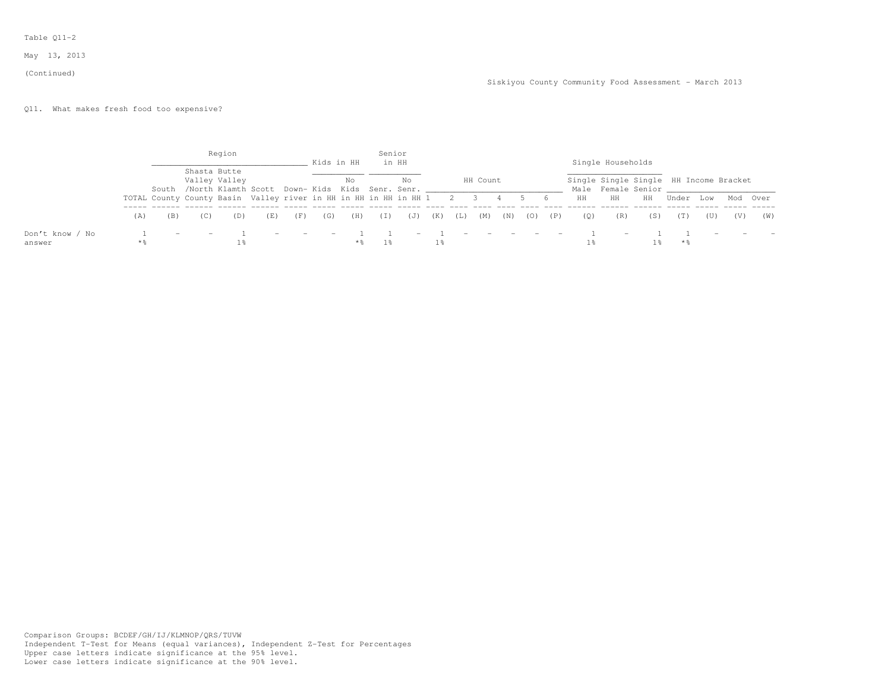#### (Continued)

# Q11. What makes fresh food too expensive?

|                 |     |                          |                                                                      | Region                        |     |                          |        | Kids in HH | Senior | in HH |     |                          |          |     |                                          |                |     | Single Households        |                                                                             |       |     |          |     |
|-----------------|-----|--------------------------|----------------------------------------------------------------------|-------------------------------|-----|--------------------------|--------|------------|--------|-------|-----|--------------------------|----------|-----|------------------------------------------|----------------|-----|--------------------------|-----------------------------------------------------------------------------|-------|-----|----------|-----|
|                 |     |                          | South /North Klamth Scott Down- Kids Kids Senr. Senr.                | Shasta Butte<br>Valley Valley |     |                          |        | No         |        | No    |     |                          | HH Count |     |                                          |                |     |                          | Single Single Single HH Income Bracket<br>Male Female Senior and the Senior |       |     |          |     |
|                 |     |                          | TOTAL County County Basin Valley river in HH in HH in HH in HH 1 2 3 |                               |     |                          |        |            |        |       |     |                          |          |     |                                          | 6 <sup>1</sup> | HH  | HH                       | HH                                                                          | Under | Low | Mod Over |     |
|                 | (A) | (B)                      | (C)                                                                  | (D)                           | (E) | (F)                      | (G)    | (H)        | (I)    | (J)   | (K) | (L)                      | (M)      | (N) | (0)                                      | (P)            | (0) | (R)                      | (S)                                                                         | (T)   | (U) | (V)      | (W) |
| Don't know / No |     | $\overline{\phantom{a}}$ | $\overline{\phantom{0}}$                                             |                               |     | $\overline{\phantom{0}}$ | $\sim$ |            |        |       |     | $\overline{\phantom{0}}$ |          |     | the company's property and the company's |                |     | $\overline{\phantom{0}}$ |                                                                             |       |     |          |     |
| answer          |     |                          |                                                                      |                               |     |                          |        | **         | $1\%$  |       |     |                          |          |     |                                          |                |     |                          |                                                                             | * %   |     |          |     |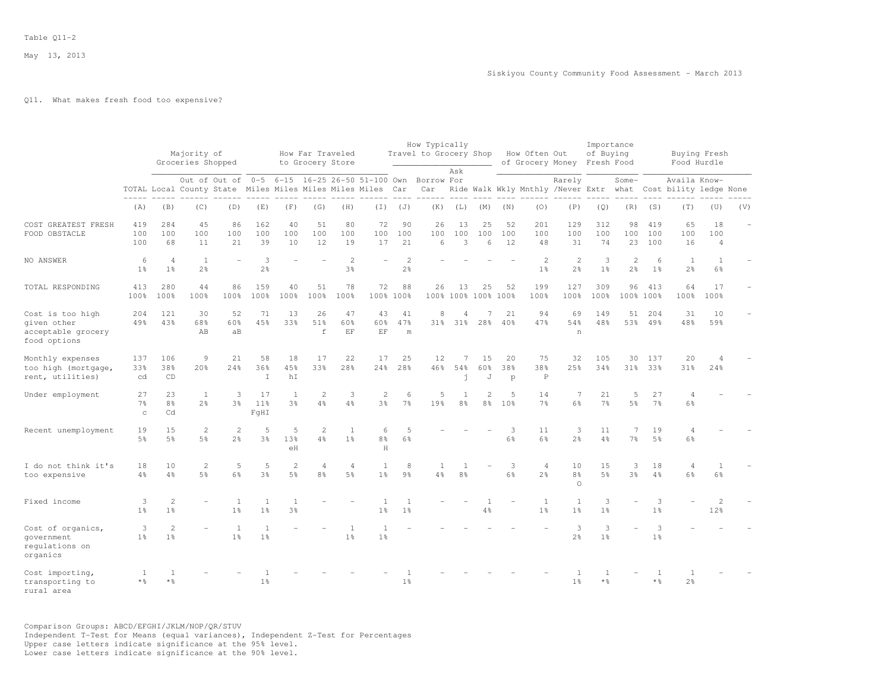## Q11. What makes fresh food too expensive?

|                                                                       |                                      |                                  | Majority of<br>Groceries Shopped |                                                        |                                  |                      | How Far Traveled<br>to Grocery Store |                                  |                                                          |                      | How Typically<br>Travel to Grocery Shop |                      |                      |                     | How Often Out                    | of Grocery Money Fresh Food                      | Importance<br>of Buying |                                  |                             | Buying Fresh<br>Food Hurdle            |                             |     |
|-----------------------------------------------------------------------|--------------------------------------|----------------------------------|----------------------------------|--------------------------------------------------------|----------------------------------|----------------------|--------------------------------------|----------------------------------|----------------------------------------------------------|----------------------|-----------------------------------------|----------------------|----------------------|---------------------|----------------------------------|--------------------------------------------------|-------------------------|----------------------------------|-----------------------------|----------------------------------------|-----------------------------|-----|
|                                                                       |                                      |                                  |                                  | TOTAL Local County State Miles Miles Miles Miles Miles |                                  |                      |                                      |                                  | Out of Out of 0-5 6-15 16-25 26-50 51-100 Own Borrow For | Car                  | Car                                     | Ask                  |                      |                     |                                  | Rarely<br>Ride Walk Wkly Mnthly /Never Extr what |                         | Some-                            |                             | Availa Know-<br>Cost bility ledge None |                             |     |
|                                                                       | (A)                                  | (B)                              | (C)                              | (D)                                                    | (E)                              | (F)                  | (G)                                  | (H)                              | (T)                                                      | (J)                  | (K)                                     | (L)                  | (M)                  | (N)                 | (0)                              | (P)                                              | (Q)                     | (R)                              | (S)                         | (T)                                    | (U)                         | (V) |
| COST GREATEST FRESH<br>FOOD OBSTACLE                                  | 419<br>100<br>100                    | 284<br>100<br>68                 | 45<br>100<br>11                  | 86<br>100<br>21                                        | 162<br>100<br>39                 | 40<br>100<br>10      | 51<br>100<br>12                      | 80<br>100<br>19                  | 72<br>100<br>17                                          | 90<br>100<br>21      | 26<br>100<br>6                          | 13<br>100<br>3       | 25<br>100<br>6       | 52<br>100<br>12     | 201<br>100<br>48                 | 129<br>100<br>31                                 | 312<br>100<br>74        | 98<br>100<br>23                  | 419<br>100<br>100           | 65<br>100<br>16                        | 18<br>100<br>$\overline{4}$ |     |
| NO ANSWER                                                             | 6<br>1 <sup>°</sup>                  | $\overline{4}$<br>1 <sup>°</sup> | 1<br>2 <sup>°</sup>              |                                                        | 3<br>$2\frac{6}{6}$              |                      |                                      | $\overline{2}$<br>3 <sup>°</sup> |                                                          | $\overline{c}$<br>2% |                                         |                      |                      |                     | 2<br>1 <sup>°</sup>              | 2<br>$2\frac{6}{6}$                              | 3<br>1 <sup>°</sup>     | 2<br>2 <sup>°</sup>              | 6<br>$1\%$                  | <sup>1</sup><br>$2\frac{6}{9}$         | 1<br>6%                     |     |
| TOTAL RESPONDING                                                      | 413<br>100%                          | 280<br>100%                      | 44<br>100%                       | 86<br>100%                                             | 159<br>100%                      | 40<br>100%           | 51<br>100%                           | 78<br>100%                       | 72                                                       | 88<br>100% 100%      | 26                                      | 13                   | 25<br>100% 100% 100% | 52<br>100%          | 199<br>100%                      | 127<br>100%                                      | 309<br>100%             | 96                               | 413<br>100% 100%            | 64<br>100%                             | 17<br>100%                  |     |
| Cost is too high<br>given other<br>acceptable grocery<br>food options | 204<br>49%                           | 121<br>43%                       | 30<br>68%<br>AB                  | 52<br>60%<br>aB                                        | 71<br>45%                        | 13<br>33%            | 26<br>51%<br>$\mathbf f$             | 47<br>60%<br>EF                  | 43<br>60%<br>$\operatorname{EF}$                         | 41<br>47%<br>m       | 8                                       | 4<br>31% 31%         | 28%                  | 21<br>40%           | 94<br>47%                        | 69<br>54%<br>n                                   | 149<br>48%              | 51                               | 204<br>53% 49%              | 31<br>48%                              | 10<br>59%                   |     |
| Monthly expenses<br>too high (mortgage,<br>rent, utilities)           | 137<br>33%<br>cd                     | 106<br>38%<br>CD                 | 9<br>20 <sup>8</sup>             | 21<br>24%                                              | 58<br>36%<br>$\mathbbm{I}$       | 18<br>45%<br>hI      | 17<br>33%                            | 22<br>28%                        | 17<br>24%                                                | 25<br>28%            | 12<br>46%                               | 7<br>54%<br>j        | 15<br>60%<br>J       | 20<br>38%<br>p      | 75<br>38%<br>$\, {\mathbb P}$    | 32<br>25%                                        | 105<br>34%              | 30<br>31%                        | 137<br>33%                  | 20<br>31%                              | 4<br>24%                    |     |
| Under employment                                                      | 27<br>$7\frac{6}{9}$<br>$\mathbf{C}$ | 23<br>8 <sup>°</sup><br>Cd       | <sup>1</sup><br>2 <sup>°</sup>   | 3<br>$3\frac{6}{9}$                                    | 17<br>11%<br>FqHI                | 1<br>3%              | $\overline{c}$<br>$4\frac{6}{6}$     | 3<br>4%                          | $\sqrt{2}$<br>3%                                         | 6<br>7 <sup>°</sup>  | 5<br>19%                                | 1<br>8 <sup>°</sup>  | 2<br>8%              | 5<br>10%            | 14<br>$7\frac{6}{9}$             | 7<br>6%                                          | 21<br>$7\frac{6}{6}$    | 5<br>5%                          | 27<br>7 <sup>°</sup>        | 4<br>6%                                |                             |     |
| Recent unemployment                                                   | 19<br>$5\frac{6}{9}$                 | 15<br>5%                         | $\mathbf{2}$<br>5 <sup>8</sup>   | $\mathbf{2}$<br>$2\frac{6}{9}$                         | 5<br>3 <sup>°</sup>              | 5<br>13%<br>eH       | $\mathbf{2}$<br>4%                   | $\mathbf{1}$<br>1 <sup>8</sup>   | 6<br>8%<br>H                                             | 5<br>6%              |                                         |                      |                      | 3<br>6 <sup>°</sup> | 11<br>6%                         | 3<br>2 <sup>°</sup>                              | 11<br>4%                | $\overline{7}$<br>7 <sup>°</sup> | 19<br>5 <sup>°</sup>        | $\overline{4}$<br>6%                   |                             |     |
| I do not think it's<br>too expensive                                  | 18<br>$4\frac{6}{9}$                 | 10<br>4%                         | 2<br>5%                          | 5<br>6%                                                | 5<br>3 <sup>8</sup>              | $\overline{2}$<br>5% | 4<br>8 <sup>°</sup>                  | $\overline{4}$<br>5%             | 1<br>1 <sup>8</sup>                                      | 8<br>9 <sup>°</sup>  | 1<br>4%                                 | $\overline{1}$<br>8% |                      | 3<br>6%             | $\overline{4}$<br>2 <sup>°</sup> | 10<br>8%<br>$\circ$                              | 15<br>5%                | 3<br>3%                          | 18<br>4%                    | $\overline{4}$<br>6%                   | 1<br>6%                     |     |
| Fixed income                                                          | 3<br>$1\frac{6}{9}$                  | $\overline{c}$<br>1 <sup>°</sup> |                                  | 1<br>1 <sup>°</sup>                                    | 1<br>1 <sup>°</sup>              | 1<br>3%              |                                      |                                  | 1<br>1 <sup>°</sup>                                      | 1<br>1 <sup>°</sup>  |                                         |                      | 4%                   |                     | 1<br>1 <sup>°</sup>              | 1<br>1 <sup>°</sup>                              | 3<br>1 <sup>°</sup>     |                                  | 3<br>1 <sup>°</sup>         |                                        | 2<br>12%                    |     |
| Cost of organics,<br>qovernment<br>regulations on<br>organics         | 3<br>1 <sup>°</sup>                  | $\overline{c}$<br>1 <sup>°</sup> |                                  | 1<br>1 <sup>8</sup>                                    | $\overline{1}$<br>1 <sup>8</sup> |                      |                                      | 1<br>1 <sup>8</sup>              | 1 <sup>8</sup>                                           |                      |                                         |                      |                      |                     |                                  | 3<br>2%                                          | 3<br>1 <sup>°</sup>     |                                  | 3<br>1 <sup>°</sup>         |                                        |                             |     |
| Cost importing,<br>transporting to<br>rural area                      | 1<br>$*$ %                           | $*$ %                            |                                  |                                                        | 1 <sup>°</sup>                   |                      |                                      |                                  |                                                          | 1 <sup>°</sup>       |                                         |                      |                      |                     |                                  | $\overline{1}$<br>1 <sup>°</sup>                 | -1<br>$*$ $\frac{6}{5}$ |                                  | -1<br>$\star$ $\frac{6}{6}$ | $\overline{1}$<br>$2\frac{6}{9}$       |                             |     |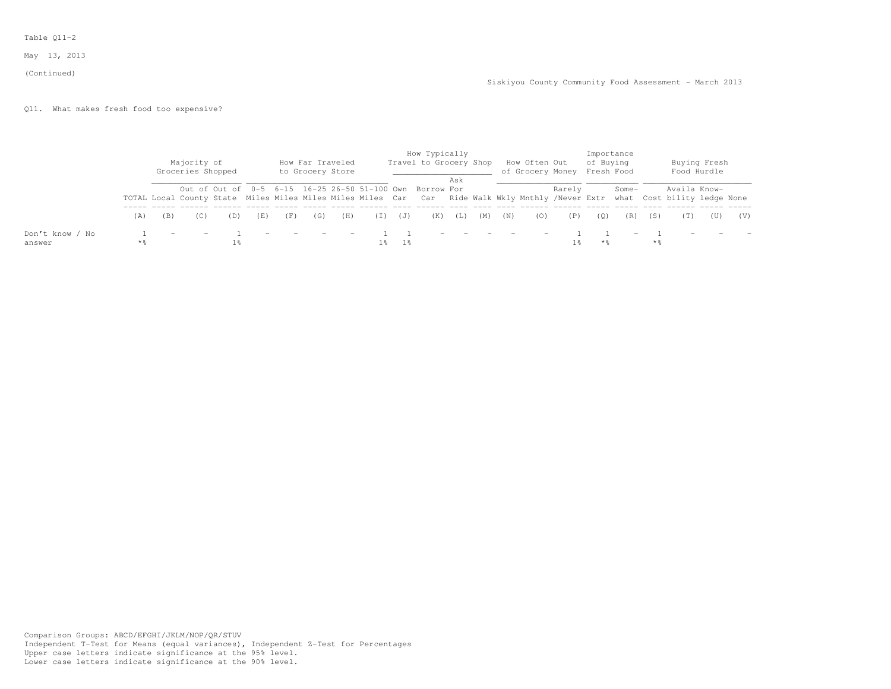#### (Continued)

# Q11. What makes fresh food too expensive?

|                           |       | Majority of<br>Groceries Shopped |     |     |     | How Far Traveled<br>to Grocery Store |     |     |                | How Typically<br>Travel to Grocery Shop                                                                                                                                            |     |     |     | How Often Out<br>of Grocery Money Fresh Food |        | of Buying | Importance               |     |              | Buying Fresh<br>Food Hurdle |     |
|---------------------------|-------|----------------------------------|-----|-----|-----|--------------------------------------|-----|-----|----------------|------------------------------------------------------------------------------------------------------------------------------------------------------------------------------------|-----|-----|-----|----------------------------------------------|--------|-----------|--------------------------|-----|--------------|-----------------------------|-----|
|                           |       |                                  |     |     |     |                                      |     |     |                | Out of Out of 0-5 6-15 16-25 26-50 51-100 Own Borrow For<br>TOTAL Local County State Miles Miles Miles Miles Car Car Ride Walk Wkly Mnthly /Never Extr what Cost bility ledge None | Ask |     |     |                                              | Rarely |           | Some-                    |     | Availa Know- |                             |     |
|                           | (A)   |                                  | (D) | (E) | (F) | (G)                                  | (H) | (I) | $(\mathbb{J})$ | (K)                                                                                                                                                                                | (L) | (M) | (N) | (0)                                          | (P)    | (0)       | (R)                      | (S) | (T)          | (U)                         | (V) |
| Don't know / No<br>answer | $*$ % |                                  |     |     |     |                                      |     |     |                |                                                                                                                                                                                    |     |     |     |                                              |        | **        | $\overline{\phantom{0}}$ | * % |              |                             |     |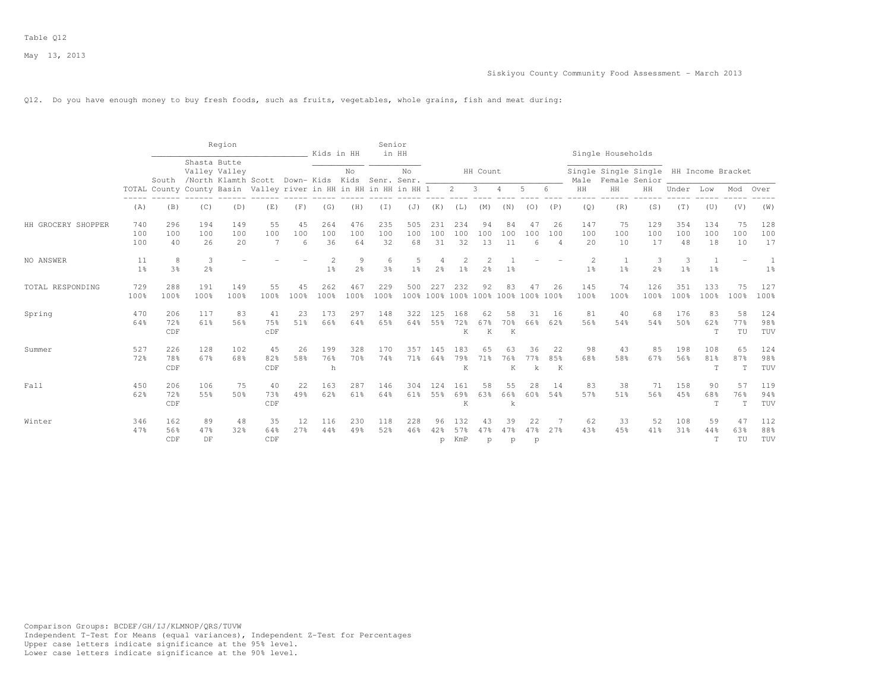#### Q12. Do you have enough money to buy fresh foods, such as fruits, vegetables, whole grains, fish and meat during:

|                    |                      |                   |                     | Region           |                                                                  |                | Kids in HH       |                        | Senior           | in HH               |                     |                   |                       |                 |                          |                             |                     | Single Households   |                                                         |                     |                     |                          |                     |
|--------------------|----------------------|-------------------|---------------------|------------------|------------------------------------------------------------------|----------------|------------------|------------------------|------------------|---------------------|---------------------|-------------------|-----------------------|-----------------|--------------------------|-----------------------------|---------------------|---------------------|---------------------------------------------------------|---------------------|---------------------|--------------------------|---------------------|
|                    |                      |                   | Shasta Butte        | Valley Valley    | South /North Klamth Scott Down-Kids Kids Senr. Senr. __          |                |                  | No                     |                  | No.                 |                     |                   | HH Count              |                 |                          |                             | Male                |                     | Single Single Single HH Income Bracket<br>Female Senior |                     |                     |                          |                     |
|                    |                      |                   |                     |                  | TOTAL County County Basin Valley river in HH in HH in HH in HH 1 |                |                  |                        |                  |                     |                     | $2^{\circ}$       | -3                    | 4               | 5                        | 6                           | HH                  | HH                  | HH                                                      | Under               | Low                 | Mod                      | Over                |
|                    | (A)                  | (B)               | (C)                 | (D)              | (E)                                                              | (F)            | (G)              | (H)                    | (I)              | (J)                 | (K)                 | (L)               | (M)                   | (N)             | (0)                      | (P)                         | (Q)                 | (R)                 | (S)                                                     | (T)                 | (U)                 | (V)                      | (W)                 |
| HH GROCERY SHOPPER | 740<br>100<br>100    | 296<br>100<br>40  | 194<br>100<br>26    | 149<br>100<br>20 | 55<br>100<br>7                                                   | 45<br>100<br>6 | 264<br>100<br>36 | 476<br>100<br>64       | 235<br>100<br>32 | 505<br>100<br>68    | 231<br>100<br>31    | 234<br>100<br>32  | 94<br>100<br>13       | 84<br>100<br>11 | 47<br>100<br>6           | 26<br>100<br>$\overline{4}$ | 147<br>100<br>20    | 75<br>100<br>10     | 129<br>100<br>17                                        | 354<br>100<br>48    | 134<br>100<br>18    | 75<br>100<br>10          | 128<br>100<br>17    |
| NO ANSWER          | 11<br>1 <sup>8</sup> | 8<br>3%           | 3<br>2 <sup>°</sup> |                  |                                                                  |                | 1 <sup>8</sup>   | 9<br>2 <sup>o</sup>    | 6<br>3%          | 5<br>1 <sup>8</sup> | 4<br>2 <sup>°</sup> | 1 <sup>8</sup>    | $\overline{c}$<br>2.8 | 1%              |                          |                             | 2<br>1 <sup>°</sup> | 1<br>1 <sup>8</sup> | 3<br>$2\frac{6}{9}$                                     | 3<br>1 <sup>°</sup> | 1<br>1 <sup>8</sup> | $\overline{\phantom{a}}$ | 1<br>1 <sup>°</sup> |
| TOTAL RESPONDING   | 729<br>100%          | 288<br>100%       | 191<br>100%         | 149<br>100%      | 55<br>100%                                                       | 45<br>100%     | 262<br>100%      | 467<br>100%            | 229<br>100%      | 500<br>100%         | 227<br>100%         | 232<br>100%       | 92<br>$100\%$         | 83<br>100%      | 47<br>100% 100%          | 26                          | 145<br>100%         | 74<br>100%          | 126<br>100%                                             | 351<br>100%         | 133<br>100%         | 75<br>100%               | 127<br>100%         |
| Spring             | 470<br>64%           | 206<br>72%<br>CDF | 117<br>61%          | 83<br>56%        | 41<br>75%<br>CDF                                                 | 23<br>51%      | 173<br>66%       | 297<br>64%             | 148<br>65%       | 322<br>64%          | 125<br>55%          | 168<br>72%<br>K   | 62<br>67%<br>K        | 58<br>70%<br>K  | 31<br>66%                | -16<br>62%                  | 81<br>56%           | 40<br>54%           | 68<br>54%                                               | 176<br>50%          | 83<br>62%<br>T      | 58<br>77%<br>TU          | 124<br>98%<br>TUV   |
| Summer             | 527<br>72%           | 226<br>78%<br>CDF | 128<br>67%          | 102<br>68%       | 45<br>82%<br>CDF                                                 | 26<br>58%      | 199<br>76%<br>h  | 328<br>70%             | 170<br>74%       | 357<br>71%          | 145<br>64%          | 183<br>79%<br>K   | 65<br>71%             | 63<br>76%<br>K  | 36<br>77%<br>$\mathbf k$ | 22<br>85%<br>K              | 98<br>68%           | 43<br>58%           | 85<br>67%                                               | 198<br>56%          | 108<br>81%<br>T     | 65<br>87%<br>T           | 124<br>98%<br>TUV   |
| Fall               | 450<br>62%           | 206<br>72%<br>CDF | 106<br>55%          | 75<br>50%        | 40<br>73%<br>CDF                                                 | 22<br>49%      | 163<br>62%       | 287<br>61%             | 146<br>64%       | 304<br>61%          | 124<br>55%          | 161<br>69%<br>K   | 58<br>63%             | 55<br>66%<br>k  | 28<br>60%                | 14<br>54%                   | 83<br>57%           | 38<br>51%           | 71<br>56%                                               | 158<br>45%          | 90<br>68%<br>T      | 57<br>76%<br>T           | 119<br>94%<br>TUV   |
| Winter             | 346<br>47%           | 162<br>56%<br>CDF | 89<br>47%<br>DF     | 48<br>32%        | 35<br>64%<br>CDF                                                 | 12<br>27%      | 116<br>44%       | 230<br>49 <sup>°</sup> | 118<br>52%       | 228<br>46%          | 96<br>42%<br>p      | 132<br>57%<br>KmP | 43<br>47%<br>p        | 39<br>47%<br>p  | 22<br>47%<br>p           | 27%                         | 62<br>43%           | 33<br>45%           | 52<br>41%                                               | 108<br>31%          | 59<br>44%<br>T      | 47<br>63%<br>TU          | 112<br>88%<br>TUV   |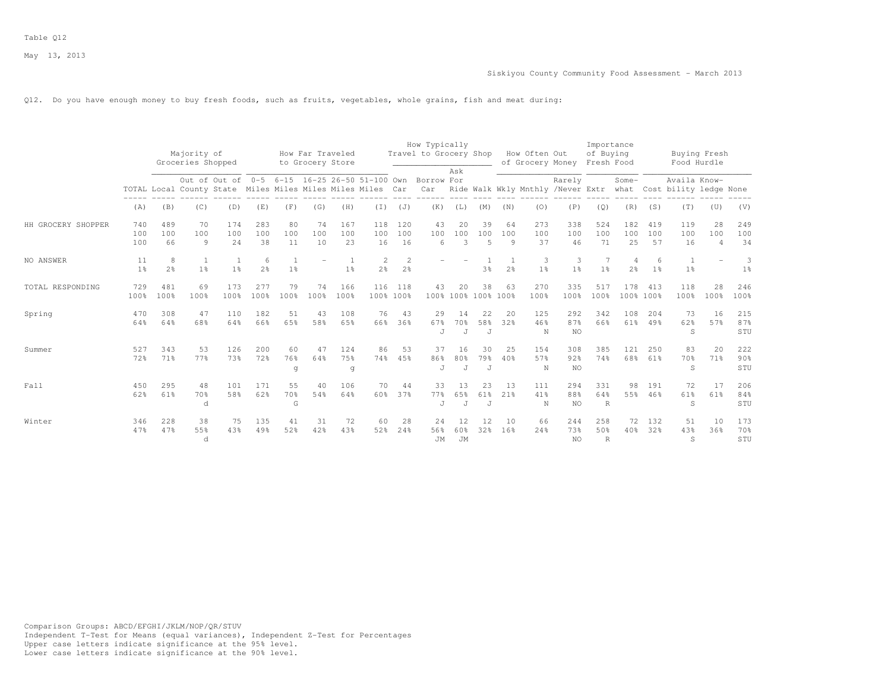#### Q12. Do you have enough money to buy fresh foods, such as fruits, vegetables, whole grains, fish and meat during:

|                    |                      |                     |                                  |                                                                                                             |                     |                 |                                      |                  |                                  |                                  | How Typically               |                             |                             |                |                                   |                         | Importance                 |                     |                      |                                                                                   |                             |                     |
|--------------------|----------------------|---------------------|----------------------------------|-------------------------------------------------------------------------------------------------------------|---------------------|-----------------|--------------------------------------|------------------|----------------------------------|----------------------------------|-----------------------------|-----------------------------|-----------------------------|----------------|-----------------------------------|-------------------------|----------------------------|---------------------|----------------------|-----------------------------------------------------------------------------------|-----------------------------|---------------------|
|                    |                      |                     | Majority of<br>Groceries Shopped |                                                                                                             |                     |                 | How Far Traveled<br>to Grocery Store |                  |                                  |                                  | Travel to Grocery Shop      |                             |                             |                | How Often Out<br>of Grocery Money |                         | of Buying<br>Fresh Food    |                     |                      | Buying Fresh<br>Food Hurdle                                                       |                             |                     |
|                    |                      |                     |                                  | Out of Out of 0-5 6-15 16-25 26-50 51-100 Own<br>TOTAL Local County State Miles Miles Miles Miles Miles Car |                     |                 |                                      |                  |                                  |                                  | Borrow For                  | Ask                         |                             |                |                                   | Rarely                  |                            | Some-               |                      | Availa Know-<br>Car Ride Walk Wkly Mnthly /Never Extr what Cost bility ledge None |                             |                     |
|                    | (A)                  | (B)                 | (C)                              | (D)                                                                                                         | (E)                 | (F)             | (G)                                  | (H)              | $(\bot)$                         | (J)                              | (K)                         | (L)                         | (M)                         | (N)            | (0)                               | (P)                     | (Q)                        | (R)                 | (S)                  | (T)                                                                               | (U)                         | (V)                 |
| HH GROCERY SHOPPER | 740<br>100<br>100    | 489<br>100<br>66    | 70<br>100<br>9                   | 174<br>100<br>24                                                                                            | 283<br>100<br>38    | 80<br>100<br>11 | 74<br>100<br>10                      | 167<br>100<br>23 | 118<br>100<br>16                 | 120<br>100<br>16                 | 43<br>100<br>6              | 20<br>100<br>$\mathcal{R}$  | 39<br>100<br>5              | 64<br>100<br>9 | 273<br>100<br>37                  | 338<br>100<br>46        | 524<br>100<br>71           | 182<br>100<br>25    | 419<br>100<br>57     | 119<br>100<br>16                                                                  | 28<br>100<br>$\overline{4}$ | 249<br>100<br>34    |
| NO ANSWER          | 11<br>1 <sup>°</sup> | 8<br>2 <sup>°</sup> | 1<br>1 <sup>°</sup>              | 1 <sup>°</sup>                                                                                              | 6<br>2 <sup>°</sup> | 1 <sup>°</sup>  |                                      | 1 <sup>°</sup>   | $\overline{c}$<br>2 <sup>°</sup> | $\overline{c}$<br>2 <sup>°</sup> |                             |                             | 3%                          | 2 <sup>°</sup> | 3<br>1 <sup>°</sup>               | 3<br>1 <sup>°</sup>     | 1 <sup>°</sup>             | 4<br>2 <sup>°</sup> | ีค<br>1 <sup>°</sup> | $\overline{1}$<br>1 <sup>°</sup>                                                  |                             | 3<br>1 <sup>°</sup> |
| TOTAL RESPONDING   | 729<br>100%          | 481<br>100%         | 69<br>100%                       | 173<br>100%                                                                                                 | 277<br>100%         | 79<br>100%      | 74<br>100%                           | 166<br>100%      | 116<br>100% 100%                 | 118                              | 43                          | 20                          | 38<br>100% 100% 100% 100%   | 63             | 270<br>100%                       | 335<br>100%             | 517<br>100%                | 178<br>100% 100%    | 413                  | 118<br>100%                                                                       | 28<br>100%                  | 246<br>100%         |
| Spring             | 470<br>64%           | 308<br>64%          | 47<br>68%                        | 110<br>64%                                                                                                  | 182<br>66%          | 51<br>65%       | 43<br>58%                            | 108<br>6.5%      | 76<br>66%                        | 43<br>36%                        | 29<br>67%<br>$\overline{J}$ | 14<br>70%<br>$\overline{J}$ | 22<br>58%<br>$\overline{J}$ | 20<br>32%      | 125<br>46%<br>N                   | 292<br>87%<br>NO        | 342<br>66%                 | 108<br>61%          | 204<br>49%           | 73<br>62%<br>S                                                                    | -16<br>57%                  | 215<br>87%<br>STU   |
| Summer             | 527<br>72%           | 343<br>71%          | 53<br>77%                        | 126<br>73%                                                                                                  | 200<br>72%          | 60<br>76%<br>q  | 47<br>64%                            | 124<br>75%<br>q  | 86<br>74%                        | 53<br>45%                        | 37<br>86%<br>J              | 16<br>80%<br>J              | 30<br>79%<br>J              | 25<br>40%      | 154<br>57%<br>N                   | 308<br>92%<br>NO        | 385<br>74%                 | 121<br>68%          | 250<br>61%           | 83<br>70%<br>S                                                                    | 20<br>71%                   | 222<br>90%<br>STU   |
| Fall               | 450<br>62%           | 295<br>61%          | 48<br>70%<br>d                   | 101<br>58%                                                                                                  | 171<br>62%          | 55<br>70%<br>G  | 40<br>54%                            | 106<br>64%       | 70<br>60%                        | 44<br>37%                        | 33<br>77%<br>$\cdot$ T      | 13<br>65%<br>$\overline{J}$ | 23<br>61%<br>$\overline{J}$ | 13<br>21%      | 111<br>41%<br>N                   | 294<br>88%<br><b>NO</b> | 331<br>64%<br>$\mathbb{R}$ | 98<br>55%           | 191<br>46%           | 72<br>61%<br>S                                                                    | 17<br>61%                   | 206<br>84%<br>STU   |
| Winter             | 346<br>47%           | 228<br>47%          | 38<br>55%<br>d                   | 75<br>43%                                                                                                   | 135<br>49%          | 41<br>52%       | 31<br>42%                            | 72<br>43%        | 60<br>52%                        | 28<br>24%                        | 24<br>56%<br>JM             | 12<br>60%<br>JM             | 12<br>32%                   | 10<br>16%      | 66<br>24%                         | 244<br>73%<br>NO.       | 258<br>50%<br>$\mathbb{R}$ | 72<br>40%           | 132<br>32%           | 51<br>43%<br>S                                                                    | 10<br>36%                   | 173<br>70%<br>STU   |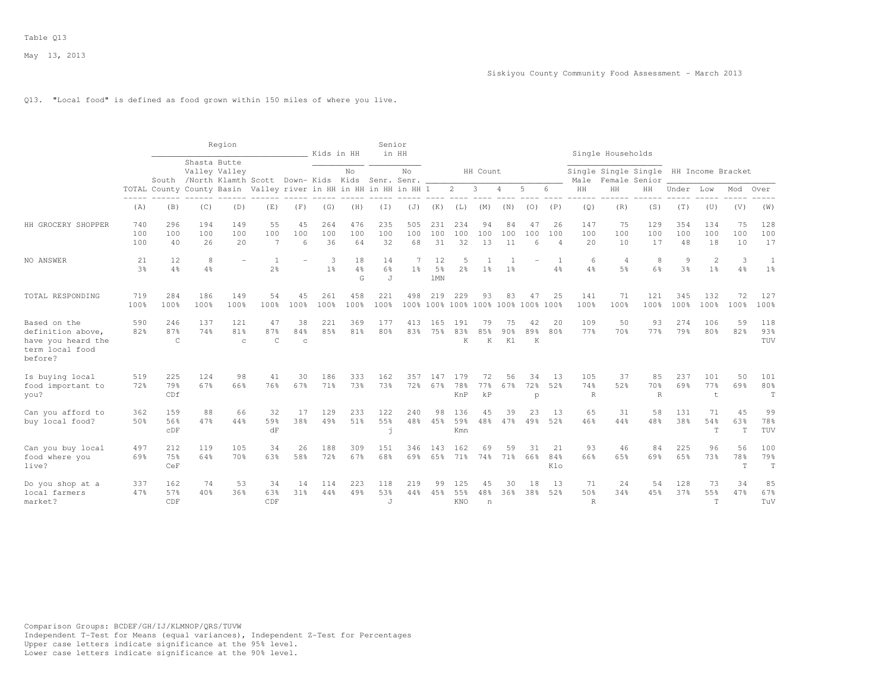### Q13. "Local food" is defined as food grown within 150 miles of where you live.

|                                                                                       |                      |                            |                  | Region                                                                 |                                  |                           | Kids in HH          |                           | Senior           | in HH               |                                    |                     |                                |                             |                            |                             |                           | Single Households                     |                            |                     |                                |                          |                   |
|---------------------------------------------------------------------------------------|----------------------|----------------------------|------------------|------------------------------------------------------------------------|----------------------------------|---------------------------|---------------------|---------------------------|------------------|---------------------|------------------------------------|---------------------|--------------------------------|-----------------------------|----------------------------|-----------------------------|---------------------------|---------------------------------------|----------------------------|---------------------|--------------------------------|--------------------------|-------------------|
|                                                                                       |                      |                            | Shasta Butte     | Valley Valley<br>South /North Klamth Scott Down- Kids Kids Senr. Senr. |                                  |                           |                     | No                        |                  | No                  |                                    |                     | HH Count                       |                             |                            |                             | Male                      | Single Single Single<br>Female Senior |                            |                     | HH Income Bracket              |                          |                   |
|                                                                                       |                      |                            |                  | TOTAL County County Basin Valley river in HH in HH in HH in HH 1       |                                  |                           |                     |                           |                  |                     |                                    | $\overline{2}$      | 3                              | $\overline{4}$              | 5                          | 6                           | HH                        | HH                                    | HH                         | Under               | Low                            | Mod                      | Over              |
|                                                                                       | (A)                  | (B)                        | (C)              | (D)                                                                    | (E)                              | (F)                       | (G)                 | (H)                       | $(\top)$         | (J)                 | (K)                                | (L)                 | (M)                            | (N)                         | (0)                        | (P)                         | (Q)                       | (R)                                   | (S)                        | (T)                 | (U)                            | (V)                      | (W)               |
| HH GROCERY SHOPPER                                                                    | 740<br>100<br>100    | 296<br>100<br>40           | 194<br>100<br>26 | 149<br>100<br>20                                                       | 55<br>100<br>$\overline{7}$      | 45<br>100<br>6            | 264<br>100<br>36    | 476<br>100<br>64          | 235<br>100<br>32 | 505<br>100<br>68    | 231<br>100<br>31                   | 234<br>100<br>32    | 94<br>100<br>13                | 84<br>100<br>11             | 47<br>100<br>6             | 26<br>100<br>$\overline{4}$ | 147<br>100<br>20          | 75<br>100<br>10                       | 129<br>100<br>17           | 354<br>100<br>48    | 134<br>100<br>18               | 75<br>100<br>10          | 128<br>100<br>17  |
| NO ANSWER                                                                             | 21<br>3 <sup>8</sup> | 12<br>4%                   | 8<br>4%          |                                                                        | $\overline{1}$<br>2 <sup>o</sup> |                           | 3<br>1 <sup>°</sup> | 18<br>$4\frac{6}{6}$<br>G | 14<br>6%<br>J    | 7<br>1 <sup>°</sup> | 12<br>5 <sup>°</sup><br><b>1MN</b> | 5<br>2 <sup>°</sup> | 1 <sup>°</sup>                 | 1 <sup>°</sup>              |                            | $4\frac{6}{6}$              | 6<br>4%                   | $\overline{4}$<br>5%                  | 8<br>6%                    | 9<br>3 <sup>°</sup> | $\mathbf{2}$<br>1 <sup>°</sup> | 3<br>4%                  | 1 <sup>°</sup>    |
| TOTAL RESPONDING                                                                      | 719<br>100%          | 284<br>100%                | 186<br>100%      | 149<br>100%                                                            | 54<br>100%                       | 45<br>100%                | 261<br>100%         | 458<br>100%               | 221<br>100%      | 498                 | 219                                | 229                 | 93<br>100% 100% 100% 100% 100% | 83                          | 47<br>$100\%$              | 25<br>100%                  | 141<br>100%               | 71<br>100%                            | 121<br>100%                | 345<br>100%         | 132<br>100%                    | 72<br>100%               | 127<br>100%       |
| Based on the<br>definition above,<br>have you heard the<br>term local food<br>before? | 590<br>82%           | 246<br>87%<br>$\mathsf{C}$ | 137<br>74%       | 121<br>81%<br>C                                                        | 47<br>87%<br>$\mathsf{C}$        | 38<br>84%<br>$\mathbf{C}$ | 221<br>85%          | 369<br>81%                | 177<br>80%       | 413<br>83%          | 165<br>75%                         | 191<br>83%<br>K     | 79<br>85%<br>K                 | 75<br>90 <sub>8</sub><br>K1 | 42<br>89 <sub>8</sub><br>K | 20<br>80%                   | 109<br>77%                | 50<br>70%                             | 93<br>77%                  | 274<br>79%          | 106<br>80%                     | 59<br>82%                | 118<br>93%<br>TUV |
| Is buying local<br>food important to<br>you?                                          | 519<br>72%           | 225<br>79%<br>CDf          | 124<br>67%       | 98<br>66%                                                              | 41<br>76%                        | 30<br>67%                 | 186<br>71%          | 333<br>73%                | 162<br>73%       | 357<br>72%          | 147<br>67%                         | 179<br>78%<br>KnP   | 72<br>77%<br>kP                | 56<br>67%                   | 34<br>72%<br>$\mathbf{p}$  | 13<br>52%                   | 105<br>74%<br>$\mathbb R$ | 37<br>52%                             | 85<br>70 %<br>$\mathbb{R}$ | 237<br>69%          | 101<br>77%<br>$\mathsf t$      | 50<br>69%                | 101<br>80%<br>T   |
| Can you afford to<br>buy local food?                                                  | 362<br>50%           | 159<br>56%<br>CDF          | 88<br>47%        | 66<br>44%                                                              | 32<br>59%<br>dF                  | 17<br>38%                 | 129<br>49%          | 233<br>51%                | 122<br>55%<br>h  | 240<br>48%          | 98<br>45%                          | 136<br>59%<br>Kmn   | 45<br>48%                      | 39<br>47%                   | 23<br>49%                  | 13<br>52%                   | 65<br>46%                 | 31<br>44%                             | 58<br>48%                  | 131<br>38%          | 71<br>54%<br>$\mathbf T$       | 45<br>63%<br>$\mathbf T$ | 99<br>78%<br>TUV  |
| Can you buy local<br>food where you<br>live?                                          | 497<br>69%           | 212<br>75%<br>CeF          | 119<br>64%       | 105<br>70 %                                                            | 34<br>63%                        | 26<br>58%                 | 188<br>72%          | 309<br>67%                | 151<br>68%       | 346<br>69%          | 143<br>65%                         | 162<br>71%          | 69<br>74%                      | 59<br>71%                   | 31<br>66%                  | 21<br>84%<br>Klo            | 93<br>66%                 | 46<br>65%                             | 84<br>69%                  | 225<br>65%          | 96<br>73%                      | 56<br>78%<br>$\top$      | 100<br>79%<br>T   |
| Do you shop at a<br>local farmers<br>market?                                          | 337<br>47%           | 162<br>57%<br>CDF          | 74<br>40%        | 53<br>36%                                                              | 34<br>63%<br>CDF                 | 14<br>31%                 | 114<br>44%          | 223<br>49 <sup>°</sup>    | 118<br>53%<br>J  | 219<br>44%          | 99<br>45%                          | 125<br>55%<br>KNO   | 45<br>48%<br>n                 | 30<br>36%                   | 18<br>38%                  | 13<br>52%                   | 71<br>50%<br>$\mathbb R$  | 24<br>34%                             | 54<br>45%                  | 128<br>37%          | 73<br>55%<br>$\mathbb T$       | 34<br>47%                | 85<br>67%<br>TuV  |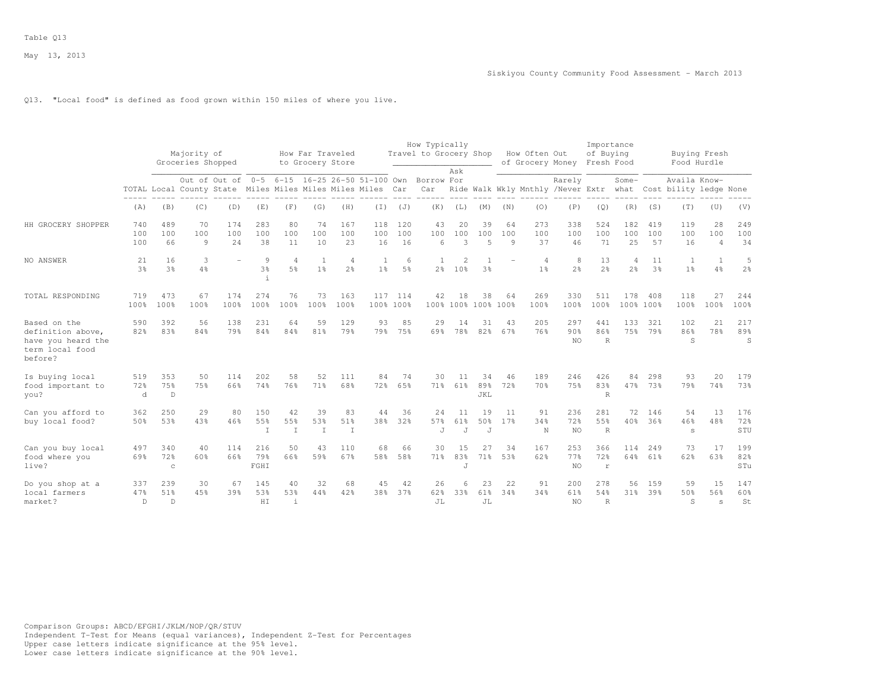## Q13. "Local food" is defined as food grown within 150 miles of where you live.

|                                                                                       |                   |                            | Majority of       |                   |                            |                                  | How Far Traveled    |                       |                                                                                                             |                     | How Typically<br>Travel to Grocery Shop |                                   |                             |                | How Often Out                    |                                             | Importance<br>of Buying    |                     |                  | Buying Fresh                           |                             |                     |
|---------------------------------------------------------------------------------------|-------------------|----------------------------|-------------------|-------------------|----------------------------|----------------------------------|---------------------|-----------------------|-------------------------------------------------------------------------------------------------------------|---------------------|-----------------------------------------|-----------------------------------|-----------------------------|----------------|----------------------------------|---------------------------------------------|----------------------------|---------------------|------------------|----------------------------------------|-----------------------------|---------------------|
|                                                                                       |                   |                            | Groceries Shopped |                   |                            |                                  | to Grocery Store    |                       |                                                                                                             |                     |                                         | Ask                               |                             |                | of Grocery Money                 |                                             | Fresh Food                 |                     |                  | Food Hurdle                            |                             |                     |
|                                                                                       |                   |                            |                   |                   |                            |                                  |                     |                       | Out of Out of 0-5 6-15 16-25 26-50 51-100 Own<br>TOTAL Local County State Miles Miles Miles Miles Miles Car |                     | Borrow For<br>Car                       |                                   |                             |                |                                  | Rarely<br>Ride Walk Wkly Mnthly /Never Extr |                            | Some-<br>what       |                  | Availa Know-<br>Cost bility ledge None |                             |                     |
|                                                                                       | (A)               | (B)                        | (C)               | (D)               | (E)                        | (F)                              | (G)                 | (H)                   | $(\top)$                                                                                                    | (J)                 | (K)                                     | (L)                               | (M)                         | (N)            | (0)                              | (P)                                         | (Q)                        | (R)                 | (S)              | (T)                                    | (U)                         | (V)                 |
| HH GROCERY SHOPPER                                                                    | 740<br>100<br>100 | 489<br>100<br>66           | 70<br>100<br>9    | 174<br>100<br>2.4 | 283<br>100<br>38           | 80<br>100<br>11                  | 74<br>100<br>10     | 167<br>100<br>23      | 118<br>100<br>16                                                                                            | 120<br>100<br>16    | 43<br>100<br>$6\overline{6}$            | 20<br>100<br>3                    | 39<br>100<br>$\overline{5}$ | 64<br>100<br>9 | 273<br>100<br>37                 | 338<br>100<br>46                            | 524<br>100<br>71           | 182<br>100<br>25    | 419<br>100<br>57 | 119<br>100<br>16                       | 28<br>100<br>$\overline{4}$ | 249<br>100<br>34    |
| NO ANSWER                                                                             | 21<br>3%          | 16<br>3 <sup>8</sup>       | 3<br>4%           |                   | 9<br>$3\frac{6}{9}$        | $\overline{4}$<br>$5\frac{6}{6}$ | 1<br>1 <sup>°</sup> | $\overline{4}$<br>2.8 | 1<br>1 <sup>°</sup>                                                                                         | 6<br>$5\frac{6}{9}$ | 1<br>2 <sup>°</sup>                     | $\overline{c}$<br>10 <sup>8</sup> | 3%                          |                | $\overline{4}$<br>1 <sup>°</sup> | 8<br>2 <sup>o</sup>                         | 13<br>2 <sup>o</sup>       | 4<br>2 <sup>°</sup> | 11<br>3%         | 1<br>$1\frac{6}{6}$                    | 1<br>$4\frac{6}{6}$         | 5<br>2 <sup>°</sup> |
| TOTAL RESPONDING                                                                      | 719<br>100%       | 473<br>100%                | 67<br>100%        | 174<br>100%       | 274<br>100%                | 76<br>100%                       | 73<br>100%          | 163<br>100%           | 117<br>100% 100%                                                                                            | 114                 | 42                                      | 18                                | 38<br>100% 100% 100% 100%   | 64             | 269<br>100%                      | 330<br>100%                                 | 511<br>100%                | 178<br>100% 100%    | 408              | 118<br>100%                            | 27<br>100%                  | 244<br>100%         |
| Based on the<br>definition above,<br>have you heard the<br>term local food<br>before? | 590<br>82%        | 392<br>83%                 | 56<br>84%         | 138<br>79%        | 231<br>84%                 | 64<br>84%                        | 59<br>81%           | 129<br>79%            | 93<br>79%                                                                                                   | 85<br>75%           | 29<br>69%                               | 14<br>78%                         | 31<br>82%                   | 43<br>67%      | 205<br>76%                       | 297<br>90%<br>NO.                           | 441<br>86%<br>$\mathbb{R}$ | 133<br>75%          | 321<br>79%       | 102<br>86%<br>S                        | 21<br>78%                   | 217<br>89%<br>S     |
| Is buying local<br>food important to<br>you?                                          | 519<br>72%<br>d   | 353<br>75%<br>D            | 50<br>75%         | 114<br>66%        | 202<br>74%                 | 58<br>76%                        | 52<br>71%           | 111<br>68%            | 84<br>72%                                                                                                   | 74<br>65%           | 30<br>71%                               | 11<br>61%                         | 34<br>89%<br>JKL            | 46<br>72%      | 189<br>70%                       | 246<br>75%                                  | 426<br>83%<br>$\mathbb{R}$ | 84<br>47%           | 298<br>73%       | 93<br>79%                              | 20<br>74%                   | 179<br>73%          |
| Can you afford to<br>buy local food?                                                  | 362<br>50%        | 250<br>53%                 | 29<br>43%         | 80<br>46%         | 150<br>55%<br>$\mathsf{T}$ | 42<br>55%<br>T                   | 39<br>53%<br>T      | 83<br>51%<br>T        | 44<br>38%                                                                                                   | 36<br>32%           | 24<br>57%<br>J                          | 11<br>61%<br>$\overline{J}$       | 19<br>50%<br>J              | 11<br>17%      | 91<br>34%<br>N                   | 236<br>72%<br><b>NO</b>                     | 281<br>55%<br>$\mathbb{R}$ | 72<br>40%           | 146<br>36%       | 54<br>46%<br>$\scriptstyle\rm S$       | 13<br>48%                   | 176<br>72%<br>STU   |
| Can you buy local<br>food where you<br>live?                                          | 497<br>69%        | 340<br>72%<br>$\mathbb{C}$ | 40<br>60%         | 114<br>66%        | 216<br>79%<br>FGHI         | 50<br>66%                        | 43<br>59%           | 110<br>67%            | 68<br>58%                                                                                                   | 66<br>58%           | 30<br>71%                               | 15<br>83%<br>J                    | 27<br>71%                   | 34<br>53%      | 167<br>62%                       | 253<br>77%<br>NO.                           | 366<br>72%<br>$\mathbf r$  | 114<br>64%          | 249<br>61%       | 73<br>62%                              | 17<br>63%                   | 199<br>82%<br>STu   |
| Do you shop at a<br>local farmers<br>market?                                          | 337<br>47%<br>D   | 239<br>51%<br>$\mathbb{D}$ | 30<br>45%         | 67<br>39%         | 145<br>53%<br>HI           | 40<br>53%<br>$\ddot{1}$          | 32<br>44%           | 68<br>42%             | 45<br>38%                                                                                                   | 42<br>37%           | 26<br>62%<br>JL                         | 6<br>33%                          | 23<br>61%<br>JL             | 22<br>34%      | 91<br>34%                        | 200<br>61%<br><b>NO</b>                     | 278<br>54%<br>R            | 56<br>31%           | 159<br>39%       | 59<br>50%<br>S                         | 15<br>56%<br>s              | 147<br>60%<br>St    |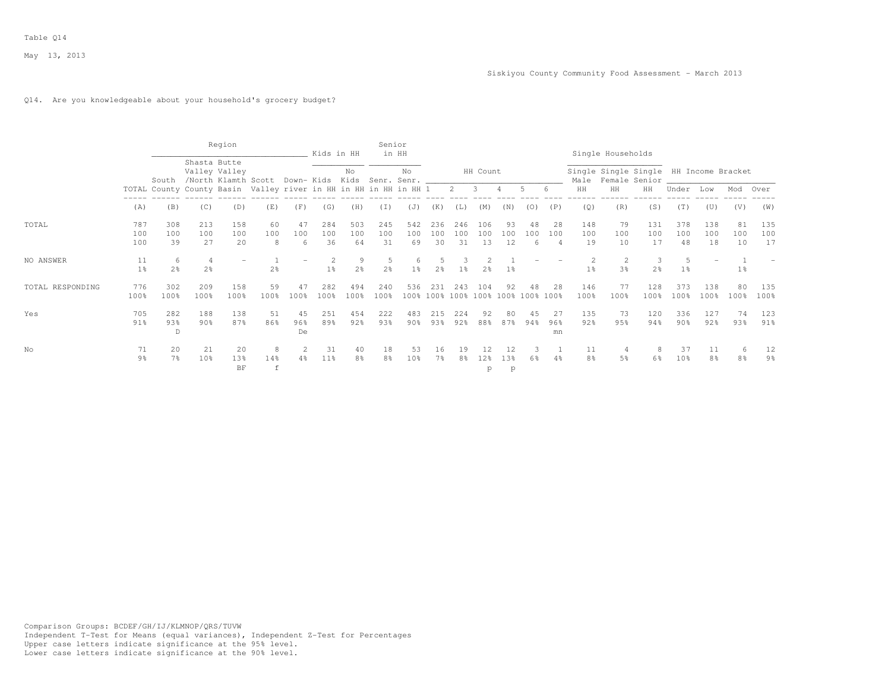#### Q14. Are you knowledgeable about your household's grocery budget?

|                  |                      |                          |                     | Region                               |                                                                  |                 | Kids in HH       |                     | Senior               | in HH                 |                  |                  |                                           |                 |                |                             |                                  | Single Households                                            |                  |                     |                  |                 |                  |
|------------------|----------------------|--------------------------|---------------------|--------------------------------------|------------------------------------------------------------------|-----------------|------------------|---------------------|----------------------|-----------------------|------------------|------------------|-------------------------------------------|-----------------|----------------|-----------------------------|----------------------------------|--------------------------------------------------------------|------------------|---------------------|------------------|-----------------|------------------|
|                  |                      | South                    | Shasta Butte        | Valley Valley<br>/North Klamth Scott |                                                                  |                 | Down- Kids Kids  | No                  |                      | No.<br>Senr. Senr. __ |                  |                  | HH Count                                  |                 |                |                             |                                  | Single Single Single HH Income Bracket<br>Male Female Senior |                  |                     |                  |                 |                  |
|                  |                      |                          |                     |                                      | TOTAL County County Basin Valley river in HH in HH in HH in HH 1 |                 |                  |                     |                      |                       |                  | $2 \quad 3$      |                                           | 4               | .5             | -6                          | HH                               | HH                                                           | HH               | Under               | Low              | Mod             | Over             |
|                  | (A)                  | (B)                      | (C)                 | (D)                                  | (E)                                                              | (F)             | (G)              | (H)                 | (I)                  | (J)                   | (K)              | (L)              | (M)                                       | (N)             | (0)            | (P)                         | (Q)                              | (R)                                                          | (S)              | (T)                 | (U)              | (V)             | (W)              |
| TOTAL            | 787<br>100<br>100    | 308<br>100<br>39         | 213<br>100<br>27    | 158<br>100<br>20                     | 60<br>100<br>8                                                   | 47<br>100<br>6  | 284<br>100<br>36 | 503<br>100<br>64    | 245<br>100<br>31     | 542<br>100<br>69      | 236<br>100<br>30 | 246<br>100<br>31 | 106<br>100<br>13                          | 93<br>100<br>12 | 48<br>100<br>6 | 28<br>100<br>$\overline{4}$ | 148<br>100<br>19                 | 79<br>100<br>10                                              | 131<br>100<br>17 | 378<br>100<br>48    | 138<br>100<br>18 | 81<br>100<br>10 | 135<br>100<br>17 |
| NO ANSWER        | 11<br>1 <sup>°</sup> | $^{6}$<br>2 <sup>°</sup> | 4<br>2 <sup>°</sup> |                                      | 2 <sup>8</sup>                                                   |                 | $1\%$            | 9<br>2 <sup>°</sup> | .5<br>2 <sup>°</sup> | 1 <sup>°</sup>        | $2\frac{6}{9}$   | 1 <sup>°</sup>   | 2 <sub>8</sub>                            | 1 <sup>8</sup>  |                |                             | $\overline{c}$<br>1 <sup>°</sup> | $\overline{2}$<br>3%                                         | 3<br>2%          | 5<br>1 <sup>°</sup> |                  | $1\%$           |                  |
| TOTAL RESPONDING | 776<br>100%          | 302<br>100%              | 209<br>100%         | 158<br>100%                          | 59<br>100%                                                       | 47<br>100%      | 282<br>100%      | 494<br>100%         | 240<br>100%          | 536                   | 231              | 2.43             | 104<br>100% 100% 100% 100% 100% 100% 100% | 92              | 48             | 28                          | 146<br>100%                      | 77<br>100%                                                   | 128<br>100%      | 373<br>100%         | 138<br>100%      | 80<br>100%      | 135<br>100%      |
| Yes              | 705<br>91%           | 282<br>93%<br>D          | 188<br>$90\%$       | 138<br>87%                           | 51<br>86%                                                        | 45<br>96%<br>De | 251<br>89%       | 454<br>92%          | 222<br>93%           | 483<br>$90\%$         | 215<br>93%       | 224<br>92%       | 92<br>88%                                 | 80<br>87%       | 45<br>94%      | 27<br>96%<br>mn             | 135<br>92%                       | 73<br>95%                                                    | 120<br>94%       | 336<br>90%          | 127<br>92%       | 74<br>93%       | 123<br>91%       |
| No               | 71<br>9 <sub>8</sub> | 20<br>7 %                | 21<br>10%           | 20<br>13%<br>BF                      | 8<br>14%<br>$\mathbf f$                                          | $4\%$           | 31<br>11%        | 40<br>8%            | 18<br>8%             | 53<br>10%             | 16<br>7%         | 19<br>8%         | l2%<br>p                                  | 13%<br>p        | 6%             | 4%                          | 11<br>8 <sup>°</sup>             | 5%                                                           | 8<br>6%          | 37<br>10%           | 11<br>8%         | 6<br>8%         | 12<br>9%         |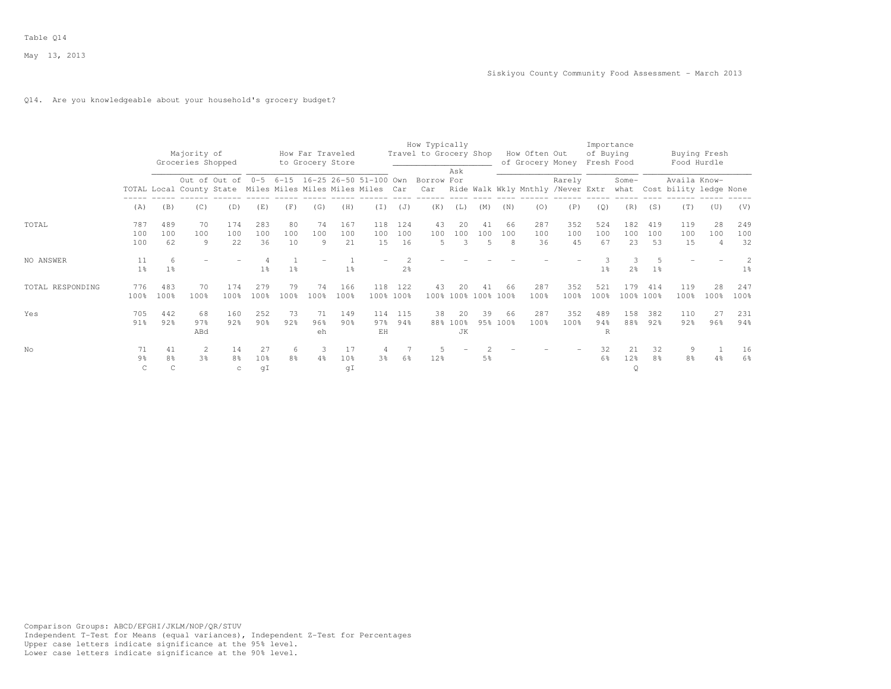## Q14. Are you knowledgeable about your household's grocery budget?

|                  |                           |                           | Majority of<br>Groceries Shopped                           |                           |                             |                     | How Far Traveled<br>to Grocery Store |                  |                  |                  | How Typically<br>Travel to Grocery Shop                         |                             |                      |                | How Often Out<br>of Grocery Money |                  | Importance<br>of Buying<br>Fresh Food |                                 |                      | Food Hurdle                                 | Buying Fresh                |                  |
|------------------|---------------------------|---------------------------|------------------------------------------------------------|---------------------------|-----------------------------|---------------------|--------------------------------------|------------------|------------------|------------------|-----------------------------------------------------------------|-----------------------------|----------------------|----------------|-----------------------------------|------------------|---------------------------------------|---------------------------------|----------------------|---------------------------------------------|-----------------------------|------------------|
|                  |                           |                           | TOTAL Local County State Miles Miles Miles Miles Miles Car |                           |                             |                     |                                      |                  |                  |                  | Out of Out of 0-5 6-15 16-25 26-50 51-100 Own Borrow For<br>Car | Ask                         |                      |                | Ride Walk Wkly Mnthly /Never Extr | Rarely           |                                       | Some-                           |                      | Availa Know-<br>what Cost bility ledge None |                             |                  |
|                  | (A)                       | (B)                       | (C)                                                        | (D)                       | (E)                         | (F)                 | (G)                                  | (H)              | (T)              | (J)              | (K)                                                             | (L)                         | (M)                  | (N)            | (0)                               | (P)              | (Q)                                   | (R)                             | (S)                  | (T)                                         | (U)                         | (V)              |
| TOTAL            | 787<br>100<br>100         | 489<br>100<br>62          | 70<br>100<br>9                                             | 174<br>100<br>22          | 283<br>100<br>36            | 80<br>100<br>10     | 74<br>100<br>9                       | 167<br>100<br>21 | 118<br>100<br>15 | 124<br>100<br>16 | 43<br>100<br>5                                                  | 20<br>100<br>3              | 41<br>100<br>5       | 66<br>100<br>8 | 287<br>100<br>36                  | 352<br>100<br>45 | 524<br>100<br>67                      | 182<br>100<br>23                | 419<br>100<br>53     | 119<br>100<br>15                            | 28<br>100<br>$\overline{4}$ | 249<br>100<br>32 |
| NO ANSWER        | 11<br>1 <sup>8</sup>      | 6<br>1 <sup>8</sup>       |                                                            |                           | 1 <sup>8</sup>              | 1 <sup>8</sup>      |                                      | 1 <sup>°</sup>   |                  | 2 <sup>o</sup>   |                                                                 |                             |                      |                |                                   |                  | 1 <sup>8</sup>                        | $\mathcal{L}$<br>2 <sup>o</sup> | 1 <sup>°</sup>       |                                             |                             | 1 <sup>°</sup>   |
| TOTAL RESPONDING | 776<br>100%               | 483<br>100%               | 70<br>100%                                                 | 174<br>100%               | 279<br>100%                 | 79<br>100%          | 74<br>100%                           | 166<br>100%      | 118              | 122<br>100% 100% | 43                                                              | 20                          | 41<br>100% 100% 100% | 66<br>100%     | 287<br>100%                       | 352<br>100%      | 521<br>100%                           | 179                             | 414<br>100% 100%     | 119<br>100%                                 | 28<br>100%                  | 247<br>100%      |
| Yes              | 705<br>$91\%$             | 442<br>92%                | 68<br>97%<br>ABd                                           | 160<br>92%                | 252<br>90 <sub>3</sub>      | 73<br>92%           | 71<br>96%<br>eh                      | 149<br>90%       | 114<br>97%<br>EH | 115<br>94%       | 38                                                              | 20<br>88% 100%<br><b>JK</b> | 39                   | 66<br>95% 100% | 287<br>100%                       | 352<br>100%      | 489<br>94%<br>R                       | 158<br>88%                      | 382<br>92%           | 110<br>92%                                  | 27<br>96%                   | 231<br>94%       |
| No               | 71<br>9 <sub>8</sub><br>C | 41<br>8 <sup>°</sup><br>C | 2<br>3%                                                    | 14<br>8 <sup>°</sup><br>C | 27<br>10 <sup>8</sup><br>qI | 6<br>8 <sup>°</sup> | 3<br>4%                              | 17<br>10%<br>qI  | 3%               | 6%               | 12%                                                             |                             | 5%                   |                |                                   |                  | 32<br>6%                              | 21<br>12%<br>Q                  | 32<br>8 <sup>2</sup> | 9<br>8 <sup>°</sup>                         | 4%                          | 16<br>6%         |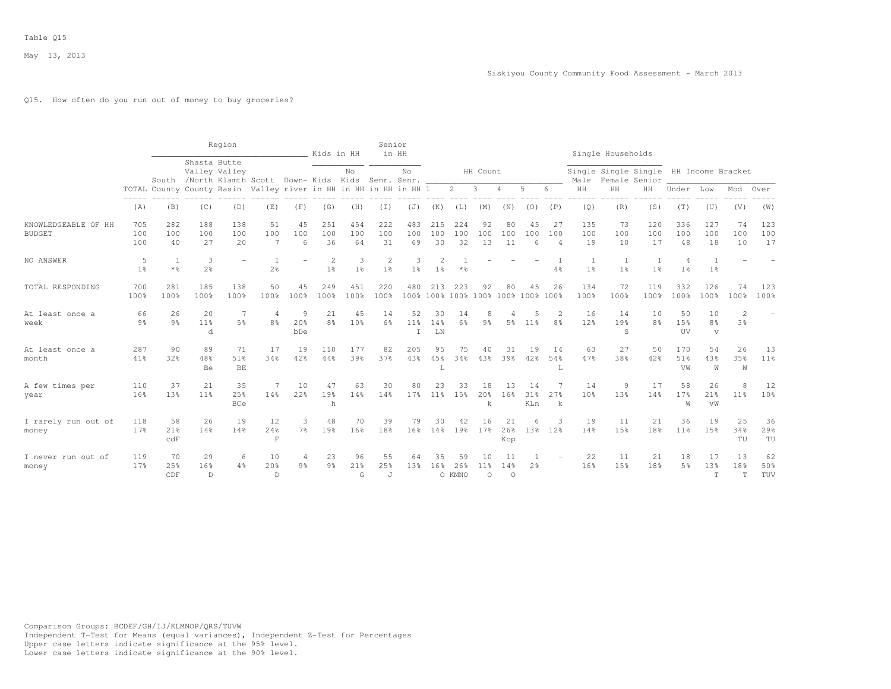## Q15. How often do you run out of money to buy groceries?

|                                      |                      |                        |                                  | Region                                                                 |                                  |                     | Kids in HH           |                       | Senior                      | in HH                     |                         |                     |                                          |                      |                  |                                  |                     | Single Households                                       |                      |                                  |                                      |                      |                  |
|--------------------------------------|----------------------|------------------------|----------------------------------|------------------------------------------------------------------------|----------------------------------|---------------------|----------------------|-----------------------|-----------------------------|---------------------------|-------------------------|---------------------|------------------------------------------|----------------------|------------------|----------------------------------|---------------------|---------------------------------------------------------|----------------------|----------------------------------|--------------------------------------|----------------------|------------------|
|                                      |                      |                        | Shasta Butte                     | Valley Valley<br>South /North Klamth Scott Down- Kids Kids Senr. Senr. |                                  |                     |                      | No                    |                             | No.                       |                         |                     | HH Count                                 |                      |                  |                                  | Male                | Single Single Single HH Income Bracket<br>Female Senior |                      |                                  |                                      |                      |                  |
|                                      |                      |                        |                                  | TOTAL County County Basin Valley river in HH in HH in HH in HH 1       |                                  |                     |                      |                       |                             |                           |                         | $2^{\circ}$         | $\mathbf{3}$                             | $\overline{4}$       | 5                | 6                                | HH                  | $\rm{HH}$                                               | HH                   | Under                            | Low                                  | Mod                  | Over             |
|                                      | (A)                  | (B)                    | (C)                              | (D)                                                                    | (E)                              | (F)                 | (G)                  | (H)                   | (I)                         | (J)                       | (K)                     | (L)                 | (M)                                      | (N)                  | (0)              | (P)                              | (Q)                 | (R)                                                     | (S)                  | (T)                              | (U)                                  | (V)                  | (W)              |
| KNOWLEDGEABLE OF HH<br><b>BUDGET</b> | 705<br>100<br>100    | 282<br>100<br>40       | 188<br>100<br>27                 | 138<br>100<br>20                                                       | 51<br>100<br>7                   | 45<br>100<br>6      | 251<br>100<br>36     | 454<br>100<br>64      | 222<br>100<br>31            | 483<br>100<br>69          | 215<br>100<br>30        | 224<br>100<br>32    | 92<br>100<br>13                          | 80<br>100<br>11      | 45<br>100<br>6   | 27<br>100<br>$\overline{4}$      | 135<br>100<br>19    | 73<br>100<br>10                                         | 120<br>100<br>17     | 336<br>100<br>48                 | 127<br>100<br>18                     | 74<br>100<br>10      | 123<br>100<br>17 |
| NO ANSWER                            | 5<br>1 <sup>°</sup>  | 1<br>$*$ $\frac{6}{5}$ | $\overline{3}$<br>2 <sup>o</sup> |                                                                        | -1<br>2 <sup>o</sup>             |                     | 2<br>1 <sup>°</sup>  | 3<br>1 <sup>°</sup>   | 2<br>1 <sup>°</sup>         | 3<br>1 <sup>°</sup>       | 2<br>1 <sup>°</sup>     | $*$ %               |                                          |                      |                  | $4\frac{6}{6}$                   | 1<br>1 <sup>°</sup> | 1<br>1 <sup>°</sup>                                     | 1<br>1 <sup>°</sup>  | $\overline{4}$<br>1 <sup>°</sup> | -1<br>1 <sup>°</sup>                 |                      |                  |
| TOTAL RESPONDING                     | 700<br>100%          | 281<br>100%            | 185<br>100%                      | 138<br>100%                                                            | 50<br>100%                       | 45<br>100%          | 249<br>100%          | 451<br>100%           | 220<br>100%                 | 480                       | 213                     | 223                 | 92<br>100% 100% 100% 100% 100% 100% 100% | 80                   | 45               | 26                               | 134<br>100%         | 72<br>100%                                              | 119<br>100%          | 332<br>100%                      | 126<br>100%                          | 74<br>100%           | 123<br>100%      |
| At least once a<br>week              | 66<br>$9\frac{6}{9}$ | 26<br>$9\frac{6}{9}$   | 20<br>11 <sup>°</sup><br>d       | $\overline{7}$<br>5 <sup>°</sup>                                       | $\overline{4}$<br>8 <sup>°</sup> | 9<br>20%<br>bDe     | 21<br>8 <sup>°</sup> | 45<br>10 <sup>8</sup> | 14<br>6%                    | 52<br>11%<br>$\mathbf{I}$ | 30<br>14%<br>${\rm LN}$ | 14<br>$6\%$         | 8<br>9 <sub>8</sub>                      | 4<br>5 <sup>°</sup>  | 11%              | $\overline{2}$<br>8 <sup>°</sup> | 16<br>12%           | 14<br>19%<br>S                                          | 10<br>8 <sup>°</sup> | 50<br>15%<br>UV                  | 10<br>8 <sup>°</sup><br>$\mathbf{v}$ | $\mathfrak{D}$<br>3% |                  |
| At least once a<br>month             | 287<br>41%           | 90<br>32%              | 89<br>48%<br>Be                  | 71<br>51%<br>BE                                                        | 17<br>34%                        | 19<br>42%           | 110<br>44%           | 177<br>39%            | 82<br>37%                   | 205<br>43%                | 95<br>45%<br>L          | 75<br>34%           | 40<br>4.3%                               | 31<br>39%            | 19<br>42%        | 14<br>54%<br>L                   | 63<br>47%           | 27<br>38%                                               | 50<br>42%            | 170<br>51%<br>VW                 | 54<br>43%<br>W                       | 26<br>35%<br>W       | 13<br>11%        |
| A few times per<br>year              | 110<br>16%           | 37<br>13%              | 21<br>11 <sup>°</sup>            | 35<br>25%<br>BCe                                                       | 7<br>14%                         | 10<br>22%           | 47<br>19%<br>h       | 63<br>14%             | 30<br>14%                   | 80<br>17%                 | 23<br>11 <sup>°</sup>   | 33<br>15%           | 18<br>20%<br>k                           | 13<br>16%            | 14<br>31%<br>KLn | 27%<br>k                         | 14<br>10%           | 9<br>13%                                                | 17<br>14%            | 58<br>17 <sup>8</sup><br>W       | 26<br>21%<br>vW                      | 8<br>11 <sup>°</sup> | 12<br>10%        |
| I rarely run out of<br>money         | 118<br>17%           | 58<br>21%<br>c dF      | 26<br>14%                        | 19<br>14%                                                              | 12<br>24%<br>$\mathbf F$         | 3<br>7 <sup>°</sup> | 48<br>19%            | 70<br>16%             | 39<br>18%                   | 79<br>16%                 | 30<br>14%               | 42<br>19%           | 16<br>17%                                | 21<br>26%<br>Kop     | 6<br>13%         | 3<br>12%                         | 19<br>14%           | 11<br>15%                                               | 21<br>18%            | 36<br>11 <sup>°</sup>            | 19<br>15%                            | 25<br>34%<br>TU      | 36<br>29%<br>TU  |
| I never run out of<br>money          | 119<br>17%           | 70<br>25%<br>CDF       | 29<br>16%<br>$\mathbb D$         | 6<br>4%                                                                | 10<br>20%<br>$\mathbb{D}$        | 4<br>9 <sub>8</sub> | 23<br>9 <sub>8</sub> | 96<br>21%<br>G        | 55<br>25%<br>$\overline{J}$ | 64<br>13 <sup>°</sup>     | 35<br>16%               | 59<br>26%<br>O KMNO | 10<br>11 <sup>8</sup><br>$\circ$         | 11<br>14%<br>$\circ$ | 2 <sup>°</sup>   |                                  | 22<br>16%           | 11<br>15%                                               | 21<br>18%            | 18<br>5%                         | 17<br>13%<br>T                       | 13<br>18%<br>T       | 62<br>50%<br>TUV |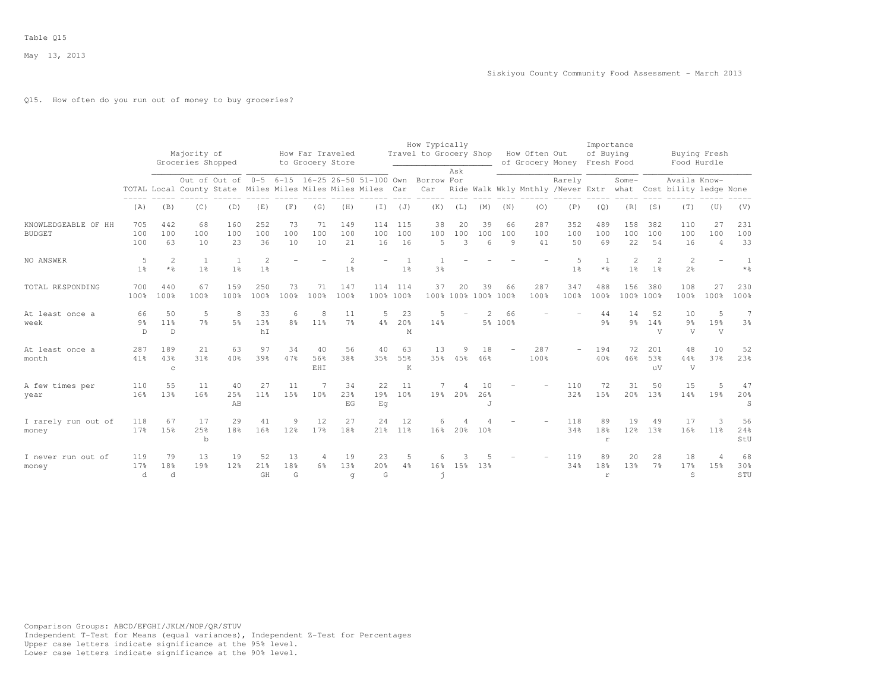# Q15. How often do you run out of money to buy groceries?

|                                      |                           |                                      | Majority of                                                |                     |                                         |                     | How Far Traveled     |                                  |                  |                  | How Typically<br>Travel to Grocery Shop                         |                |                           |                             | How Often Out    |                                             | Importance<br>of Buying  |                     |                                  |                                             | Buying Fresh                |                         |
|--------------------------------------|---------------------------|--------------------------------------|------------------------------------------------------------|---------------------|-----------------------------------------|---------------------|----------------------|----------------------------------|------------------|------------------|-----------------------------------------------------------------|----------------|---------------------------|-----------------------------|------------------|---------------------------------------------|--------------------------|---------------------|----------------------------------|---------------------------------------------|-----------------------------|-------------------------|
|                                      |                           |                                      | Groceries Shopped                                          |                     |                                         |                     | to Grocery Store     |                                  |                  |                  |                                                                 | Ask            |                           |                             | of Grocery Money |                                             | Fresh Food               |                     |                                  | Food Hurdle                                 |                             |                         |
|                                      |                           |                                      | TOTAL Local County State Miles Miles Miles Miles Miles Car |                     |                                         |                     |                      |                                  |                  |                  | Out of Out of 0-5 6-15 16-25 26-50 51-100 Own Borrow For<br>Car |                |                           |                             |                  | Rarely<br>Ride Walk Wkly Mnthly /Never Extr |                          | Some-               |                                  | Availa Know-<br>what Cost bility ledge None |                             |                         |
|                                      | (A)                       | (B)                                  | (C)                                                        | (D)                 | (E)                                     | (F)                 | (G)                  | (H)                              | $(\bot)$         | (J)              | (K)                                                             | (L)            | (M)                       | (N)                         | (0)              | (P)                                         | (Q)                      | (R)                 | (S)                              | (T)                                         | (U)                         | (V)                     |
| KNOWLEDGEABLE OF HH<br><b>BUDGET</b> | 705<br>100<br>100         | 442<br>100<br>63                     | 68<br>100<br>10                                            | 160<br>100<br>23    | 252<br>100<br>36                        | 73<br>100<br>10     | 71<br>100<br>10      | 149<br>100<br>21                 | 114<br>100<br>16 | 115<br>100<br>16 | 38<br>100<br>5                                                  | 20<br>100<br>3 | 39<br>100<br>6            | 66<br>100<br>$\overline{9}$ | 287<br>100<br>41 | 352<br>100<br>50                            | 489<br>100<br>69         | 158<br>100<br>22    | 382<br>100<br>54                 | 110<br>100<br>16                            | 27<br>100<br>$\overline{4}$ | 231<br>100<br>33        |
| NO ANSWER                            | 5<br>1 <sup>°</sup>       | 2<br>$*$ %                           | -1<br>1 <sup>°</sup>                                       | 1 <sup>°</sup>      | $\mathbf{2}^{\prime}$<br>1 <sup>°</sup> |                     |                      | $\overline{2}$<br>1 <sup>°</sup> |                  | 1 <sup>°</sup>   | 3%                                                              |                |                           |                             |                  | 5<br>1 <sup>°</sup>                         | $*$ %                    | 2<br>1 <sup>°</sup> | $\overline{c}$<br>1 <sup>°</sup> | $\overline{c}$<br>$2\frac{6}{6}$            |                             | -1<br>$*$ $\frac{6}{6}$ |
| TOTAL RESPONDING                     | 700<br>100%               | 440<br>100%                          | 67<br>100%                                                 | 159<br>100%         | 250<br>100%                             | 73<br>100%          | 71<br>100%           | 147<br>100%                      | 114<br>100% 100% | 114              | 37                                                              | 20             | 39<br>100% 100% 100% 100% | 66                          | 287<br>100%      | 347<br>100%                                 | 488<br>100%              | 156<br>100% 100%    | 380                              | 108<br>100%                                 | 27<br>100%                  | 230<br>100%             |
| At least once a<br>week              | 66<br>$9\frac{6}{9}$<br>D | 50<br>11 <sup>°</sup><br>$\mathbb D$ | 5<br>7 <sup>°</sup>                                        | 8<br>5 <sup>°</sup> | 33<br>13%<br>hI                         | 6<br>8 <sup>°</sup> | 8<br>11 <sup>8</sup> | 11<br>7%                         | 5<br>4%          | 23<br>20%<br>М   | $\overline{5}$<br>14%                                           |                | $\mathfrak{D}$            | 66<br>5% 100%               |                  |                                             | 44<br>9%                 | 14<br>9%            | 52<br>14%<br>V                   | 10<br>$9\frac{6}{6}$<br>V                   | 5<br>19%<br>V               | $7\phantom{.0}$<br>3%   |
| At least once a<br>month             | 287<br>41%                | 189<br>43%<br>$\mathbb C$            | 21<br>31%                                                  | 63<br>40%           | 97<br>39%                               | 34<br>47%           | 40<br>56%<br>EHI     | 56<br>38%                        | 40<br>35%        | 63<br>55%<br>K   | 13<br>35%                                                       | 9<br>45%       | 18<br>46%                 |                             | 287<br>100%      |                                             | 194<br>40%               | 72<br>46%           | 201<br>53%<br>uV                 | 48<br>44%<br>V                              | 10<br>37%                   | 52<br>23%               |
| A few times per<br>year              | 110<br>16%                | 55<br>13%                            | 11<br>16%                                                  | 40<br>25%<br>AB     | 27<br>11 <sup>°</sup>                   | 11<br>15%           | 10%                  | 34<br>23%<br>EG                  | 22<br>19%<br>Eq  | 11<br>10%        | 19%                                                             | Δ<br>20%       | 10<br>26%<br>J            |                             |                  | 110<br>32%                                  | 72<br>1.5%               | 31<br>20%           | 50<br>13%                        | 15<br>14%                                   | 5<br>19%                    | 47<br>20%<br>S          |
| I rarely run out of<br>money         | 118<br>17%                | 67<br>15%                            | 17<br>25%<br>$\mathbf b$                                   | 29<br>18%           | 41<br>16%                               | 12 <sup>8</sup>     | 12<br>17%            | 27<br>18%                        | 24               | 12<br>21% 11%    | 6<br>16 <sup>8</sup>                                            | 20%            | 10 <sup>8</sup>           |                             |                  | 118<br>34%                                  | 89<br>18%<br>r           | 19<br>12%           | 49<br>13 <sup>°</sup>            | 17<br>16%                                   | 3<br>11%                    | 56<br>24%<br>StU        |
| I never run out of<br>money          | 119<br>17%<br>d           | 79<br>18%<br>d                       | 13<br>19%                                                  | 19<br>12%           | 52<br>21%<br>GH                         | 13<br>18%<br>G      | 4<br>6%              | 19<br>1.3%<br>q                  | 23<br>20%<br>G   | 5<br>4%          | 6<br>16%<br>h                                                   | 15%            | 13%                       |                             |                  | 119<br>34%                                  | 89<br>18%<br>$\mathbf r$ | 20<br>1.3%          | 28<br>7%                         | 18<br>17%<br>S                              | $\overline{4}$<br>1.5%      | 68<br>30%<br>STU        |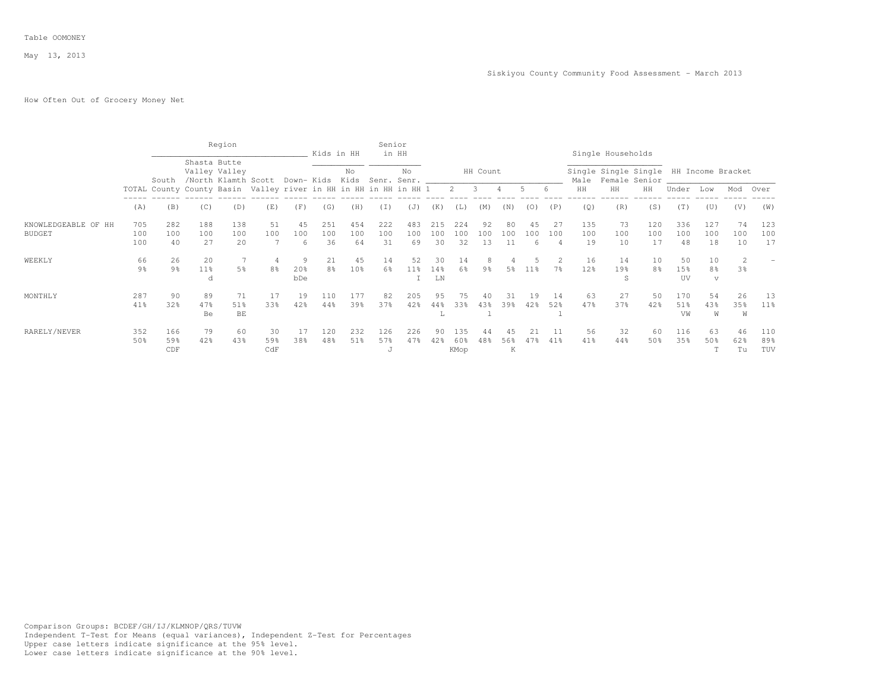# How Often Out of Grocery Money Net

|                     |                |                |        | Region                                               |                                                                  |     | Kids in HH                              |                 | Senior  | in HH |            |       |          |     |                 |                |                 | Single Households                                            |     |       |             |                |        |
|---------------------|----------------|----------------|--------|------------------------------------------------------|------------------------------------------------------------------|-----|-----------------------------------------|-----------------|---------|-------|------------|-------|----------|-----|-----------------|----------------|-----------------|--------------------------------------------------------------|-----|-------|-------------|----------------|--------|
|                     |                | South          |        | Shasta Butte<br>Valley Valley<br>/North Klamth Scott |                                                                  |     | Down- Kids Kids Senr. Senr. ___________ | No              |         | No    |            |       | HH Count |     |                 |                |                 | Single Single Single HH Income Bracket<br>Male Female Senior |     |       |             |                |        |
|                     |                |                |        |                                                      | TOTAL County County Basin Valley river in HH in HH in HH in HH 1 |     |                                         |                 |         |       |            |       | 2 3 4    |     | $5 -$           | -6             | HH              | HH                                                           | HH  | Under | Low         | Mod            | Over   |
|                     | (A)            | (B)            | (C)    | (D)                                                  | (E)                                                              | (F) | (G)                                     | (H)             | (I)     | (J)   | (K)        | (L)   | (M)      | (N) | (0)             | (P)            | (Q)             | (R)                                                          | (S) | (T)   | (U)         | (V)            | (W)    |
| KNOWLEDGEABLE OF HH | 705            | 282            | 188    | 138                                                  | 51                                                               | 45  | 251                                     | 454             | 222     | 483   | 215        | 2.2.4 | 92       | 80  | 4.5             | 27             | 135             | 73                                                           | 120 | 336   | 127         | 74             | 123    |
| <b>BUDGET</b>       | 100            | 100            | 100    | 100                                                  | 100                                                              | 100 | 100                                     | 100             | 100     | 100   | 100        | 100   | 100      | 100 | 100             | 100            | 100             | 100                                                          | 100 | 100   | 100         | 100            | 100    |
|                     | 100            | 40             | 27     | 20                                                   |                                                                  | 6   | 36                                      | 64              | 31      | 69    | 30         | 32    | 13       |     |                 | $\overline{4}$ | 19              | 10                                                           | 17  | 48    | 18          | 10             | 17     |
| WEEKLY              | 66             | 26             | 20     |                                                      |                                                                  | q   | 21                                      | 45              | 14      | 52    | 30         | 14    |          |     |                 |                | 16              | 14                                                           | 10  | 50    | 10          |                |        |
|                     | $9\frac{6}{9}$ | $9\frac{6}{9}$ | $11\%$ | 5%                                                   | 8%                                                               | 20% | 8 <sup>°</sup>                          | 10 <sup>8</sup> | 6%      | 11%   | 14%        | 6%    | 9%       | 5%  | 11 <sup>8</sup> | 7%             | 12 <sup>°</sup> | 19%                                                          | 8%  | 15%   | 8%          | 3 <sup>8</sup> |        |
|                     |                |                | d      |                                                      |                                                                  | bDe |                                         |                 |         |       | ${\rm LN}$ |       |          |     |                 |                |                 | .S                                                           |     | UV    | $\mathbf v$ |                |        |
| MONTHLY             | 287            | 90             | 89     | 71                                                   | -17                                                              | 19  | 110                                     | 177             | 82      | 205   | 95         | 75    |          | 31  | 19              | -14            | 63              | 27                                                           | 50  | 170   | 54          | 26             | 13     |
|                     | 41%            | 32%            | 47%    | 51%                                                  | 33%                                                              | 42% | 44%                                     | 39%             | 37%     | 42%   | 44%        | 33%   | 43%      | 39% | 42%             | 52%            | 47%             | 37%                                                          | 42% | 51%   | 43%         | 35%            | $11\%$ |
|                     |                |                | Be     | BE                                                   |                                                                  |     |                                         |                 |         |       | ⊥          |       |          |     |                 |                |                 |                                                              |     | VW    | W           | W              |        |
| RARELY/NEVER        | 352            | 166            | 79     | 60                                                   | 30                                                               | 17  | 120                                     | 232             | 126     | 226   | 90         | 135   | 44       | 45  | 21              |                | 56              | 32                                                           | 60  | 116   | 63          | 46             | 110    |
|                     | 50%            | 59%            | 42%    | 43%                                                  | 59%                                                              | 38% | 48%                                     | 51%             | 57%     |       |            | 60%   | 48%      | 56% |                 | 41%            | 41%             | 44%                                                          | 50% | 35%   | 50%         | 62%            | 89%    |
|                     |                | CDF            |        |                                                      | CdF                                                              |     |                                         |                 | $\cdot$ |       |            | KMop  |          | K   |                 |                |                 |                                                              |     |       |             | Tu             | TUV    |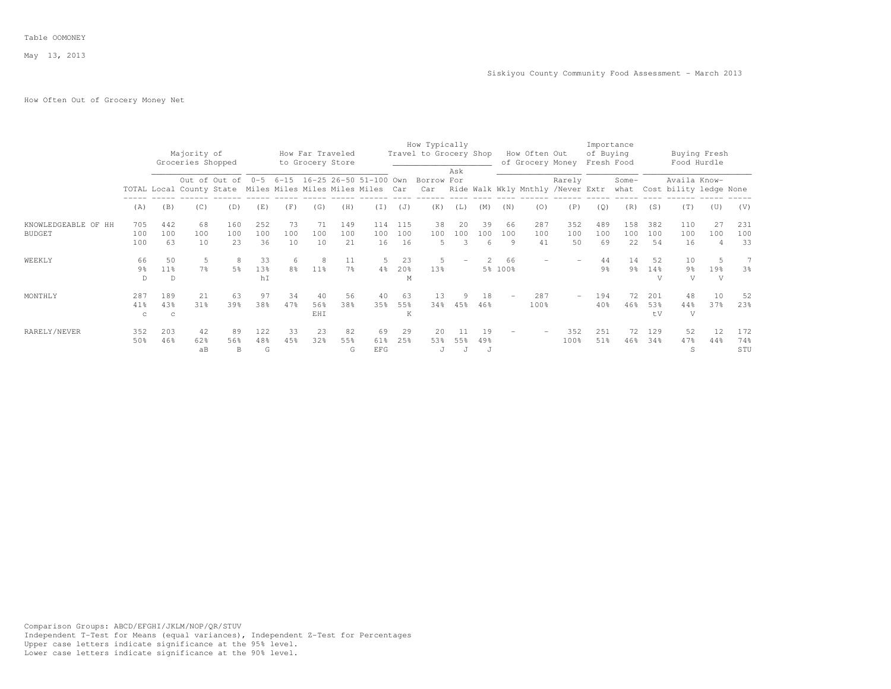# How Often Out of Grocery Money Net

|                     |                |                 |                                                            |                |     |                |                                      |                |                                               |     | How Typically                         |     |     |         |               |                  |           | Importance     |               |                             |                             |                |
|---------------------|----------------|-----------------|------------------------------------------------------------|----------------|-----|----------------|--------------------------------------|----------------|-----------------------------------------------|-----|---------------------------------------|-----|-----|---------|---------------|------------------|-----------|----------------|---------------|-----------------------------|-----------------------------|----------------|
|                     |                |                 | Majority of<br>Groceries Shopped                           |                |     |                | How Far Traveled<br>to Grocery Store |                |                                               |     | Travel to Grocery Shop                |     |     |         | How Often Out | of Grocery Money | of Buying | Fresh Food     |               |                             | Buying Fresh<br>Food Hurdle |                |
|                     |                |                 |                                                            |                |     |                |                                      |                | Out of Out of 0-5 6-15 16-25 26-50 51-100 Own |     | Borrow For                            | Ask |     |         |               | Rarely           |           | Some-          |               | Availa Know-                |                             |                |
|                     |                |                 | TOTAL Local County State Miles Miles Miles Miles Miles Car |                |     |                |                                      |                |                                               |     | Car Ride Walk Wkly Mnthly /Never Extr |     |     |         |               |                  |           |                |               | what Cost bility ledge None |                             |                |
|                     | (A)            | (B)             | (C)                                                        | (D)            | (E) | (F)            | (G)                                  | (H)            | (T)                                           | (J) | (K)                                   | (L) | (M) | (N)     | (0)           | (P)              | (Q)       | (R)            | (S)           | (T)                         | (U)                         | (V)            |
| KNOWLEDGEABLE OF HH | 705            | 442             | 68                                                         | 160            | 252 | 73             | 71                                   | 149            | 114                                           | 115 | 38                                    | 20  | 39  | 66      | 287           | 352              | 489       | 158            | 382           | 110                         | 2.7                         | 231            |
| <b>BUDGET</b>       | 100            | 100             | 100                                                        | 100            | 100 | 100            | 100                                  | 100            | 100                                           | 100 | 100                                   | 100 | 100 | 100     | 100           | 100              | 100       | 100            | 100           | 100                         | 100                         | 100            |
|                     | 100            | 63              | 10                                                         | 23             | 36  | 10             | 10                                   | 2.1            | 16                                            | 16  | .5                                    | 3   | 6   | 9       | 41            | 50               | 69        | 22             | 54            | 16                          |                             | 33             |
| WEEKLY              | 66             | 50              | 5                                                          | 8              | 33  | 6              | 8                                    | 11             | 5                                             | 23  | .5                                    |     |     | 66      |               |                  | 44        | 14             | 52            | 10                          |                             | 7              |
|                     | 9 <sup>°</sup> | 11 <sup>8</sup> | 7%                                                         | 5 <sup>8</sup> | 13% | 8 <sup>°</sup> | $11\%$                               | 7 <sup>°</sup> | 4%                                            | 20% | 13%                                   |     |     | 5% 100% |               |                  | 9%        | 9 <sup>°</sup> | $14\%$        | 9 <sup>°</sup>              | 19%                         | 3 <sup>°</sup> |
|                     | D.             | D               |                                                            |                | hI  |                |                                      |                |                                               | M   |                                       |     |     |         |               |                  |           |                | $\mathcal{L}$ | V                           | V                           |                |
| MONTHLY             | 287            | 189             | 21                                                         | 63             | 97  | 34             | 40                                   | 56             | 40                                            | 63  | 13                                    | 9   | 18  |         | 287           | $\sim$           | 194       | 72             | 201           | 48                          | 10                          | 52             |
|                     | 41%            | 43%             | 31%                                                        | 39%            | 38% | 47%            | 56%                                  | 38%            | 35%                                           | 55% | 34%                                   | 45% | 46% |         | 100%          |                  | 40%       | 46%            | 53%           | 44%                         | 37%                         | 23%            |
|                     | C              | $\mathbf C$     |                                                            |                |     |                | EHI                                  |                |                                               | K   |                                       |     |     |         |               |                  |           |                | $+V$          | V                           |                             |                |
| RARELY/NEVER        | 352            | 203             | 42                                                         | 89             | 122 | 33             | 23                                   | 82             | 69                                            | 29  | 20                                    |     | 19  |         |               | 352              | 251       | 72             | 129           | 52                          | 12                          | 172            |
|                     | 50%            | 46%             | 62%                                                        | 56%            | 48% | 45%            | 32%                                  | 55%            | 61%                                           | 25% | 53%                                   | 55% | 49% |         |               | 100%             | 51%       | 46%            | 34%           | 47%                         | 44%                         | 74%            |
|                     |                |                 | aB                                                         | B              | G   |                |                                      | G              | <b>EFG</b>                                    |     | J                                     |     | J   |         |               |                  |           |                |               | S                           |                             | STU            |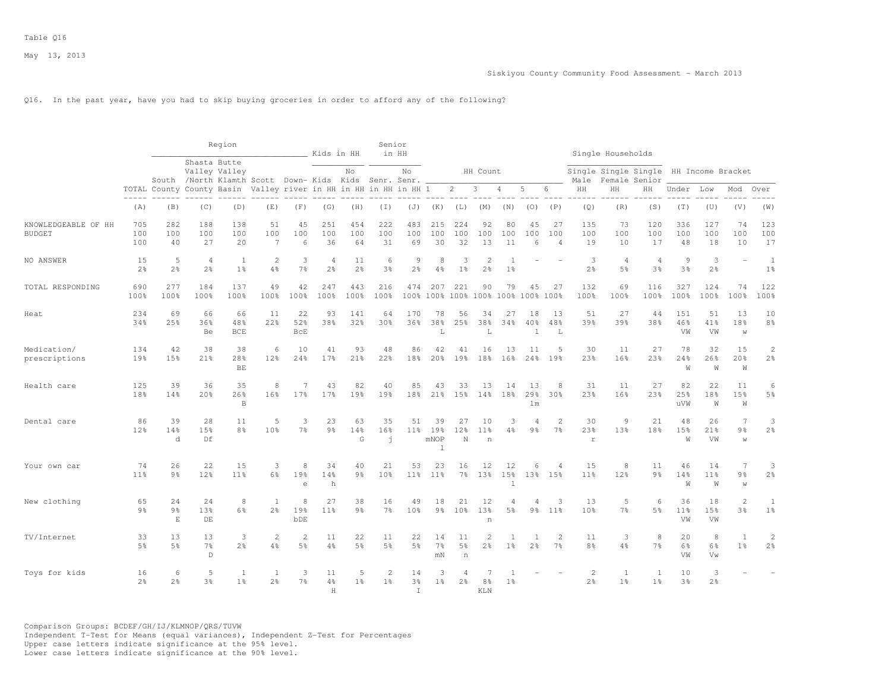Q16. In the past year, have you had to skip buying groceries in order to afford any of the following?

|                                      |                      |                      |                                                                        | Region                    |                                |                        | Kids in HH                       |                      | Senior<br>in HH           |                                |                                   |                                           |                                      |                                  |                                |                             |                                  | Single Households    |                                                         |                             |                            |                                       |                                  |
|--------------------------------------|----------------------|----------------------|------------------------------------------------------------------------|---------------------------|--------------------------------|------------------------|----------------------------------|----------------------|---------------------------|--------------------------------|-----------------------------------|-------------------------------------------|--------------------------------------|----------------------------------|--------------------------------|-----------------------------|----------------------------------|----------------------|---------------------------------------------------------|-----------------------------|----------------------------|---------------------------------------|----------------------------------|
|                                      |                      |                      | Shasta Butte<br>South /North Klamth Scott Down-Kids Kids Senr. Senr. _ | Valley Valley             |                                |                        |                                  | No                   |                           | No                             |                                   |                                           | HH Count                             |                                  |                                |                             | Male                             |                      | Single Single Single HH Income Bracket<br>Female Senior |                             |                            |                                       |                                  |
|                                      |                      |                      | TOTAL County County Basin Valley river in HH in HH in HH in HH 1       |                           |                                |                        |                                  |                      |                           |                                |                                   | $2^{\circ}$                               | $\overline{\mathbf{3}}$              | 4                                | 5                              | 6                           | HH                               | HH                   | HН                                                      | Under                       | Low                        | Mod                                   | Over                             |
|                                      | $\cdots$<br>(A)      | (B)                  | (C)                                                                    | -----<br>(D)              | (E)                            | (F)                    | (G)                              | (H)                  | $(\top)$                  | (J)                            | (K)                               | (L)                                       | (M)                                  | (N)                              | (0)                            | (P)                         | (Q)                              | (R)                  | (S)                                                     | (T)                         | (U)                        | (V)                                   | (W)                              |
| KNOWLEDGEABLE OF HH<br><b>BUDGET</b> | 705<br>100<br>100    | 282<br>100<br>40     | 188<br>100<br>27                                                       | 138<br>100<br>20          | 51<br>100<br>$\overline{7}$    | 45<br>100<br>6         | 251<br>100<br>36                 | 454<br>100<br>64     | 222<br>100<br>31          | 483<br>100<br>69               | 215<br>100<br>30                  | 224<br>100<br>32                          | 92<br>100<br>13                      | 80<br>100<br>11                  | 45<br>100<br>6                 | 27<br>100<br>$\overline{4}$ | 135<br>100<br>19                 | 73<br>100<br>10      | 120<br>100<br>17                                        | 336<br>100<br>48            | 127<br>100<br>18           | 74<br>100<br>10                       | 123<br>100<br>17                 |
| NO ANSWER                            | 15<br>2 <sup>°</sup> | 5<br>2 <sup>°</sup>  | $\overline{4}$<br>2 <sup>°</sup>                                       | 1<br>1 <sup>°</sup>       | $\overline{2}$<br>4%           | 3<br>$7\frac{6}{9}$    | $\overline{4}$<br>2 <sup>°</sup> | 11<br>2 <sup>o</sup> | 6<br>3 <sup>°</sup>       | $\circ$<br>2 <sup>°</sup>      | 8<br>4%                           | 3<br>1 <sup>°</sup>                       | $\overline{c}$<br>2 <sup>°</sup>     | -1<br>1 <sup>°</sup>             |                                |                             | 3<br>$2\frac{6}{9}$              | $\overline{4}$<br>5% | $\overline{4}$<br>3 <sup>°</sup>                        | $\overline{9}$<br>3%        | 3<br>2 <sup>°</sup>        | ÷                                     | $\mathbf{1}$<br>1 <sup>°</sup>   |
| TOTAL RESPONDING                     | 690<br>100%          | 277<br>100%          | 184<br>100%                                                            | 137<br>100%               | 49<br>100%                     | 42<br>100%             | 247<br>100%                      | 443<br>100%          | 216<br>100%               | 474                            | 207                               | 221<br>100% 100% 100% 100% 100% 100% 100% | 90                                   | 79                               | 45                             | 27                          | 132<br>100%                      | 69<br>100%           | 116<br>100%                                             | 327<br>100%                 | 124<br>100%                | 74<br>100%                            | 122<br>100%                      |
| Heat                                 | 234<br>34%           | 69<br>25%            | 66<br>36%<br>Be                                                        | 66<br>48%<br><b>BCE</b>   | 11<br>22%                      | 22<br>52%<br>BCE       | 93<br>38%                        | 141<br>32%           | 64<br>30%                 | 170<br>36%                     | 78<br>38%<br>L                    | 56<br>25%                                 | 34<br>38%<br>L                       | 27<br>34%                        | 18<br>40%<br>$\overline{1}$    | 13<br>48%<br>L              | 51<br>39%                        | 27<br>39%            | 44<br>38%                                               | 151<br>46%<br>VW            | 51<br>41%<br>VW            | 13<br>18%<br>W                        | 10<br>$8\frac{6}{9}$             |
| Medication/<br>prescriptions         | 134<br>19%           | 42<br>15%            | 38<br>21%                                                              | 38<br>28%<br>BE           | 6<br>12%                       | 10<br>24%              | 41<br>17 <sub>8</sub>            | 93<br>21%            | 48<br>22%                 | 86<br>18%                      | 42<br>20%                         | 41<br>19%                                 | 16<br>18%                            | 13<br>16%                        | 11<br>24%                      | .5<br>19%                   | 30<br>23%                        | 11<br>16%            | 27<br>23%                                               | 78<br>24%<br>W              | 32<br>26%<br>W             | 15<br>20%<br>W                        | $\mathbf{2}$<br>$2\frac{6}{9}$   |
| Health care                          | 125<br>18%           | 39<br>14%            | 36<br>20 <sub>8</sub>                                                  | 35<br>26%<br>$\mathbb{B}$ | 8<br>16%                       | 17%                    | 43<br>17%                        | 82<br>19%            | 40<br>19%                 | 85<br>18%                      | 43<br>21%                         | 33<br>15%                                 | 13<br>14%                            | 14<br>18%                        | 13<br>29%<br>1 <sub>m</sub>    | 8<br>30%                    | 31<br>23%                        | 11<br>16%            | 27<br>23%                                               | 82<br>25%<br>uVW            | 22<br>18%<br>W             | 11<br>15%<br>W                        | 6<br>$5\frac{6}{9}$              |
| Dental care                          | 86<br>12%            | 39<br>14%<br>d       | 28<br>15%<br>Df                                                        | 11<br>8%                  | 5<br>10%                       | 3<br>$7\frac{6}{9}$    | 23<br>9 <sub>8</sub>             | 63<br>14%<br>G       | 35<br>16%<br>$\mathbf{I}$ | 51<br>$11\%$                   | 39<br>19%<br>mNOP<br>$\mathbf{1}$ | 27<br>12%<br>N                            | 10<br>11 <sup>8</sup><br>n           | 3<br>4%                          | 9 <sub>8</sub>                 | 2<br>7 <sup>°</sup>         | 30<br>23%<br>$\mathbf r$         | 9<br>13%             | 21<br>18%                                               | 48<br>15%<br>W              | 26<br>21%<br>VW            | $\overline{7}$<br>9 <sub>8</sub><br>W | 3<br>$2\frac{6}{9}$              |
| Your own car                         | 74<br>11%            | 26<br>9 <sub>8</sub> | 22<br>12%                                                              | 15<br>11 <sup>°</sup>     | 3<br>6 <sup>8</sup>            | 8<br>19%<br>$\epsilon$ | 34<br>14%<br>h                   | 40<br>9 <sub>8</sub> | 21<br>10%                 | 53<br>11 <sup>8</sup>          | 23<br>11%                         | 16<br>$7\%$                               | 12<br>13%                            | 12<br>15%<br>$\overline{1}$      | 6                              | 4<br>13% 15%                | 15<br>11 <sup>°</sup>            | 8<br>12%             | 11<br>9 <sub>8</sub>                                    | 46<br>14%<br>W              | 14<br>11 <sup>°</sup><br>W | $7\phantom{.0}$<br>9%<br>W            | 3<br>$2\frac{6}{9}$              |
| New clothing                         | 65<br>9 <sub>8</sub> | 24<br>9%<br>E        | 24<br>13%<br>DE                                                        | 8<br>6%                   | $\mathbf{1}$<br>$2\frac{6}{6}$ | 8<br>19%<br>bDE        | 27<br>11%                        | 38<br>9 <sub>8</sub> | 16<br>$7\%$               | 49<br>10%                      | 18<br>$9\frac{6}{9}$              | 21<br>10 <sup>8</sup>                     | 12<br>13%<br>$\overline{\mathbf{n}}$ | $\overline{4}$<br>$5\frac{6}{6}$ | 4<br>$9\frac{6}{9}$            | 3<br>11%                    | 13<br>10%                        | 5<br>7 <sup>°</sup>  | 6<br>5 <sup>°</sup>                                     | 36<br>11 <sup>°</sup><br>VW | 18<br>15%<br>VW            | 2<br>3%                               | 1<br>1 <sup>°</sup>              |
| TV/Internet                          | 33<br>5%             | 13<br>5 <sup>8</sup> | 13<br>7 <sup>°</sup><br>$\mathbb D$                                    | 3<br>2 <sup>°</sup>       | 2<br>4%                        | $\overline{c}$<br>5%   | 11<br>4%                         | 22<br>5%             | 11<br>5 <sup>8</sup>      | 22<br>5%                       | 14<br>7 <sup>°</sup><br>mN        | 11<br>$5\frac{6}{6}$<br>$\,$ n            | $\overline{2}$<br>2 <sup>°</sup>     | 1 <sup>°</sup>                   | $\mathbf{1}$<br>2 <sup>°</sup> | 2<br>7 <sup>8</sup>         | 11<br>8 <sup>°</sup>             | 3<br>4%              | 8<br>7 <sup>°</sup>                                     | 20<br>6%<br>VW              | 8<br>6%<br>Vw              | $\overline{1}$<br>1 <sup>8</sup>      | $\overline{c}$<br>2 <sup>°</sup> |
| Toys for kids                        | 16<br>2 <sup>°</sup> | 6<br>2 <sup>°</sup>  | 5<br>3 <sup>°</sup>                                                    | 1<br>1 <sup>°</sup>       | 1<br>2 <sup>°</sup>            | 3<br>7 <sup>°</sup>    | 11<br>4%<br>H                    | 5<br>1 <sup>°</sup>  | 2<br>1 <sup>°</sup>       | 14<br>$3\frac{6}{6}$<br>$\top$ | 3<br>$1\%$                        | 2 <sup>°</sup>                            | 8%<br>KI.N                           | 1 <sup>°</sup>                   |                                |                             | $\overline{2}$<br>2 <sup>°</sup> | 1<br>1 <sup>°</sup>  | 1<br>1 <sup>°</sup>                                     | 10<br>3 <sup>8</sup>        | 3<br>2 <sup>°</sup>        |                                       |                                  |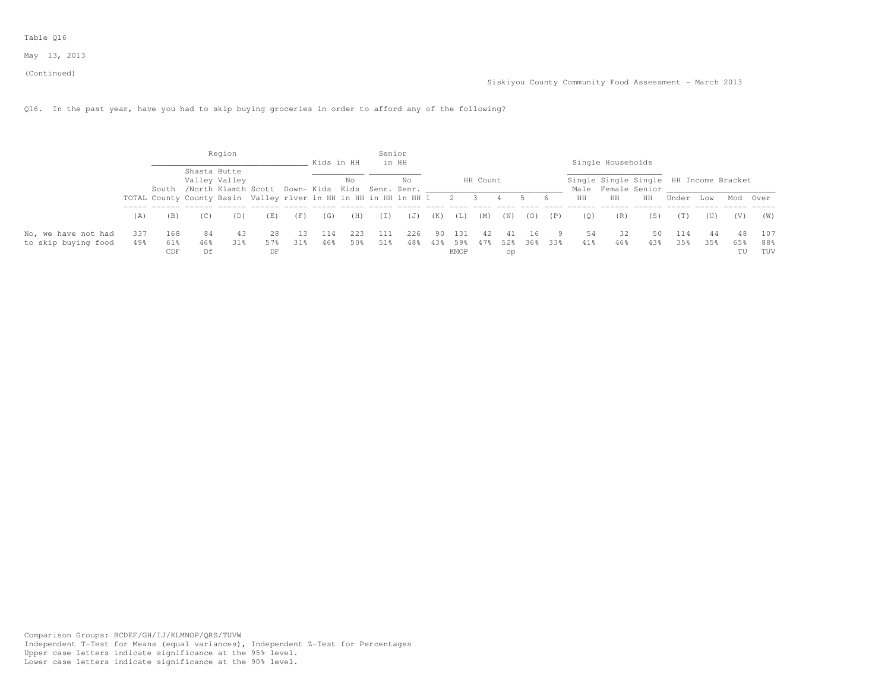Table Q16

May 13, 2013

(Continued)

Q16. In the past year, have you had to skip buying groceries in order to afford any of the following?

|                     |      |     |                                                                  | Region        |     |     |            |     | Senior |       |     |      |          |         |     |     |     |                                        |     |       |      |          |     |
|---------------------|------|-----|------------------------------------------------------------------|---------------|-----|-----|------------|-----|--------|-------|-----|------|----------|---------|-----|-----|-----|----------------------------------------|-----|-------|------|----------|-----|
|                     |      |     |                                                                  |               |     |     | Kids in HH |     |        | in HH |     |      |          |         |     |     |     | Single Households                      |     |       |      |          |     |
|                     |      |     | Shasta Butte                                                     | Valley Valley |     |     |            | No  |        | No    |     |      | HH Count |         |     |     |     | Single Single Single HH Income Bracket |     |       |      |          |     |
|                     |      |     | South /North Klamth Scott Down- Kids Kids Senr. Senr.            |               |     |     |            |     |        |       |     |      |          |         |     |     |     | Male Female Senior ____                |     |       |      |          |     |
|                     |      |     | TOTAL County County Basin Valley river in HH in HH in HH in HH 1 |               |     |     |            |     |        |       |     | - 2  |          |         |     | 6   | HH  | HH                                     | HH  | Under | T.OW | Mod Over |     |
|                     | (A)  | (B) | (U)                                                              | (D)           | (E) | (F) | (G)        | (H) | (1)    | (J)   | (K) | (L)  | (M)      | (N)     | (0) | (P) | (0) | (R)                                    | (S) | (T)   | (U)  | (V)      | (W) |
| No, we have not had | 337  | 168 | 84                                                               | 43            | -28 |     | 114        | 223 | 111    | 226   | 90. | 131  |          | 41      | 16  |     | 54  | 32                                     | 50  | 114   | 44   |          | 107 |
| to skip buying food | 49.8 | 61% | 46%                                                              | 31%           | 57% | 31% | 46%        | 50% | 51%    | 48%   | 43% | 59%  |          | 47% 52% | 36% | 33% | 41% | 46%                                    | 43% | 35%   | 35%  | 65%      | 88% |
|                     |      | CDF | Df                                                               |               | DF  |     |            |     |        |       |     | KMOP |          | op      |     |     |     |                                        |     |       |      | ΤU       | TUV |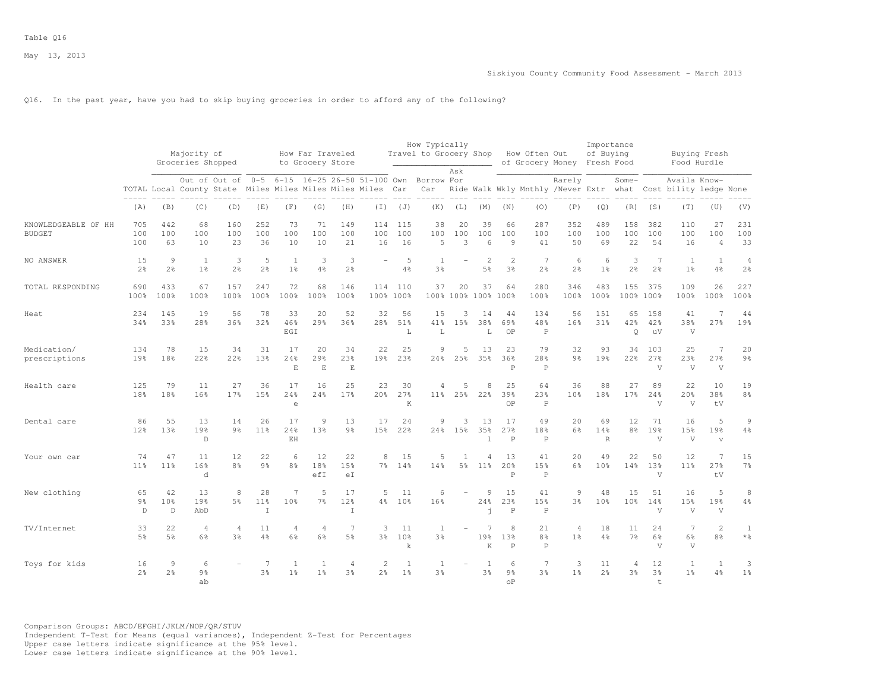Q16. In the past year, have you had to skip buying groceries in order to afford any of the following?

|                                      |                           |                                       | Majority of<br>Groceries Shopped |                       |                             |                                   | How Far Traveled<br>to Grocery Store |                                  |                                                                                                                        |                                | How Typically<br>Travel to Grocery Shop | Ask                              |                                  |                                   | How Often Out                        | of Grocery Money Fresh Food      | Importance<br>of Buying   |                       |                                  | Buying Fresh<br>Food Hurdle                                                   |                             |                                  |
|--------------------------------------|---------------------------|---------------------------------------|----------------------------------|-----------------------|-----------------------------|-----------------------------------|--------------------------------------|----------------------------------|------------------------------------------------------------------------------------------------------------------------|--------------------------------|-----------------------------------------|----------------------------------|----------------------------------|-----------------------------------|--------------------------------------|----------------------------------|---------------------------|-----------------------|----------------------------------|-------------------------------------------------------------------------------|-----------------------------|----------------------------------|
|                                      |                           |                                       |                                  |                       |                             |                                   |                                      |                                  | Out of Out of 0-5 6-15 16-25 26-50 51-100 Own Borrow For<br>TOTAL Local County State Miles Miles Miles Miles Miles Car | $\frac{1}{2}$                  | Car                                     |                                  |                                  |                                   |                                      | Rarely                           |                           | $Some-$               |                                  | Availa Know-<br>Ride Walk Wkly Mnthly /Never Extr what Cost bility ledge None |                             |                                  |
|                                      | (A)                       | (B)                                   | (C)                              | (D)                   | (E)                         | (F)                               | (G)                                  | (H)                              | (T)                                                                                                                    | (J)                            | (K)                                     | (L)                              | (M)                              | (N)                               | (0)                                  | (P)                              | (Q)                       | (R)                   | (S)                              | (T)                                                                           | (U)                         | (V)                              |
| KNOWLEDGEABLE OF HH<br><b>BUDGET</b> | 705<br>100<br>100         | 442<br>100<br>63                      | 68<br>100<br>10                  | 160<br>100<br>23      | 252<br>100<br>36            | 73<br>100<br>10                   | 71<br>100<br>10                      | 149<br>100<br>21                 | 114<br>100<br>16                                                                                                       | 115<br>100<br>16               | 38<br>100<br>5                          | 20<br>100<br>3                   | 39<br>100<br>6                   | 66<br>100<br>9                    | 287<br>100<br>41                     | 352<br>100<br>50                 | 489<br>100<br>69          | 158<br>100<br>22      | 382<br>100<br>54                 | 110<br>100<br>16                                                              | 27<br>100<br>$\overline{4}$ | 231<br>100<br>33                 |
| NO ANSWER                            | 15<br>2 <sup>°</sup>      | 9<br>$2\frac{6}{9}$                   | 1<br>1 <sup>°</sup>              | 3<br>$2\frac{6}{9}$   | 5<br>$2\frac{6}{9}$         | $\overline{1}$<br>1 <sup>°</sup>  | 3<br>4%                              | 3<br>2 <sup>o</sup>              |                                                                                                                        | 5<br>4%                        | -1<br>3%                                |                                  | $\mathfrak{D}$<br>5 <sup>°</sup> | $\overline{2}$<br>3%              | 7<br>$2\frac{6}{9}$                  | 6<br>2 <sup>°</sup>              | 6<br>1 <sup>°</sup>       | 3<br>2 <sup>°</sup>   | $\overline{7}$<br>2 <sup>o</sup> | 1<br>1 <sup>°</sup>                                                           | $\mathbf{1}$<br>4%          | $\overline{4}$<br>2 <sup>°</sup> |
| TOTAL RESPONDING                     | 690<br>100%               | 433<br>100%                           | 67<br>100%                       | 157<br>100%           | 247<br>100%                 | 72<br>100%                        | 68<br>100%                           | 146<br>100%                      | 114<br>100% 100%                                                                                                       | 110                            | 37                                      | 20<br>100% 100% 100%             | 37                               | 64<br>100%                        | 280<br>100%                          | 346<br>100%                      | 483<br>100%               | 155                   | 375<br>100% 100%                 | 109<br>100%                                                                   | 26<br>100%                  | 227<br>100%                      |
| Heat                                 | 234<br>34%                | 145<br>33%                            | 19<br>28%                        | 56<br>36%             | 78<br>32%                   | 33<br>46%<br>EGI                  | 20<br>29%                            | 52<br>36%                        | 32<br>28%                                                                                                              | 56<br>51%<br>L                 | 15<br>41%<br>L                          | 3<br>15%                         | 14<br>38%<br>L                   | 44<br>69%<br>0P                   | 134<br>48%<br>$\mathbb P$            | 56<br>16%                        | 151<br>31%                | 65<br>42%<br>Q        | 158<br>42%<br>uV                 | 41<br>38%<br>V                                                                | 7<br>27%                    | 44<br>19%                        |
| Medication/<br>prescriptions         | 134<br>19%                | 78<br>18%                             | 15<br>22%                        | 34<br>22%             | 31<br>13%                   | 17<br>24%<br>$\mathbf E$          | 20<br>29%<br>$\mathbf E$             | 34<br>23%<br>$\mathbf E$         | 22<br>19%                                                                                                              | 25<br>23%                      | 9<br>24%                                | 5<br>25%                         | 13<br>35%                        | 23<br>36%<br>$\mathsf{P}$         | 79<br>28%<br>$\, {\mathbb P}$        | 32<br>9 <sub>8</sub>             | 93<br>19%                 | 34<br>22%             | 103<br>27%<br>V                  | 25<br>23%<br>$\sqrt{ }$                                                       | -7<br>27%<br>$\mathbf{V}$   | 20<br>$9\frac{6}{6}$             |
| Health care                          | 125<br>18%                | 79<br>18%                             | 11<br>16%                        | 27<br>17 <sup>°</sup> | 36<br>15%                   | 17<br>24%<br>$\epsilon$           | 16<br>24%                            | 2.5<br>17%                       | 23<br>20%                                                                                                              | 30<br>27%<br>K                 | 4<br>11%                                | 5<br>25%                         | 8<br>22%                         | 2.5<br>39%<br>OP                  | 64<br>23%<br>$\mathbb{P}$            | 36<br>10 <sup>8</sup>            | 88<br>18%                 | 27<br>17 <sup>8</sup> | 89<br>24%<br>V                   | 22<br>20%<br>V                                                                | 10<br>38%<br>tV             | 19<br>8 <sup>°</sup>             |
| Dental care                          | 86<br>12%                 | 55<br>13%                             | 13<br>19%<br>$\mathbb{D}$        | 14<br>9 <sub>8</sub>  | 26<br>11 <sup>°</sup>       | 17<br>24%<br>EH                   | 9<br>13%                             | 13<br>9 <sub>8</sub>             | 17<br>1.5%                                                                                                             | 24<br>22%                      | 9                                       | 3<br>24% 15%                     | 13<br>35%<br>$\mathbb{I}$        | 17<br>27%<br>$\mathsf{P}$         | 49<br>18%<br>$\mathsf{P}$            | 20<br>6%                         | 69<br>14%<br>$\mathbb{R}$ | 12<br>8 <sup>8</sup>  | 71<br>19 <sup>°</sup><br>V       | 16<br>15%<br>$\mathbf{V}$                                                     | 5<br>19%<br>$\overline{V}$  | 9<br>$4\%$                       |
| Your own car                         | 74<br>11%                 | 47<br>11 <sup>°</sup>                 | 11<br>16%<br>d                   | 12<br>8 <sup>°</sup>  | 22<br>9 <sub>8</sub>        | 6<br>8 <sup>8</sup>               | 12<br>18%<br>efI                     | 22<br>15%<br>eI                  | 8                                                                                                                      | 15<br>7% 14%                   | 5<br>14%                                | $\overline{1}$<br>5 <sup>°</sup> | 4<br>11%                         | 13<br>20%<br>P                    | 41<br>15%<br>$\mathbb P$             | 2.0<br>6%                        | 49<br>10%                 | 22<br>14%             | 50<br>13 <sup>°</sup><br>V       | 12<br>11%                                                                     | 7<br>27%<br>tV              | 15<br>7 <sup>°</sup>             |
| New clothing                         | 65<br>9 <sub>8</sub><br>D | 42<br>10 <sup>8</sup><br>$\mathbb{D}$ | 13<br>19%<br>AbD                 | 8<br>5 <sup>8</sup>   | 28<br>11 <sup>°</sup><br>T. | $\overline{7}$<br>10 <sup>8</sup> | 5<br>7%                              | 17<br>12%<br>$\mathbf I$         | 5                                                                                                                      | 11<br>4% 10%                   | 6<br>16%                                |                                  | 9<br>24%<br>÷.                   | 15<br>23%<br>P                    | 41<br>15%<br>$\mathsf{P}$            | 9<br>3%                          | 48<br>10%                 | 15<br>10 <sup>8</sup> | 51<br>14%<br>V                   | 16<br>15%<br>$\mathbf{V}$                                                     | 5<br>19%<br>V               | 8<br>$4\%$                       |
| TV/Internet                          | 33<br>5 <sup>8</sup>      | 22<br>5%                              | $\overline{4}$<br>6%             | 4<br>3%               | 11<br>4%                    | $\overline{4}$<br>6%              | 4<br>6%                              | 7<br>5%                          | 3<br>3%                                                                                                                | 11<br>10%<br>k                 | $\overline{1}$<br>3%                    |                                  | 7<br>19%<br>K                    | 8<br>13%<br>P                     | 21<br>8 <sup>°</sup><br>$\mathsf{P}$ | $\overline{4}$<br>1 <sup>8</sup> | 18<br>4%                  | 11<br>7 <sup>8</sup>  | 24<br>6%<br>$\mathbf{V}$         | 7<br>$6\frac{6}{9}$<br>V                                                      | $\overline{c}$<br>8%        | $\mathbf{1}$<br>$*$ %            |
| Toys for kids                        | 16<br>2 <sup>°</sup>      | 9<br>2 <sup>°</sup>                   | 6<br>9 <sup>°</sup><br>ab        |                       | $\tau$<br>3 <sup>°</sup>    | 1<br>1 <sup>°</sup>               | $\mathbf{1}$<br>1 <sup>°</sup>       | $\overline{4}$<br>3 <sup>8</sup> | $\mathbf{2}$<br>2%                                                                                                     | $\mathbf{1}$<br>1 <sup>°</sup> | <sup>1</sup><br>3%                      |                                  | $\overline{1}$<br>3%             | 6<br>9 <sub>8</sub><br>$^{\circ}$ | 7<br>3 <sup>8</sup>                  | 3<br>1 <sup>8</sup>              | 11<br>2 <sup>°</sup>      | 4<br>3%               | 12<br>3 <sup>°</sup><br>$+$      | $\mathbf{1}$<br>1 <sup>8</sup>                                                | $\mathbf{1}$<br>4%          | 3<br>1 <sup>°</sup>              |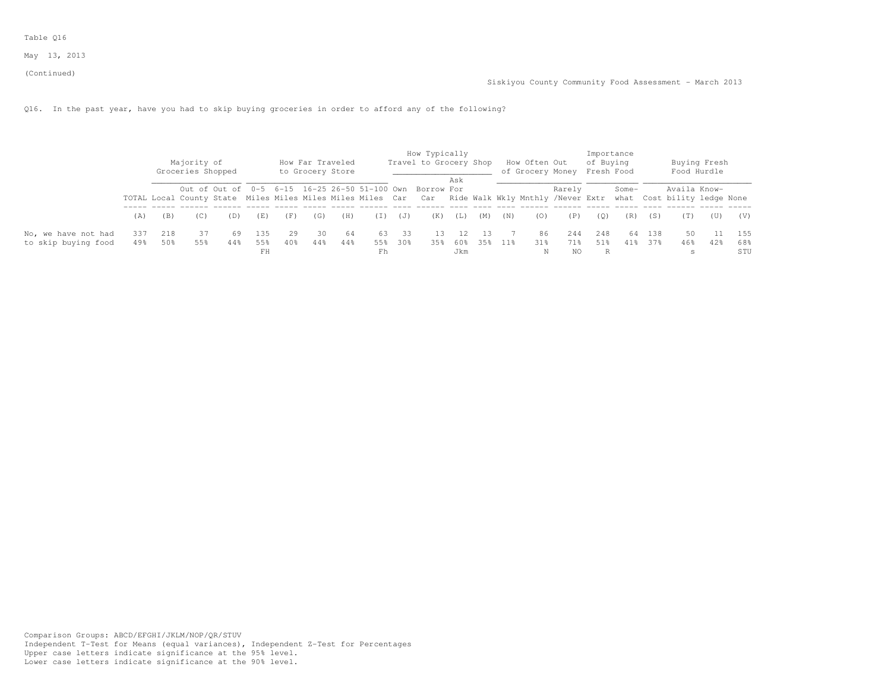Table Q16

(Continued)

Q16. In the past year, have you had to skip buying groceries in order to afford any of the following?

|                                            |             |            | Majority of<br>Groceries Shopped |           |            |           | How Far Traveled<br>to Grocery Store |           |            |           | How Typically<br>Travel to Grocery Shop                                                                                                                                            |     |     |                 | How Often Out<br>of Grocery Money Fresh Food |            | of Buying  | Importance |            |              | Buying Fresh<br>Food Hurdle |            |
|--------------------------------------------|-------------|------------|----------------------------------|-----------|------------|-----------|--------------------------------------|-----------|------------|-----------|------------------------------------------------------------------------------------------------------------------------------------------------------------------------------------|-----|-----|-----------------|----------------------------------------------|------------|------------|------------|------------|--------------|-----------------------------|------------|
|                                            |             |            |                                  |           |            |           |                                      |           |            |           | Out of Out of 0-5 6-15 16-25 26-50 51-100 Own Borrow For<br>TOTAL Local County State Miles Miles Miles Miles Car Car Ride Walk Wkly Mnthly /Never Extr what Cost bility ledge None | Ask |     |                 |                                              | Rarely     |            | Some-      |            | Availa Know- |                             |            |
|                                            | (A)         | (B)        | (C)                              | (D)       | (E)        | (F)       | (G)                                  | (H)       | (I)        | (J)       | (K)                                                                                                                                                                                | (L) | (M) | (N)             | (0)                                          | (P)        | (0)        | (R)        | (S)        | (T)          | (U)                         | (V)        |
| No, we have not had<br>to skip buying food | 337<br>49.8 | 218<br>50% | 37<br>55%                        | 69<br>44% | 135<br>55% | 29<br>40% | 30<br>44%                            | 64<br>44% | 63.<br>55% | 33<br>30% | 13<br>35%                                                                                                                                                                          | 60% | 35% | 11 <sub>8</sub> | 86<br>31 <sup>8</sup>                        | 244<br>71% | 248<br>51% | 64<br>41%  | 138<br>37% | 50<br>46%    | 42%                         | 155<br>68% |
|                                            |             |            |                                  |           | FH         |           |                                      |           | Fh         |           |                                                                                                                                                                                    | Jkm |     |                 | Ν                                            | NO.        |            |            |            |              |                             | STU        |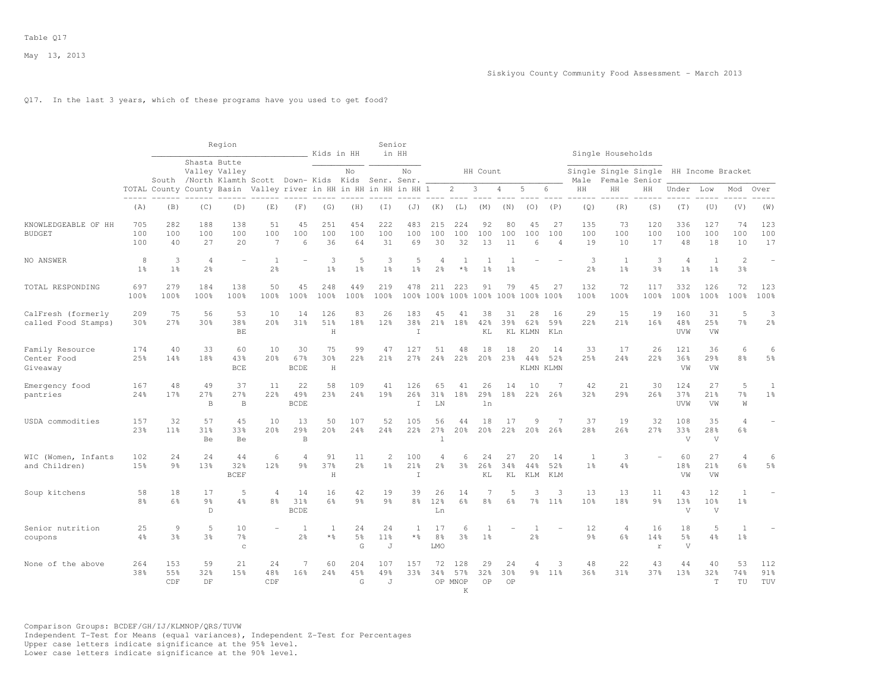## Q17. In the last 3 years, which of these programs have you used to get food?

|                                            |                      |                                  |                                      | Region                   |                                                                  |                                  | Kids in HH                |                           | Senior                           | in HH                |                                       |                            |                                |                                  |                                  |                             |                      | Single Households    |                          |                                  |                                       |                          |                     |
|--------------------------------------------|----------------------|----------------------------------|--------------------------------------|--------------------------|------------------------------------------------------------------|----------------------------------|---------------------------|---------------------------|----------------------------------|----------------------|---------------------------------------|----------------------------|--------------------------------|----------------------------------|----------------------------------|-----------------------------|----------------------|----------------------|--------------------------|----------------------------------|---------------------------------------|--------------------------|---------------------|
|                                            |                      |                                  | Shasta Butte                         | Valley Valley            | South /North Klamth Scott Down- Kids Kids Senr. Senr.            |                                  |                           | $_{\mathrm{No}}$          |                                  | No                   |                                       |                            | HH Count                       |                                  |                                  |                             | Male                 | Single Single Single | Female Senior            |                                  | HH Income Bracket                     |                          |                     |
|                                            |                      |                                  |                                      |                          | TOTAL County County Basin Valley river in HH in HH in HH in HH 1 |                                  |                           |                           |                                  |                      |                                       | $\overline{2}$             | 3                              | 4                                | 5                                | 6                           | HH                   | HH                   | HН                       | Under                            | Low                                   | Mod                      | Over                |
|                                            | (A)                  | (B)                              | (C)                                  | (D)                      | (E)                                                              | (F)                              | (G)                       | (H)                       | (T)                              | $(\mathbb{J})$       | (K)                                   | (L)                        | (M)                            | (N)                              | (0)                              | (P)                         | (Q)                  | (R)                  | (S)                      | (T)                              | (U)                                   | (V)                      | (W)                 |
| KNOWLEDGEABLE OF HH<br><b>BUDGET</b>       | 705<br>100<br>100    | 282<br>100<br>40                 | 188<br>100<br>27                     | 138<br>100<br>20         | 51<br>100<br>7                                                   | 45<br>100<br>6                   | 251<br>100<br>36          | 454<br>100<br>64          | 222<br>100<br>31                 | 483<br>100<br>69     | 215<br>100<br>30                      | 224<br>100<br>32           | 92<br>100<br>13                | 80<br>100<br>11                  | 45<br>100<br>6                   | 27<br>100<br>$\overline{4}$ | 135<br>100<br>19     | 73<br>100<br>10      | 120<br>100<br>17         | 336<br>100<br>48                 | 127<br>100<br>18                      | 74<br>100<br>10          | 123<br>100<br>17    |
| NO ANSWER                                  | 8<br>1 <sup>°</sup>  | 3<br>1 <sup>°</sup>              | $\overline{4}$<br>2 <sup>°</sup>     |                          | 1<br>2 <sup>o</sup>                                              |                                  | 3<br>1 <sup>°</sup>       | 5<br>1 <sup>°</sup>       | 3<br>1 <sup>°</sup>              | 5<br>$1\frac{6}{6}$  | 4<br>2%                               | 1<br>$\star$ %             | $\mathbf{1}$<br>1 <sup>°</sup> | $\overline{1}$<br>1 <sup>°</sup> |                                  |                             | 3<br>2%              | 1<br>1 <sup>°</sup>  | 3<br>3 <sup>°</sup>      | $\overline{4}$<br>1 <sup>°</sup> | <sup>1</sup><br>1 <sup>°</sup>        | $\overline{c}$<br>3%     | $\sim$              |
| TOTAL RESPONDING                           | 697<br>100%          | 279<br>100%                      | 184<br>100%                          | 138<br>100%              | 50<br>100%                                                       | 45<br>100%                       | 248<br>100%               | 449<br>100%               | 219<br>100%                      | 478                  | 211<br>100% 100%                      | 223                        | 91<br>100% 100% 100%           | 79                               | 45<br>100%                       | 27<br>100%                  | 132<br>100%          | 72<br>100%           | 117<br>100%              | 332<br>100%                      | 126<br>100%                           | 72<br>100%               | 123<br>100%         |
| CalFresh (formerly<br>called Food Stamps)  | 209<br>30%           | 75<br>27%                        | 56<br>30%                            | 53<br>38%<br>BE          | 10<br>20%                                                        | 14<br>31%                        | 126<br>51%<br>$\mathbf H$ | 83<br>18%                 | 26<br>12%                        | 183<br>38%<br>T      | 45<br>21%                             | 41<br>18%                  | 38<br>42%<br>KL                | 31<br>39%                        | 28<br>62%<br>KL KLMN             | 16<br>59%<br>KLn            | 29<br>22%            | 15<br>21%            | 19<br>16%                | 160<br>48%<br>UVW                | 31<br>25%<br>VW                       | 5<br>7%                  | 3<br>2 <sup>°</sup> |
| Family Resource<br>Center Food<br>Giveaway | 174<br>25%           | 40<br>14%                        | 33<br>18%                            | 60<br>43%<br>BCE         | 10<br>20%                                                        | 30<br>67%<br><b>BCDE</b>         | 75<br>30%<br>$\,$ H       | 99<br>22%                 | 47<br>21%                        | 127<br>27%           | 51<br>24%                             | 48<br>22%                  | 18<br>20%                      | 18<br>23%                        | 20<br>44%                        | 14<br>52%<br>KLMN KLMN      | 33<br>25%            | 17<br>24%            | 26<br>22%                | 121<br>36%<br>VW                 | 36<br>29%<br>VW                       | 6<br>8%                  | 6<br>$5\frac{6}{9}$ |
| Emergency food<br>pantries                 | 167<br>24%           | 48<br>17%                        | 49<br>27%<br>B                       | 37<br>27%<br>$\mathbf B$ | 11<br>22%                                                        | 22<br>49%<br><b>BCDE</b>         | 58<br>23%                 | 109<br>24%                | 41<br>19%                        | 126<br>26%<br>T.     | 65<br>31%<br>LN                       | 41<br>18%                  | 26<br>29%<br>ln                | 14<br>18%                        | 10<br>22 <sup>8</sup>            | 7<br>26%                    | 42<br>32%            | 21<br>29%            | 30<br>26%                | 124<br>37%<br>UVW                | 27<br>21%<br>VW                       | 5<br>7 <sup>°</sup><br>W | 1<br>1 <sup>°</sup> |
| USDA commodities                           | 157<br>23%           | 32<br>11 <sup>°</sup>            | 57<br>31%<br>Be                      | 4.5<br>33%<br>Be         | 10<br>20%                                                        | 13<br>29%<br>B                   | 50<br>20%                 | 107<br>24%                | 52<br>24%                        | 105<br>22%           | 56<br>27%<br>$\overline{\phantom{a}}$ | 44<br>20 <sup>8</sup>      | 18<br>20%                      | 17<br>22%                        | 9<br>20%                         | $\overline{7}$<br>26%       | 37<br>28%            | 19<br>26%            | 32<br>27%                | 108<br>33%<br>V                  | 35<br>28%<br>$\mathbf{V}$             | $\overline{A}$<br>6%     |                     |
| WIC (Women, Infants<br>and Children)       | 102<br>15%           | 24<br>9 <sub>8</sub>             | 24<br>13%                            | 44<br>32%<br><b>BCEF</b> | 6<br>12%                                                         | 4<br>9%                          | 91<br>37%<br>$\rm H$      | 11<br>$2\frac{6}{9}$      | $\overline{2}$<br>1 <sup>°</sup> | 100<br>21%<br>$\top$ | 4<br>2 <sup>°</sup>                   | 6<br>$3\frac{6}{6}$        | 24<br>26%<br>KL                | 27<br>34%<br>KL                  | 20<br>44%<br>KLM                 | 14<br>52%<br>KLM            | $\mathbf{1}$<br>1%   | 3<br>4%              |                          | 60<br>18%<br>VW                  | 27<br>21%<br>VW                       | $\overline{4}$<br>6%     | 6<br>$5\frac{6}{9}$ |
| Soup kitchens                              | 58<br>8 <sup>°</sup> | 18<br>6%                         | 17<br>9 <sub>8</sub><br>$\mathbb{D}$ | 5<br>4%                  | $\overline{4}$<br>8 <sup>°</sup>                                 | 14<br>31%<br><b>BCDE</b>         | 16<br>6%                  | 42<br>9 <sup>°</sup>      | 19<br>9 <sup>°</sup>             | 39<br>8 <sup>°</sup> | 26<br>12%<br>Ln                       | 14<br>6%                   | 7<br>8%                        | 5<br>6%                          | 3<br>7%                          | 3<br>$11\%$                 | 13<br>10%            | 13<br>18%            | 11<br>9 <sub>8</sub>     | 43<br>13%<br>V                   | 12<br>10 <sup>8</sup><br>$\mathbf{V}$ | 1<br>$1\%$               |                     |
| Senior nutrition<br>coupons                | 25<br>4%             | $\overline{9}$<br>3 <sup>°</sup> | 5<br>3 <sup>°</sup>                  | 10<br>7%<br>$\rm _C$     |                                                                  | $\overline{1}$<br>2 <sup>°</sup> | -1<br>$\star$ %           | 24<br>$5\frac{6}{9}$<br>G | 24<br>11 <sup>°</sup><br>J       | $\mathbf{1}$<br>* 응  | 17<br>8 <sup>°</sup><br>LMO           | 6<br>3 <sup>8</sup>        | 1 <sup>°</sup>                 |                                  | $\overline{1}$<br>2 <sup>°</sup> |                             | 12<br>$9\frac{6}{9}$ | $\overline{4}$<br>6% | 16<br>14%<br>$\mathbf r$ | 18<br>5 <sup>°</sup><br>V        | 5<br>4%                               | $\overline{1}$<br>1%     |                     |
| None of the above                          | 264<br>38%           | 153<br>55%<br>CDF                | 59<br>32%<br>DF                      | 21<br>15%                | 24<br>48%<br>CDF                                                 | $\overline{7}$<br>16%            | 60<br>24%                 | 204<br>45%<br>G           | 107<br>49%<br>J                  | 157<br>33%           | 72<br>34%                             | 128<br>57%<br>OP MNOP<br>K | 29<br>32%<br>OP                | 24<br>30%<br>OP                  | 4<br>$9\frac{6}{9}$              | 3<br>$11\%$                 | 48<br>36%            | 22<br>31%            | 43<br>37%                | 44<br>13%                        | 40<br>32%<br>T                        | 53<br>74%<br>TU          | 112<br>91%<br>TUV   |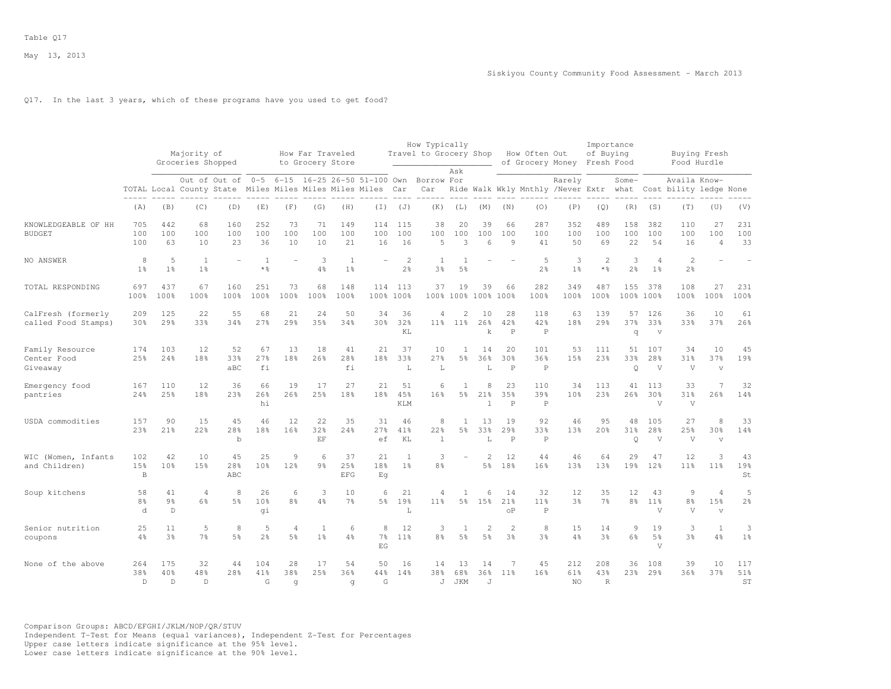## Q17. In the last 3 years, which of these programs have you used to get food?

|                                            |                            |                                     | Majority of<br>Groceries Shopped<br>Out of Out of 0-5 |                                                            |                             |                 | How Far Traveled<br>to Grocery Store |                                |                  |                                  | How Typically<br>Travel to Grocery Shop       |                                  |                                  |                           | How Often Out                             | of Grocery Money Fresh Food                      | Importance<br>of Buying    |                      |                                      |                                        | Buying Fresh<br>Food Hurdle                    |                     |
|--------------------------------------------|----------------------------|-------------------------------------|-------------------------------------------------------|------------------------------------------------------------|-----------------------------|-----------------|--------------------------------------|--------------------------------|------------------|----------------------------------|-----------------------------------------------|----------------------------------|----------------------------------|---------------------------|-------------------------------------------|--------------------------------------------------|----------------------------|----------------------|--------------------------------------|----------------------------------------|------------------------------------------------|---------------------|
|                                            |                            |                                     |                                                       | TOTAL Local County State Miles Miles Miles Miles Miles Car |                             |                 |                                      |                                |                  |                                  | 6-15 16-25 26-50 51-100 Own Borrow For<br>Car | Ask                              |                                  |                           |                                           | Rarely<br>Ride Walk Wkly Mnthly /Never Extr what |                            | Some-                |                                      | Availa Know-<br>Cost bility ledge None |                                                |                     |
|                                            | (A)                        | (B)                                 | (C)                                                   | (D)                                                        | (E)                         | (F)             | (G)                                  | (H)                            | (I)              | (J)                              | (K)                                           | (L)                              | (M)                              | (N)                       | (0)                                       | (P)                                              | (Q)                        | (R)                  | (S)                                  | (T)                                    | (U)                                            | (V)                 |
| KNOWLEDGEABLE OF HH<br><b>BUDGET</b>       | 705<br>100<br>100          | 442<br>100<br>63                    | 68<br>100<br>10                                       | 160<br>100<br>23                                           | 252<br>100<br>36            | 73<br>100<br>10 | 71<br>100<br>10                      | 149<br>100<br>21               | 114<br>100<br>16 | 115<br>100<br>16                 | 38<br>100<br>5                                | 20<br>100<br>3                   | 39<br>100<br>6                   | 66<br>100<br>9            | 287<br>100<br>41                          | 352<br>100<br>50                                 | 489<br>100<br>69           | 158<br>100<br>22     | 382<br>100<br>54                     | 110<br>100<br>16                       | 27<br>100<br>$\overline{4}$                    | 231<br>100<br>33    |
| NO ANSWER                                  | 8<br>$1\%$                 | 5<br>1 <sup>°</sup>                 | <sup>1</sup><br>1 <sup>°</sup>                        |                                                            | 1<br>$*$ %                  |                 | 3<br>4%                              | <sup>1</sup><br>1 <sup>°</sup> |                  | $\overline{c}$<br>2 <sup>°</sup> | <sup>1</sup><br>3%                            | $\overline{1}$<br>5 <sup>°</sup> |                                  |                           | 5<br>2 <sup>°</sup>                       | 3<br>1 <sup>°</sup>                              | $\overline{c}$<br>$*$ %    | 3<br>$2\frac{6}{9}$  | 4<br>1 <sup>°</sup>                  | $\mathbf{2}$<br>$2\frac{6}{6}$         |                                                |                     |
| TOTAL RESPONDING                           | 697<br>100%                | 437<br>100%                         | 67<br>100%                                            | 160<br>100%                                                | 251<br>100%                 | 73<br>100%      | 68<br>100%                           | 148<br>100%                    | 114<br>100%      | 113<br>100%                      | 37<br>100%                                    | 19<br>100%                       | 39<br>100%                       | 66<br>100%                | 282<br>100%                               | 349<br>100%                                      | 487<br>100%                | 155<br>100%          | 378<br>100%                          | 108<br>100%                            | 27<br>100%                                     | 231<br>100%         |
| CalFresh (formerly<br>called Food Stamps)  | 209<br>30%                 | 125<br>29%                          | 22<br>33%                                             | 55<br>34%                                                  | 68<br>27%                   | 21<br>29%       | 24<br>35%                            | 50<br>34%                      | 34<br>30%        | 36<br>32%<br>KL                  | 4<br>11 <sup>8</sup>                          | 2<br>$11$ %                      | 10<br>26%<br>$\mathbf k$         | 28<br>42%<br>$\mathsf{P}$ | 118<br>42%<br>$\mathbf P$                 | 63<br>18%                                        | 139<br>29%                 | 57<br>37%<br>q       | 126<br>33%<br>$\overline{V}$         | 36<br>33%                              | 10<br>37%                                      | 61<br>26%           |
| Family Resource<br>Center Food<br>Giveaway | 174<br>25%                 | 103<br>24%                          | 12<br>18%                                             | 52<br>33%<br>aBC                                           | 67<br>27%<br>fi             | 13<br>18%       | 18<br>26%                            | 41<br>28%<br>fi                | 21<br>18%        | 37<br>33%<br>L                   | 10<br>27%<br>L                                | -1<br>5%                         | 14<br>36%<br>L                   | 20<br>30%<br>$\, {\bf P}$ | 101<br>36%<br>$\, {\mathbb P}$            | 53<br>15%                                        | 111<br>23%                 | 51<br>33%<br>Q       | 107<br>28%<br>V                      | 34<br>31%<br>V                         | 10<br>37%<br>$\overline{\mathbf{v}}$           | 45<br>19%           |
| Emergency food<br>pantries                 | 167<br>24%                 | 110<br>25%                          | 12<br>18%                                             | 36<br>23%                                                  | 66<br>26%<br>hi             | 19<br>26%       | 17<br>25%                            | 27<br>18%                      | 21<br>18%        | 51<br>45%<br><b>KLM</b>          | 6<br>16%                                      | 5%                               | 8<br>21%<br>$\mathbb{I}$         | 23<br>35%<br>$\, {\bf P}$ | 110<br>39%<br>$\mathbf P$                 | 34<br>10 <sup>8</sup>                            | 113<br>23%                 | 41<br>26%            | 113<br>30%<br>V                      | 33<br>31%<br>V                         | 7<br>26%                                       | 32<br>14%           |
| USDA commodities                           | 157<br>23%                 | 90<br>21%                           | 15<br>22%                                             | 45<br>28%<br>$\mathbf b$                                   | 46<br>18%                   | 12<br>16%       | 22<br>32%<br>EF                      | 35<br>24%                      | 31<br>27%<br>ef  | 46<br>41%<br>KT.                 | 8<br>22%<br>$\mathbf{1}$                      | -1<br>5 <sup>°</sup>             | 13<br>33%<br>T.                  | 19<br>29%<br>$\mathsf{P}$ | 92<br>33%<br>$\mathbf P$                  | 46<br>13%                                        | 9.5<br>20%                 | 48<br>31%<br>Q       | 105<br>28%<br>V                      | 27<br>25%<br>V                         | 8<br>30%<br>$\overline{V}$                     | 33<br>14%           |
| WIC (Women, Infants<br>and Children)       | 102<br>15%<br>B            | 42<br>10%                           | 10<br>15%                                             | 45<br>28%<br>ABC                                           | 25<br>10%                   | 9<br>12%        | 6<br>9%                              | 37<br>25%<br><b>EFG</b>        | 21<br>18%<br>Eq  | $\overline{1}$<br>1 <sup>°</sup> | 3<br>8 <sup>°</sup>                           |                                  | $\overline{2}$<br>5 <sup>°</sup> | 12<br>18%                 | 44<br>16%                                 | 46<br>13%                                        | 64<br>13%                  | 29<br>19%            | 47<br>12 <sup>8</sup>                | 12<br>11 <sup>°</sup>                  | 3<br>11 <sup>8</sup>                           | 43<br>19%<br>St     |
| Soup kitchens                              | 58<br>8%<br>d              | 41<br>9 <sub>8</sub><br>$\mathbb D$ | $\overline{4}$<br>6%                                  | 8<br>5 <sup>8</sup>                                        | 26<br>10 <sup>8</sup><br>qi | 6<br>8%         | 3<br>4%                              | 10<br>7 <sup>°</sup>           | 6<br>5%          | 21<br>19%<br>L                   | 4<br>11 <sup>8</sup>                          | 1<br>5%                          | 6<br>15%                         | 14<br>21%<br>οP           | 32<br>11 <sup>8</sup><br>$\, {\mathbb P}$ | 12<br>3%                                         | 35<br>7 <sup>°</sup>       | 12<br>8 <sup>°</sup> | 43<br>11%<br>V                       | $\mathfrak{g}$<br>8 <sup>°</sup><br>V  | $\overline{4}$<br>15%<br>$\boldsymbol{\nabla}$ | 5<br>$2\frac{6}{6}$ |
| Senior nutrition<br>coupons                | 25<br>4%                   | 11<br>3 <sup>8</sup>                | 5<br>$7\frac{6}{6}$                                   | 8<br>5%                                                    | 5<br>$2\frac{6}{6}$         | 4<br>5%         | <sup>1</sup><br>$1\%$                | 6<br>4%                        | 8<br>7%<br>EG    | 12<br>$11\%$                     | 3<br>8%                                       | 1<br>5%                          | $\overline{2}$<br>5%             | $\overline{2}$<br>3%      | 8<br>3 <sup>8</sup>                       | 15<br>4%                                         | 14<br>3 <sup>8</sup>       | 9<br>6%              | 19<br>$5\frac{6}{9}$<br>$\mathbf{V}$ | 3<br>3 <sup>8</sup>                    | $\mathbf{1}$<br>4%                             | 3<br>1%             |
| None of the above                          | 264<br>38%<br>$\mathsf{D}$ | 175<br>40%<br>D.                    | 32<br>48%<br>$\mathbb{D}$                             | 44<br>28%                                                  | 104<br>41%<br>$\mathsf{G}$  | 28<br>38%<br>q  | 17<br>25%                            | 54<br>36%<br>q                 | 50<br>44%<br>G   | 16<br>14%                        | 14<br>38%<br>$\cdot$ T                        | 13<br>68%<br>JKM                 | 14<br>36%<br>$\cdot$ T           | 7<br>11 <sup>8</sup>      | 45<br>16%                                 | 212<br>61%<br>NO.                                | 208<br>43%<br>$\mathbb{R}$ | 36<br>23%            | 108<br>29%                           | 39<br>36%                              | 10<br>37%                                      | 117<br>51%<br>ST    |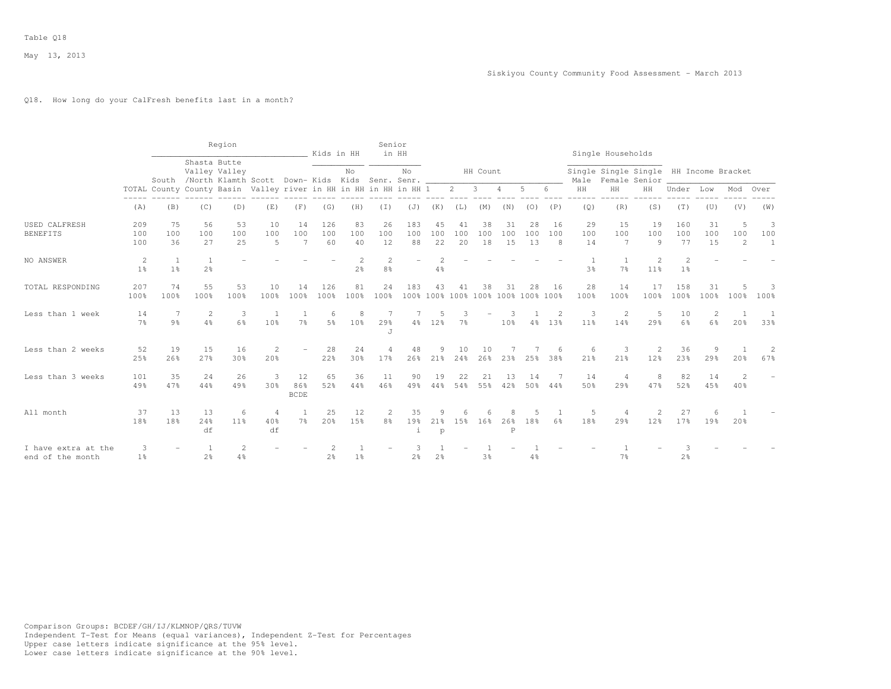### Q18. How long do your CalFresh benefits last in a month?

|                                         |                     |                                                                  |                                | Region               |                                                         |                             | Kids in HH       |                       | Senior                           | in HH            |                                          |                     |                 |                      |                 |                       |                      | Single Households     |                                                         |                                 |                      |               |                          |
|-----------------------------------------|---------------------|------------------------------------------------------------------|--------------------------------|----------------------|---------------------------------------------------------|-----------------------------|------------------|-----------------------|----------------------------------|------------------|------------------------------------------|---------------------|-----------------|----------------------|-----------------|-----------------------|----------------------|-----------------------|---------------------------------------------------------|---------------------------------|----------------------|---------------|--------------------------|
|                                         |                     |                                                                  | Shasta Butte                   | Valley Valley        | South /North Klamth Scott Down-Kids Kids Senr. Senr. __ |                             |                  | No                    |                                  | No.              |                                          |                     | HH Count        |                      |                 |                       | Male                 |                       | Single Single Single HH Income Bracket<br>Female Senior |                                 |                      |               |                          |
|                                         |                     | TOTAL County County Basin Valley river in HH in HH in HH in HH 1 |                                |                      |                                                         |                             |                  |                       |                                  |                  |                                          | $\overline{2}$      | 3               | 4                    | 5               | 6                     | HH                   | HH                    | HH                                                      | Under                           | Low                  | Mod           | Over                     |
|                                         | (A)                 | (B)                                                              | (C)                            | (D)                  | (E)                                                     | (F)                         | (G)              | (H)                   | (T)                              | (J)              | (K)                                      | (L)                 | (M)             | (N)                  | (0)             | (P)                   | (Q)                  | (R)                   | (S)                                                     | (T)                             | (U)                  | (V)           | (W)                      |
| USED CALFRESH<br><b>BENEFITS</b>        | 209<br>100<br>100   | 75<br>100<br>36                                                  | 56<br>100<br>27                | 53<br>100<br>25      | 10<br>100<br>5                                          | 14<br>100<br>$\overline{7}$ | 126<br>100<br>60 | 83<br>100<br>40       | 26<br>100<br>12                  | 183<br>100<br>88 | 45<br>100<br>22                          | 41<br>100<br>20     | 38<br>100<br>18 | 31<br>100<br>15      | 28<br>100<br>13 | 16<br>100<br>8        | 29<br>100<br>14      | 15<br>100<br>7        | 19<br>100<br>9                                          | 160<br>100<br>77                | 31<br>100<br>15      | 5<br>100<br>2 | 3<br>100<br>$\mathbf{1}$ |
| NO ANSWER                               | 2<br>1 <sup>°</sup> | 1<br>1 <sup>°</sup>                                              | <sup>1</sup><br>2 <sup>8</sup> |                      |                                                         |                             |                  | 2 <sup>°</sup>        | $\overline{c}$<br>8 <sup>°</sup> |                  | 4%                                       |                     |                 |                      |                 |                       | 3 <sup>°</sup>       | 7 <sup>°</sup>        | 2<br>11 <sup>8</sup>                                    | $\mathcal{P}$<br>1 <sup>°</sup> |                      |               |                          |
| TOTAL RESPONDING                        | 207<br>100%         | 74<br>100%                                                       | 55<br>100%                     | 53<br>100%           | 10<br>100%                                              | 14<br>100%                  | 126<br>100%      | 81<br>100%            | 24<br>100%                       | 183              | 43<br>100% 100% 100% 100% 100% 100% 100% | 41                  | 38              | 31                   | 28              | -16                   | 28<br>100%           | 14<br>100%            | 17<br>100%                                              | 158<br>100%                     | 31<br>100%           | 100%          | $100$ %                  |
| Less than 1 week                        | 14<br>7%            | 7<br>9%                                                          | $\overline{2}$<br>4%           | 3<br>6%              | 1<br>10%                                                | $7\frac{6}{9}$              | 6<br>.5%         | 8<br>10 <sup>8</sup>  | 7<br>29%<br>J                    | $4\frac{6}{6}$   | 5<br>12%                                 | 3<br>7 <sup>°</sup> |                 | 3<br>10 <sup>8</sup> | 4%              | $\overline{2}$<br>13% | 3<br>11 <sup>°</sup> | $\overline{2}$<br>14% | 5<br>29%                                                | 10<br>6%                        | 2<br>6%              | 1<br>20%      | 33%                      |
| Less than 2 weeks                       | 52<br>25%           | 19<br>26%                                                        | 15<br>27%                      | 16<br>30%            | $\overline{2}$<br>20%                                   |                             | 28<br>22%        | 24<br>30 <sup>8</sup> | $\overline{4}$<br>17%            | 48<br>26%        | 9<br>21%                                 | 10<br>24%           | 10<br>26%       | 23%                  | 25%             | 6<br>38%              | 6<br>21%             | 3<br>21%              | 2<br>12 <sup>8</sup>                                    | 36<br>23%                       | 9<br>29 <sup>8</sup> | 20%           | 2<br>67%                 |
| Less than 3 weeks                       | 101<br>49%          | 35<br>47%                                                        | 24<br>44%                      | 26<br>49%            | $\overline{3}$<br>30%                                   | 12<br>86%<br><b>BCDE</b>    | 65<br>52%        | 36<br>44%             | 11<br>46%                        | 90<br>49%        | 19<br>44%                                | 22<br>54%           | 21<br>55%       | 13<br>42%            | 14<br>50%       | 44%                   | 14<br>50%            | 4<br>29%              | 8<br>47%                                                | 82<br>52%                       | 14<br>45%            | 2<br>40%      |                          |
| All month                               | 37<br>18%           | 13<br>18%                                                        | 13<br>24%<br>df                | 6<br>11 <sup>8</sup> | $\overline{4}$<br>40%<br>df                             | 7 <sup>°</sup>              | 25<br>20%        | 12<br>15%             | 2<br>8 <sup>°</sup>              | 35<br>19%<br>i   | 9<br>21%<br>$\rm p$                      | 1.5%                | 16%             | 8<br>26%<br>Ρ        | 18%             | 6%                    | 5<br>18%             | 29%                   | 2<br>12%                                                | 27<br>17%                       | 6<br>19%             | 20%           |                          |
| I have extra at the<br>end of the month | 3<br>1 <sup>°</sup> |                                                                  | $\overline{1}$<br>2%           | $\overline{c}$<br>4% |                                                         |                             | 2 <sup>°</sup>   | $1\%$                 |                                  | $2\frac{6}{6}$   | 2 <sup>°</sup>                           |                     | 3%              |                      | 4%              |                       |                      | 7 <sup>°</sup>        |                                                         | $2\frac{6}{6}$                  |                      |               |                          |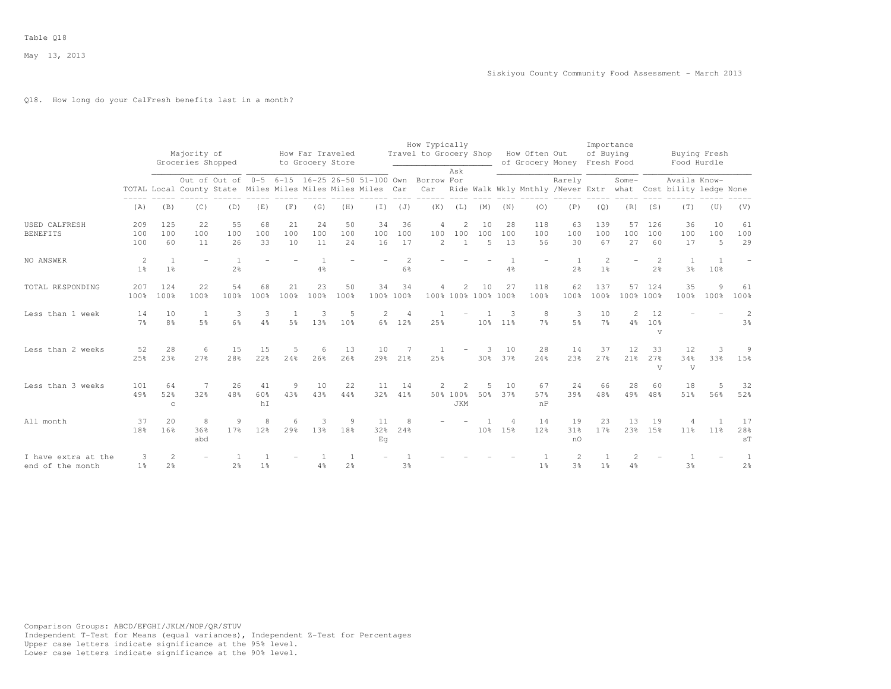# Q18. How long do your CalFresh benefits last in a month?

|                                         |                      |                                  | Majority of<br>Groceries Shopped |                                                            |                     |                      | How Far Traveled<br>to Grocery Store |                                  |                 |                          | How Typically<br>Travel to Grocery Shop How Often Out           | Ask                                   |                             |                       |                       | of Grocery Money Fresh Food      | Importance<br>of Buying          |                      |                                       | Buying Fresh<br>Food Hurdle                                                   |                       |                     |
|-----------------------------------------|----------------------|----------------------------------|----------------------------------|------------------------------------------------------------|---------------------|----------------------|--------------------------------------|----------------------------------|-----------------|--------------------------|-----------------------------------------------------------------|---------------------------------------|-----------------------------|-----------------------|-----------------------|----------------------------------|----------------------------------|----------------------|---------------------------------------|-------------------------------------------------------------------------------|-----------------------|---------------------|
|                                         |                      |                                  |                                  | TOTAL Local County State Miles Miles Miles Miles Miles Car |                     |                      |                                      |                                  |                 |                          | Out of Out of 0-5 6-15 16-25 26-50 51-100 Own Borrow For<br>Car |                                       |                             |                       |                       | Rarely                           |                                  | $Some-$              |                                       | Availa Know-<br>Ride Walk Wkly Mnthly /Never Extr what Cost bility ledge None |                       |                     |
|                                         | (A)                  | (B)                              | (C)                              | (D)                                                        | (E)                 | (F)                  | (G)                                  | (H)                              | $(\top)$        | (J)                      | (K)                                                             | (L)                                   | (M)                         | (N)                   | (0)                   | (P)                              | (Q)                              | (R)                  | (S)                                   | (T)                                                                           | (U)                   | (V)                 |
| <b>USED CALFRESH</b><br><b>BENEFITS</b> | 209<br>100<br>100    | 125<br>100<br>60                 | 22<br>100<br>11                  | 55<br>100<br>26                                            | 68<br>100<br>33     | 21<br>100<br>10      | 24<br>100<br>11                      | 50<br>100<br>24                  | 34<br>100<br>16 | 36<br>100<br>17          | $\overline{4}$<br>100<br>2                                      | $\overline{2}$<br>100<br>$\mathbf{1}$ | 10<br>100<br>$\overline{5}$ | 28<br>100<br>1.3      | 118<br>100<br>56      | 63<br>100<br>30                  | 139<br>100<br>67                 | 57<br>100<br>27      | 126<br>100<br>60                      | 36<br>100<br>17                                                               | 10<br>100<br>5        | 61<br>100<br>29     |
| NO ANSWER                               | -2<br>1 <sup>°</sup> | $\overline{1}$<br>1 <sup>°</sup> |                                  | $\mathbf{1}$<br>2 <sup>°</sup>                             |                     |                      | 4%                                   |                                  |                 | 2<br>$6\frac{6}{6}$      |                                                                 |                                       |                             | $4\frac{6}{6}$        |                       | <sup>1</sup><br>2 <sup>o</sup>   | $\overline{2}$<br>1 <sup>°</sup> | ÷                    | $\overline{2}$<br>2 <sup>o</sup>      | $\overline{1}$<br>3 <sup>°</sup>                                              | $\overline{1}$<br>10% |                     |
| TOTAL RESPONDING                        | 207<br>100%          | 124<br>100%                      | 22<br>100%                       | 54<br>100%                                                 | 68<br>100%          | 21<br>100%           | 23<br>100%                           | 50<br>100%                       | 34<br>100% 100% | 34                       | 4                                                               | 2<br>100% 100% 100% 100%              | 10                          | 27                    | 118<br>100%           | 62<br>100%                       | 137<br>100%                      | 57<br>100% 100%      | 124                                   | 35<br>100%                                                                    | 9<br>100%             | 61<br>100%          |
| Less than 1 week                        | 14<br>7 <sup>°</sup> | 10<br>8 <sup>°</sup>             | <sup>1</sup><br>5 <sup>°</sup>   | 3<br>$6\%$                                                 | 3<br>$4\frac{6}{6}$ | $5\frac{6}{6}$       | 3<br>13%                             | 5<br>10 <sup>°</sup>             | $\mathbf{2}$    | $\overline{4}$<br>6% 12% | 25%                                                             |                                       | 10 <sup>°</sup>             | 3<br>11 <sup>8</sup>  | 8<br>7 <sup>°</sup>   | 3<br>5 <sup>°</sup>              | 10<br>7%                         | 2<br>4%              | 12<br>10 <sup>°</sup><br>$\mathbf{V}$ |                                                                               |                       | 2<br>3 <sup>°</sup> |
| Less than 2 weeks                       | 52<br>25%            | 28<br>23%                        | 6<br>27%                         | 15<br>28%                                                  | 15<br>22%           | 5<br>24%             | 6<br>26%                             | 13<br>26%                        | 10<br>29%       | 21 <sup>8</sup>          | 25%                                                             |                                       | 3<br>30%                    | 10<br>37%             | 28<br>24%             | 14<br>23%                        | 37<br>27%                        | 12<br>21%            | 33<br>27%<br>V                        | 12<br>34%<br>V                                                                | 3<br>33%              | 9<br>15%            |
| Less than 3 weeks                       | 101<br>49%           | 64<br>52%<br>$\mathbb{C}$        | 32%                              | 26<br>48%                                                  | 41<br>60%<br>hI     | 9<br>43%             | 10<br>43%                            | 22<br>44%                        | 11<br>32%       | 14<br>41%                |                                                                 | 50% 100%<br><b>JKM</b>                | 50%                         | 10<br>37%             | 67<br>57%<br>nP       | 24<br>39%                        | 66<br>48%                        | 28<br>49%            | 60<br>48%                             | 18<br>51%                                                                     | 5<br>56%              | 32<br>52%           |
| All month                               | 37<br>18%            | 20<br>16%                        | 8<br>36%<br>abd                  | 9<br>17%                                                   | 8<br>12%            | 6<br>29 <sup>8</sup> | 3<br>13%                             | 9<br>18%                         | 11<br>32%<br>Εq | 8<br>24%                 |                                                                 |                                       | 10 <sup>°</sup>             | $\overline{a}$<br>15% | 14<br>12 <sup>8</sup> | 19<br>31%<br>nO                  | 23<br>17%                        | 13<br>23%            | 19<br>15%                             | 11 <sup>°</sup>                                                               | $\overline{1}$<br>11% | 17<br>28%<br>ST     |
| I have extra at the<br>end of the month | 3<br>1 <sup>°</sup>  | 2<br>2 <sup>°</sup>              |                                  | 2 <sup>°</sup>                                             | 1 <sup>°</sup>      |                      | 4%                                   | $\overline{1}$<br>2 <sup>°</sup> |                 | 3 <sup>o</sup>           |                                                                 |                                       |                             |                       | 1 <sup>°</sup>        | $\overline{2}$<br>3 <sup>°</sup> | 1 <sup>°</sup>                   | $\mathfrak{D}$<br>4% |                                       | $3\frac{6}{9}$                                                                |                       | 1<br>2 <sup>°</sup> |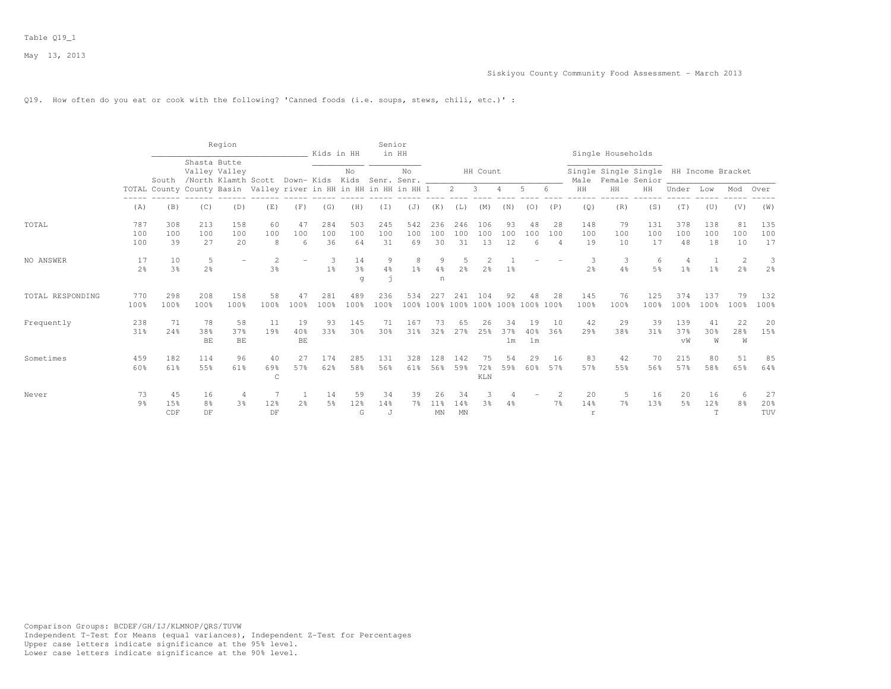#### Siskiyou County Community Food Assessment - March 2013

### Q19. How often do you eat or cook with the following? 'Canned foods (i.e. soups, stews, chili, etc.)' :

|                  |                      |                      |                               | Region            |                                                                  |                       | Kids in HH          |                           | Senior              | in HH               |                    |                  |                      |                 |                             |                             |                  | Single Households                                       |                     |                                  |                     |                 |                     |
|------------------|----------------------|----------------------|-------------------------------|-------------------|------------------------------------------------------------------|-----------------------|---------------------|---------------------------|---------------------|---------------------|--------------------|------------------|----------------------|-----------------|-----------------------------|-----------------------------|------------------|---------------------------------------------------------|---------------------|----------------------------------|---------------------|-----------------|---------------------|
|                  |                      | South                | Shasta Butte<br>Valley Valley |                   | /North Klamth Scott Down- Kids Kids Senr. Senr.                  |                       |                     | No                        |                     | No                  |                    |                  | HH Count             |                 |                             |                             | Male             | Single Single Single HH Income Bracket<br>Female Senior |                     |                                  |                     |                 |                     |
|                  |                      |                      |                               |                   | TOTAL County County Basin Valley river in HH in HH in HH in HH 1 |                       |                     |                           |                     |                     |                    | $2^{\circ}$      | $\mathbf{3}$         |                 | 5                           | 6                           | HH               | HH                                                      | HH                  | Under                            | Low                 | Mod             | Over                |
|                  | (A)                  | (B)                  | (C)                           | (D)               | (E)                                                              | (F)                   | (G)                 | (H)                       | (I)                 | (J)                 | (K)                | (L)              | (M)                  | (N)             | (0)                         | (P)                         | (Q)              | (R)                                                     | (S)                 | (T)                              | (U)                 | (V)             | (W)                 |
| TOTAL            | 787<br>100<br>100    | 308<br>100<br>39     | 213<br>100<br>27              | 158<br>100<br>20  | 60<br>100<br>8                                                   | 47<br>100<br>6        | 284<br>100<br>36    | 503<br>100<br>64          | 245<br>100<br>31    | 542<br>100<br>69    | 236<br>100<br>30   | 246<br>100<br>31 | 106<br>100<br>13     | 93<br>100<br>12 | 48<br>100<br>6              | 28<br>100<br>$\overline{4}$ | 148<br>100<br>19 | 79<br>100<br>10                                         | 131<br>100<br>17    | 378<br>100<br>48                 | 138<br>100<br>18    | 81<br>100<br>10 | 135<br>100<br>17    |
| NO ANSWER        | 17<br>2 <sup>8</sup> | 10<br>3 <sup>8</sup> | 5<br>2 <sup>°</sup>           |                   | $\mathfrak{D}$<br>3%                                             |                       | 3<br>1 <sup>8</sup> | 14<br>3 <sup>o</sup><br>q | $\mathcal{G}$<br>4% | 8<br>1 <sup>8</sup> | 9<br>4%<br>n       | 2.8              | $\mathcal{L}$<br>2.8 | 1%              |                             |                             | 3<br>2.8         | 3<br>4%                                                 | 6<br>5 <sup>9</sup> | $\overline{4}$<br>1 <sup>8</sup> | 1<br>1 <sup>8</sup> | 2<br>2.8        | 3<br>2 <sup>o</sup> |
| TOTAL RESPONDING | 770<br>100%          | 298<br>100%          | 208<br>100%                   | 158<br>100%       | 58<br>100%                                                       | 47<br>100%            | 281<br>100%         | 489<br>100 <sup>8</sup>   | 236<br>100%         | 534                 | 227<br>100% 100%   | 241<br>100%      | 104<br>100% 100%     | 92              | 48<br>100% 100%             | 28                          | 145<br>100%      | 76<br>100%                                              | 125<br>100%         | 374<br>100%                      | 137<br>100%         | 79<br>100%      | 132<br>100%         |
| Frequently       | 238<br>31%           | 71<br>24%            | 78<br>38%<br>BE               | 58<br>37%<br>$BE$ | 11<br>19%                                                        | 19<br>40%<br>$\rm BE$ | 93<br>33%           | 145<br>30 <sup>8</sup>    | 71<br>30%           | 167<br>31%          | 73<br>32%          | 65<br>27%        | 26<br>25%            | 34<br>37%<br>lm | 19<br>40%<br>1 <sub>m</sub> | 10<br>36%                   | 42<br>29%        | 29<br>38%                                               | 39<br>31%           | 139<br>37%<br>vW                 | 41<br>30%<br>W      | 22<br>28%<br>W  | 20<br>15%           |
| Sometimes        | 459<br>60%           | 182<br>61%           | 114<br>55%                    | 96<br>61%         | 40<br>69%<br>$\mathsf{C}$                                        | 27<br>57%             | 174<br>62%          | 285<br>58%                | 131<br>56%          | 328<br>61%          | 128<br>56%         | 142<br>59%       | 75<br>72%<br>KLN     | 54<br>59%       | 29<br>60%                   | 16<br>57%                   | 83<br>57%        | 42<br>55%                                               | 70<br>56%           | 215<br>57%                       | 80<br>58%           | 51<br>65%       | 85<br>64%           |
| Never            | 73<br>9 <sub>8</sub> | 45<br>15%<br>CDF     | 16<br>8%<br>DF                | 4<br>3%           | 12%<br>DF                                                        | $2\frac{6}{9}$        | 14<br>.5%           | 59<br>12%<br>G            | 34<br>14%<br>J      | 39<br>7%            | 26<br>$11\%$<br>MN | 34<br>14%<br>MN  | 3<br>3%              | 4%              |                             | 2<br>7 <sup>°</sup>         | 20<br>14%<br>r   | -5<br>7%                                                | 16<br>13%           | 20<br>5 <sup>°</sup>             | 16<br>12%<br>T      | 6<br>8%         | 27<br>20%<br>TUV    |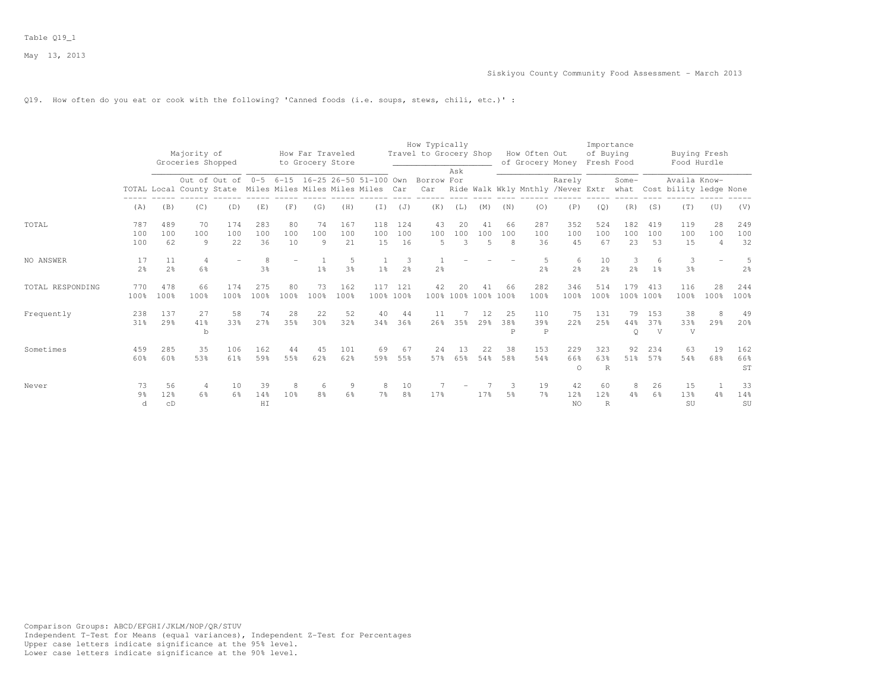### Q19. How often do you eat or cook with the following? 'Canned foods (i.e. soups, stews, chili, etc.)' :

|                  |                           |                      | Majority of<br>Groceries Shopped                           |                   |                     |                      | How Far Traveled<br>to Grocery Store |                  |                             |                      | How Typically<br>Travel to Grocery Shop |                           |                             |                | How Often Out<br>of Grocery Money |                        | Importance<br>of Buying<br>Fresh Food |                     |                     | Buying Fresh<br>Food Hurdle            |                             |                     |
|------------------|---------------------------|----------------------|------------------------------------------------------------|-------------------|---------------------|----------------------|--------------------------------------|------------------|-----------------------------|----------------------|-----------------------------------------|---------------------------|-----------------------------|----------------|-----------------------------------|------------------------|---------------------------------------|---------------------|---------------------|----------------------------------------|-----------------------------|---------------------|
|                  |                           |                      | TOTAL Local County State Miles Miles Miles Miles Miles Car | Out of Out of 0-5 |                     |                      |                                      |                  | 6-15 16-25 26-50 51-100 Own |                      | Borrow For<br>Car                       | Ask                       |                             |                | Ride Walk Wkly Mnthly /Never Extr | Rarely                 |                                       | Some-<br>what       |                     | Availa Know-<br>Cost bility ledge None |                             |                     |
|                  | (A)                       | (B)                  | (C)                                                        | (D)               | (E)                 | (F)                  | (G)                                  | (H)              | (I)                         | (J)                  | (K)                                     | (L)                       | (M)                         | (N)            | (0)                               | (P)                    | (Q)                                   | (R)                 | (S)                 | (T)                                    | (U)                         | (V)                 |
| TOTAL            | 787<br>100<br>100         | 489<br>100<br>62     | 70<br>100<br>$\circ$                                       | 174<br>100<br>22  | 283<br>100<br>36    | 80<br>100<br>10      | 74<br>100<br>$\circ$                 | 167<br>100<br>21 | 118<br>100<br>15            | 124<br>100<br>16     | 43<br>100<br>$\overline{5}$             | 20<br>100<br>3            | 41<br>100<br>$\overline{5}$ | 66<br>100<br>8 | 287<br>100<br>36                  | 352<br>100<br>45       | 524<br>100<br>67                      | 182<br>100<br>23    | 419<br>100<br>53    | 119<br>100<br>15                       | 28<br>100<br>$\overline{4}$ | 249<br>100<br>32    |
| NO ANSWER        | 17<br>2.8                 | 11<br>2 <sup>o</sup> | $\overline{4}$<br>6%                                       |                   | 8<br>3 <sup>8</sup> |                      | 1 <sup>8</sup>                       | 5<br>3%          | 1 <sup>8</sup>              | 3<br>2 <sup>o</sup>  | 2 <sup>°</sup>                          |                           |                             |                | 5<br>2.8                          | 6<br>2 <sup>o</sup>    | 10<br>2.8                             | 3<br>2 <sup>8</sup> | 6<br>1 <sup>°</sup> | 3<br>3 <sup>o</sup>                    |                             | 5<br>2 <sup>o</sup> |
| TOTAL RESPONDING | 770<br>100%               | 478<br>100%          | 66<br>100%                                                 | 174<br>100%       | 275<br>100%         | 80<br>100%           | 73<br>100%                           | 162<br>100%      | 117                         | 121<br>100% 100%     | 42                                      | 20<br>100% 100% 100% 100% | 41                          | 66             | 282<br>100%                       | 346<br>100%            | 514<br>100%                           | 179                 | 413<br>100% 100%    | 116<br>100%                            | 28<br>100%                  | 244<br>100%         |
| Frequently       | 238<br>31%                | 137<br>29%           | 27<br>41%<br>$\mathbf b$                                   | 58<br>33%         | 74<br>27%           | 28<br>35%            | 22<br>30%                            | 52<br>32%        | 40<br>34%                   | 44<br>36%            | 11<br>26%                               | 35%                       | 12<br>29 <sup>8</sup>       | 25<br>38%<br>P | 110<br>39%<br>$\mathbb P$         | 75<br>22%              | 131<br>25%                            | 79<br>44%<br>Q      | 153<br>37%<br>V     | 38<br>33%<br>V                         | 8<br>29%                    | 49<br>20%           |
| Sometimes        | 459<br>60%                | 285<br>60%           | 35<br>53%                                                  | 106<br>61%        | 162<br>59%          | 44<br>55%            | 45<br>62%                            | 101<br>62%       | 69<br>59%                   | 67<br>55%            | 24<br>57%                               | 13<br>6.5%                | 22<br>54%                   | 38<br>58%      | 153<br>54%                        | 229<br>66%<br>$\circ$  | 323<br>6.3%<br>R                      | 92<br>51%           | 234<br>57%          | 63<br>54%                              | 19<br>68%                   | 162<br>66%<br>ST    |
| Never            | 73<br>9 <sub>8</sub><br>d | 56<br>12%<br>CD      | 4<br>6%                                                    | 10<br>6%          | 39<br>14%<br>HI     | 8<br>10 <sup>8</sup> | -6<br>8%                             | 9<br>6%          | 8<br>7%                     | 10<br>8 <sup>°</sup> | 17%                                     |                           | 17%                         | З.<br>5%       | 19<br>7%                          | 42<br>12%<br><b>NO</b> | 60<br>12%<br>$\mathbb{R}$             | 8<br>4%             | 26<br>6%            | 15<br>13%<br>SU                        | 4%                          | 33<br>14%<br>SU     |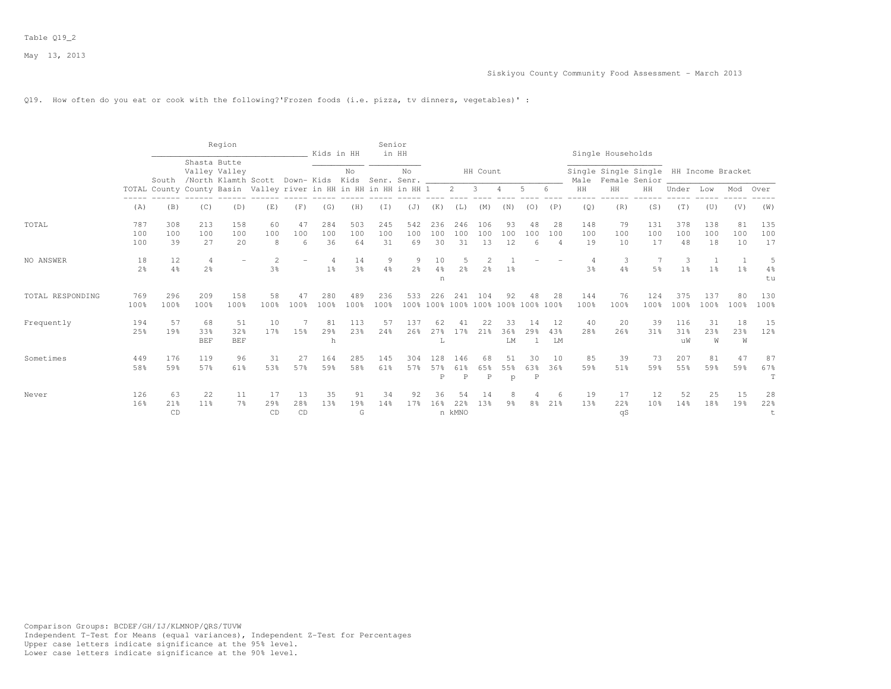#### Q19. How often do you eat or cook with the following?'Frozen foods (i.e. pizza, tv dinners, vegetables)' :

|                  |                      |                       |                                  | Region                  |                                                                  |                 | Kids in HH                       |                      | Senior<br>in HH  |                     |                  |                       |                                           |                     |                                         |                 |                  | Single Households |                                                         |                      |                  |                 |                     |
|------------------|----------------------|-----------------------|----------------------------------|-------------------------|------------------------------------------------------------------|-----------------|----------------------------------|----------------------|------------------|---------------------|------------------|-----------------------|-------------------------------------------|---------------------|-----------------------------------------|-----------------|------------------|-------------------|---------------------------------------------------------|----------------------|------------------|-----------------|---------------------|
|                  |                      |                       | Shasta Butte                     | Valley Valley           | South /North Klamth Scott Down-Kids Kids Senr. Senr.             |                 |                                  | No                   |                  | No                  |                  |                       | HH Count                                  |                     |                                         |                 | Male             |                   | Single Single Single HH Income Bracket<br>Female Senior |                      |                  |                 |                     |
|                  |                      |                       |                                  |                         | TOTAL County County Basin Valley river in HH in HH in HH in HH 1 |                 |                                  |                      |                  |                     |                  | $2 \quad 3$           |                                           | $\overline{4}$      | .5                                      | 6               | HH               | HH                | HH                                                      | Under                | Low              | Mod             | Over                |
|                  | (A)                  | (B)                   | (C)                              | (D)                     | (E)                                                              | (F)             | (G)                              | (H)                  | (I)              | (J)                 | (K)              | (L)                   | (M)                                       | (N)                 | (0)                                     | (P)             | (Q)              | (R)               | (S)                                                     | (T)                  | (U)              | (V)             | (W)                 |
| TOTAL            | 787<br>100<br>100    | 308<br>100<br>39      | 213<br>100<br>27                 | 158<br>100<br>20        | 60<br>100<br>8                                                   | 47<br>100<br>6  | 284<br>100<br>36                 | 503<br>100<br>64     | 245<br>100<br>31 | 542<br>100<br>69    | 236<br>100<br>30 | 246<br>100<br>31      | 106<br>100<br>13                          | 93<br>100<br>12     | 48<br>100<br>6                          | 28<br>100<br>4  | 148<br>100<br>19 | 79<br>100<br>10   | 131<br>100<br>17                                        | 378<br>100<br>48     | 138<br>100<br>18 | 81<br>100<br>10 | 135<br>100<br>17    |
| NO ANSWER        | 18<br>2 <sup>o</sup> | 12<br>4%              | $\overline{4}$<br>2 <sup>o</sup> |                         | $\mathcal{D}$<br>3%                                              |                 | $\overline{4}$<br>1 <sup>°</sup> | 14<br>3 <sup>o</sup> | 9<br>4%          | 9<br>2 <sup>o</sup> | 10<br>4%<br>n    | 2 <sup>o</sup>        | $\mathfrak{D}$<br>2 <sup>°</sup>          | 1%                  |                                         |                 | 3 <sup>8</sup>   | 3<br>4%           | 5 <sup>°</sup>                                          | -3<br>1 <sup>°</sup> | 1 <sup>°</sup>   | 1 <sup>8</sup>  | 5<br>$4\%$<br>tu    |
| TOTAL RESPONDING | 769<br>100%          | 296<br>100%           | 209<br>100%                      | 158<br>100%             | 58<br>100%                                                       | 47<br>100%      | 280<br>100%                      | 489<br>100%          | 236<br>100%      | 533                 | 226              | 241                   | 104<br>100% 100% 100% 100% 100% 100% 100% | 92                  | 48                                      | 28              | 144<br>100%      | 76<br>100%        | 124<br>100%                                             | 375<br>100%          | 137<br>100%      | 80<br>100%      | 130<br>100%         |
| Frequently       | 194<br>2.5%          | 57<br>19 <sup>°</sup> | 68<br>33%<br><b>BEF</b>          | 51<br>32%<br><b>BEF</b> | 10<br>17 <sub>8</sub>                                            | 15%             | 81<br>29%<br>h                   | 113<br>2.3%          | 57<br>24%        | 137<br>26%          | 62<br>27%<br>Τ.  | 41<br>17 <sup>8</sup> | 22<br>21 <sub>8</sub>                     | 33<br>36%<br>LM     | 14<br>29 <sub>8</sub><br>$\overline{1}$ | 12<br>43%<br>LM | 40<br>28%        | 20<br>26%         | 39<br>31 <sub>8</sub>                                   | 116<br>31%<br>uW     | 31<br>23%<br>W   | 18<br>23%<br>W  | 15<br>12%           |
| Sometimes        | 449<br>58%           | 176<br>59%            | 119<br>57%                       | 96<br>61%               | 31<br>53%                                                        | 27<br>57%       | 164<br>59%                       | 285<br>58%           | 145<br>61%       | 304<br>57%          | 128<br>57%<br>P  | 146<br>61%<br>P       | 68<br>65%<br>P                            | 51<br>55%<br>p      | 30<br>63%<br>P                          | 10<br>36%       | 85<br>59%        | 39<br>51%         | 73<br>59%                                               | 207<br>55%           | 81<br>59%        | 47<br>59%       | 87<br>67%<br>$\top$ |
| Never            | 126<br>16%           | 63<br>21%<br>CD       | 22<br>11%                        | 11<br>7 <sup>°</sup>    | 17<br>29%<br>CD                                                  | 13<br>28%<br>CD | 35<br>13%                        | 91<br>19%<br>G       | 34<br>14%        | 92<br>17%           | 36<br>16%        | 54<br>22%<br>n kMNO   | 14<br>13%                                 | 8<br>9 <sup>8</sup> | 8 <sup>°</sup>                          | 21%             | 19<br>13%        | 17<br>22%<br>qS   | 12<br>10 <sup>8</sup>                                   | 52<br>14%            | 25<br>18%        | 15<br>19%       | 28<br>22%           |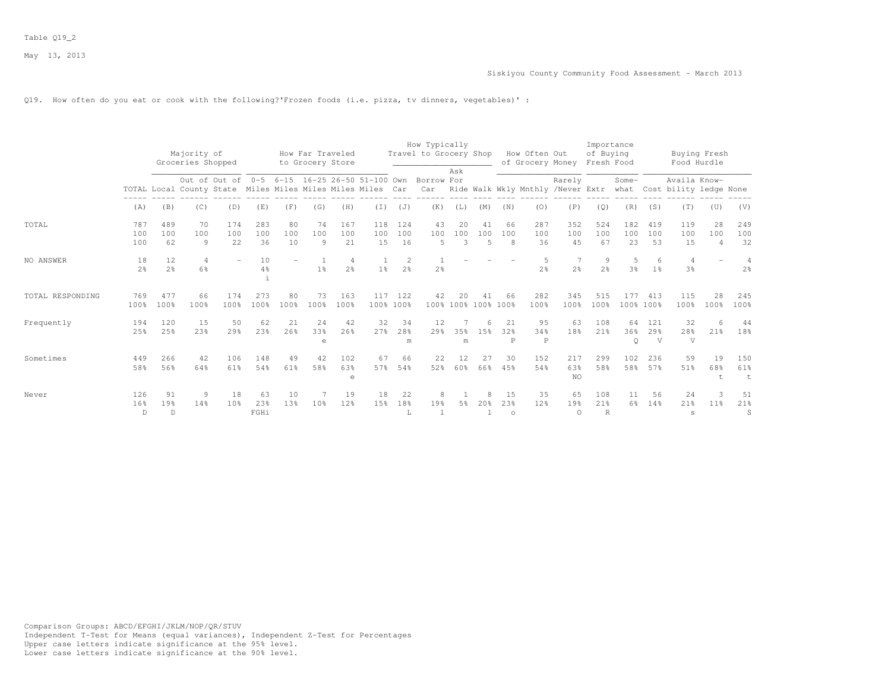Q19. How often do you eat or cook with the following?'Frozen foods (i.e. pizza, tv dinners, vegetables)' :

|                  |                      |                      | Majority of                                                |                                               |                   |                 | How Far Traveled |                     |                       |                     | How Typically<br>Travel to Grocery Shop |                |                           |                      | How Often Out                     |                       | Importance<br>of Buying    |                      |                             | Buying Fresh                                |                             |                  |
|------------------|----------------------|----------------------|------------------------------------------------------------|-----------------------------------------------|-------------------|-----------------|------------------|---------------------|-----------------------|---------------------|-----------------------------------------|----------------|---------------------------|----------------------|-----------------------------------|-----------------------|----------------------------|----------------------|-----------------------------|---------------------------------------------|-----------------------------|------------------|
|                  |                      |                      | Groceries Shopped                                          |                                               |                   |                 | to Grocery Store |                     |                       |                     |                                         |                |                           |                      | of Grocery Money                  |                       | Fresh Food                 |                      |                             | Food Hurdle                                 |                             |                  |
|                  |                      |                      | TOTAL Local County State Miles Miles Miles Miles Miles Car | Out of Out of 0-5 6-15 16-25 26-50 51-100 Own |                   |                 |                  |                     |                       |                     | Borrow For<br>Car                       | Ask            |                           |                      | Ride Walk Wkly Mnthly /Never Extr | Rarely                |                            | Some-                |                             | Availa Know-<br>what Cost bility ledge None |                             |                  |
|                  | (A)                  | (B)                  | (C)                                                        | (D)                                           | (E)               | (F)             | (G)              | (H)                 | (T)                   | (J)                 | (K)                                     | (L)            | (M)                       | (N)                  | (0)                               | (P)                   | (Q)                        | (R)                  | (S)                         | (T)                                         | (U)                         | (V)              |
| TOTAL            | 787<br>100<br>100    | 489<br>100<br>62     | 70<br>100<br>9                                             | 174<br>100<br>22                              | 283<br>100<br>36  | 80<br>100<br>10 | 74<br>100<br>9   | 167<br>100<br>21    | 118<br>100<br>15      | 124<br>100<br>16    | 43<br>100<br>5                          | 20<br>100<br>3 | 41<br>100<br>5            | 66<br>100<br>8       | 287<br>100<br>36                  | 352<br>100<br>45      | 524<br>100<br>67           | 182<br>100<br>23     | 419<br>100<br>53            | 119<br>100<br>15                            | 28<br>100<br>$\overline{4}$ | 249<br>100<br>32 |
| NO ANSWER        | 18<br>2 <sup>°</sup> | 12<br>2 <sup>o</sup> | 4<br>6%                                                    |                                               | 10<br>$4\%$       |                 | 1 <sup>°</sup>   | 4<br>2 <sup>o</sup> | 1 <sup>°</sup>        | 2<br>2 <sup>o</sup> | 2 <sup>°</sup>                          |                |                           |                      | 5<br>2 <sup>o</sup>               | 7<br>2 <sup>°</sup>   | 9<br>2 <sup>o</sup>        | 5<br>3 <sup>°</sup>  | 6<br>1 <sup>°</sup>         | 4<br>3 <sup>°</sup>                         |                             | 2 <sup>°</sup>   |
| TOTAL RESPONDING | 769<br>100%          | 477<br>100%          | 66<br>100%                                                 | 174<br>100%                                   | 273<br>100%       | 80<br>100%      | 73<br>100%       | 163<br>100%         | 117                   | 122<br>100% 100%    | 42                                      | 20             | 41<br>100% 100% 100% 100% | 66                   | 282<br>100%                       | 345<br>100%           | 515<br>100%                | 177                  | 413<br>100% 100%            | 115<br>100%                                 | 28<br>100%                  | 245<br>100%      |
| Frequently       | 194<br>25%           | 120<br>25%           | 15<br>23%                                                  | 50<br>29%                                     | 62<br>23%         | 21<br>26%       | 24<br>33%<br>e   | 42<br>2.6%          | 32<br>27 <sup>8</sup> | 34<br>28%<br>m      | 12<br>29 <sub>8</sub>                   | 35%<br>m       | 15%                       | 21<br>32%<br>P       | 95<br>34%<br>$\mathbb P$          | 63<br>18%             | 108<br>21%                 | 64<br>36%<br>$\circ$ | 121<br>29 <sup>8</sup><br>V | 32<br>28%<br>V                              | 6<br>21%                    | 44<br>18%        |
| Sometimes        | 449<br>58%           | 266<br>56%           | 42<br>64%                                                  | 106<br>61%                                    | 148<br>54%        | 49<br>61%       | 42<br>58%        | 102<br>63%<br>e     | 67<br>57%             | 66<br>54%           | 22<br>52%                               | 12<br>60%      | 27<br>66%                 | 30<br>45%            | 152<br>54%                        | 217<br>63%<br>NO      | 299<br>58%                 | 102                  | 236<br>58% 57%              | 59<br>51%                                   | 19<br>68%<br>$\ddagger$     | 150<br>61%<br>t  |
| Never            | 126<br>16%<br>D      | 91<br>19%<br>D.      | 9<br>14%                                                   | 18<br>10 <sup>8</sup>                         | 63<br>23%<br>FGHi | 10<br>13%       | 10 <sup>8</sup>  | 19<br>12%           | 18<br>15%             | 22<br>18%<br>L      | 8<br>19%                                | 5%             | 20 <sup>8</sup>           | 15<br>23%<br>$\circ$ | 35<br>12%                         | 65<br>19%<br>$\Omega$ | 108<br>21%<br>$\mathbb{R}$ | 11<br>6%             | 56<br>14%                   | 24<br>21%<br>s                              | 3<br>11%                    | 51<br>21%<br>S   |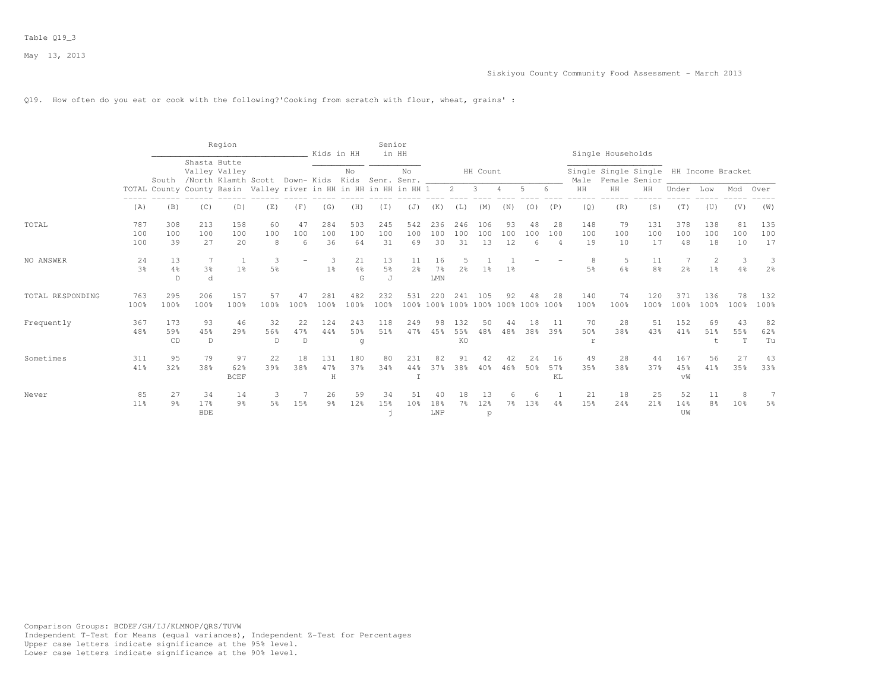#### Q19. How often do you eat or cook with the following?'Cooking from scratch with flour, wheat, grains' :

|                  |                       |                      |                          | Region                   |                                                                  |                | Kids in HH           |                           | Senior                    | in HH                |                                     |                         |                  |                                          |                |                             |                  | Single Households |                                                         |                  |                                  |                      |                     |
|------------------|-----------------------|----------------------|--------------------------|--------------------------|------------------------------------------------------------------|----------------|----------------------|---------------------------|---------------------------|----------------------|-------------------------------------|-------------------------|------------------|------------------------------------------|----------------|-----------------------------|------------------|-------------------|---------------------------------------------------------|------------------|----------------------------------|----------------------|---------------------|
|                  |                       | South                | Shasta Butte             | Valley Valley            | /North Klamth Scott Down- Kids Kids Senr. Senr. ______           |                |                      | No                        |                           | No                   |                                     |                         | HH Count         |                                          |                |                             | Male             |                   | Single Single Single HH Income Bracket<br>Female Senior |                  |                                  |                      |                     |
|                  |                       |                      |                          |                          | TOTAL County County Basin Valley river in HH in HH in HH in HH 1 |                |                      |                           |                           |                      |                                     | $2^{\circ}$             | 3                |                                          | 5              | 6                           | HH               | HH                | HH                                                      | Under            | Low                              | Mod                  | Over                |
|                  | (A)                   | (B)                  | (C)                      | (D)                      | (E)                                                              | (F)            | (G)                  | (H)                       | (I)                       | (J)                  | (K)                                 | (L)                     | (M)              | (N)                                      | (0)            | (P)                         | (Q)              | (R)               | (S)                                                     | (T)              | (U)                              | (V)                  | (W)                 |
| TOTAL            | 787<br>100<br>100     | 308<br>100<br>39     | 213<br>100<br>27         | 158<br>100<br>20         | 60<br>100<br>8                                                   | 47<br>100<br>6 | 284<br>100<br>36     | 503<br>100<br>64          | 245<br>100<br>31          | 542<br>100<br>69     | 236<br>100<br>30                    | 246<br>100<br>31        | 106<br>100<br>13 | 93<br>100<br>12                          | 48<br>100<br>6 | 28<br>100<br>$\overline{4}$ | 148<br>100<br>19 | 79<br>100<br>10   | 131<br>100<br>17                                        | 378<br>100<br>48 | 138<br>100<br>18                 | 81<br>100<br>10      | 135<br>100<br>17    |
| NO ANSWER        | 24<br>3%              | 13<br>4%<br>D        | 7<br>3 <sup>°</sup><br>d | 1 <sup>°</sup>           | 3<br>5%                                                          |                | -3<br>$1\%$          | 21<br>$4\frac{6}{6}$<br>G | 13<br>5 <sup>°</sup><br>J | 11<br>2 <sup>o</sup> | 16<br>7 <sup>8</sup><br>${\rm LMN}$ | 2 <sup>°</sup>          | $1\%$            | $1\%$                                    |                |                             | 8<br>5%          | 5<br>6%           | 11<br>8 <sup>°</sup>                                    | 2 <sup>°</sup>   | $\overline{c}$<br>1 <sup>°</sup> | 3<br>4%              | 3<br>2 <sup>°</sup> |
| TOTAL RESPONDING | 763<br>100%           | 295<br>100%          | 206<br>100%              | 157<br>100%              | 57<br>100%                                                       | 47<br>100%     | 281<br>100%          | 482<br>100%               | 232<br>100%               | 531                  | 220                                 | 2.41                    | 105              | 92<br>100% 100% 100% 100% 100% 100% 100% | 48             | 2.8                         | 140<br>100%      | 74<br>100%        | 120<br>100%                                             | 371<br>100%      | 136<br>100%                      | 78<br>100%           | 132<br>100%         |
| Frequently       | 367<br>48%            | 173<br>59%<br>CD     | 93<br>45%<br>D           | 46<br>$29$ <sup>2</sup>  | 32<br>56%<br>$\mathbb{D}$                                        | 22<br>47%<br>D | 124<br>44%           | 243<br>50%<br>g           | 118<br>51%                | 249<br>47%           | 98<br>45%                           | 132<br>55%<br><b>KO</b> | 50<br>48%        | 44<br>48%                                | 18<br>38%      | 11<br>39%                   | 70<br>50%<br>r   | 28<br>38%         | 51<br>43%                                               | 152<br>41%       | 69<br>51%<br>t                   | 43<br>55%<br>T       | 82<br>62%<br>Tu     |
| Sometimes        | 311<br>41%            | 95<br>32%            | 79<br>38%                | 97<br>62%<br><b>BCEF</b> | 22<br>39%                                                        | 18<br>38%      | 131<br>47%<br>H      | 180<br>37%                | 80<br>34%                 | 231<br>44%           | 82<br>37%                           | 91<br>38%               | 40%              | 42<br>46%                                | 2.4<br>50%     | 16<br>57%<br>KL             | 49<br>35%        | 28<br>38%         | 44<br>37%                                               | 167<br>45%<br>vW | 56<br>41%                        | 27<br>35%            | 43<br>33%           |
| Never            | 85<br>11 <sup>°</sup> | 27<br>$9\frac{6}{9}$ | 34<br>17%<br><b>BDE</b>  | 14<br>$9\frac{6}{6}$     | 3<br>5 <sup>°</sup>                                              | 15%            | 26<br>9 <sub>8</sub> | 59<br>12%                 | 34<br>15%                 | 51<br>10%            | 40<br>18%<br>${\rm LNP}$            | 18<br>7%                | 13<br>12%<br>p   | 6<br>$7\%$                               | 6<br>13%       | 4%                          | 21<br>15%        | 18<br>24%         | 25<br>21%                                               | 52<br>14%<br>UW  | 11<br>8 <sup>°</sup>             | 8<br>10 <sub>8</sub> | 7<br>5%             |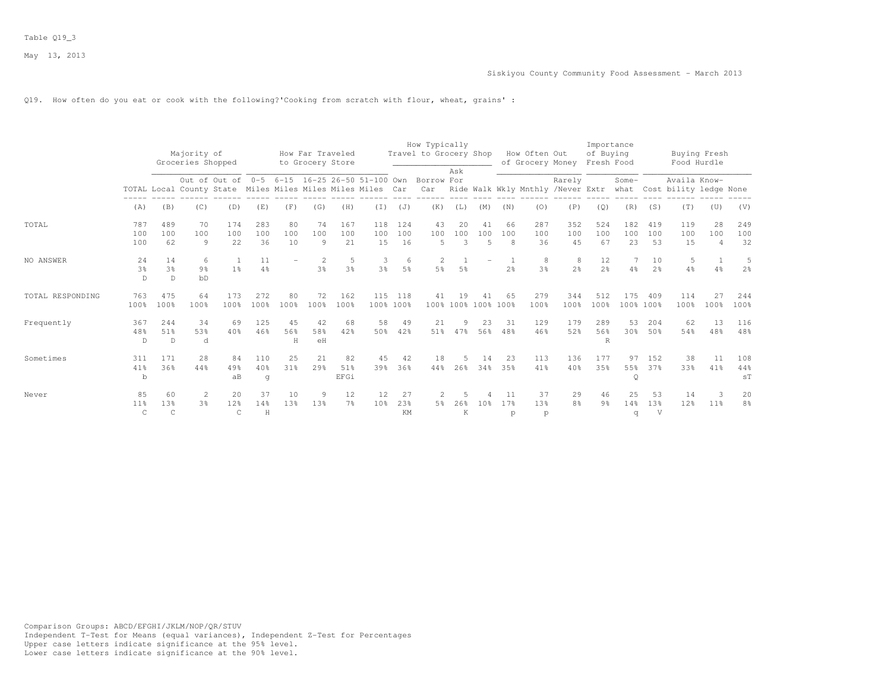#### Q19. How often do you eat or cook with the following?'Cooking from scratch with flour, wheat, grains' :

|                  |                            |                                      | Majority of<br>Groceries Shopped                           |                                  |                  |                 | How Far Traveled<br>to Grocery Store |                      |                                               |                      | How Typically<br>Travel to Grocery Shop |                           |                             |                | How Often Out<br>of Grocery Money |                      | Importance<br>of Buying<br>Fresh Food |                  |                      | Buying Fresh<br>Food Hurdle                 |                             |                      |
|------------------|----------------------------|--------------------------------------|------------------------------------------------------------|----------------------------------|------------------|-----------------|--------------------------------------|----------------------|-----------------------------------------------|----------------------|-----------------------------------------|---------------------------|-----------------------------|----------------|-----------------------------------|----------------------|---------------------------------------|------------------|----------------------|---------------------------------------------|-----------------------------|----------------------|
|                  |                            |                                      | TOTAL Local County State Miles Miles Miles Miles Miles Car |                                  |                  |                 |                                      |                      | Out of Out of 0-5 6-15 16-25 26-50 51-100 Own |                      | Borrow For<br>Car                       | Ask                       |                             |                | Ride Walk Wkly Mnthly /Never Extr | Rarely               |                                       | Some-            |                      | Availa Know-<br>what Cost bility ledge None |                             |                      |
|                  | (A)                        | (B)                                  | (C)                                                        | (D)                              | (E)              | (F)             | (G)                                  | (H)                  | (I)                                           | (J)                  | (K)                                     | (L)                       | (M)                         | (N)            | (0)                               | (P)                  | (Q)                                   | (R)              | (S)                  | (T)                                         | (U)                         | (V)                  |
| TOTAL            | 787<br>100<br>100          | 489<br>100<br>62                     | 70<br>100<br>$\overline{9}$                                | 174<br>100<br>22                 | 283<br>100<br>36 | 80<br>100<br>10 | 74<br>100<br>9                       | 167<br>100<br>21     | 118<br>100<br>15                              | 124<br>100<br>16     | 43<br>100<br>5                          | 20<br>100<br>3            | 41<br>100<br>$\overline{5}$ | 66<br>100<br>8 | 287<br>100<br>36                  | 352<br>100<br>45     | 524<br>100<br>67                      | 182<br>100<br>23 | 419<br>100<br>53     | 119<br>100<br>15                            | 28<br>100<br>$\overline{4}$ | 249<br>100<br>32     |
| NO ANSWER        | 24<br>3%<br>D              | 14<br>3 <sup>8</sup><br>$\mathbb{D}$ | 6<br>9 <sup>°</sup><br>bD                                  | $\overline{1}$<br>1 <sup>8</sup> | 11<br>4%         |                 | $\overline{2}$<br>3%                 | -5<br>3%             | 3<br>3%                                       | 6<br>5 <sup>9</sup>  | 2<br>5 <sup>8</sup>                     | 5%                        |                             | 2 <sup>o</sup> | 8<br>3 <sup>8</sup>               | 8<br>2 <sup>o</sup>  | 12<br>2.8                             | 7<br>4%          | 10<br>2 <sup>o</sup> | 5<br>4%                                     | $\overline{1}$<br>4%        | 5<br>2 <sup>o</sup>  |
| TOTAL RESPONDING | 763<br>100%                | 475<br>100%                          | 64<br>100%                                                 | 173<br>100%                      | 272<br>100%      | 80<br>100%      | 72<br>100%                           | 162<br>100%          |                                               | 115 118<br>100% 100% | 41                                      | 19<br>100% 100% 100% 100% | 41                          | 65             | 279<br>100%                       | 344<br>100%          | 512<br>100%                           | 175              | 409<br>100% 100%     | 114<br>100%                                 | 27<br>100%                  | 244<br>100%          |
| Frequently       | 367<br>48%<br>D            | 244<br>51%<br>D                      | 34<br>53%<br>d                                             | 69<br>40%                        | 125<br>46%       | 45<br>56%<br>H  | 42<br>58%<br>eH                      | 68<br>42%            | 58<br>50%                                     | 49<br>42%            | 21<br>51%                               | 9<br>47%                  | 23<br>56%                   | -31<br>48%     | 129<br>46%                        | 179<br>52%           | 289<br>56%<br>R                       | 53<br>30%        | 204<br>50%           | 62<br>54%                                   | 13<br>48%                   | 116<br>48%           |
| Sometimes        | 311<br>41%<br>b            | 171<br>36%                           | 28<br>44%                                                  | 84<br>49%<br>aB                  | 110<br>40%<br>q  | 25<br>31%       | 21<br>29%                            | 82<br>51%<br>EFGi    | 45<br>39%                                     | 42<br>36%            | 18<br>44%                               | .5<br>26%                 | 14<br>34%                   | 23<br>35%      | 113<br>41%                        | 136<br>40%           | 177<br>35%                            | 97<br>55%<br>Q   | 152<br>37%           | 38<br>33%                                   | 11<br>41%                   | 108<br>44%<br>ST     |
| Never            | 85<br>11%<br>$\mathcal{C}$ | 60<br>13%<br>$\mathcal{C}$           | -2<br>3%                                                   | 20<br>12%<br>C                   | 37<br>14%<br>H   | 10<br>13%       | -9<br>13%                            | 12<br>7 <sup>°</sup> | 12<br>10 <sup>8</sup>                         | 27<br>23%<br>KM      | -2<br>5%                                | .5<br>26%<br>K            | 10 <sup>8</sup>             | 11<br>17%<br>p | 37<br>13%<br>p                    | 29<br>8 <sup>°</sup> | 46<br>9 <sub>8</sub>                  | 25<br>14%<br>q   | 53<br>13%<br>V       | 14<br>12%                                   | 3<br>11%                    | 20<br>8 <sup>°</sup> |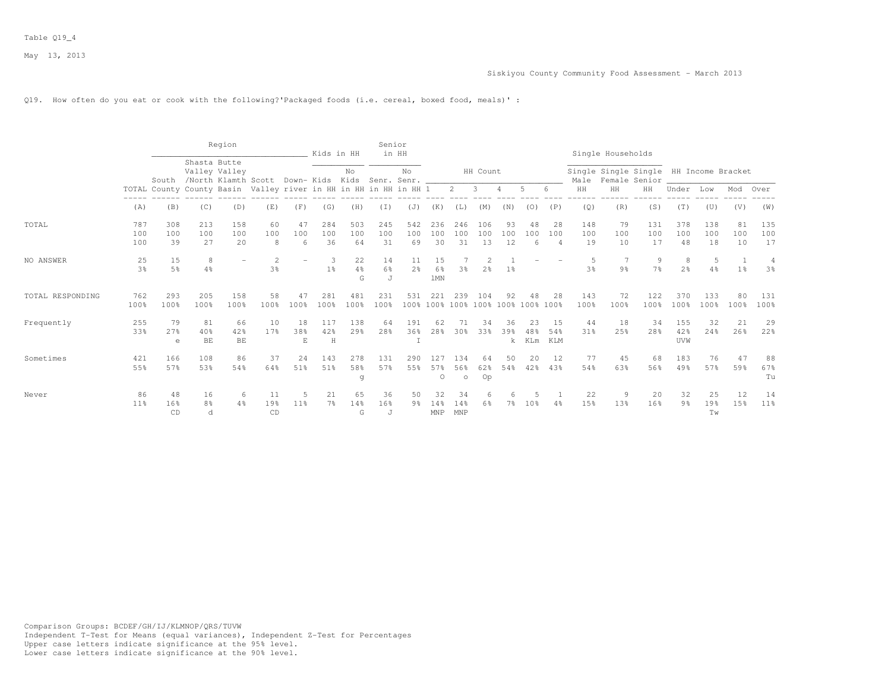#### Q19. How often do you eat or cook with the following?'Packaged foods (i.e. cereal, boxed food, meals)' :

|                  |                       |                      |                           | Region          |                                                                                                                           |                | Kids in HH           |                          | Senior                | in HH                |                       |                       |                                                                                                                                                                                                                                                                                                                                                                                                                                              |                           |                  |                    |                     | Single Households |                                                               |                      |                 |                                  |                       |
|------------------|-----------------------|----------------------|---------------------------|-----------------|---------------------------------------------------------------------------------------------------------------------------|----------------|----------------------|--------------------------|-----------------------|----------------------|-----------------------|-----------------------|----------------------------------------------------------------------------------------------------------------------------------------------------------------------------------------------------------------------------------------------------------------------------------------------------------------------------------------------------------------------------------------------------------------------------------------------|---------------------------|------------------|--------------------|---------------------|-------------------|---------------------------------------------------------------|----------------------|-----------------|----------------------------------|-----------------------|
|                  |                       |                      | Shasta Butte              | Valley Valley   | South /North Klamth Scott Down- Kids Kids Senr. Senr.<br>TOTAL County County Basin Valley river in HH in HH in HH in HH 1 |                |                      | No                       |                       | No                   |                       | $2 \quad 3$           | HH Count                                                                                                                                                                                                                                                                                                                                                                                                                                     | $\overline{4}$            | 5                | 6                  | Male<br>$\rm{HH}$   | HH                | Single Single Single HH Income Bracket<br>Female Senior<br>HH |                      |                 |                                  |                       |
|                  | (A)                   | (B)                  | (C)                       | (D)             | (E)                                                                                                                       | (F)            | (G)                  | (H)                      | (T)                   | (J)                  | (K)                   |                       | (M)                                                                                                                                                                                                                                                                                                                                                                                                                                          | (N)                       |                  | (P)                | (Q)                 | (R)               | (S)                                                           | Under<br>(T)         | Low<br>(U)      | Mod<br>(V)                       | Over<br>(W)           |
|                  |                       |                      |                           |                 |                                                                                                                           |                |                      |                          |                       |                      |                       | (L)                   |                                                                                                                                                                                                                                                                                                                                                                                                                                              |                           | (0)              |                    |                     |                   |                                                               |                      |                 |                                  |                       |
| TOTAL            | 787<br>100            | 308<br>100           | 213<br>100                | 158<br>100      | 60<br>100                                                                                                                 | 47<br>100      | 284<br>100           | 503<br>100               | 245<br>100            | 542<br>100           | 236<br>100            | 246<br>100            | 106<br>100                                                                                                                                                                                                                                                                                                                                                                                                                                   | 93<br>100                 | 48<br>100        | 28<br>100          | 148<br>100          | 79<br>100         | 131<br>100                                                    | 378<br>100           | 138<br>100      | 81<br>100                        | 135<br>100            |
|                  | 100                   | 39                   | 27                        | 20              | 8                                                                                                                         | 6              | 36                   | 64                       | 31                    | 69                   | 30                    | 31                    | 13                                                                                                                                                                                                                                                                                                                                                                                                                                           | 12                        | 6                | $\overline{4}$     | 19                  | 10                | 17                                                            | 48                   | 18              | 10                               | 17                    |
| NO ANSWER        | 25<br>3 <sup>°</sup>  | 15<br>5 <sup>°</sup> | 8<br>$4\%$                |                 | $\mathcal{L}$<br>3 <sup>8</sup>                                                                                           |                | 3<br>1 <sup>°</sup>  | 22<br>$4\frac{6}{6}$     | 14<br>6%              | 11<br>2 <sup>o</sup> | 15<br>6%              | 3%                    | $\mathfrak{D}_{1}^{2}(\mathfrak{D}_{1})=\mathfrak{D}_{2}^{2}(\mathfrak{D}_{2})=\mathfrak{D}_{2}^{2}(\mathfrak{D}_{1})=\mathfrak{D}_{2}^{2}(\mathfrak{D}_{2})=\mathfrak{D}_{2}^{2}(\mathfrak{D}_{1})=\mathfrak{D}_{2}^{2}(\mathfrak{D}_{1})=\mathfrak{D}_{2}^{2}(\mathfrak{D}_{1})=\mathfrak{D}_{2}^{2}(\mathfrak{D}_{2})=\mathfrak{D}_{2}^{2}(\mathfrak{D}_{1})=\mathfrak{D}_{2}^{2}(\mathfrak{D}_{1})=\mathfrak{D}_{2}^{$<br>2 <sup>°</sup> | $1\overline{8}$           |                  |                    | 5<br>3 <sup>8</sup> | 9 <sub>8</sub>    | 9<br>7%                                                       | 8<br>2 <sup>°</sup>  | 5<br>4%         | $\overline{1}$<br>1 <sup>°</sup> | 4<br>3 <sup>8</sup>   |
|                  |                       |                      |                           |                 |                                                                                                                           |                |                      | G                        | J                     |                      | <b>1MN</b>            |                       |                                                                                                                                                                                                                                                                                                                                                                                                                                              |                           |                  |                    |                     |                   |                                                               |                      |                 |                                  |                       |
| TOTAL RESPONDING | 762<br>100%           | 293<br>100%          | 205<br>100%               | 158<br>100%     | 58<br>100%                                                                                                                | 47<br>100%     | 281<br>100%          | 481<br>100%              | 231<br>100%           | 531                  | 221                   | 239                   | 104<br>100% 100% 100% 100% 100% 100% 100%                                                                                                                                                                                                                                                                                                                                                                                                    | 92                        | 48               | -28                | 143<br>100%         | 72<br>100%        | 122<br>100%                                                   | 370<br>100%          | 133<br>100%     | 80<br>100%                       | 131<br>100%           |
| Frequently       | 255<br>33%            | 79<br>27%<br>e       | 81<br>40%<br>BE           | 66<br>42%<br>BE | 10<br>17%                                                                                                                 | 18<br>38%<br>E | 117<br>42%<br>H      | 138<br>$29$ <sup>2</sup> | 64<br>28 <sup>8</sup> | 191<br>36%           | 62<br>28 <sup>8</sup> | 71<br>30 <sup>8</sup> | 34<br>33%                                                                                                                                                                                                                                                                                                                                                                                                                                    | 36<br>39%<br>$\mathbf{k}$ | 23<br>48%<br>KLm | -1.5<br>54%<br>KLM | 44<br>31%           | 18<br>25%         | 34<br>28%                                                     | 155<br>42%<br>UVW    | 32<br>2.4%      | 21<br>26%                        | 29<br>22%             |
| Sometimes        | 421<br>55%            | 166<br>57%           | 108<br>53%                | 86<br>54%       | 37<br>64%                                                                                                                 | 24<br>51%      | 143<br>51%           | 278<br>58%<br>g          | 131<br>57%            | 290<br>55%           | 127<br>57%<br>$\circ$ | 134<br>56%<br>$\circ$ | 64<br>62%<br>Op                                                                                                                                                                                                                                                                                                                                                                                                                              | 50<br>54%                 | 20<br>42%        | 12<br>43%          | 77<br>54%           | 45<br>63%         | 68<br>56%                                                     | 183<br>49%           | 76<br>57%       | 47<br>59%                        | 88<br>67%<br>Tu       |
| Never            | 86<br>11 <sup>°</sup> | 48<br>16%<br>CD      | 16<br>8 <sup>°</sup><br>d | 6<br>4%         | 11<br>19%<br>CD                                                                                                           | 5<br>11%       | 21<br>7 <sup>°</sup> | 65<br>14%<br>G           | 36<br>16%<br>J        | 50<br>9%             | 32<br>14%<br>MNP      | 34<br>14%<br>MNP      | 6<br>6%                                                                                                                                                                                                                                                                                                                                                                                                                                      | 6<br>$7\frac{6}{6}$       | 10 <sup>8</sup>  | 4%                 | 22<br>15%           | -9<br>13%         | 20<br>16%                                                     | 32<br>9 <sub>8</sub> | 25<br>19%<br>Tw | 12<br>15%                        | 14<br>11 <sup>°</sup> |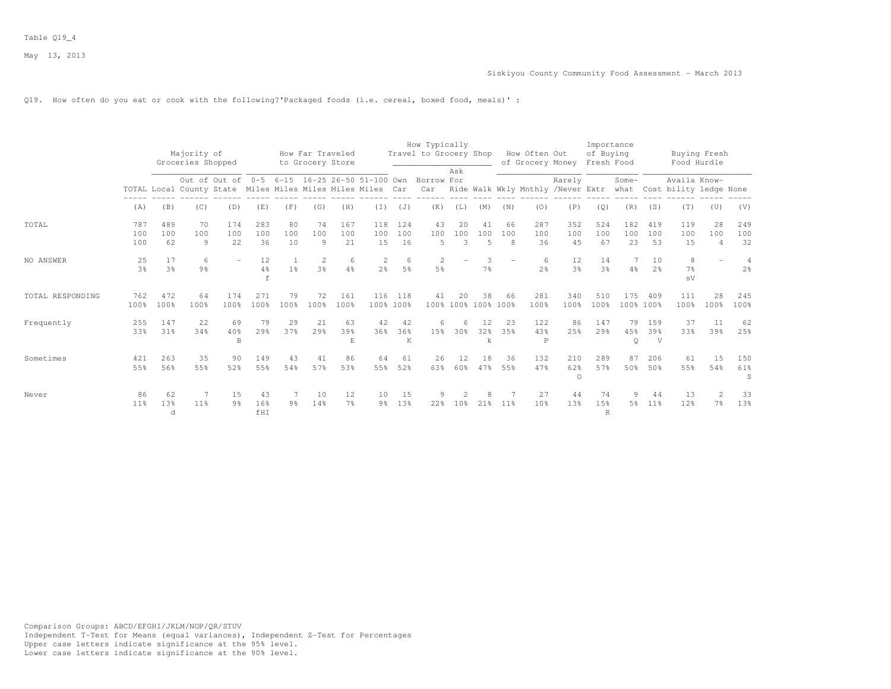#### Q19. How often do you eat or cook with the following?'Packaged foods (i.e. cereal, boxed food, meals)' :

|                  |                      |                  | Majority of<br>Groceries Shopped                           |                      |                       |                 | How Far Traveled<br>to Grocery Store |                      |                                               |                     | How Typically<br>Travel to Grocery Shop |                                  |                             |                 | How Often Out<br>of Grocery Money |                       | Importance<br>of Buying<br>Fresh Food |                      |                       | Food Hurdle                                 | Buying Fresh                     |                                  |
|------------------|----------------------|------------------|------------------------------------------------------------|----------------------|-----------------------|-----------------|--------------------------------------|----------------------|-----------------------------------------------|---------------------|-----------------------------------------|----------------------------------|-----------------------------|-----------------|-----------------------------------|-----------------------|---------------------------------------|----------------------|-----------------------|---------------------------------------------|----------------------------------|----------------------------------|
|                  |                      |                  | TOTAL Local County State Miles Miles Miles Miles Miles Car |                      |                       |                 |                                      |                      | Out of Out of 0-5 6-15 16-25 26-50 51-100 Own |                     | Borrow For<br>Car                       | Ask                              |                             |                 | Ride Walk Wkly Mnthly /Never Extr | Rarely                |                                       | Some-                |                       | Availa Know-<br>what Cost bility ledge None |                                  |                                  |
|                  | (A)                  | (B)              | (C)                                                        | (D)                  | (E)                   | (F)             | (G)                                  | (H)                  | (T)                                           | (J)                 | (K)                                     | (L)                              | (M)                         | (N)             | (0)                               | (P)                   | (Q)                                   | (R)                  | (S)                   | (T)                                         | (U)                              | (V)                              |
| TOTAL            | 787<br>100<br>100    | 489<br>100<br>62 | 70<br>100<br>9                                             | 174<br>100<br>22     | 283<br>100<br>36      | 80<br>100<br>10 | 74<br>100<br>9                       | 167<br>100<br>21     | 118<br>100<br>15                              | 124<br>100<br>16    | 43<br>100<br>$\overline{5}$             | 20<br>100<br>3                   | 41<br>100<br>$\overline{5}$ | 66<br>100<br>8  | 287<br>100<br>36                  | 352<br>100<br>45      | 524<br>100<br>67                      | 182<br>100<br>23     | 419<br>100<br>53      | 119<br>100<br>15                            | 28<br>100<br>$\overline{4}$      | 249<br>100<br>32                 |
| NO ANSWER        | 25<br>3 <sup>°</sup> | 17<br>3%         | 6<br>9 <sub>8</sub>                                        |                      | 12<br>4%              | 1 <sup>°</sup>  | $\overline{2}$<br>$3\frac{6}{6}$     | 6<br>4%              | $\mathbf{2}$<br>2 <sup>o</sup>                | 6<br>5 <sup>°</sup> | 2<br>5 <sup>°</sup>                     |                                  | 3<br>7 <sup>°</sup>         |                 | 6<br>2 <sup>o</sup>               | 12<br>3 <sup>°</sup>  | 14<br>3%                              | 4%                   | 10<br>2 <sup>o</sup>  | 8<br>7 <sup>°</sup><br>sV                   |                                  | $\overline{4}$<br>2 <sup>°</sup> |
| TOTAL RESPONDING | 762<br>100%          | 472<br>100%      | 64<br>100%                                                 | 174<br>100%          | 271<br>100%           | 79<br>100%      | 72<br>100%                           | 161<br>100%          | 116                                           | 118<br>100% 100%    | 41<br>100%                              | 20                               | 38<br>100% 100% 100%        | 66              | 281<br>100%                       | 340<br>100%           | 510<br>100%                           | 175                  | 409<br>100% 100%      | 111<br>100%                                 | 28<br>100%                       | 245<br>100%                      |
| Frequently       | 255<br>33%           | 147<br>31%       | 22<br>34%                                                  | 69<br>40%<br>B       | 79<br>29 <sup>8</sup> | 29<br>37%       | 21<br>29%                            | 63<br>39%<br>E.      | 42<br>36%                                     | 42<br>36%<br>K      | 6<br>15%                                | 6<br>30%                         | 12<br>32%<br>k              | 23<br>3.5%      | 122<br>43%<br>$\mathbb P$         | 86<br>25%             | 147<br>29.8                           | 79<br>45%<br>$\circ$ | 159<br>39%<br>V       | 37<br>33%                                   | 11<br>39%                        | 62<br>25%                        |
| Sometimes        | 421<br>55%           | 263<br>56%       | 35<br>55%                                                  | 90<br>52%            | 149<br>55%            | 43<br>54%       | 41<br>57%                            | 86<br>53%            | 64<br>55%                                     | 61<br>52%           | 26<br>63%                               | 12<br>60%                        | 18<br>47%                   | 36<br>55%       | 132<br>47%                        | 210<br>62%<br>$\circ$ | 289<br>57%                            | 87<br>50%            | 206<br>50%            | 61<br>55%                                   | 1.5<br>54%                       | 150<br>61%<br>S                  |
| Never            | 86<br>11%            | 62<br>13%<br>d   | 7<br>11 <sup>8</sup>                                       | 15<br>9 <sup>°</sup> | 43<br>16%<br>fHI      | 9 <sup>°</sup>  | 10<br>14%                            | 12<br>7 <sup>°</sup> | 10<br>9%                                      | 15<br>13%           | 9<br>22%                                | $\mathcal{D}$<br>10 <sup>8</sup> | 2.1%                        | 11 <sup>8</sup> | 27<br>10 <sup>8</sup>             | 44<br>13%             | 74<br>15%<br>R                        | 9<br>5%              | 44<br>11 <sup>8</sup> | 13<br>12%                                   | $\overline{2}$<br>7 <sup>°</sup> | 33<br>13%                        |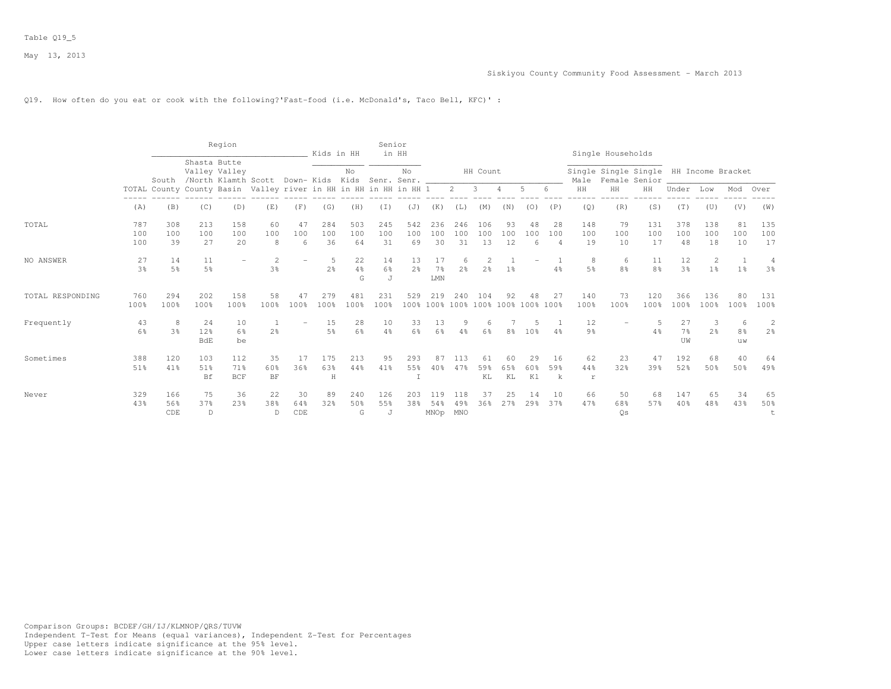#### Siskiyou County Community Food Assessment - March 2013

## Q19. How often do you eat or cook with the following?'Fast-food (i.e. McDonald's, Taco Bell, KFC)' :

|                  |                      |                   |                               | Region                   |                                                                  |                  | Kids in HH           |                           | Senior           | in HH                |                             |                     |                      |                  |                       |                             |                       | Single Households                                       |                      |                      |                     |                                |                                  |
|------------------|----------------------|-------------------|-------------------------------|--------------------------|------------------------------------------------------------------|------------------|----------------------|---------------------------|------------------|----------------------|-----------------------------|---------------------|----------------------|------------------|-----------------------|-----------------------------|-----------------------|---------------------------------------------------------|----------------------|----------------------|---------------------|--------------------------------|----------------------------------|
|                  |                      | South             | Shasta Butte<br>Valley Valley |                          | /North Klamth Scott Down-Kids Kids Senr. Senr.                   |                  |                      | No                        |                  | No                   |                             |                     | HH Count             |                  |                       |                             | Male                  | Single Single Single HH Income Bracket<br>Female Senior |                      |                      |                     |                                |                                  |
|                  |                      |                   |                               |                          | TOTAL County County Basin Valley river in HH in HH in HH in HH 1 |                  |                      |                           |                  |                      |                             | $2^{\circ}$         | $\mathbf{3}$         |                  | 5                     | 6                           | HH                    | HH                                                      | HH                   | Under                | Low                 | Mod                            | Over                             |
|                  | (A)                  | (B)               | (C)                           | (D)                      | (E)                                                              | (F)              | (G)                  | (H)                       | (I)              | (J)                  | (K)                         | (L)                 | (M)                  | (N)              | (0)                   | (P)                         | (Q)                   | (R)                                                     | (S)                  | (T)                  | (U)                 | (V)                            | (W)                              |
| TOTAL            | 787<br>100<br>100    | 308<br>100<br>39  | 213<br>100<br>27              | 158<br>100<br>20         | 60<br>100<br>8                                                   | 47<br>100<br>6   | 284<br>100<br>36     | 503<br>100<br>64          | 245<br>100<br>31 | 542<br>100<br>69     | 236<br>100<br>30            | 246<br>100<br>31    | 106<br>100<br>13     | 93<br>100<br>12  | 48<br>100<br>6        | 28<br>100<br>$\overline{4}$ | 148<br>100<br>19      | 79<br>100<br>10                                         | 131<br>100<br>17     | 378<br>100<br>48     | 138<br>100<br>18    | 81<br>100<br>10                | 135<br>100<br>17                 |
| NO ANSWER        | 27<br>3 <sup>8</sup> | 14<br>5%          | 11<br>5%                      |                          | $\mathcal{D}$<br>3%                                              |                  | -5<br>2 <sup>°</sup> | 22<br>$4\frac{6}{6}$<br>G | 14<br>6%<br>J    | 13<br>2 <sup>o</sup> | 17<br>7 <sup>°</sup><br>LMN | 6<br>2 <sup>°</sup> | $\mathcal{L}$<br>2.8 | 1 <sup>8</sup>   |                       | 4%                          | 8<br>5%               | -6<br>8 <sup>°</sup>                                    | 11<br>8 <sup>°</sup> | 12<br>3 <sup>8</sup> | 2<br>1 <sup>°</sup> | $\mathbf{1}$<br>1 <sup>8</sup> | $\overline{4}$<br>3 <sup>o</sup> |
| TOTAL RESPONDING | 760<br>100%          | 294<br>100%       | 202<br>100%                   | 158<br>100%              | 58<br>100%                                                       | 47<br>100%       | 279<br>100%          | 481<br>100%               | 231<br>100%      | 529<br>100%          | 219<br>100%                 | 240<br>100%         | 104<br>100%          | 92<br>100%       | 48<br>100% 100%       | 27                          | 140<br>100%           | 73<br>100%                                              | 120<br>100%          | 366<br>100%          | 136<br>100%         | 80<br>100%                     | 131<br>100%                      |
| Frequently       | 43<br>6%             | 8<br>3%           | 24<br>12%<br>BdE              | 10<br>6%<br>be           | 2 <sup>°</sup>                                                   |                  | 15<br>5%             | 28<br>6%                  | 10<br>4%         | 33<br>6%             | 13<br>6%                    | $4\frac{6}{6}$      | 6%                   | 8 <sup>°</sup>   | 10 <sup>8</sup>       | $4\%$                       | 12<br>9%              |                                                         | 4%                   | 27<br>7%<br>UW       | 3<br>2 <sup>°</sup> | 6<br>8 <sup>°</sup><br>uw      | 2<br>2 <sup>°</sup>              |
| Sometimes        | 388<br>51%           | 120<br>41%        | 103<br>51%<br>Bf              | 112<br>71%<br><b>BCF</b> | 35<br>60%<br>BF                                                  | 17<br>36%        | 175<br>63%<br>H      | 213<br>44%                | 95<br>41%        | 293<br>55%           | 87<br>40%                   | 113<br>47%          | 61<br>59%<br>KL      | 60<br>6.5%<br>KL | 29<br>60%<br>K1       | -16<br>59%<br>k             | 62<br>44%<br>$\Gamma$ | 23<br>32%                                               | 47<br>39%            | 192<br>52%           | 68<br>50%           | 40<br>50%                      | 64<br>49%                        |
| Never            | 329<br>43%           | 166<br>56%<br>CDE | 75<br>37%<br>D                | 36<br>23%                | 22<br>38%<br>D                                                   | 30<br>64%<br>CDE | 89<br>32%            | 240<br>50%<br>G           | 126<br>55%<br>J  | 203<br>38%           | 119<br>54%<br>MNOp          | 118<br>49%<br>MNO   | 37<br>36%            | 25<br>27%        | 14<br>29 <sub>8</sub> | 10<br>37%                   | 66<br>47%             | 50<br>68%<br>Qs                                         | 68<br>57%            | 147<br>40%           | 65<br>48%           | 34<br>43%                      | 65<br>50%                        |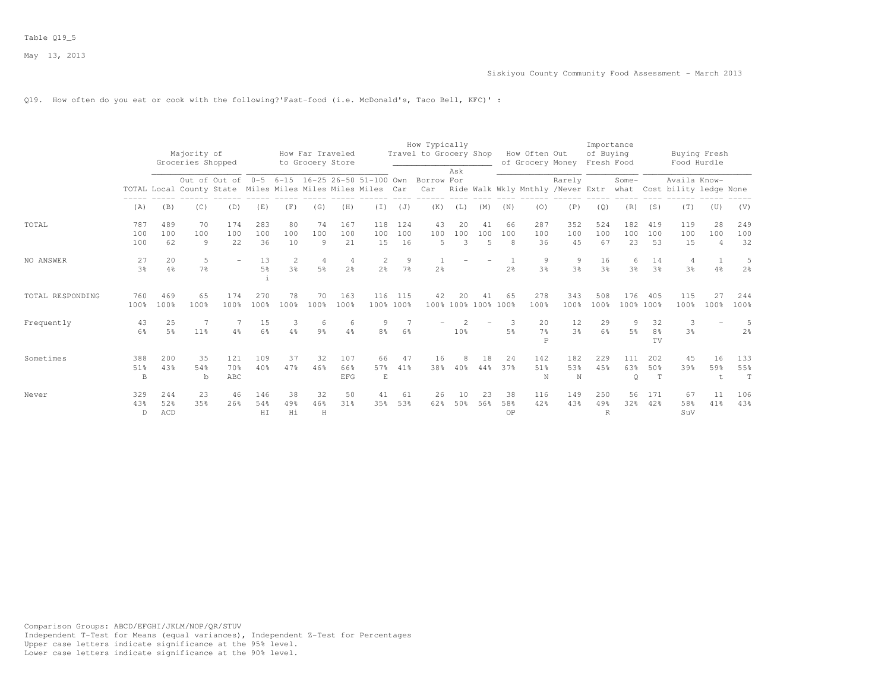# Q19. How often do you eat or cook with the following?'Fast-food (i.e. McDonald's, Taco Bell, KFC)' :

|                  |                      |                      | Majority of<br>Groceries Shopped |                                                                                                             |                      |                                  | How Far Traveled<br>to Grocery Store |                          |                                |                     | How Typically<br>Travel to Grocery Shop |                 |                      |                 | How Often Out<br>of Grocery Money    |                                             | Importance<br>of Buying<br>Fresh Food |                     |                  | Buying Fresh<br>Food Hurdle            |                             |                     |
|------------------|----------------------|----------------------|----------------------------------|-------------------------------------------------------------------------------------------------------------|----------------------|----------------------------------|--------------------------------------|--------------------------|--------------------------------|---------------------|-----------------------------------------|-----------------|----------------------|-----------------|--------------------------------------|---------------------------------------------|---------------------------------------|---------------------|------------------|----------------------------------------|-----------------------------|---------------------|
|                  |                      |                      |                                  | Out of Out of 0-5 6-15 16-25 26-50 51-100 Own<br>TOTAL Local County State Miles Miles Miles Miles Miles Car |                      |                                  |                                      |                          |                                |                     | Borrow For<br>Car                       | Ask             |                      |                 |                                      | Rarely<br>Ride Walk Wkly Mnthly /Never Extr |                                       | Some-<br>what       |                  | Availa Know-<br>Cost bility ledge None |                             |                     |
|                  | (A)                  | (B)                  | (C)                              | (D)                                                                                                         | (E)                  | (F)                              | (G)                                  | (H)                      | $(\bot)$                       | (J)                 | (K)                                     | (L)             | (M)                  | (N)             | (0)                                  | (P)                                         | (Q)                                   | (R)                 | (S)              | (T)                                    | (U)                         | (V)                 |
| TOTAL            | 787<br>100<br>100    | 489<br>100<br>62     | 70<br>100<br>$\theta$            | 174<br>100<br>22                                                                                            | 283<br>100<br>36     | 80<br>100<br>10                  | 74<br>100<br>$\theta$                | 167<br>100<br>21         | 118<br>100<br>15               | 124<br>100<br>16    | 43<br>100<br>-5                         | 20<br>100<br>3  | 41<br>100<br>5       | 66<br>100<br>8  | 287<br>100<br>36                     | 352<br>100<br>45                            | 524<br>100<br>67                      | 182<br>100<br>23    | 419<br>100<br>53 | 119<br>100<br>15                       | 28<br>100<br>$\overline{4}$ | 249<br>100<br>32    |
| NO ANSWER        | 27<br>3 <sup>°</sup> | 20<br>$4\frac{6}{6}$ | 5<br>7 <sup>°</sup>              |                                                                                                             | 13<br>5 <sup>°</sup> | $\overline{2}$<br>$3\frac{6}{6}$ | $\overline{4}$<br>5 <sup>°</sup>     | 4<br>2 <sup>°</sup>      | $\mathbf{2}$<br>$2\frac{6}{6}$ | 9<br>$7\frac{6}{6}$ | 2 <sup>°</sup>                          |                 |                      | 2 <sup>°</sup>  | 9<br>3 <sup>°</sup>                  | 9<br>3 <sup>°</sup>                         | 16<br>3 <sup>°</sup>                  | 6<br>3 <sup>°</sup> | 14<br>3%         | $\overline{4}$<br>3 <sup>°</sup>       | $4\frac{6}{6}$              | 5<br>$2\frac{6}{6}$ |
| TOTAL RESPONDING | 760<br>100%          | 469<br>100%          | 65<br>100%                       | 174<br>100%                                                                                                 | 270<br>100%          | 78<br>100%                       | 70<br>100%                           | 163<br>100%              | 116                            | 115<br>100% 100%    | 42                                      | 20              | 41<br>100% 100% 100% | 65<br>100%      | 278<br>100%                          | 343<br>100%                                 | 508<br>100%                           | 176<br>100% 100%    | 405              | 115<br>100%                            | 2.7<br>100%                 | 244<br>100%         |
| Frequently       | 43<br>6%             | 25<br>.5%            | $11\%$                           | 4%                                                                                                          | 15<br>6%             | $4\%$                            | 6<br>9 <sub>8</sub>                  | -6<br>4%                 | 9<br>8%                        | 6%                  |                                         | 10 <sup>8</sup> |                      | 5%              | 20<br>7 <sup>°</sup><br>$\mathsf{P}$ | 12<br>3 <sup>o</sup>                        | 29<br>6%                              | 9<br>$5\%$          | 32<br>8%<br>TV   | 3<br>3 <sup>°</sup>                    |                             | 5<br>2 <sup>°</sup> |
| Sometimes        | 388<br>51%<br>B      | 200<br>4.3%          | 35<br>54%<br>b                   | 121<br>70%<br>ABC                                                                                           | 109<br>40%           | 37<br>47%                        | 32<br>46%                            | 107<br>66%<br><b>EFG</b> | 66<br>57%<br>E                 | 47<br>41%           | 16<br>38%                               | 8<br>40%        | 18<br>44%            | 24<br>37%       | 142<br>51%<br>N                      | 182<br>53%<br>$\mathbb N$                   | 229<br>4.5%                           | 111<br>63%<br>Q     | 202<br>50%<br>T  | 45<br>39%                              | 16<br>59%<br>$\pm$          | 133<br>55%<br>T     |
| Never            | 329<br>43%<br>D      | 244<br>52%<br>ACD    | 23<br>35%                        | 46<br>26%                                                                                                   | 146<br>54%<br>HI     | 38<br>49%<br>Hi                  | 32<br>46%<br>H                       | 50<br>31%                | 41<br>35%                      | 61<br>53%           | 26<br>62%                               | 10<br>50%       | 23<br>56%            | 38<br>58%<br>0P | 116<br>42%                           | 149<br>43%                                  | 250<br>49%<br>R                       | 56<br>32%           | 171<br>42%       | 67<br>58%<br>SuV                       | 11<br>41%                   | 106<br>43%          |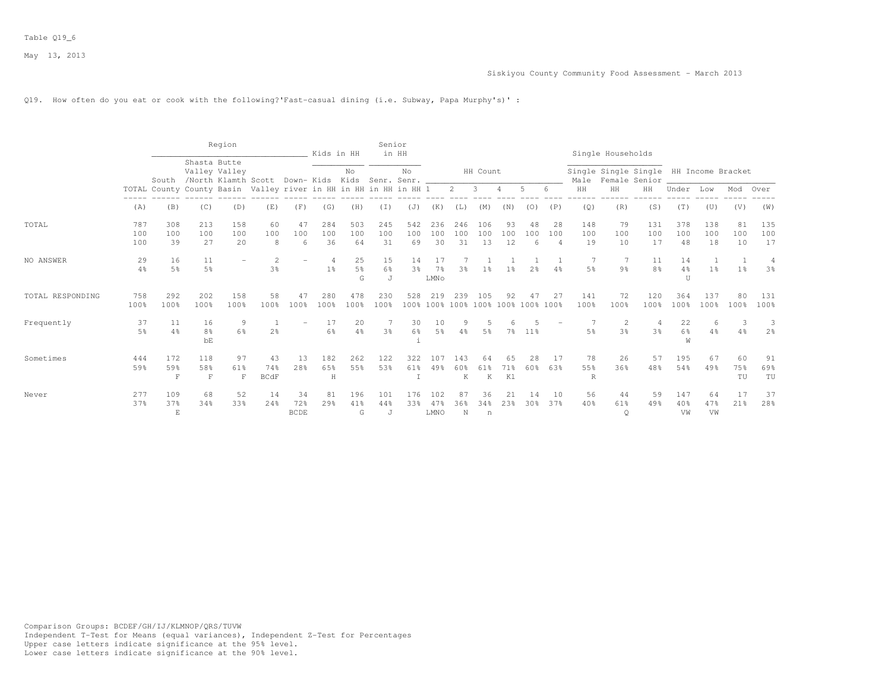### Q19. How often do you eat or cook with the following?'Fast-casual dining (i.e. Subway, Papa Murphy's)' :

|                  |                   |                           |                            | Region                  |                                                                  |                          | Kids in HH                       |                           | Senior           | in HH                |                              |                  |                                 |                 |                |                             |                  | Single Households    |                                                         |                  |                     |                 |                      |
|------------------|-------------------|---------------------------|----------------------------|-------------------------|------------------------------------------------------------------|--------------------------|----------------------------------|---------------------------|------------------|----------------------|------------------------------|------------------|---------------------------------|-----------------|----------------|-----------------------------|------------------|----------------------|---------------------------------------------------------|------------------|---------------------|-----------------|----------------------|
|                  |                   |                           | Shasta Butte               | Valley Valley           | South /North Klamth Scott Down- Kids Kids Senr. Senr. _          |                          |                                  | No                        |                  | No                   |                              |                  | HH Count                        |                 |                |                             | Male             |                      | Single Single Single HH Income Bracket<br>Female Senior |                  |                     |                 |                      |
|                  |                   |                           |                            |                         | TOTAL County County Basin Valley river in HH in HH in HH in HH 1 |                          |                                  |                           |                  |                      |                              | 2                | 3                               |                 | 5              | 6                           | HH               | HH                   | HH                                                      | Under            | Low                 | Mod             | Over                 |
|                  | (A)               | (B)                       | (C)                        | (D)                     | (E)                                                              | (F)                      | (G)                              | (H)                       | (T)              | (J)                  | (K)                          | (L)              | (M)                             | (N)             | (0)            | (P)                         | (Q)              | (R)                  | (S)                                                     | (T)              | (U)                 | (V)             | (W)                  |
| TOTAL            | 787<br>100<br>100 | 308<br>100<br>39          | 213<br>100<br>27           | 158<br>100<br>20        | 60<br>100<br>8                                                   | 47<br>100<br>6           | 284<br>100<br>36                 | 503<br>100<br>64          | 245<br>100<br>31 | 542<br>100<br>69     | 236<br>100<br>30             | 246<br>100<br>31 | 106<br>100<br>13                | 93<br>100<br>12 | 48<br>100<br>6 | 28<br>100<br>$\overline{4}$ | 148<br>100<br>19 | 79<br>100<br>10      | 131<br>100<br>17                                        | 378<br>100<br>48 | 138<br>100<br>18    | 81<br>100<br>10 | 135<br>100<br>17     |
| NO ANSWER        | 29<br>4%          | 16<br>5%                  | 11<br>5%                   |                         | $\overline{c}$<br>3%                                             |                          | $\overline{4}$<br>1 <sup>°</sup> | 25<br>$5\frac{6}{6}$<br>G | 15<br>6%<br>J    | 14<br>3 <sup>°</sup> | 17<br>7 <sup>°</sup><br>LMNo | 3%               | 1 <sub>8</sub>                  | 1 <sub>8</sub>  | 2 <sub>8</sub> | 4%                          | 7<br>5%          | 9 <sub>8</sub>       | 11<br>8%                                                | 14<br>4%<br>U    | 1<br>1 <sup>°</sup> | 1 <sup>°</sup>  | $\overline{4}$<br>3% |
| TOTAL RESPONDING | 758<br>100%       | 292<br>100%               | 202<br>100%                | 158<br>100 <sub>8</sub> | 58<br>100%                                                       | 47<br>100%               | 280<br>100%                      | 478<br>100%               | 230<br>100%      | 528                  | 219<br>100% 100%             | 239              | 105<br>100% 100% 100% 100% 100% | 92              | 47             | 27                          | 141<br>100%      | 72<br>100%           | 120<br>100%                                             | 364<br>100%      | 137<br>100%         | 80<br>100%      | 131<br>100%          |
| Frequently       | 37<br>5%          | 11<br>4%                  | 16<br>8 <sup>°</sup><br>bE | 9<br>6%                 | 2 <sup>°</sup>                                                   |                          | 17<br>6%                         | 20<br>4%                  | 3 <sup>o</sup>   | 30<br>6%             | 10<br>5 <sup>°</sup>         | 4%               | 5%                              | 7%              | $11\%$         |                             | 5%               | -2<br>3 <sup>8</sup> | 3 <sup>°</sup>                                          | 22<br>6%<br>W    | 6<br>4%             | 3<br>4%         | 3<br>2 <sup>o</sup>  |
| Sometimes        | 444<br>59%        | 172<br>59%<br>$\mathbf F$ | 118<br>58%<br>$\mathbf F$  | 97<br>61%<br>F          | 43<br>74%<br><b>BCdF</b>                                         | 13<br>28%                | 182<br>65%<br>H                  | 262<br>55%                | 122<br>53%       | 322<br>61%           | 107<br>49%                   | 143<br>60%<br>K  | 64<br>61%<br>K                  | 65<br>71%<br>K1 | 2.8<br>60%     | -17<br>63%                  | 78<br>55%<br>R   | 26<br>36%            | 57<br>48%                                               | 195<br>54%       | 67<br>49%           | 60<br>75%<br>TU | 91<br>69%<br>TU      |
| Never            | 277<br>37%        | 109<br>37%<br>E           | 68<br>34%                  | 52<br>33%               | 14<br>24%                                                        | 34<br>72%<br><b>BCDE</b> | 81<br>29%                        | 196<br>41%<br>G           | 101<br>44%<br>J  | 176<br>33%           | 102<br>47%<br>LMNO           | 87<br>36%<br>N   | 36<br>34%<br>n                  | 21<br>23%       | 14<br>30%      | 10<br>37%                   | 56<br>40%        | 44<br>61%<br>$\circ$ | 59<br>49%                                               | 147<br>40%<br>VW | 64<br>47%<br>VW     | 17<br>21%       | 37<br>28%            |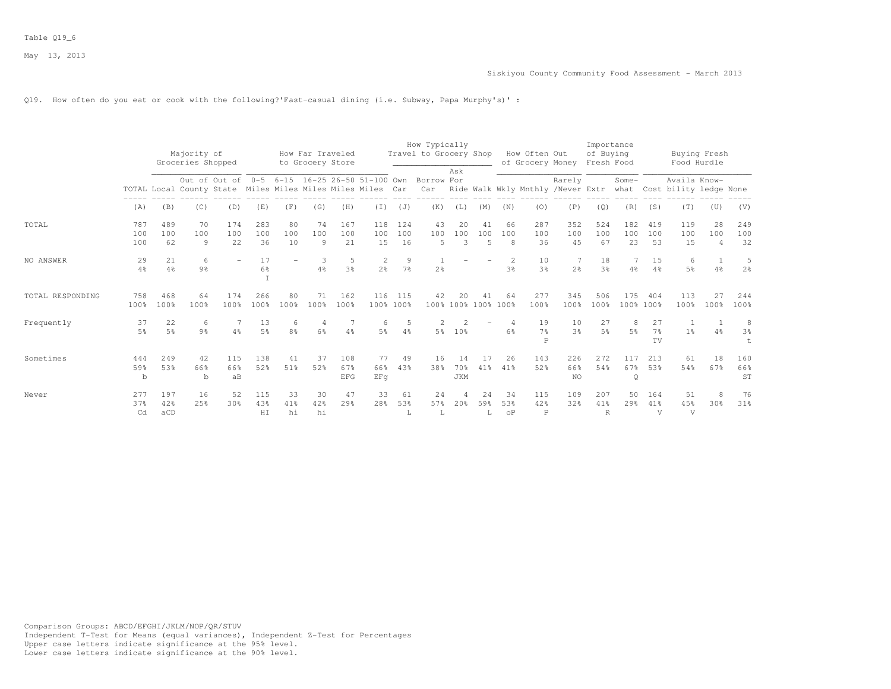### Q19. How often do you eat or cook with the following?'Fast-casual dining (i.e. Subway, Papa Murphy's)' :

|                  |                      |                      | Majority of                                                                                                                      |                  |                         |                 | How Far Traveled<br>to Grocery Store |                          |                     |                     | How Typically<br>Travel to Grocery Shop |                           |                             |                        | How Often Out<br>of Grocery Money    |                      | Importance<br>of Buying<br>Fresh Food |                     |                              | Food Hurdle                            | Buying Fresh                |                              |
|------------------|----------------------|----------------------|----------------------------------------------------------------------------------------------------------------------------------|------------------|-------------------------|-----------------|--------------------------------------|--------------------------|---------------------|---------------------|-----------------------------------------|---------------------------|-----------------------------|------------------------|--------------------------------------|----------------------|---------------------------------------|---------------------|------------------------------|----------------------------------------|-----------------------------|------------------------------|
|                  |                      |                      | Groceries Shopped<br>Out of Out of 0-5 6-15 16-25 26-50 51-100 Own<br>TOTAL Local County State Miles Miles Miles Miles Miles Car |                  |                         |                 |                                      |                          |                     |                     | Borrow For<br>Car                       | Ask                       |                             |                        | Ride Walk Wkly Mnthly /Never Extr    | Rarely               |                                       | Some-<br>what       |                              | Availa Know-<br>Cost bility ledge None |                             |                              |
|                  | (A)                  | (B)                  | (C)                                                                                                                              | (D)              | (E)                     | (F)             | (G)                                  | (H)                      | (T)                 | (J)                 | (K)                                     | (L)                       | (M)                         | (N)                    | (0)                                  | (P)                  | (Q)                                   | (R)                 | (S)                          | (T)                                    | (U)                         | (V)                          |
| TOTAL            | 787<br>100<br>100    | 489<br>100<br>62     | 70<br>100<br>9                                                                                                                   | 174<br>100<br>22 | 283<br>100<br>36        | 80<br>100<br>10 | 74<br>100<br>9                       | 167<br>100<br>21         | 118<br>100<br>15    | 124<br>100<br>16    | 43<br>100<br>5                          | 20<br>100<br>3            | 41<br>100<br>$\overline{5}$ | 66<br>100<br>8         | 287<br>100<br>36                     | 352<br>100<br>45     | 524<br>100<br>67                      | 182<br>100<br>23    | 419<br>100<br>53             | 119<br>100<br>15                       | 28<br>100<br>$\overline{4}$ | 249<br>100<br>32             |
| NO ANSWER        | 29<br>$4\%$          | 21<br>4%             | 6<br>9 <sub>8</sub>                                                                                                              |                  | 17<br>6%<br>$\mathbf I$ |                 | 3<br>4%                              | 5<br>3%                  | 2<br>2 <sup>o</sup> | 9<br>7 <sup>°</sup> | -1<br>2 <sup>°</sup>                    |                           |                             | $\mathfrak{D}$<br>3%   | 10<br>3 <sup>°</sup>                 | 7<br>2 <sup>°</sup>  | 18<br>3 <sup>°</sup>                  | 4%                  | 15<br>4%                     | 6<br>$5\frac{6}{9}$                    | 4%                          | 5<br>2 <sup>o</sup>          |
| TOTAL RESPONDING | 758<br>100%          | 468<br>100%          | 64<br>100%                                                                                                                       | 174<br>100%      | 266<br>100%             | 80<br>100%      | 71<br>100%                           | 162<br>100%              | 116                 | 115<br>100% 100%    | 42                                      | 20<br>100% 100% 100% 100% | 41                          | 64                     | 277<br>100%                          | 345<br>100%          | 506<br>100%                           | 175                 | 404<br>100% 100%             | 113<br>100%                            | 27<br>100%                  | 244<br>100%                  |
| Frequently       | 37<br>5 <sup>°</sup> | 22<br>$5\frac{6}{6}$ | 6<br>9 <sub>8</sub>                                                                                                              | $4\%$            | 13<br>$5\frac{6}{9}$    | 8%              | 4<br>$6\%$                           | 4%                       | 6<br>5 <sup>°</sup> | 5<br>4%             | $5\frac{6}{9}$                          | 10%                       |                             | 6%                     | 19<br>$7\frac{6}{9}$<br>$\mathsf{P}$ | 10<br>3 <sup>°</sup> | 27<br>5 <sup>°</sup>                  | 8<br>5 <sup>°</sup> | 27<br>7 <sup>°</sup><br>TV   | 1 <sup>°</sup>                         | 4%                          | 8<br>3 <sup>°</sup><br>$\pm$ |
| Sometimes        | 444<br>59%<br>b      | 249<br>53%           | 42<br>66%<br>$\mathbf b$                                                                                                         | 115<br>66%<br>aB | 138<br>52%              | 41<br>51%       | 37<br>52%                            | 108<br>67%<br><b>EFG</b> | 77<br>66%<br>EFq    | 49<br>43%           | 16<br>38%                               | 14<br>70%<br><b>JKM</b>   | 41%                         | 26<br>41%              | 143<br>52%                           | 226<br>66%<br>NO     | 272<br>54%                            | 117<br>67%<br>Q     | 213<br>53%                   | 61<br>54%                              | 18<br>67%                   | 160<br>66%<br>ST             |
| Never            | 277<br>37%<br>Cd     | 197<br>42%<br>aCD    | 16<br>25%                                                                                                                        | 52<br>30%        | 115<br>43%<br>HI        | 33<br>41%<br>hi | 30<br>42%<br>hi                      | 47<br>29%                | 33<br>28%           | 61<br>53%<br>L      | 24<br>57%<br>L                          | 4<br>20%                  | 24<br>59%                   | 34<br>53%<br>$\circ$ P | 115<br>42%<br>$\mathbb P$            | 109<br>32%           | 207<br>41%<br>R                       | 50<br>29%           | 164<br>41%<br>$\overline{V}$ | 51<br>45%<br>V                         | 8<br>30 <sup>8</sup>        | 76<br>31%                    |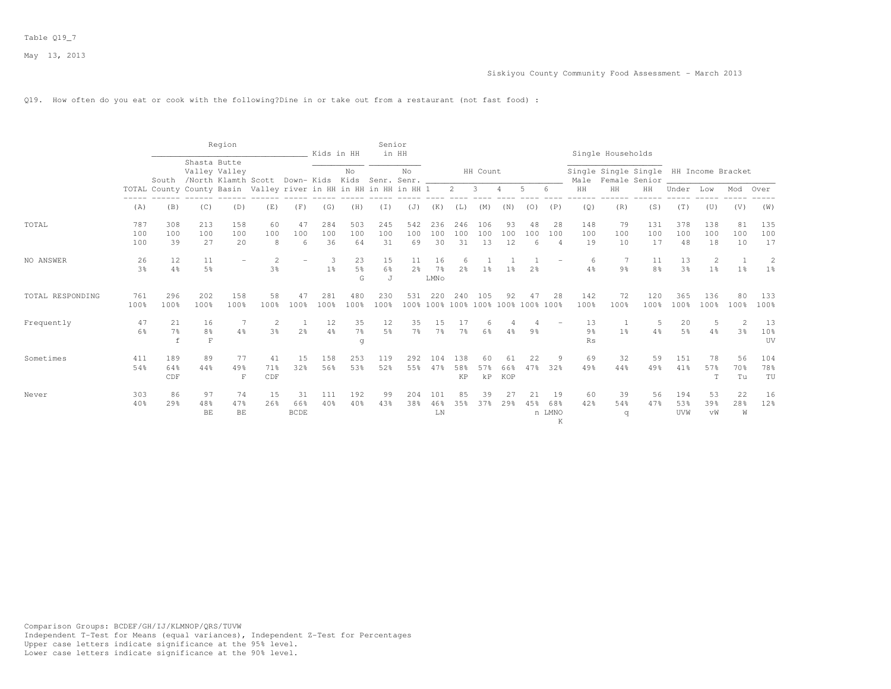Q19. How often do you eat or cook with the following?Dine in or take out from a restaurant (not fast food) :

|                  |                      |                                                                  |                                     | Region                                                                |                      |                          | Kids in HH       |                           | Senior           | in HH                |                          |                      |                                 |                  |                 |                              |                  | Single Households |                                                         |                      |                     |                      |                  |
|------------------|----------------------|------------------------------------------------------------------|-------------------------------------|-----------------------------------------------------------------------|----------------------|--------------------------|------------------|---------------------------|------------------|----------------------|--------------------------|----------------------|---------------------------------|------------------|-----------------|------------------------------|------------------|-------------------|---------------------------------------------------------|----------------------|---------------------|----------------------|------------------|
|                  |                      |                                                                  | Shasta Butte                        | Valley Valley<br>South /North Klamth Scott Down-Kids Kids Senr. Senr. |                      |                          |                  | No                        |                  | No                   |                          |                      | HH Count                        |                  |                 |                              | Male             |                   | Single Single Single HH Income Bracket<br>Female Senior |                      |                     |                      |                  |
|                  |                      | TOTAL County County Basin Valley river in HH in HH in HH in HH 1 |                                     |                                                                       |                      |                          |                  |                           |                  |                      |                          | $2^{\circ}$          | $\overline{\mathbf{3}}$         | $\overline{4}$   | 5               | 6                            | HH               | $\rm{HH}$         | HH                                                      | Under                | Low                 | Mod                  | Over             |
|                  | (A)                  | (B)                                                              | (C)                                 | (D)                                                                   | (E)                  | (F)                      | (G)              | (H)                       | (I)              | (J)                  | (K)                      | (L)                  | (M)                             | (N)              | (0)             | (P)                          | (Q)              | (R)               | (S)                                                     | (T)                  | (U)                 | (V)                  | (W)              |
| TOTAL            | 787<br>100<br>100    | 308<br>100<br>39                                                 | 213<br>100<br>27                    | 158<br>100<br>20                                                      | 60<br>100<br>8       | 47<br>100<br>6           | 284<br>100<br>36 | 503<br>100<br>64          | 245<br>100<br>31 | 542<br>100<br>69     | 236<br>100<br>30         | 246<br>100<br>31     | 106<br>100<br>13                | 93<br>100<br>12  | 48<br>100<br>-6 | -28<br>100<br>$\overline{4}$ | 148<br>100<br>19 | 79<br>100<br>10   | 131<br>100<br>17                                        | 378<br>100<br>48     | 138<br>100<br>18    | 81<br>100<br>10      | 135<br>100<br>17 |
| NO ANSWER        | 26<br>3 <sup>°</sup> | 12<br>4%                                                         | 11<br>5%                            |                                                                       | $\overline{c}$<br>3% |                          | -3<br>$1\%$      | 23<br>$5\frac{6}{6}$<br>G | 15<br>6%<br>J    | 11<br>2 <sup>o</sup> | 16<br>$7\%$<br>LMNo      | 6<br>2 <sup>o</sup>  | 1 <sup>°</sup>                  | 1 <sup>°</sup>   | 2 <sup>8</sup>  |                              | 6<br>4%          | 9 <sub>8</sub>    | 11<br>8 <sup>°</sup>                                    | 13<br>3 <sup>°</sup> | 2<br>1 <sup>°</sup> | 1 <sup>°</sup>       | 2<br>$1\%$       |
| TOTAL RESPONDING | 761<br>100%          | 296<br>100%                                                      | 202<br>100%                         | 158<br>100%                                                           | 58<br>100%           | 47<br>100%               | 281<br>100%      | 480<br>100%               | 230<br>100%      | 531                  | 220<br>100% 100%         | 240                  | 105<br>100% 100% 100% 100% 100% | 92               | 47              | 28                           | 142<br>100%      | 72<br>100%        | 120<br>100%                                             | 365<br>100%          | 136<br>100%         | 80<br>100%           | 133<br>100%      |
| Frequently       | 47<br>6%             | 21<br>7%<br>$\mathbf f$                                          | 16<br>8 <sup>°</sup><br>$\mathbf F$ | 4%                                                                    | $\mathcal{D}$<br>3%  | 2 <sup>°</sup>           | 12<br>4%         | 35<br>$7\frac{6}{6}$<br>q | 12<br>5%         | 35<br>$7\frac{6}{6}$ | 15<br>7%                 | 17<br>$7\frac{6}{6}$ | 6<br>6%                         | 4%               | 9 <sub>8</sub>  |                              | 13<br>9%<br>Rs   | 1 <sup>8</sup>    | 5<br>$4\frac{6}{6}$                                     | 20<br>5 <sup>°</sup> | 5<br>4%             | $\mathfrak{D}$<br>3% | 13<br>10%<br>UV  |
| Sometimes        | 411<br>54%           | 189<br>64%<br>CDF                                                | 89<br>44%                           | 77<br>49%<br>F                                                        | 41<br>71%<br>CDF     | 15<br>32%                | 158<br>56%       | 253<br>53%                | 119<br>52%       | 292<br>55%           | 104<br>47%               | 138<br>58%<br>KP     | 60<br>57%<br>$\rm kP$           | 61<br>66%<br>KOP | 22<br>47%       | 9<br>32%                     | 69<br>49%        | 32<br>44%         | 59<br>49%                                               | 151<br>41%           | 78<br>57%<br>T      | 56<br>70%<br>Tu      | 104<br>78%<br>TU |
| Never            | 303<br>40%           | 86<br>29%                                                        | 97<br>48%<br>BE                     | 74<br>47%<br>BE                                                       | 15<br>26%            | 31<br>66%<br><b>BCDE</b> | 111<br>40%       | 192<br>40%                | 99<br>43%        | 204<br>38%           | 101<br>46%<br>${\rm LN}$ | 85<br>35%            | 39<br>37%                       | 27<br>29%        | 21<br>45%       | 19<br>68%<br>n LMNO<br>K     | 60<br>42%        | 39<br>54%<br>q    | 56<br>47%                                               | 194<br>53%<br>UVW    | 53<br>39%<br>vW     | 22<br>28%<br>W       | 16<br>12%        |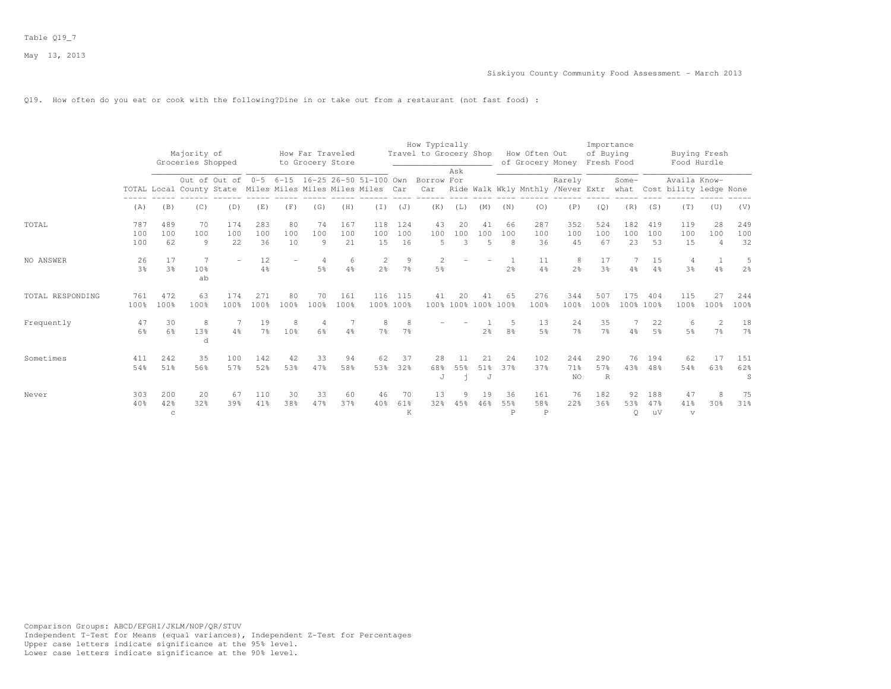Q19. How often do you eat or cook with the following?Dine in or take out from a restaurant (not fast food) :

|                  |                      |                            | Majority of<br>Groceries Shopped                           |                                               |                      |                 | How Far Traveled<br>to Grocery Store |                  |                                |                     | How Typically<br>Travel to Grocery Shop | Ask            |                           |                | How Often Out<br>of Grocery Money      |                      | Importance<br>of Buying<br>Fresh Food |                  |                      | Buying Fresh<br>Food Hurdle            |                                  |                      |
|------------------|----------------------|----------------------------|------------------------------------------------------------|-----------------------------------------------|----------------------|-----------------|--------------------------------------|------------------|--------------------------------|---------------------|-----------------------------------------|----------------|---------------------------|----------------|----------------------------------------|----------------------|---------------------------------------|------------------|----------------------|----------------------------------------|----------------------------------|----------------------|
|                  |                      |                            | TOTAL Local County State Miles Miles Miles Miles Miles Car | Out of Out of 0-5 6-15 16-25 26-50 51-100 Own |                      |                 |                                      |                  |                                |                     | Borrow For<br>Car                       |                |                           |                | Ride Walk Wkly Mnthly /Never Extr what | Rarely               |                                       | Some-            |                      | Availa Know-<br>Cost bility ledge None |                                  |                      |
|                  | (A)                  | (B)                        | (C)                                                        | (D)                                           | (E)                  | (F)             | (G)                                  | (H)              | (T)                            | (J)                 | (K)                                     | (L)            | (M)                       | (N)            | (0)                                    | (P)                  | (Q)                                   | (R)              | (S)                  | (T)                                    | (U)                              | (V)                  |
| TOTAL            | 787<br>100<br>100    | 489<br>100<br>62           | 70<br>100<br>9                                             | 174<br>100<br>22                              | 283<br>100<br>36     | 80<br>100<br>10 | 74<br>100<br>9                       | 167<br>100<br>21 | 118<br>100<br>15               | 124<br>100<br>16    | 43<br>100<br>5                          | 20<br>100<br>3 | 41<br>100<br>5            | 66<br>100<br>8 | 287<br>100<br>36                       | 352<br>100<br>45     | 524<br>100<br>67                      | 182<br>100<br>23 | 419<br>100<br>53     | 119<br>100<br>15                       | 28<br>100<br>$\overline{4}$      | 249<br>100<br>32     |
| NO ANSWER        | 26<br>3 <sup>°</sup> | 17<br>3 <sup>8</sup>       | 7<br>10%<br>ab                                             |                                               | 12<br>4%             |                 | $\overline{4}$<br>5 <sup>°</sup>     | 6<br>4%          | $\mathbf{2}$<br>2 <sup>°</sup> | 9<br>7 <sup>°</sup> | 2<br>5 <sup>°</sup>                     |                |                           | 2 <sup>°</sup> | 11<br>$4\frac{6}{9}$                   | 8<br>2 <sup>°</sup>  | 17<br>3 <sup>o</sup>                  | 4%               | 15<br>$4\frac{6}{6}$ | 4<br>3 <sup>°</sup>                    | $4\frac{6}{6}$                   | 5<br>2 <sup>o</sup>  |
| TOTAL RESPONDING | 761<br>100%          | 472<br>100%                | 63<br>100%                                                 | 174<br>100%                                   | 271<br>100%          | 80<br>100%      | 70<br>100%                           | 161<br>100%      | 116                            | 115<br>100% 100%    | 41                                      | 20             | 41<br>100% 100% 100% 100% | 65             | 276<br>100%                            | 344<br>100%          | 507<br>100%                           | 175              | 404<br>100% 100%     | 115<br>100%                            | 27<br>100%                       | 244<br>100%          |
| Frequently       | 47<br>6 <sup>°</sup> | 30<br>6%                   | 8<br>13%<br>d                                              | 4%                                            | 19<br>$7\frac{6}{9}$ | 10%             | 4<br>6 <sup>°</sup>                  | 4%               | 8<br>7 <sup>°</sup>            | 8<br>7%             |                                         |                | 2 <sup>°</sup>            | 8 <sup>°</sup> | 13<br>5%                               | 24<br>7 <sup>°</sup> | 35<br>7 <sup>°</sup>                  | 4%               | 22<br>5 <sup>°</sup> | 6<br>5 <sup>8</sup>                    | $\overline{2}$<br>7 <sup>°</sup> | 18<br>$7\frac{6}{6}$ |
| Sometimes        | 411<br>54%           | 242<br>51%                 | 35<br>56%                                                  | 100<br>57%                                    | 142<br>52%           | 42<br>53%       | 33<br>47%                            | 94<br>58%        | 62<br>53%                      | 37<br>32%           | 28<br>68%<br>J                          | 55%<br>j       | 21<br>51%<br>J            | 24<br>37%      | 102<br>37%                             | 244<br>71%<br>NO.    | 290<br>57%<br>R                       | 76<br>43%        | 194<br>48%           | 62<br>54%                              | 17<br>63%                        | 151<br>62%<br>S      |
| Never            | 303<br>40%           | 200<br>42%<br>$\mathtt{C}$ | 20<br>32%                                                  | 67<br>39%                                     | 110<br>41%           | 30<br>38%       | 33<br>47%                            | 60<br>37%        | 46<br>40%                      | 70<br>61%<br>K      | 13<br>32%                               | 9<br>45%       | 19<br>46%                 | 36<br>55%<br>P | 161<br>58%<br>$\mathsf{P}$             | 76<br>22%            | 182<br>36%                            | 92<br>53%<br>Q   | 188<br>47%<br>uV     | 47<br>41%<br>$\sqrt{ }$                | 8<br>30 <sup>8</sup>             | 75<br>31%            |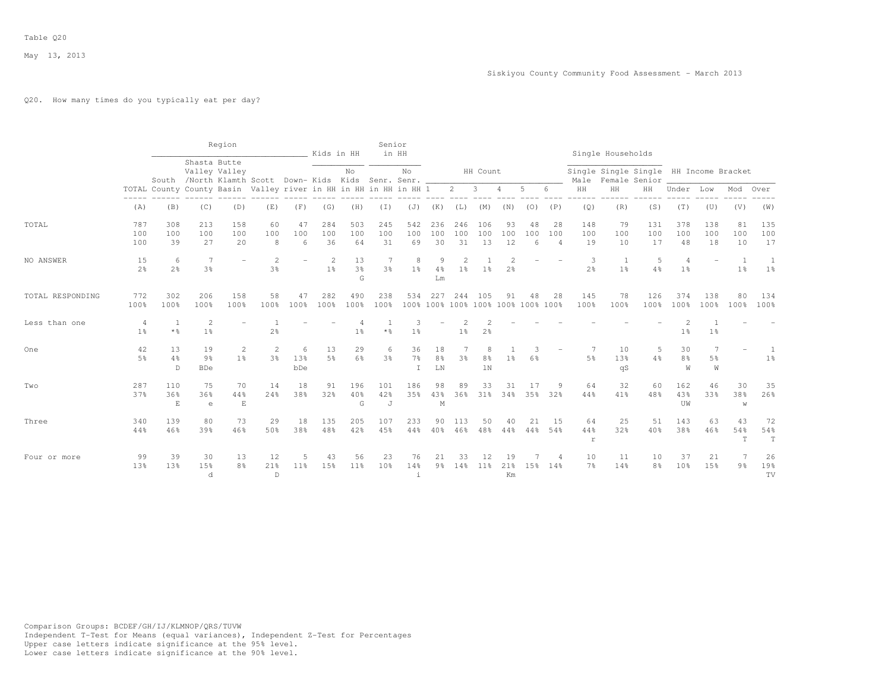# Q20. How many times do you typically eat per day?

|                  |                                  |                                                                  |                                    | Region                                                                 |                                  |                      | Kids in HH           |                           | Senior<br>in HH     |                           |                            |                                  |                           |                                  |                                          |                             |                          | Single Households                                            |                     |                                  |                          |                     |                        |
|------------------|----------------------------------|------------------------------------------------------------------|------------------------------------|------------------------------------------------------------------------|----------------------------------|----------------------|----------------------|---------------------------|---------------------|---------------------------|----------------------------|----------------------------------|---------------------------|----------------------------------|------------------------------------------|-----------------------------|--------------------------|--------------------------------------------------------------|---------------------|----------------------------------|--------------------------|---------------------|------------------------|
|                  |                                  |                                                                  | Shasta Butte                       | Valley Valley<br>South /North Klamth Scott Down- Kids Kids Senr. Senr. |                                  |                      |                      | No                        |                     | No                        |                            |                                  | HH Count                  |                                  |                                          |                             |                          | Single Single Single HH Income Bracket<br>Male Female Senior |                     |                                  |                          |                     |                        |
|                  |                                  | TOTAL County County Basin Valley river in HH in HH in HH in HH 1 |                                    |                                                                        |                                  |                      |                      |                           |                     |                           |                            | $2^{\circ}$                      | $\mathbf{3}$              | 4                                | 5                                        | 6                           | HH                       | HH                                                           | HH                  | Under                            | Low                      | Mod                 | Over                   |
|                  | (A)                              | (B)                                                              | (C)                                | (D)                                                                    | (E)                              | (F)                  | (G)                  | (H)                       | (I)                 | (J)                       | (K)                        | (L)                              | (M)                       | (N)                              | (0)                                      | (P)                         | (Q)                      | (R)                                                          | (S)                 | (T)                              | (U)                      | (V)                 | (W)                    |
| TOTAL            | 787<br>100<br>100                | 308<br>100<br>39                                                 | 213<br>100<br>27                   | 158<br>100<br>20                                                       | 60<br>100<br>8                   | 47<br>100<br>6       | 284<br>100<br>36     | 503<br>100<br>64          | 245<br>100<br>31    | 542<br>100<br>69          | 236<br>100<br>30           | 246<br>100<br>31                 | 106<br>100<br>13          | 93<br>100<br>12                  | 48<br>100<br>$\kappa$                    | 28<br>100<br>$\overline{4}$ | 148<br>100<br>19         | 79<br>100<br>10                                              | 131<br>100<br>17    | 378<br>100<br>48                 | 138<br>100<br>18         | 81<br>100<br>10     | 135<br>100<br>17       |
| NO ANSWER        | 15<br>2 <sup>o</sup>             | 6<br>2 <sup>°</sup>                                              | 7<br>3 <sup>°</sup>                | $\overline{\phantom{0}}$                                               | $\overline{2}$<br>$3\frac{6}{6}$ |                      | 2<br>1 <sup>°</sup>  | 13<br>3 <sup>o</sup><br>G | 7<br>3 <sup>o</sup> | 8<br>1 <sup>°</sup>       | 9<br>4%<br>Lm              | $\overline{2}$<br>1 <sup>°</sup> | 1 <sup>8</sup>            | $\overline{c}$<br>2 <sup>°</sup> |                                          |                             | 3<br>2 <sup>°</sup>      | 1<br>1 <sup>°</sup>                                          | 5<br>4 <sup>°</sup> | $\overline{4}$<br>1 <sup>°</sup> | $\overline{\phantom{m}}$ | 1<br>1 <sup>°</sup> | 1<br>1 <sup>°</sup>    |
| TOTAL RESPONDING | 772<br>100%                      | 302<br>100%                                                      | 206<br>100%                        | 158<br>100%                                                            | 58<br>100%                       | 47<br>100%           | 282<br>100%          | 490<br>100%               | 238<br>100%         | 534                       | 227                        | 244                              | 105                       | 91                               | 48<br>100% 100% 100% 100% 100% 100% 100% | 28                          | 145<br>100%              | 78<br>100%                                                   | 126<br>100%         | 374<br>100%                      | 138<br>100%              | 80<br>100%          | 134<br>100%            |
| Less than one    | $\overline{4}$<br>1 <sup>8</sup> | $\overline{1}$<br>* %                                            | $\overline{c}$<br>1 <sup>8</sup>   |                                                                        | 2 <sup>o</sup>                   |                      |                      | 1 <sup>°</sup>            | $*$ %               | 3<br>1 <sup>°</sup>       |                            | 1 <sup>°</sup>                   | 2 <sup>°</sup>            |                                  |                                          |                             |                          |                                                              |                     | 1 <sup>°</sup>                   | 1 <sup>°</sup>           |                     |                        |
| One              | 42<br>5 <sup>8</sup>             | 13<br>4%<br>D.                                                   | 19<br>$9\frac{6}{6}$<br><b>BDe</b> | $\mathbf{2}^{\prime}$<br>1 <sup>8</sup>                                | 2<br>3%                          | 6<br>13%<br>bDe      | 13<br>5 <sup>8</sup> | 29<br>$6\frac{6}{3}$      | 6<br>3%             | 36<br>$7\frac{6}{6}$<br>T | 18<br>8 <sup>°</sup><br>LN | 3 <sup>°</sup>                   | 8<br>$8\frac{6}{9}$<br>1N | 1 <sup>8</sup>                   | 6%                                       |                             | 5%                       | 10<br>13%<br>qS                                              | .5<br>4%            | 30<br>8 <sup>°</sup><br>W        | 7<br>5%<br>W             |                     | 1 <sup>°</sup>         |
| Two              | 287<br>37%                       | 110<br>36%<br>E                                                  | 75<br>36%<br>$\epsilon$            | 70<br>44%<br>E                                                         | 14<br>24%                        | 18<br>38%            | 91<br>32%            | 196<br>40%<br>G           | 101<br>42%<br>J     | 186<br>35%                | 98<br>43%<br>М             | 89<br>36%                        | 33<br>31%                 | 31<br>34%                        | 17<br>35%                                | 9<br>32%                    | 64<br>44%                | 32<br>41%                                                    | 60<br>48%           | 162<br>43%<br>UW                 | 46<br>33%                | 30<br>38%<br>W      | 35<br>26%              |
| Three            | 340<br>44%                       | 139<br>46%                                                       | 80<br>39%                          | 73<br>46%                                                              | 29<br>50%                        | 18<br>38%            | 135<br>48%           | 205<br>42%                | 107<br>45%          | 233<br>44%                | 90<br>40%                  | 113<br>46%                       | 50<br>48%                 | 40<br>44%                        | 21<br>44%                                | 15<br>54%                   | 64<br>44%<br>$\mathbf r$ | 25<br>32%                                                    | 51<br>40%           | 143<br>38%                       | 63<br>46%                | 43<br>54%<br>T      | 72<br>54%<br>T         |
| Four or more     | 99<br>13%                        | 39<br>13%                                                        | 30<br>15%<br>d                     | 13<br>8%                                                               | 12<br>21%<br>$\mathbb D$         | 5<br>11 <sup>°</sup> | 43<br>15%            | 56<br>11 <sup>8</sup>     | 23<br>10%           | 76<br>14%<br>$\dot{1}$    | 21<br>9 <sub>8</sub>       | 33<br>14%                        | 12<br>11%                 | 19<br>21%<br>Km                  | 15%                                      | 4<br>14%                    | 10<br>7 <sup>°</sup>     | 11<br>14%                                                    | 10<br>8월            | 37<br>10%                        | 21<br>15%                | 9 <sub>8</sub>      | 26<br>19%<br><b>TV</b> |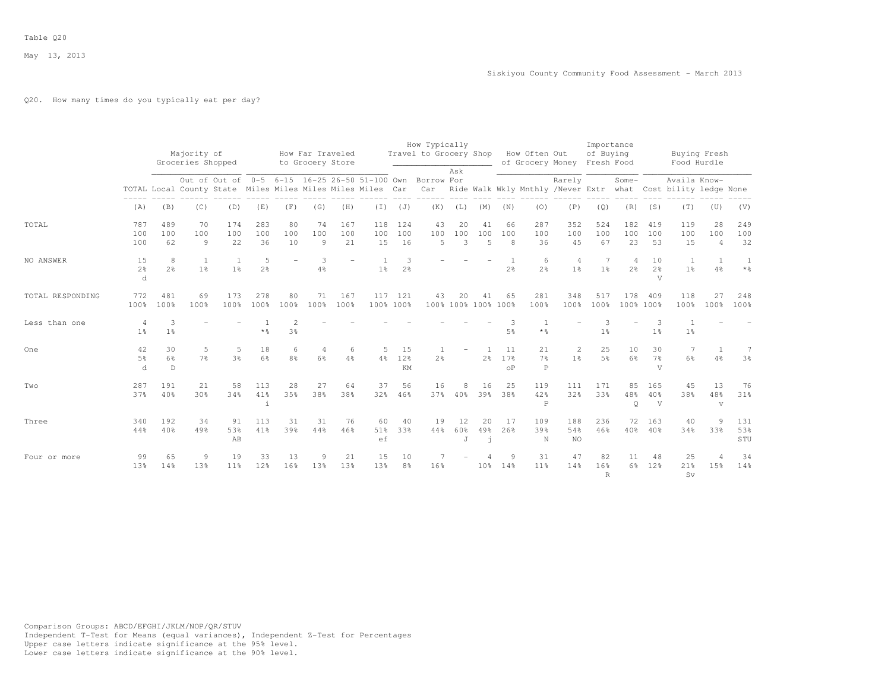# Q20. How many times do you typically eat per day?

|                  |                           |                     |                                                                |                       |                     |                     |                                      |                  |                  |                  | How Typically                                            |                |                             |                        |                                                               |                     | Importance                      |                           |                           |                     |                             |                        |
|------------------|---------------------------|---------------------|----------------------------------------------------------------|-----------------------|---------------------|---------------------|--------------------------------------|------------------|------------------|------------------|----------------------------------------------------------|----------------|-----------------------------|------------------------|---------------------------------------------------------------|---------------------|---------------------------------|---------------------------|---------------------------|---------------------|-----------------------------|------------------------|
|                  |                           |                     | Majority of<br>Groceries Shopped                               |                       |                     |                     | How Far Traveled<br>to Grocery Store |                  |                  |                  | Travel to Grocery Shop                                   |                |                             |                        | How Often Out<br>of Grocery Money                             |                     | of Buying<br>Fresh Food         |                           |                           | Food Hurdle         | Buying Fresh                |                        |
|                  |                           |                     | TOTAL Local County State Miles Miles Miles Miles Miles Car Car |                       |                     |                     |                                      |                  |                  |                  | Out of Out of 0-5 6-15 16-25 26-50 51-100 Own Borrow For | Ask            |                             |                        | Ride Walk Wkly Mnthly /Never Extr what Cost bility ledge None | Rarely              |                                 | Some-                     |                           | Availa Know-        |                             |                        |
|                  | (A)                       | (B)                 | (C)                                                            | (D)                   | (E)                 | (F)                 | (G)                                  | (H)              |                  | $(J)$ $(J)$      | (K)                                                      | (L)            | (M)                         | (N)                    | (0)                                                           | (P)                 | (Q)                             | (R)                       | (S)                       | (T)                 | (U)                         | (V)                    |
| TOTAL            | 787<br>100<br>100         | 489<br>100<br>62    | 70<br>100<br>9                                                 | 174<br>100<br>22      | 283<br>100<br>36    | 80<br>100<br>10     | 74<br>100<br>9                       | 167<br>100<br>21 | 118<br>100<br>15 | 124<br>100<br>16 | 43<br>100<br>5                                           | 20<br>100<br>3 | 41<br>100<br>$\overline{5}$ | 66<br>100<br>8         | 287<br>100<br>36                                              | 352<br>100<br>45    | 524<br>100<br>67                | 182<br>100<br>23          | 419<br>100<br>53          | 119<br>100<br>15    | 28<br>100<br>$\overline{4}$ | 249<br>100<br>32       |
| NO ANSWER        | 15<br>2 <sup>°</sup><br>d | 8<br>2.8            | <sup>1</sup><br>1 <sup>°</sup>                                 | 1<br>$1\%$            | 5<br>2 <sup>o</sup> |                     | 3<br>4%                              |                  | 1%               | 3<br>2%          |                                                          |                |                             | 2 <sup>°</sup>         | 6<br>2 <sup>°</sup>                                           | 4<br>1 <sup>°</sup> | 1 <sup>°</sup>                  | 4<br>2 <sup>°</sup>       | 10<br>2 <sup>o</sup><br>V | 1<br>1 <sup>°</sup> | 1<br>$4\frac{6}{6}$         | 1<br>$*$ $\frac{6}{6}$ |
| TOTAL RESPONDING | 772<br>100%               | 481<br>100%         | 69<br>100%                                                     | 173<br>100%           | 278<br>100%         | 80<br>100%          | 71<br>100%                           | 167<br>100%      | 100% 100%        | 117 121          | 43                                                       | 20             | 41<br>100% 100% 100% 100%   | 65                     | 281<br>100%                                                   | 348<br>100%         | 517<br>100%                     | 178<br>100% 100%          | 409                       | 118<br>100%         | 27<br>100%                  | 248<br>100%            |
| Less than one    | 4<br>1 <sup>°</sup>       | 3<br>1 <sup>°</sup> |                                                                |                       | $*$ %               | $3\frac{6}{6}$      |                                      |                  |                  |                  |                                                          |                |                             | 5%                     | $\star$ %                                                     |                     | $\mathcal{R}$<br>1 <sup>°</sup> |                           | 1 <sup>°</sup>            | 1 <sup>°</sup>      |                             |                        |
| One              | 42<br>5%<br>d             | 30<br>6%<br>D       | 5<br>7%                                                        | 5<br>3 <sup>8</sup>   | 18<br>6%            | 6<br>8 <sup>°</sup> | 6 <sup>°</sup>                       | 6<br>4%          | 5<br>4%          | 15<br>12%<br>KM  | 2.8                                                      |                | 2 <sup>o</sup>              | 11<br>17%<br>$\circ$ P | 21<br>7%<br>$\mathbf P$                                       | 2<br>1 <sup>°</sup> | 25<br>.5%                       | 10<br>6%                  | 30<br>7 <sup>°</sup><br>V | 7<br>$6\frac{6}{3}$ | 1<br>$4\frac{6}{6}$         | 7<br>3 <sup>°</sup>    |
| Two              | 287<br>37%                | 191<br>40%          | 21<br>30%                                                      | 58<br>34%             | 113<br>41%<br>i     | 28<br>35%           | 27<br>38%                            | 64<br>38%        | 37<br>32%        | 56<br>46%        | 16                                                       | 8<br>37% 40%   | 16<br>39%                   | 25<br>38%              | 119<br>42%<br>$\mathbf P$                                     | 111<br>32%          | 171<br>33%                      | 85<br>48%<br>$\mathsf{Q}$ | 165<br>40%<br>V           | 45<br>38%           | 13<br>48%<br>$\mathbf{V}$   | 76<br>31%              |
| Three            | 340<br>44%                | 192<br>40%          | 34<br>49%                                                      | 91<br>53%<br>AB       | 113<br>41%          | 31<br>39%           | 31<br>44%                            | 76<br>46%        | 60<br>51%<br>ef  | 40<br>33%        | 19<br>44%                                                | 12<br>60%<br>J | 20<br>49%<br>$\mathbf i$    | 17<br>2.6%             | 109<br>39%<br>N                                               | 188<br>54%<br>NO.   | 236<br>46%                      | 72<br>40%                 | 163<br>40%                | 40<br>34%           | 9<br>33%                    | 131<br>53%<br>STU      |
| Four or more     | 99<br>13%                 | 65<br>14%           | 9<br>13%                                                       | 19<br>11 <sup>°</sup> | 33<br>12%           | 13<br>16%           | 9<br>13%                             | 21<br>13%        | 15<br>13%        | 10<br>8%         | 16%                                                      |                | 10%                         | 9<br>14%               | 31<br>11 <sup>°</sup>                                         | 47<br>14%           | 82<br>16%<br>$\mathbb{R}$       | 11<br>$6\%$               | 48<br>12%                 | 25<br>21%<br>Sv     | $\overline{4}$<br>15%       | 34<br>14%              |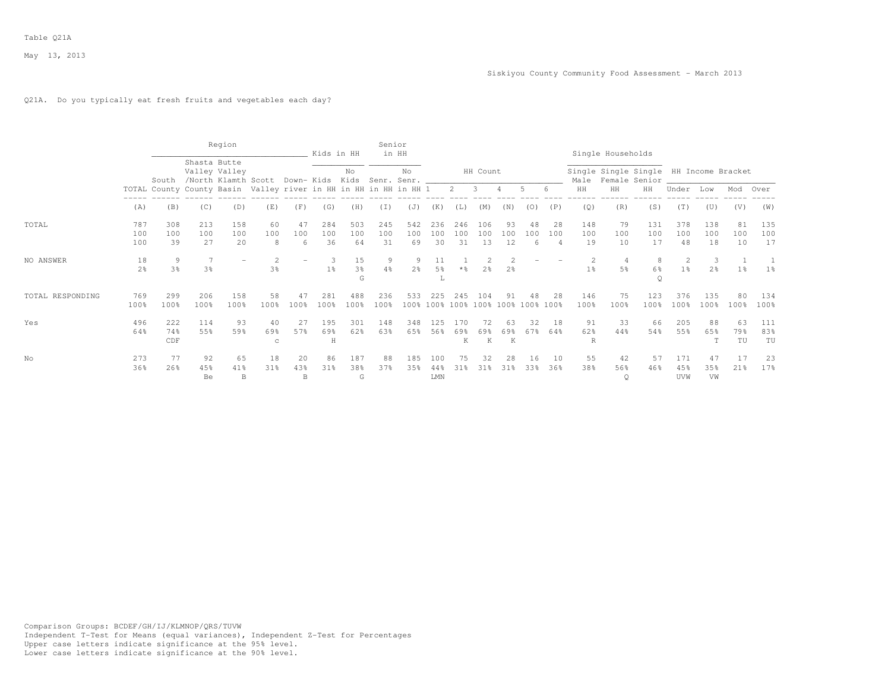# Q21A. Do you typically eat fresh fruits and vegetables each day?

|                  |                      |                   |                     | Region                                               |                                                                  |                | Kids in HH               |                           | Senior              | in HH                             |                           |                  |                                      |                 |                |                             |                           | Single Households    |                                                         |                     |                     |                 |                  |
|------------------|----------------------|-------------------|---------------------|------------------------------------------------------|------------------------------------------------------------------|----------------|--------------------------|---------------------------|---------------------|-----------------------------------|---------------------------|------------------|--------------------------------------|-----------------|----------------|-----------------------------|---------------------------|----------------------|---------------------------------------------------------|---------------------|---------------------|-----------------|------------------|
|                  |                      | South             |                     | Shasta Butte<br>Valley Valley<br>North Klamth Scott/ |                                                                  |                |                          | No                        |                     | No<br>Down- Kids Kids Senr. Senr. |                           |                  | HH Count                             |                 |                |                             | Male                      |                      | Single Single Single HH Income Bracket<br>Female Senior |                     |                     |                 |                  |
|                  |                      |                   |                     |                                                      | TOTAL County County Basin Valley river in HH in HH in HH in HH 1 |                |                          |                           |                     |                                   |                           | $2 \quad 3$      |                                      |                 | .5             |                             | HH                        | HH                   | HH                                                      | Under               | Low                 | Mod             | Over             |
|                  | (A)                  | (B)               | (C)                 | (D)                                                  | (E)                                                              | (F)            | (G)                      | (H)                       | (I)                 | (J)                               | (K)                       | (L)              | (M)                                  | (N)             | (0)            | (P)                         | (Q)                       | (R)                  | (S)                                                     | (T)                 | (U)                 | (V)             | (W)              |
| TOTAL            | 787<br>100<br>100    | 308<br>100<br>39  | 213<br>100<br>27    | 158<br>100<br>20                                     | 60<br>100<br>8                                                   | 47<br>100<br>6 | 284<br>100<br>36         | 503<br>100<br>64          | 245<br>100<br>31    | 542<br>100<br>69                  | 236<br>100<br>30          | 246<br>100<br>31 | 106<br>100<br>13                     | 93<br>100<br>12 | 48<br>100<br>6 | 28<br>100<br>$\overline{4}$ | 148<br>100<br>19          | 79<br>100<br>10      | 131<br>100<br>17                                        | 378<br>100<br>48    | 138<br>100<br>18    | 81<br>100<br>10 | 135<br>100<br>17 |
| NO ANSWER        | 18<br>2 <sup>o</sup> | 9<br>3%           | 7<br>3 <sup>°</sup> |                                                      | 3%                                                               |                | 1 <sup>°</sup>           | 15<br>3 <sup>o</sup><br>G | 9<br>$4\frac{6}{6}$ | 9<br>2 <sup>o</sup>               | 11<br>5 <sup>°</sup><br>L |                  | 2 <sup>8</sup>                       | 2 <sup>°</sup>  |                |                             | 1 <sup>°</sup>            | 5%                   | 8<br>6%<br>Q                                            | 2<br>1 <sup>°</sup> | 3<br>2 <sup>°</sup> | 1 <sup>°</sup>  | 1 <sup>°</sup>   |
| TOTAL RESPONDING | 769<br>100%          | 299<br>100%       | 206<br>100%         | 158<br>100%                                          | 58<br>100%                                                       | 100%           | 281<br>100%              | 488<br>100%               | 236<br>100%         | 533                               | 225                       | 245              | 104<br>100% 100% 100% 100% 100% 100% | 91              |                | 28<br>100%                  | 146<br>100%               | 75<br>100%           | 123<br>100%                                             | 376<br>100%         | 135<br>100%         | 80<br>100%      | 134<br>100%      |
| Yes              | 496<br>64%           | 222<br>74%<br>CDF | 114<br>55%          | 93<br>59%                                            | 40<br>69%<br>C                                                   | 27<br>57%      | 195<br>69%<br>$_{\rm H}$ | 301<br>62%                | 148<br>63%          | 348<br>65%                        | 125<br>56%                | 170<br>69%<br>K  | 72<br>69%<br>K                       | 63<br>69%<br>K  | 32<br>67%      | 18<br>64%                   | 91<br>62%<br>$\mathbb{R}$ | 33<br>44%            | 66<br>54%                                               | 205<br>55%          | 88<br>65%           | 63<br>79%<br>TU | 111<br>83%<br>TU |
| No               | 273<br>36%           | 77<br>26%         | 92<br>45%<br>Be     | 65<br>41%<br>B                                       | 18<br>31%                                                        | 20<br>43%<br>B | 86<br>31%                | 187<br>38%<br>G           | 88<br>37%           | 185<br>35%                        | 100<br>44%<br>${\rm LMN}$ | 75<br>31%        | 32<br>31 <sub>8</sub>                | 28<br>31%       | 16<br>33%      | 10<br>36%                   | 55<br>38%                 | 42<br>56%<br>$\circ$ | 57<br>46%                                               | 171<br>45%<br>UVW   | 47<br>35%<br>VW     | 17<br>21%       | 23<br>17%        |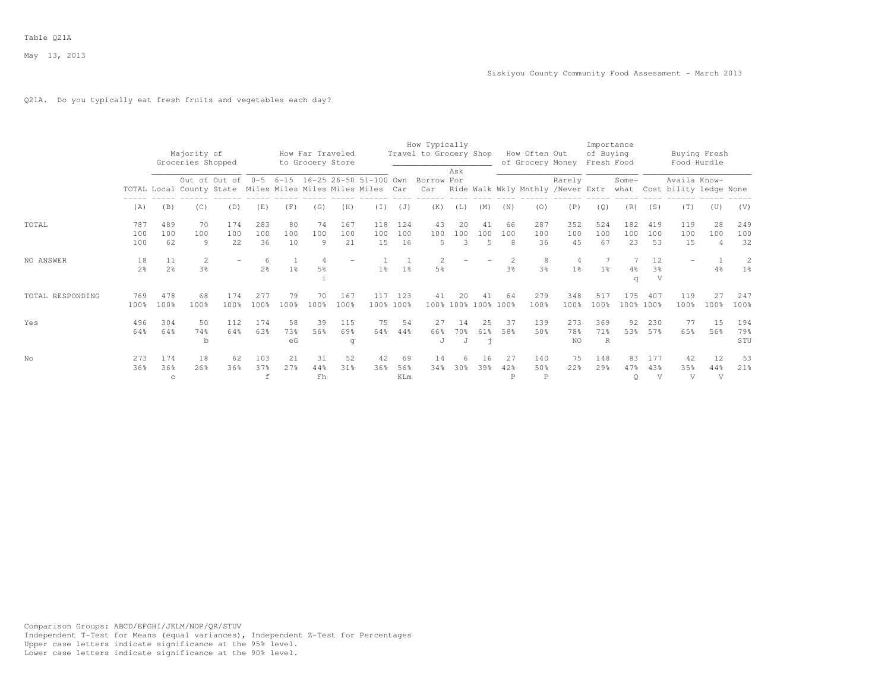# Q21A. Do you typically eat fresh fruits and vegetables each day?

|                  |                      |                           | Majority of<br>Groceries Shopped                           |                                               |                     |                 | How Far Traveled<br>to Grocery Store |                  |                  |                  | How Typically<br>Travel to Grocery Shop | Ask                  |                             |                | How Often Out<br>of Grocery Money |                                  | Importance<br>of Buying<br>Fresh Food |                  |                           | Buying Fresh<br>Food Hurdle                 |                             |                   |
|------------------|----------------------|---------------------------|------------------------------------------------------------|-----------------------------------------------|---------------------|-----------------|--------------------------------------|------------------|------------------|------------------|-----------------------------------------|----------------------|-----------------------------|----------------|-----------------------------------|----------------------------------|---------------------------------------|------------------|---------------------------|---------------------------------------------|-----------------------------|-------------------|
|                  |                      |                           | TOTAL Local County State Miles Miles Miles Miles Miles Car | Out of Out of 0-5 6-15 16-25 26-50 51-100 Own |                     |                 |                                      |                  |                  |                  | Borrow For<br>Car                       |                      |                             |                | Ride Walk Wkly Mnthly /Never Extr | Rarely                           |                                       | Some-            |                           | Availa Know-<br>what Cost bility ledge None |                             |                   |
|                  | (A)                  | (B)                       | (C)                                                        | (D)                                           | (E)                 | (F)             | (G)                                  | (H)              | (I)              | (J)              | (K)                                     | (L)                  | (M)                         | (N)            | (0)                               | (P)                              | (Q)                                   | (R)              | (S)                       | (T)                                         | (U)                         | (V)               |
| TOTAL            | 787<br>100<br>100    | 489<br>100<br>62          | 70<br>100<br>9                                             | 174<br>100<br>22                              | 283<br>100<br>36    | 80<br>100<br>10 | 74<br>100<br>9                       | 167<br>100<br>21 | 118<br>100<br>15 | 124<br>100<br>16 | 43<br>100<br>5                          | 20<br>100<br>3       | 41<br>100<br>$\overline{5}$ | 66<br>100<br>8 | 287<br>100<br>36                  | 352<br>100<br>45                 | 524<br>100<br>67                      | 182<br>100<br>23 | 419<br>100<br>53          | 119<br>100<br>15                            | 28<br>100<br>$\overline{4}$ | 249<br>100<br>32  |
| NO ANSWER        | 18<br>2 <sup>o</sup> | 11<br>2 <sup>o</sup>      | 2<br>3%                                                    |                                               | 6<br>2 <sup>o</sup> | 1 <sup>°</sup>  | $\overline{4}$<br>5%                 |                  | 1 <sup>°</sup>   | 1 <sup>°</sup>   | 2<br>5 <sup>°</sup>                     |                      |                             | 3%             | 8<br>3 <sup>o</sup>               | $\overline{4}$<br>1 <sup>°</sup> | 1 <sup>°</sup>                        | 4%<br>q          | 12<br>3 <sup>o</sup><br>V |                                             | 4%                          | 2<br>1%           |
| TOTAL RESPONDING | 769<br>100%          | 478<br>100%               | 68<br>100%                                                 | 174<br>100%                                   | 277<br>100%         | 79<br>100%      | 70<br>100%                           | 167<br>100%      | 117              | 123<br>100% 100% | 41<br>100%                              |                      | 41<br>100% 100%             | 64<br>100%     | 279<br>100%                       | 348<br>100%                      | 517<br>100%                           | 175              | 407<br>100% 100%          | 119<br>100%                                 | 2.7<br>100%                 | 247<br>100%       |
| Yes              | 496<br>64%           | 304<br>64%                | 50<br>74%<br>$\mathbf b$                                   | 112<br>64%                                    | 174<br>63%          | 58<br>73%<br>eG | 39<br>56%                            | 115<br>69%<br>q  | 75<br>64%        | 54<br>44%        | 27<br>66%<br>$\mathbf{J}$               | 14<br>70%<br>$\cdot$ | 25<br>61%                   | 37<br>58%      | 139<br>50%                        | 273<br>78%<br><b>NO</b>          | 369<br>71%<br>R                       | 92<br>53%        | 230<br>57%                | 77<br>65%                                   | 15<br>56%                   | 194<br>79%<br>STU |
| No               | 273<br>36%           | 174<br>36%<br>$\mathbf C$ | 18<br>26%                                                  | 62<br>36%                                     | 103<br>37%<br>f     | 21<br>2.7%      | 31<br>44%<br>Fh                      | 52<br>31%        | 42<br>36%        | 69<br>56%<br>KLm | 14<br>34%                               | 6<br>30%             | 16<br>39%                   | 27<br>42%<br>P | 140<br>50%<br>$\mathbb P$         | 75<br>22%                        | 148<br>29%                            | 83<br>47%<br>Q   | 177<br>43%<br>V           | 42<br>35%<br>V                              | 12<br>44%<br>V              | 53<br>21%         |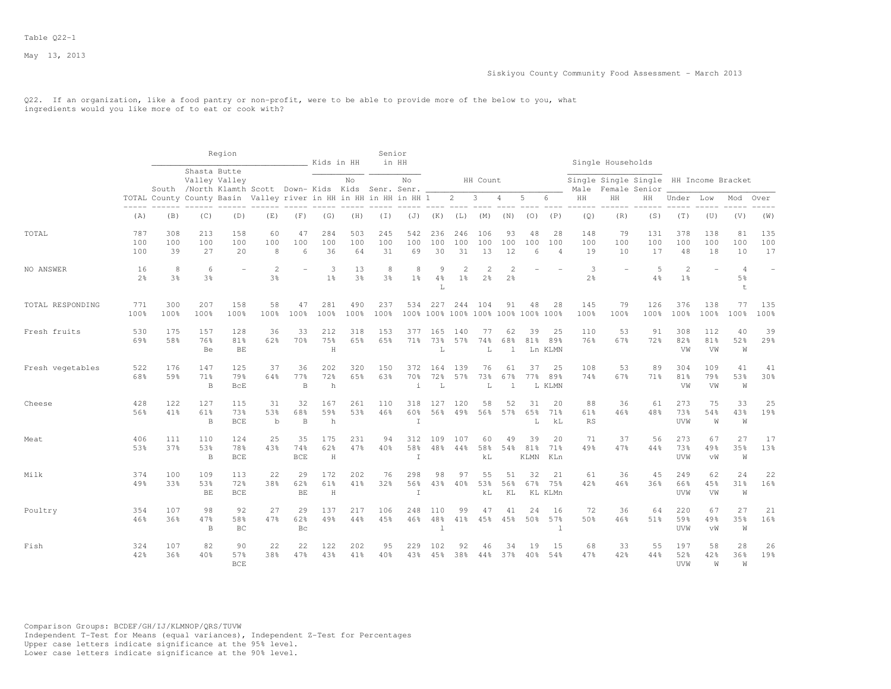Q22. If an organization, like a food pantry or non-profit, were to be able to provide more of the below to you, what ingredients would you like more of to eat or cook with?

|                  |                      |                     |                            | Region                                                                                    |                          |                         | Kids in HH            |                      | Senior           | in HH                     |                            |                                  |                                |                                 |                                          |                             |                     | Single Households                      |                      |                                  |                  |                 |                          |
|------------------|----------------------|---------------------|----------------------------|-------------------------------------------------------------------------------------------|--------------------------|-------------------------|-----------------------|----------------------|------------------|---------------------------|----------------------------|----------------------------------|--------------------------------|---------------------------------|------------------------------------------|-----------------------------|---------------------|----------------------------------------|----------------------|----------------------------------|------------------|-----------------|--------------------------|
|                  |                      |                     |                            | Shasta Butte<br>Valley Valley<br>South /North Klamth Scott Down- Kids Kids Senr. Senr. __ |                          |                         |                       | No                   |                  | No                        |                            |                                  | HH Count                       |                                 |                                          |                             | Male                | Single Single Single HH Income Bracket | Female Senior        |                                  |                  |                 |                          |
|                  |                      |                     |                            | TOTAL County County Basin Valley river in HH in HH in HH in HH 1                          |                          |                         |                       |                      |                  |                           |                            | $\overline{2}$                   | $\mathbf{3}$                   | $\overline{4}$                  | 5                                        | 6                           | HH                  | HH                                     | HН                   | Under Low                        |                  | Mod             | Over                     |
|                  | (A)                  | (B)                 | (C)                        | (D)                                                                                       | (E)                      | (F)                     | (G)                   | (H)                  | (I)              | (J)                       | (K)                        | (L)                              | (M)                            | (N)                             | (0)                                      | (P)                         | (Q)                 | (R)                                    | (S)                  | (T)                              | (U)              | (V)             | (W)                      |
| TOTAL            | 787<br>100<br>100    | 308<br>100<br>39    | 213<br>100<br>27           | 158<br>100<br>20                                                                          | 60<br>100<br>8           | 47<br>100<br>6          | 284<br>100<br>36      | 503<br>100<br>64     | 245<br>100<br>31 | 542<br>100<br>69          | 236<br>100<br>30           | 246<br>100<br>31                 | 106<br>100<br>13               | 93<br>100<br>12                 | 48<br>100<br>6                           | 28<br>100<br>$\overline{4}$ | 148<br>100<br>19    | 79<br>100<br>10                        | 131<br>100<br>17     | 378<br>100<br>48                 | 138<br>100<br>18 | 81<br>100<br>10 | 135<br>100<br>17         |
| NO ANSWER        | 16<br>2 <sup>°</sup> | 8<br>3 <sup>8</sup> | 6<br>3 <sup>°</sup>        |                                                                                           | $\overline{2}$<br>3%     |                         | 3<br>1 <sup>°</sup>   | 13<br>3 <sup>8</sup> | 8<br>3%          | 8<br>$1\%$                | 9<br>4%<br>$\mathbb L$     | $\mathfrak{D}$<br>1 <sup>°</sup> | $\overline{\mathcal{L}}$<br>2% | $\mathcal{D}$<br>2 <sup>°</sup> |                                          |                             | 3<br>$2\frac{6}{6}$ |                                        | $\overline{5}$<br>4% | $\overline{c}$<br>1 <sup>°</sup> | ÷                | 4<br>5%<br>t    | $\overline{\phantom{a}}$ |
| TOTAL RESPONDING | 771<br>100%          | 300<br>100%         | 207<br>100%                | 158<br>100%                                                                               | 58<br>100%               | 47<br>100%              | 281<br>100%           | 490<br>100%          | 237<br>100%      | 534                       | 227                        |                                  | 244 104                        | 91                              | 48<br>100% 100% 100% 100% 100% 100% 100% | -28                         | 145<br>100%         | 79<br>100%                             | 126<br>100%          | 376<br>100%                      | 138<br>100%      | 77<br>100%      | 135<br>100%              |
| Fresh fruits     | 530<br>69%           | 175<br>58%          | 157<br>76%<br>Be           | 128<br>81%<br>BE                                                                          | 36<br>62%                | 33<br>70%               | 212<br>75%<br>H       | 318<br>65%           | 153<br>65%       | 377<br>71%                | 165<br>73%<br>L            | 140<br>57%                       | 77<br>74%<br>L                 | 62<br>68%<br>1                  | 39<br>81%                                | 25<br>89%<br>Ln KLMN        | 110<br>76%          | 53<br>67%                              | 91<br>72%            | 308<br>82%<br>VW                 | 112<br>81%<br>VW | 40<br>52%<br>W  | 39<br>29%                |
| Fresh vegetables | 522<br>68%           | 176<br>59%          | 147<br>71%<br>B            | 125<br>79%<br>BcE                                                                         | 37<br>64%                | 36<br>77%<br>B          | 202<br>72%<br>h       | 320<br>65%           | 150<br>63%       | 372<br>70%<br>$\mathbf i$ | 164<br>72%<br>L            | 139<br>57%                       | 76<br>73%<br>L                 | 61<br>67%<br>$\mathbf{1}$       | 37<br>77%                                | 25<br>89%<br>L KLMN         | 108<br>74%          | 53<br>67%                              | 89<br>71%            | 304<br>81%<br>VW                 | 109<br>79%<br>VW | 41<br>53%<br>W  | 41<br>30%                |
| Cheese           | 428<br>56%           | 122<br>41%          | 127<br>61%<br>$\, {\bf B}$ | 115<br>73%<br><b>BCE</b>                                                                  | 31<br>53%<br>$\mathbf b$ | 32<br>68%<br>B          | 167<br>59%<br>h       | 261<br>53%           | 110<br>46%       | 318<br>60%<br>T           | 127<br>56%                 | 120<br>49%                       | 58<br>56%                      | 52<br>57%                       | 31<br>65%<br>L                           | 20<br>71%<br>kL             | 88<br>61%<br>RS     | 36<br>46%                              | 61<br>48%            | 273<br>73%<br>UVW                | 75<br>54%<br>W   | 33<br>43%<br>W  | 25<br>19%                |
| Meat             | 406<br>53%           | 111<br>37%          | 110<br>53%<br>B            | 124<br>78%<br><b>BCE</b>                                                                  | 25<br>43%                | 35<br>74%<br><b>BCE</b> | 175<br>62%<br>H       | 231<br>47%           | 94<br>40%        | 312<br>58%<br>I           | 109<br>48%                 | 107<br>44%                       | 60<br>58%<br>kL                | 49<br>54%                       | 39<br>81%<br>KLMN                        | 20<br>71%<br>KLn            | 71<br>49%           | 37<br>47%                              | 56<br>44%            | 273<br>73%<br>UVW                | 67<br>49%<br>vW  | 27<br>35%<br>W  | 17<br>13%                |
| Milk             | 374<br>49%           | 100<br>33%          | 109<br>53%<br>BE           | 113<br>72%<br>BCE                                                                         | 22<br>38%                | 29<br>62%<br>$\rm BE$   | 172<br>61%<br>$\rm H$ | 202<br>41%           | 76<br>32%        | 298<br>56%<br>T           | 98<br>43%                  | 97<br>40%                        | 55<br>53%<br>kL                | 51<br>56%<br>KL                 | 32<br>67%                                | 21<br>75%<br>KL KLMn        | 61<br>42%           | 36<br>46%                              | 45<br>36%            | 249<br>66%<br>UVW                | 62<br>45%<br>VW  | 24<br>31%<br>W  | 22<br>16%                |
| Poultry          | 354<br>46%           | 107<br>36%          | 98<br>47%<br>$\, {\bf B}$  | 92<br>58%<br>BC                                                                           | 27<br>47%                | 29<br>62%<br>Bc         | 137<br>49%            | 217<br>44%           | 106<br>45%       | 248<br>46%                | 110<br>48%<br>$\mathbf{1}$ | 99<br>41%                        | 47<br>45%                      | 41<br>45%                       | 24<br>50%                                | 16<br>57%<br>$\mathbf{1}$   | 72<br>50%           | 36<br>46%                              | 64<br>51%            | 220<br>59%<br>UVW                | 67<br>49%<br>vW  | 27<br>35%<br>W  | 21<br>16%                |
| Fish             | 324<br>42%           | 107<br>36%          | 82<br>40%                  | 90<br>57%<br><b>BCE</b>                                                                   | 22<br>38%                | 22<br>47%               | 122<br>43%            | 202<br>41%           | 95<br>40%        | 229<br>43%                | 102<br>45%                 | 92<br>38%                        | 46<br>44%                      | 34<br>37%                       | 19<br>$40\%$                             | 15<br>54%                   | 68<br>47%           | 33<br>42%                              | 55<br>44%            | 197<br>52%<br>UVW                | 58<br>42%<br>W   | 28<br>36%<br>W  | 26<br>19%                |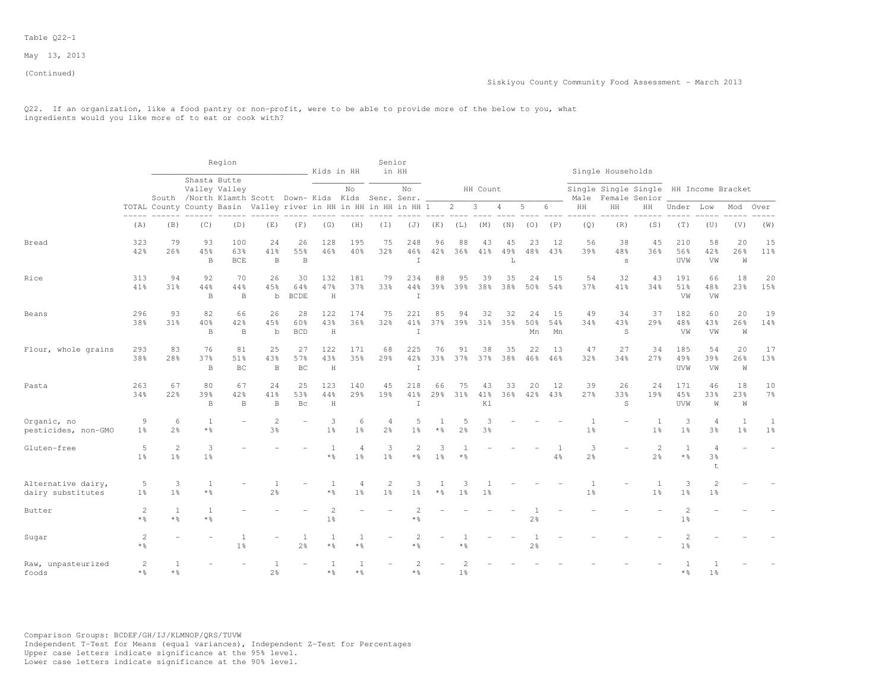### Table Q22-1

May 13, 2013

(Continued)

Q22. If an organization, like a food pantry or non-profit, were to be able to provide more of the below to you, what ingredients would you like more of to eat or cook with?

|                                         |                                     |                                  |                           | Region                                                                                 |                          |                           | Kids in HH                       |                        | Senior                           | in HH                       |                       |                     |                     |                |                 |                 |                                  | Single Households |                                                         |                                         |                           |                                  |                      |
|-----------------------------------------|-------------------------------------|----------------------------------|---------------------------|----------------------------------------------------------------------------------------|--------------------------|---------------------------|----------------------------------|------------------------|----------------------------------|-----------------------------|-----------------------|---------------------|---------------------|----------------|-----------------|-----------------|----------------------------------|-------------------|---------------------------------------------------------|-----------------------------------------|---------------------------|----------------------------------|----------------------|
|                                         |                                     |                                  |                           | Shasta Butte<br>Valley Valley<br>South /North Klamth Scott Down- Kids Kids Senr. Senr. |                          |                           |                                  | No                     |                                  | No                          |                       |                     | HH Count            |                |                 |                 | Male                             |                   | Single Single Single HH Income Bracket<br>Female Senior |                                         |                           |                                  |                      |
|                                         | $\frac{1}{2}$                       |                                  |                           | TOTAL County County Basin Valley river in HH in HH in HH in HH 1                       |                          |                           |                                  |                        |                                  |                             |                       | $\overline{2}$      | 3                   | 4              | 5               | 6               | HH                               | HH                | HH                                                      | Under                                   | Low                       | Mod                              | Over                 |
|                                         | (A)                                 | (B)                              | (C)                       | (D)                                                                                    | (E)                      | (F)                       | (G)                              | (H)                    | $(\top)$                         | (J)                         | (K)                   | (L)                 | (M)                 | (N)            | (0)             | (P)             | (Q)                              | (R)               | (S)                                                     | (T)                                     | (U)                       | (V)                              | (W)                  |
| Bread                                   | 323<br>42%                          | 79<br>26%                        | 93<br>45%<br>$\, {\bf B}$ | 100<br>63%<br>BCE                                                                      | 24<br>41%<br>B           | 26<br>55%<br>$\, {\bf B}$ | 128<br>46%                       | 195<br>40%             | 75<br>32%                        | 248<br>46%<br>$\mathbf I$   | 96<br>42%             | 88<br>36%           | 43<br>41%           | 45<br>49%<br>L | 23<br>48%       | 12<br>43%       | 56<br>39%                        | 38<br>48%<br>S    | 45<br>36%                                               | 210<br>56%<br>UVW                       | 58<br>42%<br>VW           | 20<br>26%<br>W                   | 15<br>11%            |
| Rice                                    | 313<br>41%                          | 94<br>31 <sub>8</sub>            | 92<br>44%<br>B            | 70<br>44%<br>B                                                                         | 26<br>45%<br>$\mathbf b$ | 30<br>64%<br><b>BCDE</b>  | 132<br>47%<br>H                  | 181<br>37%             | 79<br>33%                        | 234<br>44%<br>T             | 88<br>39%             | 95<br>39%           | 39<br>38%           | 35<br>38%      | 24<br>50%       | 15<br>54%       | 54<br>37%                        | 32<br>41%         | 43<br>34%                                               | 191<br>51%<br>VW                        | 66<br>48%<br>VW           | 18<br>23%                        | 20<br>15%            |
| Beans                                   | 296<br>38%                          | 93<br>31%                        | 82<br>40%<br>B            | 66<br>42%<br>B                                                                         | 26<br>45%<br>b           | 28<br>60%<br><b>BCD</b>   | 122<br>43%<br>$\rm H$            | 174<br>36%             | 75<br>32%                        | 221<br>41%<br>I             | 85<br>37%             | 94<br>39%           | 32<br>$31\%$        | 32<br>35%      | 24<br>50%<br>Mn | 15<br>54%<br>Mn | 49<br>34%                        | 34<br>43%<br>S    | 37<br>29%                                               | 182<br>48%<br>VW                        | 60<br>43%<br>VW           | 20<br>26%<br>W                   | 19<br>14%            |
| Flour, whole grains                     | 293<br>38%                          | 83<br>28%                        | 76<br>37%<br>$\, {\bf B}$ | 81<br>51%<br>BC                                                                        | 25<br>43%<br>$\,$ B      | 27<br>57%<br>BC           | 122<br>43%<br>$\rm H$            | 171<br>35%             | 68<br>29%                        | 225<br>42%<br>$\mathbbm{I}$ | 76<br>33%             | 91<br>37%           | 38<br>37%           | 35<br>38%      | 22<br>46%       | 13<br>46%       | 47<br>32%                        | 27<br>34%         | 34<br>27%                                               | 185<br>49%<br>UVW                       | 54<br>39%<br>VW           | 20<br>26%<br>W                   | 17<br>13%            |
| Pasta                                   | 263<br>34%                          | 67<br>22%                        | 80<br>39%<br>B            | 67<br>42%<br>$\overline{B}$                                                            | 24<br>41%<br>B           | 25<br>53%<br><b>Bc</b>    | 123<br>44%<br>H                  | 140<br>29 <sup>8</sup> | 45<br>19%                        | 218<br>41%<br>T             | 66<br>29 <sub>8</sub> | 75<br>31%           | 43<br>41%<br>K1     | 33<br>36%      | 20<br>42%       | 12<br>43%       | 39<br>27%                        | 26<br>33%<br>S    | 24<br>19%                                               | 171<br>45%<br>UVW                       | 46<br>33%<br>W            | 18<br>23%<br>W                   | 10<br>$7\frac{6}{9}$ |
| Organic, no<br>pesticides, non-GMO      | 9<br>1 <sup>°</sup>                 | 6<br>2 <sup>°</sup>              | 1<br>$*$ $\frac{6}{5}$    |                                                                                        | $\overline{c}$<br>3%     | ÷                         | 3<br>1 <sup>°</sup>              | 6<br>1 <sup>°</sup>    | $\overline{4}$<br>2 <sup>o</sup> | 5<br>1 <sup>°</sup>         | * %                   | 5<br>2 <sup>°</sup> | 3<br>3 <sup>°</sup> |                |                 |                 | $\overline{1}$<br>1 <sup>°</sup> |                   | $\overline{1}$<br>1 <sup>°</sup>                        | 3<br>1 <sup>°</sup>                     | $\overline{4}$<br>3%      | $\overline{1}$<br>1 <sup>°</sup> | 1<br>1 <sup>°</sup>  |
| Gluten-free                             | 5<br>1 <sup>°</sup>                 | $\overline{c}$<br>1 <sup>°</sup> | 3<br>1 <sup>°</sup>       |                                                                                        |                          |                           | -1<br>$*$ $\frac{6}{6}$          | 4<br>1 <sup>°</sup>    | 3<br>1 <sup>°</sup>              | $\overline{c}$<br>* 응       | 3<br>1 <sup>°</sup>   | $*$ %               |                     |                |                 | 4%              | 3<br>$2\frac{6}{6}$              |                   | $\overline{c}$<br>2%                                    | $\overline{1}$<br>$\star$ $\frac{6}{6}$ | $\overline{4}$<br>3%<br>t |                                  |                      |
| Alternative dairy,<br>dairy substitutes | 5<br>$1\%$                          | 3<br>1 <sup>°</sup>              | 1<br>$*$ $\frac{6}{6}$    |                                                                                        | 2 <sup>o</sup>           |                           | -1<br>$*$ $\frac{6}{6}$          | 4<br>1 <sup>°</sup>    | $\mathbf{2}$<br>1 <sup>°</sup>   | 3<br>1%                     | $*$ %                 | 1 <sup>°</sup>      | 1 <sup>°</sup>      |                |                 |                 | 1 <sup>°</sup>                   |                   | 1 <sup>°</sup>                                          | 3<br>1 <sup>°</sup>                     | $\overline{2}$<br>1%      |                                  |                      |
| Butter                                  | 2<br>$*$ %                          | 1<br>* %                         | 1<br>$\star$ %            |                                                                                        |                          |                           | $\overline{2}$<br>1 <sup>°</sup> |                        |                                  | 2<br>* %                    |                       |                     |                     |                | 2 <sup>°</sup>  |                 |                                  |                   |                                                         | $\overline{2}$<br>1 <sup>°</sup>        |                           |                                  |                      |
| Sugar                                   | $\overline{c}$<br>$*$ $\frac{6}{5}$ |                                  |                           | 1 <sup>°</sup>                                                                         |                          | 1<br>2 <sup>°</sup>       | 1<br>$*$ $\frac{6}{5}$           | $\mathbf{1}$<br>$*$ %  |                                  | $\overline{c}$<br>* %       |                       | * %                 |                     |                | $2\frac{6}{9}$  |                 |                                  |                   |                                                         | $1\%$                                   |                           |                                  |                      |
| Raw, unpasteurized<br>foods             | 2<br>$*$ %                          | $*$ &                            |                           |                                                                                        | -1<br>2 <sup>o</sup>     |                           | 1<br>$*$ &                       | $\mathbf{1}$<br>$*$ 2  |                                  | $\overline{c}$<br>* %       |                       | 1 <sup>°</sup>      |                     |                |                 |                 |                                  |                   |                                                         | $*$ $\frac{6}{5}$                       | 1 <sup>°</sup>            |                                  |                      |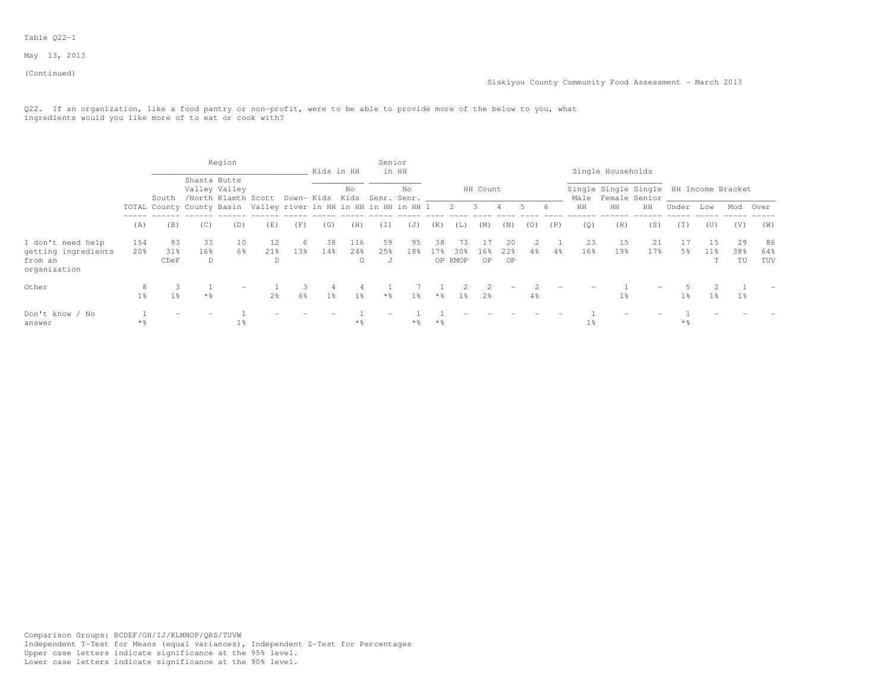### Table Q22-1

May 13, 2013

(Continued)

Q22. If an organization, like a food pantry or non-profit, were to be able to provide more of the below to you, what ingredients would you like more of to eat or cook with?

|                                                                     |                        |                               |                   | Region                                                                                 |                |     |                | Kids in HH      | Senior         | in HH     |                   |                         |           |                          |     |     |           | Single Households                                            |           |                |                        |                 |                  |
|---------------------------------------------------------------------|------------------------|-------------------------------|-------------------|----------------------------------------------------------------------------------------|----------------|-----|----------------|-----------------|----------------|-----------|-------------------|-------------------------|-----------|--------------------------|-----|-----|-----------|--------------------------------------------------------------|-----------|----------------|------------------------|-----------------|------------------|
|                                                                     |                        |                               |                   | Shasta Butte<br>Valley Valley<br>South /North Klamth Scott Down- Kids Kids Senr. Senr. |                |     |                | No              |                | No        |                   |                         | HH Count  |                          |     |     |           | Single Single Single HH Income Bracket<br>Male Female Senior |           |                |                        |                 |                  |
|                                                                     |                        |                               |                   | TOTAL County County Basin Valley river in HH in HH in HH in HH 1                       |                |     |                |                 |                |           |                   | 2 3                     |           | 4.                       |     | 6   | HH        | HH                                                           | HH        | Under          | Low                    | Mod             | Over             |
|                                                                     | (A)                    | (B)                           | (C)               | (D)                                                                                    | (E)            | (F) | (G)            | (H)             | (I)            | (J)       | (K)               | (L)                     | (M)       | (N)                      | (0) | (P) | (0)       | (R)                                                          | (S)       | (T)            | (U)                    | (V)             | (W)              |
| I don't need help<br>getting ingredients<br>from an<br>organization | 154<br>20 <sub>8</sub> | 93<br>31 <sub>8</sub><br>CDeF | 33<br>16%<br>D    | 10<br>6%                                                                               | 12<br>2.1%     | 13% | 38<br>14%      | 116<br>24%<br>G | 59<br>25%<br>J | 95<br>18% | 38<br>17%         | 73<br>$30\%$<br>OP KMOP | 16%<br>0P | 20<br>22%<br>OP          | 4%  | 4%  | 23<br>16% | 1.5<br>19 <sub>8</sub>                                       | 21<br>17% | 5%             | 1.5<br>11 <sub>8</sub> | 29<br>38%<br>TU | 86<br>64%<br>TUV |
| Other                                                               | 1 <sup>°</sup>         | 1 <sup>8</sup>                | $*$ $\frac{6}{5}$ |                                                                                        | 2 <sup>°</sup> | 6%  | 1 <sup>°</sup> | $1\%$           | $*$ %          | $1\%$     | $*$ %             | $1\%$                   | 2%        | $\overline{\phantom{m}}$ | 4%  |     |           | 1 <sup>8</sup>                                               |           | $1\frac{6}{9}$ | $1\%$                  |                 |                  |
| Don't know / No<br>answer                                           | $*$ 2                  |                               |                   | $1\,$                                                                                  |                |     |                | * %             |                | $\star$ % | $*$ $\frac{6}{5}$ |                         |           |                          |     |     | 1%        |                                                              |           | **             |                        |                 |                  |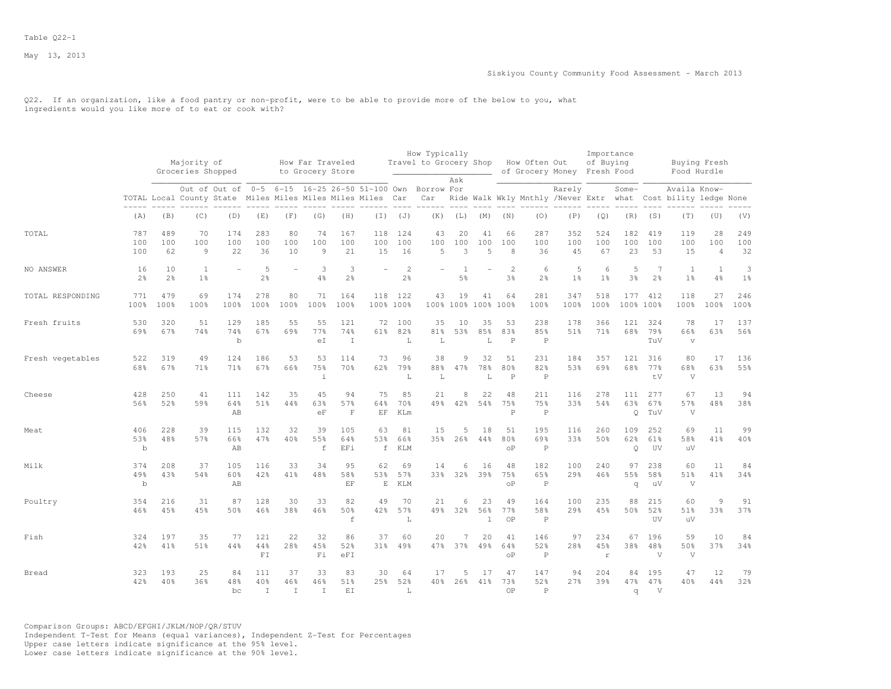Q22. If an organization, like a food pantry or non-profit, were to be able to provide more of the below to you, what ingredients would you like more of to eat or cook with?

|                  |                           |                      |                                  |                           |                           |                          |                                      |                            |                                                                                                                        |                     | How Typically          |                |                             |                           |                                |                             | Importance                |                       |                         |                                                                               |                             |                     |
|------------------|---------------------------|----------------------|----------------------------------|---------------------------|---------------------------|--------------------------|--------------------------------------|----------------------------|------------------------------------------------------------------------------------------------------------------------|---------------------|------------------------|----------------|-----------------------------|---------------------------|--------------------------------|-----------------------------|---------------------------|-----------------------|-------------------------|-------------------------------------------------------------------------------|-----------------------------|---------------------|
|                  |                           |                      | Majority of<br>Groceries Shopped |                           |                           |                          | How Far Traveled<br>to Grocery Store |                            |                                                                                                                        |                     | Travel to Grocery Shop |                |                             |                           | How Often Out                  | of Grocery Money Fresh Food | of Buying                 |                       |                         | Buying Fresh<br>Food Hurdle                                                   |                             |                     |
|                  |                           |                      |                                  |                           |                           |                          |                                      |                            | Out of Out of 0-5 6-15 16-25 26-50 51-100 Own Borrow For<br>TOTAL Local County State Miles Miles Miles Miles Miles Car |                     | Car                    | Ask            |                             |                           |                                | Rarely                      |                           | Some-                 |                         | Availa Know-<br>Ride Walk Wkly Mnthly /Never Extr what Cost bility ledge None |                             |                     |
|                  | (A)                       | (B)                  | (C)                              | (D)                       | (E)                       | (F)                      | (G)                                  | (H)                        | $(\top)$                                                                                                               | (J)                 | (K)                    | (L)            | (M)                         | (N)                       | (0)                            | (P)                         | (Q)                       | (R)                   | (S)                     | (T)                                                                           | (U)                         | (V)                 |
| TOTAL            | 787<br>100<br>100         | 489<br>100<br>62     | 70<br>100<br>9                   | 174<br>100<br>22          | 283<br>100<br>36          | 80<br>100<br>10          | 74<br>100<br>$\overline{9}$          | 167<br>100<br>21           | 118<br>100<br>15                                                                                                       | 124<br>100<br>16    | 43<br>100<br>5         | 20<br>100<br>3 | 41<br>100<br>$\overline{5}$ | 66<br>100<br>8            | 287<br>100<br>36               | 352<br>100<br>45            | 524<br>100<br>67          | 182<br>100<br>23      | 419<br>100<br>53        | 119<br>100<br>15                                                              | 28<br>100<br>$\overline{4}$ | 249<br>100<br>32    |
| NO ANSWER        | 16<br>2 <sup>°</sup>      | 10<br>$2\frac{6}{9}$ | 1<br>1 <sup>°</sup>              |                           | 5<br>$2\frac{6}{9}$       |                          | 3<br>$4\frac{6}{6}$                  | 3<br>2 <sup>°</sup>        |                                                                                                                        | 2<br>$2\frac{6}{6}$ |                        | 5%             |                             | $\mathfrak{D}$<br>3%      | 6<br>2 <sup>°</sup>            | 5<br>1 <sup>°</sup>         | 6<br>1 <sup>°</sup>       | 5<br>$3\frac{6}{9}$   | 7<br>2 <sup>o</sup>     | $\mathbf{1}$<br>$1\frac{6}{6}$                                                | $\overline{1}$<br>4%        | 3<br>1 <sup>°</sup> |
| TOTAL RESPONDING | 771<br>100%               | 479<br>100%          | 69<br>100%                       | 174<br>100%               | 278<br>100%               | 80<br>100%               | 71<br>100%                           | 164<br>100%                | 118<br>100% 100%                                                                                                       | 122                 | 43                     | 19             | 41<br>100% 100% 100%        | 64<br>100%                | 281<br>100%                    | 347<br>100%                 | 518<br>100%               | 177                   | 412<br>100% 100%        | 118<br>100%                                                                   | 27<br>100%                  | 246<br>100%         |
| Fresh fruits     | 530<br>69%                | 320<br>67%           | 51<br>74%                        | 129<br>74%<br>$\mathbf b$ | 185<br>67%                | 55<br>69%                | 55<br>77%<br>еI                      | 121<br>74%<br>$\mathbb{I}$ | 72<br>61%                                                                                                              | 100<br>82%<br>L     | 35<br>81%<br>L         | 10<br>53%      | 35<br>85%<br>L              | 53<br>83%<br>$\, {\bf P}$ | 238<br>85%<br>$\mathbf P$      | 178<br>51%                  | 366<br>71%                | 121<br>68%            | 324<br>79%<br>TuV       | 78<br>66%<br>$\overline{\mathbf{V}}$                                          | 17<br>63%                   | 137<br>56%          |
| Fresh vegetables | 522<br>68%                | 319<br>67%           | 49<br>71%                        | 124<br>71%                | 186<br>67%                | 53<br>66%                | 53<br>75%<br>$\mathbf{i}$            | 114<br>70%                 | 73<br>62%                                                                                                              | 96<br>79%<br>L      | 38<br>88%<br>L         | 9<br>47%       | 32<br>78%<br>L              | 51<br>80%<br>$\, {\bf P}$ | 231<br>82%<br>$\, {\mathbb P}$ | 184<br>53%                  | 357<br>69%                | 121<br>68%            | 316<br>77%<br>tV        | 80<br>68%<br>V                                                                | 17<br>63%                   | 136<br>55%          |
| Cheese           | 428<br>56%                | 250<br>52%           | 41<br>59%                        | 111<br>64%<br>AB          | 142<br>51%                | 35<br>44%                | 45<br>63%<br>eF                      | 94<br>57%<br>$\mathbf{F}$  | 75<br>64%<br>EF                                                                                                        | 85<br>70%<br>KLm    | 21<br>49%              | 8<br>42%       | 22<br>54%                   | 48<br>75%<br>$\mathsf{P}$ | 211<br>75%<br>$\mathsf{P}$     | 116<br>33%                  | 278<br>54%                | 111<br>63%<br>$\circ$ | 277<br>67%<br>TuV       | 67<br>57%<br>V                                                                | 13<br>48%                   | 94<br>38%           |
| Meat             | 406<br>53%<br>$\mathbf b$ | 228<br>48%           | 39<br>57%                        | 115<br>66%<br>AB          | 132<br>47%                | 32<br>40%                | 39<br>55%<br>$\mathbf f$             | 105<br>64%<br>EFi          | 63<br>53%<br>$\mathbf f$                                                                                               | 81<br>66%<br>KLM    | 15<br>35%              | 5<br>26%       | 18<br>44%                   | 51<br>80%<br>οP           | 195<br>69%<br>$\mathbb P$      | 116<br>33%                  | 260<br>50%                | 109<br>62%<br>Q       | 252<br>61%<br>UV        | 69<br>58%<br>uV                                                               | 11<br>41%                   | 99<br>40%           |
| Milk             | 374<br>49%<br>b           | 208<br>43%           | 37<br>54%                        | 105<br>60%<br>AB          | 116<br>42%                | 33<br>41%                | 34<br>48%                            | 95<br>58%<br>EF            | 62<br>53%<br>E                                                                                                         | 69<br>57%<br>KLM    | 14<br>33%              | 6<br>32%       | 16<br>39%                   | 48<br>75%<br>οP           | 182<br>65%<br>$\mathbf P$      | 100<br>29%                  | 240<br>46%                | 97<br>55%<br>q        | 238<br>58%<br>uV        | 60<br>51%<br>V                                                                | 11<br>41%                   | 84<br>34%           |
| Poultry          | 354<br>46%                | 216<br>45%           | 31<br>45%                        | 87<br>50%                 | 128<br>46%                | 30<br>38%                | 33<br>46%                            | 82<br>50%<br>$\,$ f        | 49<br>42%                                                                                                              | 70<br>57%<br>L      | 21<br>49%              | 6<br>32%       | 23<br>56%<br>$\overline{1}$ | 49<br>77%<br>OP           | 164<br>58%<br>$\mathbb P$      | 100<br>29%                  | 235<br>45%                | 88<br>50%             | 215<br>52%<br><b>UV</b> | 60<br>51%<br>uV                                                               | 9<br>33%                    | 91<br>37%           |
| Fish             | 324<br>42%                | 197<br>41%           | 35<br>51%                        | 77<br>44%                 | 121<br>44%<br>FI          | 22<br>28%                | 32<br>45%<br>Fi                      | 86<br>52%<br>eFI           | 37<br>31%                                                                                                              | 60<br>49%           | 20<br>47%              | 7<br>37%       | 20<br>49%                   | 41<br>64%<br>$\circ$ P    | 146<br>52%<br>$\mathbf P$      | 97<br>28%                   | 234<br>45%<br>$\mathbf r$ | 67<br>38%             | 196<br>48%<br>V         | 59<br>50%<br>V                                                                | 10<br>37%                   | 84<br>34%           |
| Bread            | 323<br>42%                | 193<br>40%           | 25<br>36%                        | 84<br>48%<br>bc           | 111<br>40%<br>$\mathbf I$ | 37<br>46%<br>$\mathbf I$ | 33<br>46%<br>$\mathbf I$             | 83<br>51%<br>EI            | 30<br>2.5%                                                                                                             | 64<br>52%<br>L      | 17<br>40%              | 5<br>26%       | 17<br>41%                   | 47<br>73%<br>OP           | 147<br>52%<br>$\mathsf{P}$     | 94<br>27%                   | 2.04<br>39%               | 84<br>47%<br>q        | 195<br>47%<br>V         | 47<br>40%                                                                     | 12<br>44%                   | 79<br>32%           |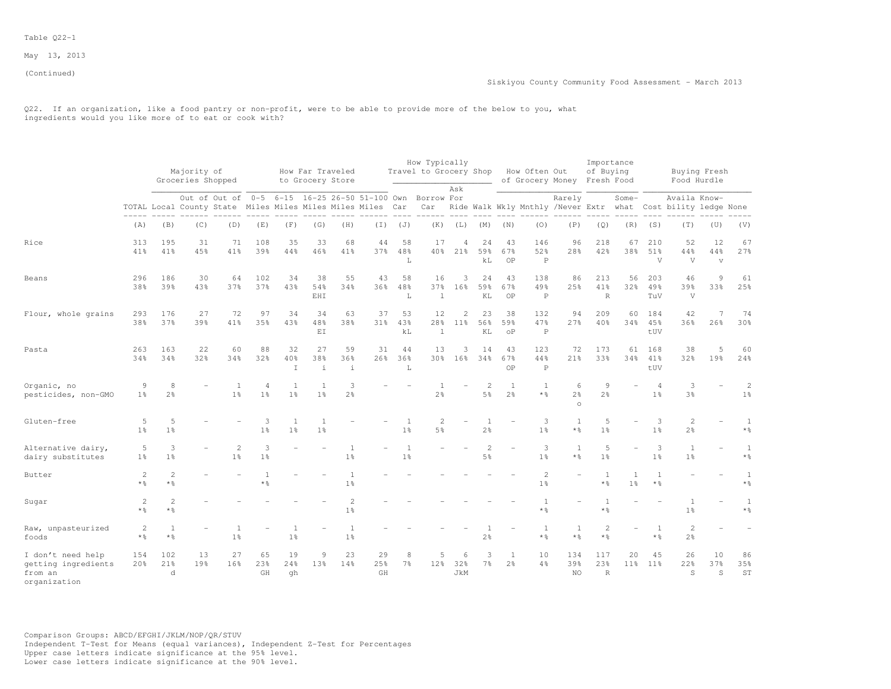(Continued)

Q22. If an organization, like a food pantry or non-profit, were to be able to provide more of the below to you, what ingredients would you like more of to eat or cook with?

|                                                                     |                         |                       | Majority of       |                                |                                  |                                  | How Far Traveled                                                   |                                  |                                                                                                             |                                | How Typically<br>Travel to Grocery Shop |                                   |                                  |                                     | How Often Out                  |                                                  | Importance<br>of Buying     |                     |                                  |                                        | Buying Fresh                |                                   |
|---------------------------------------------------------------------|-------------------------|-----------------------|-------------------|--------------------------------|----------------------------------|----------------------------------|--------------------------------------------------------------------|----------------------------------|-------------------------------------------------------------------------------------------------------------|--------------------------------|-----------------------------------------|-----------------------------------|----------------------------------|-------------------------------------|--------------------------------|--------------------------------------------------|-----------------------------|---------------------|----------------------------------|----------------------------------------|-----------------------------|-----------------------------------|
|                                                                     |                         |                       | Groceries Shopped |                                |                                  |                                  | to Grocery Store                                                   |                                  |                                                                                                             |                                |                                         | Ask                               |                                  |                                     |                                | of Grocery Money Fresh Food                      |                             |                     |                                  |                                        | Food Hurdle                 |                                   |
|                                                                     |                         |                       |                   |                                |                                  |                                  |                                                                    |                                  | Out of Out of 0-5 6-15 16-25 26-50 51-100 Own<br>TOTAL Local County State Miles Miles Miles Miles Miles Car |                                | Borrow For<br>Car                       |                                   |                                  |                                     |                                | Rarely<br>Ride Walk Wkly Mnthly /Never Extr what |                             | Some-               |                                  | Availa Know-<br>Cost bility ledge None |                             |                                   |
|                                                                     | (A)                     | (B)                   | (C)               | (D)                            | (E)                              | (F)                              | (G)                                                                | (H)                              | $(\top)$                                                                                                    | (J)                            | (K)                                     | (L)                               | (M)                              | (N)                                 | (0)                            | (P)                                              | (Q)                         | (R)                 | (S)                              | (T)                                    | (U)                         | (V)                               |
| Rice                                                                | 313<br>41%              | 195<br>41%            | 31<br>45%         | 71<br>41%                      | 108<br>39%                       | 35<br>44%                        | 33<br>46%                                                          | 68<br>41%                        | 44<br>37%                                                                                                   | 58<br>48%<br>L                 | 17                                      | 4<br>40% 21%                      | 24<br>59%<br>kL                  | 43<br>67%<br>OP                     | 146<br>52%<br>$\mathbb P$      | 96<br>28%                                        | 218<br>42%                  | 67<br>38%           | 210<br>51%<br>V                  | 52<br>44%<br>V                         | 12<br>44%<br>$\overline{V}$ | 67<br>27%                         |
| Beans                                                               | 296<br>38%              | 186<br>39%            | 30<br>43%         | 64<br>37%                      | 102<br>37%                       | 34<br>43%                        | 38<br>54%<br>EHI                                                   | 55<br>34%                        | 43<br>36%                                                                                                   | 58<br>48%<br>L                 | 16<br>37%<br>$\mathbf{1}$               | 3<br>16%                          | 24<br>59%<br>KL                  | 43<br>67%<br>OP                     | 138<br>49%<br>$\, {\mathbb P}$ | 86<br>25%                                        | 213<br>41%<br>$\mathbb R$   | 56<br>32%           | 203<br>49%<br>TuV                | 46<br>39%<br>V                         | 9<br>33%                    | 61<br>25%                         |
| Flour, whole grains                                                 | 293<br>38%              | 176<br>37%            | 27<br>39%         | 72<br>41%                      | 97<br>35%                        | 34<br>43%                        | 34<br>48%<br>$\mathop{\hbox{\rm E}}\nolimits\mathop{\hbox{\rm I}}$ | 63<br>38%                        | 37<br>31 <sup>8</sup>                                                                                       | 53<br>43%<br>kL                | 12<br>28%<br>$\mathbf 1$                | $\overline{c}$<br>11 <sup>8</sup> | 23<br>56%<br>KL                  | 38<br>59%<br>$\mathrm{o}\mathrm{P}$ | 132<br>47%<br>$\, {\mathbb P}$ | 94<br>27%                                        | 209<br>40%                  | 60<br>34%           | 184<br>45%<br>tUV                | 42<br>36%                              | 26%                         | 74<br>30%                         |
| Pasta                                                               | 263<br>34%              | 163<br>34%            | 22<br>32%         | 60<br>34%                      | 88<br>32%                        | 32<br>40%<br>$\mathbbm{I}$       | 27<br>38%<br>$\dot{1}$                                             | 59<br>36%<br>$\perp$             | 31<br>26%                                                                                                   | 44<br>36%<br>$\mathbb L$       | 13                                      | 3<br>30% 16%                      | 14<br>34%                        | 43<br>67%<br>OP                     | 123<br>44%<br>$\, {\mathbb P}$ | 72<br>21%                                        | 173<br>33%                  | 61<br>34%           | 168<br>41%<br>tUV                | 38<br>32%                              | 5<br>19%                    | 60<br>24%                         |
| Organic, no<br>pesticides, non-GMO                                  | $\overline{9}$<br>$1\%$ | 8<br>2%               |                   | 1<br>1 <sup>°</sup>            | $\overline{4}$<br>1 <sup>8</sup> | $\overline{1}$<br>1 <sup>°</sup> | $\overline{1}$<br>1 <sup>°</sup>                                   | 3<br>2 <sup>o</sup>              |                                                                                                             |                                | 1<br>2 <sup>°</sup>                     |                                   | 2<br>5 <sup>°</sup>              | 1<br>2 <sup>o</sup>                 | 1<br>$*$ $\frac{6}{5}$         | 6<br>2 <sup>°</sup><br>$\circ$                   | 9<br>2.8                    |                     | $\overline{4}$<br>1 <sup>°</sup> | 3<br>$3\frac{6}{9}$                    |                             | $\overline{c}$<br>1 <sup>°</sup>  |
| Gluten-free                                                         | 5<br>1 <sup>°</sup>     | 5<br>1 <sup>9</sup>   |                   |                                | 3<br>1 <sup>°</sup>              | $\mathbf{1}$<br>1 <sup>°</sup>   | 1<br>1 <sup>8</sup>                                                |                                  |                                                                                                             | 1<br>1 <sup>8</sup>            | $\overline{2}$<br>5%                    |                                   | 1<br>2.8                         |                                     | 3<br>1 <sup>°</sup>            | <sup>1</sup><br>$*$ %                            | 5<br>1 <sup>8</sup>         |                     | 3<br>1 <sup>°</sup>              | $\overline{c}$<br>$2\frac{6}{6}$       |                             | 1<br>$*$ $\frac{6}{5}$            |
| Alternative dairy,<br>dairy substitutes                             | 5<br>$1\%$              | 3<br>1 <sup>°</sup>   |                   | $\mathbf{2}$<br>1 <sup>°</sup> | 3<br>1 <sup>°</sup>              |                                  |                                                                    | $\mathbf{1}$<br>1 <sup>°</sup>   |                                                                                                             | $\mathbf{1}$<br>1 <sup>°</sup> |                                         |                                   | $\overline{c}$<br>5 <sup>°</sup> |                                     | 3<br>1 <sup>°</sup>            | <sup>1</sup><br>$*$ %                            | 5<br>1 <sup>°</sup>         |                     | 3<br>1 <sup>°</sup>              | $\mathbf{1}$<br>1 <sup>°</sup>         |                             | 1<br>$\star$ $\frac{6}{6}$        |
| Butter                                                              | 2<br>* 응                | $\mathbf{2}$<br>$*$ % |                   |                                | 1<br>$*$ %                       |                                  |                                                                    | -1<br>1 <sup>°</sup>             |                                                                                                             |                                |                                         |                                   |                                  |                                     | 2<br>1 <sup>°</sup>            |                                                  | 1<br>$\star$ %              | 1<br>$1\frac{6}{6}$ | 1<br>$*$ %                       |                                        |                             | 1<br>$\star$ $\frac{6}{6}$        |
| Sugar                                                               | 2<br>* %                | 2<br>$*$ %            |                   |                                |                                  |                                  |                                                                    | $\overline{2}$<br>1 <sup>°</sup> |                                                                                                             |                                |                                         |                                   |                                  |                                     | $\mathbf{1}$<br>$\star$ %      |                                                  | $\overline{1}$<br>$\star$ % |                     |                                  | $\mathbf{1}$<br>1 <sup>°</sup>         |                             | $\mathbf{1}$<br>$*$ $\frac{6}{5}$ |
| Raw, unpasteurized<br>foods                                         | 2<br>$\star$ %          | $\mathbf{1}$<br>$*$ % |                   | 1 <sup>°</sup>                 |                                  | $1\frac{6}{6}$                   |                                                                    | -1<br>1 <sup>°</sup>             |                                                                                                             |                                |                                         |                                   | 2 <sup>°</sup>                   |                                     | 1<br>$*$ %                     | -1<br>$*$ %                                      | $\overline{2}$<br>* %       |                     | 1<br>* %                         | $\mathbf{2}$<br>$2\frac{6}{6}$         |                             |                                   |
| I don't need help<br>getting ingredients<br>from an<br>organization | 154<br>20%              | 102<br>21%<br>d       | 13<br>19%         | 27<br>16%                      | 65<br>23%<br>GH                  | 19<br>24%<br>qh                  | 9<br>13%                                                           | 23<br>14%                        | 29<br>25%<br>GH                                                                                             | 8<br>$7\frac{6}{6}$            | 5<br>12%                                | 6<br>32%<br>JkM                   | 3<br>7%                          | 1<br>2 <sup>o</sup>                 | 10<br>$4\frac{6}{6}$           | 134<br>39%<br>NO.                                | 117<br>23%<br>$\mathbb R$   | 20<br>$11\%$        | 45<br>$11\%$                     | 26<br>22%<br>$\rm S$                   | 10<br>37%<br>S              | 86<br>35%<br>ST                   |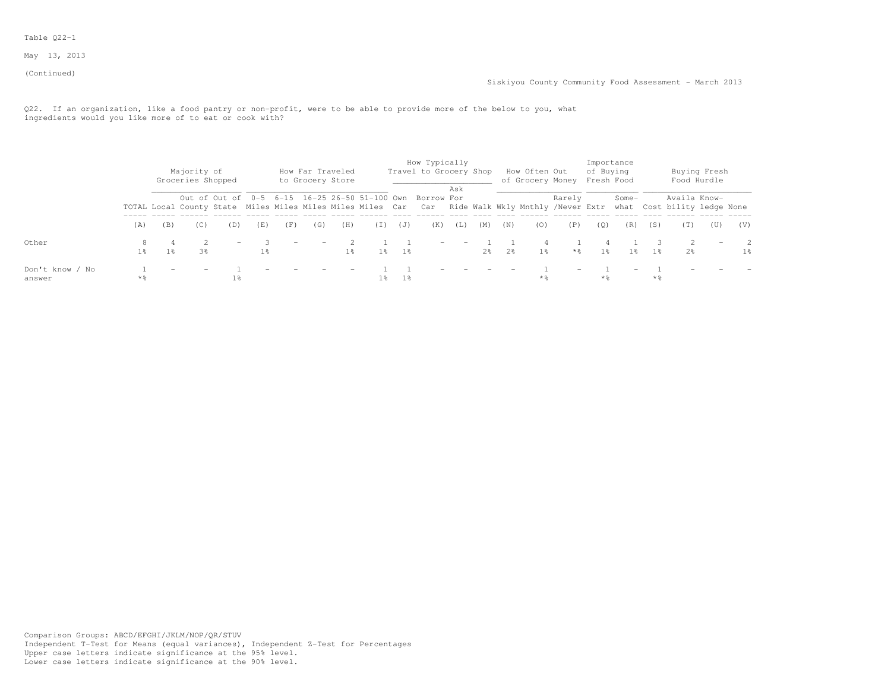### Table Q22-1

May 13, 2013

(Continued)

Q22. If an organization, like a food pantry or non-profit, were to be able to provide more of the below to you, what ingredients would you like more of to eat or cook with?

|                           |          |                | Majority of<br>Groceries Shopped |     |                |     | How Far Traveled<br>to Grocery Store |       |                |             | How Typically<br>Travel to Grocery Shop                                                                                                                                            |     |     |                | How Often Out  | of Grocery Money | of Buying<br>Fresh Food | Importance |                   |              | Buying Fresh<br>Food Hurdle |           |
|---------------------------|----------|----------------|----------------------------------|-----|----------------|-----|--------------------------------------|-------|----------------|-------------|------------------------------------------------------------------------------------------------------------------------------------------------------------------------------------|-----|-----|----------------|----------------|------------------|-------------------------|------------|-------------------|--------------|-----------------------------|-----------|
|                           |          |                |                                  |     |                |     |                                      |       |                |             | Out of Out of 0-5 6-15 16-25 26-50 51-100 Own Borrow For<br>TOTAL Local County State Miles Miles Miles Miles Car Car Ride Walk Wkly Mnthly /Never Extr what Cost bility ledge None | Ask |     |                |                | Rarely           |                         | Some-      |                   | Availa Know- |                             |           |
|                           | (A)      | (B)            | (C)                              | (D) | (E)            | (F) | (G)                                  | (H)   | (T)            | (J)         | (K)                                                                                                                                                                                | (L) | (M) | (N)            | (0)            | (P)              | (0)                     | (R)        | (S)               | (T)          | (U)                         | (V)       |
| Other                     | 8<br>1 응 | 1 <sup>8</sup> | 3%                               |     | 1 <sup>8</sup> |     |                                      | $1\%$ |                | $1\%$ $1\%$ | $\sim$                                                                                                                                                                             |     | 2.8 | 2 <sup>8</sup> | 1 <sup>8</sup> | $\star$ %        | 1%                      | 1 응        | - 1 응             | 2.8          | $\overline{\phantom{0}}$    | - 2<br>1% |
| Don't know / No<br>answer | **       |                |                                  |     |                |     |                                      |       | 1 <sub>8</sub> | $1\,$       |                                                                                                                                                                                    |     |     |                | * %            |                  | $*$ %                   |            | $*$ $\frac{6}{5}$ |              |                             |           |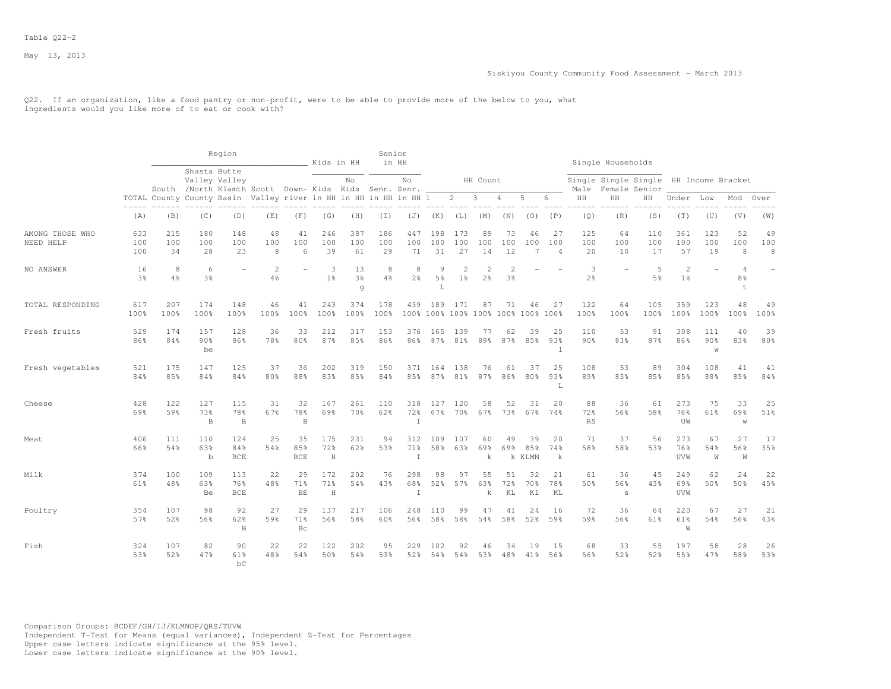Q22. If an organization, like a food pantry or non-profit, were to be able to provide more of the below to you, what ingredients would you like more of to eat or cook with?

|                              |                      |                  |                           | Region                                                                                |                      |                         | Kids in HH                 |                           | Senior           | in HH                |                           |                  |                                            |                 |                                          |                             |                        | Single Households                                       |                     |                                  |                  |                       |                      |
|------------------------------|----------------------|------------------|---------------------------|---------------------------------------------------------------------------------------|----------------------|-------------------------|----------------------------|---------------------------|------------------|----------------------|---------------------------|------------------|--------------------------------------------|-----------------|------------------------------------------|-----------------------------|------------------------|---------------------------------------------------------|---------------------|----------------------------------|------------------|-----------------------|----------------------|
|                              |                      |                  |                           | Shasta Butte<br>Valley Valley<br>South /North Klamth Scott Down-Kids Kids Senr. Senr. |                      |                         |                            | No                        |                  | No                   |                           |                  | HH Count                                   |                 |                                          |                             | Male                   | Single Single Single HH Income Bracket<br>Female Senior |                     |                                  |                  |                       |                      |
|                              |                      |                  |                           | TOTAL County County Basin Valley river in HH in HH in HH in HH 1                      |                      |                         |                            |                           |                  |                      |                           | $\overline{2}$   | $\mathbf{3}$                               | $\overline{4}$  | 5                                        | 6                           | HH                     | HH                                                      | HН                  | Under Low                        |                  | Mod                   | Over                 |
|                              | (A)                  | (B)              | (C)                       | (D)                                                                                   | (E)                  | (F)                     | (G)                        | (H)                       | (I)              | (J)                  | (K)                       | (L)              | (M)                                        | (N)             | (0)                                      | (P)                         | (Q)                    | (R)                                                     | (S)                 | (T)                              | (U)              | (V)                   | (W)                  |
| AMONG THOSE WHO<br>NEED HELP | 633<br>100<br>100    | 215<br>100<br>34 | 180<br>100<br>28          | 148<br>100<br>23                                                                      | 48<br>100<br>8       | 41<br>100<br>6          | 246<br>100<br>39           | 387<br>100<br>61          | 186<br>100<br>29 | 447<br>100<br>71     | 198<br>100<br>31          | 173<br>100<br>27 | 89<br>100<br>14                            | 73<br>100<br>12 | 46<br>100                                | 27<br>100<br>$\overline{4}$ | 125<br>100<br>20       | 64<br>100<br>10                                         | 110<br>100<br>17    | 361<br>100<br>57                 | 123<br>100<br>19 | 52<br>100<br>8        | 49<br>100<br>$\,8\,$ |
| NO ANSWER                    | 16<br>3 <sup>8</sup> | 8<br>4%          | 6<br>3 <sup>°</sup>       |                                                                                       | $\overline{2}$<br>4% |                         | 3<br>1 <sup>°</sup>        | 13<br>3 <sup>°</sup><br>q | 8<br>4%          | 8<br>2 <sup>°</sup>  | 9<br>5 <sup>°</sup><br>T. | 1 <sup>°</sup>   | $\overline{\mathcal{L}}$<br>2 <sup>°</sup> | 2<br>3%         |                                          |                             | 3<br>$2\frac{6}{6}$    |                                                         | 5<br>5 <sup>°</sup> | $\overline{2}$<br>1 <sup>°</sup> | ۳                | $\Delta$<br>8%<br>$+$ | $\equiv$             |
| TOTAL RESPONDING             | 617<br>100%          | 207<br>100%      | 174<br>100%               | 148<br>100%                                                                           | 46<br>100%           | 41<br>100%              | 243<br>100%                | 374<br>100%               | 178<br>100%      | 439                  | 189                       | 171              | 87                                         | 71              | 46<br>100% 100% 100% 100% 100% 100% 100% | 27                          | 122<br>100%            | 64<br>100%                                              | 105<br>100%         | 359<br>100%                      | 123<br>100%      | 48<br>100%            | 49<br>100%           |
| Fresh fruits                 | 529<br>86%           | 174<br>84%       | 157<br>90%<br>be          | 128<br>86%                                                                            | 36<br>78%            | 33<br>80%               | 212<br>87%                 | 317<br>85%                | 153<br>86%       | 376<br>86%           | 165<br>87%                | 139<br>81%       | -77<br>89%                                 | 62<br>87%       | 39<br>85%                                | 25<br>93%<br>$\mathbf 1$    | 110<br>90 <sub>8</sub> | 53<br>83%                                               | 91<br>87%           | 308<br>86%                       | 111<br>90%<br>W  | 40<br>83%             | 39<br>80%            |
| Fresh vegetables             | 521<br>84%           | 175<br>8.5%      | 147<br>84%                | 125<br>84%                                                                            | 37<br>80%            | 36<br>88%               | 202<br>83%                 | 319<br>8.5%               | 150<br>84%       | 371<br>85%           | 164<br>87%                | 138<br>81%       | 76<br>87%                                  | 61<br>86%       | 37<br>80 <sup>8</sup>                    | 25<br>93%<br>L              | 108<br>89%             | 53<br>83%                                               | 89<br>85%           | 304<br>85%                       | 108<br>88%       | 41<br>85%             | 41<br>84%            |
| Cheese                       | 428<br>69%           | 122<br>59%       | 127<br>73%<br>$\mathbf B$ | 115<br>78%<br>$\mathbf{B}$                                                            | 31<br>67%            | 32<br>78%<br>B          | 167<br>69%                 | 261<br>70%                | 110<br>62%       | 318<br>72%<br>T      | 127<br>67%                | 120<br>70%       | 58<br>67%                                  | 52<br>73%       | 31<br>67%                                | 20<br>74%                   | 88<br>72%<br><b>RS</b> | 36<br>56%                                               | 61<br>58%           | 273<br>76%<br>UW                 | 75<br>61%        | 33<br>69%<br>W        | 25<br>51%            |
| Meat                         | 406<br>66%           | 111<br>54%       | 110<br>63%<br>$\mathbf b$ | 124<br>84%<br>BCE                                                                     | 25<br>54%            | 35<br>85%<br><b>BCE</b> | 175<br>72%<br>H            | 231<br>62%                | 94<br>53%        | 312<br>71%<br>$\top$ | 109<br>58%                | 107<br>63%       | 60<br>69%<br>k                             | 49<br>69%       | 39<br>85%<br>k KLMN                      | 20<br>74%<br>k              | 71<br>58%              | 37<br>58%                                               | 56<br>53%           | 273<br>76%<br>UVW                | 67<br>54%<br>W   | 27<br>56%<br>W        | 17<br>35%            |
| Milk                         | 374<br>61%           | 100<br>48%       | 109<br>63%<br>Be          | 113<br>76%<br><b>BCE</b>                                                              | 22<br>48%            | 29<br>71%<br>BE         | 172<br>71%<br>$\, {\rm H}$ | 202<br>54%                | 76<br>43%        | 298<br>68%<br>I      | 98<br>52%                 | 97<br>57%        | 55<br>63%<br>k                             | 51<br>72%<br>KL | 32<br>70%<br>K1                          | 21<br>78%<br>KL             | 61<br>50%              | 36<br>56%<br>S                                          | 45<br>43%           | 249<br>69%<br>UVW                | 62<br>50%        | 24<br>50%             | 22<br>45%            |
| Poultry                      | 354<br>57%           | 107<br>52%       | 98<br>56%                 | 92<br>62%<br>B                                                                        | 27<br>59%            | 29<br>71%<br>Bc         | 137<br>56%                 | 217<br>58%                | 106<br>60%       | 248<br>56%           | 110<br>58%                | 99<br>58%        | 47<br>54%                                  | 41<br>58%       | 24<br>52%                                | 16<br>59%                   | 72<br>59%              | 36<br>56%                                               | 64<br>61%           | 220<br>61%<br>W                  | 67<br>54%        | 27<br>56%             | 21<br>43%            |
| Fish                         | 324<br>53%           | 107<br>52%       | 82<br>47%                 | 90<br>61%<br>bC.                                                                      | 22<br>48%            | 22<br>54%               | 122<br>50%                 | 202<br>54%                | 95<br>53%        | 229<br>52%           | 102<br>54%                | 92<br>54%        | 46<br>53%                                  | 34<br>48%       | 19<br>41%                                | 15<br>56%                   | 68<br>56%              | 33<br>52%                                               | 55<br>52%           | 197<br>55%                       | 58<br>47%        | 28<br>58%             | 26<br>53%            |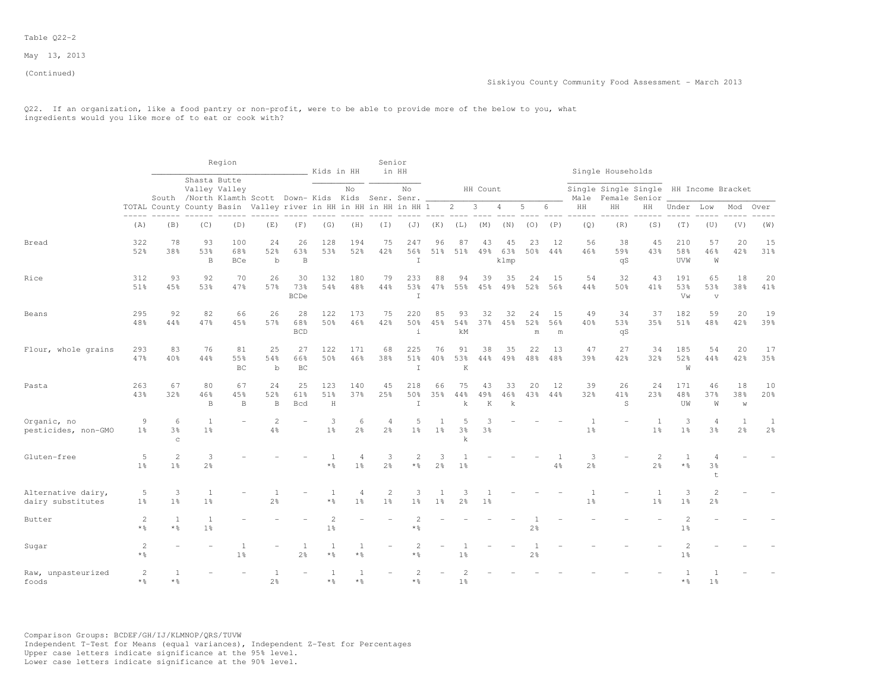#### Table Q22-2

May 13, 2013

(Continued)

Q22. If an organization, like a food pantry or non-profit, were to be able to provide more of the below to you, what ingredients would you like more of to eat or cook with?

|                                         |                                   |                                    |                                | Region                                                                                 |                          |                          | Kids in HH                       |                                  | Senior                           | in HH                       |                     |                                  |                |                          |                                  |                |                                  | Single Households |                                                         |                                  |                           |                                  |                     |
|-----------------------------------------|-----------------------------------|------------------------------------|--------------------------------|----------------------------------------------------------------------------------------|--------------------------|--------------------------|----------------------------------|----------------------------------|----------------------------------|-----------------------------|---------------------|----------------------------------|----------------|--------------------------|----------------------------------|----------------|----------------------------------|-------------------|---------------------------------------------------------|----------------------------------|---------------------------|----------------------------------|---------------------|
|                                         |                                   |                                    |                                | Shasta Butte<br>Valley Valley<br>South /North Klamth Scott Down- Kids Kids Senr. Senr. |                          |                          |                                  | No                               |                                  | No                          |                     |                                  | HH Count       |                          |                                  |                | Male                             |                   | Single Single Single HH Income Bracket<br>Female Senior |                                  |                           |                                  |                     |
|                                         |                                   |                                    |                                | TOTAL County County Basin Valley river in HH in HH in HH in HH 1                       |                          |                          |                                  |                                  |                                  |                             |                     | $\overline{2}$                   | 3              | 4                        | 5                                | 6              | HH                               | HH                | HH                                                      | Under                            | Low                       | Mod                              | Over                |
|                                         | (A)                               | ----- ------<br>(B)                | (C)                            | (D)                                                                                    | (E)                      | (F)                      | (G)                              | (H)                              | (I)                              | (J)                         | (K)                 | (L)                              | (M)            | (N)                      | (0)                              | (P)            | (Q)                              | (R)               | (S)                                                     | (T)                              | (U)                       | (V)                              | (W)                 |
| Bread                                   | 322<br>52%                        | 78<br>38%                          | 93<br>53%                      | 100<br>68%                                                                             | 24<br>52%                | 26<br>63%                | 128<br>53%                       | 194<br>52%                       | 75<br>42%                        | 247<br>56%                  | 96<br>51%           | 87<br>51%                        | 43<br>49%      | 45<br>63%                | 23<br>50%                        | 12<br>44%      | 56<br>46%                        | 38<br>59%         | 45<br>43%                                               | 210<br>58%                       | 57<br>46%                 | 20<br>42%                        | 15<br>31%           |
|                                         |                                   |                                    | $\, {\bf B}$                   | <b>BCe</b>                                                                             | $\mathbf b$              | $\, {\bf B}$             |                                  |                                  |                                  | $\top$                      |                     |                                  |                | klmp                     |                                  |                |                                  | qS                |                                                         | UVW                              | W                         |                                  |                     |
| Rice                                    | 312<br>51%                        | 93<br>45%                          | 92<br>53%                      | 70<br>47%                                                                              | 26<br>57%                | 30<br>73%<br><b>BCDe</b> | 132<br>54%                       | 180<br>48%                       | 79<br>44%                        | 233<br>53%<br>$\mathbbm{I}$ | 88<br>47%           | 94<br>55%                        | 39<br>45%      | 35<br>49%                | 24<br>52%                        | -15<br>56%     | 54<br>44%                        | 32<br>50%         | 43<br>41%                                               | 191<br>53%<br>Vw                 | 65<br>53%<br>$\mathbf{V}$ | 18<br>38%                        | 20<br>41%           |
| Beans                                   | 295<br>48%                        | 92<br>44%                          | 82<br>47%                      | 66<br>45%                                                                              | 26<br>57%                | 28<br>68%<br><b>BCD</b>  | 122<br>50%                       | 173<br>46%                       | 75<br>42%                        | 220<br>50%<br>$\mathbf i$   | 85<br>45%           | 93<br>54%<br>kM                  | 32<br>37%      | 32<br>45%                | 24<br>52%<br>m                   | 15<br>56%<br>m | 49<br>40%                        | 34<br>53%<br>qS   | 37<br>35%                                               | 182<br>51%                       | 59<br>48%                 | 20<br>42%                        | 19<br>39%           |
| Flour, whole grains                     | 293<br>47%                        | 83<br>40%                          | 76<br>44%                      | 81<br>55%<br>BC                                                                        | 25<br>54%<br>$\mathbf b$ | 27<br>66%<br>BC          | 122<br>50%                       | 171<br>46%                       | 68<br>38%                        | 225<br>51%<br>T             | 76<br>40%           | 91<br>53%<br>K                   | 38<br>44%      | 35<br>49%                | 22<br>48%                        | 13<br>48%      | 47<br>39%                        | 27<br>42%         | 34<br>32%                                               | 185<br>52%<br>W                  | 54<br>44%                 | 20<br>42%                        | 17<br>35%           |
| Pasta                                   | 263<br>43%                        | 67<br>32%                          | 80<br>46%<br>$\, {\bf B}$      | 67<br>45%<br>B                                                                         | 24<br>52%<br>$\mathbf B$ | 25<br>61%<br><b>Bcd</b>  | 123<br>51%<br>$\rm H$            | 140<br>37%                       | 45<br>25%                        | 218<br>50%<br>$\mathbbm{I}$ | 66<br>35%           | 75<br>44%<br>k                   | 43<br>49%<br>K | 33<br>46%<br>$\mathbf k$ | 20<br>43%                        | 12<br>44%      | 39<br>32%                        | 26<br>41%<br>S    | 24<br>23%                                               | 171<br>48%<br>UW                 | 46<br>37%<br>W            | 18<br>38%<br>$\mathbb W$         | 10<br>20%           |
| Organic, no<br>pesticides, non-GMO      | 9<br>1 <sup>°</sup>               | 6<br>3 <sup>8</sup><br>$\mathbf C$ | 1<br>1 <sup>°</sup>            |                                                                                        | $\overline{c}$<br>4%     |                          | 3<br>1 <sup>°</sup>              | 6<br>2 <sup>°</sup>              | $\overline{4}$<br>2 <sup>°</sup> | 5<br>1 <sup>°</sup>         | $1\%$               | .5<br>3 <sup>8</sup><br>k        | 3 <sup>8</sup> |                          |                                  |                | 1 <sup>°</sup>                   |                   | $\overline{1}$<br>1 <sup>°</sup>                        | 3<br>1 <sup>°</sup>              | 4<br>3%                   | $\overline{1}$<br>2 <sup>°</sup> | 1<br>2 <sup>°</sup> |
| Gluten-free                             | 5<br>1 <sup>°</sup>               | $\overline{c}$<br>1 <sup>°</sup>   | 3<br>2 <sup>°</sup>            |                                                                                        |                          |                          | $\star$ %                        | 4<br>1 <sup>°</sup>              | 3<br>2 <sup>°</sup>              | 2<br>* 응                    | 3<br>2%             | 1 <sup>°</sup>                   |                |                          |                                  | $4\%$          | 3<br>$2\frac{6}{6}$              |                   | 2<br>2 <sup>°</sup>                                     | -1<br>* 응                        | 4<br>3%<br>t              |                                  |                     |
| Alternative dairy,<br>dairy substitutes | 5<br>$1\%$                        | 3<br>1 <sup>°</sup>                | 1<br>1 <sup>°</sup>            |                                                                                        | 1<br>2 <sup>°</sup>      |                          | 1<br>$\star$ %                   | $\overline{4}$<br>1 <sup>°</sup> | $\overline{c}$<br>1 <sup>°</sup> | 3<br>1%                     | 1<br>1 <sup>°</sup> | 3<br>2 <sup>o</sup>              | 1 <sup>°</sup> |                          |                                  |                | $\overline{1}$<br>1 <sup>°</sup> |                   | 1<br>1 <sup>°</sup>                                     | 3<br>1 <sup>°</sup>              | $\overline{c}$<br>2%      |                                  |                     |
| Butter                                  | 2<br>$*$ %                        | 1<br>$*$ %                         | <sup>1</sup><br>1 <sup>°</sup> |                                                                                        |                          |                          | $\overline{2}$<br>1 <sup>°</sup> |                                  |                                  | $\overline{c}$<br>$\star$ % |                     |                                  |                |                          | $\overline{1}$<br>2 <sup>°</sup> |                |                                  |                   |                                                         | $\overline{c}$<br>1 <sup>°</sup> |                           |                                  |                     |
| Sugar                                   | $\mathbf{2}$<br>$*$ $\frac{6}{6}$ |                                    |                                | 1 <sup>°</sup>                                                                         |                          | 1<br>$2\frac{6}{9}$      | -1<br>$*$ $\frac{6}{6}$          | $\mathbf{1}$<br>$*$ %            |                                  | $\overline{2}$<br>* 응       |                     | $1\frac{6}{6}$                   |                |                          | $2\frac{6}{9}$                   |                |                                  |                   |                                                         | 1 <sup>°</sup>                   |                           |                                  |                     |
| Raw, unpasteurized<br>foods             | 2<br>$*$ $\frac{6}{6}$            | $\mathbf{1}$<br>$*$ $\frac{6}{5}$  |                                |                                                                                        | 1<br>2%                  |                          | 1<br>$*$ $\frac{6}{5}$           | 1<br>$*$ $\frac{6}{5}$           |                                  | 2<br>$\star$ %              |                     | $\overline{2}$<br>1 <sup>°</sup> |                |                          |                                  |                |                                  |                   |                                                         | * 응                              | 1 <sup>°</sup>            |                                  |                     |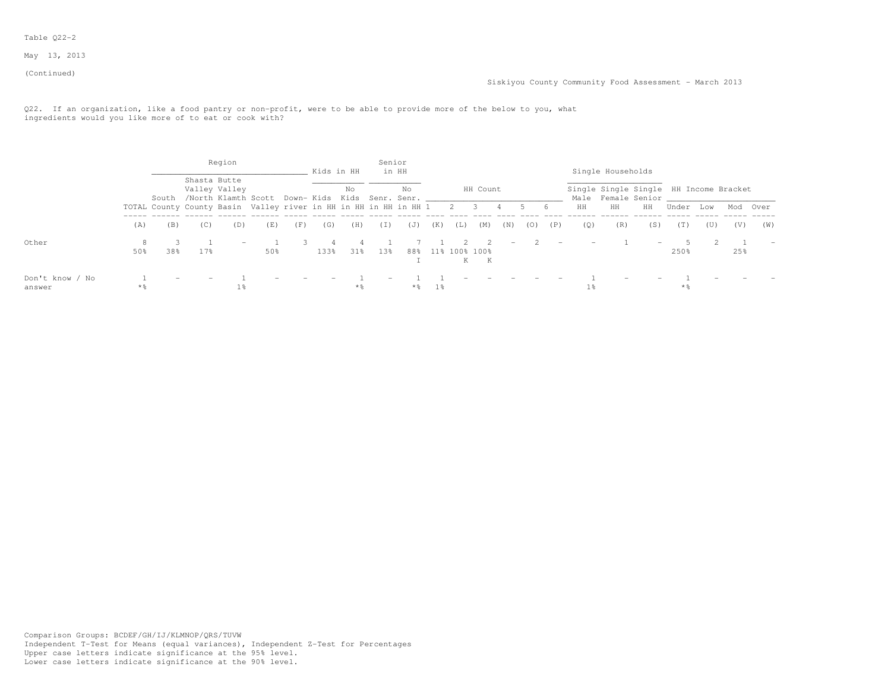### Table Q22-2

May 13, 2013

(Continued)

Q22. If an organization, like a food pantry or non-profit, were to be able to provide more of the below to you, what ingredients would you like more of to eat or cook with?

|                 |       |                                                                  |      | Region        |                                                       |     | Kids in HH |       | Senior |       |       |     |                    |                          |     |     |     |                   |                                        |       |     |     |          |
|-----------------|-------|------------------------------------------------------------------|------|---------------|-------------------------------------------------------|-----|------------|-------|--------|-------|-------|-----|--------------------|--------------------------|-----|-----|-----|-------------------|----------------------------------------|-------|-----|-----|----------|
|                 |       |                                                                  |      | Shasta Butte  |                                                       |     |            |       |        | in HH |       |     |                    |                          |     |     |     | Single Households |                                        |       |     |     |          |
|                 |       |                                                                  |      | Valley Valley |                                                       |     |            | No    |        | No    |       |     | HH Count           |                          |     |     |     |                   | Single Single Single HH Income Bracket |       |     |     |          |
|                 |       |                                                                  |      |               | South /North Klamth Scott Down- Kids Kids Senr. Senr. |     |            |       |        |       |       |     |                    |                          |     |     |     |                   | Male Female Senior                     |       |     |     |          |
|                 |       | TOTAL County County Basin Valley river in HH in HH in HH in HH 1 |      |               |                                                       |     |            |       |        |       |       | 2 3 |                    | 4                        |     | - 6 | HH  | HH                | HH                                     | Under | Low |     | Mod Over |
|                 | (A)   | (B)                                                              | (C)  | (D)           | (E)                                                   | (F) | (G)        | (H)   | (I)    | (J)   | (K)   | (L) | (M)                | (N)                      | (0) | (P) | (Q) | (R)               | (S)                                    | (T)   | (U) | (V) | (W)      |
| Other           |       |                                                                  |      |               |                                                       |     |            |       |        |       |       |     |                    | $\overline{\phantom{a}}$ |     |     |     |                   |                                        |       |     |     |          |
|                 | 50%   | 38%                                                              | 17.8 |               | 50%                                                   |     | 133%       | 31%   | 13%    | 88%   |       |     | 11% 100% 100%<br>К |                          |     |     |     |                   |                                        | 250%  |     | 25% |          |
| Don't know / No |       |                                                                  |      |               |                                                       |     |            |       |        |       |       |     |                    |                          |     |     |     |                   |                                        |       |     |     |          |
| answer          | $*$ % |                                                                  |      |               |                                                       |     |            | $*$ % |        | **    | $1\%$ |     |                    |                          |     |     | 1 % |                   |                                        | * %   |     |     |          |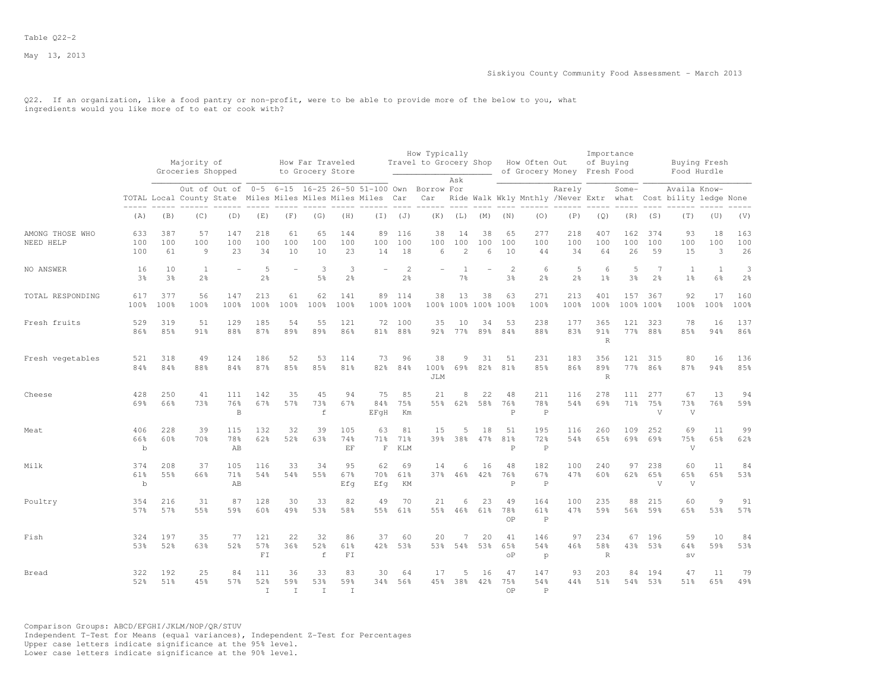Q22. If an organization, like a food pantry or non-profit, were to be able to provide more of the below to you, what ingredients would you like more of to eat or cook with?

|                              |                           |                      |                                  |                                                                                                                        |                            |                 |                                      |                     |                           |                                  | How Typically                        |                                  |                          |                           |                            |                             | Importance                 |                  |                       |                                                                               |                     |                     |
|------------------------------|---------------------------|----------------------|----------------------------------|------------------------------------------------------------------------------------------------------------------------|----------------------------|-----------------|--------------------------------------|---------------------|---------------------------|----------------------------------|--------------------------------------|----------------------------------|--------------------------|---------------------------|----------------------------|-----------------------------|----------------------------|------------------|-----------------------|-------------------------------------------------------------------------------|---------------------|---------------------|
|                              |                           |                      | Majority of<br>Groceries Shopped |                                                                                                                        |                            |                 | How Far Traveled<br>to Grocery Store |                     |                           |                                  | Travel to Grocery Shop How Often Out |                                  |                          |                           |                            | of Grocery Money Fresh Food | of Buying                  |                  |                       | Buying Fresh<br>Food Hurdle                                                   |                     |                     |
|                              |                           |                      |                                  | Out of Out of 0-5 6-15 16-25 26-50 51-100 Own Borrow For<br>TOTAL Local County State Miles Miles Miles Miles Miles Car |                            |                 |                                      |                     |                           |                                  | Car                                  | Ask                              |                          |                           |                            | Rarely                      |                            | Some-            |                       | Availa Know-<br>Ride Walk Wkly Mnthly /Never Extr what Cost bility ledge None |                     |                     |
|                              | (A)                       | (B)                  | (C)                              | (D)                                                                                                                    | (E)                        | (F)             | (G)                                  | (H)                 |                           | $(I)$ $(J)$                      | (K)                                  | (L)                              | (M)                      | (N)                       | (0)                        | (P)                         | (Q)                        | (R)              | (S)                   | (T)                                                                           | (U)                 | (V)                 |
| AMONG THOSE WHO<br>NEED HELP | 633<br>100<br>100         | 387<br>100<br>61     | 57<br>100<br>$\overline{9}$      | 147<br>100<br>23                                                                                                       | 218<br>100<br>34           | 61<br>100<br>10 | 65<br>100<br>10                      | 144<br>100<br>23    | 89<br>100<br>14           | 116<br>100<br>18                 | 38<br>100<br>6                       | 14<br>100<br>$\overline{c}$      | 38<br>100<br>6           | 65<br>100<br>10           | 277<br>100<br>44           | 218<br>100<br>34            | 407<br>100<br>64           | 162<br>100<br>26 | 374<br>100<br>59      | 93<br>100<br>15                                                               | 18<br>100<br>3      | 163<br>100<br>26    |
| NO ANSWER                    | 16<br>3%                  | 10<br>3 <sup>°</sup> | <sup>1</sup><br>2 <sup>°</sup>   | $\overline{a}$                                                                                                         | 5<br>$2\frac{6}{6}$        |                 | 3<br>$5\frac{6}{6}$                  | 3<br>$2\frac{6}{9}$ | $\equiv$                  | $\overline{c}$<br>$2\frac{6}{6}$ |                                      | $\overline{1}$<br>$7\frac{6}{6}$ | $\overline{\phantom{a}}$ | $\mathbf{2}$<br>3%        | 6<br>2 <sup>°</sup>        | 5<br>2 <sup>8</sup>         | 6<br>1 <sup>°</sup>        | 5<br>3%          | $7\phantom{.0}$<br>2% | $\mathbf{1}$<br>1 <sup>°</sup>                                                | 1<br>$6\frac{6}{9}$ | 3<br>$2\frac{6}{6}$ |
| TOTAL RESPONDING             | 617<br>100%               | 377<br>100%          | 56<br>100%                       | 147<br>100%                                                                                                            | 213<br>100%                | 61<br>100%      | 62<br>100%                           | 141<br>100%         | 89                        | 114<br>100% 100%                 | 38                                   | 13                               | 38<br>100% 100% 100%     | 63<br>100%                | 271<br>100%                | 213<br>100%                 | 401<br>100%                | 157              | 367<br>100% 100%      | 92<br>100%                                                                    | 17<br>100%          | 160<br>100%         |
| Fresh fruits                 | 529<br>86%                | 319<br>85%           | 51<br>91%                        | 129<br>88%                                                                                                             | 185<br>87%                 | 54<br>89%       | 55<br>89%                            | 121<br>86%          | 72<br>81%                 | 100<br>88%                       | 35<br>92%                            | 10<br>77%                        | 34<br>89%                | 53<br>84%                 | 238<br>88%                 | 177<br>83%                  | 365<br>91%<br>$\mathbb R$  | 121<br>77%       | 323<br>88%            | 78<br>85%                                                                     | 16<br>94%           | 137<br>86%          |
| Fresh vegetables             | 521<br>84%                | 318<br>84%           | 49<br>88%                        | 124<br>84%                                                                                                             | 186<br>87%                 | 52<br>85%       | 53<br>85%                            | 114<br>81%          | 73<br>82%                 | 96<br>84%                        | 38<br>100%<br><b>JLM</b>             | 9<br>69%                         | 31<br>82%                | 51<br>81%                 | 231<br>85%                 | 183<br>86%                  | 356<br>89%<br>$\mathbb R$  | 121<br>77%       | 315<br>86%            | 80<br>87%                                                                     | 16<br>94%           | 136<br>85%          |
| Cheese                       | 428<br>69%                | 250<br>66%           | 41<br>73%                        | 111<br>76%<br>$\mathbf B$                                                                                              | 142<br>67%                 | 35<br>57%       | 45<br>73%<br>f                       | 94<br>67%           | 75<br>84%<br>EFqH         | 85<br>75%<br>Km                  | 21<br>55%                            | 8<br>62%                         | 22<br>58%                | 48<br>76%<br>$\, {\bf P}$ | 211<br>78%<br>$\mathbb P$  | 116<br>54%                  | 278<br>69%                 | 111<br>71%       | 277<br>75%<br>V       | 67<br>73%<br>V                                                                | 13<br>76%           | 94<br>59%           |
| Meat                         | 406<br>66%<br>$\mathbf b$ | 228<br>60%           | 39<br>70%                        | 115<br>78%<br>AB                                                                                                       | 132<br>62%                 | 32<br>52%       | 39<br>63%                            | 105<br>74%<br>EF    | 63<br>71 %<br>$\mathbf F$ | 81<br>71%<br><b>KLM</b>          | 15<br>39%                            | 5<br>38%                         | 18<br>47%                | 51<br>81%<br>$\, {\bf P}$ | 195<br>72%<br>$\mathbb P$  | 116<br>54%                  | 260<br>65%                 | 109<br>69%       | 252<br>69%            | 69<br>75%<br>V                                                                | 11<br>65%           | 99<br>62%           |
| Milk                         | 374<br>61%<br>$\mathbf b$ | 208<br>55%           | 37<br>66%                        | 105<br>71%<br>AB                                                                                                       | 116<br>54%                 | 33<br>54%       | 34<br>55%                            | 95<br>67%<br>Efq    | 62<br>70 %<br>Efq         | 69<br>61%<br>KM                  | 14<br>37%                            | 6<br>46%                         | 16<br>42%                | 48<br>76%<br>$\, {\bf P}$ | 182<br>67%<br>$\mathbb P$  | 100<br>47%                  | 240<br>60%                 | 97<br>62%        | 238<br>65%<br>V       | 60<br>65%<br>V                                                                | 11<br>65%           | 84<br>53%           |
| Poultry                      | 354<br>57%                | 216<br>57%           | 31<br>55%                        | 87<br>59%                                                                                                              | 128<br>60%                 | 30<br>49%       | 33<br>53%                            | 82<br>58%           | 49<br>55%                 | 70<br>61%                        | 21<br>55%                            | 6<br>46%                         | 23<br>61%                | 49<br>78%<br>OP           | 164<br>61%<br>$\mathbb P$  | 100<br>47%                  | 235<br>59%                 | 88<br>56%        | 215<br>59%            | 60<br>65%                                                                     | 9<br>53%            | 91<br>57%           |
| Fish                         | 324<br>53%                | 197<br>52%           | 35<br>63%                        | 77<br>52%                                                                                                              | 121<br>57%<br>FI           | 22<br>36%       | 32<br>52%<br>$\,$ f                  | 86<br>61%<br>FI     | 37<br>42%                 | 60<br>53%                        | 20<br>53%                            | 7<br>54%                         | 20<br>53%                | 41<br>65%<br>οP           | 146<br>54%<br>$\mathbf{p}$ | 97<br>46%                   | 234<br>58%<br>$\mathbb{R}$ |                  | 67 196<br>43% 53%     | 59<br>64%<br><b>SV</b>                                                        | 10<br>59%           | 84<br>53%           |
| Bread                        | 322<br>52%                | 192<br>51%           | 25<br>45%                        | 84<br>57%                                                                                                              | 111<br>52%<br>$\mathbb{I}$ | 36<br>59%<br>T  | 33<br>53%<br>I                       | 83<br>59%<br>I      | 30<br>34%                 | 64<br>56%                        | 17                                   | 5<br>45% 38%                     | 16<br>42%                | 47<br>75%<br>OP           | 147<br>54%<br>$\mathsf{P}$ | 93<br>44%                   | 203<br>51%                 | 84<br>54%        | 194<br>53%            | 47<br>51%                                                                     | 11<br>65%           | 79<br>49%           |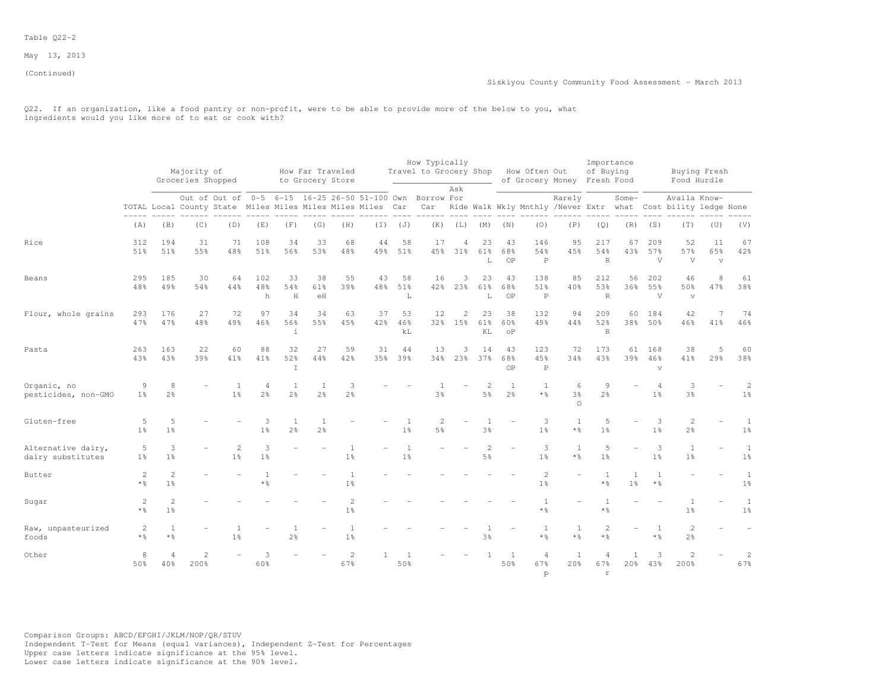(Continued)

Q22. If an organization, like a food pantry or non-profit, were to be able to provide more of the below to you, what ingredients would you like more of to eat or cook with?

|                                         |                                     |                              | Majority of<br>Groceries Shopped |                                                                                                                                                                                    |                     |                                  | How Far Traveled<br>to Grocery Store |                                  |           |                                | How Typically<br>Travel to Grocery Shop |                         |                                  |                        | How Often Out<br>of Grocery Money Fresh Food |                                 | Importance<br>of Buying              |                     |                            |                                      | Buying Fresh<br>Food Hurdle          |                                  |
|-----------------------------------------|-------------------------------------|------------------------------|----------------------------------|------------------------------------------------------------------------------------------------------------------------------------------------------------------------------------|---------------------|----------------------------------|--------------------------------------|----------------------------------|-----------|--------------------------------|-----------------------------------------|-------------------------|----------------------------------|------------------------|----------------------------------------------|---------------------------------|--------------------------------------|---------------------|----------------------------|--------------------------------------|--------------------------------------|----------------------------------|
|                                         |                                     |                              |                                  | Out of Out of 0-5 6-15 16-25 26-50 51-100 Own Borrow For<br>TOTAL Local County State Miles Miles Miles Miles Car Car Ride Walk Wkly Mnthly /Never Extr what Cost bility ledge None |                     |                                  |                                      |                                  |           |                                |                                         | Ask                     |                                  |                        |                                              | Rarely                          |                                      | Some-               |                            | Availa Know-                         |                                      |                                  |
|                                         | (A)                                 | (B)                          | (C)                              | (D)                                                                                                                                                                                | (E)                 | (F)                              | (G)                                  | (H)                              |           | $(I)$ $(J)$                    | (K)                                     | (L)                     | (M)                              | (N)                    | (0)                                          | (P)                             | (Q)                                  | (R)                 | (S)                        | (T)                                  | (U)                                  | (V)                              |
| Rice                                    | 312<br>51%                          | 194<br>51%                   | 31<br>55%                        | 71<br>48%                                                                                                                                                                          | 108<br>51%          | 34<br>56%                        | 33<br>53%                            | 68<br>48%                        | 44<br>49% | 58<br>51%                      | 17<br>45%                               | $\overline{4}$<br>31%   | 23<br>61%<br>L                   | 43<br>68%<br>OP        | 146<br>54%<br>$\, {\mathbb P}$               | 95<br>45%                       | 217<br>54%<br>$\,$ R                 | 67<br>43%           | 209<br>57%<br>V            | 52<br>57%<br>V                       | 11<br>65%<br>$\overline{\mathbf{V}}$ | 67<br>42%                        |
| Beans                                   | 295<br>48%                          | 185<br>49%                   | 30<br>54%                        | 64<br>44%                                                                                                                                                                          | 102<br>48%<br>h     | 33<br>54%<br>H                   | 38<br>61%<br>eH                      | 55<br>39%                        | 43<br>48% | 58<br>51%<br>$\mathbf L$       | 16<br>42%                               | 3<br>23%                | 23<br>61%<br>L                   | 43<br>68%<br>OP        | 138<br>51%<br>$\, {\mathbb P}$               | 85<br>40%                       | 212<br>53%<br>$\mathbb{R}$           | 56<br>36%           | 202<br>55%<br>V            | 46<br>50%<br>$\overline{\mathbf{v}}$ | 8<br>47%                             | 61<br>38%                        |
| Flour, whole grains                     | 293<br>47%                          | 176<br>47%                   | 27<br>48%                        | 72<br>49%                                                                                                                                                                          | 97<br>46%           | 34<br>56%<br>$\ddot{1}$          | 34<br>55%                            | 63<br>45%                        | 37<br>42% | 53<br>46%<br>$\rm k\,L$        | 12                                      | $\mathbf{2}$<br>32% 15% | 23<br>61%<br>KL                  | 38<br>60%<br>$\circ$ P | 132<br>49%                                   | 94<br>44%                       | 209<br>52%<br>$\mathbb{R}$           | 60<br>38%           | 184<br>50%                 | 42<br>46%                            | 7<br>41%                             | 74<br>46%                        |
| Pasta                                   | 263<br>43%                          | 163<br>43%                   | 22<br>39%                        | 60<br>41%                                                                                                                                                                          | 88<br>41%           | 32<br>52%<br>$\mathbf I$         | 27<br>44%                            | 59<br>42%                        | 31<br>35% | 44<br>39%                      | 13                                      | 3<br>34% 23%            | 14<br>37%                        | 43<br>68%<br>OP        | 123<br>45%<br>$\mathsf{P}$                   | 72<br>34%                       | 173<br>43%                           | 61<br>39%           | 168<br>46%<br>$\mathbf{v}$ | 38<br>41%                            | 5<br>29%                             | 60<br>38%                        |
| Organic, no<br>pesticides, non-GMO      | 9<br>$1\%$                          | 8<br>$2\frac{6}{6}$          |                                  | $1\frac{6}{9}$                                                                                                                                                                     | 4<br>$2\frac{6}{6}$ | $\overline{1}$<br>$2\frac{6}{6}$ | -1<br>$2\frac{6}{6}$                 | 3<br>2 <sup>°</sup>              |           |                                | $3\frac{6}{9}$                          |                         | $\overline{2}$<br>$5\frac{6}{9}$ | 1<br>$2\frac{6}{6}$    | $\overline{1}$<br>* %                        | 6<br>$3\frac{6}{9}$<br>$\Omega$ | 9<br>$2\frac{6}{6}$                  |                     | 1 <sup>°</sup>             | 3<br>$3\frac{6}{9}$                  |                                      | $\overline{c}$<br>1 <sup>°</sup> |
| Gluten-free                             | 5<br>1 <sup>°</sup>                 | 5<br>$1\frac{6}{6}$          |                                  |                                                                                                                                                                                    | 3<br>1 <sup>°</sup> | 1<br>$2\frac{6}{6}$              | $\mathbf{1}$<br>2 <sup>o</sup>       |                                  |           | -1<br>$1\frac{6}{6}$           | 2<br>5 <sup>°</sup>                     |                         | 3%                               |                        | 3<br>1 <sup>°</sup>                          | <sup>1</sup><br>$*$ %           | 5<br>1 <sup>°</sup>                  |                     | 3<br>1 <sup>°</sup>        | $\overline{c}$<br>$2\frac{6}{6}$     |                                      | $\mathbf{1}$<br>$1\frac{6}{6}$   |
| Alternative dairy,<br>dairy substitutes | 5<br>$1\%$                          | 3<br>$1\frac{6}{6}$          |                                  | 2<br>$1\%$                                                                                                                                                                         | 3<br>$1\frac{6}{6}$ |                                  |                                      | <sup>1</sup><br>1 <sup>°</sup>   |           | <sup>1</sup><br>$1\frac{6}{6}$ |                                         |                         | 2<br>$5\frac{6}{9}$              |                        | 3<br>1 <sup>°</sup>                          | $\mathbf{1}$<br>$*$ %           | 5<br>1 <sup>°</sup>                  |                     | 3<br>1 <sup>°</sup>        | $\overline{1}$<br>1 <sup>°</sup>     | $\overline{\phantom{a}}$             | $\mathbf{1}$<br>$1\frac{6}{6}$   |
| Butter                                  | 2<br>$*$ $\frac{6}{5}$              | $\overline{c}$<br>$1\%$      |                                  |                                                                                                                                                                                    | $*$ %               |                                  |                                      | 1 <sup>°</sup>                   |           |                                |                                         |                         |                                  |                        | $\mathbf{2}$<br>1 <sup>°</sup>               |                                 | 1<br>* %                             | 1<br>$1\frac{6}{9}$ | $\mathbf{1}$<br>$*$ %      |                                      |                                      | $\mathbf{1}$<br>$1\frac{6}{6}$   |
| Sugar                                   | 2<br>$*$ %                          | $\sqrt{2}$<br>1 <sup>°</sup> |                                  |                                                                                                                                                                                    |                     |                                  |                                      | $\overline{c}$<br>1 <sup>°</sup> |           |                                |                                         |                         |                                  |                        | $\mathbf{1}$<br>$*$ %                        |                                 | $\mathbf{1}$<br>$*$ %                |                     |                            | $\mathbf{1}$<br>$1\frac{6}{6}$       |                                      | $\mathbf{1}$<br>1 <sup>°</sup>   |
| Raw, unpasteurized<br>foods             | $\overline{2}$<br>$*$ $\frac{6}{6}$ | $\mathbf{1}$<br>* %          |                                  | 1 <sup>°</sup>                                                                                                                                                                     |                     | $2\frac{6}{6}$                   |                                      | $1\frac{6}{9}$                   |           |                                |                                         |                         | 3%                               |                        | 1<br>* %                                     | 1<br>* %                        | 2<br>* ÷                             |                     | 1<br>$*$ %                 | $\overline{c}$<br>$2\frac{6}{6}$     |                                      |                                  |
| Other                                   | 8<br>50%                            | $\overline{4}$<br>40%        | $\overline{2}$<br>200%           |                                                                                                                                                                                    | ς<br>60%            |                                  |                                      | 2<br>67%                         |           | $\overline{1}$<br>50%          |                                         |                         |                                  | <sup>1</sup><br>50%    | 4<br>67%<br>p                                | <sup>1</sup><br>20%             | $\overline{4}$<br>67%<br>$\mathbf r$ | $\mathbf{1}$<br>20% | 3<br>43%                   | $\overline{2}$<br>200%               |                                      | 2<br>67%                         |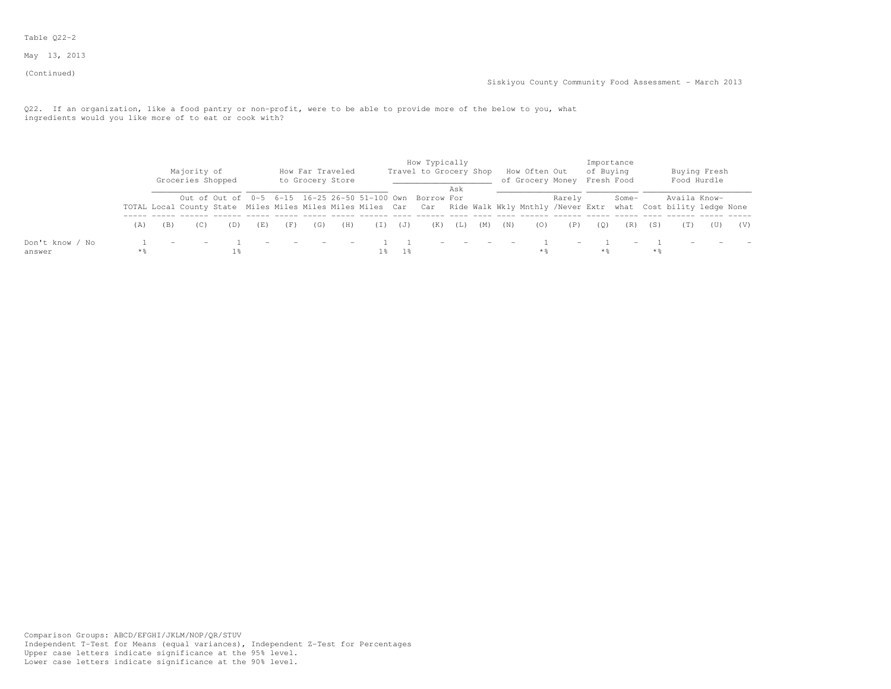### Table Q22-2

May 13, 2013

(Continued)

Q22. If an organization, like a food pantry or non-profit, were to be able to provide more of the below to you, what ingredients would you like more of to eat or cook with?

|                           |                   | Majority of<br>Groceries Shopped |     | How Far Traveled<br>to Grocery Store |     |       |       | How Typically<br>Travel to Grocery Shop                                                                                                                                                  | Ask    |     |     | How Often Out<br>of Grocery Money |                          | Importance<br>of Buying<br>Fresh Food |                          |       | Buying Fresh<br>Food Hurdle |     |     |
|---------------------------|-------------------|----------------------------------|-----|--------------------------------------|-----|-------|-------|------------------------------------------------------------------------------------------------------------------------------------------------------------------------------------------|--------|-----|-----|-----------------------------------|--------------------------|---------------------------------------|--------------------------|-------|-----------------------------|-----|-----|
|                           |                   |                                  |     |                                      |     |       |       | Out of Out of 0-5 6-15 16-25 26-50 51-100 Own Borrow For<br>TOTAL Local County State Miles Miles Miles Miles Miles Car Car Ride Walk Wkly Mnthly /Never Extr what Cost bility ledge None |        |     |     |                                   | Rarely                   |                                       | Some-                    |       | Availa Know-                |     |     |
|                           | (A)               |                                  | (E) | (G)                                  | (H) | ( I ) | (J)   | (K)                                                                                                                                                                                      | (L)    | (M) | (N) |                                   | (P)                      | (0)                                   | (R)                      | (S)   |                             | (U) | (V) |
| Don't know / No<br>answer | $*$ $\frac{6}{5}$ |                                  |     |                                      |     |       | - 1 % |                                                                                                                                                                                          | $\sim$ |     |     |                                   | $\overline{\phantom{0}}$ | * %                                   | $\overline{\phantom{0}}$ | $*$ % |                             |     |     |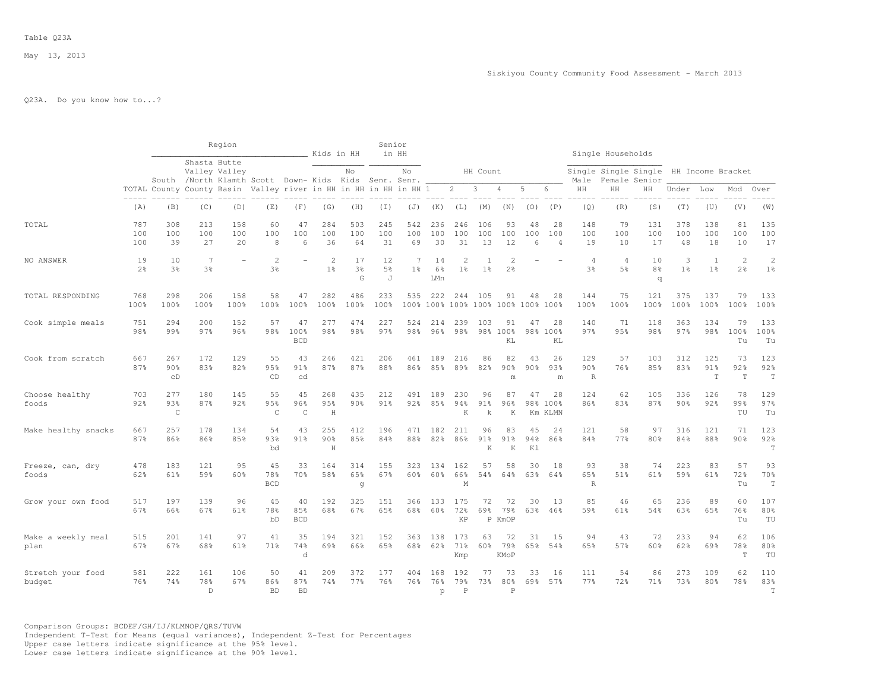# Q23A. Do you know how to...?

|                             |                   |                           |                                                                       | Region           |                          |                          | Kids in HH                       |                  | Senior           | in HH                            |                  |                                  |                      |                                  |                 |                             |                           | Single Households                |                                       |                     |                                |                       |                                  |
|-----------------------------|-------------------|---------------------------|-----------------------------------------------------------------------|------------------|--------------------------|--------------------------|----------------------------------|------------------|------------------|----------------------------------|------------------|----------------------------------|----------------------|----------------------------------|-----------------|-----------------------------|---------------------------|----------------------------------|---------------------------------------|---------------------|--------------------------------|-----------------------|----------------------------------|
|                             |                   |                           | Shasta Butte<br>South /North Klamth Scott Down- Kids Kids Senr. Senr. | Valley Valley    |                          |                          |                                  | No               |                  | No                               |                  |                                  | HH Count             |                                  |                 |                             | Male                      |                                  | Single Single Single<br>Female Senior | HH Income Bracket   |                                |                       |                                  |
|                             |                   |                           | TOTAL County County Basin Valley river in HH in HH in HH in HH 1      |                  |                          |                          |                                  |                  |                  |                                  |                  | $\overline{2}$                   | 3                    | 4                                | 5               | 6                           | HH                        | HH                               | HН                                    | Under               | Low                            | Mod                   | Over                             |
|                             | (A)               | (B)                       | (C)                                                                   | (D)              | (E)                      | (F)                      | (G)                              | (H)              | (I)              | (J)                              | (K)              | (L)                              | (M)                  | (N)                              | (0)             | (P)                         | (Q)                       | (R)                              | (S)                                   | (T)                 | (U)                            | (V)                   | (W)                              |
| TOTAL                       | 787<br>100<br>100 | 308<br>100<br>39          | 213<br>100<br>27                                                      | 158<br>100<br>20 | 60<br>100<br>8           | 47<br>100<br>6           | 284<br>100<br>36                 | 503<br>100<br>64 | 245<br>100<br>31 | 542<br>100<br>69                 | 236<br>100<br>30 | 246<br>100<br>31                 | 106<br>100<br>13     | 93<br>100<br>12                  | 48<br>100<br>6  | 28<br>100<br>$\overline{4}$ | 148<br>100<br>19          | 79<br>100<br>10                  | 131<br>100<br>17                      | 378<br>100<br>48    | 138<br>100<br>18               | 81<br>100<br>10       | 135<br>100<br>17                 |
| NO ANSWER                   | 19<br>2.8         | 10<br>3 <sup>8</sup>      | 7<br>3%                                                               |                  | $\overline{c}$<br>3%     |                          | $\overline{2}$<br>1 <sup>8</sup> | 17<br>3%<br>G    | 12<br>5%<br>J    | $\overline{7}$<br>1 <sup>8</sup> | 14<br>6%<br>LMn  | $\overline{c}$<br>1 <sup>°</sup> | -1<br>1 <sup>°</sup> | $\overline{c}$<br>2 <sup>°</sup> |                 |                             | $\overline{4}$<br>3%      | $\overline{4}$<br>5 <sup>8</sup> | 10<br>8 <sup>°</sup><br>q             | 3<br>1 <sup>°</sup> | $\mathbf{1}$<br>1 <sup>8</sup> | $\overline{c}$<br>2.8 | $\overline{c}$<br>1 <sup>°</sup> |
| TOTAL RESPONDING            | 768<br>100%       | 298<br>100%               | 206<br>100%                                                           | 158<br>100%      | 58<br>100%               | 47<br>100%               | 282<br>100%                      | 486<br>100%      | 233<br>100%      | 535                              | 222<br>100% 100% | 244                              | 105                  | 91<br>100% 100% 100% 100% 100%   | 48              | 28                          | 144<br>100%               | 75<br>100%                       | 121<br>100%                           | 375<br>100%         | 137<br>100%                    | 79<br>100%            | 133<br>100%                      |
| Cook simple meals           | 751<br>98%        | 294<br>99%                | 200<br>97%                                                            | 152<br>96%       | 57<br>98%                | 47<br>100%<br><b>BCD</b> | 277<br>98%                       | 474<br>98%       | 227<br>97%       | 524<br>98%                       | 214<br>96%       | 239<br>98%                       | 103                  | 91<br>98% 100%<br>KL             | 47              | 28<br>98% 100%<br>KL        | 140<br>97%                | 71<br>95%                        | 118<br>98%                            | 363<br>97%          | 134<br>98%                     | 79<br>100%<br>Tu      | 133<br>100%<br>Tu                |
| Cook from scratch           | 667<br>87%        | 267<br>90%<br>CD          | 172<br>83%                                                            | 129<br>82%       | 55<br>95%<br>CD          | 43<br>91%<br>cd          | 246<br>87%                       | 421<br>87%       | 206<br>88%       | 461<br>86%                       | 189<br>85%       | 216<br>89%                       | 86<br>82%            | 82<br>90%<br>m                   | 43<br>90%       | 26<br>93%<br>m              | 129<br>90%<br>$\mathbb R$ | 57<br>76%                        | 103<br>85%                            | 312<br>83%          | 125<br>91%<br>$\mathbf T$      | 73<br>92%<br>T        | 123<br>92%<br>$\mathbb T$        |
| Choose healthy<br>foods     | 703<br>92%        | 277<br>93%<br>$\mathsf C$ | 180<br>87%                                                            | 145<br>92%       | 55<br>95%<br>$\mathsf C$ | 45<br>96%<br>$\mathsf C$ | 268<br>95%<br>$\,$ H             | 435<br>$90\%$    | 212<br>91%       | 491<br>92%                       | 189<br>85%       | 230<br>94%<br>K                  | 96<br>91%<br>k       | 87<br>96%<br>K                   | 47              | 28<br>98% 100%<br>Km KLMN   | 124<br>86%                | 62<br>83%                        | 105<br>87%                            | 336<br>90%          | 126<br>92%                     | 78<br>99%<br>TU       | 129<br>97%<br>Tu                 |
| Make healthy snacks         | 667<br>87%        | 257<br>86%                | 178<br>86%                                                            | 134<br>85%       | 54<br>93%<br>bd          | 43<br>$91\%$             | 255<br>90%<br>H                  | 412<br>85%       | 196<br>84%       | 471<br>88%                       | 182<br>82%       | 211<br>86%                       | 96<br>91%<br>K       | 83<br>91%<br>K                   | 45<br>94%<br>K1 | 24<br>86%                   | 121<br>84%                | 58<br>77%                        | 97<br>80%                             | 316<br>84%          | 121<br>88%                     | 71<br>90%             | 123<br>92%<br>$\mathbb T$        |
| Freeze, can, dry<br>foods   | 478<br>62%        | 183<br>61%                | 121<br>59%                                                            | 95<br>60%        | 45<br>78%<br><b>BCD</b>  | 33<br>70%                | 164<br>58%                       | 314<br>65%<br>g  | 155<br>67%       | 323<br>60%                       | 134<br>60%       | 162<br>66%<br>M                  | 57<br>54%            | 58<br>64%                        | 30<br>63%       | 18<br>64%                   | 93<br>65%<br>$\mathbb R$  | 38<br>51%                        | 74<br>61%                             | 223<br>59%          | 83<br>61%                      | 57<br>72%<br>Tu       | 93<br>70%<br>$\mathbf T$         |
| Grow your own food          | 517<br>67%        | 197<br>66%                | 139<br>67%                                                            | 96<br>61%        | 45<br>78%<br>bD          | 40<br>85%<br><b>BCD</b>  | 192<br>68%                       | 325<br>67%       | 151<br>65%       | 366<br>68%                       | 133<br>60%       | 175<br>72%<br>KP                 | 72<br>69%            | 72<br>79%<br>P KmOP              | 30<br>63%       | 13<br>46%                   | 85<br>59%                 | 46<br>61%                        | 65<br>54%                             | 236<br>63%          | 89<br>65%                      | 60<br>76%<br>Tu       | 107<br>80%<br>TU                 |
| Make a weekly meal<br>plan  | 515<br>67%        | 201<br>67%                | 141<br>68%                                                            | 97<br>61%        | 41<br>71%                | 35<br>74%<br>d           | 194<br>69%                       | 321<br>66%       | 152<br>65%       | 363<br>68%                       | 138<br>62%       | 173<br>71%<br>Kmp                | 63<br>60%            | 72<br>79%<br>KMoP                | 31<br>65%       | 15<br>54%                   | 94<br>65%                 | 43<br>57%                        | 72<br>60%                             | 233<br>62%          | 94<br>69%                      | 62<br>78%<br>T        | 106<br>80%<br>TU                 |
| Stretch your food<br>budget | 581<br>76%        | 222<br>74%                | 161<br>78%<br>$\mathbb{D}$                                            | 106<br>67%       | 50<br>86%<br><b>BD</b>   | 41<br>87%<br><b>BD</b>   | 209<br>74%                       | 372<br>77%       | 177<br>76%       | 404<br>76%                       | 168<br>76%<br>p  | 192<br>79%<br>$\mathbf P$        | 77<br>73%            | 73<br>80%<br>P                   | 33              | 16<br>69% 57%               | 111<br>77%                | 54<br>72%                        | 86<br>71%                             | 273<br>73%          | 109<br>80%                     | 62<br>78%             | 110<br>83%<br>T                  |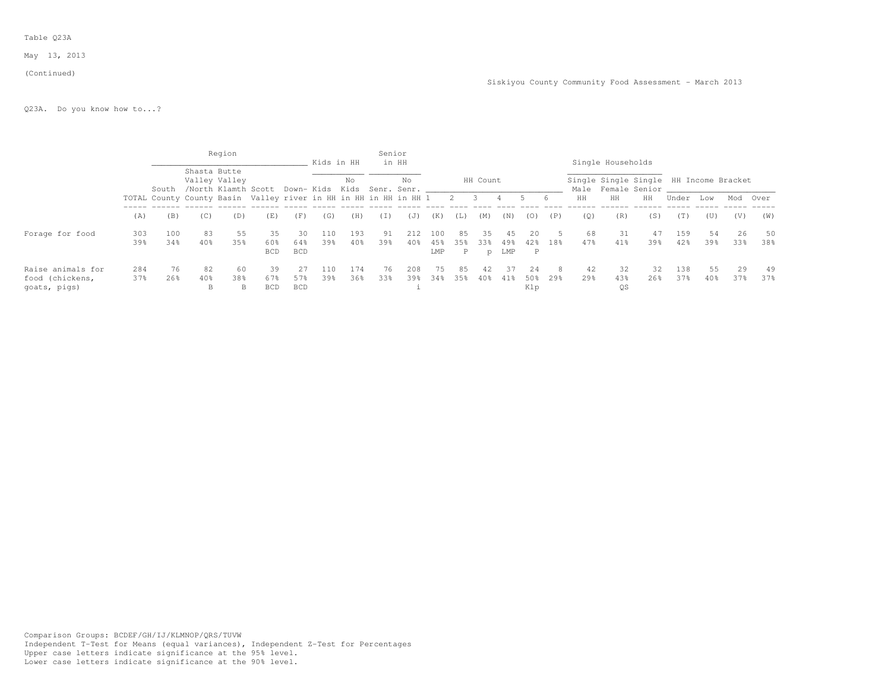#### Table Q23A

### May 13, 2013

#### (Continued)

Q23A. Do you know how to...?

|                                 |     |       |              | Region                                                           |                   |                   | Kids in HH |     | Senior   | in HH             |            |          |                          |            |            |     |                 | Single Households |                                                              |       |        |     |      |
|---------------------------------|-----|-------|--------------|------------------------------------------------------------------|-------------------|-------------------|------------|-----|----------|-------------------|------------|----------|--------------------------|------------|------------|-----|-----------------|-------------------|--------------------------------------------------------------|-------|--------|-----|------|
|                                 |     | South | Shasta Butte | Valley Valley<br>/North Klamth Scott Down- Kids Kids             |                   |                   |            | No  |          | No<br>Senr. Senr. |            |          | HH Count                 |            |            |     |                 |                   | Single Single Single HH Income Bracket<br>Male Female Senior |       |        |     |      |
|                                 |     |       |              | TOTAL County County Basin Valley river in HH in HH in HH in HH 1 |                   |                   |            |     |          |                   |            | 2        | $\overline{\phantom{a}}$ | 4          |            | 6   | HH              | HH                | HH                                                           | Under | Low    | Mod | Over |
|                                 | (A) | (B)   | (C)          | (D)                                                              | (E)               | (F)               | (G)        | (H) | $(\top)$ | (J)               | (K)        | $(\bot)$ | (M)                      | (N)        | (0)        | (P) | (0)             | (R)               | (S)                                                          | (T)   | (U)    | (V) | (W)  |
| Forage for food                 | 303 | 100   | 83           | 55                                                               | 35                | 30                | 110        | 193 | 91       | 2.12              | 100        | 85       | 35                       | 45         | 20.        |     | 68              | 31                | 47                                                           | 159   | 54     | 26  | 50   |
|                                 | 39% | 34%   | 40%          | 35%                                                              | 60%<br><b>BCD</b> | 64%<br><b>BCD</b> | 39%        | 40% | 39%      | $40\%$            | 45%<br>LMP | 35%<br>P | 33%<br>D                 | 49%<br>LMP | 42.8<br>P  | 18% | 47%             | 41%               | 39%                                                          | 42%   | 39%    | 33% | 38%  |
| Raise animals for               | 284 | 76    | 82           | 60                                                               | 39                | 27                | 110        | 174 | 76.      | 208               | 75.        | 85       | 42                       | 37         | 2.4        | 8   | 42              | 32                | 32                                                           | 138   | 55     | 29  | 49   |
| food (chickens,<br>goats, pigs) | 37% | 26%   | 40%<br>B     | 38%<br>B                                                         | 67%<br><b>BCD</b> | 57%<br><b>BCD</b> | 39%        | 36% | 33%      | 39%               | 34%        | 35%      | 40%                      | 41%        | 50%<br>Klp | 29% | 29 <sub>8</sub> | 43%<br><b>OS</b>  | 26%                                                          | 37%   | $40\%$ | 37% | 37%  |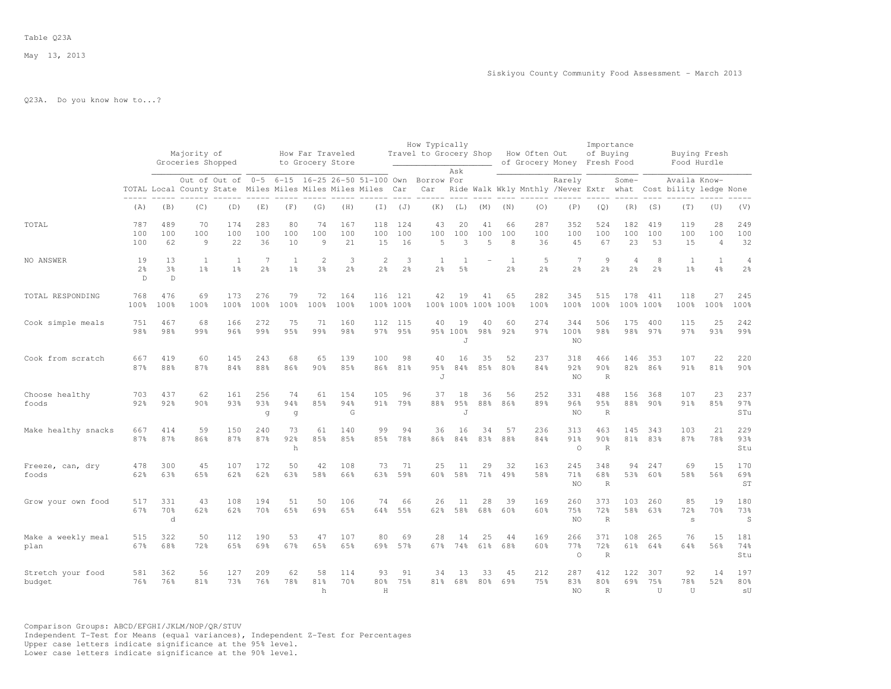#### Table Q23A

May 13, 2013

# Q23A. Do you know how to...?

|                             |                                      |                           | Majority of<br>Groceries Shopped<br>Out of Out of      |                     |                     |                      | How Far Traveled<br>to Grocery Store |                     |                                 |                  | How Typically<br>Travel to Grocery Shop | Ask                  |                |                | How Often Out        | of Grocery Money                            | Importance<br>of Buying<br>Fresh Food |                     |                     | Buying Fresh<br>Food Hurdle            |                             |                                  |
|-----------------------------|--------------------------------------|---------------------------|--------------------------------------------------------|---------------------|---------------------|----------------------|--------------------------------------|---------------------|---------------------------------|------------------|-----------------------------------------|----------------------|----------------|----------------|----------------------|---------------------------------------------|---------------------------------------|---------------------|---------------------|----------------------------------------|-----------------------------|----------------------------------|
|                             |                                      |                           | TOTAL Local County State Miles Miles Miles Miles Miles |                     |                     |                      |                                      |                     | 0-5 6-15 16-25 26-50 51-100 Own | Car              | Borrow For<br>Car                       |                      |                |                |                      | Rarely<br>Ride Walk Wkly Mnthly /Never Extr |                                       | Some-<br>what       |                     | Availa Know-<br>Cost bility ledge None |                             |                                  |
|                             | (A)                                  | (B)                       | (C)                                                    | (D)                 | (E)                 | (F)                  | (G)                                  | (H)                 | $(\top)$                        | (J)              | (K)                                     | (L)                  | (M)            | (N)            | (0)                  | (P)                                         | (Q)                                   | (R)                 | (S)                 | (T)                                    | (U)                         | (V)                              |
| TOTAL                       | 787<br>100<br>100                    | 489<br>100<br>62          | 70<br>100<br>9                                         | 174<br>100<br>22    | 283<br>100<br>36    | 80<br>100<br>10      | 74<br>100<br>9                       | 167<br>100<br>21    | 118<br>100<br>15                | 124<br>100<br>16 | 43<br>100<br>5                          | 20<br>100<br>3       | 41<br>100<br>5 | 66<br>100<br>8 | 287<br>100<br>36     | 352<br>100<br>45                            | 524<br>100<br>67                      | 182<br>100<br>23    | 419<br>100<br>53    | 119<br>100<br>15                       | 28<br>100<br>$\overline{4}$ | 249<br>100<br>32                 |
| NO ANSWER                   | 19<br>$2\frac{6}{6}$<br>$\mathsf{D}$ | 13<br>3 <sup>8</sup><br>D | -1<br>1 <sup>°</sup>                                   | 1<br>1 <sup>°</sup> | 7<br>$2\frac{6}{6}$ | -1<br>1 <sup>°</sup> | $\overline{2}$<br>3 <sup>8</sup>     | 3<br>2 <sup>°</sup> | $\overline{c}$<br>2%            | 3<br>2%          | -1<br>2 <sup>°</sup>                    | -1<br>5 <sup>°</sup> |                | 1<br>2%        | -5<br>2 <sup>o</sup> | 7<br>$2\frac{6}{6}$                         | 9<br>2 <sup>o</sup>                   | 4<br>2 <sup>8</sup> | 8<br>$2\frac{6}{6}$ | 1<br>1 <sup>°</sup>                    | $\mathbf{1}$<br>4%          | $\overline{4}$<br>2 <sup>°</sup> |
| TOTAL RESPONDING            | 768<br>100%                          | 476<br>100%               | 69<br>100%                                             | 173<br>100%         | 276<br>100%         | 79<br>100%           | 72<br>100%                           | 164<br>100%         | 116<br>100% 100%                | 121              | 42                                      | 19<br>100% 100% 100% | 41             | 65<br>100%     | 282<br>100%          | 345<br>100%                                 | 515<br>100%                           | 178<br>100% 100%    | 411                 | 118<br>100%                            | 27<br>100%                  | 245<br>100%                      |
| Cook simple meals           | 751<br>98%                           | 467<br>98%                | 68<br>99%                                              | 166<br>96%          | 272<br>99%          | 75<br>95%            | 71<br>99%                            | 160<br>98%          | 112<br>97%                      | 115<br>95%       | 40                                      | 19<br>95% 100%<br>J  | 40<br>98%      | 60<br>92%      | 274<br>97%           | 344<br>100%<br>NO.                          | 506<br>98%                            | 175<br>98%          | 400<br>97%          | 115<br>97%                             | 25<br>93%                   | 242<br>99%                       |
| Cook from scratch           | 667<br>87%                           | 419<br>88%                | 60<br>87%                                              | 145<br>84%          | 243<br>88%          | 68<br>86%            | 65<br>90 <sub>8</sub>                | 139<br>85%          | 100<br>86%                      | 98<br>81%        | 40<br>95%<br>J                          | 16<br>84%            | 35<br>85%      | 52<br>80%      | 237<br>84%           | 318<br>92%<br>NO.                           | 466<br>90%<br>$\mathbb{R}$            | 146<br>82%          | 353<br>86%          | 107<br>91%                             | 22<br>81%                   | 220<br>90%                       |
| Choose healthy<br>foods     | 703<br>92%                           | 437<br>92%                | 62<br>90%                                              | 161<br>93%          | 256<br>93%<br>g     | 74<br>94%<br>g       | 61<br>85%                            | 154<br>94%<br>G     | 105<br>$91\%$                   | 96<br>79%        | 37<br>88%                               | 18<br>95%<br>J.      | 36<br>88%      | 56<br>86%      | 252<br>89%           | 331<br>96%<br>NO.                           | 488<br>95%<br>$\mathbb{R}$            | 156<br>88%          | 368<br>90%          | 107<br>91%                             | 23<br>85%                   | 237<br>97%<br>STu                |
| Make healthy snacks         | 667<br>87%                           | 414<br>87%                | 59<br>86%                                              | 150<br>87%          | 240<br>87%          | 73<br>92%<br>h       | 61<br>85%                            | 140<br>85%          | 99<br>85%                       | 94<br>78%        | 36<br>86%                               | 16<br>84%            | 34<br>83%      | 57<br>88%      | 236<br>84%           | 313<br>91%<br>$\circ$                       | 463<br>90%<br>$\mathbb{R}$            | 145<br>81%          | 343<br>83%          | 103<br>87%                             | 21<br>78%                   | 229<br>93%<br>Stu                |
| Freeze, can, dry<br>foods   | 478<br>62%                           | 300<br>63%                | 45<br>65%                                              | 107<br>62%          | 172<br>62%          | 50<br>63%            | 42<br>58%                            | 108<br>66%          | 73<br>63%                       | 71<br>59%        | 25<br>60%                               | 11<br>58%            | 29<br>71%      | 32<br>49%      | 163<br>58%           | 245<br>71%<br>NO                            | 348<br>68%<br>$\mathbb{R}$            | 94<br>53%           | 247<br>60%          | 69<br>58%                              | 15<br>56%                   | 170<br>69%<br>ST                 |
| Grow your own food          | 517<br>67%                           | 331<br>70%<br>d           | 43<br>62%                                              | 108<br>62%          | 194<br>70%          | 51<br>65%            | 50<br>69%                            | 106<br>65%          | 74<br>64%                       | 66<br>55%        | 26<br>62%                               | 11<br>58%            | 28<br>68%      | 39<br>60%      | 169<br>60%           | 260<br>75%<br>NO                            | 373<br>72%<br>$\mathbb{R}$            | 103<br>58%          | 260<br>63%          | 85<br>72%<br>$\mathbb S$               | 19<br>70%                   | 180<br>73%<br>S                  |
| Make a weekly meal<br>plan  | 515<br>67%                           | 322<br>68%                | 50<br>72%                                              | 112<br>65%          | 190<br>69%          | 53<br>67%            | 47<br>65%                            | 107<br>65%          | 80<br>69%                       | 69<br>57%        | 28<br>67%                               | 14<br>74%            | 25<br>61%      | 44<br>68%      | 169<br>60%           | 266<br>77%<br>$\circ$                       | 371<br>72%<br>$\mathbb{R}$            | 108<br>61%          | 265<br>64%          | 76<br>64%                              | 15<br>56%                   | 181<br>74%<br>Stu                |
| Stretch your food<br>budget | 581<br>76%                           | 362<br>76%                | 56<br>81%                                              | 127<br>73%          | 209<br>76%          | 62<br>78%            | 58<br>81%<br>h                       | 114<br>70%          | 93<br>80%<br>H                  | 91<br>75%        | 34<br>81%                               | 13<br>68%            | 33<br>80%      | 45<br>69%      | 212<br>75%           | 287<br>83%<br>NO.                           | 412<br>80%<br>$\mathbb{R}$            | 122<br>69%          | 307<br>75%<br>U     | 92<br>78%<br>U                         | 14<br>52%                   | 197<br>80%<br>sU                 |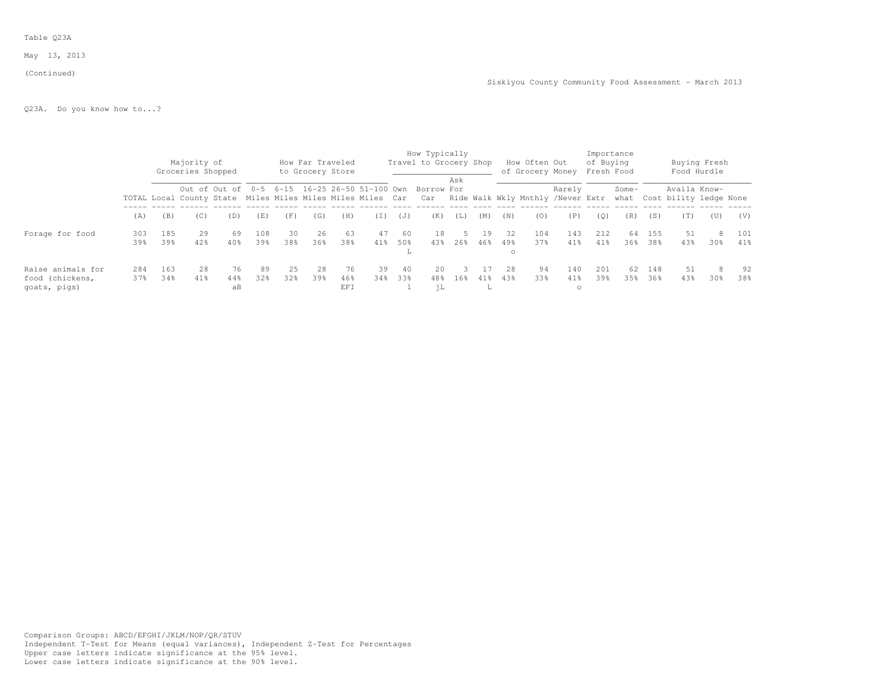#### Table Q23A

May 13, 2013

#### (Continued)

Q23A. Do you know how to...?

|                                                      |             |            | Majority of<br>Groceries Shopped |                                                                                                                                                                                |            |           |           | How Far Traveled<br>to Grocery Store |           |                   | How Typically<br>Travel to Grocery Shop |     |           |                       | How Often Out<br>of Grocery Money Fresh Food |                          | of Buying   | Importance |            |              | Buying Fresh<br>Food Hurdle |            |
|------------------------------------------------------|-------------|------------|----------------------------------|--------------------------------------------------------------------------------------------------------------------------------------------------------------------------------|------------|-----------|-----------|--------------------------------------|-----------|-------------------|-----------------------------------------|-----|-----------|-----------------------|----------------------------------------------|--------------------------|-------------|------------|------------|--------------|-----------------------------|------------|
|                                                      |             |            |                                  |                                                                                                                                                                                |            |           |           |                                      |           |                   | Borrow For                              | Ask |           |                       |                                              | Rarely                   |             | Some-      |            | Availa Know- |                             |            |
|                                                      | (A)         | (B)        | (C)                              | Out of Out of 0-5 6-15 16-25 26-50 51-100 Own<br>TOTAL Local County State Miles Miles Miles Miles Car Car Ride Walk Wkly Mnthly /Never Extr what Cost bility ledge None<br>(D) |            | (F)       | (G)       | (H)                                  | (I)       | (J)               | (K)                                     | (L) | (M)       | (N)                   | (0)                                          | (P)                      | (0)         | (R)        | (S)        | (T)          | (U)                         | (V)        |
| Forage for food                                      | 303<br>39%  | 185<br>39% | 29<br>42%                        | 69<br>40%                                                                                                                                                                      | 108<br>39% | 30<br>38% | 26<br>36% | 63<br>38%                            | 47<br>41% | - 60<br>50%<br>ш. | 18<br>43%                               | 26% | 19<br>46% | -32<br>49%<br>$\circ$ | 104<br>37%                                   | 143<br>41%               | 2.12<br>41% | 64<br>36%  | 155<br>38% | 51<br>43%    | 8<br>30%                    | 101<br>41% |
| Raise animals for<br>food (chickens,<br>qoats, piqs) | 2.84<br>37% | 163<br>34% | 2.8<br>$41\%$                    | 76<br>44%<br>aB                                                                                                                                                                | 89<br>32%  | 25<br>32% | 28<br>39% | 76<br>46%<br>EFI                     | 39<br>34% | 40<br>33%         | 20<br>48%<br>ήL                         | 16% | 41%<br>л. | 2.8<br>43%            | 94<br>33%                                    | 140<br>$41\%$<br>$\circ$ | 2.01<br>39% | 62.<br>35% | 148<br>36% | 51<br>43%    | 8<br>30%                    | 92<br>38%  |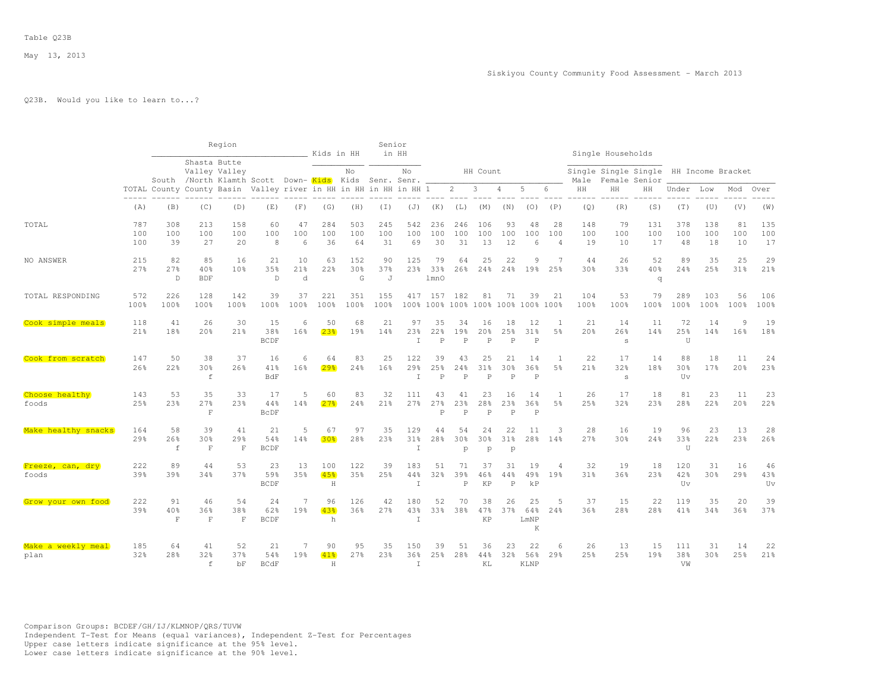# Q23B. Would you like to learn to...?

|                            |                   |                                                                  |                          | Region                                                                |                              |                       | Kids in HH            |                  | Senior           | in HH                |                           |                           |                                       |                           |                               |                             |                  | Single Households |                                       |                           |                   |                     |                  |
|----------------------------|-------------------|------------------------------------------------------------------|--------------------------|-----------------------------------------------------------------------|------------------------------|-----------------------|-----------------------|------------------|------------------|----------------------|---------------------------|---------------------------|---------------------------------------|---------------------------|-------------------------------|-----------------------------|------------------|-------------------|---------------------------------------|---------------------------|-------------------|---------------------|------------------|
|                            |                   |                                                                  | Shasta Butte             | Valley Valley<br>South /North Klamth Scott Down-Kids Kids Senr. Senr. |                              |                       |                       | No               |                  | No                   |                           |                           | HH Count                              |                           |                               |                             | Male             |                   | Single Single Single<br>Female Senior |                           | HH Income Bracket |                     |                  |
|                            |                   | TOTAL County County Basin Valley river in HH in HH in HH in HH 1 |                          |                                                                       |                              |                       |                       |                  |                  |                      |                           | $\overline{2}$            | 3                                     | 4                         | 5                             | 6                           | HH               | HH                | ΗH                                    | Under                     | Low               | Mod                 | Over             |
|                            | (A)               | (B)                                                              | (C)                      | (D)                                                                   | (E)                          | (F)                   | (G)                   | (H)              | (T)              | (J)                  | (K)                       | (L)                       | (M)                                   | (N)                       | (0)                           | (P)                         | (Q)              | (R)               | (S)                                   | (T)                       | (U)               | (V)                 | (W)              |
| TOTAL                      | 787<br>100<br>100 | 308<br>100<br>39                                                 | 213<br>100<br>27         | 158<br>100<br>20                                                      | 60<br>100<br>8               | 47<br>100<br>6        | 284<br>100<br>36      | 503<br>100<br>64 | 245<br>100<br>31 | 542<br>100<br>69     | 236<br>100<br>30          | 246<br>100<br>31          | 106<br>100<br>13                      | 93<br>100<br>12           | 48<br>100<br>6                | 28<br>100<br>$\overline{4}$ | 148<br>100<br>19 | 79<br>100<br>10   | 131<br>100<br>17                      | 378<br>100<br>48          | 138<br>100<br>18  | 81<br>100<br>10     | 135<br>100<br>17 |
| NO ANSWER                  | 215<br>27%        | 82<br>27%<br>$\mathbb D$                                         | 85<br>40%<br><b>BDF</b>  | 16<br>10 <sup>8</sup>                                                 | 21<br>3.5%<br>$\overline{D}$ | 10<br>21%<br>d        | 63<br>22%             | 152<br>30%<br>G  | 90<br>37%<br>J   | 125<br>23%           | 79<br>33%<br>1mnO         | 64<br>26%                 | 25<br>24%                             | 22<br>24%                 | 9<br>19%                      | 7<br>25%                    | 44<br>30%        | 26<br>33%         | 52<br>40%<br>q                        | 89<br>24%                 | 35<br>25%         | 25<br>31%           | 29<br>21%        |
| TOTAL RESPONDING           | 572<br>100%       | 226<br>100%                                                      | 128<br>100%              | 142<br>100%                                                           | 39<br>100%                   | 37<br>100%            | 221<br>100%           | 351<br>100%      | 155<br>100%      | 417                  | 157<br>100% 100%          | 182<br>100%               | 81<br>100% 100%                       | 71                        | 39<br>100%                    | 21<br>100%                  | 104<br>100%      | 53<br>100%        | 79<br>100%                            | 289<br>100%               | 103<br>100%       | 56<br>100%          | 106<br>100%      |
| Cook simple meals          | 118<br>21%        | 41<br>18%                                                        | 26<br>20%                | 30<br>21%                                                             | 15<br>38%<br><b>BCDF</b>     | 6<br>16%              | 50<br>23 <sup>8</sup> | 68<br>19%        | 21<br>14%        | 97<br>23%<br>$\top$  | 35<br>22%<br>Þ            | 34<br>19%<br>$\mathsf{P}$ | 16<br>20 <sub>8</sub><br>$\mathsf{P}$ | 18<br>25%<br>D            | 12<br>31%<br>$\mathsf{P}$     | 1<br>5 <sup>°</sup>         | 21<br>20%        | 14<br>26%<br>s    | 11<br>14%                             | 72<br>25%<br>U            | 14<br>14%         | $\mathsf{Q}$<br>16% | 19<br>18%        |
| Cook from scratch          | 147<br>26%        | 50<br>22%                                                        | 38<br>30%<br>$\mathbf f$ | 37<br>26%                                                             | 16<br>41%<br>BdF             | 6<br>16%              | 64<br>29 <sub>8</sub> | 83<br>24%        | 25<br>16%        | 122<br>29%<br>T      | 39<br>25%<br>$\mathsf{P}$ | 43<br>24%<br>$\mathsf{P}$ | 25<br>31%<br>$\mathsf{P}$             | 21<br>30%<br>P            | 14<br>36%<br>$\mathsf{P}$     | 1<br>5 <sup>°</sup>         | 22<br>21%        | 17<br>32%<br>s    | 14<br>18%                             | 88<br>30%<br>Uv           | 18<br>17%         | 11<br>20%           | 24<br>23%        |
| Choose healthy<br>foods    | 143<br>25%        | 53<br>23%                                                        | 35<br>27%<br>$\mathbf F$ | 33<br>23%                                                             | 17<br>44%<br><b>BCDF</b>     | 14%                   | 60<br>2.7%            | 83<br>24%        | 32<br>21%        | 111<br>27%           | 43<br>27%<br>Þ            | 41<br>23%<br>P            | 23<br>28%<br>$\mathsf{P}$             | 16<br>23%<br>$\mathsf{P}$ | 14<br>36%<br>$\, {\mathbb P}$ | 5%                          | 26<br>25%        | 17<br>32%         | 18<br>23%                             | 81<br>28%                 | 23<br>22%         | 11<br>20%           | 23<br>22%        |
| Make healthy snacks        | 164<br>29%        | 58<br>26%<br>$\mathbf f$                                         | 39<br>30%<br>$\mathbf F$ | 41<br>29%<br>$\mathbf F$                                              | 21<br>54%<br>BCDF            | 5<br>14%              | 67<br>30 <sub>8</sub> | 97<br>28%        | 35<br>23%        | 129<br>31%<br>$\top$ | 44<br>28%                 | 54<br>30%<br>p            | 24<br>30%<br>p                        | 22<br>31%<br>p            | 11<br>28%                     | 3<br>14%                    | 28<br>27%        | 16<br>30%         | 19<br>24%                             | 96<br>33%<br>U            | 23<br>22%         | 13<br>23%           | 28<br>26%        |
| Freeze, can, dry<br>foods  | 222<br>39%        | 89<br>39%                                                        | 44<br>34%                | 53<br>37%                                                             | 23<br>59%<br><b>BCDF</b>     | 13<br>35%             | 100<br>45%<br>H       | 122<br>35%       | 39<br>25%        | 183<br>44%<br>$\top$ | 51<br>32%                 | 71<br>39%<br>$\, {\bf P}$ | 37<br>46%<br>KP                       | 31<br>44%<br>$\, {\bf P}$ | 19<br>49%<br>kP               | $\Delta$<br>19%             | 32<br>31%        | 19<br>36%         | 18<br>23%                             | 120<br>42%<br>$_{\rm UV}$ | 31<br>30%         | 16<br>29%           | 46<br>43%<br>Uv  |
| Grow your own food         | 222<br>39%        | 91<br>40%<br>$\mathbf F$                                         | 46<br>36%<br>$\mathbf F$ | 54<br>38%<br>$\mathbf F$                                              | 24<br>62%<br><b>BCDF</b>     | $\overline{7}$<br>19% | 96<br>43%<br>h        | 126<br>36%       | 42<br>27%        | 180<br>43%<br>T.     | 52<br>33%                 | 70<br>38%                 | 38<br>47%<br>KP                       | 26<br>37%                 | 25<br>64%<br>LmNP<br>K        | .5<br>24%                   | 37<br>36%        | 15<br>2.8%        | 22<br>2.8%                            | 119<br>41%                | 35<br>34%         | 20<br>36%           | 39<br>37%        |
| Make a weekly meal<br>plan | 185<br>32%        | 64<br>28%                                                        | 41<br>32%<br>f           | 52<br>37%<br>bF                                                       | 21<br>54%<br><b>BCdF</b>     | 19%                   | 90<br>41%<br>H        | 95<br>27%        | 35<br>23%        | 150<br>36%<br>$\top$ | 39<br>25%                 | 51<br>28%                 | 36<br>44%<br>KL                       | 23<br>32%                 | 22<br>56%<br><b>KLNP</b>      | 6<br>29%                    | 26<br>25%        | 13<br>2.5%        | 15<br>19%                             | 111<br>38%<br>VW          | 31<br>30%         | 14<br>25%           | 22<br>21%        |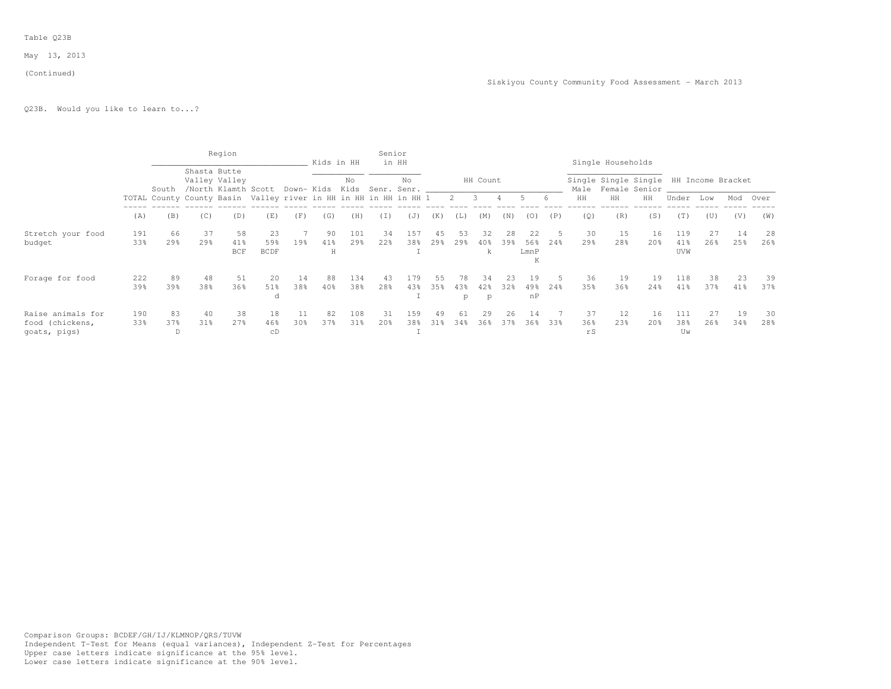#### Table Q23B

May 13, 2013

#### (Continued)

Q23B. Would you like to learn to...?

|                                      |            |           |                 | Region                                                           |                    |           | Kids in HH |                 | Senior          | in HH                             |           |                 |             |           |                  |     |                 | Single Households |                                                              |                   |           |           |           |
|--------------------------------------|------------|-----------|-----------------|------------------------------------------------------------------|--------------------|-----------|------------|-----------------|-----------------|-----------------------------------|-----------|-----------------|-------------|-----------|------------------|-----|-----------------|-------------------|--------------------------------------------------------------|-------------------|-----------|-----------|-----------|
|                                      |            | South     |                 | Shasta Butte<br>Valley Valley<br>/North Klamth Scott             |                    |           |            | No              |                 | No<br>Down- Kids Kids Senr. Senr. |           |                 | HH Count    |           |                  |     |                 |                   | Single Single Single HH Income Bracket<br>Male Female Senior |                   |           |           |           |
|                                      |            |           |                 | TOTAL County County Basin Valley river in HH in HH in HH in HH 1 |                    |           |            |                 |                 |                                   |           |                 | $2 \quad 3$ | 4         | $5^{\circ}$      | - 6 | HH              | HH                | HH                                                           | Under             | Low       | Mod       | Over      |
|                                      | (A)        | (B)       | (C)             | (D)                                                              | (E)                | (F)       | (G)        | (H)             | (I)             | (J)                               | (K)       | (L)             | (M)         | (N)       | (0)              | (P) | (0)             | (R)               | (S)                                                          | (T)               | (U)       | (V)       | (W)       |
| Stretch your food                    | 191        | 66        | 37              | 58                                                               | 23                 |           | 90         | 101             | 34              | 157                               | 45        | 53              | 32          | 28        | 22               |     | 30              | 15                | 16                                                           | 119               | 27        | 14        | 28        |
| budget                               | 33%        | 29%       | 29 <sub>8</sub> | 41%<br><b>BCF</b>                                                | 59%<br><b>BCDF</b> | 19%       | 41%<br>Н   | 29 <sub>8</sub> | 22 <sub>8</sub> | 38%                               | 29%       | 29 <sub>8</sub> | 40%         | 39%       | 56%<br>LmnP<br>K | 24% | 29 <sub>8</sub> | 28%               | 20 <sub>8</sub>                                              | 41%<br><b>UVW</b> | 26%       | 25%       | 26%       |
| Forage for food                      | 222<br>39% | 89<br>39% | 48<br>38%       | 51<br>36%                                                        | 20<br>51%          | 14<br>38% | 88<br>40%  | 134<br>38%      | 43<br>28%       | 179<br>43%                        | 55<br>35% | 78<br>43%       | 34<br>42%   | 23<br>32% | 19<br>49.8       | 24% | 36<br>35%       | 19<br>36%         | 19<br>24%                                                    | 118<br>41%        | 38<br>37% | 23<br>41% | 39<br>37% |
|                                      |            |           |                 |                                                                  | a                  |           |            |                 |                 |                                   |           | p               | p           |           | nP               |     |                 |                   |                                                              |                   |           |           |           |
| Raise animals for<br>food (chickens, | 190<br>33% | 83<br>37% | 40<br>31%       | 38<br>27%                                                        | 18<br>46%          | 11<br>30% | 82<br>37%  | 108<br>31%      | 31<br>20%       | 159<br>38%                        | 49<br>31% | 61<br>34%       | 29<br>36%   | 26<br>37% | 14<br>36%        | 33% | 37<br>36%       | 12<br>23%         | 16<br>20 <sup>8</sup>                                        | 111<br>38%        | 27<br>26% | 19<br>34% | 30<br>28% |
| goats, pigs)                         |            | D         |                 |                                                                  | сD                 |           |            |                 |                 |                                   |           |                 |             |           |                  |     | rS              |                   |                                                              | Uw                |           |           |           |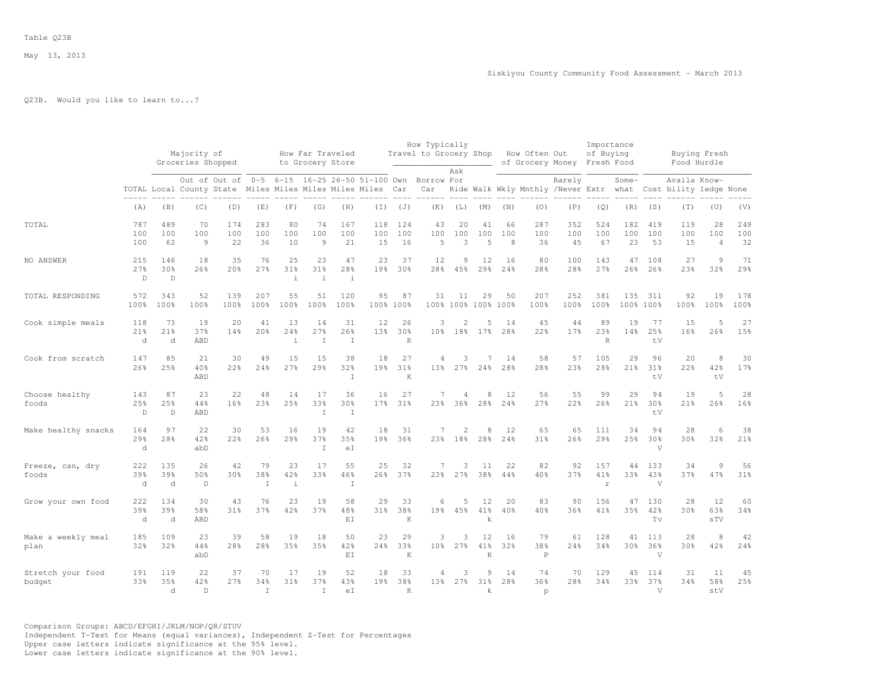# Q23B. Would you like to learn to...?

|                             |                            |                           | Majority of<br>Groceries Shopped |                                                                         |                           |                           | How Far Traveled<br>to Grocery Store |                           |                                 |                            | How Typically<br>Travel to Grocery Shop |                           |                             |                | How Often Out<br>of Grocery Money Fresh Food |                  | Importance<br>of Buying   |                  |                              | Buying Fresh<br>Food Hurdle            |                             |                  |
|-----------------------------|----------------------------|---------------------------|----------------------------------|-------------------------------------------------------------------------|---------------------------|---------------------------|--------------------------------------|---------------------------|---------------------------------|----------------------------|-----------------------------------------|---------------------------|-----------------------------|----------------|----------------------------------------------|------------------|---------------------------|------------------|------------------------------|----------------------------------------|-----------------------------|------------------|
|                             |                            |                           |                                  | Out of Out of<br>TOTAL Local County State Miles Miles Miles Miles Miles |                           |                           |                                      |                           | 0-5 6-15 16-25 26-50 51-100 Own | Car                        | Borrow For<br>Car                       | Ask                       |                             |                | Ride Walk Wkly Mnthly /Never Extr what       | Rarely           |                           | Some-            |                              | Availa Know-<br>Cost bility ledge None |                             |                  |
|                             | (A)                        | (B)                       | (C)                              | (D)                                                                     | (E)                       | (F)                       | (G)                                  | (H)                       | $(\top)$                        | (J)                        | (K)                                     | (L)                       | (M)                         | (N)            | (0)                                          | (P)              | (Q)                       | (R)              | (S)                          | (T)                                    | (U)                         | (V)              |
| TOTAL                       | 787<br>100<br>100          | 489<br>100<br>62          | 70<br>100<br>$\circ$             | 174<br>100<br>22                                                        | 283<br>100<br>36          | 80<br>100<br>10           | 74<br>100<br>$\overline{9}$          | 167<br>100<br>21          | 118<br>100<br>15                | 124<br>100<br>16           | 43<br>100<br>$\overline{5}$             | 20<br>100<br>3            | 41<br>100<br>$\overline{5}$ | 66<br>100<br>8 | 287<br>100<br>36                             | 352<br>100<br>45 | 524<br>100<br>67          | 182<br>100<br>23 | 419<br>100<br>53             | 119<br>100<br>15                       | 28<br>100<br>$\overline{4}$ | 249<br>100<br>32 |
| NO ANSWER                   | 215<br>27%<br>$\mathbb D$  | 146<br>30%<br>$\mathbb D$ | 18<br>26%                        | 35<br>20%                                                               | 76<br>27%                 | 25<br>31%<br>$\mathbf{i}$ | 23<br>31%<br>$\mathbf{i}$            | 47<br>28%<br>$\perp$      | 23<br>19%                       | 37<br>30%                  | 12<br>28%                               | 9<br>45%                  | 12<br>29%                   | 16<br>24%      | 80<br>28%                                    | 100<br>28%       | 143<br>27%                | 47<br>26%        | 108<br>26%                   | 27<br>23%                              | $\overline{9}$<br>32%       | 71<br>29%        |
| TOTAL RESPONDING            | 572<br>100%                | 343<br>100%               | 52<br>100%                       | 139<br>100%                                                             | 207<br>100%               | 55<br>100%                | 51<br>100%                           | 120<br>100%               | 95<br>100% 100%                 | 87                         | 31                                      | 11                        | 29<br>100% 100% 100% 100%   | 50             | 207<br>100%                                  | 252<br>100%      | 381<br>100%               | 135              | 311<br>100% 100%             | 92<br>100%                             | 19<br>100%                  | 178<br>100%      |
| Cook simple meals           | 118<br>21%<br>d            | 73<br>21%<br>d            | 19<br>37%<br>ABD                 | 20<br>14%                                                               | 41<br>20%                 | 13<br>24%<br>$\dot{1}$    | 14<br>27%<br>$\mathbb{I}$            | 31<br>26%<br>$\mathbb{I}$ | 12<br>13%                       | 26<br>30 <sup>8</sup><br>K | 3<br>10 <sub>3</sub>                    | 2<br>18%                  | 5<br>17%                    | 14<br>28%      | 45<br>22%                                    | 44<br>17%        | 89<br>23%<br>$\mathbb{R}$ | 19<br>14%        | 77<br>25%<br>tV              | 15<br>16%                              | 5<br>26%                    | 27<br>15%        |
| Cook from scratch           | 147<br>26%                 | 85<br>25%                 | 21<br>40%<br>ABD                 | 30<br>22%                                                               | 49<br>24%                 | 15<br>27%                 | 15<br>29%                            | 38<br>32%<br>$\mathbf I$  | 18<br>19%                       | 27<br>31%<br>K             | 4<br>13 <sub>8</sub>                    | 3<br>27%                  | 7<br>24%                    | 14<br>28%      | 58<br>28%                                    | 57<br>23%        | 105<br>28%                | 29<br>21%        | 96<br>31%<br>tV              | 20<br>22%                              | 8<br>42%<br>tV              | 30<br>17%        |
| Choose healthy<br>foods     | 143<br>25%<br>$\mathbb{D}$ | 87<br>25%<br>$\mathbb{D}$ | 23<br>44%<br>ABD                 | 22<br>16%                                                               | 48<br>23%                 | 14<br>25%                 | 17<br>33%<br>$\top$                  | 36<br>30%<br>$\mathbf I$  | 16<br>17%                       | 27<br>31%                  | $\overline{7}$<br>23%                   | $\overline{4}$<br>36%     | 8<br>28%                    | 12<br>24%      | 56<br>27%                                    | 55<br>22%        | 99<br>26%                 | 29<br>21%        | 94<br>30 <sub>8</sub><br>tV  | 19<br>21%                              | 5<br>26%                    | 28<br>16%        |
| Make healthy snacks         | 164<br>29%<br>d            | 97<br>28%                 | 22<br>42%<br>abD                 | 30<br>22%                                                               | 53<br>26%                 | 16<br>29%                 | 19<br>37%<br>$\mathbf I$             | 42<br>35%<br>eI           | 18<br>19%                       | 31<br>36%                  | 7                                       | $\overline{2}$<br>23% 18% | 8<br>28%                    | 12<br>24%      | 65<br>31%                                    | 65<br>26%        | 111<br>29%                | 34<br>25%        | 94<br>30%<br>V               | 28<br>30%                              | 6<br>32%                    | 38<br>21%        |
| Freeze, can, dry<br>foods   | 222<br>39%<br>d            | 135<br>39%<br>d           | 26<br>50%<br>D                   | 42<br>30 <sub>8</sub>                                                   | 79<br>38%<br>T            | 23<br>42%<br>$\pm$        | 17<br>33%                            | 55<br>46%<br>$\mathbf I$  | 25<br>26%                       | 32<br>37%                  | 7<br>23%                                | 3<br>27%                  | 11<br>38%                   | 22<br>44%      | 82<br>40%                                    | 92<br>37%        | 157<br>41%<br>$\Gamma$    | 44<br>33%        | 133<br>43%<br>V              | 34<br>37%                              | 9<br>47%                    | 56<br>31%        |
| Grow your own food          | 222<br>39%<br>d            | 134<br>39%<br>d           | 30<br>58%<br>ABD                 | 43<br>31%                                                               | 76<br>37%                 | 23<br>42%                 | 19<br>37%                            | 58<br>48%<br>EI           | 29<br>31%                       | 33<br>38%<br>K             | 6<br>19%                                | 5<br>45%                  | 12<br>41%<br>k              | 20<br>40%      | 83<br>40%                                    | 90<br>36%        | 156<br>41%                | 47<br>35%        | 130<br>42%<br>Tv             | 28<br>30 <sup>8</sup>                  | 12<br>63%<br>sTV            | 60<br>34%        |
| Make a weekly meal<br>plan  | 185<br>32%                 | 109<br>32%                | 23<br>44%<br>abD                 | 39<br>28%                                                               | 58<br>28 <sup>8</sup>     | 19<br>35%                 | 18<br>35%                            | 50<br>42%<br>EI           | 23<br>24%                       | 29<br>33%<br>K             | 3<br>10 <sup>8</sup>                    | 3<br>27%                  | 12<br>41%<br>K              | 16<br>32%      | 79<br>38%<br>$\mathbf P$                     | 61<br>24%        | 128<br>34%                | 41<br>30%        | 113<br>36%<br>V              | 28<br>30 <sup>8</sup>                  | 8<br>42%                    | 42<br>24%        |
| Stretch your food<br>budget | 191<br>33%                 | 119<br>35%<br>d           | 22<br>42%<br>$\mathsf{D}$        | 37<br>27%                                                               | 70<br>34%<br>$\mathsf{T}$ | 17<br>31%                 | 19<br>37%<br>$\top$                  | 52<br>43%<br>eI           | 18<br>19 <sub>8</sub>           | 33<br>38%<br>K             | 4                                       | 3<br>13% 27%              | 9<br>31%<br>k               | 14<br>28%      | 74<br>36%<br>p                               | 70<br>28%        | 129<br>34%                | 45<br>33%        | 114<br>37%<br>$\overline{V}$ | 31<br>34%                              | 11<br>58%<br>stV            | 45<br>25%        |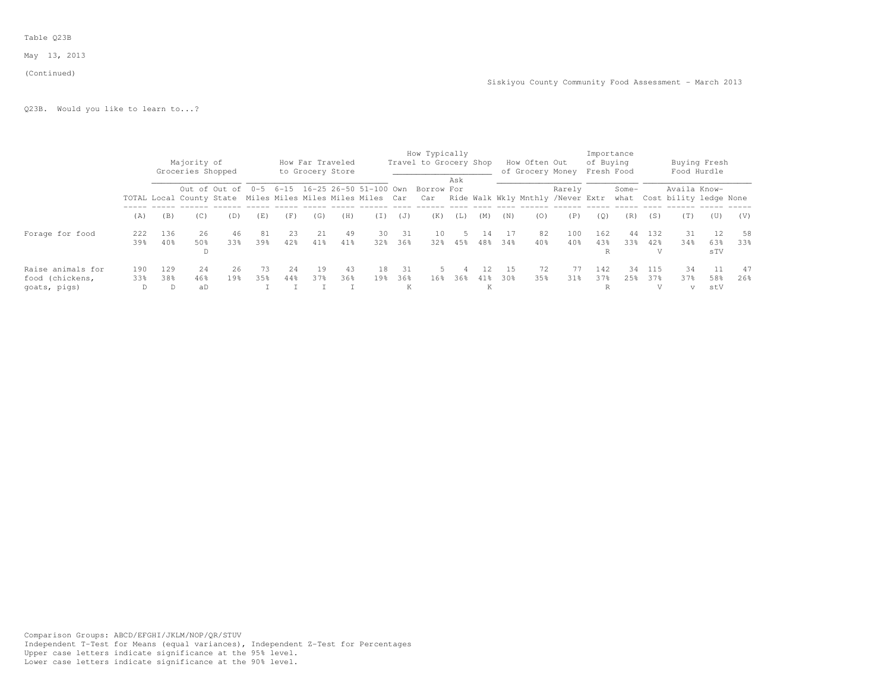#### Table Q23B

May 13, 2013

#### (Continued)

Q23B. Would you like to learn to...?

|                                                      |            |            | Majority of<br>Groceries Shopped |                                                                                                                                                                         |           |            |           | How Far Traveled<br>to Grocery Store |           |                | How Typically<br>Travel to Grocery Shop |     |                |            | How Often Out<br>of Grocery Money |              | Importance<br>of Buying<br>Fresh Food |            |            |                | Buying Fresh<br>Food Hurdle |           |
|------------------------------------------------------|------------|------------|----------------------------------|-------------------------------------------------------------------------------------------------------------------------------------------------------------------------|-----------|------------|-----------|--------------------------------------|-----------|----------------|-----------------------------------------|-----|----------------|------------|-----------------------------------|--------------|---------------------------------------|------------|------------|----------------|-----------------------------|-----------|
|                                                      |            |            |                                  | Out of Out of 0-5 6-15 16-25 26-50 51-100 Own<br>TOTAL Local County State Miles Miles Miles Miles Car Car Ride Walk Wkly Mnthly /Never Extr what Cost bility ledge None |           |            |           |                                      |           |                | Borrow For                              | Ask |                |            |                                   | Rarely       |                                       | Some-      |            | Availa Know-   |                             |           |
|                                                      | (A)        | (B)        | (C)                              | (D)                                                                                                                                                                     | (E)       | (F)        | (G)       | (H)                                  | (I)       | (J)            | (K)                                     | (L) | (M)            | (N)        | (0)                               | (P)          | (0)                                   | (R)        | (S)        | (T)            | (U)                         | (V)       |
| Forage for food                                      | 222<br>39% | 136<br>40% | 26<br>50%<br>D                   | 46<br>33%                                                                                                                                                               | 81<br>39% | 23<br>42%  | 21<br>41% | -49<br>41%                           | 30<br>32% | - 31<br>36%    | 10<br>32 <sub>8</sub>                   | 45% | 14<br>48%      | -17<br>34% | 82<br>40%                         | 100<br>40%   | 162<br>43%<br>R                       | 44<br>33%  | 132<br>42% | 31<br>34%      | 12<br>63%<br>sTV            | 58<br>33% |
| Raise animals for<br>food (chickens,<br>qoats, piqs) | 190<br>33% | 129<br>38% | 2.4<br>46%<br>aD                 | 26<br>19 <sub>8</sub>                                                                                                                                                   | 73<br>35% | 2.4<br>44% | 19<br>37% | 43<br>36%                            | 18<br>19% | 31<br>36%<br>К | 16%                                     | 36% | 12<br>41%<br>К | -15<br>30% | 72<br>35%                         | 77<br>$31\%$ | 142<br>37%<br>R                       | 34<br>2.5% | 115<br>37% | 34<br>37%<br>V | 58%<br>stV                  | 47<br>26% |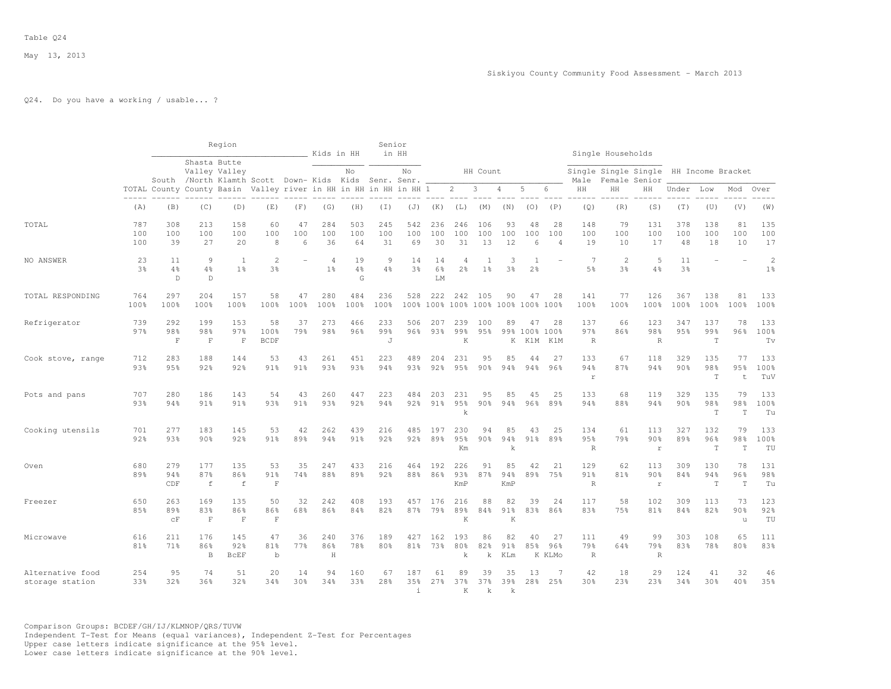# Q24. Do you have a working / usable... ?

|                                     |                      |                           |                                                                       | Region                    |                           |                | Kids in HH                       |                        | Senior           | in HH                    |                  |                           |                          |                          |                              |                             |                           | Single Households                |                                       |                      |                           |                          |                                  |
|-------------------------------------|----------------------|---------------------------|-----------------------------------------------------------------------|---------------------------|---------------------------|----------------|----------------------------------|------------------------|------------------|--------------------------|------------------|---------------------------|--------------------------|--------------------------|------------------------------|-----------------------------|---------------------------|----------------------------------|---------------------------------------|----------------------|---------------------------|--------------------------|----------------------------------|
|                                     |                      |                           | Shasta Butte<br>South /North Klamth Scott Down- Kids Kids Senr. Senr. | Valley Valley             |                           |                |                                  | No                     |                  | No                       |                  |                           | HH Count                 |                          |                              |                             | Male                      |                                  | Single Single Single<br>Female Senior |                      | HH Income Bracket         |                          |                                  |
|                                     |                      |                           | TOTAL County County Basin Valley river in HH in HH in HH in HH 1      |                           |                           |                |                                  |                        |                  |                          |                  | $\overline{2}$            | 3                        | $\overline{4}$           | 5                            | 6                           | HH                        | HH                               | HH                                    | Under                | Low                       | Mod                      | Over                             |
|                                     | (A)                  | (B)                       | (C)                                                                   | (D)                       | (E)                       | (F)            | (G)                              | (H)                    | (T)              | (J)                      | (K)              | (L)                       | (M)                      | (N)                      | (0)                          | (P)                         | (Q)                       | (R)                              | (S)                                   | (T)                  | (U)                       | (V)                      | (W)                              |
| TOTAL                               | 787<br>100<br>100    | 308<br>100<br>39          | 213<br>100<br>27                                                      | 158<br>100<br>20          | 60<br>100<br>8            | 47<br>100<br>6 | 284<br>100<br>36                 | 503<br>100<br>64       | 245<br>100<br>31 | 542<br>100<br>69         | 236<br>100<br>30 | 246<br>100<br>31          | 106<br>100<br>13         | 93<br>100<br>12          | 48<br>100<br>6               | 28<br>100<br>$\overline{4}$ | 148<br>100<br>19          | 79<br>100<br>10                  | 131<br>100<br>17                      | 378<br>100<br>48     | 138<br>100<br>18          | 81<br>100<br>10          | 135<br>100<br>17                 |
| NO ANSWER                           | 23<br>3 <sup>8</sup> | 11<br>4%<br>$\mathbb D$   | 9<br>4%<br>D                                                          | 1<br>1 <sup>°</sup>       | $\overline{c}$<br>3%      |                | $\overline{4}$<br>1 <sup>8</sup> | 19<br>4%<br>G          | 9<br>4%          | 14<br>3%                 | 14<br>6%<br>LM   | 4<br>2 <sup>°</sup>       | 1 <sup>°</sup>           | 3<br>3 <sup>8</sup>      | -1<br>2 <sup>°</sup>         |                             | 7<br>5%                   | $\overline{2}$<br>3 <sup>8</sup> | 5<br>4%                               | 11<br>3 <sup>8</sup> |                           |                          | $\overline{2}$<br>$1\frac{6}{9}$ |
| TOTAL RESPONDING                    | 764<br>100%          | 297<br>100%               | 204<br>100%                                                           | 157<br>100%               | 58<br>100%                | 47<br>100%     | 280<br>100%                      | 484<br>100%            | 236<br>100%      | 528                      | 222<br>100% 100% | 242                       | 105                      | 90<br>100% 100% 100%     | 47<br>100% 100%              | 28                          | 141<br>100%               | 77<br>100%                       | 126<br>100%                           | 367<br>100%          | 138<br>100%               | 81<br>100%               | 133<br>100%                      |
| Refrigerator                        | 739<br>97%           | 292<br>98%<br>$\mathbf F$ | 199<br>98%<br>$\mathbf F$                                             | 153<br>97%<br>F           | 58<br>100%<br><b>BCDF</b> | 37<br>79%      | 273<br>98%                       | 466<br>96%             | 233<br>99%<br>J  | 506<br>96%               | 207<br>93%       | 239<br>99%<br>K           | 100<br>95%               | 89                       | 47<br>99% 100% 100%<br>K KlM | 28<br>KlM                   | 137<br>97%<br>$\,$ R      | 66<br>86%                        | 123<br>98%<br>$\overline{R}$          | 347<br>95%           | 137<br>99%<br>$\mathbb T$ | 78<br>96%                | 133<br>100%<br>Tv                |
| Cook stove, range                   | 712<br>93%           | 283<br>95%                | 188<br>92%                                                            | 144<br>92%                | 53<br>91%                 | 43<br>$91\%$   | 261<br>93%                       | 451<br>93%             | 223<br>94%       | 489<br>93%               | 204<br>92%       | 231<br>95%                | 95<br>90%                | 85<br>$94\%$             | 44<br>94%                    | 27<br>96%                   | 133<br>94%<br>$\Gamma$    | 67<br>87%                        | 118<br>94%                            | 329<br>90%           | 135<br>98%<br>$\mathbf T$ | 77<br>95%<br>$\pm$       | 133<br>100%<br>TuV               |
| Pots and pans                       | 707<br>93%           | 280<br>94%                | 186<br>91%                                                            | 143<br>91 <sub>8</sub>    | 54<br>9.3%                | 43<br>91%      | 260<br>93%                       | 447<br>92%             | 223<br>94%       | 484<br>92%               | 203<br>91%       | 231<br>95%<br>k           | 95<br>90%                | 85<br>94%                | 45<br>96%                    | 25<br>89%                   | 133<br>94%                | 68<br>88%                        | 119<br>94%                            | 329<br>90%           | 135<br>98%<br>$\mathbf T$ | 79<br>98%<br>T           | 133<br>100%<br>Tu                |
| Cooking utensils                    | 701<br>92%           | 277<br>9.3%               | 183<br>90%                                                            | 145<br>92%                | 53<br>91%                 | 42<br>89%      | 262<br>94%                       | 439<br>91%             | 216<br>92%       | 485<br>92%               | 197<br>89%       | 230<br>95%<br>Km          | 94<br>90 <sub>8</sub>    | 85<br>94%<br>$\mathbf k$ | 43<br>$91\%$                 | 25<br>89%                   | 134<br>95%<br>$\mathbb R$ | 61<br>79%                        | 113<br>90%<br>$\mathbf{r}$            | 327<br>89%           | 132<br>96%<br>$\mathbf T$ | 79<br>98%<br>T           | 133<br>100%<br>TU                |
| Oven                                | 680<br>89%           | 279<br>94%<br>CDF         | 177<br>87%<br>$\,$ f                                                  | 135<br>86%<br>$\mathbf f$ | 53<br>91%<br>$\mathbf F$  | 35<br>74%      | 247<br>88%                       | 433<br>89 <sub>8</sub> | 216<br>92%       | 464<br>88%               | 192<br>86%       | 226<br>93%<br>KmP         | 91<br>87%                | 85<br>94%<br>KmP         | 42<br>89%                    | 21<br>75%                   | 129<br>91%<br>$\mathbb R$ | 62<br>81%                        | 113<br>90%<br>$\mathbf r$             | 309<br>84%           | 130<br>94%<br>$\mathbb T$ | 78<br>96%<br>$\mathbf T$ | 131<br>98%<br>Tu                 |
| Freezer                             | 650<br>8.5%          | 263<br>89%<br>cF          | 169<br>83%<br>$\mathbf F$                                             | 135<br>86%<br>$\mathbf F$ | 50<br>86%<br>$\mathbf F$  | 32<br>68%      | 242<br>86%                       | 408<br>84%             | 193<br>82%       | 457<br>87%               | 176<br>79%       | 216<br>89%<br>K           | 88<br>84%                | 82<br>91%<br>K           | 39<br>83%                    | 24<br>86%                   | 117<br>83%                | 58<br>75%                        | 102<br>81 <sub>8</sub>                | 309<br>84%           | 113<br>82%                | 73<br>90%<br>u           | 123<br>92%<br>TU                 |
| Microwave                           | 616<br>81%           | 211<br>71%                | 176<br>86%<br>$\mathbf B$                                             | 145<br>92%<br><b>BCEF</b> | 47<br>81%<br>$\mathbf b$  | 36<br>77%      | 240<br>86%<br>$\rm H$            | 376<br>78%             | 189<br>80%       | 427<br>81%               | 162<br>73%       | 193<br>80%<br>$\mathbf k$ | 86<br>82%<br>k           | 82<br>91%<br>KLm         | 40<br>85%                    | 27<br>96%<br>K KLMo         | 111<br>79%<br>$\,$ R      | 49<br>64%                        | 99<br>79%<br>$\mathbb R$              | 303<br>83%           | 108<br>78%                | 65<br>80%                | 111<br>83%                       |
| Alternative food<br>storage station | 254<br>33%           | 95<br>32%                 | 74<br>36%                                                             | 51<br>32%                 | 20<br>34%                 | 14<br>30%      | 94<br>34%                        | 160<br>33%             | 67<br>28%        | 187<br>35%<br>$\ddot{1}$ | 61<br>27%        | 89<br>37%<br>K            | 39<br>37%<br>$\mathbf k$ | 35<br>39%<br>$\mathbf k$ | 13<br>28%                    | 7<br>25%                    | 42<br>30%                 | 18<br>23%                        | 29<br>23%                             | 124<br>34%           | 41<br>30%                 | 32<br>40%                | 46<br>35%                        |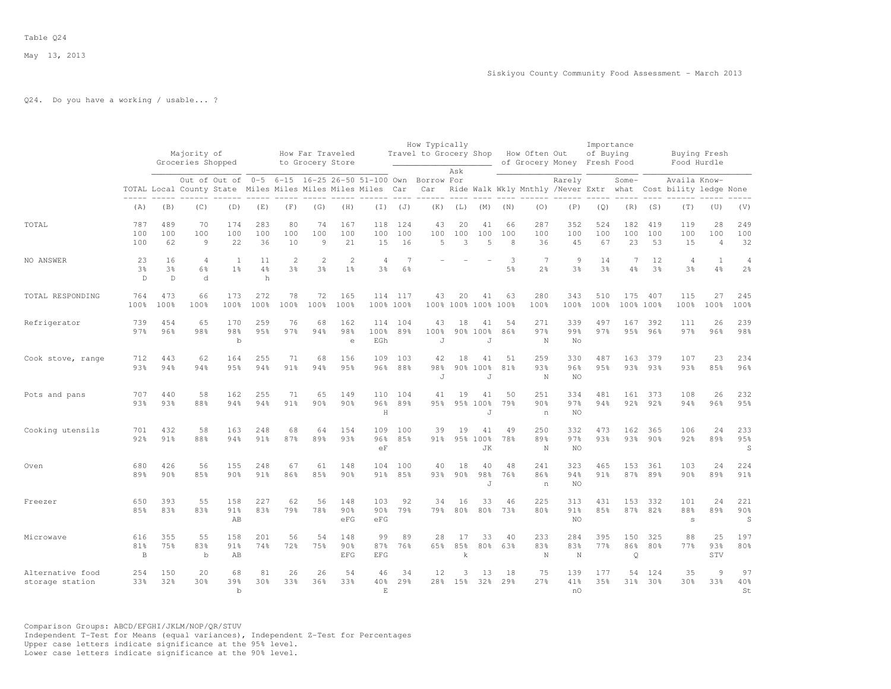## Q24. Do you have a working / usable... ?

|                                     |                           |                                     | Majority of<br>Groceries Shopped |                           |                       |                      | How Far Traveled<br>to Grocery Store |                                  |                                            |                      | How Typically<br>Travel to Grocery Shop |                       |                                  |                     | How Often Out<br>of Grocery Money Fresh Food |                     | Importance<br>of Buying |                       |                      | Food Hurdle                            | Buying Fresh                |                                  |
|-------------------------------------|---------------------------|-------------------------------------|----------------------------------|---------------------------|-----------------------|----------------------|--------------------------------------|----------------------------------|--------------------------------------------|----------------------|-----------------------------------------|-----------------------|----------------------------------|---------------------|----------------------------------------------|---------------------|-------------------------|-----------------------|----------------------|----------------------------------------|-----------------------------|----------------------------------|
|                                     |                           |                                     | TOTAL Local County State         | Out of Out of             |                       |                      | Miles Miles Miles Miles Miles        |                                  | 0-5 6-15 16-25 26-50 51-100 Own Borrow For | Car                  | Car                                     | Ask                   |                                  |                     | Ride Walk Wkly Mnthly /Never Extr what       | Rarely              |                         | Some-                 |                      | Availa Know-<br>Cost bility ledge None |                             |                                  |
|                                     | (A)                       | (B)                                 | (C)                              | (D)                       | (E)                   | (F)                  | (G)                                  | (H)                              | (I)                                        | (J)                  | (K)                                     | (L)                   | (M)                              | (N)                 | (0)                                          | (P)                 | (Q)                     | (R)                   | (S)                  | (T)                                    | (U)                         | (V)                              |
| TOTAL                               | 787<br>100<br>100         | 489<br>100<br>62                    | 70<br>100<br>$\overline{9}$      | 174<br>100<br>22          | 283<br>100<br>36      | 80<br>100<br>10      | 74<br>100<br>9                       | 167<br>100<br>21                 | 118<br>100<br>15                           | 124<br>100<br>16     | 43<br>100<br>$\overline{5}$             | 20<br>100<br>3        | 41<br>100<br>5                   | 66<br>100<br>8      | 287<br>100<br>36                             | 352<br>100<br>45    | 524<br>100<br>67        | 182<br>100<br>23      | 419<br>100<br>53     | 119<br>100<br>15                       | 28<br>100<br>$\overline{4}$ | 249<br>100<br>32                 |
| NO ANSWER                           | 23<br>3%<br>$\mathbb{D}$  | 16<br>3 <sup>°</sup><br>$\mathbb D$ | 4<br>6%<br>d                     | 1<br>1 <sup>°</sup>       | 11<br>4%<br>h         | $\overline{2}$<br>3% | $\overline{2}$<br>3%                 | $\overline{2}$<br>1 <sup>°</sup> | $\overline{4}$<br>3%                       | $\overline{7}$<br>6% |                                         |                       |                                  | 3<br>5 <sup>8</sup> | 7<br>2 <sup>°</sup>                          | 9<br>3 <sup>8</sup> | 14<br>3 <sup>8</sup>    | 7<br>4%               | 12<br>3 <sup>o</sup> | 4<br>3 <sup>8</sup>                    | $\mathbf{1}$<br>4%          | $\overline{4}$<br>2 <sup>°</sup> |
| TOTAL RESPONDING                    | 764<br>100%               | 473<br>100%                         | 66<br>100%                       | 173<br>100%               | 272<br>100%           | 78<br>100%           | 72<br>100%                           | 165<br>100%                      | 114<br>100% 100%                           | 117                  | 43                                      | 20                    | 41<br>100% 100% 100%             | 63<br>100%          | 280<br>100%                                  | 343<br>100%         | 510<br>100%             | 175                   | 407<br>100% 100%     | 115<br>100%                            | 27<br>100%                  | 245<br>100%                      |
| Refrigerator                        | 739<br>97%                | 454<br>96%                          | 65<br>98%                        | 170<br>98%<br>$\mathbf b$ | 259<br>95%            | 76<br>97%            | 68<br>94%                            | 162<br>98%<br>$\epsilon$         | 114<br>100%<br>EGh                         | 104<br>89%           | 43<br>100%<br>J                         | 18                    | 41<br>90% 100%<br>$\overline{J}$ | 54<br>86%           | 271<br>97%<br>N                              | 339<br>99%<br>No    | 497<br>97%              | 167<br>95%            | 392<br>96%           | 111<br>97%                             | 26<br>96%                   | 239<br>98%                       |
| Cook stove, range                   | 712<br>93%                | 443<br>94%                          | 62<br>94%                        | 164<br>95%                | 255<br>94%            | 71<br>91%            | 68<br>94%                            | 156<br>95%                       | 109<br>$96\%$                              | 103<br>88%           | 42<br>98%<br>J                          | 18                    | 41<br>90% 100%<br>$\overline{J}$ | 51<br>81%           | 259<br>93%<br>N                              | 330<br>96%<br>NO    | 487<br>95%              | 163<br>93%            | 379<br>93%           | 107<br>93%                             | 23<br>85%                   | 234<br>96%                       |
| Pots and pans                       | 707<br>93%                | 440<br>93%                          | 58<br>88%                        | 162<br>94%                | 255<br>94%            | 71<br>91%            | 65<br>90%                            | 149<br>90%                       | 110<br>96%<br>$\mathbf H$                  | 104<br>89%           | 41<br>95%                               | 19                    | 41<br>95% 100%<br>$\overline{J}$ | 50<br>79%           | 251<br>90%<br>n                              | 334<br>97%<br>NO    | 481<br>94%              | 161<br>92%            | 373<br>92%           | 108<br>94%                             | 26<br>96%                   | 232<br>95%                       |
| Cooking utensils                    | 701<br>92%                | 432<br>91%                          | 58<br>88%                        | 163<br>94%                | 248<br>91%            | 68<br>87%            | 64<br>89%                            | 154<br>93%                       | 109<br>96%<br>eF                           | 100<br>85%           | 39<br>91%                               | 19                    | 41<br>95% 100%<br><b>JK</b>      | 49<br>78%           | 250<br>89%<br>N                              | 332<br>97%<br>NO.   | 473<br>93%              | 162<br>93%            | 365<br>90%           | 106<br>92%                             | 24<br>89%                   | 233<br>95%<br>S                  |
| Oven                                | 680<br>89%                | 426<br>90 <sub>8</sub>              | 56<br>85%                        | 155<br>90 <sup>8</sup>    | 248<br>91%            | 67<br>86%            | 61<br>85%                            | 148<br>90%                       | 104<br>$91\%$                              | 100<br>85%           | 40<br>9.3%                              | 18<br>90 <sup>8</sup> | 40<br>98%<br>J                   | 48<br>76%           | 241<br>86%<br>n                              | 323<br>94%<br>NO    | 465<br>91%              | 153<br>87%            | 361<br>89%           | 103<br>90 <sub>8</sub>                 | 24<br>89%                   | 224<br>91%                       |
| Freezer                             | 650<br>85%                | 393<br>83%                          | 55<br>83%                        | 158<br>91%<br>AB          | 227<br>83%            | 62<br>79%            | 56<br>78%                            | 148<br>90%<br>eFG                | 103<br>90%<br>eFG                          | 92<br>79%            | 34<br>79%                               | 16<br>80%             | 33<br>80%                        | 46<br>73%           | 225<br>80%                                   | 313<br>91%<br>NO.   | 431<br>85%              | 153<br>87%            | 332<br>82%           | 101<br>88%<br>$\mathbb S$              | 24<br>89%                   | 221<br>90%<br>S                  |
| Microwave                           | 616<br>81%<br>$\mathbf B$ | 355<br>75%                          | 55<br>83%<br>$\mathbf b$         | 158<br>91%<br>AB          | 201<br>74%            | 56<br>72%            | 54<br>75%                            | 148<br>90%<br><b>EFG</b>         | 99<br>87%<br><b>EFG</b>                    | 89<br>76%            | 28<br>65%                               | 17<br>85%<br>k        | 33<br>80%                        | 40<br>63%           | 233<br>83%<br>N                              | 284<br>83%<br>N     | 395<br>77%              | 150<br>86%<br>$\circ$ | 325<br>80%           | 88<br>77%                              | 25<br>93%<br>STV            | 197<br>80%                       |
| Alternative food<br>storage station | 254<br>33%                | 150<br>32%                          | 20<br>30%                        | 68<br>39%<br>$\mathbf b$  | 81<br>30 <sup>8</sup> | 26<br>33%            | 26<br>36%                            | 54<br>33%                        | 46<br>40%<br>E                             | 34<br>29%            | 12                                      | 3<br>28% 15%          | 13<br>32%                        | 18<br>29%           | 75<br>27%                                    | 139<br>41%<br>n0    | 177<br>35%              | 54<br>31%             | 124<br>30%           | 35<br>30 <sup>8</sup>                  | $\overline{9}$<br>33%       | 97<br>40%<br>St                  |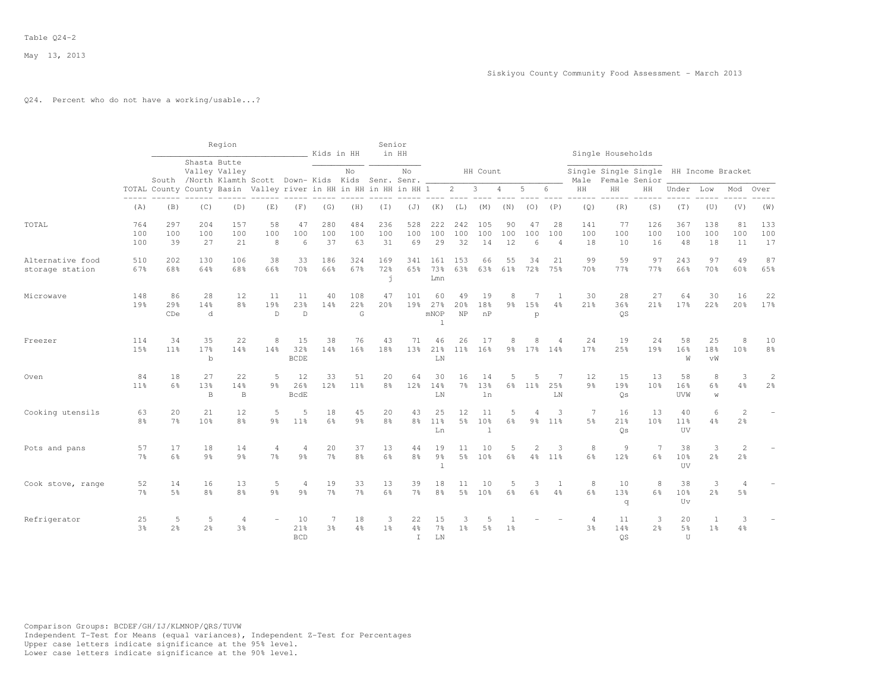## Q24. Percent who do not have a working/usable...?

|                                     |                      |                       |                           | Region                    |                                                                  |                          | Kids in HH           |                       | Senior               | in HH                      |                                      |                        |                                |                     |                       |                             |                                  | Single Households                                       |                                  |                                    |                     |                                  |                                  |
|-------------------------------------|----------------------|-----------------------|---------------------------|---------------------------|------------------------------------------------------------------|--------------------------|----------------------|-----------------------|----------------------|----------------------------|--------------------------------------|------------------------|--------------------------------|---------------------|-----------------------|-----------------------------|----------------------------------|---------------------------------------------------------|----------------------------------|------------------------------------|---------------------|----------------------------------|----------------------------------|
|                                     |                      |                       | Shasta Butte              | Valley Valley             | South /North Klamth Scott Down- Kids Kids Senr. Senr.            |                          |                      | No                    |                      | No                         |                                      |                        | HH Count                       |                     |                       |                             | Male                             | Single Single Single HH Income Bracket<br>Female Senior |                                  |                                    |                     |                                  |                                  |
|                                     |                      |                       |                           |                           | TOTAL County County Basin Valley river in HH in HH in HH in HH 1 |                          |                      |                       |                      |                            |                                      | $\overline{2}$         | $\mathbf{3}$                   | $\overline{4}$      | 5                     | 6                           | HH                               | HH                                                      | HH                               | Under                              | Low                 | Mod                              | Over                             |
|                                     | (A)                  | (B)                   | $- - - - - -$<br>(C)      | (D)                       | (E)                                                              | (F)                      | (G)                  | (H)                   | (I)                  | (J)                        | (K)                                  | (L)                    | (M)                            | (N)                 | (0)                   | (P)                         | (Q)                              | ------<br>(R)                                           | (S)                              | (T)                                | (U)                 | (V)                              | (W)                              |
| TOTAL                               | 764<br>100<br>100    | 297<br>100<br>39      | 204<br>100<br>27          | 157<br>100<br>21          | 58<br>100<br>8                                                   | 47<br>100<br>6           | 280<br>100<br>37     | 484<br>100<br>63      | 236<br>100<br>31     | 528<br>100<br>69           | 222<br>100<br>29                     | 242<br>100<br>32       | 105<br>100<br>14               | 90<br>100<br>12     | 47<br>100<br>6        | 28<br>100<br>$\overline{4}$ | 141<br>100<br>18                 | 77<br>100<br>10                                         | 126<br>100<br>16                 | 367<br>100<br>48                   | 138<br>100<br>18    | 81<br>100<br>11                  | 133<br>100<br>17                 |
| Alternative food<br>storage station | 510<br>67%           | 2.02<br>68%           | 130<br>64%                | 106<br>68%                | 38<br>66%                                                        | 33<br>70%                | 186<br>66%           | 324<br>67%            | 169<br>72%<br>j      | 341<br>65%                 | 161<br>73%<br>Lmn                    | 153<br>63%             | 66<br>63%                      | 55<br>61%           | 34<br>72%             | 21<br>75%                   | 99<br>70%                        | 59<br>77%                                               | 97<br>77%                        | 243<br>66%                         | 97<br>70%           | 49<br>60%                        | 87<br>65%                        |
| Microwave                           | 148<br>19%           | 86<br>29%<br>CDe      | 28<br>14%<br>d            | 12<br>8 <sup>8</sup>      | 11<br>19%<br>$\mathbb{D}$                                        | 11<br>23%<br>$\mathbb D$ | 40<br>14%            | 108<br>22%<br>G       | 47<br>20%            | 101<br>19%                 | 60<br>27%<br>mNOP<br>$\mathbf{1}$    | 49<br>20%<br><b>NP</b> | 19<br>18%<br>nP                | 8<br>9%             | 15%<br>p              | -1<br>4%                    | 30<br>21%                        | 28<br>36%<br><b>OS</b>                                  | 27<br>21%                        | 64<br>17%                          | 30<br>22%           | 16<br>20%                        | 22<br>17%                        |
| Freezer                             | 114<br>1.5%          | 34<br>11 <sup>8</sup> | 35<br>17%<br>$\mathbf b$  | 22<br>14%                 | 8<br>14%                                                         | 15<br>32%<br><b>BCDE</b> | 38<br>14%            | 76<br>16%             | 43<br>18%            | 71<br>13 <sup>°</sup>      | 46<br>21%<br>LN                      | 26<br>$11\%$           | 17<br>16%                      | 8<br>9%             |                       | $\overline{4}$<br>17% 14%   | 24<br>17 <sup>°</sup>            | 19<br>2.5%                                              | 24<br>19 <sub>8</sub>            | 58<br>16%<br>W                     | 25<br>18%<br>vW     | 8<br>10 <sup>8</sup>             | 10<br>8 <sup>°</sup>             |
| Oven                                | 84<br>$11\%$         | 18<br>6%              | 27<br>13%<br>$\mathbf{B}$ | 22<br>14%<br>$\mathbf{B}$ | 5<br>$9\frac{6}{6}$                                              | 12<br>26%<br><b>BcdE</b> | 33<br>12%            | 51<br>11 <sup>°</sup> | 20<br>8%             | 64<br>12%                  | 30<br>14%<br>${\rm LN}$              | 16<br>$7\frac{6}{6}$   | 14<br>13 <sup>°</sup><br>ln    | 5<br>$6\%$          | $\overline{5}$<br>11% | 7<br>25%<br>LN              | 12<br>$9\frac{6}{6}$             | 15<br>19%<br>Os                                         | 13<br>10 <sup>°</sup>            | 58<br>16%<br>UVW                   | 8<br>6%<br>W        | 3<br>4%                          | $\overline{c}$<br>2 <sup>°</sup> |
| Cooking utensils                    | 63<br>8%             | 20<br>7%              | 21<br>10%                 | 12<br>8%                  | 5<br>9%                                                          | 5<br>11%                 | 18<br>6%             | 45<br>9 <sup>°</sup>  | 20<br>8%             | 43<br>8 <sup>°</sup>       | 25<br>11 <sup>°</sup><br>Ln          | 12<br>5 <sup>8</sup>   | 11<br>10 <sup>°</sup><br>$1\,$ | 5<br>6 <sup>°</sup> | 9 <sub>8</sub>        | 3<br>11 <sup>°</sup>        | $7\phantom{.0}$<br>5%            | 16<br>21%<br>Os                                         | 13<br>10 <sup>8</sup>            | 40<br>11 <sup>°</sup><br>UV        | 6<br>4%             | $\overline{2}$<br>2 <sup>°</sup> |                                  |
| Pots and pans                       | 57<br>$7\frac{6}{9}$ | 17<br>6%              | 18<br>$9\frac{6}{9}$      | 14<br>$9\frac{6}{6}$      | $\overline{4}$<br>$7\frac{6}{6}$                                 | 4<br>$9\frac{6}{9}$      | 20<br>$7\frac{6}{9}$ | 37<br>8 <sup>°</sup>  | 13<br>$6\frac{6}{6}$ | 44<br>$8\frac{6}{6}$       | 19<br>9 <sup>°</sup><br>$\mathbf{1}$ | 11<br>5 <sup>°</sup>   | 10<br>10 <sup>°</sup>          | 5<br>6%             | $\mathfrak{D}$<br>4%  | 3<br>11 <sup>°</sup>        | 8<br>$6\frac{6}{9}$              | 9<br>12%                                                | $\overline{7}$<br>$6\frac{6}{3}$ | 38<br>10 <sup>8</sup><br><b>UV</b> | 3<br>2 <sup>°</sup> | 2<br>2 <sup>°</sup>              |                                  |
| Cook stove, range                   | 52<br>$7\frac{6}{9}$ | 14<br>5%              | 16<br>8 <sup>°</sup>      | 13<br>8%                  | 5<br>9 <sub>8</sub>                                              | 4<br>$9\frac{6}{9}$      | 19<br>7 <sup>°</sup> | 33<br>7 <sup>°</sup>  | 13<br>6%             | 39<br>$7\%$                | 18<br>8 <sup>°</sup>                 | 11<br>5%               | 10<br>10 <sup>°</sup>          | 5<br>6 <sup>°</sup> | 3<br>6%               | $\overline{1}$<br>4%        | 8<br>6%                          | 10<br>1.3%<br>q                                         | $\,8\,$<br>6%                    | 38<br>10 <sup>8</sup><br>Uv        | 3<br>2%             | 5 <sup>°</sup>                   |                                  |
| Refrigerator                        | 25<br>$3\frac{6}{9}$ | 5<br>2 <sup>°</sup>   | 5<br>2 <sup>o</sup>       | 4<br>3 <sup>°</sup>       |                                                                  | 10<br>21%<br><b>BCD</b>  | 7<br>3%              | 18<br>$4\frac{6}{6}$  | 3<br>1 <sup>°</sup>  | 22<br>$4\%$<br>$\mathbf I$ | 15<br>7%<br>LN                       | 1 <sup>°</sup>         | 5<br>5%                        | 1 <sup>8</sup>      |                       |                             | $\overline{4}$<br>3 <sup>°</sup> | 11<br>14%<br><b>OS</b>                                  | 3<br>2 <sup>°</sup>              | 20<br>$5\frac{6}{6}$<br>U          | 1<br>1 <sup>°</sup> | 3<br>4%                          |                                  |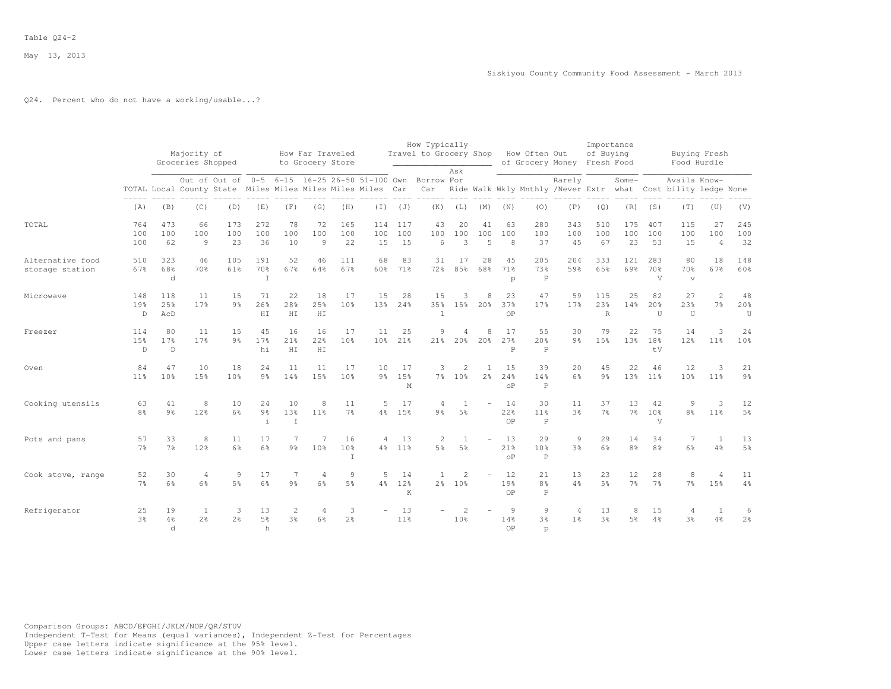### Q24. Percent who do not have a working/usable...?

|                                     |                            |                           | Majority of<br>Groceries Shopped                           |                      |                                      |                                  | How Far Traveled<br>to Grocery Store |                          |                                               |                  | How Typically                    |                                  |                                |                             | Travel to Grocery Shop How Often Out<br>of Grocery Money Fresh Food |                                  | Importance<br>of Buying      |                       |                             | Buying Fresh<br>Food Hurdle                                                   |                             |                       |
|-------------------------------------|----------------------------|---------------------------|------------------------------------------------------------|----------------------|--------------------------------------|----------------------------------|--------------------------------------|--------------------------|-----------------------------------------------|------------------|----------------------------------|----------------------------------|--------------------------------|-----------------------------|---------------------------------------------------------------------|----------------------------------|------------------------------|-----------------------|-----------------------------|-------------------------------------------------------------------------------|-----------------------------|-----------------------|
|                                     |                            |                           | TOTAL Local County State Miles Miles Miles Miles Miles Car |                      |                                      |                                  |                                      |                          | Out of Out of 0-5 6-15 16-25 26-50 51-100 Own |                  | Borrow For<br>Car                | Ask                              |                                |                             |                                                                     | Rarely                           |                              | Some-                 |                             | Availa Know-<br>Ride Walk Wkly Mnthly /Never Extr what Cost bility ledge None |                             |                       |
|                                     | (A)                        | (B)                       | (C)                                                        | (D)                  | (E)                                  | (F)                              | (G)                                  | (H)                      | $(\top)$                                      | (J)              | (K)                              | (L)                              | (M)                            | (N)                         | (0)                                                                 | (P)                              | (Q)                          | (R)                   | (S)                         | (T)                                                                           | (U)                         | (V)                   |
| TOTAL                               | 764<br>100<br>100          | 473<br>100<br>62          | 66<br>100<br>9                                             | 173<br>100<br>23     | 272<br>100<br>36                     | 78<br>100<br>10                  | 72<br>100<br>9                       | 165<br>100<br>22         | 114<br>100<br>15                              | 117<br>100<br>15 | 43<br>100<br>6                   | 20<br>100<br>3                   | 41<br>100<br>5                 | 63<br>100<br>8              | 280<br>100<br>37                                                    | 343<br>100<br>45                 | 510<br>100<br>67             | 175<br>100<br>23      | 407<br>100<br>53            | 115<br>100<br>15                                                              | 27<br>100<br>$\overline{4}$ | 245<br>100<br>32      |
| Alternative food<br>storage station | 510<br>67%                 | 323<br>68%<br>d           | 46<br>70%                                                  | 105<br>61%           | 191<br>70%<br>T                      | 52<br>67%                        | 46<br>64%                            | 111<br>67%               | 68<br>60%                                     | 83<br>71%        | 31<br>72%                        | 17<br>85%                        | 28<br>68%                      | 45<br>71%<br>p              | 205<br>73%<br>$\, {\bf P}$                                          | 204<br>59%                       | 333<br>65%                   | 121<br>69%            | 283<br>70 %<br>V            | 80<br>70%<br>$\overline{V}$                                                   | 18<br>67%                   | 148<br>60%            |
| Microwave                           | 148<br>19%<br>$\mathbb{D}$ | 118<br>25%<br>AcD         | 11<br>17%                                                  | 15<br>9 <sub>8</sub> | 71<br>26%<br>HT.                     | 22<br>28%<br>HI                  | 18<br>25%<br>HI                      | 17<br>10 <sup>9</sup>    | 15<br>13%                                     | 28<br>24%        | 15<br>35%<br>$\overline{1}$      | 3<br>15%                         | 8<br>20%                       | 23<br>37%<br>OP             | 47<br>17%                                                           | 59<br>17%                        | 115<br>23%<br>$\overline{R}$ | 25<br>14%             | 82<br>20%<br>$\overline{U}$ | 27<br>23%<br>U                                                                | $\overline{2}$<br>7%        | 48<br>20%<br>U        |
| Freezer                             | 114<br>15%<br>D            | 80<br>17%<br>$\mathbb D$  | 11<br>17%                                                  | 15<br>9 <sub>8</sub> | 45<br>17%<br>hi                      | 16<br>21%<br>HI                  | 16<br>22%<br>HI                      | 17<br>10 <sup>8</sup>    | 11<br>10 <sup>8</sup>                         | 25<br>21%        | 9<br>21%                         | 20%                              | 8<br>20%                       | 17<br>27%<br>$\mathsf{P}$   | 55<br>20%<br>$\, {\bf P}$                                           | 30<br>9 <sup>°</sup>             | 79<br>15%                    | 22<br>13%             | 75<br>18%<br>tV             | 14<br>12%                                                                     | 3<br>11 <sup>°</sup>        | 24<br>10 <sup>8</sup> |
| Oven                                | 84<br>11%                  | 47<br>10 <sup>°</sup>     | 10<br>15%                                                  | 18<br>10%            | 2.4<br>$9\frac{6}{9}$                | 11<br>14%                        | 11<br>15%                            | 17<br>10%                | 10<br>$9\frac{6}{6}$                          | 17<br>15%<br>M   | 3                                | $\mathfrak{D}$<br>7% 10%         | $\mathbf{1}$<br>2 <sup>°</sup> | 1.5<br>24%<br>$^{\circ}$    | 39<br>14%<br>$\mathsf{P}$                                           | 2.0<br>6%                        | 45<br>9 <sub>8</sub>         | 22<br>13%             | 46<br>11 <sup>°</sup>       | 12<br>10 <sup>8</sup>                                                         | 3<br>$11\%$                 | 21<br>9 <sub>8</sub>  |
| Cooking utensils                    | 63<br>8 <sup>°</sup>       | 41<br>$9\frac{6}{6}$      | 8<br>12%                                                   | 10<br>$6\%$          | 24<br>$9\frac{6}{6}$<br>$\mathbf{i}$ | 10<br>13%<br>T                   | 8<br>$11\%$                          | 11<br>$7\frac{6}{9}$     | 5<br>$4\frac{6}{6}$                           | 17<br>15%        | $\overline{4}$<br>9 <sub>8</sub> | $\overline{1}$<br>5%             |                                | 14<br>22%<br>OP             | 30<br>11 <sup>8</sup><br>$\mathsf{P}$                               | 11<br>3%                         | 37<br>7%                     | 13<br>7 <sup>°</sup>  | 42<br>10%<br>V              | 9<br>8 <sup>°</sup>                                                           | 3<br>11%                    | 12<br>$5\frac{6}{9}$  |
| Pots and pans                       | 57<br>7 <sup>°</sup>       | 33<br>7%                  | 8<br>12%                                                   | 11<br>6%             | 17<br>6%                             | 7<br>9%                          | 10%                                  | 16<br>10%<br>$\mathbf I$ | $\overline{4}$                                | 13<br>4% 11%     | 2<br>5%                          | $\overline{1}$<br>$5\frac{6}{6}$ |                                | 13<br>21 <sup>8</sup><br>οP | 29<br>10 <sup>8</sup><br>$\mathbf P$                                | 9<br>3%                          | 29<br>6%                     | 14<br>8 <sup>°</sup>  | 34<br>8 <sup>°</sup>        | 7<br>$6\frac{6}{9}$                                                           | $\overline{1}$<br>4%        | 13<br>5%              |
| Cook stove, range                   | 52<br>$7\frac{6}{9}$       | 30<br>6%                  | 4<br>6%                                                    | 9<br>$5\%$           | 17<br>6%                             | $\overline{7}$<br>$9\frac{6}{6}$ | $\overline{4}$<br>$6\frac{6}{9}$     | 9<br>5 <sup>°</sup>      | 5<br>4%                                       | 14<br>12%<br>K   | $\mathbf{1}$                     | $\mathfrak{D}$<br>2% 10%         |                                | 12.<br>19%<br>OP            | 2.1<br>8 <sup>°</sup><br>$\mathsf{P}$                               | 13<br>4%                         | 2.3<br>5 <sup>8</sup>        | 12.<br>7 <sup>°</sup> | 28<br>7 <sup>°</sup>        | 8<br>7 <sup>°</sup>                                                           | $\overline{4}$<br>15%       | 11<br>$4\%$           |
| Refrigerator                        | 25<br>3 <sup>°</sup>       | 19<br>$4\frac{6}{6}$<br>d | 1<br>2 <sup>°</sup>                                        | 3<br>$2\frac{6}{9}$  | 13<br>$5\frac{6}{9}$<br>h            | $\mathbf{2}$<br>3%               | $\overline{4}$<br>$6\frac{6}{9}$     | 3<br>$2\frac{6}{9}$      |                                               | 13<br>11%        |                                  | $\mathfrak{D}$<br>10%            |                                | 9<br>14%<br>OP              | 9<br>3 <sup>8</sup><br>p                                            | $\overline{4}$<br>1 <sup>8</sup> | 13<br>3%                     | 8<br>5%               | 15<br>4%                    | $\overline{4}$<br>3%                                                          | $\mathbf{1}$<br>4%          | 6<br>2 <sup>°</sup>   |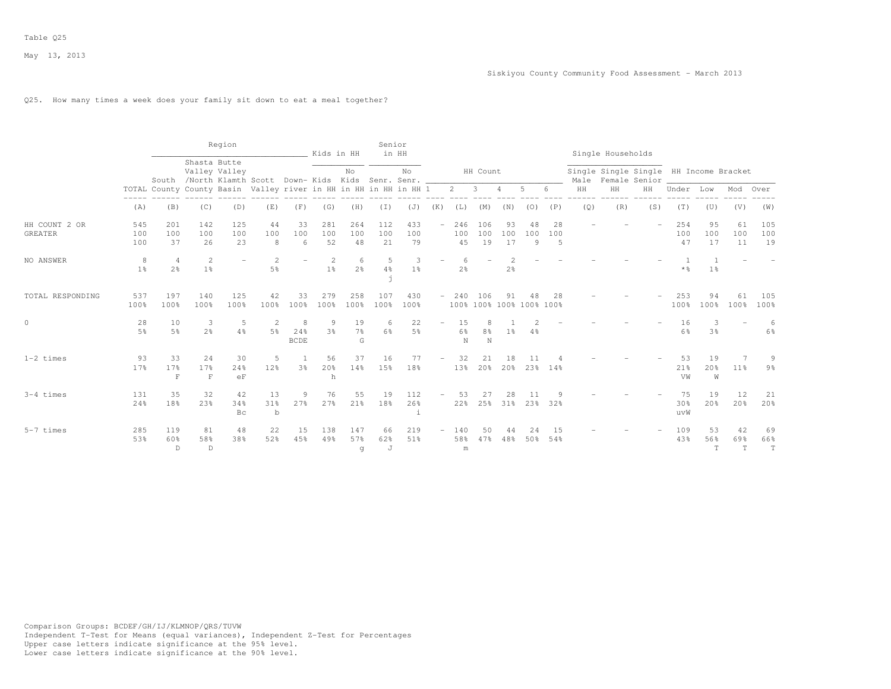# Q25. How many times a week does your family sit down to eat a meal together?

|                                 |                     |                                  |                                  | Region              |                                                                  |                         | Kids in HH                       |                           | Senior           | in HH                    |                          |                  |                     |                 |                                |                |           | Single Households                      |               |                  |                          |                          |                          |
|---------------------------------|---------------------|----------------------------------|----------------------------------|---------------------|------------------------------------------------------------------|-------------------------|----------------------------------|---------------------------|------------------|--------------------------|--------------------------|------------------|---------------------|-----------------|--------------------------------|----------------|-----------|----------------------------------------|---------------|------------------|--------------------------|--------------------------|--------------------------|
|                                 |                     |                                  | Shasta Butte                     | Valley Valley       | South /North Klamth Scott Down- Kids Kids Senr. Senr.            |                         |                                  | No                        |                  | No                       |                          |                  | HH Count            |                 |                                |                | Male      | Single Single Single HH Income Bracket | Female Senior |                  |                          |                          |                          |
|                                 |                     |                                  |                                  |                     | TOTAL County County Basin Valley river in HH in HH in HH in HH 1 |                         |                                  |                           |                  |                          |                          | $\overline{2}$   | $\mathbf{3}$        | $\overline{4}$  | 5                              | 6.             | $\rm{HH}$ | HH                                     | HH            | Under            | Low                      | Mod                      | Over                     |
|                                 | (A)                 | (B)                              | (C)                              | (D)                 | (E)                                                              | (F)                     | (G)                              | (H)                       | (I)              | (J)                      | (K)                      | (L)              | (M)                 | (N)             | (0)                            | (P)            | (Q)       | (R)                                    | (S)           | (T)              | (U)                      | (V)                      | (W)                      |
| HH COUNT 2 OR<br><b>GREATER</b> | 545<br>100<br>100   | 201<br>100<br>37                 | 142<br>100<br>26                 | 125<br>100<br>23    | 44<br>100<br>8                                                   | 33<br>100<br>6          | 281<br>100<br>52                 | 264<br>100<br>48          | 112<br>100<br>21 | 433<br>100<br>79         | $\overline{\phantom{a}}$ | 246<br>100<br>45 | 106<br>100<br>19    | 93<br>100<br>17 | 48<br>100<br>9                 | 28<br>100<br>5 |           |                                        |               | 254<br>100<br>47 | 95<br>100<br>17          | 61<br>100<br>11          | 105<br>100<br>19         |
| NO ANSWER                       | 8<br>1 <sup>°</sup> | $\overline{4}$<br>2 <sup>°</sup> | $\overline{c}$<br>1 <sup>°</sup> |                     | $\overline{2}$<br>5%                                             |                         | $\overline{2}$<br>1 <sup>°</sup> | 6<br>2 <sup>o</sup>       | 5<br>4%          | 3<br>1 <sup>°</sup>      |                          | $2\frac{6}{6}$   |                     | 2 <sup>°</sup>  |                                |                |           |                                        |               | * %              | 1 <sup>°</sup>           |                          |                          |
| TOTAL RESPONDING                | 537<br>100%         | 197<br>100%                      | 140<br>100%                      | 125<br>100%         | 42<br>100%                                                       | 33<br>100%              | 279<br>100%                      | 258<br>100%               | 107<br>100%      | 430<br>100%              | $\overline{\phantom{a}}$ | 240              | 106                 | 91              | 48<br>100% 100% 100% 100% 100% | 28             |           |                                        |               | 253<br>100%      | 94<br>100%               | 61<br>100%               | 105<br>100%              |
| $\circ$                         | 28<br>5%            | 10<br>5 <sup>°</sup>             | 3<br>2 <sup>o</sup>              | 5<br>$4\frac{6}{6}$ | $\overline{2}$<br>5 <sup>°</sup>                                 | 8<br>24%<br><b>BCDE</b> | 9<br>3 <sup>°</sup>              | 19<br>$7\frac{6}{9}$<br>G | 6<br>6%          | 22<br>5%                 | $\overline{\phantom{0}}$ | 15<br>6%<br>N    | 8 <sup>°</sup><br>N | 1 <sup>°</sup>  | 4%                             |                |           |                                        |               | 16<br>6%         | 3<br>3 <sup>°</sup>      |                          | 6<br>6%                  |
| $1-2$ times                     | 93<br>17%           | 33<br>17%<br>$\mathbf F$         | 24<br>17%<br>$\mathbf{F}$        | 30<br>24%<br>eF     | 5<br>12%                                                         | 3%                      | 56<br>20%<br>h                   | 37<br>14%                 | 16<br>15%        | 77<br>18%                | $-$                      | 32<br>13%        | 21<br>20%           | 18<br>20%       | 23%                            | 14%            |           |                                        |               | 53<br>21%<br>VW  | 19<br>20%<br>W           | $11\%$                   | 9<br>9%                  |
| $3-4$ times                     | 131<br>24%          | 35<br>18%                        | 32<br>23%                        | 42<br>34%<br>Bc     | 13<br>31%<br>$\mathbf b$                                         | 9<br>27%                | 76<br>27%                        | 55<br>21%                 | 19<br>18%        | 112<br>26%<br>$\ddot{1}$ | $\overline{\phantom{0}}$ | 53<br>22%        | 27<br>25%           | 28<br>31%       | 11<br>23%                      | 32%            |           |                                        |               | 75<br>30%<br>uvW | 19<br>20%                | 12<br>20%                | 21<br>20%                |
| $5-7$ times                     | 285<br>53%          | 119<br>60%<br>D                  | 81<br>58%<br>D                   | 48<br>38%           | 22<br>52%                                                        | 15<br>45%               | 138<br>49%                       | 147<br>57%<br>g           | 66<br>62%<br>J   | 219<br>51%               | $\overline{\phantom{0}}$ | 140<br>58%<br>m  | 50<br>47%           | 44<br>48%       | 2.4<br>50%                     | -1.5<br>54%    |           |                                        |               | 109<br>43%       | 53<br>56%<br>$\mathbf T$ | 42<br>69%<br>$\mathbf T$ | 69<br>66%<br>$\mathbf T$ |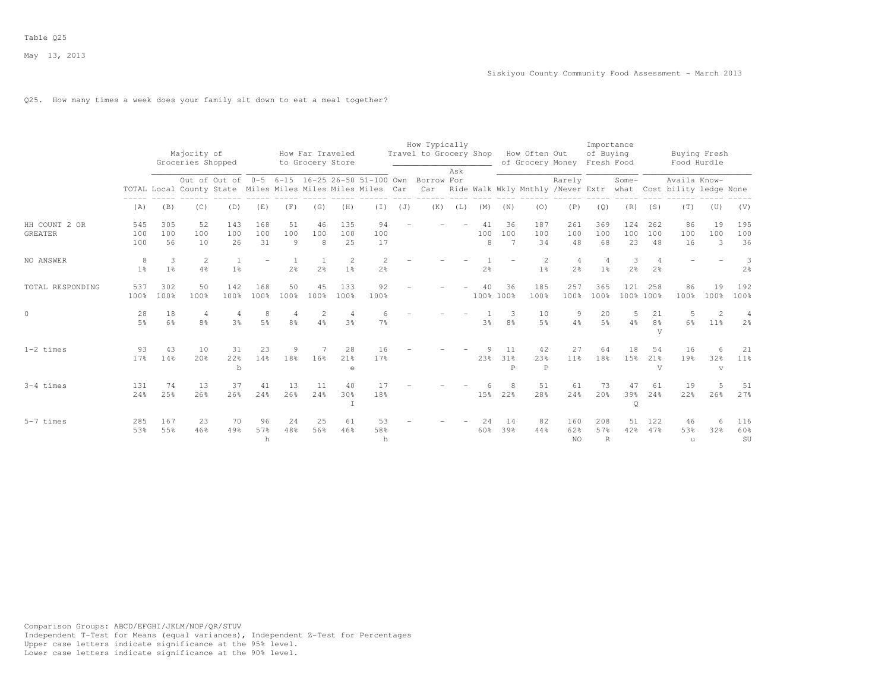# Q25. How many times a week does your family sit down to eat a meal together?

|                                 |                     |                      |                                  |                                                            |                     |                |                                      |                     |                 |     | How Typically                                            |     |                |                             |                                   |                                  | Importance                       |                      |                                        |                                                                                   |                                  |                     |
|---------------------------------|---------------------|----------------------|----------------------------------|------------------------------------------------------------|---------------------|----------------|--------------------------------------|---------------------|-----------------|-----|----------------------------------------------------------|-----|----------------|-----------------------------|-----------------------------------|----------------------------------|----------------------------------|----------------------|----------------------------------------|-----------------------------------------------------------------------------------|----------------------------------|---------------------|
|                                 |                     |                      | Majority of<br>Groceries Shopped |                                                            |                     |                | How Far Traveled<br>to Grocery Store |                     |                 |     | Travel to Grocery Shop                                   |     |                |                             | How Often Out<br>of Grocery Money |                                  | of Buying<br>Fresh Food          |                      |                                        | Buying Fresh<br>Food Hurdle                                                       |                                  |                     |
|                                 |                     |                      |                                  | TOTAL Local County State Miles Miles Miles Miles Miles Car |                     |                |                                      |                     |                 |     | Out of Out of 0-5 6-15 16-25 26-50 51-100 Own Borrow For | Ask |                |                             |                                   | Rarely                           |                                  | Some-                |                                        | Availa Know-<br>Car Ride Walk Wkly Mnthly /Never Extr what Cost bility ledge None |                                  |                     |
|                                 | (A)                 | (B)                  | (C)                              | (D)                                                        | (E)                 | (F)            | (G)                                  | (H)                 | $(\bot)$        | (J) | (K)                                                      | (L) | (M)            | (N)                         | (0)                               | (P)                              | (Q)                              | (R)                  | (S)                                    | (T)                                                                               | (U)                              | (V)                 |
| HH COUNT 2 OR<br><b>GREATER</b> | 545<br>100<br>100   | 305<br>100<br>56     | 52<br>100<br>10                  | 143<br>100<br>26                                           | 168<br>100<br>31    | 51<br>100<br>9 | 46<br>100<br>8                       | 135<br>100<br>25    | 94<br>100<br>17 |     |                                                          |     | 41<br>100<br>8 | 36<br>100<br>$\overline{7}$ | 187<br>100<br>34                  | 261<br>100<br>48                 | 369<br>100<br>68                 | 124<br>100<br>23     | 262<br>100<br>48                       | 86<br>100<br>16                                                                   | 19<br>100<br>3                   | 195<br>100<br>36    |
| NO ANSWER                       | 8<br>1 <sup>°</sup> | 3<br>1 <sup>°</sup>  | 2<br>4%                          | 1 <sup>°</sup>                                             |                     | 2 <sup>°</sup> | 2 <sup>o</sup>                       | 2<br>1 <sup>8</sup> | $2\frac{6}{6}$  |     |                                                          |     | 2 <sup>°</sup> |                             | $\overline{2}$<br>1 <sup>°</sup>  | $\overline{4}$<br>2 <sup>°</sup> | $\overline{4}$<br>1 <sup>°</sup> | 3<br>2 <sup>°</sup>  | 2 <sup>°</sup>                         |                                                                                   |                                  | 3<br>2 <sup>°</sup> |
| TOTAL RESPONDING                | 537<br>100%         | 302<br>100%          | 50<br>100%                       | 142<br>100%                                                | 168<br>100%         | 50<br>100%     | 45<br>100%                           | 133<br>100%         | 92<br>100%      |     |                                                          |     | 40             | 36<br>100% 100%             | 185<br>100%                       | 257<br>100%                      | 365<br>100%                      | 121<br>100% 100%     | 258                                    | 86<br>100%                                                                        | 19<br>100%                       | 192<br>100%         |
| $\circ$                         | 28<br>$5\%$         | 18<br>6 <sup>9</sup> | 4<br>8 <sup>8</sup>              | 4<br>3%                                                    | 8<br>5 <sup>9</sup> | 8%             | $\overline{2}$<br>4%                 | 3 <sup>8</sup>      | 7%              |     |                                                          |     | 3 <sup>°</sup> | 3<br>8 <sup>°</sup>         | 10<br>5%                          | 9<br>4%                          | 20<br>5 <sup>8</sup>             | .5<br>4%             | 21<br>8 <sup>°</sup><br>$\overline{V}$ | .5<br>6%                                                                          | $\mathcal{D}$<br>11 <sup>8</sup> | 4<br>2 <sup>o</sup> |
| $1-2$ times                     | 93<br>17%           | 43<br>14%            | 10<br>20%                        | 31<br>22%<br>b                                             | 23<br>14%           | 18%            | 16%                                  | 28<br>21%<br>e      | 16<br>17%       |     |                                                          |     | 23%            | 11<br>31%<br>P              | 42<br>23%<br>$\mathbb{P}$         | 27<br>11%                        | 64<br>18%                        | 18<br>15%            | 54<br>21 <sup>8</sup><br>V             | 16<br>19%                                                                         | 6<br>32%<br>$\mathbf{V}$         | 21<br>11%           |
| $3-4$ times                     | 131<br>24%          | 74<br>25%            | 13<br>26%                        | 37<br>26%                                                  | 41<br>24%           | 13<br>26%      | 11<br>24%                            | 40<br>30%           | 17<br>18%       |     |                                                          |     | 15%            | 22%                         | 51<br>28%                         | 61<br>24%                        | 73<br>20%                        | 47<br>39%<br>$\circ$ | 61<br>24%                              | 19<br>22%                                                                         | 5<br>26%                         | 51<br>27%           |
| $5-7$ times                     | 285<br>53%          | 167<br>55%           | 23<br>46%                        | 70<br>49%                                                  | 96<br>57%<br>h      | 24<br>48%      | 25<br>56%                            | 61<br>46%           | 53<br>58%<br>h  |     |                                                          |     | 2.4<br>60%     | 14<br>39%                   | 82<br>44%                         | 160<br>62%<br><b>NO</b>          | 208<br>57%<br>$\mathbb{R}$       | 51<br>42%            | 122<br>47%                             | 46<br>53%<br>u                                                                    | 6<br>32%                         | 116<br>60%<br>SU    |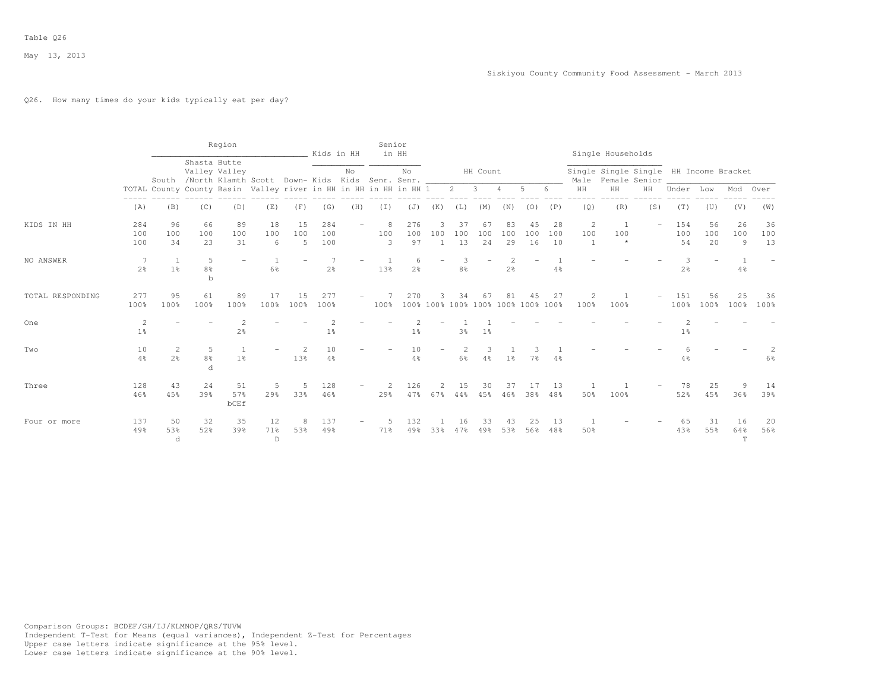# Q26. How many times do your kids typically eat per day?

|                  |                                  |                                                                  |                                                                       | Region                   |                           |                | Kids in HH        |     | Senior                | in HH               |                            |                     |                                          |                                  |                 |                 |                            | Single Households                                            |                          |                  |                          |                |                 |
|------------------|----------------------------------|------------------------------------------------------------------|-----------------------------------------------------------------------|--------------------------|---------------------------|----------------|-------------------|-----|-----------------------|---------------------|----------------------------|---------------------|------------------------------------------|----------------------------------|-----------------|-----------------|----------------------------|--------------------------------------------------------------|--------------------------|------------------|--------------------------|----------------|-----------------|
|                  |                                  |                                                                  | Shasta Butte<br>South /North Klamth Scott Down- Kids Kids Senr. Senr. | Valley Valley            |                           |                |                   | No  |                       | No                  |                            |                     | HH Count                                 |                                  |                 |                 |                            | Single Single Single HH Income Bracket<br>Male Female Senior |                          |                  |                          |                |                 |
|                  |                                  | TOTAL County County Basin Valley river in HH in HH in HH in HH 1 |                                                                       |                          |                           |                |                   |     |                       |                     |                            | $\overline{2}$      | 3                                        | $\overline{4}$                   | 5               |                 | HH                         | HH                                                           | HH                       | Under            | Low                      | Mod            | Over            |
|                  | (A)                              | (B)                                                              | (C)                                                                   | (D)                      | (E)                       | (F)            | (G)               | (H) | $(\top)$              | (J)                 | (K)                        | (L)                 | (M)                                      | (N)                              | (0)             | (P)             | (Q)                        | (R)                                                          | (S)                      | (T)              | (U)                      | (V)            | (W)             |
| KIDS IN HH       | 284<br>100<br>100                | 96<br>100<br>34                                                  | 66<br>100<br>23                                                       | 89<br>100<br>31          | 18<br>100<br>6            | 15<br>100<br>5 | 284<br>100<br>100 |     | 8<br>100<br>3         | 276<br>100<br>97    | 3<br>100<br>$\overline{1}$ | 37<br>100<br>13     | 67<br>100<br>24                          | 83<br>100<br>29                  | 45<br>100<br>16 | 28<br>100<br>10 | $\overline{c}$<br>100<br>1 | -1<br>100<br>$\star$                                         | $\overline{\phantom{0}}$ | 154<br>100<br>54 | 56<br>100<br>20          | 26<br>100<br>9 | 36<br>100<br>13 |
| NO ANSWER        | 7<br>2 <sup>o</sup>              | 1 <sup>°</sup>                                                   | 5<br>8%<br>b                                                          | $\overline{\phantom{m}}$ | 6%                        |                | $2\frac{6}{9}$    |     | 13%                   | 6<br>2 <sup>°</sup> | $\overline{\phantom{0}}$   | 8 <sup>°</sup>      |                                          | $\overline{c}$<br>$2\frac{6}{6}$ |                 | 4%              |                            |                                                              |                          | 3<br>2%          | $\overline{\phantom{0}}$ | 4%             |                 |
| TOTAL RESPONDING | 277<br>100%                      | 95<br>100%                                                       | 61<br>100%                                                            | 89<br>100%               | 17<br>100%                | 15<br>100%     | 277<br>100%       |     | 100%                  | 270                 | २                          | 34                  | 67<br>100% 100% 100% 100% 100% 100% 100% | 81                               | 45              | 27              | $\overline{2}$<br>100%     | 100%                                                         |                          | 151<br>100%      | 56<br>100%               | 25<br>100%     | 36<br>100%      |
| One              | $\overline{c}$<br>1 <sup>°</sup> |                                                                  |                                                                       | $\mathfrak{D}$<br>2%     |                           |                | $1\frac{6}{9}$    |     |                       | 1 <sup>°</sup>      |                            | 3%                  | 1%                                       |                                  |                 |                 |                            |                                                              |                          | 1 <sup>°</sup>   |                          |                |                 |
| Two              | 10<br>4%                         | 2<br>2 <sup>o</sup>                                              | 5<br>$8\frac{6}{9}$<br>d                                              | 1 <sup>°</sup>           |                           | 13%            | 10<br>$4\%$       |     |                       | 10<br>4%            |                            | 2<br>$6\frac{6}{9}$ | 3<br>$4\%$                               | 1 <sup>°</sup>                   | 7 <sup>°</sup>  | 4%              |                            |                                                              |                          | 4%               |                          |                | 6%              |
| Three            | 128<br>46%                       | 43<br>45%                                                        | 24<br>39%                                                             | 51<br>57%<br><b>bCEf</b> | 5<br>29%                  | 33%            | 128<br>46%        |     | $\overline{2}$<br>29% | 126<br>47%          | $\mathfrak{D}$<br>67%      | 15<br>44%           | 30<br>45%                                | 37<br>46%                        | 17<br>38%       | 13<br>48%       | 50%                        | 100%                                                         |                          | 78<br>52%        | 25<br>45%                | 9<br>36%       | 14<br>39%       |
| Four or more     | 137<br>49%                       | 50<br>53%<br>d                                                   | 32<br>52%                                                             | 35<br>39%                | 12<br>71%<br>$\mathbb{D}$ | 53%            | 137<br>49%        |     | 71%                   | 132<br>49%          | 33%                        | 16<br>47%           | 33<br>49%                                | 43<br>53%                        | 25<br>56%       | 13<br>48%       | 50%                        |                                                              |                          | 65<br>43%        | 31<br>55%                | 16<br>64%<br>T | 20<br>56%       |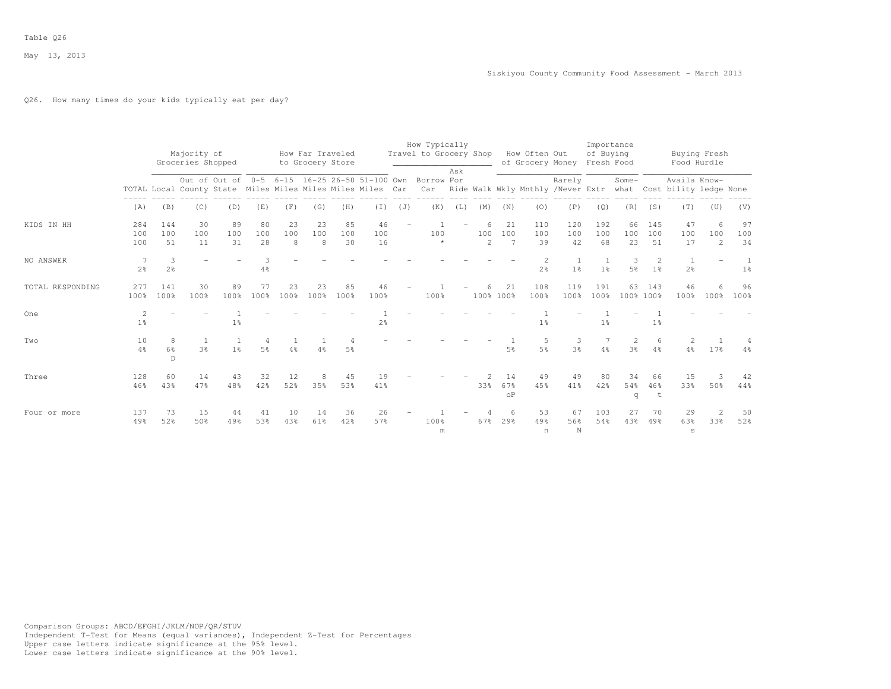# Q26. How many times do your kids typically eat per day?

|                  |                      |                     | Majority of<br>Groceries Shopped |                                  |                       |                | How Far Traveled<br>to Grocery Store |                 |                                                            |     | How Typically<br>Travel to Grocery Shop                         |     |                            |                        | How Often Out<br>of Grocery Money |                                | Importance<br>of Buying<br>Fresh Food |                     |                                  | Food Hurdle                                 | Buying Fresh               |                 |
|------------------|----------------------|---------------------|----------------------------------|----------------------------------|-----------------------|----------------|--------------------------------------|-----------------|------------------------------------------------------------|-----|-----------------------------------------------------------------|-----|----------------------------|------------------------|-----------------------------------|--------------------------------|---------------------------------------|---------------------|----------------------------------|---------------------------------------------|----------------------------|-----------------|
|                  |                      |                     |                                  |                                  |                       |                |                                      |                 | TOTAL Local County State Miles Miles Miles Miles Miles Car |     | Out of Out of 0-5 6-15 16-25 26-50 51-100 Own Borrow For<br>Car | Ask |                            |                        | Ride Walk Wkly Mnthly /Never Extr | Rarely                         |                                       | Some-               |                                  | Availa Know-<br>what Cost bility ledge None |                            |                 |
|                  | (A)                  | (B)                 | (C)                              | (D)                              | (E)                   | (F)            | (G)                                  | (H)             | (I)                                                        | (J) | (K)                                                             | (L) | (M)                        | (N)                    | (0)                               | (P)                            | (Q)                                   | (R)                 | (S)                              | (T)                                         | (U)                        | (V)             |
| KIDS IN HH       | 284<br>100<br>100    | 144<br>100<br>.51   | 30<br>100<br>11                  | 89<br>100<br>31                  | 80<br>100<br>2.8      | 23<br>100<br>8 | 23<br>100<br>8                       | 85<br>100<br>30 | 46<br>100<br>16                                            |     | 100<br>$\star$                                                  |     | 6<br>100<br>$\mathfrak{D}$ | 21<br>100<br>7         | 110<br>100<br>39                  | 120<br>100<br>42               | 192<br>100<br>68                      | 66<br>100<br>23     | 145<br>100<br>51                 | 47<br>100<br>17                             | 6<br>100<br>$\overline{2}$ | 97<br>100<br>34 |
| NO ANSWER        | -7<br>2 <sup>°</sup> | 3<br>2.8            |                                  |                                  | $4\frac{6}{6}$        |                |                                      |                 |                                                            |     |                                                                 |     |                            |                        | $\overline{2}$<br>2 <sup>°</sup>  | $\mathbf{1}$<br>1 <sup>°</sup> | 1 <sup>°</sup>                        | 3<br>5 <sup>°</sup> | $\mathfrak{D}$<br>1 <sup>°</sup> | $\overline{1}$<br>2 <sup>o</sup>            |                            | 1 <sup>°</sup>  |
| TOTAL RESPONDING | 277<br>100%          | 141<br>100%         | 30<br>100%                       | 89<br>100%                       | 77<br>100%            | 23<br>100%     | 23<br>100%                           | 85<br>100%      | 46<br>100%                                                 |     | 100%                                                            |     | 100% 100%                  | 21                     | 108<br>100%                       | 119<br>100%                    | 191<br>100%                           | 63<br>100% 100%     | 143                              | 46<br>100%                                  | 6<br>100%                  | 96<br>100%      |
| One              | 2<br>1 <sup>°</sup>  |                     |                                  | 1 <sup>°</sup>                   |                       |                |                                      |                 | 2 <sup>o</sup>                                             |     |                                                                 |     |                            |                        | 1 <sup>°</sup>                    |                                | 1 <sup>°</sup>                        |                     | 1 <sup>°</sup>                   |                                             |                            |                 |
| Two              | 10<br>4%             | 8<br>6%<br>$\Gamma$ | 3%                               | $\overline{1}$<br>1 <sup>°</sup> | $\overline{4}$<br>.5% | 4%             | 4%                                   | 5%              |                                                            |     |                                                                 |     |                            | 5%                     | 5<br>5 <sup>°</sup>               | 3<br>3 <sup>8</sup>            | 4%                                    | 2<br>3 <sup>8</sup> | 6<br>4%                          | 2<br>$4\frac{6}{6}$                         | 17%                        | 4%              |
| Three            | 128<br>46%           | 60<br>43%           | 14<br>47%                        | 43<br>48%                        | 32<br>42%             | 12<br>52%      | 35%                                  | 45<br>53%       | 19<br>41%                                                  |     |                                                                 |     | 33%                        | 14<br>67%<br>$\circ$ P | 49<br>45%                         | 49<br>41%                      | 80<br>42%                             | 34<br>54%<br>q      | 66<br>46%                        | 15<br>33%                                   | 3<br>50%                   | 42<br>44%       |
| Four or more     | 137<br>49%           | 73<br>52%           | 15<br>50%                        | 44<br>49%                        | 41<br>53%             | 10<br>43%      | 14<br>61%                            | 36<br>42%       | 26<br>57%                                                  |     | 100%<br>m                                                       |     | 67%                        | 6<br>29%               | 53<br>49%<br>n                    | 67<br>56%<br>N                 | 103<br>54%                            | 27<br>43%           | 70<br>49%                        | 29<br>63%<br>$\mathtt{s}$                   | $\overline{2}$<br>33%      | 50<br>52%       |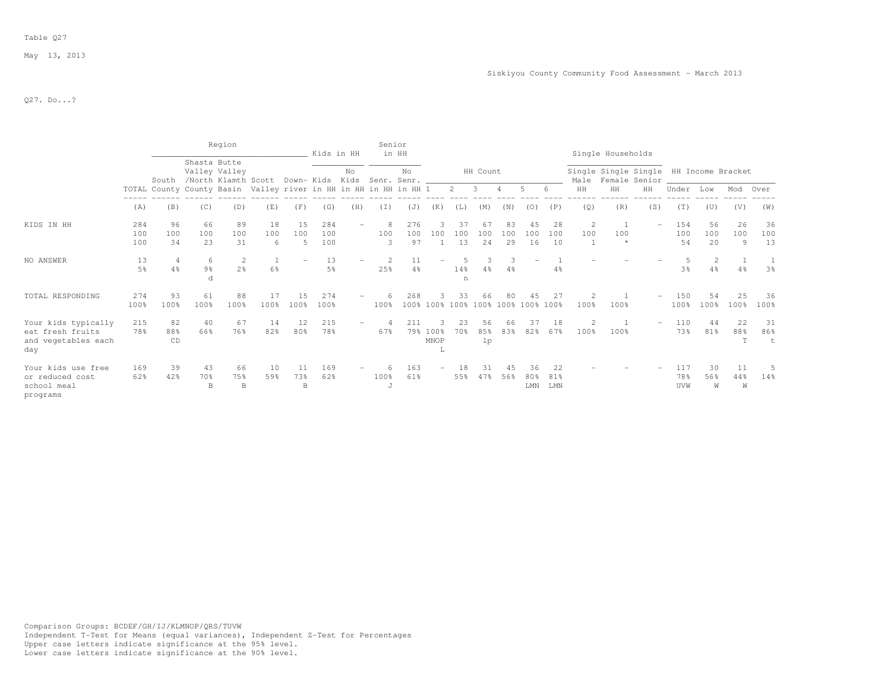### Table Q27

May 13, 2013

Q27. Do...?

|                                                                       |                   |                      |                          | Region                      |                                                                  |                           |                   | Kids in HH               | Senior        | in HH            |                    |                      |                  |                 |                  |                  |                       | Single Households                                            |     |                   |                 |                |                 |
|-----------------------------------------------------------------------|-------------------|----------------------|--------------------------|-----------------------------|------------------------------------------------------------------|---------------------------|-------------------|--------------------------|---------------|------------------|--------------------|----------------------|------------------|-----------------|------------------|------------------|-----------------------|--------------------------------------------------------------|-----|-------------------|-----------------|----------------|-----------------|
|                                                                       |                   | South                | Shasta Butte             | Valley Valley               | /North Klamth Scott Down- Kids Kids Senr. Senr.                  |                           |                   | No                       |               | No               |                    |                      | HH Count         |                 |                  |                  |                       | Single Single Single HH Income Bracket<br>Male Female Senior |     |                   |                 |                |                 |
|                                                                       |                   |                      |                          |                             | TOTAL County County Basin Valley river in HH in HH in HH in HH 1 |                           |                   |                          |               |                  |                    | 2                    | 3                |                 | 5                |                  | HH                    | HH                                                           | HH  | Under             | Low             | Mod            | Over            |
|                                                                       | (A)               | (B)                  | (C)                      | (D)                         | (E)                                                              | (F)                       | (G)               | (H)                      | (I)           | (J)              | (K)                | (L)                  | (M)              | (N)             | (0)              | (P)              | (Q)                   | (R)                                                          | (S) | (T)               | (U)             | (V)            | (W)             |
| KIDS IN HH                                                            | 284<br>100<br>100 | 96<br>100<br>34      | 66<br>100<br>23          | 89<br>100<br>31             | 18<br>100<br>6                                                   | 15<br>100                 | 284<br>100<br>100 |                          | 8<br>100<br>3 | 276<br>100<br>97 | 100                | 37<br>100<br>13      | 67<br>100<br>2.4 | 83<br>100<br>29 | 45<br>100<br>16  | 28<br>100<br>10  | $\overline{c}$<br>100 | 100                                                          |     | 154<br>100<br>54  | 56<br>100<br>20 | 26<br>100<br>9 | 36<br>100<br>13 |
| NO ANSWER                                                             | 13<br>5%          | $\overline{4}$<br>4% | 6<br>$9\frac{6}{9}$<br>d | -2<br>2 <sup>o</sup>        | $6\%$                                                            |                           | 13<br>5%          |                          | 25%           | $4\frac{6}{6}$   |                    | 14%<br>n             | 4%               | 4%              |                  | 4%               |                       |                                                              |     | 3 <sup>°</sup>    | 2<br>4%         | 4%             | 3 <sup>°</sup>  |
| TOTAL RESPONDING                                                      | 274<br>100%       | 93<br>100%           | 61<br>100%               | 88<br>100%                  | 17<br>100%                                                       | 15<br>100%                | 274<br>100%       |                          | 100%          | 268              |                    | 33<br>100% 100% 100% | 66               |                 | 100% 100% 100%   | 27<br>100%       | 100%                  | 100%                                                         |     | 150<br>100%       | 54<br>100%      | 2.5<br>100%    | 36<br>100%      |
| Your kids typically<br>eat fresh fruits<br>and vegetables each<br>day | 215<br>78%        | 82<br>88%<br>CD      | 40<br>66%                | 67<br>76%                   | 14<br>82%                                                        | 12<br>80%                 | 215<br>78%        | $\overline{\phantom{0}}$ | 67%           | 211<br>79%       | 100%<br>MNOP<br>Τ, | 23<br>70%            | 56<br>85%<br>1p  | 66<br>83%       | 37<br>82%        | 18<br>67%        | 100%                  | 100%                                                         |     | 110<br>73%        | 44<br>81%       | 22<br>88%<br>T | 31<br>86%       |
| Your kids use free<br>or reduced cost<br>school meal<br>programs      | 169<br>62%        | 39<br>42%            | 43<br>70%<br>B           | 66<br>75%<br>$\overline{B}$ | 10<br>59%                                                        | 11<br>73%<br><sub>B</sub> | 169<br>62%        |                          | 100%<br>-J    | 163<br>61%       |                    | 55%                  | 47%              | 45<br>56%       | 36<br>80%<br>LMN | 22<br>81%<br>LMN |                       |                                                              |     | 117<br>78%<br>UVW | 30<br>56%<br>W  | 11<br>44%<br>W | 14%             |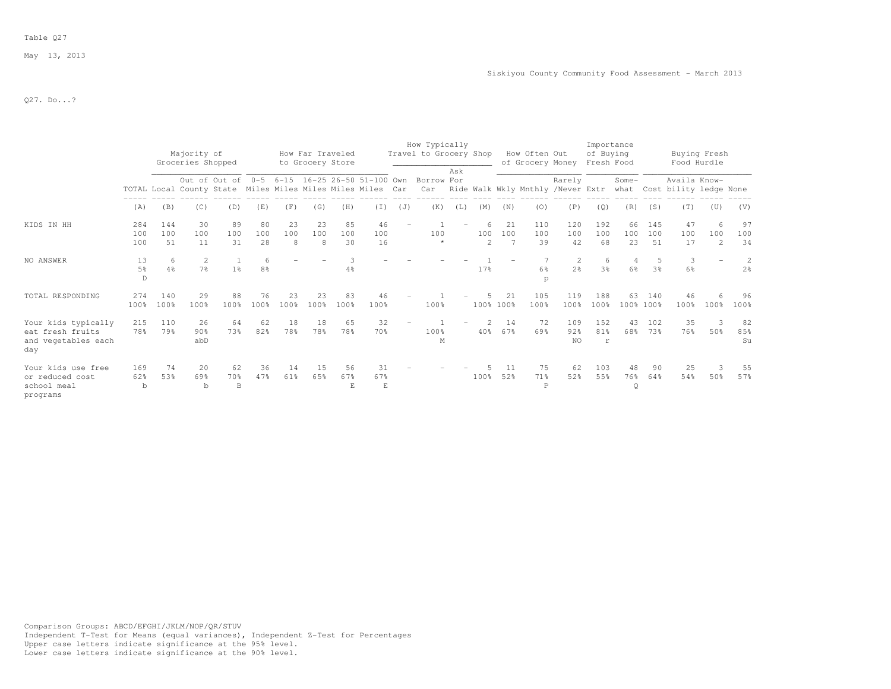## Table Q27

May 13, 2013

Q27. Do...?

|                                                                       |                   |                  | Majority of<br>Groceries Shopped                           |                 |                      |                | How Far Traveled<br>to Grocery Store |                 |                 |     | How Typically<br>Travel to Grocery Shop                         |     |                            |                 | How Often Out<br>of Grocery Money Fresh Food |                                  | Importance<br>of Buying |                 |                  | Buying Fresh<br>Food Hurdle                 |                            |                     |
|-----------------------------------------------------------------------|-------------------|------------------|------------------------------------------------------------|-----------------|----------------------|----------------|--------------------------------------|-----------------|-----------------|-----|-----------------------------------------------------------------|-----|----------------------------|-----------------|----------------------------------------------|----------------------------------|-------------------------|-----------------|------------------|---------------------------------------------|----------------------------|---------------------|
|                                                                       |                   |                  | TOTAL Local County State Miles Miles Miles Miles Miles Car |                 |                      |                |                                      |                 |                 |     | Out of Out of 0-5 6-15 16-25 26-50 51-100 Own Borrow For<br>Car | Ask |                            |                 | Ride Walk Wkly Mnthly /Never Extr            | Rarely                           |                         | Some-           |                  | Availa Know-<br>what Cost bility ledge None |                            |                     |
|                                                                       | (A)               | (B)              | (C)                                                        | (D)             | (E)                  | (F)            | (G)                                  | (H)             | (T)             | (J) | (K)                                                             | (L) | (M)                        | (N)             | (0)                                          | (P)                              | (Q)                     | (R)             | (S)              | (T)                                         | (U)                        | (V)                 |
| KIDS IN HH                                                            | 284<br>100<br>100 | 144<br>100<br>51 | 30<br>100<br>11                                            | 89<br>100<br>31 | 80<br>100<br>28      | 23<br>100<br>8 | 23<br>100<br>-8                      | 85<br>100<br>30 | 46<br>100<br>16 |     | 100<br>$\star$                                                  |     | 6<br>100<br>$\overline{2}$ | 21<br>100       | 110<br>100<br>39                             | 120<br>100<br>42                 | 192<br>100<br>68        | 66<br>100<br>23 | 145<br>100<br>51 | 47<br>100<br>17                             | 6<br>100<br>$\overline{2}$ | 97<br>100<br>34     |
| NO ANSWER                                                             | 13<br>5%<br>D     | 6<br>4%          | 2<br>7 <sup>°</sup>                                        | 1 <sup>°</sup>  | -6<br>8 <sup>°</sup> |                |                                      | 4%              |                 |     |                                                                 |     | 17%                        |                 | 6%<br>p                                      | $\overline{2}$<br>2 <sup>o</sup> | 6<br>3 <sup>°</sup>     | 4<br>6%         | 3 <sup>°</sup>   | 3<br>6%                                     |                            | 2<br>2 <sup>o</sup> |
| TOTAL RESPONDING                                                      | 274<br>100%       | 140<br>100%      | 29<br>100%                                                 | 88<br>100%      | 76<br>100%           | 23<br>100%     | 23<br>100%                           | 83<br>100%      | 46<br>100%      |     | 100%                                                            |     |                            | 21<br>100% 100% | 105<br>100%                                  | 119<br>100%                      | 188<br>100%             | 63              | 140<br>100% 100% | 46<br>100%                                  | 100%                       | 96<br>100%          |
| Your kids typically<br>eat fresh fruits<br>and vegetables each<br>day | 215<br>78%        | 110<br>79%       | 26<br>90%<br>abD                                           | 64<br>73%       | 62<br>82%            | 18<br>78%      | 18<br>78%                            | 65<br>78%       | 32<br>70%       |     | 100%<br>M                                                       |     | $\mathcal{L}$<br>40%       | 14<br>67%       | 72<br>69%                                    | 109<br>92%<br><b>NO</b>          | 152<br>81%<br>r         | 43<br>68%       | 102<br>73%       | 35<br>76%                                   | ्र<br>50%                  | 82<br>85%<br>Su     |
| Your kids use free<br>or reduced cost<br>school meal<br>programs      | 169<br>62%<br>b   | 74<br>53%        | 20<br>69%<br>$\mathbf b$                                   | 62<br>70%<br>B  | 36<br>47%            | 14<br>61%      | 15<br>65%                            | 56<br>67%<br>E. | 31<br>67%<br>E  |     |                                                                 |     | 100%                       | 11<br>52%       | 75<br>71%<br>P                               | 62<br>52%                        | 103<br>55%              | 48<br>76%<br>Q  | 90<br>64%        | 25<br>54%                                   | 3<br>50%                   | 55<br>57%           |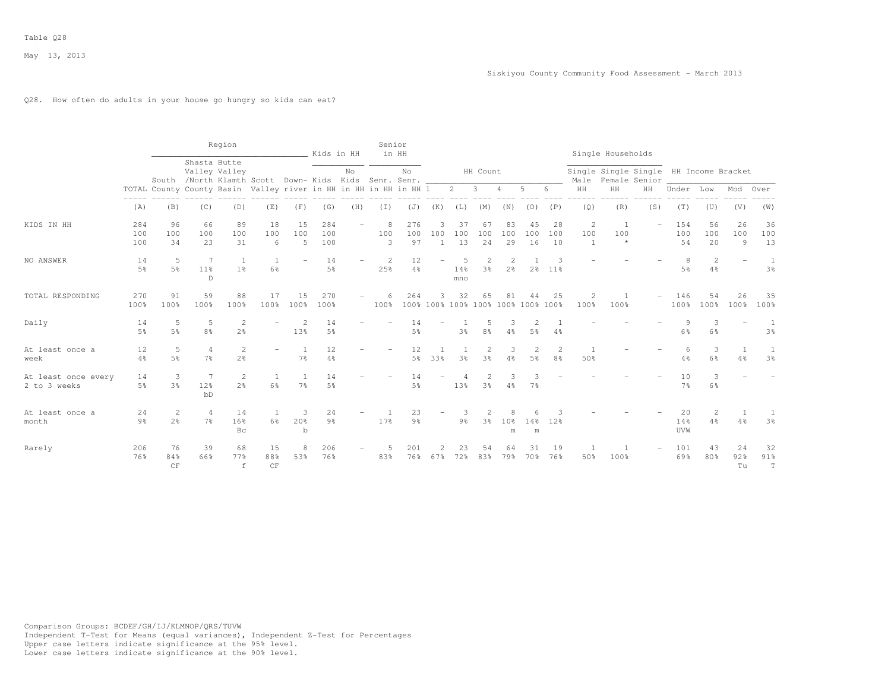## Q28. How often do adults in your house go hungry so kids can eat?

|                                     |                      |                                                                  |                                  | Region                         |                                                          |                       | Kids in HH           |     | Senior        | in HH                |                          |                 |                      |                           |                                     |                      |                        | Single Households                      |               |                                         |                     |                    |                 |
|-------------------------------------|----------------------|------------------------------------------------------------------|----------------------------------|--------------------------------|----------------------------------------------------------|-----------------------|----------------------|-----|---------------|----------------------|--------------------------|-----------------|----------------------|---------------------------|-------------------------------------|----------------------|------------------------|----------------------------------------|---------------|-----------------------------------------|---------------------|--------------------|-----------------|
|                                     |                      |                                                                  | Shasta Butte                     | Valley Valley                  | South /North Klamth Scott Down- Kids Kids Senr. Senr. __ |                       |                      | No  |               | No                   |                          |                 | HH Count             |                           |                                     |                      | Male                   | Single Single Single HH Income Bracket | Female Senior |                                         |                     |                    |                 |
|                                     | -----                | TOTAL County County Basin Valley river in HH in HH in HH in HH 1 | $\cdots\cdots\cdots\cdots\cdots$ |                                |                                                          |                       |                      |     |               |                      |                          | $2 \quad 3$     | $\cdots$             | 4<br>$\frac{1}{2}$        | 5                                   | 6                    | HH<br>$- - - - - -$    | HH<br>------                           | HH<br>------- | Under Low<br>$\cdots\cdots\cdots\cdots$ | $------$            | Mod                | Over            |
|                                     | (A)                  | (B)                                                              | (C)                              | (D)                            | (E)                                                      | (F)                   | (G)                  | (H) | $(\top)$      | (J)                  | (K)                      | (L)             | (M)                  | (N)                       | (0)                                 | (P)                  | (Q)                    | (R)                                    | (S)           | (T)                                     | (U)                 | (V)                | (W)             |
| KIDS IN HH                          | 284<br>100<br>100    | 96<br>100<br>34                                                  | 66<br>100<br>23                  | 89<br>100<br>31                | 18<br>100<br>6                                           | 15<br>100<br>5        | 284<br>100<br>100    |     | 8<br>100<br>3 | 276<br>100<br>97     | 3<br>100<br>1            | 37<br>100<br>13 | 67<br>100<br>24      | 83<br>100<br>29           | 45<br>100<br>16                     | 28<br>100<br>10      | 2<br>100<br>1          | 1<br>100<br>$\star$                    |               | 154<br>100<br>54                        | 56<br>100<br>20     | 26<br>100<br>9     | 36<br>100<br>13 |
| NO ANSWER                           | 14<br>5 <sup>°</sup> | 5<br>5 <sup>°</sup>                                              | 7<br>11%<br>$\mathbb D$          | 1 <sup>°</sup>                 | 6%                                                       |                       | 14<br>5 <sup>°</sup> |     | 2<br>25%      | 12<br>$4\frac{6}{6}$ |                          | 14%<br>mno      | 2<br>3 <sup>°</sup>  | 2<br>2 <sup>o</sup>       | 2 <sup>8</sup>                      | 3<br>11 <sup>°</sup> |                        |                                        |               | 8<br>$5\frac{6}{6}$                     | 2<br>4%             |                    | 3%              |
| TOTAL RESPONDING                    | 270<br>100%          | 91<br>100%                                                       | 59<br>100%                       | 88<br>100%                     | 17<br>100%                                               | 15<br>100%            | 270<br>100%          |     | 6<br>100%     | 264                  | 3                        | 32              | 65                   | 81                        | 44<br>100% 100% 100% 100% 100% 100% | 25                   | $\overline{c}$<br>100% | -1<br>100%                             |               | 146<br>100%                             | 54<br>100%          | 26<br>100%         | 35<br>100%      |
| Daily                               | 14<br>5 <sup>°</sup> | 5<br>5%                                                          | 5<br>$8\frac{6}{9}$              | $\mathbf{2}$<br>2 <sup>°</sup> |                                                          | $\overline{2}$<br>13% | 14<br>$5\%$          |     |               | 14<br>$5\frac{6}{6}$ | $\overline{\phantom{0}}$ | 3 <sup>°</sup>  | 5<br>8%              | 3<br>$4\frac{6}{6}$       | 2<br>5 <sup>°</sup>                 | $4\%$                |                        |                                        |               | 9<br>6%                                 | 3<br>$6\frac{6}{6}$ |                    | 1<br>3%         |
| At least once a<br>week             | 12<br>4%             | 5<br>5 <sup>°</sup>                                              | $\overline{4}$<br>$7\frac{6}{9}$ | $\mathbf{2}$<br>2%             |                                                          | 7 <sup>°</sup>        | 12<br>4%             |     |               | 12<br>5 <sup>°</sup> | 33%                      | 3 <sup>°</sup>  | $\overline{c}$<br>3% | 3<br>$4\frac{6}{6}$       | 2<br>5 <sup>°</sup>                 | 2<br>8 <sup>°</sup>  | $\overline{1}$<br>50%  |                                        |               | 6<br>4%                                 | 3<br>6%             | 1<br>4%            | 1<br>3%         |
| At least once every<br>2 to 3 weeks | 14<br>5%             | 3<br>3 <sup>8</sup>                                              | 7<br>12%<br>bD                   | $\mathbf{2}$<br>2 <sup>o</sup> | 1<br>6%                                                  | $7\frac{6}{6}$        | 14<br>$5\%$          |     |               | 14<br>$5\frac{6}{6}$ |                          | 13%             | $\overline{c}$<br>3% | 3<br>$4\frac{6}{6}$       | 7%                                  |                      |                        |                                        |               | 10<br>7 <sup>°</sup>                    | 3<br>$6\frac{6}{6}$ |                    |                 |
| At least once a<br>month            | 24<br>9 <sub>8</sub> | 2<br>2 <sup>°</sup>                                              | $\overline{4}$<br>7 <sup>°</sup> | 14<br>16 <sup>°</sup><br>Bc    | 1<br>6%                                                  | 3<br>20%<br>b         | 24<br>9 <sup>°</sup> |     | 17%           | 23<br>9 <sub>8</sub> |                          | $9\frac{6}{6}$  | 3%                   | 8<br>10 <sup>o</sup><br>m | 14 <sup>°</sup><br>m                | 12%                  |                        |                                        |               | 20<br>14%<br>UVW                        | 2<br>4%             | $\mathbf{1}$<br>4% | 1<br>3%         |
| Rarely                              | 206<br>76%           | 76<br>84%<br>CF                                                  | 39<br>66%                        | 68<br>77%<br>$\,$ f            | 15<br>88%<br>CF                                          | 8<br>53%              | 206<br>76%           |     | 83%           | 201<br>76%           | 67%                      | 23<br>72%       | 54<br>83%            | 64<br>79%                 | 31<br>70 %                          | 19<br>76%            | -1<br>50%              | $\overline{1}$<br>100%                 |               | 101<br>69%                              | 43<br>80%           | 24<br>92%<br>Tu    | 32<br>91%<br>T  |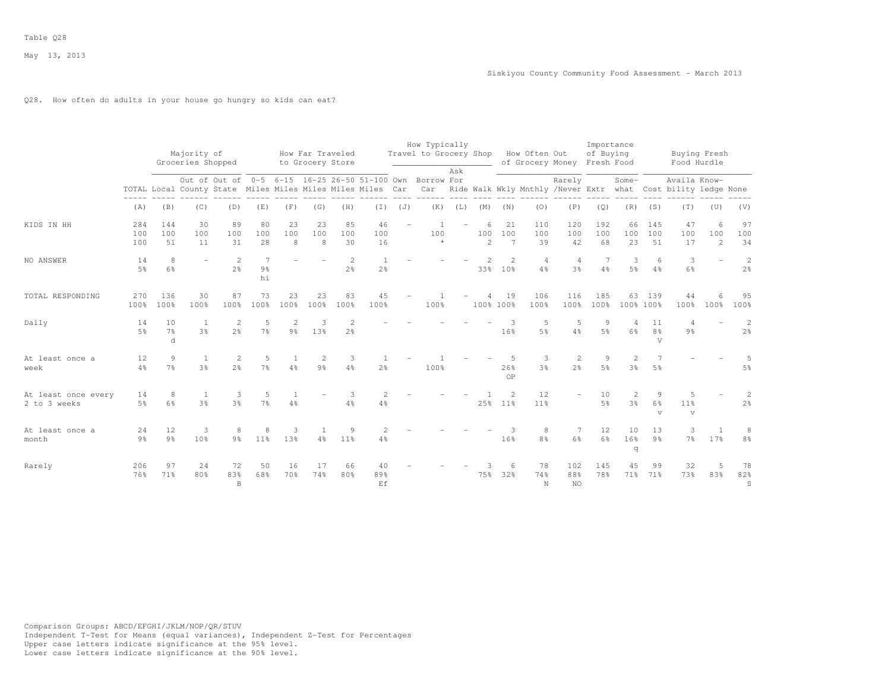## Q28. How often do adults in your house go hungry so kids can eat?

|                                     |                      |                                      | Majority of                                                |                     |                      |                                | How Far Traveled     |                                  |                      |     | How Typically<br>Travel to Grocery Shop                  |             |                            |                                   | How Often Out                                                     |                      | Importance<br>of Buying |                     |                                      | Buying Fresh                        |               |                                  |
|-------------------------------------|----------------------|--------------------------------------|------------------------------------------------------------|---------------------|----------------------|--------------------------------|----------------------|----------------------------------|----------------------|-----|----------------------------------------------------------|-------------|----------------------------|-----------------------------------|-------------------------------------------------------------------|----------------------|-------------------------|---------------------|--------------------------------------|-------------------------------------|---------------|----------------------------------|
|                                     |                      |                                      | Groceries Shopped                                          |                     |                      |                                | to Grocery Store     |                                  |                      |     |                                                          |             |                            |                                   | of Grocery Money                                                  |                      | Fresh Food              |                     |                                      | Food Hurdle                         |               |                                  |
|                                     |                      |                                      | TOTAL Local County State Miles Miles Miles Miles Miles Car |                     |                      |                                |                      |                                  |                      |     | Out of Out of 0-5 6-15 16-25 26-50 51-100 Own Borrow For | Ask         |                            |                                   | Car Ride Walk Wkly Mnthly /Never Extr what Cost bility ledge None | Rarely               |                         | Some-               |                                      | Availa Know-                        |               |                                  |
|                                     | (A)                  | (B)                                  | (C)                                                        | (D)                 | (E)                  | (F)                            | (G)                  | (H)                              | (I)                  | (J) |                                                          | $(K)$ $(L)$ | (M)                        | (N)                               | (0)                                                               | (P)                  | (Q)                     | (R)                 | (S)                                  | (T)                                 | (U)           | (V)                              |
| KIDS IN HH                          | 284<br>100<br>100    | 144<br>100<br>51                     | 30<br>100<br>11                                            | 89<br>100<br>31     | 80<br>100<br>28      | 23<br>100<br>8                 | 23<br>100<br>8       | 85<br>100<br>30                  | 46<br>100<br>16      |     | $\overline{1}$<br>100<br>$\star$                         |             | 6<br>100<br>$\overline{2}$ | 21<br>100<br>$\overline{7}$       | 110<br>100<br>39                                                  | 120<br>100<br>42     | 192<br>100<br>68        | 66<br>100<br>23     | 145<br>100<br>51                     | 47<br>100<br>17                     | 6<br>100<br>2 | 97<br>100<br>34                  |
| NO ANSWER                           | 14<br>$5\%$          | 8<br>6%                              | $\equiv$                                                   | 2<br>2 <sup>o</sup> | $9\frac{6}{6}$<br>hi |                                |                      | $\overline{2}$<br>2 <sup>o</sup> | $2\frac{6}{6}$       |     |                                                          |             | 33%                        | 2<br>10%                          | $\overline{4}$<br>4%                                              | $\overline{4}$<br>3% | 4%                      | 3<br>5%             | 6<br>$4\frac{6}{6}$                  | 3<br>$6\frac{6}{9}$                 | $\equiv$      | $\overline{c}$<br>2 <sup>o</sup> |
| TOTAL RESPONDING                    | 270<br>100%          | 136<br>100%                          | 30<br>100%                                                 | 87<br>100%          | 73<br>100%           | 23<br>100%                     | 23<br>100%           | 83<br>100%                       | 45<br>100%           |     | 100%                                                     |             |                            | 19<br>100% 100%                   | 106<br>100%                                                       | 116<br>100%          | 185<br>100%             | 63<br>100% 100%     | 139                                  | 44<br>100%                          | 100%          | 95<br>100%                       |
| Daily                               | 14<br>5 <sup>8</sup> | 10<br>7 <sup>°</sup><br><sub>d</sub> | - 1<br>3%                                                  | 2<br>2 <sup>o</sup> | 5<br>7%              | $\mathbf{2}$<br>$9\frac{6}{6}$ | - 3<br>13%           | $\overline{2}$<br>2 <sup>°</sup> |                      |     |                                                          |             |                            | 3<br>16%                          | 5<br>5 <sup>9</sup>                                               | 5<br>4%              | 9<br>.5%                | 4<br>6%             | 11<br>$8\frac{6}{6}$<br>$\mathbf{V}$ | $9\frac{6}{9}$                      |               | 2<br>2 <sup>°</sup>              |
| At least once a<br>week             | 12<br>$4\%$          | 9<br>7 <sup>°</sup>                  | -1<br>3%                                                   | 2<br>2 <sup>°</sup> | 5<br>7%              | 4%                             | $\overline{2}$<br>9% | 3<br>4%                          | 2 <sup>°</sup>       |     | 100%                                                     |             |                            | 26%<br>OP                         | 3<br>3 <sup>8</sup>                                               | 2<br>2.8             | 9<br>5%                 | 2<br>3 <sup>°</sup> | 5 <sup>°</sup>                       |                                     |               | 5<br>5%                          |
| At least once every<br>2 to 3 weeks | 14<br>5 <sup>8</sup> | 8<br>6%                              | -1<br>3%                                                   | 3<br>3%             | 5<br>7%              | 4%                             |                      | -3<br>4%                         | $\overline{2}$<br>4% |     |                                                          |             | 25%                        | $\mathfrak{D}$<br>11 <sup>°</sup> | 12<br>11 <sup>8</sup>                                             |                      | 10<br>5%                | 2<br>3%             | $\mathbf{Q}$<br>6%<br>$\mathbf{V}$   | 5<br>11 <sup>°</sup><br>$\mathbf v$ |               | 2<br>2 <sup>°</sup>              |
| At least once a<br>month            | 24<br>$9\frac{6}{9}$ | 12<br>$9\frac{6}{6}$                 | 3<br>10%                                                   | 8<br>$9\frac{6}{9}$ | 8<br>11 <sup>°</sup> | 3<br>13%                       | $4\frac{6}{6}$       | 9<br>11%                         | 4%                   |     |                                                          |             |                            | 16%                               | 8<br>$8\frac{6}{9}$                                               | -7<br>6%             | 12<br>6%                | 10<br>16%<br>q      | 13<br>9%                             | 3<br>$7\frac{6}{9}$                 | 17%           | 8<br>8 <sup>°</sup>              |
| Rarely                              | 206<br>76%           | 97<br>71%                            | 24<br>80%                                                  | 72<br>83%<br>B      | 50<br>68%            | 16<br>70%                      | 17<br>74%            | 66<br>80%                        | 40<br>89%<br>Ef      |     |                                                          |             | 75%                        | 6<br>32%                          | 78<br>74%<br>$\rm N$                                              | 102<br>88%<br>NO.    | 145<br>78%              | 45<br>71%           | 99<br>71%                            | 32<br>73%                           | 5<br>83%      | 78<br>82%<br>S                   |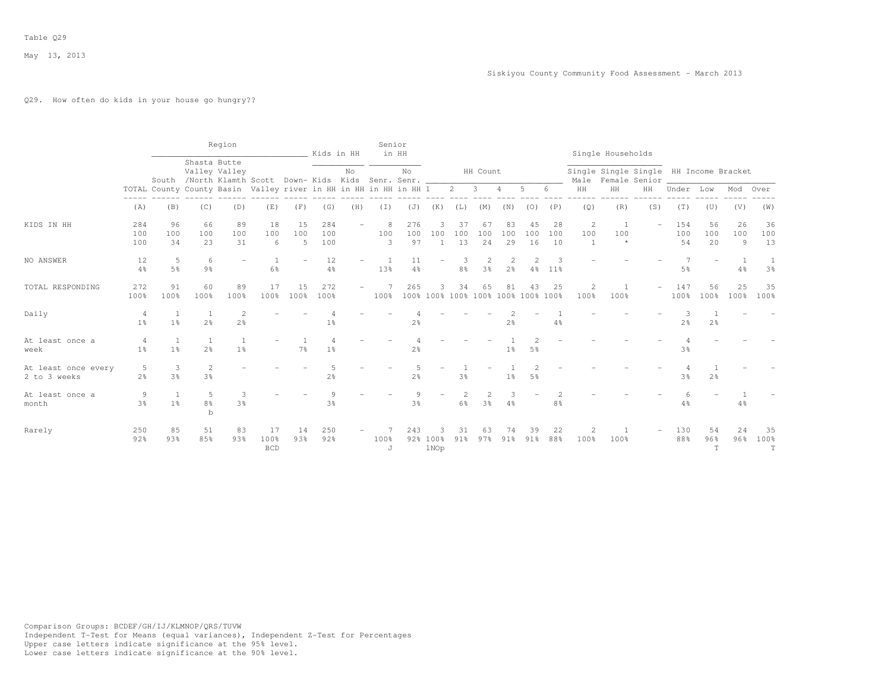## Q29. How often do kids in your house go hungry??

|                                     |                     |                                                                  |                                                            | Region               |                          |                | Kids in HH        |     | Senior                      | in HH               |                       |                 |                                  |                     |                                          |                 |                          | Single Households                                            |     |                  |                 |                |                           |
|-------------------------------------|---------------------|------------------------------------------------------------------|------------------------------------------------------------|----------------------|--------------------------|----------------|-------------------|-----|-----------------------------|---------------------|-----------------------|-----------------|----------------------------------|---------------------|------------------------------------------|-----------------|--------------------------|--------------------------------------------------------------|-----|------------------|-----------------|----------------|---------------------------|
|                                     |                     |                                                                  | Shasta Butte<br>Valley Valley<br>South /North Klamth Scott |                      |                          |                |                   | No  | Down- Kids Kids Senr. Senr. | No                  |                       |                 | HH Count                         |                     |                                          |                 |                          | Single Single Single HH Income Bracket<br>Male Female Senior |     |                  |                 |                |                           |
|                                     |                     | TOTAL County County Basin Valley river in HH in HH in HH in HH 1 |                                                            |                      |                          |                |                   |     |                             |                     |                       | $2 \quad$       | $\overline{\mathbf{3}}$          | $\overline{4}$      | 5                                        | 6               | HH                       | HH                                                           | HH  | Under            | Low             | Mod            | Over                      |
|                                     | (A)                 | (B)                                                              | (C)                                                        | (D)                  | (E)                      | (F)            | (G)               | (H) | (I)                         | (J)                 | (K)                   | (L)             | (M)                              | (N)                 | (0)                                      | (P)             | (Q)                      | (R)                                                          | (S) | (T)              | (U)             | (V)            | (W)                       |
| KIDS IN HH                          | 284<br>100<br>100   | 96<br>100<br>34                                                  | 66<br>100<br>23                                            | 89<br>100<br>31      | 18<br>100<br>6           | 15<br>100<br>5 | 284<br>100<br>100 |     | 8<br>100<br>3               | 276<br>100<br>97    | 3<br>100              | 37<br>100<br>13 | 67<br>100<br>24                  | 83<br>100<br>29     | 45<br>100<br>16                          | 28<br>100<br>10 | 2<br>100<br>$\mathbf{1}$ | - 1<br>100<br>$\star$                                        |     | 154<br>100<br>54 | 56<br>100<br>20 | 26<br>100<br>9 | 36<br>100<br>13           |
| NO ANSWER                           | 12<br>4%            | 5<br>5 <sup>°</sup>                                              | 6<br>9 <sub>8</sub>                                        |                      | 1<br>6%                  |                | 12<br>4%          |     | 13%                         | 11<br>4%            | $\qquad \qquad -$     | 8%              | $\overline{2}$<br>3 <sup>°</sup> | 2<br>2 <sup>°</sup> | 4%                                       | 3<br>11%        |                          |                                                              |     | 5%               |                 | -1<br>4%       | 1<br>3%                   |
| TOTAL RESPONDING                    | 272<br>100%         | 91<br>100%                                                       | 60<br>100%                                                 | 89<br>100%           | 17<br>100%               | 15<br>100%     | 272<br>100%       |     | 100%                        | 265                 | 3.                    | 34              | 65                               | 81                  | 43<br>100% 100% 100% 100% 100% 100% 100% | 25              | $\overline{2}$<br>100%   | 100%                                                         |     | 147<br>100%      | 56<br>100%      | 25<br>100%     | 35<br>100%                |
| Daily                               | 4<br>1 <sup>°</sup> | $\overline{1}$<br>1 <sup>8</sup>                                 | -1<br>2 <sup>°</sup>                                       | $\mathfrak{D}$<br>2% |                          |                | $1\frac{6}{9}$    |     |                             | $2\frac{6}{6}$      |                       |                 |                                  | $2\frac{6}{6}$      |                                          | $4\%$           |                          |                                                              |     | $2\frac{6}{6}$   | $2\frac{6}{6}$  |                |                           |
| At least once a<br>week             | 4<br>$1\%$          | $\overline{1}$<br>$1\%$                                          | <sup>1</sup><br>2 <sup>°</sup>                             | $1\%$                |                          | $7\%$          | 1 <sup>°</sup>    |     |                             | 2 <sup>°</sup>      |                       |                 |                                  | $1\%$               | 5 <sup>°</sup>                           |                 |                          |                                                              |     | $3\frac{6}{9}$   |                 |                |                           |
| At least once every<br>2 to 3 weeks | 5<br>2 <sup>°</sup> | 3<br>3%                                                          | 2<br>3 <sup>°</sup>                                        |                      |                          |                | $2\frac{6}{9}$    |     |                             | 2 <sup>°</sup>      |                       | 3 <sup>°</sup>  |                                  | 1 <sup>°</sup>      | 5 <sup>°</sup>                           |                 |                          |                                                              |     | 3 <sup>o</sup>   | 2%              |                |                           |
| At least once a<br>month            | 9<br>3%             | $1\%$                                                            | 5<br>8 <sup>°</sup><br>$\mathbf b$                         | 3<br>3%              |                          |                | 9<br>3%           |     |                             | 9<br>3 <sup>8</sup> |                       | 6%              | 2<br>3%                          | 4%                  |                                          | 2<br>8%         |                          |                                                              |     | 6<br>4%          |                 | 4%             |                           |
| Rarely                              | 250<br>92%          | 85<br>93%                                                        | 51<br>85%                                                  | 83<br>93%            | 17<br>100%<br><b>BCD</b> | 14<br>93%      | 250<br>92%        |     | 100%<br>J                   | 243                 | 3<br>92% 100%<br>1NOp | 31<br>91%       | 63<br>97%                        | 74<br>91%           | 39<br>91%                                | 22<br>88%       | 2<br>100%                | -1<br>100%                                                   |     | 130<br>88%       | 54<br>96%<br>T  | 24<br>96%      | 35<br>100%<br>$\mathbf T$ |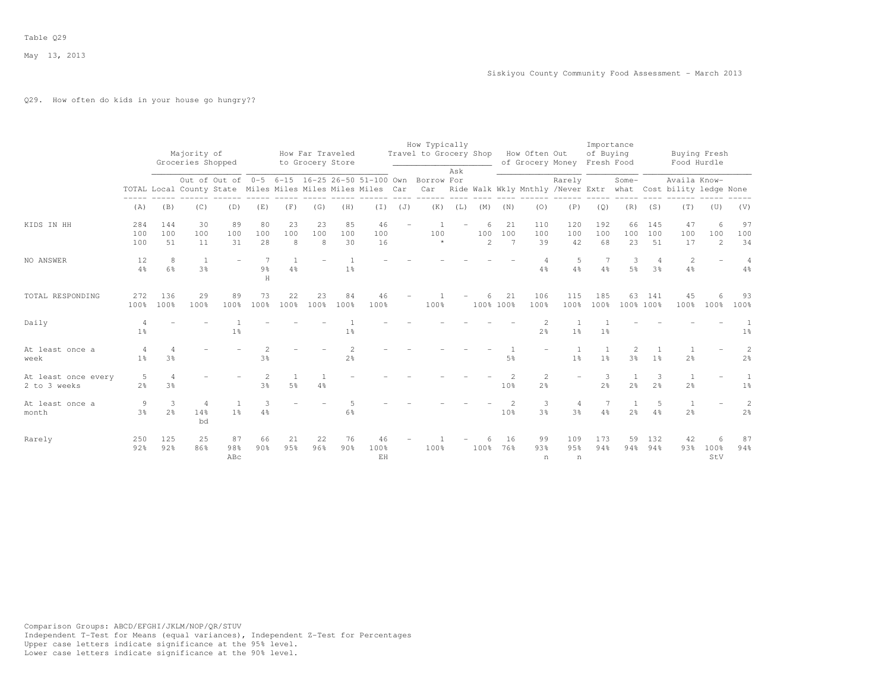## Q29. How often do kids in your house go hungry??

|                                     |                     |                                  | Majority of<br>Groceries Shopped |                                                                                                                        |                      |                                  | How Far Traveled<br>to Grocery Store |                     |                  |     | How Typically<br>Travel to Grocery Shop How Often Out |     |               |                       |                                  | of Grocery Money Fresh Food      | Importance<br>of Buying |                                  |                                  | Buying Fresh<br>Food Hurdle                                                   |                  |                                  |
|-------------------------------------|---------------------|----------------------------------|----------------------------------|------------------------------------------------------------------------------------------------------------------------|----------------------|----------------------------------|--------------------------------------|---------------------|------------------|-----|-------------------------------------------------------|-----|---------------|-----------------------|----------------------------------|----------------------------------|-------------------------|----------------------------------|----------------------------------|-------------------------------------------------------------------------------|------------------|----------------------------------|
|                                     |                     |                                  |                                  | Out of Out of 0-5 6-15 16-25 26-50 51-100 Own Borrow For<br>TOTAL Local County State Miles Miles Miles Miles Miles Car |                      |                                  |                                      |                     |                  |     | Car                                                   | Ask |               |                       |                                  | Rarely                           |                         | Some-                            |                                  | Availa Know-<br>Ride Walk Wkly Mnthly /Never Extr what Cost bility ledge None |                  |                                  |
|                                     | (A)                 | (B)                              | (C)                              | (D)                                                                                                                    | (E)                  | (F)                              | (G)                                  | (H)                 | (I)              | (J) | (K)                                                   | (L) | (M)           | (N)                   | (0)                              | (P)                              | (Q)                     | (R)                              | (S)                              | (T)                                                                           | (U)              | (V)                              |
| KIDS IN HH                          | 284<br>100<br>100   | 144<br>100<br>51                 | 30<br>100<br>11                  | 89<br>100<br>31                                                                                                        | 80<br>100<br>28      | 23<br>100<br>8                   | 23<br>100<br>8                       | 85<br>100<br>30     | 46<br>100<br>16  |     | 100<br>$\star$                                        |     | 6<br>100<br>2 | 21<br>100<br>7        | 110<br>100<br>39                 | 120<br>100<br>42                 | 192<br>100<br>68        | 66<br>100<br>23                  | 145<br>100<br>51                 | 47<br>100<br>17                                                               | 6<br>100<br>2    | 97<br>100<br>34                  |
| NO ANSWER                           | 12<br>$4\%$         | 8<br>6%                          | <sup>1</sup><br>3%               |                                                                                                                        | $9\frac{6}{6}$<br>H  | $\overline{1}$<br>4%             |                                      | 1 <sup>°</sup>      |                  |     |                                                       |     |               |                       | 4%                               | 5<br>4%                          | 4%                      | 3<br>5%                          | $\overline{4}$<br>3 <sup>°</sup> | 2<br>$4\frac{6}{6}$                                                           |                  | $\overline{4}$<br>$4\frac{6}{6}$ |
| TOTAL RESPONDING                    | 272<br>100%         | 136<br>100%                      | 29<br>100%                       | 89<br>100%                                                                                                             | 73<br>100%           | 22<br>100%                       | 23<br>100%                           | 84<br>100%          | 46<br>100%       |     | 100%                                                  |     | 6             | 21<br>100% 100%       | 106<br>100%                      | 115<br>100%                      | 185<br>100%             | 63                               | 141<br>100% 100%                 | 45<br>100%                                                                    | 100%             | 93<br>100%                       |
| Daily                               | 1 <sup>°</sup>      |                                  |                                  | 1 <sup>°</sup>                                                                                                         |                      |                                  |                                      | 1 <sup>°</sup>      |                  |     |                                                       |     |               |                       | 2<br>$2\frac{6}{6}$              | 1 <sup>°</sup>                   | 1 <sup>°</sup>          |                                  |                                  |                                                                               |                  | 1 <sup>°</sup>                   |
| At least once a<br>week             | 4<br>1 <sup>8</sup> | $\overline{4}$<br>3 <sup>8</sup> |                                  |                                                                                                                        | 3%                   |                                  |                                      | 2<br>2 <sup>°</sup> |                  |     |                                                       |     |               | 5 <sup>°</sup>        |                                  | -1<br>1 <sup>8</sup>             | -1<br>1 <sup>8</sup>    | 2<br>3%                          | 1 <sup>°</sup>                   | -1<br>2.8                                                                     |                  | 2<br>2 <sup>°</sup>              |
| At least once every<br>2 to 3 weeks | 5<br>2 <sup>o</sup> | $\overline{4}$<br>$3\frac{6}{9}$ |                                  |                                                                                                                        | $\overline{2}$<br>3% | $\overline{1}$<br>5 <sup>°</sup> | $4\frac{6}{6}$                       |                     |                  |     |                                                       |     |               | $\mathfrak{D}$<br>10% | $\overline{c}$<br>2 <sup>o</sup> | $\overline{\phantom{a}}$         | 3<br>2 <sup>o</sup>     | $\overline{1}$<br>2 <sup>°</sup> | 3<br>$2\frac{6}{6}$              | $\overline{1}$<br>2 <sup>o</sup>                                              |                  | $\mathbf{1}$<br>1 <sup>°</sup>   |
| At least once a<br>month            | 9<br>3 <sup>°</sup> | 3<br>2 <sup>o</sup>              | $\overline{4}$<br>14%<br>bd      | 1 <sup>°</sup>                                                                                                         | ς<br>$4\frac{6}{6}$  |                                  |                                      | 6%                  |                  |     |                                                       |     |               | $\mathfrak{D}$<br>10% | 3<br>3 <sup>°</sup>              | $\overline{4}$<br>3 <sup>°</sup> | 4%                      | $\overline{1}$<br>2 <sup>°</sup> | 5<br>$4\frac{6}{6}$              | $\overline{1}$<br>$2\frac{6}{6}$                                              |                  | 2<br>$2\frac{6}{6}$              |
| Rarely                              | 250<br>92%          | 125<br>92%                       | 25<br>86%                        | 87<br>98%<br>ABc                                                                                                       | 66<br>90%            | 21<br>95%                        | 22<br>96%                            | 76<br>$90\%$        | 46<br>100%<br>EH |     | 100%                                                  |     | 100%          | 16<br>76%             | 99<br>93%<br>n                   | 109<br>95%<br>n                  | 173<br>94%              | 59<br>94%                        | 132<br>94%                       | 42<br>93%                                                                     | 6<br>100%<br>StV | 87<br>94%                        |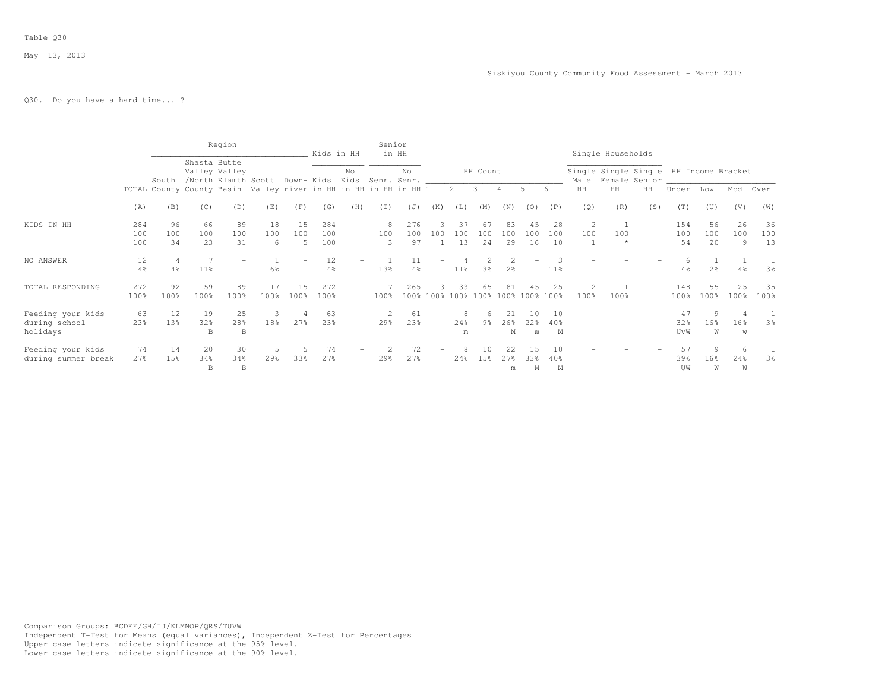# Q30. Do you have a hard time... ?

|                                                |                   |                 |                 | Region                               |                                                                  |                 | Kids in HH        |     | Senior        | in HH              |                          |                 |                         |                 |                 |                 |                        | Single Households                                       |     |                  |                 |                |                 |
|------------------------------------------------|-------------------|-----------------|-----------------|--------------------------------------|------------------------------------------------------------------|-----------------|-------------------|-----|---------------|--------------------|--------------------------|-----------------|-------------------------|-----------------|-----------------|-----------------|------------------------|---------------------------------------------------------|-----|------------------|-----------------|----------------|-----------------|
|                                                |                   | South           | Shasta Butte    | Valley Valley<br>/North Klamth Scott |                                                                  | Down- Kids Kids |                   | No  |               | No.<br>Senr. Senr. |                          |                 | HH Count                |                 |                 |                 | Male                   | Single Single Single HH Income Bracket<br>Female Senior |     |                  |                 |                |                 |
|                                                |                   |                 |                 |                                      | TOTAL County County Basin Valley river in HH in HH in HH in HH 1 |                 |                   |     |               |                    |                          | $\overline{2}$  | $\overline{\mathbf{3}}$ |                 | 5               |                 | HH                     | HH                                                      | HH  | Under            | Low             | Mod            | Over            |
|                                                | (A)               | (B)             | (C)             | (D)                                  | (E)                                                              | (F)             | (G)               | (H) | (T)           | (J)                | (K)                      | (L)             | (M)                     | (N)             | (0)             | (P)             | (Q)                    | (R)                                                     | (S) | (T)              | (U)             | (V)            | (W)             |
| KIDS IN HH                                     | 284<br>100<br>100 | 96<br>100<br>34 | 66<br>100<br>23 | 89<br>100<br>31                      | 18<br>100<br>6                                                   | 15<br>100       | 284<br>100<br>100 |     | 8<br>100<br>3 | 276<br>100<br>97   | 100                      | 37<br>100<br>13 | 67<br>100<br>24         | 83<br>100<br>29 | 45<br>100<br>16 | 28<br>100<br>10 | 2<br>100               | 100                                                     |     | 154<br>100<br>54 | 56<br>100<br>20 | 26<br>100<br>9 | 36<br>100<br>13 |
| NO ANSWER                                      | 12<br>4%          | 4%              | 11%             |                                      | 6%                                                               |                 | 12<br>4%          |     | 13%           | 4%                 |                          | $11\%$          | 3 <sup>8</sup>          | 2 <sup>°</sup>  |                 | 11 <sup>8</sup> |                        |                                                         |     | 4%               | 2 <sup>°</sup>  | 4%             | 3%              |
| TOTAL RESPONDING                               | 272<br>100%       | 92<br>100%      | 59<br>100%      | 89<br>100%                           | 17<br>100%                                                       | 15<br>100%      | 272<br>100%       |     | 100%          | 265<br>100%        | $100\%$                  | 33              | 65<br>100% 100% 100%    | 81              | 100%            | 25<br>100%      | $\overline{2}$<br>100% | 100%                                                    |     | 148<br>100%      | 55<br>100%      | 25<br>100%     | 35<br>100%      |
| Feeding your kids<br>during school<br>holidays | 63<br>23%         | 12<br>13%       | 19<br>32%<br>B  | 25<br>28%<br>B                       | 3<br>18%                                                         | 27%             | 63<br>23%         |     | 29%           | 61<br>23%          | $\overline{\phantom{0}}$ | 8<br>24%<br>m   | 6<br>9 <sub>8</sub>     | 21<br>26%<br>М  | 10<br>22%<br>m  | 10<br>40%<br>M  |                        |                                                         |     | 47<br>32%<br>UvW | 9<br>16%<br>W   | 16%<br>W       | 3%              |
| Feeding your kids<br>during summer break       | 74<br>27%         | 14<br>15%       | 20<br>34%<br>B  | 30<br>34%<br>$\, {\bf B}$            | 5<br>29%                                                         | 33%             | 74<br>27%         |     | 29%           | 72<br>27%          |                          | 24%             | 10<br>1.5%              | 22<br>27%<br>m  | 15<br>33%<br>М  | 1 N<br>40%<br>M |                        |                                                         |     | 57<br>39%<br>UW  | 9<br>16%<br>W   | 24%<br>W       | 3 <sup>8</sup>  |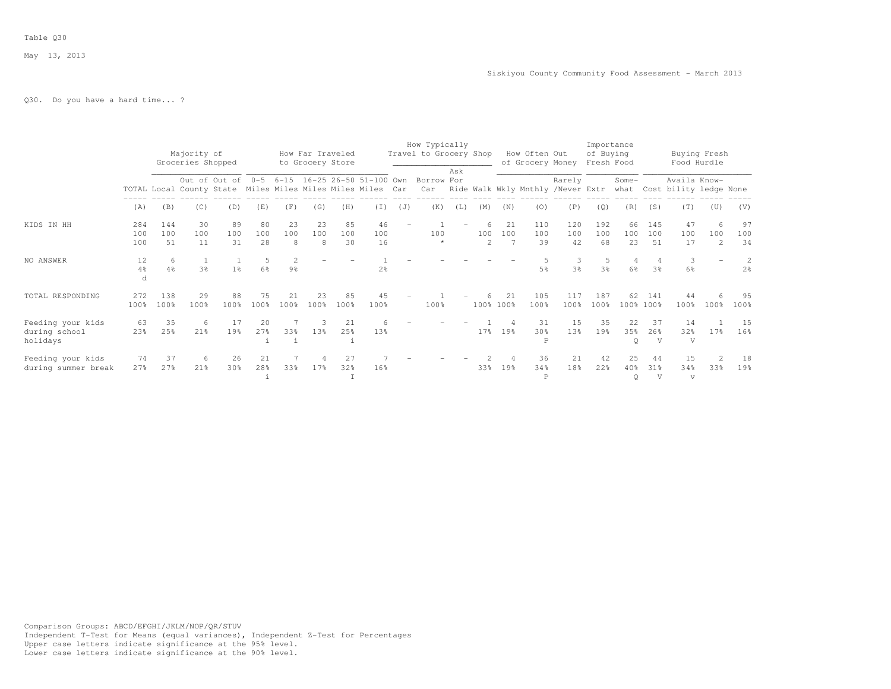# Q30. Do you have a hard time... ?

|                                                |                   |                  | Majority of<br>Groceries Shopped |                 |                 |                                 | How Far Traveled<br>to Grocery Store |                 |                                                                                                             |     | How Typically<br>Travel to Grocery Shop |     |                       |                 | How Often Out<br>of Grocery Money |                                                 | Importance<br>of Buying<br>Fresh Food |                      |                   | Food Hurdle                                 | Buying Fresh               |                     |
|------------------------------------------------|-------------------|------------------|----------------------------------|-----------------|-----------------|---------------------------------|--------------------------------------|-----------------|-------------------------------------------------------------------------------------------------------------|-----|-----------------------------------------|-----|-----------------------|-----------------|-----------------------------------|-------------------------------------------------|---------------------------------------|----------------------|-------------------|---------------------------------------------|----------------------------|---------------------|
|                                                |                   |                  |                                  |                 |                 |                                 |                                      |                 | Out of Out of 0-5 6-15 16-25 26-50 51-100 Own<br>TOTAL Local County State Miles Miles Miles Miles Miles Car |     | Borrow For                              | Ask |                       |                 |                                   | Rarely<br>Car Ride Walk Wkly Mnthly /Never Extr |                                       | Some-                |                   | Availa Know-<br>what Cost bility ledge None |                            |                     |
|                                                | (A)               | (B)              | (C)                              | (D)             | (E)             | (F)                             | (G)                                  | (H)             | (T)                                                                                                         | (J) | (K)                                     | (L) | (M)                   | (N)             | (0)                               | (P)                                             | (Q)                                   | (R)                  | (S)               | (T)                                         | (U)                        | (V)                 |
| KIDS IN HH                                     | 284<br>100<br>100 | 144<br>100<br>51 | 30<br>100<br>11                  | 89<br>100<br>31 | 80<br>100<br>28 | 23<br>100<br>8                  | 23<br>100<br>8                       | 85<br>100<br>30 | 46<br>100<br>16                                                                                             |     | 100                                     |     | 100<br>$\overline{2}$ | 21<br>100       | 110<br>100<br>39                  | 120<br>100<br>42                                | 192<br>100<br>68                      | 66<br>100<br>23      | 145<br>100<br>51  | 47<br>100<br>17                             | 6<br>100<br>$\overline{2}$ | 97<br>100<br>34     |
| NO ANSWER                                      | 12<br>$4\%$<br>d  | 6<br>4%          | <sup>1</sup><br>3%               | 1 <sup>°</sup>  | $6\frac{6}{9}$  | $\mathcal{L}$<br>$9\frac{6}{6}$ |                                      |                 | 2%                                                                                                          |     |                                         |     |                       |                 | 5%                                | 3<br>3%                                         | .5<br>3%                              | $\overline{4}$<br>6% | 3%                | 3<br>6%                                     |                            | 2<br>2 <sup>°</sup> |
| TOTAL RESPONDING                               | 272<br>100%       | 138<br>100%      | 29<br>100%                       | 88<br>100%      | 75<br>100%      | 21<br>100%                      | 23<br>100%                           | 85<br>100%      | 45<br>100%                                                                                                  |     | 100%                                    |     |                       | 21<br>100% 100% | 105<br>100%                       | 117<br>100%                                     | 187<br>100%                           | 62                   | 141<br>100% 100%  | 44<br>100%                                  | 6<br>100%                  | 95<br>100%          |
| Feeding your kids<br>during school<br>holidays | 63<br>23%         | 35<br>25%        | - 6<br>21%                       | 17<br>19%       | 20<br>27%       | 33%                             | 13%                                  | 21<br>25%       | 13%                                                                                                         |     |                                         |     | 17 <sub>8</sub>       | 19%             | 31<br>30%<br>P                    | 15<br>13%                                       | 35<br>19%                             | 22<br>35%<br>$\circ$ | 37<br>26%<br>V    | 14<br>32%<br>V                              | 17 <sup>8</sup>            | 15<br>16%           |
| Feeding your kids<br>during summer break       | 74<br>27%         | 37<br>27%        | -6<br>21%                        | 26<br>30%       | 21<br>28%       | 33%                             | 17%                                  | 27<br>32%       | 16%                                                                                                         |     |                                         |     | 33%                   | 19%             | 36<br>34%<br>$\mathbb P$          | 21<br>18%                                       | 42<br>22%                             | 25<br>40%<br>$\circ$ | 44<br>$31\%$<br>V | 15<br>34%<br>$\sqrt{ }$                     | 33%                        | 18<br>19%           |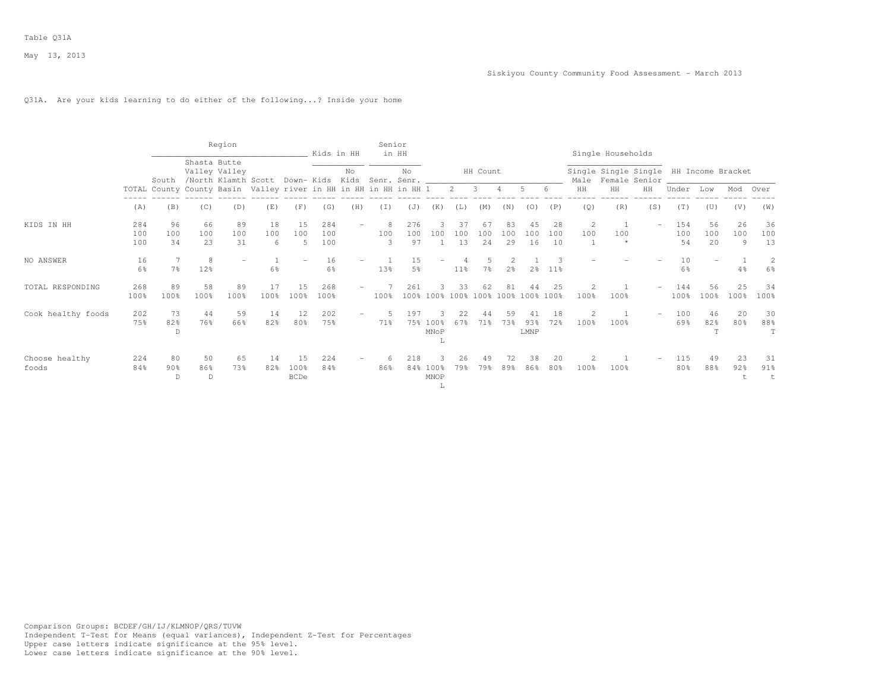# Q31A. Are your kids learning to do either of the following...? Inside your home

|                         |                   |                            |                 | Region                               |                                                                  |                           | Kids in HH                          |                          | Senior        | in HH            |                          |                 |                                |                 |                   |                 |                        | Single Households |                                                         |                  |                          |                |                 |
|-------------------------|-------------------|----------------------------|-----------------|--------------------------------------|------------------------------------------------------------------|---------------------------|-------------------------------------|--------------------------|---------------|------------------|--------------------------|-----------------|--------------------------------|-----------------|-------------------|-----------------|------------------------|-------------------|---------------------------------------------------------|------------------|--------------------------|----------------|-----------------|
|                         |                   | South                      | Shasta Butte    | Valley Valley<br>/North Klamth Scott |                                                                  |                           | Down- Kids Kids Senr. Senr. _______ | No                       |               | No               |                          |                 | HH Count                       |                 |                   |                 | Male                   |                   | Single Single Single HH Income Bracket<br>Female Senior |                  |                          |                |                 |
|                         |                   |                            |                 |                                      | TOTAL County County Basin Valley river in HH in HH in HH in HH 1 |                           |                                     |                          |               |                  |                          | $2 \quad$       | $\overline{\mathbf{3}}$        | $\overline{4}$  | 5                 | 6               | HH                     | HH                | HH                                                      | Under            | Low                      | Mod            | Over            |
|                         | (A)               | (B)                        | (C)             | (D)                                  | (E)                                                              | (F)                       | (G)                                 | (H)                      | (I)           | (J)              | (K)                      | (L)             | (M)                            | (N)             | (0)               | (P)             | (Q)                    | (R)               | (S)                                                     | (T)              | (U)                      | (V)            | (W)             |
| KIDS IN HH              | 284<br>100<br>100 | 96<br>100<br>34            | 66<br>100<br>23 | 89<br>100<br>31                      | 18<br>100<br>6                                                   | 15<br>100<br>5            | 284<br>100<br>100                   |                          | 8<br>100<br>3 | 276<br>100<br>97 | 100                      | 37<br>100<br>13 | 67<br>100<br>24                | 83<br>100<br>29 | 45<br>100<br>16   | 28<br>100<br>10 | 2<br>100<br>1          | 100               | $-$                                                     | 154<br>100<br>54 | 56<br>100<br>20          | 26<br>100<br>9 | 36<br>100<br>13 |
| NO ANSWER               | 16<br>6%          | 7 <sup>°</sup>             | 8<br>12%        | $\overline{\phantom{0}}$             | 6%                                                               |                           | 16<br>6%                            | $\overline{\phantom{a}}$ | 13%           | 15<br>5%         | $\overline{\phantom{0}}$ | $11\%$          | 7 <sup>°</sup>                 | 2 <sup>8</sup>  | 2 <sup>8</sup>    | $11\%$          |                        |                   |                                                         | 10<br>6%         | $\overline{\phantom{m}}$ | 4%             | 2<br>6%         |
| TOTAL RESPONDING        | 268<br>100%       | 89<br>100%                 | 58<br>100%      | 89<br>100%                           | 17<br>100%                                                       | 15<br>100%                | 268<br>100%                         |                          | 100%          | 261              |                          | 33              | 62<br>100% 100% 100% 100% 100% | 81              | 44<br>100%        | 2.5<br>100%     | $\mathfrak{D}$<br>100% | 100%              |                                                         | 144<br>100%      | 56<br>100%               | 25<br>100%     | 34<br>100%      |
| Cook healthy foods      | 202<br>75%        | 73<br>82%<br>D             | 44<br>76%       | 59<br>66%                            | 14<br>82%                                                        | 12<br>80%                 | 202<br>75%                          |                          | 71%           | 197<br>75%       | $100\%$<br>MNoP<br>L     | 67%             | 71%                            | 59<br>73%       | 41<br>93%<br>LMNP | 18<br>72%       | 2<br>100%              | 100%              |                                                         | 100<br>69%       | 46<br>82%<br>T           | 20<br>80%      | 30<br>88%<br>T  |
| Choose healthy<br>foods | 224<br>84%        | 80<br>90 <sub>8</sub><br>D | 50<br>86%<br>D  | 65<br>73%                            | 14<br>82%                                                        | 15<br>100%<br><b>BCDe</b> | 224<br>84%                          |                          | 6<br>86%      | 218              | 84% 100%<br>MNOP<br>Τ.   | 26<br>79%       | 49<br>79%                      | 72<br>89%       | 38<br>86%         | 20<br>80%       | 2<br>100%              | 100%              |                                                         | 115<br>80%       | 49<br>88%                | 23<br>92%      | 31<br>91%<br>t  |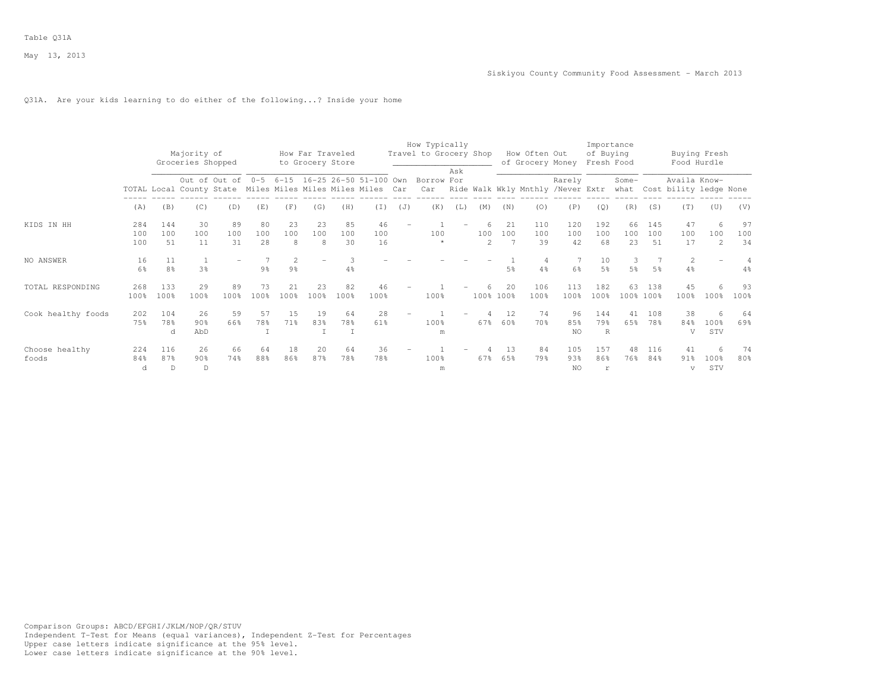# Q31A. Are your kids learning to do either of the following...? Inside your home

|                         |                   |                  | Majority of<br>Groceries Shopped |                 |                 |                                  | How Far Traveled<br>to Grocery Store |                 |                                                                                               |                          | How Typically<br>Travel to Grocery Shop |     |                       |                 | How Often Out<br>of Grocery Money |                   | Importance<br>of Buying<br>Fresh Food |                     |                  | Food Hurdle                            | Buying Fresh               |                 |
|-------------------------|-------------------|------------------|----------------------------------|-----------------|-----------------|----------------------------------|--------------------------------------|-----------------|-----------------------------------------------------------------------------------------------|--------------------------|-----------------------------------------|-----|-----------------------|-----------------|-----------------------------------|-------------------|---------------------------------------|---------------------|------------------|----------------------------------------|----------------------------|-----------------|
|                         |                   |                  |                                  | Out of Out of   |                 |                                  |                                      |                 | 0-5 6-15 16-25 26-50 51-100 Own<br>TOTAL Local County State Miles Miles Miles Miles Miles Car |                          | Borrow For<br>Car                       | Ask |                       |                 | Ride Walk Wkly Mnthly /Never Extr | Rarely            |                                       | Some-<br>what       |                  | Availa Know-<br>Cost bility ledge None |                            |                 |
|                         | (A)               | (B)              | (C)                              | (D)             | (E)             | (F)                              | (G)                                  | (H)             | $(\top)$                                                                                      | (J)                      | (K)                                     | (L) | (M)                   | (N)             | (0)                               | (P)               | (Q)                                   | (R)                 | (S)              | (T)                                    | (U)                        | (V)             |
| KIDS IN HH              | 284<br>100<br>100 | 144<br>100<br>51 | 30<br>100<br>11                  | 89<br>100<br>31 | 80<br>100<br>28 | 23<br>100<br>8                   | 23<br>100<br>8                       | 85<br>100<br>30 | 46<br>100<br>16                                                                               | $\overline{\phantom{0}}$ | 100                                     |     | 100<br>$\overline{2}$ | 21<br>100<br>7  | 110<br>100<br>39                  | 120<br>100<br>42  | 192<br>100<br>68                      | 66<br>100<br>23     | 145<br>100<br>51 | 47<br>100<br>17                        | 6<br>100<br>$\overline{2}$ | 97<br>100<br>34 |
| NO ANSWER               | 16<br>6%          | 8%               | 3%                               |                 | 9 <sub>8</sub>  | $\overline{2}$<br>$9\frac{6}{6}$ |                                      | 4%              |                                                                                               |                          |                                         |     |                       | 5%              | 4%                                | 6%                | 10<br>5%                              | 3<br>5 <sup>°</sup> | 5 <sup>°</sup>   | $\overline{2}$<br>$4\frac{6}{6}$       |                            | $4\%$           |
| TOTAL RESPONDING        | 268<br>100%       | 133<br>100%      | 29<br>100%                       | 89<br>100%      | 73<br>100%      | 21<br>100%                       | 23<br>100%                           | 82<br>100%      | 46<br>100%                                                                                    |                          | 100%                                    |     |                       | 20<br>100% 100% | 106<br>100%                       | 113<br>100%       | 182<br>100%                           | 63                  | 138<br>100% 100% | 45<br>100%                             | 6<br>100%                  | 93<br>100%      |
| Cook healthy foods      | 202<br>75%        | 104<br>78%<br>d  | 26<br>90%<br>AbD                 | 59<br>66%       | 57<br>78%       | 15<br>71%                        | 19<br>83%                            | 64<br>78%       | 28<br>61%                                                                                     | $\overline{\phantom{0}}$ | 100%<br>m                               |     | 67%                   | 12<br>60%       | 74<br>70 %                        | 96<br>85%<br>NO.  | 144<br>79%<br>$\mathbb{R}$            | 41<br>65%           | 108<br>78%       | 38<br>84%<br>V                         | 6<br>100%<br>STV           | 64<br>69%       |
| Choose healthy<br>foods | 224<br>84%<br>d   | 116<br>87%<br>D. | 26<br>90%<br>D                   | 66<br>74%       | 64<br>88%       | 18<br>86%                        | 20<br>87%                            | 64<br>78%       | 36<br>78%                                                                                     |                          | 100%<br>m                               |     | 67%                   | 1.3<br>65%      | 84<br>79%                         | 105<br>93%<br>NO. | 157<br>86%<br>r                       | 48<br>76%           | 116<br>84%       | 41<br>91%<br>v                         | 6<br>100%<br>STV           | 74<br>80%       |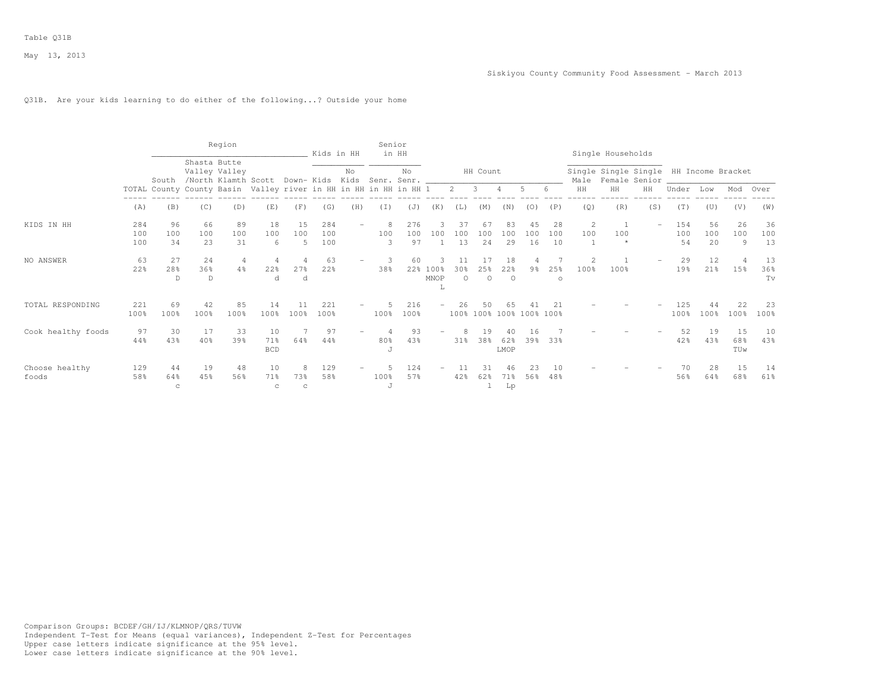# Q31B. Are your kids learning to do either of the following...? Outside your home

|                         |                   |                          |                 | Region                                                           |                            |                        | Kids in HH        |     | Senior        | in HH            |                       |                 |                                |                      |                 |                 |           | Single Households                                            |     |                  |                 |                  |                 |
|-------------------------|-------------------|--------------------------|-----------------|------------------------------------------------------------------|----------------------------|------------------------|-------------------|-----|---------------|------------------|-----------------------|-----------------|--------------------------------|----------------------|-----------------|-----------------|-----------|--------------------------------------------------------------|-----|------------------|-----------------|------------------|-----------------|
|                         |                   | South                    | Shasta Butte    | Valley Valley<br>/North Klamth Scott Down- Kids Kids Senr. Senr. |                            |                        |                   | No  |               | No               |                       |                 | HH Count                       |                      |                 |                 |           | Single Single Single HH Income Bracket<br>Male Female Senior |     |                  |                 |                  |                 |
|                         |                   |                          |                 | TOTAL County County Basin Valley river in HH in HH in HH in HH 1 |                            |                        |                   |     |               |                  |                       |                 | $2 \quad 3$                    | $\overline{4}$       | 5               | 6               | HH        | HH                                                           | HH  | Under            | Low             | Mod Over         |                 |
|                         | (A)               | (B)                      | (C)             | (D)                                                              | (E)                        | (F)                    | (G)               | (H) | (I)           | (J)              | (K)                   | (L)             | (M)                            | (N)                  | (0)             | (P)             | (Q)       | (R)                                                          | (S) | (T)              | (U)             | (V)              | (W)             |
| KIDS IN HH              | 284<br>100<br>100 | 96<br>100<br>34          | 66<br>100<br>23 | 89<br>100<br>31                                                  | 18<br>100<br>6             | 15<br>100<br>5         | 284<br>100<br>100 |     | 8<br>100<br>3 | 276<br>100<br>97 | 100                   | 37<br>100<br>13 | 67<br>100<br>24                | 83<br>100<br>29      | 45<br>100<br>16 | 28<br>100<br>10 | 2<br>100  | 100<br>$\star$                                               | $-$ | 154<br>100<br>54 | 56<br>100<br>20 | 26<br>100<br>9   | 36<br>100<br>13 |
| NO ANSWER               | 63<br>22%         | 27<br>28%<br>D           | 24<br>36%<br>D  | 4<br>4%                                                          | $\overline{4}$<br>22%<br>d | 27%<br>d               | 63<br>22%         |     | 3<br>38%      | 60               | 22% 100%<br>MNOP<br>L | 30%<br>$\Omega$ | 25%<br>$\circ$                 | 18<br>22%<br>$\circ$ | 9 <sub>8</sub>  | 25%<br>$\circ$  | 2<br>100% | 100%                                                         |     | 29<br>19%        | 12<br>21%       | 15%              | 13<br>36%<br>Tv |
| TOTAL RESPONDING        | 221<br>100%       | 69<br>100%               | 42<br>100%      | 85<br>100%                                                       | 14<br>100%                 | 100%                   | 221<br>100%       |     | 100%          | 216<br>100%      |                       |                 | 50<br>100% 100% 100% 100% 100% | 65                   |                 |                 |           |                                                              |     | 125<br>100%      | 44<br>100%      | 22<br>100%       | 23<br>100%      |
| Cook healthy foods      | 97<br>44%         | 30<br>43%                | 17<br>40%       | 33<br>39%                                                        | 10<br>71%<br><b>BCD</b>    | 64%                    | 97<br>44%         |     | 80%<br>J      | 93<br>43%        |                       | 31%             | 19<br>38%                      | 40<br>62%<br>LMOP    | 16<br>39%       | 33%             |           |                                                              |     | 52<br>42%        | 19<br>43%       | 15<br>68%<br>TUw | 10<br>43%       |
| Choose healthy<br>foods | 129<br>58%        | 44<br>64%<br>$\mathbf C$ | 19<br>45%       | 48<br>56%                                                        | 10<br>71%<br>$\mathbf C$   | 8<br>73%<br>$_{\rm c}$ | 129<br>58%        |     | 100%<br>J     | 124<br>57%       | -                     | 11<br>42%       | 31<br>62%<br>1                 | 46<br>71%<br>Lp      | 23<br>56%       | 10<br>48%       |           |                                                              |     | 70<br>56%        | 28<br>64%       | 15<br>68%        | 14<br>61%       |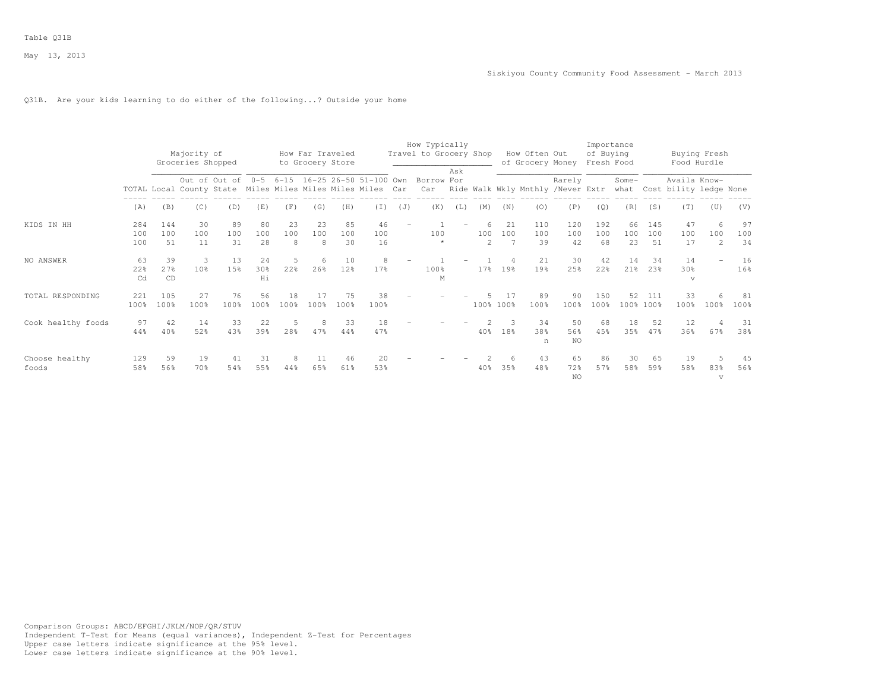# Q31B. Are your kids learning to do either of the following...? Outside your home

|                         |                   |                   | Majority of<br>Groceries Shopped |                 |                             |                | How Far Traveled<br>to Grocery Store |                 |                                                                                                             |                          | How Typically<br>Travel to Grocery Shop | Ask |                      |           | How Often Out<br>of Grocery Money |                  | Importance<br>of Buying<br>Fresh Food |                 |                       | Food Hurdle                            | Buying Fresh               |                 |
|-------------------------|-------------------|-------------------|----------------------------------|-----------------|-----------------------------|----------------|--------------------------------------|-----------------|-------------------------------------------------------------------------------------------------------------|--------------------------|-----------------------------------------|-----|----------------------|-----------|-----------------------------------|------------------|---------------------------------------|-----------------|-----------------------|----------------------------------------|----------------------------|-----------------|
|                         |                   |                   |                                  |                 |                             |                |                                      |                 | Out of Out of 0-5 6-15 16-25 26-50 51-100 Own<br>TOTAL Local County State Miles Miles Miles Miles Miles Car |                          | Borrow For<br>Car                       |     |                      |           | Ride Walk Wkly Mnthly /Never Extr | Rarely           |                                       | Some-<br>what   |                       | Availa Know-<br>Cost bility ledge None |                            |                 |
|                         | (A)               | (B)               | (C)                              | (D)             | (E)                         | (F)            | (G)                                  | (H)             | (T)                                                                                                         | (J)                      | (K)                                     | (L) | (M)                  | (N)       | (0)                               | (P)              | (Q)                                   | (R)             | (S)                   | (T)                                    | (U)                        | (V)             |
| KIDS IN HH              | 284<br>100<br>100 | 144<br>100<br>.51 | 30<br>100<br>11                  | 89<br>100<br>31 | 80<br>100<br>2.8            | 23<br>100<br>8 | 23<br>100<br>8                       | 85<br>100<br>30 | 46<br>100<br>16                                                                                             | $\overline{\phantom{a}}$ | 100                                     |     | 100<br>$\mathcal{L}$ | 21<br>100 | 110<br>100<br>39                  | 120<br>100<br>42 | 192<br>100<br>68                      | 66<br>100<br>23 | 145<br>100<br>51      | 47<br>100<br>17                        | 6<br>100<br>$\overline{2}$ | 97<br>100<br>34 |
| NO ANSWER               | 63<br>22%<br>Cd   | 39<br>27%<br>CD   | 3<br>10%                         | 13<br>15%       | 24<br>30 <sup>8</sup><br>Hi | 22%            | 6<br>26%                             | 10<br>12%       | 8<br>17%                                                                                                    |                          | 100%<br>M                               |     | 17%                  | 19%       | 21<br>19%                         | 30<br>25%        | 42<br>22%                             | 14<br>21%       | 34<br>23 <sup>8</sup> | 14<br>30 <sup>8</sup><br>$\sqrt{ }$    |                            | 16<br>16%       |
| TOTAL RESPONDING        | 221<br>100%       | 105<br>100%       | 27<br>100%                       | 76<br>100%      | 56<br>100%                  | 18<br>100%     | 17<br>100%                           | 75<br>100%      | 38<br>100%                                                                                                  |                          |                                         |     | 100% 100%            |           | 89<br>100%                        | 90<br>100%       | 150<br>100%                           | 52              | 111<br>100% 100%      | 33<br>100%                             | 100%                       | 81<br>100%      |
| Cook healthy foods      | 97<br>44%         | 42<br>40%         | 14<br>52%                        | 33<br>43%       | 22<br>39%                   | 28%            | 8<br>47%                             | 33<br>44%       | 18<br>47%                                                                                                   |                          |                                         |     | 40%                  | 3<br>18%  | 34<br>38%<br>n                    | 50<br>56%<br>NO  | 68<br>45%                             | 18<br>35%       | 52<br>47%             | 12<br>36%                              | 67%                        | 31<br>38%       |
| Choose healthy<br>foods | 129<br>58%        | 59<br>56%         | 19<br>70 %                       | 41<br>54%       | 31<br>55%                   | 44%            | 11<br>65%                            | 46<br>61%       | 20<br>53%                                                                                                   |                          |                                         |     | 40%                  | 35%       | 43<br>48%                         | 65<br>72%<br>NO  | 86<br>57%                             | 30<br>58%       | 65<br>59%             | 19<br>58%                              | .5<br>83%<br>V             | 45<br>56%       |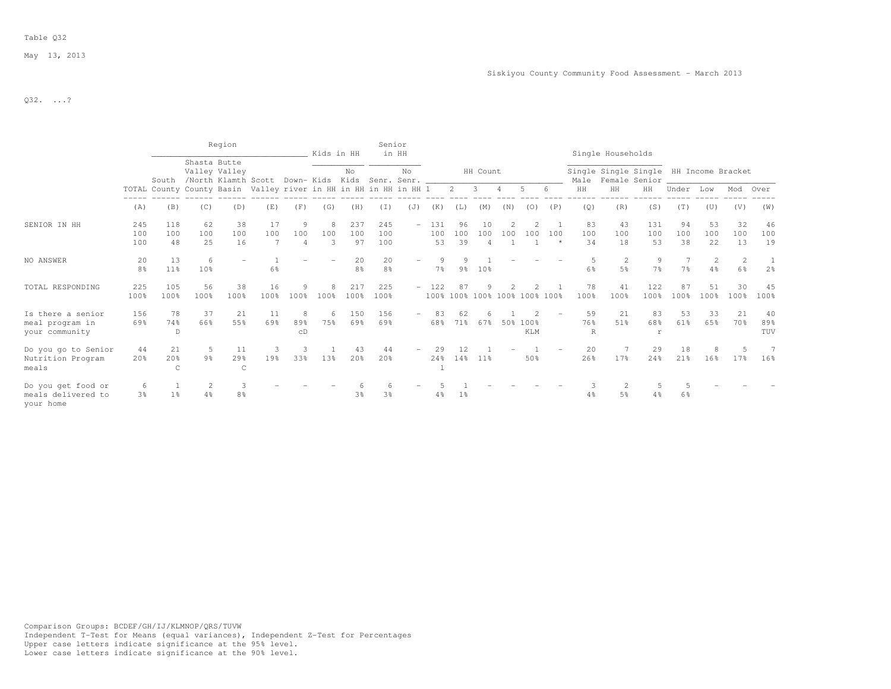## Table Q32

May 13, 2013

Q32. ...?

|                                                        |                       |                       |                     | Region                                                           |                |                            | Kids in HH    |                       | Senior               | in HH |                     |                 |                             |                               |                        |                |                     | Single Households   |                                        |                 |                 |                 |                  |
|--------------------------------------------------------|-----------------------|-----------------------|---------------------|------------------------------------------------------------------|----------------|----------------------------|---------------|-----------------------|----------------------|-------|---------------------|-----------------|-----------------------------|-------------------------------|------------------------|----------------|---------------------|---------------------|----------------------------------------|-----------------|-----------------|-----------------|------------------|
|                                                        |                       | South                 | Shasta Butte        | Valley Valley<br>/North Klamth Scott Down- Kids Kids Senr. Senr. |                |                            |               | No                    |                      | No    |                     |                 | HH Count                    |                               |                        |                | Male                | Female Senior       | Single Single Single HH Income Bracket |                 |                 |                 |                  |
|                                                        |                       |                       |                     | TOTAL County County Basin Valley river in HH in HH in HH in HH 1 |                |                            |               |                       |                      |       |                     | $2^{\circ}$     | $3^{\circ}$                 | $\overline{4}$                | .5                     |                | HH                  | HH                  | HH                                     | Under           | Low             | Mod Over        |                  |
|                                                        | (A)                   | (B)                   | (C)                 | (D)                                                              | (E)            | (F)                        | (G)           | (H)                   | (I)                  | (J)   | (K)                 | (L)             | (M)                         | (N)                           | (0)                    | (P)            | (Q)                 | (R)                 | (S)                                    | (T)             | (U)             | (V)             | (W)              |
| SENIOR IN HH                                           | 245<br>100<br>100     | 118<br>100<br>48      | 62<br>100<br>25     | 38<br>100<br>16                                                  | 17<br>100<br>7 | 9<br>100<br>$\overline{4}$ | 8<br>100<br>3 | 237<br>100<br>97      | 245<br>100<br>100    |       | $-131$<br>100<br>53 | 96<br>100<br>39 | 10<br>100<br>$\overline{4}$ | 100                           | 100                    | 100<br>$\star$ | 83<br>100<br>34     | 43<br>100<br>18     | 131<br>100<br>53                       | 94<br>100<br>38 | 53<br>100<br>22 | 32<br>100<br>13 | 46<br>100<br>19  |
| NO ANSWER                                              | 20<br>8 <sup>8</sup>  | 13<br>11 <sup>°</sup> | 6<br>10%            |                                                                  | 6%             |                            |               | 20<br>8 <sup>°</sup>  | 20<br>8 <sup>°</sup> |       | 9<br>7 <sup>°</sup> | 9%              | 10 <sup>8</sup>             |                               |                        |                | 5<br>6 <sup>°</sup> | 2<br>5 <sup>°</sup> | 9<br>7 <sup>°</sup>                    | 7 <sup>°</sup>  | 2<br>4%         | 2<br>6%         | 2 <sup>8</sup>   |
| TOTAL RESPONDING                                       | 225<br>100%           | 105<br>100%           | 56<br>100%          | 38<br>100%                                                       | 16<br>100%     | 9<br>100%                  | 8<br>100%     | 217<br>100%           | 225<br>100%          |       | $-122$              | 87              |                             | 100% 100% 100% 100% 100% 100% |                        |                | 78<br>100%          | 41<br>100%          | 122<br>100%                            | 87<br>100%      | 51<br>100%      | 30<br>100%      | 45<br>100%       |
| Is there a senior<br>meal program in<br>your community | 156<br>69%            | 78<br>74%<br>D        | 37<br>66%           | 21<br>55%                                                        | 11<br>69%      | 8<br>89%<br>CD             | 6<br>75%      | 150<br>69%            | 156<br>69%           |       | 68%                 | 62<br>71%       | 67%                         |                               | 50% 100%<br><b>KLM</b> |                | 59<br>76%<br>R      | 21<br>51%           | 83<br>68%<br><b>r</b>                  | 53<br>61%       | 33<br>65%       | 21<br>70 %      | 40<br>89%<br>TUV |
| Do you qo to Senior<br>Nutrition Program<br>meals      | 44<br>20 <sup>8</sup> | 21<br>20%<br>C        | 5<br>9 <sup>°</sup> | 11<br>29%<br>$\mathsf{C}$                                        | 3<br>19%       | -3<br>33%                  | 13%           | 43<br>20 <sup>8</sup> | 44<br>20%            |       | 29<br>24%           | 12<br>14%       | $11\%$                      |                               | 50%                    |                | 20<br>26%           | 17 <sup>8</sup>     | 29<br>24%                              | 18<br>21%       | 8<br>16%        | 17%             | 16%              |
| Do you get food or<br>meals delivered to<br>your home  | -6<br>3 <sup>8</sup>  | 1 <sup>8</sup>        | 2<br>4%             | 3<br>8 <sup>°</sup>                                              |                |                            |               | 3%                    | 3 <sup>8</sup>       |       | 4%                  | $1\%$           |                             |                               |                        |                | 3<br>4%             | 2<br>5%             | 4%                                     | 6%              |                 |                 |                  |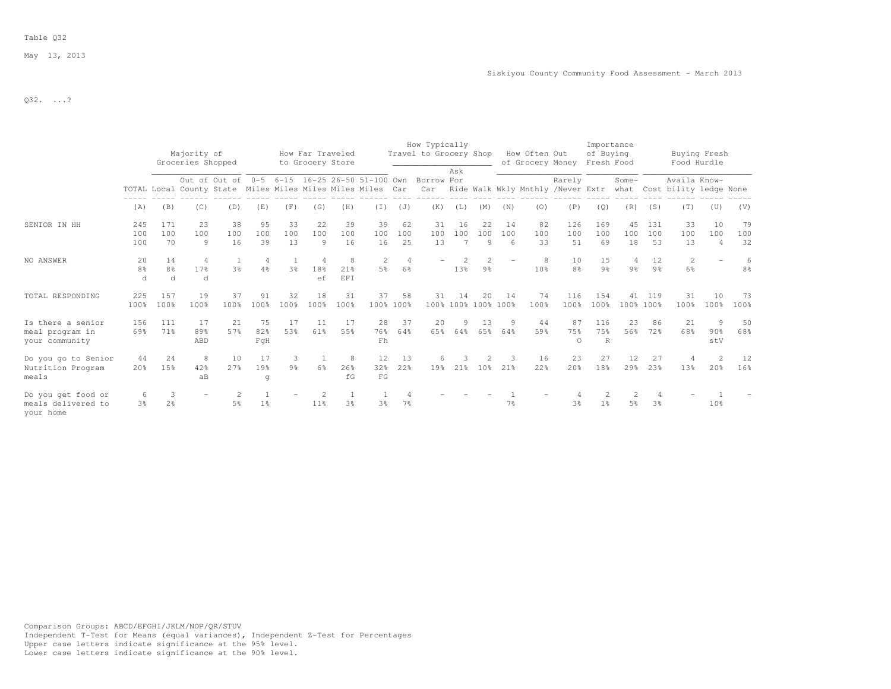## Table Q32

May 13, 2013

 $Q32.$  ...?

|                                                        |                       |                            | Majority of<br>Groceries Shopped                           |                                               |                  |                     |                      | How Far Traveled<br>to Grocery Store |                 |                       | How Typically<br>Travel to Grocery Shop |                 |                           |                  | How Often Out<br>of Grocery Money |                       | Importance<br>of Buying<br>Fresh Food |                       |                      | Buying Fresh<br>Food Hurdle                                   |                             |                 |
|--------------------------------------------------------|-----------------------|----------------------------|------------------------------------------------------------|-----------------------------------------------|------------------|---------------------|----------------------|--------------------------------------|-----------------|-----------------------|-----------------------------------------|-----------------|---------------------------|------------------|-----------------------------------|-----------------------|---------------------------------------|-----------------------|----------------------|---------------------------------------------------------------|-----------------------------|-----------------|
|                                                        |                       |                            |                                                            | Out of Out of 0-5 6-15 16-25 26-50 51-100 Own |                  |                     |                      |                                      |                 |                       | Borrow For                              | Ask             |                           |                  |                                   | Rarely                |                                       | Some-                 |                      | Availa Know-                                                  |                             |                 |
|                                                        |                       |                            | TOTAL Local County State Miles Miles Miles Miles Miles Car |                                               |                  |                     |                      |                                      |                 |                       | Car                                     |                 |                           |                  |                                   |                       |                                       |                       |                      | Ride Walk Wkly Mnthly /Never Extr what Cost bility ledge None |                             |                 |
|                                                        | (A)                   | (B)                        | (C)                                                        | (D)                                           | (E)              | (F)                 | (G)                  | (H)                                  | $(\top)$        | (J)                   | (K)                                     | (L)             | (M)                       | (N)              | (0)                               | (P)                   | (Q)                                   | (R)                   | (S)                  | (T)                                                           | (U)                         | (V)             |
| SENIOR IN HH                                           | 245<br>100<br>100     | 171<br>100<br>70           | 23<br>100<br>9                                             | 38<br>100<br>16                               | 95<br>100<br>39  | 33<br>100<br>13     | 22<br>100<br>9       | 39<br>100<br>16                      | 39<br>100<br>16 | 62<br>100<br>25       | 31<br>100<br>13                         | 16<br>100       | 22<br>100<br>9            | 14<br>100<br>- 6 | 82<br>100<br>33                   | 126<br>100<br>51      | 169<br>100<br>69                      | 45<br>100<br>18       | 131<br>100<br>53     | 33<br>100<br>13                                               | 10<br>100<br>$\overline{4}$ | 79<br>100<br>32 |
| NO ANSWER                                              | 20<br>8%<br>d         | 14<br>8 <sup>°</sup><br>d. | 4<br>17%<br>d.                                             | 3 <sup>8</sup>                                | 4<br>4%          | 3 <sup>°</sup>      | 4<br>18%<br>ef       | 8<br>21%<br><b>EFT</b>               | 2<br>5%         | 4<br>6%               |                                         | 13 <sup>°</sup> | 9%                        |                  | 8<br>10 <sup>8</sup>              | 10<br>8 <sup>8</sup>  | 15<br>9 <sup>°</sup>                  | 4<br>9 <sub>8</sub>   | 12<br>9 <sup>°</sup> | 2<br>$6\frac{6}{9}$                                           |                             | 6<br>8%         |
| TOTAL RESPONDING                                       | 225<br>100%           | 157<br>100%                | 19<br>100%                                                 | 37<br>100%                                    | 91<br>100%       | 32<br>100%          | 18<br>100%           | 31<br>100%                           | 37              | 58<br>100% 100%       | 31                                      | 14              | 20<br>100% 100% 100% 100% | 14               | 74<br>100%                        | 116<br>100%           | 154<br>100%                           | 41                    | 119<br>100% 100%     | 31<br>100%                                                    | 1 O<br>100%                 | 73<br>100%      |
| Is there a senior<br>meal program in<br>your community | 156<br>69%            | 111<br>71%                 | 17<br>89%<br>ABD                                           | 21<br>57%                                     | 75<br>82%<br>FqH | 17<br>53%           | 11<br>61%            | 17<br>55%                            | 28<br>76%<br>Fh | 37<br>64%             | 20<br>65%                               | 9<br>64%        | 13<br>65%                 | 64%              | 44<br>59%                         | 87<br>75%<br>$\Omega$ | 116<br>75%<br>R                       | 23<br>56%             | 86<br>72%            | 21<br>68%                                                     | 9<br>90%<br>stV             | 50<br>68%       |
| Do you qo to Senior<br>Nutrition Program<br>meals      | 44<br>20 <sub>8</sub> | 24<br>15%                  | 8<br>42%<br>aB                                             | 10<br>2.7%                                    | 17<br>19%<br>q   | 3<br>9 <sup>°</sup> | 6 <sup>°</sup>       | 8<br>26%<br>fG                       | 12<br>32%<br>FG | 13<br>22 <sup>8</sup> | 6<br>19%                                | 2.1%            | 10 <sup>8</sup>           | 21%              | 16<br>22%                         | 23<br>20%             | 27<br>18%                             | 12<br>29 <sup>8</sup> | 27<br>23%            | 13%                                                           | 20%                         | 12<br>16%       |
| Do you get food or<br>meals delivered to<br>your home  | 6<br>3 <sup>8</sup>   | 3<br>2 <sup>°</sup>        | $\qquad \qquad -$                                          | 5%                                            | 1 <sup>°</sup>   |                     | 2<br>11 <sup>8</sup> | 3 <sup>8</sup>                       | 3 <sup>8</sup>  | 7 <sup>°</sup>        |                                         |                 |                           | 7%               |                                   | 3 <sup>8</sup>        | 1 <sup>°</sup>                        | 2<br>5%               | 3 <sup>°</sup>       |                                                               | 10%                         |                 |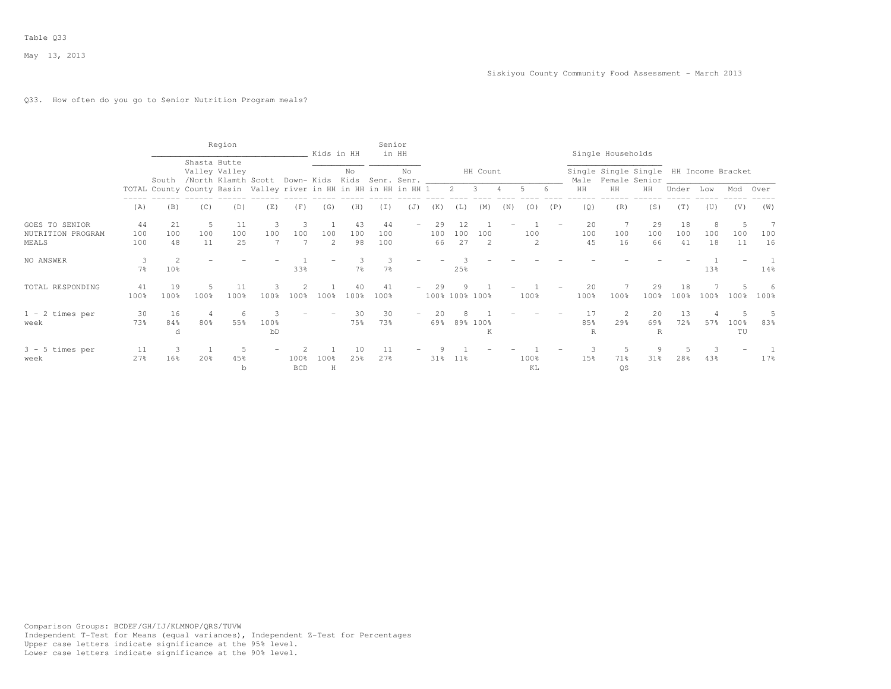## Q33. How often do you go to Senior Nutrition Program meals?

|                                              |                  |                 |                                                                  | Region          |            |                    | Kids in HH            |                 | Senior           | in HH                             |                 |                 |                |                |            |     |                 | Single Households                                            |                      |                 |                |            |           |
|----------------------------------------------|------------------|-----------------|------------------------------------------------------------------|-----------------|------------|--------------------|-----------------------|-----------------|------------------|-----------------------------------|-----------------|-----------------|----------------|----------------|------------|-----|-----------------|--------------------------------------------------------------|----------------------|-----------------|----------------|------------|-----------|
|                                              |                  |                 | Shasta Butte<br>South /North Klamth Scott                        | Valley Valley   |            |                    |                       | No              |                  | No<br>Down- Kids Kids Senr. Senr. |                 |                 | HH Count       |                |            |     |                 | Single Single Single HH Income Bracket<br>Male Female Senior |                      |                 |                |            |           |
|                                              |                  |                 | TOTAL County County Basin Valley river in HH in HH in HH in HH 1 |                 |            |                    |                       |                 |                  |                                   |                 | $2 \quad 3$     |                | $\overline{4}$ | .5.        |     | HH              | HH                                                           | HH                   | Under           | Low            | Mod Over   |           |
|                                              | (A)              | (B)             | (C)                                                              | (D)             | (E)        | (F)                | (G)                   | (H)             | (T)              | (J)                               | (K)             | (L)             | (M)            | (N)            | (0)        | (P) | (Q)             | (R)                                                          | (S)                  | (T)             | (U)            | (V)        | (W)       |
| GOES TO SENIOR<br>NUTRITION PROGRAM<br>MEALS | 44<br>100<br>100 | 21<br>100<br>48 | -5<br>100<br>11                                                  | 11<br>100<br>25 | 100        | 100                | 100<br>$\overline{2}$ | 43<br>100<br>98 | 44<br>100<br>100 |                                   | 29<br>100<br>66 | 12<br>100<br>27 | 100<br>2       |                | 100<br>2   |     | 20<br>100<br>45 | 100<br>16                                                    | 29<br>100<br>66      | 18<br>100<br>41 | 8<br>100<br>18 | 100<br>11  | 100<br>16 |
| NO ANSWER                                    | $7\frac{6}{9}$   | 10%             |                                                                  |                 |            | 33%                |                       | $7\frac{6}{6}$  | $7\%$            |                                   |                 | 25%             |                |                |            |     |                 |                                                              |                      |                 | 13%            |            | 14%       |
| TOTAL RESPONDING                             | 41<br>100%       | 19<br>100%      | 5<br>100%                                                        | 11<br>100%      | 100%       | 100%               | 100%                  | 40<br>100%      | 41<br>100%       |                                   | 29              |                 | 100% 100% 100% |                | 100%       |     | 20<br>100%      | 100%                                                         | 29<br>100%           | 18<br>100%      | 100%           | 100%       | 6<br>100% |
| $1 - 2$ times per<br>week                    | 30<br>73%        | 16<br>84%<br>d  | 4<br>80%                                                         | 55%             | 100%<br>bD |                    |                       | 30<br>75%       | 30<br>73%        |                                   | 20<br>69%       |                 | 89% 100%<br>Κ  |                |            |     | 17<br>85%<br>R  | 2<br>29%                                                     | 20<br>69%<br>R       | 13<br>72%       | 4<br>57%       | 100%<br>TU | 83%       |
| $3 - 5$ times per<br>week                    | 11<br>27%        | 16%             | 20%                                                              | 45%             |            | 100%<br><b>BCD</b> | 100%<br>H             | 10<br>25%       | 11<br>27%        |                                   | 31%             | $11\%$          |                |                | 100%<br>KL |     | 15%             | 71%<br>QS                                                    | 9<br>31 <sub>8</sub> | 28%             | 3<br>43%       |            | 17%       |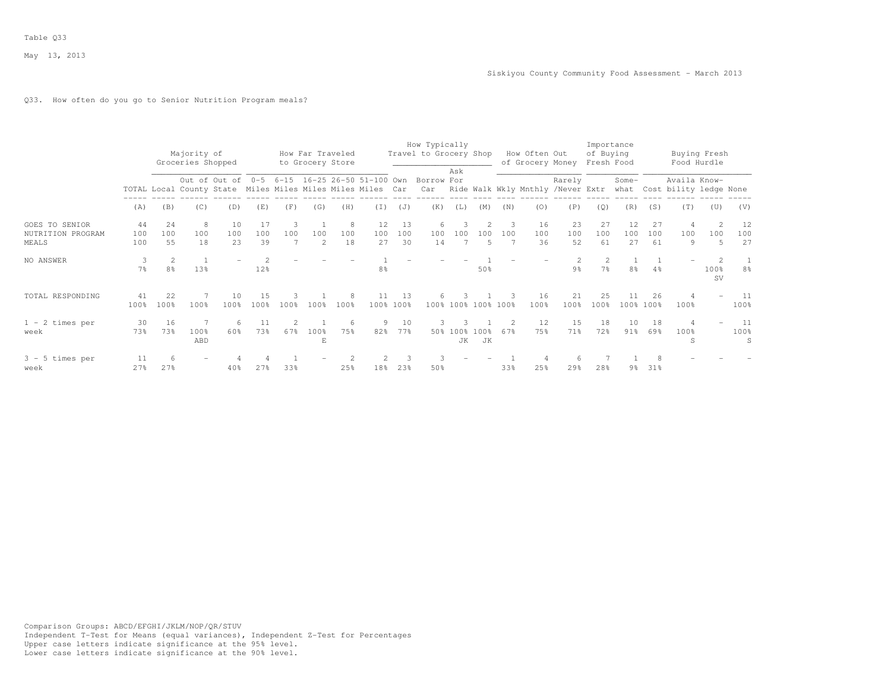## Q33. How often do you go to Senior Nutrition Program meals?

|                                                     |                     |                                  | Majority of<br>Groceries Shopped                           |                 |                 |          | to Grocery Store      | How Far Traveled |                 |                 | How Typically<br>Travel to Grocery Shop                         |            |                        |          | How Often Out<br>of Grocery Money |                 | Importance<br>of Buying<br>Fresh Food |                 |                 |                                             | Buying Fresh<br>Food Hurdle         |                              |
|-----------------------------------------------------|---------------------|----------------------------------|------------------------------------------------------------|-----------------|-----------------|----------|-----------------------|------------------|-----------------|-----------------|-----------------------------------------------------------------|------------|------------------------|----------|-----------------------------------|-----------------|---------------------------------------|-----------------|-----------------|---------------------------------------------|-------------------------------------|------------------------------|
|                                                     |                     |                                  | TOTAL Local County State Miles Miles Miles Miles Miles Car |                 |                 |          |                       |                  |                 |                 | Out of Out of 0-5 6-15 16-25 26-50 51-100 Own Borrow For<br>Car | Ask        |                        |          | Ride Walk Wkly Mnthly /Never Extr | Rarely          |                                       | Some-           |                 | Availa Know-<br>what Cost bility ledge None |                                     |                              |
|                                                     | (A)                 | (B)                              | (C)                                                        | (D)             | (E)             | (F)      | (G)                   | (H)              | (T)             | (J)             | (K)                                                             | (L)        | (M)                    | (N)      | (0)                               | (P)             | (Q)                                   | (R)             | (S)             | (T)                                         | (U)                                 | (V)                          |
| <b>GOES TO SENIOR</b><br>NUTRITION PROGRAM<br>MEALS | 44<br>100<br>100    | 2.4<br>100<br>55                 | 8<br>100<br>18                                             | 10<br>100<br>23 | 17<br>100<br>39 | 3<br>100 | 100<br>$\overline{2}$ | 8<br>100<br>18   | 12<br>100<br>27 | 13<br>100<br>30 | 6<br>100<br>14                                                  | 3<br>100   | 100<br>5               | 3<br>100 | 16<br>100<br>36                   | 23<br>100<br>52 | 27<br>100<br>61                       | 12<br>100<br>27 | 27<br>100<br>61 | 4<br>100<br>9                               | $\mathcal{D}$<br>100<br>5           | 12<br>100<br>27              |
| NO ANSWER                                           | 3<br>7 <sup>°</sup> | $\overline{2}$<br>8 <sup>°</sup> | 13%                                                        |                 | 12%             |          |                       |                  | 8%              |                 |                                                                 |            | 50%                    |          |                                   | $9\frac{6}{6}$  | $7\frac{6}{6}$                        | 8 <sup>°</sup>  | 4%              |                                             | $\mathfrak{D}$<br>100%<br><b>SV</b> | $8\frac{6}{6}$               |
| TOTAL RESPONDING                                    | 41<br>100%          | 22<br>100%                       | 100%                                                       | 10<br>100%      | 15<br>100%      | 100%     | 100%                  | 8<br>100%        | 11              | 13<br>100% 100% | 6.                                                              | 3          | 100% 100% 100% 100%    |          | 16<br>100%                        | 21<br>100%      | 25<br>100%                            | 11              | 26<br>100% 100% | 100%                                        |                                     | - 11<br>100%                 |
| $1 - 2$ times per<br>week                           | 30<br>73%           | 16<br>73%                        | 100%<br>ABD                                                | 6.<br>60%       | 11<br>73%       | 67%      | 100%<br>E             | 6<br>75%         | 9<br>82%        | 10<br>77%       | 3<br>50%                                                        | 100%<br>JK | 100 <sub>8</sub><br>JK | 67%      | 12<br>75%                         | 15<br>71%       | 18<br>72%                             | 10<br>$91\%$    | 18<br>69%       | 4<br>100%<br>S                              |                                     | - 11<br>100%<br><sub>S</sub> |
| $3 - 5$ times per<br>week                           | 11<br>27%           | 6<br>27%                         |                                                            | $40\%$          | 27%             | 33%      |                       | 25%              | 18%             | 23%             | 3<br>50%                                                        |            |                        | 33%      | 25%                               | 6<br>29%        | 28%                                   | 9월              | 31%             |                                             |                                     |                              |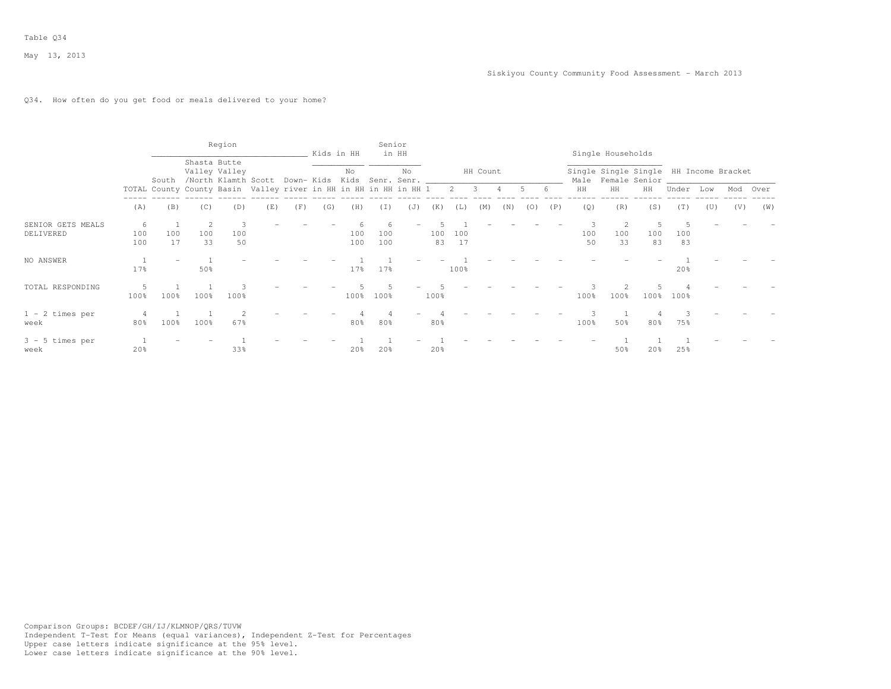## Q34. How often do you get food or meals delivered to your home?

|                                |                          |           |                 | Region                                                                                             |     |     |     | Kids in HH      | Senior     | in HH |           |           |          |     |       |     |                | Single Households                                            |                 |           |     |          |     |
|--------------------------------|--------------------------|-----------|-----------------|----------------------------------------------------------------------------------------------------|-----|-----|-----|-----------------|------------|-------|-----------|-----------|----------|-----|-------|-----|----------------|--------------------------------------------------------------|-----------------|-----------|-----|----------|-----|
|                                |                          |           |                 | Shasta Butte<br>Valley Valley<br>South /North Klamth Scott Down-Kids Kids Senr. Senr. ____________ |     |     |     | No              |            | No    |           |           | HH Count |     |       |     |                | Single Single Single HH Income Bracket<br>Male Female Senior |                 |           |     |          |     |
|                                |                          |           |                 | TOTAL County County Basin Valley river in HH in HH in HH in HH 1 2 3 4                             |     |     |     |                 |            |       |           |           |          |     | $5 -$ | -6  | HH             | HH                                                           | HH              | Under Low |     | Mod Over |     |
|                                | (A)                      | (B)       | (C)             | (D)                                                                                                | (E) | (F) | (G) | (H)             | (I)        | (J)   | (K)       | (L)       | (M)      | (N) | (0)   | (P) | (Q)            | (R)                                                          | (S)             | (T)       | (U) | (V)      | (W) |
| SENIOR GETS MEALS<br>DELIVERED | 6<br>100<br>100          | 100<br>17 | -2<br>100<br>33 | 100<br>50                                                                                          |     |     |     | 100<br>100      | 100<br>100 |       | 100<br>83 | 100<br>17 |          |     |       |     | 3<br>100<br>50 | 100<br>33                                                    | .5<br>100<br>83 | 100<br>83 |     |          |     |
| NO ANSWER                      | 17%                      |           | 50%             |                                                                                                    |     |     |     | 17 <sub>8</sub> | $17$ %     |       |           | 100%      |          |     |       |     |                |                                                              |                 | 20%       |     |          |     |
| TOTAL RESPONDING               | 100%                     | 100%      | 100%            | 100 <sub>8</sub>                                                                                   |     |     |     | 100%            | 100%       |       | 100%      |           |          |     |       |     | 100%           | 100%                                                         | $100\%$         | 100%      |     |          |     |
| $1 - 2$ times per<br>week      | $\overline{4}$<br>$80\%$ | 100%      | 100%            | 67%                                                                                                |     |     |     | 80%             | 80%        |       | 80%       |           |          |     |       |     | 100%           | 50%                                                          | 80%             | 75%       |     |          |     |
| $3 - 5$ times per<br>week      | 20%                      |           |                 | 33%                                                                                                |     |     |     | 20%             | 20%        |       | 20%       |           |          |     |       |     |                | 50%                                                          | 20%             | 25%       |     |          |     |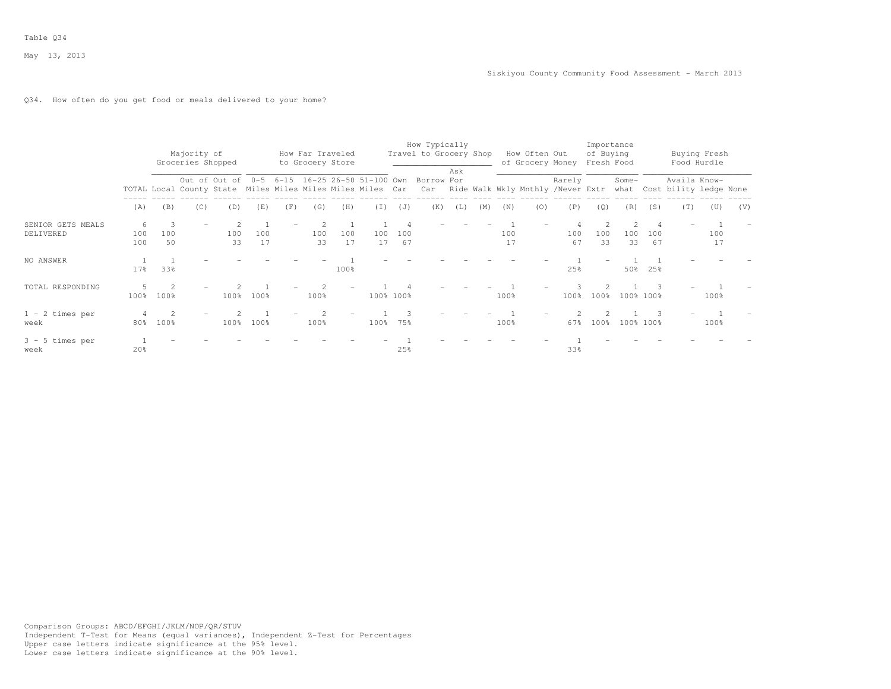## Q34. How often do you get food or meals delivered to your home?

|                                |                 |                        | Majority of<br>Groceries Shopped |           |           |     |           | How Far Traveled<br>to Grocery Store |           |           | How Typically<br>Travel to Grocery Shop                                                                                                                                            |     |     |           | How Often Out | of Grocery Money Fresh Food | of Buying | Importance |           |              | Buying Fresh<br>Food Hurdle |     |
|--------------------------------|-----------------|------------------------|----------------------------------|-----------|-----------|-----|-----------|--------------------------------------|-----------|-----------|------------------------------------------------------------------------------------------------------------------------------------------------------------------------------------|-----|-----|-----------|---------------|-----------------------------|-----------|------------|-----------|--------------|-----------------------------|-----|
|                                |                 |                        |                                  |           |           |     |           |                                      |           |           | Out of Out of 0-5 6-15 16-25 26-50 51-100 Own Borrow For<br>TOTAL Local County State Miles Miles Miles Miles Car Car Ride Walk Wkly Mnthly /Never Extr what Cost bility ledge None | Ask |     |           |               | Rarely                      |           | Some-      |           | Availa Know- |                             |     |
|                                | (A)             | (B)                    | (C)                              | (D)       | (E)       | (F) | (G)       | (H)                                  | (I)       | (J)       | (K)                                                                                                                                                                                | (L) | (M) | (N)       | (0)           | (P)                         | (Q)       | (R)        | (S)       | (T)          | (U)                         | (V) |
| SENIOR GETS MEALS<br>DELIVERED | 6<br>100<br>100 | 100<br>50              | $\overline{\phantom{a}}$         | 100<br>33 | 100<br>17 |     | 100<br>33 | 100<br>17                            | 100<br>17 | 100<br>67 |                                                                                                                                                                                    |     |     | 100<br>17 |               | 100<br>67                   | 100<br>33 | 100<br>33  | 100<br>67 |              | 100<br>17                   |     |
| NO ANSWER                      | 17 <sub>8</sub> | 33%                    |                                  |           |           |     |           | 100%                                 |           |           |                                                                                                                                                                                    |     |     |           |               | 25%                         |           | 50%        | 25%       |              |                             |     |
| TOTAL RESPONDING               | 100%            | 100%                   |                                  | 100%      | 100%      |     | 100%      |                                      |           | 100% 100% |                                                                                                                                                                                    |     |     | 100%      |               | 100%                        | 100%      |            | 100% 100% |              | 100%                        |     |
| $1 - 2$ times per<br>week      | 80%             | $\mathfrak{D}$<br>100% |                                  | 100%      | 100%      |     | 100%      |                                      | 100%      | 75%       |                                                                                                                                                                                    |     |     | 100%      |               | 67%                         | 100%      |            | 100% 100% |              | 100%                        |     |
| $3 - 5$ times per<br>week      | 20%             |                        |                                  |           |           |     |           |                                      |           | 25%       |                                                                                                                                                                                    |     |     |           |               | 33%                         |           |            |           |              |                             |     |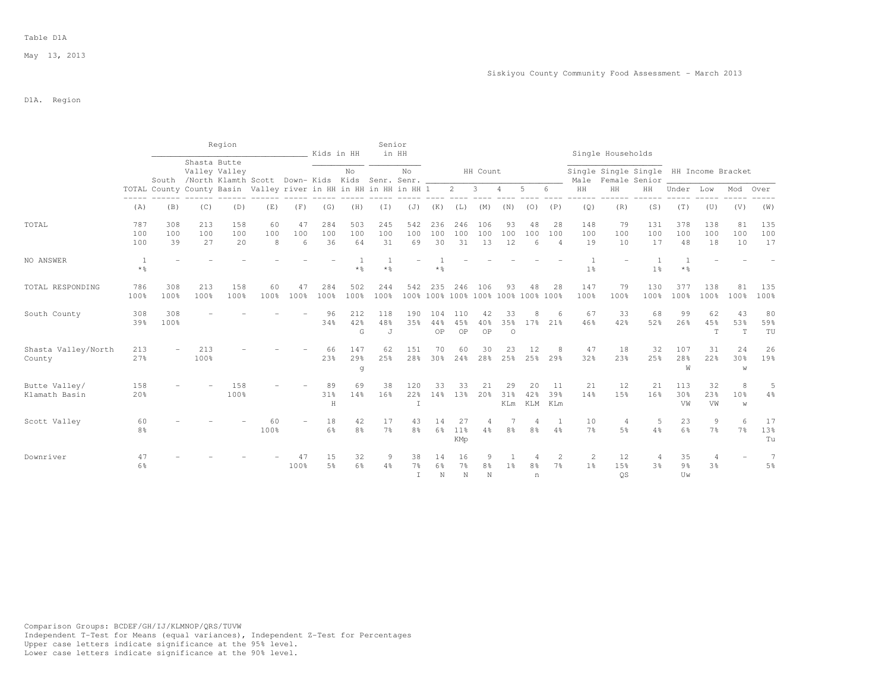### Table D1A

## D1A. Region

|                                |                      |                                                                  |                                                                      | Region           |                |                | Kids in HH       |                      | Senior<br>in HH  |                      |                                           |                                     |                  |                         |                     |                             |                                  | Single Households       |                                                         |                                     |                  |                            |                                  |
|--------------------------------|----------------------|------------------------------------------------------------------|----------------------------------------------------------------------|------------------|----------------|----------------|------------------|----------------------|------------------|----------------------|-------------------------------------------|-------------------------------------|------------------|-------------------------|---------------------|-----------------------------|----------------------------------|-------------------------|---------------------------------------------------------|-------------------------------------|------------------|----------------------------|----------------------------------|
|                                |                      |                                                                  | Shasta Butte<br>South /North Klamth Scott Down-Kids Kids Senr. Senr. | Valley Valley    |                |                |                  | No                   |                  | No                   |                                           |                                     | HH Count         |                         |                     |                             | Male                             |                         | Single Single Single HH Income Bracket<br>Female Senior |                                     |                  |                            |                                  |
|                                |                      | TOTAL County County Basin Valley river in HH in HH in HH in HH 1 |                                                                      |                  |                |                |                  |                      |                  |                      |                                           | $\overline{2}$                      | 3                | 4                       | 5                   | 6                           | HH                               | HH                      | HH                                                      | Under                               | Low              | Mod                        | Over                             |
|                                | (A)                  | (B)                                                              | (C)                                                                  | (D)              | (E)            | (F)            | (G)              | (H)                  | (T)              | (J)                  | (K)                                       | (L)                                 | (M)              | (N)                     | (0)                 | (P)                         | (Q)                              | (R)                     | (S)                                                     | (T)                                 | (U)              | (V)                        | (W)                              |
| TOTAL                          | 787<br>100<br>100    | 308<br>100<br>39                                                 | 213<br>100<br>27                                                     | 158<br>100<br>20 | 60<br>100<br>8 | 47<br>100<br>6 | 284<br>100<br>36 | 503<br>100<br>64     | 245<br>100<br>31 | 542<br>100<br>69     | 236<br>100<br>30                          | 246<br>100<br>31                    | 106<br>100<br>13 | 93<br>100<br>12         | 48<br>100<br>6      | 28<br>100<br>$\overline{4}$ | 148<br>100<br>19                 | 79<br>100<br>10         | 131<br>100<br>17                                        | 378<br>100<br>48                    | 138<br>100<br>18 | 81<br>100<br>10            | 135<br>100<br>17                 |
| NO ANSWER                      | $*$ $\frac{6}{5}$    |                                                                  |                                                                      |                  |                |                |                  | $*$ %                | $*$ %            |                      | $*$ $\frac{6}{5}$                         |                                     |                  |                         |                     |                             | 1 <sup>°</sup>                   |                         | 1 <sup>°</sup>                                          | $\overline{1}$<br>$*$ $\frac{6}{5}$ |                  |                            |                                  |
| TOTAL RESPONDING               | 786<br>100%          | 308<br>100%                                                      | 213<br>100%                                                          | 158<br>100%      | 60<br>100%     | 47<br>100%     | 284<br>100%      | 502<br>100%          | 244<br>100%      | 542                  | 235<br>100% 100% 100% 100% 100% 100% 100% | 246                                 | 106              | 93                      | 48                  | 28                          | 147<br>100%                      | 79<br>100%              | 130<br>100%                                             | 377<br>100%                         | 138<br>100%      | 81<br>100%                 | 135<br>100%                      |
| South County                   | 308<br>39%           | 308<br>100%                                                      |                                                                      |                  |                |                | 96<br>34%        | 212<br>42%<br>G      | 118<br>48%<br>J  | 190<br>35%           | 104<br>44%<br>OP                          | 110<br>45%<br>OP                    | 42<br>40%<br>OP  | 33<br>35%<br>$\circ$    | 8<br>17%            | 6<br>21%                    | 67<br>46%                        | 33<br>42%               | 68<br>52%                                               | 99<br>26%                           | 62<br>45%<br>T   | 43<br>53%<br>T             | 80<br>59%<br>TU                  |
| Shasta Valley/North<br>County  | 213<br>27%           |                                                                  | 213<br>100%                                                          |                  |                |                | 66<br>23%        | 147<br>29%<br>g      | 62<br>25%        | 151<br>28%           | 70<br>30 <sup>8</sup>                     | 60<br>24%                           | 30<br>28%        | 23<br>25%               | 12<br>25%           | 8<br>29%                    | 47<br>32%                        | 18<br>23%               | 32<br>25%                                               | 107<br>28%<br>W                     | 31<br>22%        | 24<br>30 <sup>8</sup><br>W | 26<br>19%                        |
| Butte Valley/<br>Klamath Basin | 158<br>20%           |                                                                  |                                                                      | 158<br>100%      |                |                | 89<br>31%<br>H   | 69<br>14%            | 38<br>16%        | 120<br>22%<br>T      | 33<br>14%                                 | 33<br>13%                           | 21<br>20%        | 29<br>31%<br><b>KLm</b> | 20<br>42%<br>KLM    | 11<br>39%<br>KLm            | 21<br>14%                        | 12<br>15%               | 21<br>16%                                               | 113<br>30 <sup>8</sup><br>VW        | 32<br>23%<br>VW  | 8<br>10 <sup>8</sup><br>W  | 5<br>4%                          |
| Scott Valley                   | 60<br>8 <sup>°</sup> |                                                                  |                                                                      |                  | 60<br>100%     |                | 18<br>6%         | 42<br>8 <sup>°</sup> | 17<br>$7\%$      | 43<br>8 <sup>°</sup> | 14<br>6%                                  | 27<br>11%<br>KMp                    | 4%               | 8%                      | 8 <sup>°</sup>      | $4\%$                       | 10<br>7%                         | 5%                      | 5<br>$4\frac{6}{6}$                                     | 23<br>6%                            | 9<br>7%          | 6<br>7%                    | 17<br>13%<br>Tu                  |
| Downriver                      | 47<br>6%             |                                                                  |                                                                      |                  |                | 100%           | 15<br>5%         | 32<br>6%             | 9<br>4%          | 38<br>7월<br>T        | 14<br>6%<br>N                             | 16<br>7 <sup>°</sup><br>$\mathbb N$ | 9<br>8%<br>N     | 1 <sup>°</sup>          | 8 <sup>°</sup><br>n | 2<br>7 <sup>°</sup>         | $\overline{2}$<br>1 <sup>8</sup> | 12<br>1.5%<br><b>OS</b> | 3 <sup>8</sup>                                          | 35<br>9 <sub>8</sub><br>Uw          | 4<br>3%          |                            | $\overline{7}$<br>5 <sup>°</sup> |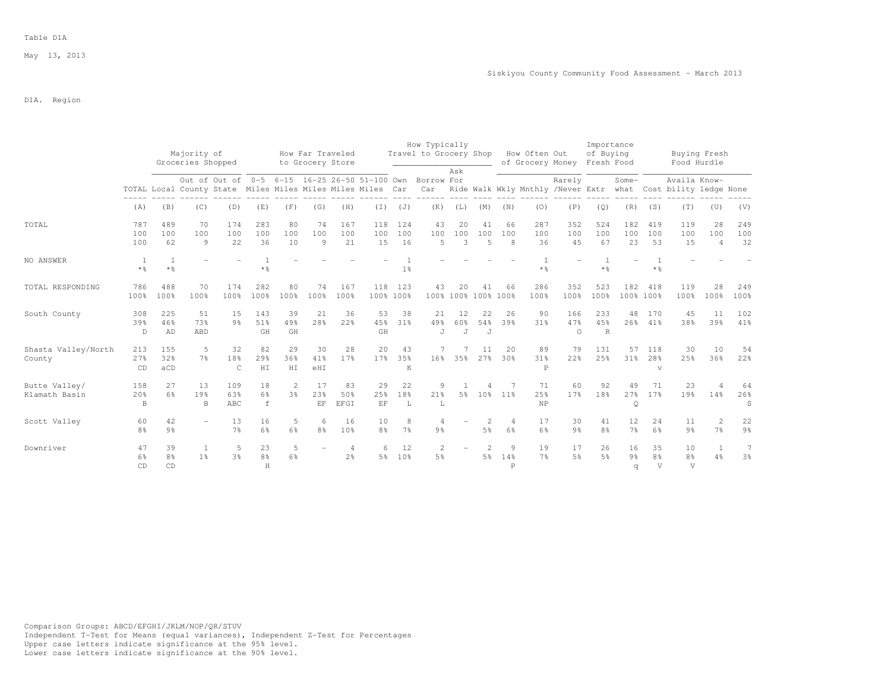### Table D1A

May 13, 2013

D1A. Region

|                                |                      |                            | Majority of<br>Groceries Shopped                           |                                               |                           |                                  | How Far Traveled<br>to Grocery Store |                       |                     |                       | How Typically<br>Travel to Grocery Shop |                |                           |                          | How Often Out<br>of Grocery Money Fresh Food |                        | Importance<br>of Buying   |                           |                                        | Food Hurdle                                                                   | Buying Fresh                     |                                  |
|--------------------------------|----------------------|----------------------------|------------------------------------------------------------|-----------------------------------------------|---------------------------|----------------------------------|--------------------------------------|-----------------------|---------------------|-----------------------|-----------------------------------------|----------------|---------------------------|--------------------------|----------------------------------------------|------------------------|---------------------------|---------------------------|----------------------------------------|-------------------------------------------------------------------------------|----------------------------------|----------------------------------|
|                                |                      |                            | TOTAL Local County State Miles Miles Miles Miles Miles Car | Out of Out of 0-5 6-15 16-25 26-50 51-100 Own |                           |                                  |                                      |                       |                     |                       | Borrow For<br>Car                       | Ask            |                           |                          |                                              | Rarely                 |                           | Some-                     |                                        | Availa Know-<br>Ride Walk Wkly Mnthly /Never Extr what Cost bility ledge None |                                  |                                  |
|                                | (A)                  | (B)                        | (C)                                                        | (D)                                           | (E)                       | (F)                              | (G)                                  | (H)                   | $(\top)$            | (J)                   | (K)                                     | (L)            | (M)                       | (N)                      | (0)                                          | (P)                    | (Q)                       | (R)                       | (S)                                    | (T)                                                                           | (U)                              | (V)                              |
| TOTAL                          | 787<br>100<br>100    | 489<br>100<br>62           | 70<br>100<br>9                                             | 174<br>100<br>22                              | 283<br>100<br>36          | 80<br>100<br>10                  | 74<br>100<br>9                       | 167<br>100<br>21      | 118<br>100<br>15    | 124<br>100<br>16      | 43<br>100<br>$\overline{5}$             | 20<br>100<br>3 | 41<br>100<br>5            | 66<br>100<br>8           | 287<br>100<br>36                             | 352<br>100<br>45       | 524<br>100<br>67          | 182<br>100<br>23          | 419<br>100<br>53                       | 119<br>100<br>15                                                              | 28<br>100<br>$\overline{4}$      | 249<br>100<br>32                 |
| NO ANSWER                      | -1<br>$*$ %          | $\mathbf{1}$<br>$*$ %      |                                                            |                                               | $*$ %                     |                                  |                                      |                       |                     | 1 <sup>°</sup>        |                                         |                |                           |                          | $*$ %                                        |                        | $*$ $\frac{6}{5}$         |                           | $*$ %                                  |                                                                               |                                  |                                  |
| TOTAL RESPONDING               | 786<br>100%          | 488<br>100%                | 70<br>100%                                                 | 174<br>100%                                   | 282<br>100%               | 80<br>100%                       | 74<br>100%                           | 167<br>100%           | 118                 | 123<br>100% 100%      | 43                                      | $20^{\circ}$   | 41<br>100% 100% 100% 100% | 66                       | 286<br>100%                                  | 352<br>100%            | 523<br>100%               | 182                       | 418<br>100% 100%                       | 119<br>100%                                                                   | 28<br>100%                       | 249<br>100%                      |
| South County                   | 308<br>39%<br>D      | 225<br>46%<br>AD           | 51<br>73%<br>ABD                                           | 1.5<br>9 <sub>8</sub>                         | 143<br>51%<br>GH          | 39<br>49%<br>GH                  | 21<br>2.8%                           | 36<br>22%             | 53<br>45%<br>GH     | 38<br>31 <sup>8</sup> | 21<br>49%<br>J                          | 12<br>60%<br>J | 22<br>54%<br>J            | 26<br>39%                | 90<br>31 <sup>8</sup>                        | 166<br>47%<br>$\Omega$ | 233<br>45%<br>$\mathbb R$ | 48<br>26%                 | 170<br>41%                             | 45<br>38%                                                                     | 11<br>39%                        | 102<br>41%                       |
| Shasta Valley/North<br>County  | 213<br>27%<br>CD     | 155<br>32%<br>aCD          | 5<br>7 <sup>°</sup>                                        | 32<br>18%<br>$\mathsf{C}$                     | 82<br>29%<br>HI           | 29<br>36%<br>HI                  | 30<br>41%<br>$e$ HI                  | 28<br>17%             | 20<br>17%           | 43<br>35%<br>K        | 16 <sup>°</sup>                         | 35%            | 11<br>27%                 | 20<br>30%                | 89<br>31%<br>$\mathbb P$                     | 79<br>22%              | 131<br>25%                | 57<br>31 <sup>8</sup>     | 118<br>28%<br>$\mathbf{v}$             | 30<br>25%                                                                     | 10<br>36%                        | 54<br>22%                        |
| Butte Valley/<br>Klamath Basin | 158<br>20%<br>B      | 2.7<br>6%                  | 13<br>19%<br>B                                             | 109<br>63%<br>ABC                             | 18<br>$6\frac{6}{3}$<br>f | $\overline{2}$<br>3 <sup>°</sup> | 17<br>23%<br>$\rm EF$                | 83<br>50%<br>EFGI     | 29<br>25%<br>EF     | 22<br>18%<br>L        | 9<br>21%<br>L                           | 5 <sup>°</sup> | 10 <sup>°</sup>           | 11%                      | 71<br>25%<br><b>NP</b>                       | 60<br>17%              | 92<br>18%                 | 49<br>27%<br>Q            | 71<br>17%                              | 23<br>19%                                                                     | 14%                              | 64<br>26%<br>S                   |
| Scott Valley                   | 60<br>8 <sup>°</sup> | 42<br>$9\frac{6}{9}$       | $\equiv$                                                   | 13<br>7 <sup>°</sup>                          | 16<br>6%                  | 5<br>6%                          | 6<br>8 <sup>°</sup>                  | 16<br>10 <sup>°</sup> | 10<br>8%            | 8<br>$7\frac{6}{6}$   | $\overline{4}$<br>9 <sub>8</sub>        |                | 2<br>$5\frac{6}{9}$       | $\overline{4}$<br>6%     | 17<br>6%                                     | 30<br>9 <sub>8</sub>   | 41<br>8%                  | 12<br>$7\frac{6}{9}$      | 24<br>6%                               | 11<br>$9\frac{6}{6}$                                                          | $\overline{2}$<br>$7\frac{6}{6}$ | 22<br>$9\frac{6}{6}$             |
| Downriver                      | 47<br>6%<br>CD       | 39<br>8 <sup>°</sup><br>CD | $\mathbf{1}$<br>1 <sup>°</sup>                             | 5<br>3 <sup>°</sup>                           | 23<br>$8\frac{6}{6}$<br>H | 5<br>6%                          |                                      | 4<br>2 <sup>o</sup>   | 6<br>5 <sup>°</sup> | 12<br>10 <sup>8</sup> | $\overline{c}$<br>$5\frac{6}{9}$        |                | 2<br>$5\frac{6}{9}$       | 9<br>14%<br>$\mathsf{P}$ | 19<br>7%                                     | 17<br>$5\frac{6}{6}$   | 26<br>5%                  | 16<br>$9\frac{6}{9}$<br>q | 35<br>8 <sup>°</sup><br>$\overline{V}$ | 10<br>8 <sup>°</sup><br>V                                                     | $\overline{1}$<br>4%             | $\overline{7}$<br>$3\frac{6}{9}$ |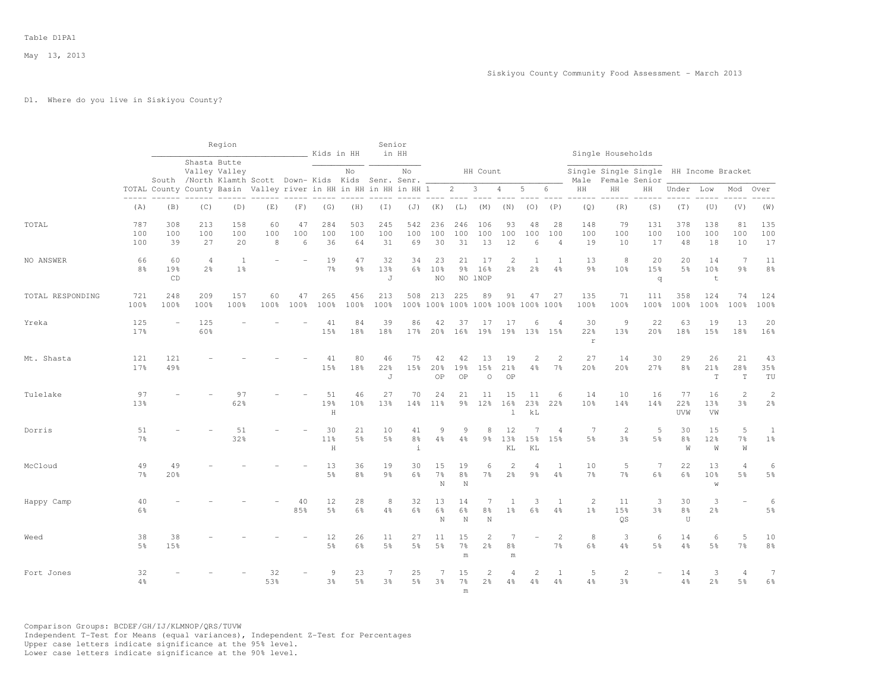## D1. Where do you live in Siskiyou County?

|                  |                      |                  |                                  | Region                                                                                 |                |                | Kids in HH             |                       | Senior<br>in HH      |                                   |                           |                                           |                                  |                                  |                                |                                  |                            | Single Households                                       |                       |                           |                                      |                                  |                              |
|------------------|----------------------|------------------|----------------------------------|----------------------------------------------------------------------------------------|----------------|----------------|------------------------|-----------------------|----------------------|-----------------------------------|---------------------------|-------------------------------------------|----------------------------------|----------------------------------|--------------------------------|----------------------------------|----------------------------|---------------------------------------------------------|-----------------------|---------------------------|--------------------------------------|----------------------------------|------------------------------|
|                  |                      |                  |                                  | Shasta Butte<br>Valley Valley<br>South /North Klamth Scott Down- Kids Kids Senr. Senr. |                |                |                        | No                    |                      | No                                |                           |                                           | HH Count                         |                                  |                                |                                  | Male                       | Single Single Single HH Income Bracket<br>Female Senior |                       |                           |                                      |                                  |                              |
|                  |                      |                  |                                  | TOTAL County County Basin Valley river in HH in HH in HH in HH 1                       |                |                |                        |                       |                      |                                   |                           | $\overline{2}$                            | $\overline{3}$                   | $\overline{4}$                   | 5                              | 6                                | HH                         | HH                                                      | HH                    | Under                     | Low                                  | Mod                              | Over                         |
|                  | (A)                  | (B)              | (C)                              | (D)                                                                                    | (E)            | (F)            | (G)                    | (H)                   | $(\bot)$             | (J)                               | (K)                       | (L)                                       | (M)                              | (N)                              | (0)                            | (P)                              | (Q)                        | (R)                                                     | (S)                   | (T)                       | (U)                                  | (V)                              | (W)                          |
| TOTAL            | 787<br>100<br>100    | 308<br>100<br>39 | 213<br>100<br>27                 | 158<br>100<br>20                                                                       | 60<br>100<br>8 | 47<br>100<br>6 | 284<br>100<br>36       | 503<br>100<br>64      | 245<br>100<br>31     | 542<br>100<br>69                  | 236<br>100<br>30          | 246<br>100<br>31                          | 106<br>100<br>13                 | 93<br>100<br>12                  | 48<br>100<br>6                 | 28<br>100<br>$\overline{4}$      | 148<br>100<br>19           | 79<br>100<br>10                                         | 131<br>100<br>17      | 378<br>100<br>48          | 138<br>100<br>18                     | 81<br>100<br>10                  | 135<br>100<br>17             |
| NO ANSWER        | 66<br>8 <sup>°</sup> | 60<br>19%<br>CD  | $\overline{4}$<br>2 <sup>°</sup> | $\overline{1}$<br>1 <sup>°</sup>                                                       |                |                | 19<br>$7\frac{6}{9}$   | 47<br>9 <sub>8</sub>  | 32<br>13%<br>J       | 34<br>6%                          | 23<br>10%<br>NO.          | 21<br>$9\frac{6}{6}$                      | 17<br>16%<br>NO 1NOP             | $\overline{2}$<br>$2\frac{6}{6}$ | $\mathbf{1}$<br>2 <sup>°</sup> | -1<br>4%                         | 13<br>9 <sub>8</sub>       | 8<br>10%                                                | 20<br>15%<br>q        | 20<br>5%                  | 14<br>10 <sup>8</sup><br>$\mathsf t$ | 7<br>9 <sub>8</sub>              | 11<br>8 <sup>°</sup>         |
| TOTAL RESPONDING | 721<br>100%          | 248<br>100%      | 209<br>100%                      | 157<br>100%                                                                            | 60<br>100%     | 47<br>100%     | 265<br>100%            | 456<br>100%           | 213<br>100%          | 508                               | 213                       | 225<br>100% 100% 100% 100% 100% 100% 100% | 89                               | 91                               | 47                             | 27                               | 135<br>100%                | 71<br>100%                                              | 111<br>100%           | 358<br>100%               | 124<br>100%                          | 74<br>100%                       | 124<br>100%                  |
| Yreka            | 125<br>17%           |                  | 125<br>60%                       |                                                                                        |                |                | 41<br>15%              | 84<br>18%             | 39<br>18%            | 86<br>17%                         | 42<br>20%                 | 37<br>16%                                 | 17<br>19%                        | 17<br>19%                        | 6<br>13%                       | $\overline{4}$<br>15%            | 30<br>22%<br>$\mathbbm{r}$ | 9<br>13%                                                | 22<br>20%             | 63<br>18%                 | 19<br>15%                            | 13<br>18%                        | 20<br>16%                    |
| Mt. Shasta       | 121<br>17%           | 121<br>49%       |                                  |                                                                                        |                |                | 41<br>15%              | 80<br>18%             | 46<br>22%<br>J       | 75<br>15%                         | 42<br>20%<br>OP           | 42<br>19%<br>OP                           | 13<br>15%<br>$\circ$             | 19<br>21%<br>OP                  | 2<br>4%                        | $\overline{2}$<br>$7\frac{6}{6}$ | 27<br>20%                  | 14<br>20%                                               | 30<br>27%             | 29<br>8 <sup>°</sup>      | 26<br>21%<br>$\mathbf T$             | 21<br>28%<br>$\mathbf T$         | 43<br>35%<br>TU              |
| Tulelake         | 97<br>13%            |                  |                                  | 97<br>62%                                                                              |                |                | 51<br>19%<br>$\rm H$   | 46<br>10 <sup>8</sup> | 27<br>13%            | 70<br>14%                         | 24<br>$11\%$              | 21<br>$9\frac{6}{6}$                      | 11<br>12%                        | 15<br>16%<br>$\mathbf 1$         | 11<br>23%<br>kL                | 6<br>22%                         | 14<br>10%                  | 10<br>14%                                               | 16<br>14%             | 77<br>22%<br>UVW          | 16<br>13%<br>VW                      | $\overline{c}$<br>3%             | $\sqrt{2}$<br>$2\frac{6}{9}$ |
| Dorris           | 51<br>$7\frac{6}{9}$ |                  |                                  | 51<br>32%                                                                              |                |                | 30<br>$11\%$<br>$\,$ H | 21<br>5 <sup>°</sup>  | 10<br>5 <sup>°</sup> | 41<br>$8\frac{6}{9}$<br>$\dot{1}$ | 9<br>4%                   | 9<br>4%                                   | 8<br>9 <sub>8</sub>              | 12<br>13%<br>KL                  | 15%<br>KL                      | 4<br>15%                         | 7<br>5%                    | $\overline{2}$<br>3%                                    | 5<br>5%               | 30<br>8 <sup>°</sup><br>W | 15<br>12%<br>W                       | 5<br>7 <sup>°</sup><br>W         | 1<br>1 <sup>°</sup>          |
| McCloud          | 49<br>7 <sup>°</sup> | 49<br>20%        |                                  |                                                                                        |                |                | 13<br>$5\frac{6}{9}$   | 36<br>8 <sup>°</sup>  | 19<br>9 <sub>8</sub> | 30<br>6%                          | 15<br>$7\frac{6}{9}$<br>N | 19<br>$8\frac{6}{6}$<br>N                 | 6<br>7 <sup>°</sup>              | $\overline{c}$<br>2 <sup>°</sup> | 4<br>9 <sub>8</sub>            | -1<br>4%                         | 10<br>$7\frac{6}{9}$       | 5<br>7 <sup>°</sup>                                     | $7\phantom{.0}$<br>6% | 22<br>6%                  | 13<br>10%<br>W                       | $\overline{4}$<br>5%             | 6<br>5 <sup>°</sup>          |
| Happy Camp       | 40<br>6%             |                  |                                  |                                                                                        |                | 40<br>85%      | 12<br>$5\frac{6}{9}$   | 28<br>6%              | 8<br>4%              | 32<br>$6\%$                       | 13<br>6%<br>N             | 14<br>6%<br>N                             | $\overline{7}$<br>8%<br>N        | 1<br>1 <sup>°</sup>              | 3<br>6%                        | $\mathbf{1}$<br>$4\%$            | 2<br>1 <sup>°</sup>        | 11<br>15%<br><b>OS</b>                                  | 3<br>3 <sup>°</sup>   | 30<br>$8\frac{6}{9}$<br>U | 3<br>2 <sup>°</sup>                  |                                  | 6<br>5 <sup>°</sup>          |
| Weed             | 38<br>5%             | 38<br>15%        |                                  |                                                                                        |                |                | 12<br>$5\frac{6}{9}$   | 26<br>6%              | 11<br>5%             | 27<br>5%                          | 11<br>5 <sup>°</sup>      | 15<br>$7\frac{6}{6}$<br>m                 | $\overline{2}$<br>2%             | 7<br>8%<br>m                     |                                | $\overline{c}$<br>$7\frac{6}{6}$ | 8<br>$6\frac{6}{9}$        | 3<br>4%                                                 | 6<br>5 <sup>°</sup>   | 14<br>4%                  | 6<br>5%                              | 5<br>7 <sup>°</sup>              | 10<br>$8\frac{6}{9}$         |
| Fort Jones       | 32<br>$4\%$          |                  |                                  |                                                                                        | 32<br>53%      |                | 9<br>3%                | 23<br>$5\frac{6}{9}$  | 7<br>3%              | 25<br>5%                          | 7<br>3%                   | 15<br>7%<br>m                             | $\overline{2}$<br>2 <sup>°</sup> | $\overline{4}$<br>4%             | $\overline{c}$<br>4%           | -1<br>4%                         | 5<br>4%                    | $\overline{c}$<br>3 <sup>o</sup>                        | $\equiv$              | 14<br>$4\frac{6}{6}$      | 3<br>$2\frac{6}{6}$                  | $\overline{4}$<br>5 <sup>°</sup> | 7<br>6%                      |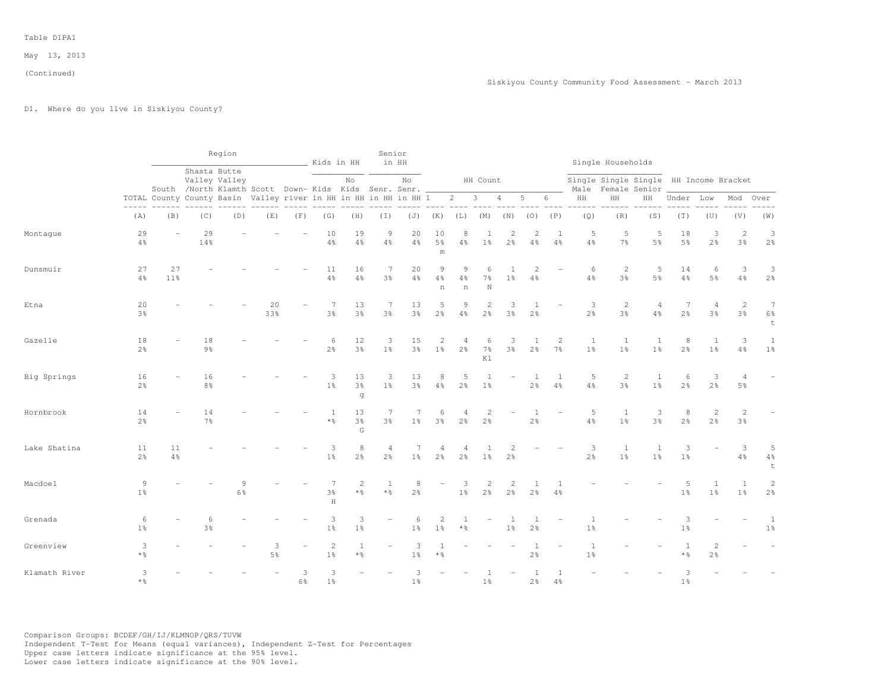# D1. Where do you live in Siskiyou County?

|               |                        |           |                      | Region                                                                                                                    |                     |                     | Kids in HH                     |                                        | Senior                           | in HH                |                                   |                               |                                  |                                  |                                |                                  |                                | Single Households                      |                           |                      |                                  |                                  |                                  |
|---------------|------------------------|-----------|----------------------|---------------------------------------------------------------------------------------------------------------------------|---------------------|---------------------|--------------------------------|----------------------------------------|----------------------------------|----------------------|-----------------------------------|-------------------------------|----------------------------------|----------------------------------|--------------------------------|----------------------------------|--------------------------------|----------------------------------------|---------------------------|----------------------|----------------------------------|----------------------------------|----------------------------------|
|               |                        |           |                      | Shasta Butte<br>Valley Valley                                                                                             |                     |                     |                                | No                                     |                                  | No                   |                                   |                               | HH Count                         |                                  |                                |                                  |                                | Single Single Single HH Income Bracket |                           |                      |                                  |                                  |                                  |
|               |                        |           |                      | South /North Klamth Scott Down- Kids Kids Senr. Senr.<br>TOTAL County County Basin Valley river in HH in HH in HH in HH 1 |                     |                     |                                |                                        |                                  |                      |                                   | $2 \qquad 3$                  |                                  | $\overline{4}$                   | $5 -$                          | 6                                | $\rm{HH}$                      | Male Female Senior<br>HH               | HH                        | Under Low            |                                  | Mod                              | Over                             |
|               | (A)                    | (B)       | (C)                  | (D)                                                                                                                       | (E)                 | (F)                 | (G)                            | (H)                                    | $(\top)$                         |                      | $(J)$ $(K)$                       | $(L)$ $(M)$                   |                                  | (N)                              | (0)                            | (P)                              | (Q)                            | (R)                                    | (S)                       | (T)                  | (U)                              | (V)                              | (W)                              |
| Montague      | 29<br>$4\%$            |           | 29<br>14%            |                                                                                                                           |                     |                     | 10<br>$4\frac{6}{6}$           | 19<br>$4\frac{6}{6}$                   | 9<br>$4\frac{6}{6}$              | 20<br>$4\frac{6}{6}$ | 10<br>$5\frac{6}{9}$<br>${\rm m}$ | 8<br>4%                       | 1<br>1 <sup>°</sup>              | $\mathbf{2}$<br>$2\frac{6}{6}$   | 2<br>4%                        | -1<br>$4\frac{6}{6}$             | 5<br>4%                        | 5<br>$7\frac{6}{6}$                    | 5<br>5 <sup>°</sup>       | 18<br>$5\frac{6}{6}$ | 3<br>2 <sup>o</sup>              | 2<br>3%                          | 3<br>2 <sup>o</sup>              |
| Dunsmuir      | 27<br>4%               | 27<br>11% |                      |                                                                                                                           |                     |                     | 11<br>$4\frac{6}{6}$           | 16<br>$4\frac{6}{6}$                   | 7<br>3%                          | 20<br>4%             | 9<br>$4\frac{6}{6}$<br>n          | 9<br>$4\frac{6}{6}$<br>$\,$ n | 6<br>$7\frac{6}{6}$<br>N         | $1\frac{6}{6}$                   | $\mathfrak{D}$<br>4%           |                                  | 6<br>$4\frac{6}{6}$            | $\overline{c}$<br>3%                   | 5<br>5 <sup>°</sup>       | 14<br>$4\frac{6}{6}$ | 6<br>5%                          | 3<br>4%                          | 3<br>$2\frac{6}{6}$              |
| Etna          | 20<br>3%               |           |                      |                                                                                                                           | 20<br>33%           |                     | 7<br>$3\frac{6}{9}$            | 13<br>3 <sup>°</sup>                   | 7<br>$3\frac{6}{6}$              | 13<br>$3\frac{6}{9}$ | 5<br>$2\frac{6}{9}$               | 9<br>$4\%$                    | $\overline{2}$<br>2 <sup>°</sup> | 3<br>$3\frac{6}{9}$              | 1<br>2 <sup>°</sup>            |                                  | 3<br>$2\frac{6}{6}$            | $\overline{2}$<br>3 <sup>°</sup>       | $\overline{4}$<br>$4\,$ % | 7<br>$2\frac{6}{9}$  | $\overline{4}$<br>3 <sup>°</sup> | 2<br>3 <sup>°</sup>              | 7<br>$6\frac{6}{9}$<br>t         |
| Gazelle       | 18<br>$2\frac{6}{9}$   |           | 18<br>9%             |                                                                                                                           |                     |                     | 6<br>$2\frac{6}{9}$            | 12<br>$3\frac{6}{9}$                   | 3<br>1%                          | 15<br>3 <sup>°</sup> | 2<br>1 <sup>°</sup>               | 4<br>2 <sup>o</sup>           | 6<br>$7\frac{6}{6}$<br>Κl        | 3<br>3%                          | 1<br>2 <sup>°</sup>            | $\overline{c}$<br>7 <sup>°</sup> | $\mathbf{1}$<br>1 <sup>°</sup> | 1<br>1 <sup>°</sup>                    | 1<br>1 <sup>°</sup>       | 8<br>$2\frac{6}{9}$  | $\mathbf{1}$<br>1 <sup>°</sup>   | 3<br>4%                          | $\mathbf{1}$<br>1 <sup>°</sup>   |
| Big Springs   | 16<br>$2\frac{6}{9}$   |           | 16<br>8 <sup>°</sup> |                                                                                                                           |                     |                     | $\mathbf{3}$<br>$1\frac{6}{6}$ | 13<br>$3\frac{6}{9}$<br>g              | 3<br>1 <sup>°</sup>              | 13<br>$3\frac{6}{6}$ | 8<br>4%                           | 5<br>$2\frac{6}{6}$           | $\mathbf{1}$<br>1 <sup>°</sup>   | $\overline{a}$                   | <sup>1</sup><br>$2\frac{6}{9}$ | 1<br>$4\%$                       | 5<br>4%                        | $\overline{c}$<br>3 <sup>°</sup>       | 1<br>1 <sup>°</sup>       | 6<br>2 <sup>o</sup>  | 3<br>2 <sup>°</sup>              | $\overline{4}$<br>5 <sup>°</sup> |                                  |
| Hornbrook     | 14<br>$2\frac{6}{9}$   |           | 14<br>7%             |                                                                                                                           |                     |                     | -1<br>$*$ $\frac{6}{9}$        | 13<br>$3\frac{6}{9}$<br>G              | 7<br>3%                          | 7<br>$1\frac{6}{6}$  | 6<br>3%                           | 4<br>$2\frac{6}{6}$           | $\overline{c}$<br>2 <sup>°</sup> | $\overline{\phantom{a}}$         | $\mathbf{1}$<br>$2\frac{6}{9}$ | $\sim$                           | 5<br>4%                        | <sup>1</sup><br>$1\frac{6}{6}$         | 3<br>3 <sup>°</sup>       | 8<br>$2\frac{6}{9}$  | $\overline{c}$<br>2%             | $\overline{c}$<br>3%             |                                  |
| Lake Shatina  | 11<br>2 <sup>o</sup>   | 11<br>4%  |                      |                                                                                                                           |                     |                     | 3<br>1 <sup>°</sup>            | $\,8\,$<br>2 <sup>o</sup>              | $\overline{4}$<br>2 <sup>o</sup> | 7<br>1 <sup>°</sup>  | $\overline{4}$<br>$2\frac{6}{9}$  | 4<br>$2\frac{6}{6}$           | $\mathbf{1}$<br>1 <sup>°</sup>   | $\overline{c}$<br>2 <sup>°</sup> |                                |                                  | 3<br>2 <sup>o</sup>            | <sup>1</sup><br>1 <sup>°</sup>         | 1<br>1 <sup>°</sup>       | 3<br>1 <sup>°</sup>  | $\overline{\phantom{0}}$         | 3<br>4%                          | 5<br>4%<br>$\mathsf t$           |
| Macdoel       | 9<br>1 <sup>°</sup>    |           |                      | 9<br>$6\frac{6}{9}$                                                                                                       |                     |                     | 7<br>$3\frac{6}{9}$<br>H       | 2<br>$*$ %                             | $\mathbf{1}$<br>$*$ %            | 8<br>2 <sup>o</sup>  | $\overline{\phantom{0}}$          | 3<br>$1\frac{6}{6}$           | $\overline{c}$<br>$2\frac{6}{9}$ | $\sqrt{2}$<br>$2\frac{6}{6}$     | $\mathbf{1}$<br>$2\frac{6}{9}$ | 1<br>$4\frac{6}{6}$              |                                |                                        |                           | 5<br>1 <sup>°</sup>  | $\mathbf{1}$<br>1 <sup>°</sup>   | $\mathbf{1}$<br>1%               | $\overline{c}$<br>$2\frac{6}{6}$ |
| Grenada       | 6<br>1 <sup>°</sup>    |           | 6<br>3 <sup>°</sup>  |                                                                                                                           |                     |                     | 3<br>$1\frac{6}{9}$            | 3<br>1 <sup>°</sup>                    |                                  | 6<br>$1\frac{6}{6}$  | 2<br>1 <sup>°</sup>               | * 응                           |                                  | 1<br>$1\frac{6}{6}$              | $2\frac{6}{9}$                 |                                  | 1 <sup>°</sup>                 |                                        |                           | 3<br>1 <sup>°</sup>  |                                  |                                  | $\mathbf{1}$<br>1 <sup>°</sup>   |
| Greenview     | 3<br>$*$ $\frac{6}{6}$ |           |                      |                                                                                                                           | 3<br>5 <sup>°</sup> |                     | $\overline{2}$<br>$1\%$        | 1<br>$\star$ $\underset{\circ}{\circ}$ |                                  | 3<br>$1\frac{6}{6}$  | $\star$ $\frac{6}{9}$             |                               |                                  |                                  | $2\frac{6}{6}$                 |                                  | 1 <sup>°</sup>                 |                                        |                           | -1<br>* 응            | $\overline{c}$<br>2%             |                                  |                                  |
| Klamath River | 3<br>$*$ %             |           |                      |                                                                                                                           |                     | 3<br>$6\frac{6}{9}$ | 3<br>1 <sup>°</sup>            |                                        |                                  | 3<br>$1\frac{6}{6}$  |                                   |                               | 1<br>1 <sup>°</sup>              |                                  | 1<br>2 <sup>°</sup>            | 1<br>$4\frac{6}{6}$              |                                |                                        |                           | 3<br>1 <sup>°</sup>  |                                  |                                  |                                  |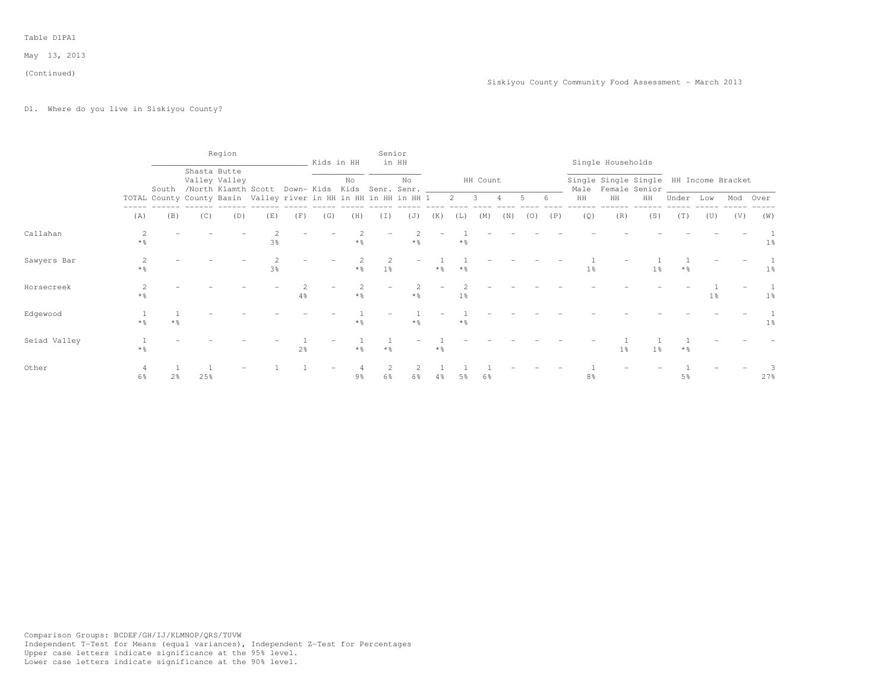#### (Continued)

# D1. Where do you live in Siskiyou County?

|              |                        |                |              | Region        |                                                                  |                |     | Kids in HH        | Senior              | in HH |                   |             |          |                |     |     |                | Single Households                                            |                |                   |                |          |                |
|--------------|------------------------|----------------|--------------|---------------|------------------------------------------------------------------|----------------|-----|-------------------|---------------------|-------|-------------------|-------------|----------|----------------|-----|-----|----------------|--------------------------------------------------------------|----------------|-------------------|----------------|----------|----------------|
|              |                        |                | Shasta Butte | Valley Valley | South /North Klamth Scott Down- Kids Kids Senr. Senr.            |                |     | No                |                     | No    |                   |             | HH Count |                |     |     |                | Single Single Single HH Income Bracket<br>Male Female Senior |                |                   |                |          |                |
|              |                        |                |              |               | TOTAL County County Basin Valley river in HH in HH in HH in HH 1 |                |     |                   |                     |       |                   | $2 \quad 3$ |          | $\overline{4}$ | 5   | 6   | HH             | HH                                                           | HH             | Under Low         |                | Mod Over |                |
|              | (A)                    | (B)            | (C)          | (D)           | (E)                                                              | (F)            | (G) | (H)               | (I)                 | (J)   | (K)               | (L)         | (M)      | (N)            | (0) | (P) | (Q)            | (R)                                                          | (S)            | (T)               | (U)            | (V)      | (W)            |
| Callahan     | $*$ $\frac{6}{6}$      |                |              |               | 3%                                                               |                |     | $*$ $\frac{6}{6}$ |                     | $*$ % |                   | * %         |          |                |     |     |                |                                                              |                |                   |                |          | 1 <sup>°</sup> |
| Sawyers Bar  | 2<br>$*$ $\frac{6}{5}$ |                |              |               | 3 <sup>°</sup>                                                   |                |     | $*$ $\frac{6}{6}$ | 2<br>1 <sup>°</sup> |       | $*$ $\frac{6}{9}$ | $*$ %       |          |                |     |     | $1\%$          |                                                              | 1 <sup>°</sup> | $*$ $\frac{6}{5}$ |                |          | $1\,$ s        |
| Horsecreek   | $*$ %                  |                |              |               |                                                                  | $4\frac{6}{9}$ |     | $*$ $\frac{6}{5}$ |                     | $*$ % |                   | $1\%$       |          |                |     |     |                |                                                              |                |                   | 1 <sup>°</sup> |          | $1\,$ s        |
| Edgewood     | $*$ $\frac{6}{2}$      |                |              |               |                                                                  |                |     | $*$ %             |                     |       |                   | * %         |          |                |     |     |                |                                                              |                |                   |                |          | $1\%$          |
| Seiad Valley | $*$ %                  |                |              |               |                                                                  | 2 <sup>o</sup> |     | $*$ $\frac{6}{5}$ | $*$ %               |       | $*$ $\frac{6}{5}$ |             |          |                |     |     |                | 1 <sup>°</sup>                                               | 1 <sup>°</sup> | $*$ $\frac{6}{5}$ |                |          |                |
| Other        | 6%                     | 2 <sub>8</sub> | 25%          |               |                                                                  |                |     | 9%                | $6\frac{6}{9}$      | $6\%$ | $4\frac{6}{9}$    | 5%          | 6%       |                |     |     | $8\frac{6}{9}$ |                                                              |                | 5 <sup>°</sup>    |                |          | 27%            |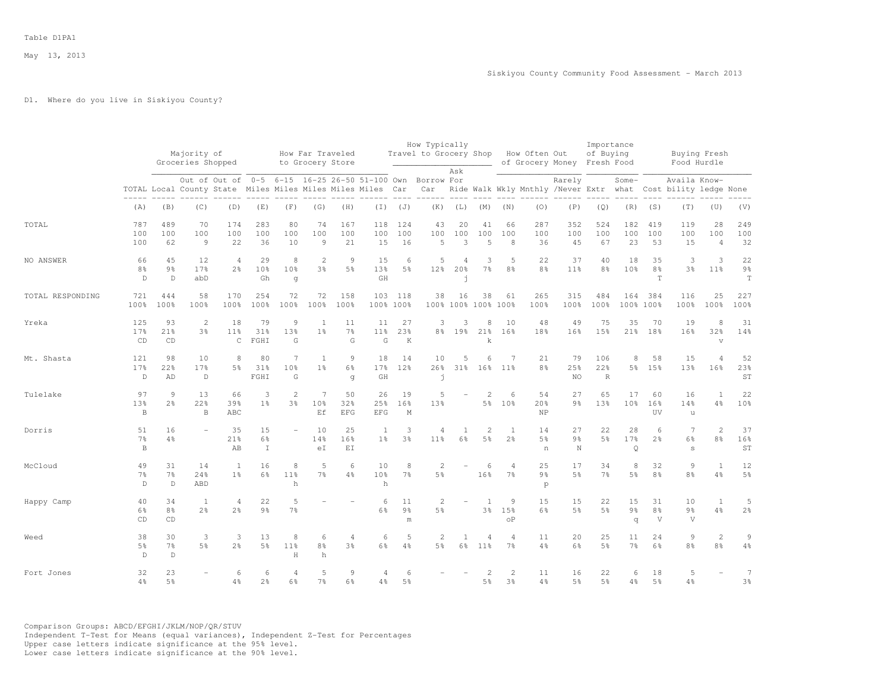## D1. Where do you live in Siskiyou County?

|                  |                                     |                                      | Majority of<br>Groceries Shopped |                                                          |                             |                           | How Far Traveled<br>to Grocery Store |                           |                            |                                       | How Typically<br>Travel to Grocery Shop |                            |                                   |                                    | How Often Out             | of Grocery Money Fresh Food                 | Importance<br>of Buying   |                                  |                                     |                                        | Buying Fresh<br>Food Hurdle         |                                     |
|------------------|-------------------------------------|--------------------------------------|----------------------------------|----------------------------------------------------------|-----------------------------|---------------------------|--------------------------------------|---------------------------|----------------------------|---------------------------------------|-----------------------------------------|----------------------------|-----------------------------------|------------------------------------|---------------------------|---------------------------------------------|---------------------------|----------------------------------|-------------------------------------|----------------------------------------|-------------------------------------|-------------------------------------|
|                  |                                     |                                      | TOTAL Local County State         | Out of Out of 0-5 6-15 16-25 26-50 51-100 Own Borrow For |                             |                           | Miles Miles Miles Miles Miles        |                           |                            | Car                                   | Car                                     | Ask                        |                                   |                                    |                           | Rarely<br>Ride Walk Wkly Mnthly /Never Extr |                           | Some-<br>what                    |                                     | Availa Know-<br>Cost bility ledge None |                                     |                                     |
|                  | (A)                                 | (B)                                  | (C)                              | (D)                                                      | (E)                         | (F)                       | (G)                                  | (H)                       | $(\bot)$                   | (J)                                   | (K)                                     | (L)                        | (M)                               | (N)                                | (0)                       | (P)                                         | (Q)                       | (R)                              | (S)                                 | (T)                                    | (U)                                 | (V)                                 |
| TOTAL            | 787<br>100<br>100                   | 489<br>100<br>62                     | 70<br>100<br>$\overline{9}$      | 174<br>100<br>22                                         | 283<br>100<br>36            | 80<br>100<br>10           | 74<br>100<br>$\overline{9}$          | 167<br>100<br>21          | 118<br>100<br>15           | 124<br>100<br>16                      | 43<br>100<br>5                          | 20<br>100<br>3             | 41<br>100<br>5                    | 66<br>100<br>8                     | 287<br>100<br>36          | 352<br>100<br>45                            | 524<br>100<br>67          | 182<br>100<br>23                 | 419<br>100<br>53                    | 119<br>100<br>15                       | 28<br>100<br>$\overline{4}$         | 249<br>100<br>32                    |
| NO ANSWER        | 66<br>8%<br>$\mathbb D$             | 45<br>$9\frac{6}{6}$<br>$\mathbb{D}$ | 12<br>17%<br>abD                 | $\overline{4}$<br>2 <sup>°</sup>                         | 29<br>10 <sup>8</sup><br>Gh | 8<br>10%<br>$\sigma$      | $\mathbf{2}$<br>3%                   | 9<br>5%                   | 15<br>13%<br>GH            | 6<br>5%                               | 5<br>12 <sub>8</sub>                    | 4<br>20%<br>$\overline{1}$ | 3<br>7 <sup>°</sup>               | 5<br>8 <sup>8</sup>                | 22<br>8 <sup>°</sup>      | 37<br>11 <sup>°</sup>                       | 40<br>8 <sup>°</sup>      | 18<br>10%                        | 35<br>8 <sup>°</sup><br>$\mathbb T$ | 3<br>3 <sup>8</sup>                    | 3<br>11 <sup>8</sup>                | 22<br>$9\frac{6}{6}$<br>$\mathbf T$ |
| TOTAL RESPONDING | 721<br>100%                         | 444<br>100%                          | 58<br>100%                       | 170<br>100%                                              | 254<br>100%                 | 72<br>100%                | 72<br>100%                           | 158<br>100%               | 103<br>100%                | 118<br>100%                           | 38                                      | 16                         | 38<br>100% 100% 100%              | 61<br>100%                         | 265<br>100%               | 315<br>100%                                 | 484<br>100%               | 164<br>100%                      | 384<br>100%                         | 116<br>100%                            | 25<br>100%                          | 227<br>100%                         |
| Yreka            | 125<br>17%<br>CD                    | 93<br>21%<br>CD                      | 2<br>3%                          | 18<br>11%<br>$\mathsf C$                                 | 79<br>31%<br>FGHI           | $\mathcal{Q}$<br>13%<br>G | 1<br>1 <sup>°</sup>                  | 11<br>$7\frac{6}{6}$<br>G | 11<br>11 <sup>8</sup><br>G | 27<br>23%<br>K                        | 3<br>8 <sup>°</sup>                     | 3<br>19%                   | 8<br>21%<br>k                     | 10<br>16%                          | 48<br>18%                 | 49<br>16%                                   | 75<br>15%                 | 35<br>21%                        | 70<br>18%                           | 19<br>16%                              | 8<br>32%<br>$\overline{\mathbf{V}}$ | 31<br>14%                           |
| Mt. Shasta       | 121<br>17%<br>$\mathbb D$           | 98<br>22%<br>AD                      | 10<br>17%<br>$\mathbb D$         | 8<br>5 <sup>8</sup>                                      | 80<br>31%<br>FGHI           | 7<br>10%<br>G             | 1<br>1 <sup>°</sup>                  | 9<br>6%<br>q              | 18<br>17%<br>GH            | 14<br>12%                             | 10<br>26%<br>j                          | 5<br>31%                   | 6<br>16%                          | 7<br>11%                           | 21<br>8 <sup>9</sup>      | 79<br>25%<br>NO                             | 106<br>22%<br>$\mathbb R$ | 8<br>5%                          | 58<br>15%                           | 15<br>13%                              | $\Delta$<br>16%                     | 52<br>23%<br>ST                     |
| Tulelake         | 97<br>13%<br>$\, {\bf B}$           | $\circ$<br>2 <sup>°</sup>            | 13<br>22%<br>B                   | 66<br>39%<br>ABC                                         | 3<br>1 <sup>8</sup>         | $\overline{2}$<br>3%      | $\overline{7}$<br>10%<br>Εf          | 50<br>32%<br><b>EFG</b>   | 26<br>25%<br><b>EFG</b>    | 19<br>16%<br>М                        | 5<br>13%                                |                            | $\overline{c}$<br>5 <sup>°</sup>  | 6<br>10%                           | 54<br>20%<br>NP           | 27<br>9%                                    | 65<br>13%                 | 17<br>10%                        | 60<br>16%<br>UV                     | 16<br>14%<br>$\mathbf u$               | $\mathbf{1}$<br>4%                  | 22<br>10%                           |
| Dorris           | 51<br>$7\frac{6}{9}$<br>$\,$ B      | 16<br>4%                             |                                  | 35<br>21%<br>AB                                          | 15<br>6%<br>$\mathbbm{I}$   |                           | 10<br>14%<br>eI                      | 25<br>16%<br>EI           | 1<br>1 <sup>°</sup>        | 3<br>3 <sup>°</sup>                   | 4<br>11 <sup>8</sup>                    | $\mathbf{1}$<br>6%         | $\overline{c}$<br>5 <sup>°</sup>  | 1<br>2 <sup>o</sup>                | 14<br>5%<br>n             | 27<br>9 <sub>8</sub><br>N                   | 22<br>5%                  | 28<br>17%<br>Q                   | 6<br>2 <sup>o</sup>                 | $\overline{7}$<br>$6\frac{6}{9}$<br>s  | $\overline{c}$<br>8%                | 37<br>16%<br>ST                     |
| McCloud          | 49<br>$7\frac{6}{9}$<br>$\mathbb D$ | 31<br>$7\frac{6}{6}$<br>D.           | 14<br>24%<br>ABD                 | $\mathbf{1}$<br>1 <sup>°</sup>                           | 16<br>$6\frac{6}{9}$        | 8<br>11 <sup>8</sup><br>h | 5<br>$7\frac{6}{6}$                  | 6<br>4%                   | 10<br>10%<br>h             | 8<br>7 <sup>°</sup>                   | 2<br>5 <sup>°</sup>                     |                            | 6<br>16%                          | 4<br>$7\frac{6}{6}$                | 25<br>$9\frac{6}{9}$<br>p | 17<br>5 <sup>°</sup>                        | 34<br>$7\frac{6}{6}$      | 8<br>$5\frac{6}{9}$              | 32<br>8 <sup>°</sup>                | $\circ$<br>8 <sup>°</sup>              | $\mathbf{1}$<br>4%                  | 12<br>$5\%$                         |
| Happy Camp       | 40<br>6%<br>CD                      | 34<br>8 <sup>°</sup><br>CD           | -1<br>2 <sup>°</sup>             | 4<br>$2\frac{6}{6}$                                      | 22<br>$9\frac{6}{6}$        | 5<br>$7\%$                |                                      |                           | 6<br>6%                    | 11<br>$9\frac{6}{6}$<br>$\mathfrak m$ | 2<br>5 <sup>8</sup>                     |                            | 1<br>$3\frac{6}{9}$               | 9<br>15%<br>$\mathrm{o}\mathrm{P}$ | 15<br>$6\frac{6}{9}$      | 15<br>5 <sup>°</sup>                        | 22<br>$5\frac{6}{9}$      | 15<br>$9\frac{6}{9}$<br>$\sigma$ | 31<br>8 <sup>°</sup><br>V           | 10<br>$9\frac{6}{6}$<br>$\mathbf{V}$   | 1<br>4%                             | 5<br>$2\frac{6}{6}$                 |
| Weed             | 38<br>5%<br>$\mathbb D$             | 30<br>7%<br>$\mathbb D$              | 3<br>5 <sup>8</sup>              | 3<br>2 <sup>o</sup>                                      | 13<br>5 <sup>8</sup>        | 8<br>11%<br>H             | 6<br>8 <sup>°</sup><br>h             | $\overline{4}$<br>3%      | 6<br>6%                    | 5<br>4%                               | 2<br>5 <sup>8</sup>                     | $\mathbf{1}$<br>6%         | $\overline{4}$<br>11 <sup>°</sup> | $\overline{4}$<br>7 <sup>°</sup>   | 11<br>4%                  | 20<br>6%                                    | 25<br>5%                  | 11<br>7%                         | 24<br>6%                            | $\mathfrak{g}$<br>8 <sup>°</sup>       | $\overline{c}$<br>8 <sup>8</sup>    | $\overline{9}$<br>$4\frac{6}{6}$    |
| Fort Jones       | 32<br>$4\%$                         | 23<br>5%                             |                                  | 6<br>4%                                                  | 6<br>2 <sup>°</sup>         | $\overline{4}$<br>6%      | 5<br>7%                              | 9<br>6%                   | 4<br>$4\frac{6}{6}$        | 6<br>5%                               |                                         |                            | 5 <sup>°</sup>                    | $\mathbf{2}$<br>3 <sup>°</sup>     | 11<br>4%                  | 16<br>5 <sup>°</sup>                        | 22<br>5%                  | 6<br>4%                          | 18<br>5 <sup>°</sup>                | 5<br>4%                                |                                     | $\overline{7}$<br>3 <sup>o</sup>    |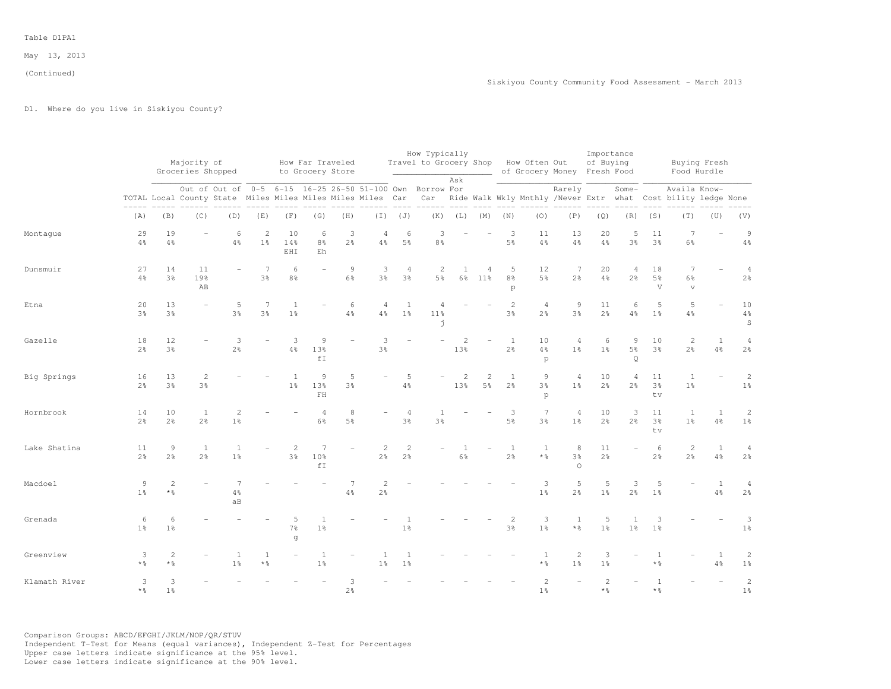# D1. Where do you live in Siskiyou County?

|               |                        |                                  | Majority of<br>Groceries Shopped |                         |                                  |                                  | How Far Traveled<br>to Grocery Store |                         |                                                                                                                        |                                | How Typically<br>Travel to Grocery Shop How Often Out |                         |                                  |                          |                                  | of Grocery Money Fresh Food       | Importance<br>of Buying |                                             |                           |                                                                                   | Buying Fresh<br>Food Hurdle |                                     |
|---------------|------------------------|----------------------------------|----------------------------------|-------------------------|----------------------------------|----------------------------------|--------------------------------------|-------------------------|------------------------------------------------------------------------------------------------------------------------|--------------------------------|-------------------------------------------------------|-------------------------|----------------------------------|--------------------------|----------------------------------|-----------------------------------|-------------------------|---------------------------------------------|---------------------------|-----------------------------------------------------------------------------------|-----------------------------|-------------------------------------|
|               |                        |                                  |                                  |                         |                                  |                                  |                                      |                         | Out of Out of 0-5 6-15 16-25 26-50 51-100 Own Borrow For<br>TOTAL Local County State Miles Miles Miles Miles Miles Car |                                |                                                       | Ask                     |                                  |                          |                                  | Rarely                            |                         | Some-                                       |                           | Availa Know-<br>Car Ride Walk Wkly Mnthly /Never Extr what Cost bility ledge None |                             |                                     |
|               | (A)                    | (B)                              | (C)                              | (D)                     | (E)                              | (F)                              | (G)                                  | (H)                     |                                                                                                                        | $(I)$ $(J)$                    |                                                       | $(K)$ $(L)$ $(M)$ $(N)$ |                                  |                          | $- - - - - -$<br>(0)             | (P)                               | (Q)                     |                                             | $(R)$ $(S)$               | (T)                                                                               | (U)                         | (V)                                 |
| Montaque      | 29<br>$4\frac{6}{6}$   | 19<br>$4\frac{6}{6}$             |                                  | 6<br>$4\frac{6}{6}$     | $\overline{c}$<br>$1\frac{6}{6}$ | 10<br>14%<br>EHI                 | 6<br>8 <sup>°</sup><br>Eh            | 3<br>$2\frac{6}{9}$     | $\overline{4}$<br>$4\frac{6}{6}$                                                                                       | 6<br>$5\frac{6}{9}$            | 3<br>$8\frac{6}{9}$                                   |                         |                                  | 3<br>5%                  | 11<br>$4\frac{6}{6}$             | 13<br>4%                          | 20<br>$4\frac{6}{6}$    | 5<br>3%                                     | 11<br>3%                  | $\overline{7}$<br>$6\frac{6}{9}$                                                  |                             | $\mathcal{G}$<br>$4\,$ %            |
| Dunsmuir      | 27<br>$4\frac{6}{6}$   | 14<br>3 <sup>o</sup>             | 11<br>19%<br>AB                  |                         | 7<br>$3\frac{6}{9}$              | 6<br>8%                          |                                      | $\overline{9}$<br>$6\%$ | $\ensuremath{\mathsf{3}}$<br>$3\frac{6}{6}$                                                                            | 4<br>$3\frac{6}{6}$            | 2<br>$5\frac{6}{9}$                                   | 1                       | $\overline{4}$<br>6% 11%         | 5<br>8 <sup>°</sup><br>p | 12<br>5 <sup>°</sup>             | 7<br>$2\frac{6}{6}$               | 20<br>$4\%$             | 4<br>2 <sup>°</sup>                         | 18<br>5 <sup>°</sup><br>V | 7<br>$6\frac{6}{9}$<br>$\mathbf{v}$                                               |                             | $\overline{4}$<br>$2\frac{6}{6}$    |
| Etna          | 20<br>$3\frac{6}{9}$   | 13<br>3%                         |                                  | 5<br>$3\frac{6}{9}$     | $\overline{7}$<br>$3\frac{6}{9}$ | $\mathbf{1}$<br>1 <sup>°</sup>   |                                      | 6<br>$4\frac{6}{9}$     | $\overline{4}$<br>4%                                                                                                   | <sup>1</sup><br>1 <sup>°</sup> | 11%<br>$\mathbf{I}$                                   |                         |                                  | $\mathbf{2}$<br>3%       | $\overline{4}$<br>$2\frac{6}{6}$ | $\mathcal{G}$<br>3%               | 11<br>2 <sup>o</sup>    | 6<br>$4\frac{6}{9}$                         | 5<br>1 <sup>°</sup>       | 5<br>$4\frac{6}{6}$                                                               |                             | 10<br>$4\frac{6}{6}$<br>$\mathbb S$ |
| Gazelle       | 18<br>$2\frac{6}{9}$   | 12<br>3 <sup>o</sup>             |                                  | 3<br>$2\frac{6}{6}$     |                                  | 3<br>$4\%$                       | Q<br>13%<br>fI                       |                         | 3<br>$3\frac{6}{6}$                                                                                                    |                                |                                                       | $\overline{2}$<br>13%   |                                  | 1<br>$2\frac{6}{6}$      | 10<br>4%<br>p                    | $\overline{4}$<br>$1\%$           | 6<br>1 <sup>°</sup>     | $\overline{9}$<br>$5\frac{6}{9}$<br>$\circ$ | 10<br>3%                  | 2<br>$2\frac{6}{6}$                                                               | $\mathbf{1}$<br>4%          | $\overline{4}$<br>$2\frac{6}{6}$    |
| Big Springs   | 16<br>$2\frac{6}{9}$   | 13<br>3%                         | $\overline{2}$<br>3%             |                         |                                  | 1 <sup>°</sup>                   | 9<br>13%<br>$\rm FH$                 | 5<br>3%                 |                                                                                                                        | 5<br>$4\frac{6}{6}$            |                                                       | $\mathbf{2}$<br>13%     | $\overline{2}$<br>$5\frac{6}{9}$ | 1<br>2 <sup>°</sup>      | 9<br>3%<br>p                     | $\overline{4}$<br>1%              | 10<br>$2\frac{6}{6}$    | $\overline{4}$<br>$2\frac{6}{9}$            | 11<br>3%<br>tv.           | $\mathbf{1}$<br>$1\frac{6}{6}$                                                    |                             | $\mathbf{2}$<br>$1\,$               |
| Hornbrook     | 14<br>$2\frac{6}{9}$   | 10<br>$2\frac{6}{6}$             | 1<br>$2\frac{6}{6}$              | $\overline{2}$<br>$1\%$ |                                  |                                  | $\overline{4}$<br>$6\frac{6}{6}$     | 8<br>$5\frac{6}{9}$     |                                                                                                                        | $\overline{4}$<br>3%           | 3%                                                    |                         |                                  | 3<br>$5\frac{6}{6}$      | 7<br>3 <sup>9</sup>              | 4<br>1 <sup>°</sup>               | 10<br>2 <sup>9</sup>    | 3<br>2 <sup>°</sup>                         | 11<br>3%<br>tv            | 1<br>1 <sup>°</sup>                                                               | 1<br>4%                     | $\mathbf{2}$<br>$1\frac{6}{6}$      |
| Lake Shatina  | 11<br>$2\frac{6}{9}$   | $\overline{9}$<br>$2\frac{6}{6}$ | $\mathbf{1}$<br>$2\frac{6}{9}$   | $\overline{1}$<br>$1\%$ |                                  | $\overline{c}$<br>$3\frac{6}{6}$ | 7<br>10%<br>fT                       |                         | 2<br>$2\frac{6}{6}$                                                                                                    | 2<br>$2\frac{6}{6}$            |                                                       | $6\frac{6}{6}$          |                                  | 1<br>$2\frac{6}{6}$      | $\mathbf{1}$<br>* %              | 8<br>3%<br>$\Omega$               | 11<br>$2\frac{6}{6}$    |                                             | 6<br>$2\frac{6}{6}$       | $\overline{c}$<br>$2\frac{6}{9}$                                                  | $\mathbf{1}$<br>4%          | $\overline{4}$<br>2 <sup>o</sup>    |
| Macdoel       | 9<br>$1\frac{6}{6}$    | $\overline{c}$<br>* 응            |                                  | $4\%$<br>aB             |                                  |                                  |                                      | $4\frac{6}{6}$          | $\overline{2}$<br>$2\frac{6}{6}$                                                                                       |                                |                                                       |                         |                                  |                          | 3<br>1 <sup>°</sup>              | 5<br>2 <sup>o</sup>               | 5<br>1 <sup>°</sup>     | 3<br>2 <sup>°</sup>                         | 5<br>1 <sup>°</sup>       |                                                                                   | $\mathbf{1}$<br>4%          | $\overline{4}$<br>$2\frac{6}{6}$    |
| Grenada       | 6<br>$1\frac{6}{6}$    | 6<br>1 <sup>°</sup>              |                                  |                         |                                  | $7\frac{6}{6}$<br>q              | 1 <sup>°</sup>                       |                         |                                                                                                                        | $1\frac{6}{6}$                 |                                                       |                         |                                  | 2<br>$3\frac{6}{6}$      | 3<br>$1\frac{6}{6}$              | $\mathbf{1}$<br>$*$ $\frac{6}{6}$ | 5<br>1 <sup>°</sup>     | 1 <sup>°</sup>                              | 3<br>1 <sup>°</sup>       |                                                                                   |                             | 3<br>$1\frac{6}{6}$                 |
| Greenview     | 3<br>$*$ $\frac{6}{5}$ | $\overline{c}$<br>* %            |                                  | 1<br>$1\frac{6}{9}$     | $*$ %                            |                                  | 1 <sup>°</sup>                       |                         | 1%                                                                                                                     | 1 <sup>°</sup>                 |                                                       |                         |                                  |                          | $\mathbf{1}$<br>* %              | 2<br>$1\frac{6}{6}$               | 3<br>1%                 |                                             | 1<br>$*$ $\frac{6}{6}$    |                                                                                   | 1<br>4%                     | $\mathbf{2}$<br>1 <sup>°</sup>      |
| Klamath River | 3<br>$*$ $\frac{6}{5}$ | 3<br>1 <sup>°</sup>              |                                  |                         |                                  |                                  |                                      | 3<br>$2\frac{6}{6}$     |                                                                                                                        |                                |                                                       |                         |                                  |                          | $\mathbf{2}$<br>1 <sup>°</sup>   |                                   | $\overline{2}$<br>* %   |                                             | $\mathbf{1}$<br>$*$ %     |                                                                                   |                             | $\sqrt{2}$<br>$1\frac{6}{6}$        |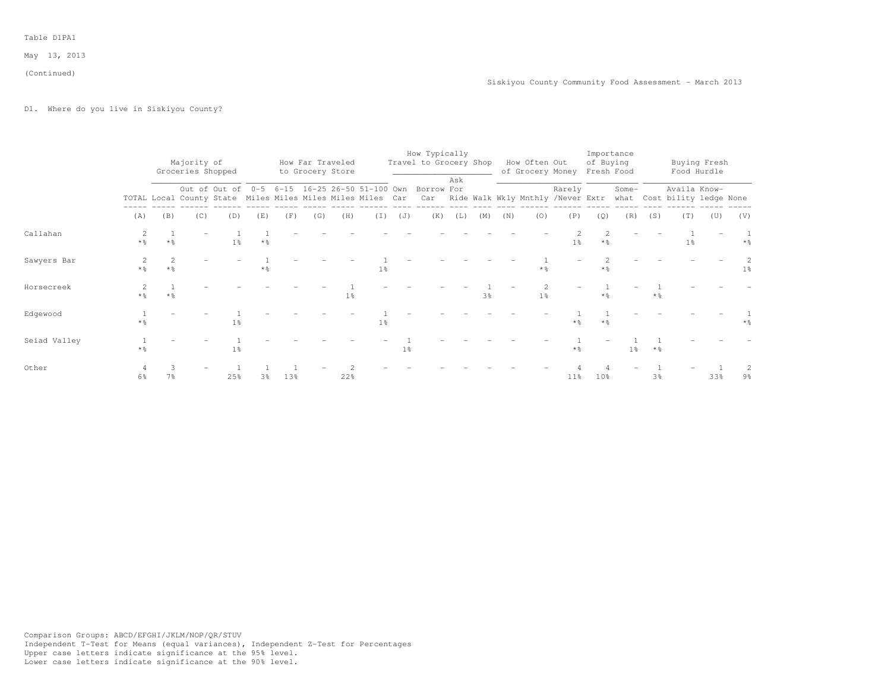(Continued)

D1. Where do you live in Siskiyou County?

|              |                   |                         |                                  |                |                   |     |     |                                      |                |                | How Typically                                                                                                          |     |                |     |                                              |                | Importance        |       |       |                |              |                   |
|--------------|-------------------|-------------------------|----------------------------------|----------------|-------------------|-----|-----|--------------------------------------|----------------|----------------|------------------------------------------------------------------------------------------------------------------------|-----|----------------|-----|----------------------------------------------|----------------|-------------------|-------|-------|----------------|--------------|-------------------|
|              |                   |                         | Majority of<br>Groceries Shopped |                |                   |     |     | How Far Traveled<br>to Grocery Store |                |                | Travel to Grocery Shop                                                                                                 |     |                |     | How Often Out<br>of Grocery Money Fresh Food |                | of Buying         |       |       | Food Hurdle    | Buying Fresh |                   |
|              |                   |                         |                                  |                |                   |     |     |                                      |                |                | Out of Out of 0-5 6-15 16-25 26-50 51-100 Own Borrow For                                                               | Ask |                |     |                                              | Rarely         |                   | Some- |       | Availa Know-   |              |                   |
|              |                   |                         |                                  |                |                   |     |     |                                      |                |                | TOTAL Local County State Miles Miles Miles Miles Car Car Ride Walk Wkly Mnthly /Never Extr what Cost bility ledge None |     |                |     |                                              |                |                   |       |       |                |              |                   |
|              | (A)               | (B)                     | (C)                              | (D)            | (E)               | (F) | (G) | (H)                                  |                | $(J)$ $(J)$    | (K)                                                                                                                    | (L) | (M)            | (N) | (0)                                          | (P)            | (Q)               | (R)   | (S)   | (T)            | (U)          | (V)               |
| Callahan     | $*$ %             | $*$ %                   |                                  | 1 <sup>°</sup> | $*$ $\frac{6}{9}$ |     |     |                                      |                |                |                                                                                                                        |     |                |     |                                              | 1 <sup>°</sup> | $*$ %             |       |       | 1 <sup>8</sup> |              | $*$ $\frac{6}{5}$ |
| Sawyers Bar  | $*$ $\frac{6}{2}$ | $\overline{2}$<br>$*$ % |                                  |                | $*$ %             |     |     |                                      | $1\%$          |                |                                                                                                                        |     |                |     | $*$ $\frac{6}{5}$                            |                | $*$ %             |       |       |                |              | 1 <sup>°</sup>    |
| Horsecreek   | $*$ %             | $*$ 2                   |                                  |                |                   |     |     | $1\%$                                |                |                |                                                                                                                        |     | 3 <sup>8</sup> |     | 1 <sup>°</sup>                               |                | $\star$ %         |       | $*$ % |                |              |                   |
| Edgewood     | * %               |                         |                                  | 1 <sup>°</sup> |                   |     |     |                                      | $1\frac{6}{6}$ |                |                                                                                                                        |     |                |     |                                              | * %            | $*$ $\frac{6}{5}$ |       |       |                |              |                   |
| Seiad Valley |                   |                         |                                  | $1\%$          |                   |     |     |                                      |                | 1 <sup>°</sup> |                                                                                                                        |     |                |     |                                              | * %            |                   | 1 응   | $*$ % |                |              |                   |
| Other        | 6%                | 7%                      |                                  | 25%            | 3%                | 13% |     | 22%                                  |                |                |                                                                                                                        |     |                |     |                                              | $11\%$         | 10 <sub>8</sub>   |       | 3%    |                | 33%          | 9%                |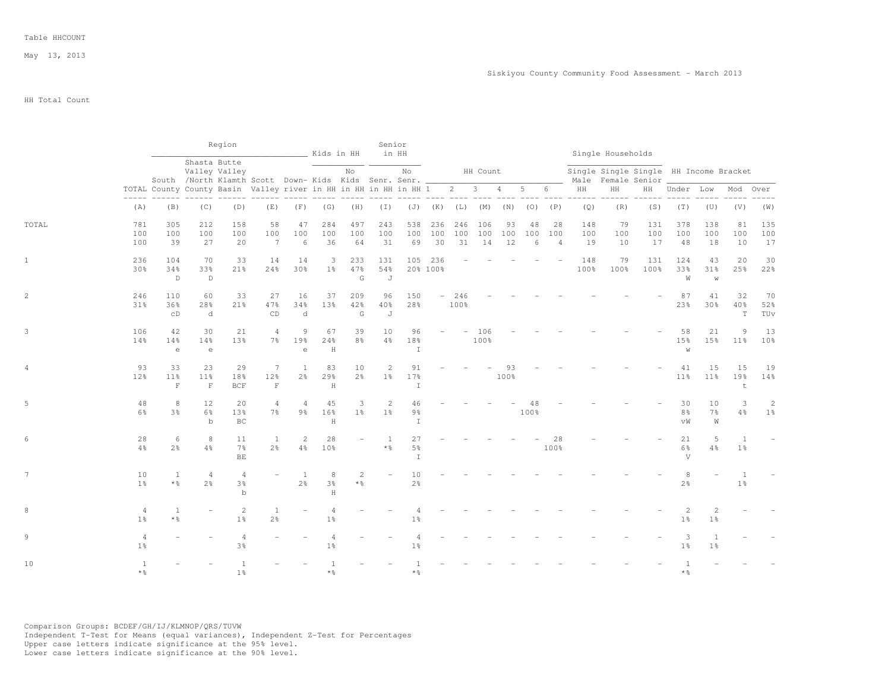May 13, 2013

HH Total Count

|       |                                  |                                                                        |                                     | Region                                                                                                  |                                       |                       | Kids in HH                       |                         | Senior                            | in HH                                 |                         |             |             |            |            |                |             | Single Households |                                                              |                                  |                                  |                                  |                       |
|-------|----------------------------------|------------------------------------------------------------------------|-------------------------------------|---------------------------------------------------------------------------------------------------------|---------------------------------------|-----------------------|----------------------------------|-------------------------|-----------------------------------|---------------------------------------|-------------------------|-------------|-------------|------------|------------|----------------|-------------|-------------------|--------------------------------------------------------------|----------------------------------|----------------------------------|----------------------------------|-----------------------|
|       |                                  |                                                                        |                                     | Shasta Butte<br>Valley Valley<br>South /North Klamth Scott Down- Kids Kids Senr. Senr. ________________ |                                       |                       |                                  | No                      |                                   | No                                    |                         |             | HH Count    |            |            |                |             |                   | Single Single Single HH Income Bracket<br>Male Female Senior |                                  |                                  |                                  |                       |
|       | $\frac{1}{2}$                    | TOTAL County County Basin Valley river in HH in HH in HH in HH 1 2 3 4 |                                     |                                                                                                         |                                       |                       |                                  |                         |                                   |                                       |                         |             |             |            | 5          | 6              | HH          | HH                | HH                                                           | Under Low                        |                                  | Mod                              | Over                  |
|       | (A)                              | (B)                                                                    | (C)                                 | (D)                                                                                                     | (E)                                   | (F)                   | (G)                              | (H)                     | $(\top)$                          |                                       | $(J)$ $(K)$ $(L)$ $(M)$ |             |             | (N)        | (0)        | (P)            | (Q)         | (R)               | (S)                                                          | (T)                              | (U)                              | (V)                              | (W)                   |
| TOTAL | 781<br>100                       | 305<br>100                                                             | 212<br>100                          | 158<br>100                                                                                              | 58<br>100                             | 47<br>100             | 284<br>100                       | 497<br>100              | 243<br>100                        | 538<br>100                            | 236<br>100              | 246<br>100  | 106<br>100  | 93<br>100  | 48<br>100  | 28<br>100      | 148<br>100  | 79<br>100         | 131<br>100                                                   | 378<br>100                       | 138<br>100                       | 81<br>100                        | 135<br>100            |
|       | 100                              | 39                                                                     | 27                                  | 20                                                                                                      | 7                                     | 6                     | 36                               | 64                      | 31                                | 69                                    | 30                      | 31          | 14          | 12         | 6          | $\overline{4}$ | 19          | 10                | 17                                                           | 48                               | 18                               | 10                               | 17                    |
|       | 236<br>30%                       | 104<br>34%                                                             | 70<br>33%                           | 33<br>21%                                                                                               | 14<br>24%                             | 14<br>30%             | 3<br>$1\%$                       | 233<br>47%              | 131<br>54%                        | 105                                   | 236<br>20% 100%         |             |             |            |            |                | 148<br>100% | 79<br>100%        | 131<br>100%                                                  | 124<br>33%                       | 43<br>$31\%$                     | 20<br>25%                        | 30<br>22%             |
|       |                                  | $\mathbb D$                                                            | $\mathbb D$                         |                                                                                                         |                                       |                       |                                  | G                       | J                                 |                                       |                         |             |             |            |            |                |             |                   |                                                              | W                                | W                                |                                  |                       |
|       | 246<br>31%                       | 110<br>36%<br>CD                                                       | 60<br>28%<br>d                      | 33<br>21%                                                                                               | 27<br>47%<br>CD                       | 16<br>34%<br>d        | 37<br>13%                        | 209<br>42%<br>G         | 96<br>40%<br>J                    | 150<br>28%                            |                         | 246<br>100% |             |            |            |                |             |                   |                                                              | 87<br>23%                        | 41<br>30%                        | 32<br>40%<br>T                   | 70<br>52%<br>TUv      |
|       | 106<br>14%                       | 42<br>14%                                                              | 30<br>14%                           | 21<br>13%                                                                                               | $\overline{4}$<br>$7\%$               | $\overline{9}$<br>19% | 67<br>24%                        | 39<br>8 <sup>°</sup>    | 10<br>$4\frac{6}{6}$              | 96<br>18%                             |                         |             | 106<br>100% |            |            |                |             |                   |                                                              | 58<br>15%                        | 21<br>15%                        | 9<br>$11\%$                      | 13<br>10 <sup>°</sup> |
|       |                                  | $\epsilon$                                                             | $\mathrel{\text{e}}$                |                                                                                                         |                                       | $\epsilon$            | $\, {\rm H}$                     |                         |                                   | $\mathbbm{I}$                         |                         |             |             |            |            |                |             |                   |                                                              | W                                |                                  |                                  |                       |
| 4     | 93<br>12%                        | 33<br>11%<br>$\mathbf F$                                               | 23<br>11%<br>$\mathbf F$            | 29<br>18%<br>BCF                                                                                        | $7\phantom{.0}$<br>12%<br>$\mathbf F$ | -1<br>$2\frac{6}{9}$  | 83<br>29%<br>$\rm H$             | 10<br>$2\frac{6}{6}$    | $\overline{c}$<br>1 <sup>°</sup>  | 91<br>17%<br>I                        |                         |             |             | 93<br>100% |            |                |             |                   |                                                              | 41<br>11 <sup>°</sup>            | 15<br>11 <sup>°</sup>            | 15<br>19%<br>t                   | 19<br>14%             |
|       | 48<br>6%                         | 8<br>3%                                                                | 12<br>$6\frac{6}{9}$<br>$\mathbf b$ | 20<br>13%<br>BC                                                                                         | 4<br>$7\frac{6}{6}$                   | $\overline{4}$<br>9%  | 45<br>16%<br>$\rm H$             | 3<br>$1\%$              | 2<br>$1\%$                        | 46<br>$9\frac{6}{6}$<br>$\mathbf{I}$  |                         |             |             |            | 48<br>100% |                |             |                   |                                                              | 30<br>8 <sup>°</sup><br>vW       | 10<br>7%<br>W                    | 3<br>4%                          | 2<br>1 <sup>°</sup>   |
|       | 28<br>4%                         | 6<br>2 <sup>°</sup>                                                    | 8<br>4%                             | 11<br>7%<br>BE                                                                                          | <sup>1</sup><br>2 <sup>o</sup>        | 2<br>4%               | 28<br>10%                        |                         | $\mathbf{1}$<br>$*$ $\frac{6}{6}$ | 27<br>5 <sup>°</sup><br>$\mathbbm{I}$ |                         |             |             |            |            | 28<br>100%     |             |                   |                                                              | 21<br>6%<br>V                    | 5<br>$4\frac{6}{6}$              | $\overline{1}$<br>1 <sup>°</sup> |                       |
|       | 10<br>1 <sup>°</sup>             | 1<br>$*$ $\frac{6}{6}$                                                 | $\overline{4}$<br>2 <sup>o</sup>    | $\overline{4}$<br>3%<br>$\mathbf b$                                                                     |                                       | -1<br>2 <sup>o</sup>  | 8<br>$3\frac{6}{9}$<br>$\rm H$   | $\overline{2}$<br>$*$ % |                                   | 10<br>2 <sup>o</sup>                  |                         |             |             |            |            |                |             |                   |                                                              | 8<br>2 <sup>o</sup>              |                                  | $\overline{1}$<br>1 <sup>°</sup> |                       |
|       | $\overline{4}$<br>1 <sup>°</sup> | 1<br>$*$ %                                                             |                                     | 2<br>1 <sup>°</sup>                                                                                     | 1<br>2 <sup>o</sup>                   |                       | $\overline{4}$<br>$1\frac{6}{6}$ |                         |                                   | 1 <sup>°</sup>                        |                         |             |             |            |            |                |             |                   |                                                              | $\overline{2}$<br>1 <sup>°</sup> | $\overline{c}$<br>1 <sup>°</sup> |                                  |                       |
|       | $\overline{4}$<br>1 <sup>°</sup> |                                                                        |                                     | $\overline{4}$<br>3%                                                                                    |                                       |                       | $1\frac{6}{9}$                   |                         |                                   | 1 <sup>°</sup>                        |                         |             |             |            |            |                |             |                   |                                                              | 3<br>1 <sup>°</sup>              | 1 <sup>°</sup>                   |                                  |                       |
| 10    | $\overline{1}$<br>$*$ %          |                                                                        |                                     | 1 <sup>°</sup>                                                                                          |                                       |                       |                                  |                         |                                   | * %                                   |                         |             |             |            |            |                |             |                   |                                                              | $\overline{1}$<br>* &            |                                  |                                  |                       |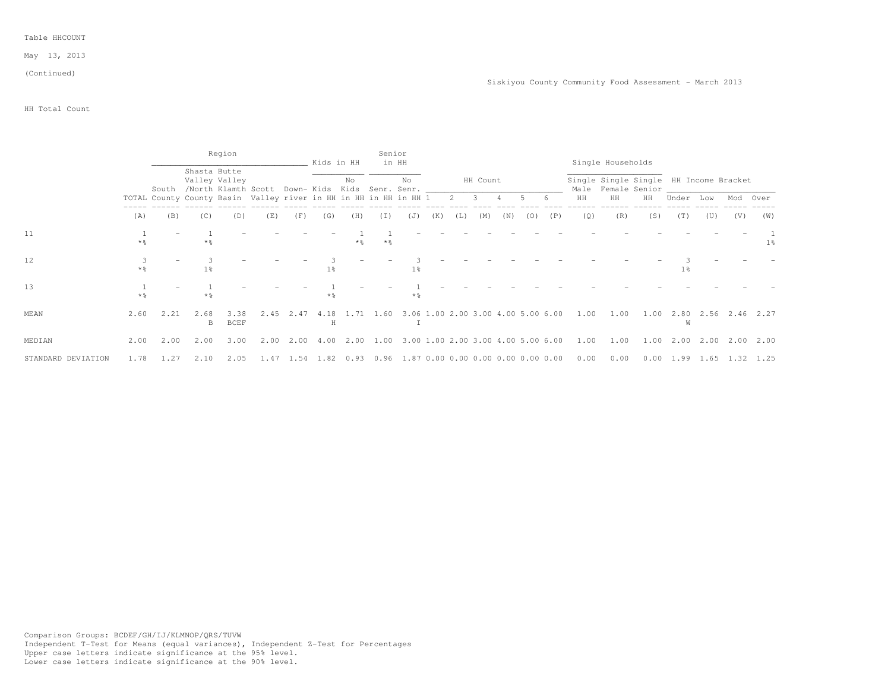May 13, 2013

#### (Continued)

## HH Total Count

|                    |       |       |              | Region              |                                                                                  |      | Kids in HH |     |                   | Senior<br>in HH                                             |     |     |          |     |     |     |                                                             | Single Households |                                                              |                                                    |     |          |       |
|--------------------|-------|-------|--------------|---------------------|----------------------------------------------------------------------------------|------|------------|-----|-------------------|-------------------------------------------------------------|-----|-----|----------|-----|-----|-----|-------------------------------------------------------------|-------------------|--------------------------------------------------------------|----------------------------------------------------|-----|----------|-------|
|                    |       | South | Shasta Butte | Valley Valley       | /North Klamth Scott Down-Kids Kids Senr. Senr. _________________________________ |      |            | No  |                   | No                                                          |     |     | HH Count |     |     |     |                                                             |                   | Single Single Single HH Income Bracket<br>Male Female Senior |                                                    |     |          |       |
|                    |       |       |              |                     | TOTAL County County Basin Valley river in HH in HH in HH in HH 1 2 3 4 5 6       |      |            |     |                   |                                                             |     |     |          |     |     |     | HH                                                          | HH                | HH                                                           | Under Low                                          |     | Mod Over |       |
|                    | (A)   | (B)   | (C)          | (D)                 | (E)                                                                              | (F)  | (G)        | (H) | (I)               | (J)                                                         | (K) | (L) | (M)      | (N) | (0) | (P) | (Q)                                                         | (R)               | (S)                                                          | (T)                                                | (U) | (V)      | (W)   |
| 11                 | * %   |       | $*$ 2        |                     |                                                                                  |      |            |     | $*$ $\frac{6}{5}$ |                                                             |     |     |          |     |     |     |                                                             |                   |                                                              |                                                    |     |          | $1\%$ |
| 12                 |       |       | $1\%$        |                     |                                                                                  |      | $1\%$      |     |                   | 1 <sub>8</sub>                                              |     |     |          |     |     |     |                                                             |                   |                                                              | 1 <sub>8</sub>                                     |     |          |       |
| 13                 | $*$ 2 |       | $*$ 2        |                     |                                                                                  |      | $*2$       |     |                   | $*$ 2                                                       |     |     |          |     |     |     |                                                             |                   |                                                              |                                                    |     |          |       |
| MEAN               | 2.60  | 2.21  | 2.68<br>B    | 3.38<br><b>BCEF</b> | 2.45                                                                             |      | H          |     |                   |                                                             |     |     |          |     |     |     | 2.47 4.18 1.71 1.60 3.06 1.00 2.00 3.00 4.00 5.00 6.00 1.00 | 1.00              |                                                              | 1.00 2.80 2.56 2.46 2.27<br>W                      |     |          |       |
| MEDIAN             | 2.00  | 2.00  | 2.00         | 3.00                |                                                                                  |      |            |     |                   | 2.00 2.00 4.00 2.00 1.00 3.00 1.00 2.00 3.00 4.00 5.00 6.00 |     |     |          |     |     |     | 1.00                                                        | 1.00              |                                                              | 1.00 2.00 2.00 2.00 2.00                           |     |          |       |
| STANDARD DEVIATION | 1.78  | 1.27  | 2.10         | 2.05                | 1.47                                                                             | 1.54 | 1.82       |     |                   | $0.93$ 0.96 1.87 0.00 0.00 0.00 0.00 0.00 0.00              |     |     |          |     |     |     | 0.00                                                        | 0.00              |                                                              | $0.00 \quad 1.99 \quad 1.65 \quad 1.32 \quad 1.25$ |     |          |       |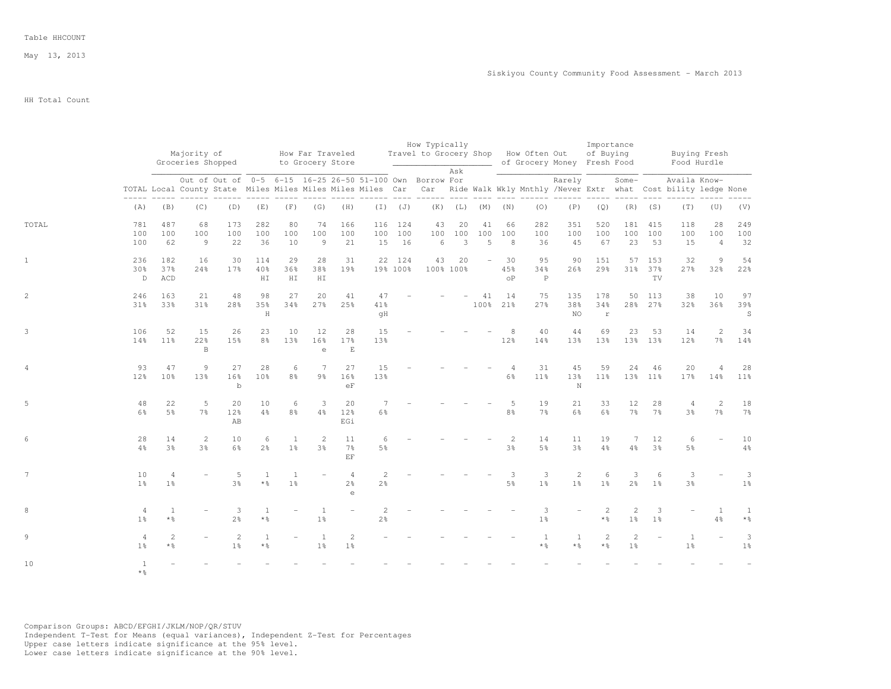May 13, 2013

HH Total Count

|       |                                  |                         | Majority of<br>Groceries Shopped  |                          |                                       |                                |                                 | How Far Traveled<br>to Grocery Store            |                                  |                         | How Typically<br>Travel to Grocery Shop How Often Out                                                          |                         |                          |                             | of Grocery Money Fresh Food |                                  | Importance<br>of Buying           |                      |                         | Buying Fresh<br>Food Hurdle                                                                                                                  |                             |                                       |
|-------|----------------------------------|-------------------------|-----------------------------------|--------------------------|---------------------------------------|--------------------------------|---------------------------------|-------------------------------------------------|----------------------------------|-------------------------|----------------------------------------------------------------------------------------------------------------|-------------------------|--------------------------|-----------------------------|-----------------------------|----------------------------------|-----------------------------------|----------------------|-------------------------|----------------------------------------------------------------------------------------------------------------------------------------------|-----------------------------|---------------------------------------|
|       |                                  |                         |                                   |                          |                                       |                                |                                 |                                                 |                                  |                         | Out of Out of 0-5 6-15 16-25 26-50 51-100 Own Borrow For<br>tici ciclici cicl cicl cicl ciclici ciclici ciclic | Ask                     |                          |                             |                             | Rarely                           |                                   | Some-                |                         | Availa Know-<br>TOTAL Local County State Miles Miles Miles Miles Miles Car Car Ride Walk Wkly Mnthly /Never Extr what Cost bility ledge None |                             |                                       |
|       | (A)                              | (B)                     | (C)                               | (D)                      | (E)                                   | (F)                            | (G)                             | (H)                                             |                                  | $(I)$ $(J)$             |                                                                                                                | $(K)$ $(L)$ $(M)$ $(N)$ |                          |                             | (0)                         | (P)                              | (Q)                               |                      | $(R)$ $(S)$             | (T)                                                                                                                                          | (U)                         | (V)                                   |
| TOTAL | 781<br>100<br>100                | 487<br>100<br>62        | 68<br>100<br>9                    | 173<br>100<br>22         | 282<br>100<br>36                      | 80<br>100<br>10                | 74<br>100<br>9                  | 166<br>100<br>21                                | 116                              | 124<br>100 100<br>15 16 | 43<br>100<br>$6\,$                                                                                             | 20<br>100<br>3          | 41<br>100<br>5           | 66<br>100<br>$\overline{8}$ | 282<br>100<br>36            | 351<br>100<br>45                 | 520<br>100<br>67                  | 181<br>100           | 415<br>100<br>23 53     | 118<br>100<br>15                                                                                                                             | 28<br>100<br>$\overline{4}$ | 249<br>100<br>32                      |
|       | 236<br>30%<br>$\mathbb{D}$       | 182<br>37%<br>ACD       | 16<br>24%                         | 30<br>17 <sub>8</sub>    | 114<br>40%<br>H I                     | 29<br>36%<br>HI                | 28<br>38%<br>HI                 | 31<br>19%                                       |                                  | 22 124<br>19% 100%      | 43                                                                                                             | 20<br>100% 100%         | $\overline{\phantom{a}}$ | 30<br>45%<br>$^{\circ}$     | 95<br>34%<br>$\mathsf{P}$   | 90<br>26%                        | 151<br>29%                        |                      | 57 153<br>31% 37%<br>TV | 32<br>27%                                                                                                                                    | $\overline{9}$<br>32%       | 54<br>22%                             |
|       | 246<br>31%                       | 163<br>33%              | 21<br>31%                         | 48<br>28%                | 98<br>35%<br>$\rm H$                  | 27<br>34%                      | 20<br>27%                       | 41<br>25%                                       | 47<br>41%<br>qH                  |                         |                                                                                                                |                         | 41                       | 14<br>100% 21%              | 75<br>27%                   | 135<br>38%<br>NO.                | 178<br>34%<br>$\mathbf r$         |                      | 50 113<br>28% 27%       | 38<br>32%                                                                                                                                    | 10<br>36%                   | 97<br>39%<br>$\, \mathbb{S} \,$       |
|       | 106<br>14%                       | 52<br>$11\%$            | 15<br>22%<br>$\, {\bf B}$         | 26<br>15%                | 23<br>8%                              | 10<br>13%                      | 12<br>16%<br>$\mathsf{e}% _{T}$ | 28<br>17%<br>$\mathop{}\mathcal{E}$             | 15<br>13%                        |                         |                                                                                                                |                         |                          | 12%                         | 40<br>14%                   | 44<br>13%                        | 69<br>13%                         | 23                   | 53<br>13% 13%           | 14<br>$12\%$                                                                                                                                 | 2<br>$7\%$                  | 34<br>14%                             |
|       | 93<br>12%                        | 47<br>10 <sup>°</sup>   | $\overline{9}$<br>13 <sup>8</sup> | 27<br>16%<br>$\mathbf b$ | 28<br>10 <sup>°</sup>                 | 6<br>8%                        | 7<br>$9\frac{6}{6}$             | 27<br>16 <sup>°</sup><br>eF                     | 15<br>13%                        |                         |                                                                                                                |                         |                          | $\overline{4}$<br>6%        | 31<br>11 <sup>8</sup>       | 45<br>13%<br>$\mathbb N$         | 59<br>11 <sup>8</sup>             | 24                   | 46<br>13% 11%           | 20<br>17%                                                                                                                                    | $\overline{4}$<br>14%       | 28<br>11 <sup>°</sup>                 |
|       | 48<br>$6\%$                      | 22<br>5 <sup>8</sup>    | 5<br>7 <sup>°</sup>               | 20<br>12%<br>AB          | 10<br>$4\frac{6}{6}$                  | 6<br>8%                        | $\mathbf{3}$<br>4%              | 20<br>12%<br>EGi                                | 6%                               |                         |                                                                                                                |                         |                          | -5<br>8 <sup>8</sup>        | 19<br>7 <sup>°</sup>        | 21<br>$6\frac{6}{9}$             | 33<br>$6\%$                       | 12<br>7 <sup>°</sup> | 28<br>$7\frac{6}{6}$    | $\overline{4}$<br>$3\frac{6}{9}$                                                                                                             | 2<br>7 <sup>°</sup>         | 18<br>$7\%$                           |
|       | 28<br>4%                         | 14<br>3 <sup>°</sup>    | 2<br>3 <sup>°</sup>               | 10<br>$6\frac{6}{9}$     | 6<br>2 <sup>o</sup>                   | 1<br>1 <sup>°</sup>            | 2<br>3%                         | 11<br>$7\frac{6}{9}$<br>EF.                     | 6<br>5 <sup>°</sup>              |                         |                                                                                                                |                         |                          | 2<br>$3\frac{6}{6}$         | 14<br>$5\frac{6}{9}$        | 11<br>3 <sup>°</sup>             | 19<br>4%                          | 7<br>4%              | 12<br>3 <sup>°</sup>    | 6<br>$5\frac{6}{9}$                                                                                                                          | $\equiv$                    | 10<br>$4\frac{6}{6}$                  |
|       | 10<br>1 <sup>°</sup>             | 4<br>1 <sup>°</sup>     |                                   | 5<br>$3\frac{6}{9}$      | 1<br>$*$ %                            | <sup>1</sup><br>1 <sup>°</sup> | $\equiv$                        | $\overline{4}$<br>2 <sup>°</sup><br>$\triangle$ | $\overline{c}$<br>2 <sup>°</sup> |                         |                                                                                                                |                         |                          | 3<br>$5\frac{6}{6}$         | 3<br>1 <sup>°</sup>         | $\overline{c}$<br>1 <sup>°</sup> | 6<br>1 <sup>°</sup>               | 3<br>$2\frac{6}{6}$  | 6<br>1 <sup>°</sup>     | 3<br>$3\frac{6}{6}$                                                                                                                          |                             | 3<br>1 <sup>°</sup>                   |
|       | $\overline{4}$<br>1 <sup>°</sup> | $\overline{1}$<br>$*$ 2 |                                   | 3<br>2 <sup>°</sup>      | 1<br>$*$ %                            |                                | <sup>1</sup><br>$1\%$           |                                                 | $\overline{2}$<br>$2\frac{6}{6}$ |                         |                                                                                                                |                         |                          |                             | 3<br>1 <sup>°</sup>         |                                  | 2<br>$*$ %                        | 2<br>$1\frac{6}{6}$  | 3<br>1 <sup>°</sup>     | $\overline{a}$                                                                                                                               | 1<br>4%                     | $\mathbf{1}$<br>$\star$ $\frac{6}{6}$ |
|       | $\overline{4}$<br>$1\frac{6}{6}$ | 2<br>$*$ %              |                                   | 2<br>$1\frac{6}{6}$      | <sup>1</sup><br>$\star$ $\frac{6}{6}$ |                                | 1<br>$1\frac{6}{6}$             | 2<br>$1\frac{6}{9}$                             |                                  |                         |                                                                                                                |                         |                          |                             | 1<br>$*$ %                  | 1<br>* %                         | $\mathbf{2}$<br>$*$ $\frac{6}{6}$ | 2<br>$1\frac{6}{6}$  |                         | $\mathbf{1}$<br>1%                                                                                                                           |                             | 3<br>$1\frac{6}{6}$                   |
| 10    | 1<br>$*$ %                       |                         |                                   |                          |                                       |                                |                                 |                                                 |                                  |                         |                                                                                                                |                         |                          |                             |                             |                                  |                                   |                      |                         |                                                                                                                                              |                             |                                       |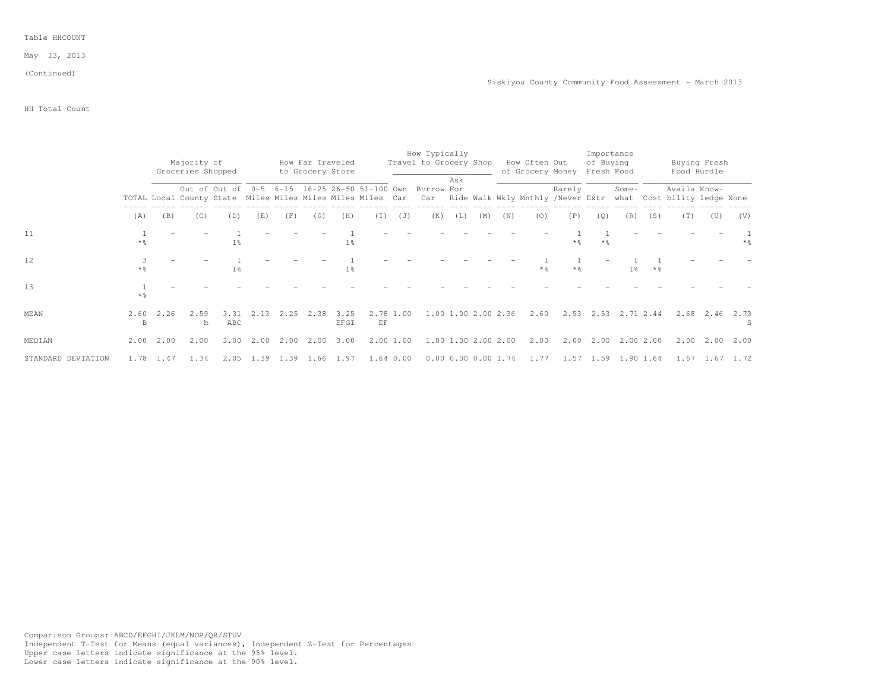May 13, 2013

# (Continued)

Siskiyou County Community Food Assessment - March 2013

## HH Total Count

|                    |                   |      | Majority of<br>Groceries Shopped |                                                                             |         |           |      | How Far Traveled<br>to Grocery Store |                             |           | How Typically<br>Travel to Grocery Shop |     |                             |     | How Often Out<br>of Grocery Money |                   | Importance<br>of Buying<br>Fresh Food |                     |           |                                             | Buying Fresh<br>Food Hurdle |                   |
|--------------------|-------------------|------|----------------------------------|-----------------------------------------------------------------------------|---------|-----------|------|--------------------------------------|-----------------------------|-----------|-----------------------------------------|-----|-----------------------------|-----|-----------------------------------|-------------------|---------------------------------------|---------------------|-----------|---------------------------------------------|-----------------------------|-------------------|
|                    |                   |      |                                  | Out of Out of<br>TOTAL Local County State Miles Miles Miles Miles Miles Car | $0 - 5$ |           |      |                                      | 6-15 16-25 26-50 51-100 Own |           | Borrow For<br>Car                       | Ask |                             |     | Ride Walk Wkly Mnthly /Never Extr | Rarely            |                                       | Some-               |           | Availa Know-<br>what Cost bility ledge None |                             |                   |
|                    | (A)               | (B)  | (C)                              | (D)                                                                         | (E)     | (F)       | (G)  | (H)                                  | (I)                         | (J)       | (K)                                     | (L) | (M)                         | (N) | (0)                               | (P)               | (Q)                                   | (R)                 | (S)       | (T)                                         | (U)                         | (V)               |
| 11                 | $*$ $\frac{6}{9}$ |      |                                  | 1 <sup>°</sup>                                                              |         |           |      | 1 <sup>°</sup>                       |                             |           |                                         |     |                             |     |                                   | $*$ %             | $*$ &                                 |                     |           |                                             |                             | $*$ $\frac{6}{5}$ |
| 12                 | $*$ %             |      |                                  | 1 <sup>°</sup>                                                              |         |           |      | 1 <sup>8</sup>                       |                             |           |                                         |     |                             |     | $*$ %                             | $*$ $\frac{6}{5}$ |                                       | 1 <sup>8</sup>      | $*$ %     |                                             |                             |                   |
| 13                 | $*$ $\frac{6}{5}$ |      |                                  |                                                                             |         |           |      |                                      |                             |           |                                         |     |                             |     |                                   |                   |                                       |                     |           |                                             |                             |                   |
| MEAN               | 2.60<br>B         | 2.26 | 2.59<br>b                        | 3.31<br>ABC                                                                 | 2.13    | 2.25      | 2.38 | 3.25<br>EFGI                         | EF                          | 2.78 1.00 |                                         |     | 1.00 1.00 2.00 2.36         |     | 2.60                              |                   |                                       | 2.53 2.53 2.71 2.44 |           |                                             | 2.68 2.46                   | 2.73              |
| MEDIAN             | 2.00              | 2.00 | 2.00                             | 3.00                                                                        | 2.00    | 2.00      | 2.00 | 3.00                                 |                             | 2.00 1.00 |                                         |     | 1.00 1.00 2.00 2.00         |     | 2.00                              | 2.00              | 2.00                                  |                     | 2.00 2.00 |                                             | $2,00$ $2,00$               | 2.00              |
| STANDARD DEVIATION | 1.78              | 1.47 | 1.34                             | 2.05                                                                        |         | 1.39 1.39 | 1.66 | 1.97                                 |                             | 1.64 0.00 |                                         |     | $0.00$ $0.00$ $0.00$ $1.74$ |     | 1.77                              |                   |                                       | 1.57 1.59 1.90 1.64 |           |                                             | $1.67$ $1.67$ $1.72$        |                   |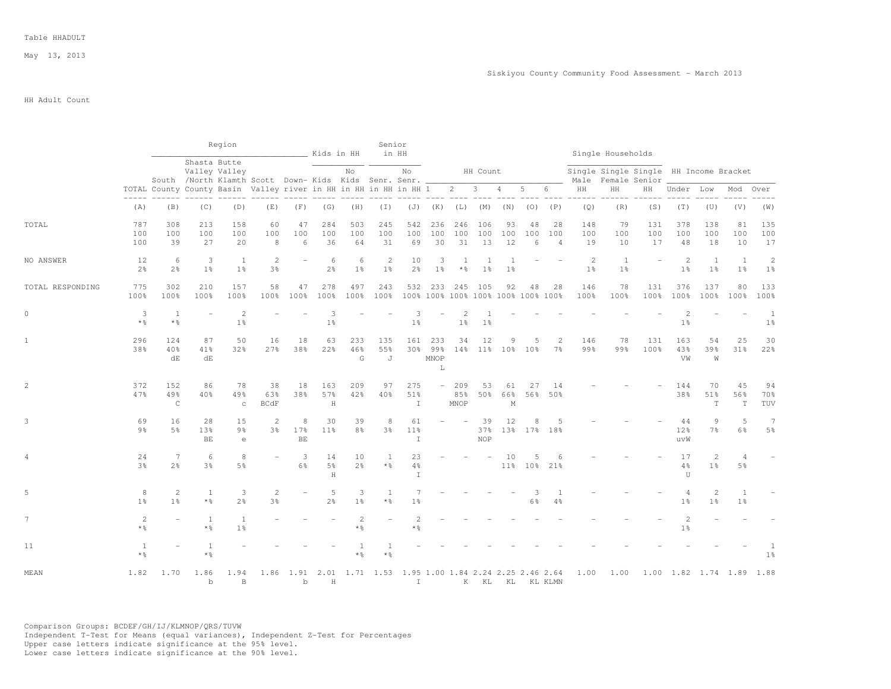May 13, 2013

## HH Adult Count

|                  |                                   |                                     |                           | Region                                                                                |                                                                                          |                | Kids in HH           |                         | Senior                            | in HH                      |                             |                                                   |                         |                      |                |                             |                      | Single Households                                            |                     |                                            |                                  |                          |                                |
|------------------|-----------------------------------|-------------------------------------|---------------------------|---------------------------------------------------------------------------------------|------------------------------------------------------------------------------------------|----------------|----------------------|-------------------------|-----------------------------------|----------------------------|-----------------------------|---------------------------------------------------|-------------------------|----------------------|----------------|-----------------------------|----------------------|--------------------------------------------------------------|---------------------|--------------------------------------------|----------------------------------|--------------------------|--------------------------------|
|                  |                                   |                                     |                           | Shasta Butte<br>Valley Valley<br>South /North Klamth Scott Down-Kids Kids Senr. Senr. |                                                                                          |                |                      | No                      |                                   | No                         |                             |                                                   | HH Count                |                      |                |                             |                      | Single Single Single HH Income Bracket<br>Male Female Senior |                     |                                            |                                  |                          |                                |
|                  |                                   |                                     |                           | TOTAL County County Basin Valley river in HH in HH in HH in HH 1 2 3 4                |                                                                                          |                |                      |                         |                                   |                            |                             |                                                   |                         |                      | 5 6            |                             | $\rm{HH}$            | HH                                                           | HH                  | Under Low                                  |                                  | Mod                      | Over                           |
|                  | (A)                               | (B)                                 | (C)                       | $- - - - - -$<br>(D)                                                                  | (E)                                                                                      | (F)            | (G)                  | $------$<br>(H)         | $(\top)$                          | ----- ---- ----            | $(J)$ $(K)$                 | (L)                                               | $\frac{1}{2}$<br>(M)    | $\frac{1}{2}$<br>(N) | (0)            | $\frac{1}{2}$<br>(P)        | $- - - - - -$<br>(Q) | -------<br>(R)                                               | (S)                 | (T)                                        | (U)                              | (V)                      | (W)                            |
| TOTAL            | 787<br>100<br>100                 | 308<br>100<br>39                    | 213<br>100<br>27          | 158<br>100<br>20                                                                      | 60<br>100<br>8                                                                           | 47<br>100<br>6 | 284<br>100<br>36     | 503<br>100<br>64        | 245<br>100<br>31                  | 542<br>100<br>69           | 236<br>100<br>30            | 246<br>100<br>31                                  | 106<br>100<br>13        | 93<br>100<br>12      | 48<br>100<br>6 | 28<br>100<br>$\overline{4}$ | 148<br>100<br>19     | 79<br>100<br>10                                              | 131<br>100<br>17    | 378<br>100<br>48                           | 138<br>100<br>18                 | 81<br>100<br>10          | 135<br>100<br>17               |
| NO ANSWER        | 12<br>2 <sup>°</sup>              | 6<br>2%                             | 3<br>$1\%$                | <sup>1</sup><br>1 <sup>°</sup>                                                        | $\overline{c}$<br>3 <sup>8</sup>                                                         |                | 6<br>2 <sup>°</sup>  | 6<br>$1\frac{6}{6}$     | 2<br>1%                           | 10<br>$2\frac{6}{6}$       | 3<br>$1\%$                  | -1<br>$*$ %                                       | 1<br>1 <sup>°</sup>     | 1 <sup>°</sup>       |                |                             | 2<br>1%              | $\mathbf{1}$<br>1%                                           |                     | 2<br>$1\%$                                 | <sup>1</sup><br>$1\%$            | <sup>1</sup><br>$1\%$    | $\overline{c}$<br>$1\%$        |
| TOTAL RESPONDING | 775<br>100%                       | 302<br>100%                         | 210<br>100%               | 157<br>100%                                                                           | 58<br>100%                                                                               | 47<br>100%     | 278<br>100%          | 497<br>100%             | 243<br>100%                       |                            |                             | 532 233 245<br>100% 100% 100% 100% 100% 100% 100% | 105                     | 92                   | 48             | 28                          | 146<br>100%          | 78<br>100%                                                   | 131<br>100%         | 376<br>100%                                | 137<br>100%                      | 80<br>$100\%$            | 133<br>100%                    |
| $\circ$          | 3<br>$*$ %                        | $\overline{1}$<br>$*$ $\frac{6}{5}$ | $\overline{\phantom{a}}$  | 2<br>1 <sup>°</sup>                                                                   |                                                                                          |                | 3<br>1 <sup>°</sup>  |                         |                                   | 3<br>1 <sup>°</sup>        |                             | $\overline{2}$<br>1 <sup>°</sup>                  | $1\%$                   |                      |                |                             |                      |                                                              |                     | $\overline{c}$<br>1 <sup>°</sup>           |                                  |                          | $\mathbf{1}$<br>1 <sup>°</sup> |
| $\mathbf{1}$     | 296<br>38%                        | 124<br>40%<br>$\rm dE$              | 87<br>41%<br>dE           | 50<br>32%                                                                             | 16<br>27%                                                                                | 18<br>38%      | 63<br>22%            | 233<br>46%<br>G         | 135<br>55%<br>J                   | 161                        | 233<br>30% 99%<br>MNOP<br>L | 34                                                | 12<br>14% 11% 10% 10%   | 9                    | 5              | 2<br>$7\%$                  | 146<br>99%           | 78<br>99%                                                    | 131<br>100%         | 163<br>43%<br>VW                           | 54<br>39%<br>W                   | 25<br>31%                | 30<br>22%                      |
| 2                | 372<br>47%                        | 152<br>49%<br>$\mathsf{C}$          | 86<br>40%                 | 78<br>49%<br>$\rm{C}$                                                                 | 38<br>63%<br><b>BCdF</b>                                                                 | 18<br>38%      | 163<br>57%<br>$\,$ H | 209<br>42%              | 97<br>40%                         | 275<br>51%<br>$\mathbf I$  |                             | 209<br>$\sim$<br>85%<br>MNOP                      | 53<br>50%               | 61<br>66%<br>М       | 27<br>56%      | 14<br>50%                   |                      |                                                              |                     | 144<br>38%                                 | 70<br>51%<br>$\mathbb T$         | 45<br>56%<br>$\mathbf T$ | 94<br>70%<br>TUV               |
| 3                | 69<br>9 <sub>8</sub>              | 16<br>5 <sup>°</sup>                | 28<br>13%<br>$\rm BE$     | 15<br>9 <sub>8</sub><br>$\mathsf{e}% _{T}$                                            | 2<br>3 <sup>°</sup>                                                                      | 8<br>17%<br>BE | 30<br>11%            | 39<br>8 <sup>°</sup>    | 8<br>3 <sup>°</sup>               | 61<br>11 <sup>8</sup><br>I |                             |                                                   | 39<br>37%<br><b>NOP</b> | 12<br>13%            | 8              | .5<br>17% 18%               |                      |                                                              |                     | 44<br>12 <sup>°</sup><br>uvW               | 9<br>7%                          | 5<br>6%                  | 7<br>$5\frac{6}{9}$            |
| 4                | 24<br>3 <sup>°</sup>              | $7\phantom{.0}$<br>2 <sup>°</sup>   | 6<br>3%                   | 8<br>5%                                                                               |                                                                                          | 3<br>6%        | 14<br>5%<br>$\,$ H   | 10<br>2 <sup>o</sup>    | $\mathbf{1}$<br>$*$ $\frac{6}{5}$ | 23<br>4%<br>I              |                             |                                                   |                         | 10<br>$11\%$         | 10%            | 21%                         |                      |                                                              |                     | 17<br>4%<br>U                              | 2<br>1 <sup>°</sup>              | $\overline{4}$<br>5%     |                                |
| 5                | 8<br>1 <sup>°</sup>               | 2<br>1 <sup>°</sup>                 | -1<br>$*$ $\frac{6}{9}$   | 3<br>2 <sup>°</sup>                                                                   | $\overline{c}$<br>3 <sup>°</sup>                                                         |                | 5<br>2 <sup>o</sup>  | 3<br>1 <sup>°</sup>     | 1<br>$*$ %                        | 1 <sup>°</sup>             |                             |                                                   |                         |                      | 3<br>6%        | -1<br>4%                    |                      |                                                              |                     | $\overline{4}$<br>1 <sup>°</sup>           | $\overline{c}$<br>1 <sup>°</sup> | 1<br>1 <sup>°</sup>      |                                |
| $7\phantom{.}$   | $\sqrt{2}$<br>$*$ %               |                                     | $\mathbf{1}$<br>$\star$ % | 1<br>1 <sup>°</sup>                                                                   |                                                                                          |                |                      | $\overline{2}$<br>$*$ % |                                   | $\overline{2}$<br>$*$ %    |                             |                                                   |                         |                      |                |                             |                      |                                                              |                     | $\overline{\mathcal{L}}$<br>1 <sup>°</sup> |                                  |                          |                                |
| 11               | $\mathbf{1}$<br>$*$ $\frac{6}{6}$ |                                     | $\mathbf{1}$<br>$\star$ % |                                                                                       |                                                                                          |                |                      | * %                     | * %                               |                            |                             |                                                   |                         |                      |                |                             |                      |                                                              |                     |                                            |                                  |                          | 1 <sup>°</sup>                 |
| <b>MEAN</b>      | 1.82                              | 1.70                                | 1.86<br>$\mathbf b$       | $\Box$                                                                                | 1.94   1.86   1.91   2.01   1.71   1.53   1.95   1.00   1.84   2.24   2.25   2.46   2.64 | b              | H                    |                         |                                   |                            |                             | I K KL KL KL KLMN                                 |                         |                      |                |                             |                      | 1.00 1.00                                                    | 1.00 1.82 1.74 1.89 |                                            |                                  |                          | 1.88                           |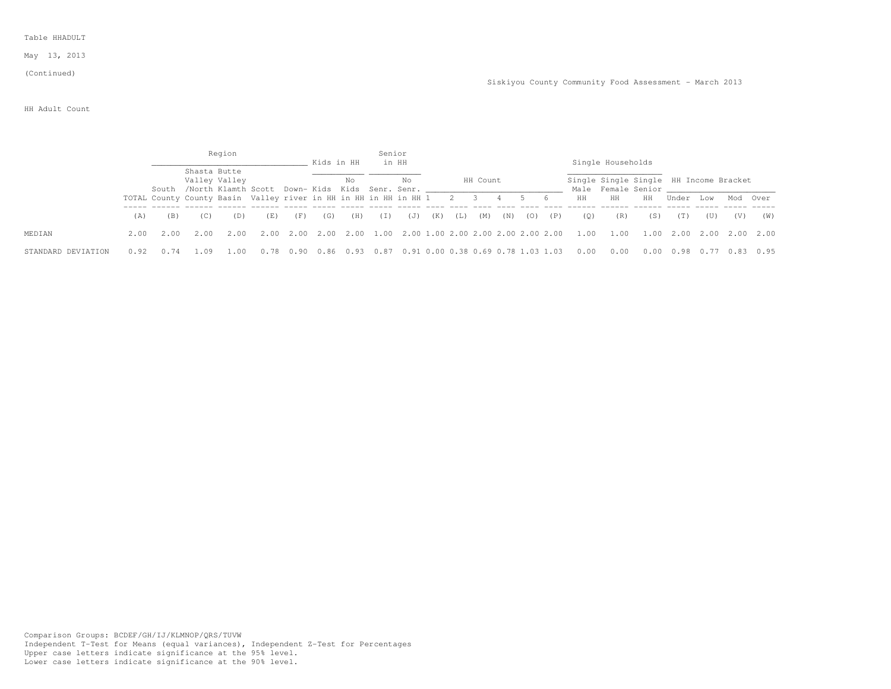May 13, 2013

#### (Continued)

### HH Adult Count

|                    |      |      |              | Region                                                                 |      |      |            |      | Senior |                                         |     |       |          |     |     |     |      |                                                              |      |       |           |     |      |
|--------------------|------|------|--------------|------------------------------------------------------------------------|------|------|------------|------|--------|-----------------------------------------|-----|-------|----------|-----|-----|-----|------|--------------------------------------------------------------|------|-------|-----------|-----|------|
|                    |      |      |              |                                                                        |      |      | Kids in HH |      |        | in HH                                   |     |       |          |     |     |     |      | Single Households                                            |      |       |           |     |      |
|                    |      |      | Shasta Butte | Valley Valley<br>South /North Klamth Scott Down- Kids Kids Senr. Senr. |      |      |            | No   |        | No                                      |     |       | HH Count |     |     |     |      | Single Single Single HH Income Bracket<br>Male Female Senior |      |       |           |     |      |
|                    |      |      |              | TOTAL County County Basin Valley river in HH in HH in HH in HH 1       |      |      |            |      |        |                                         |     | 2 3   |          |     |     | - 6 | HH.  | HH                                                           | HH   | Under | T.OW      | Mod | Over |
|                    | (A)  | (B)  | (C)          | (D)                                                                    | (E)  | (F)  | (G)        | (H)  | (1)    | (J)                                     | (K) | ( L ) | (M)      | (N) | (0) | (P) | (0)  | (R)                                                          | (S)  | (T)   | (U)       | (V) | (W)  |
| MEDIAN             | 2.00 | 2.00 | 2.00         | 2.00                                                                   | 2.00 | 2.00 | 2.00       |      |        |                                         |     |       |          |     |     |     | 1.00 | 1.00                                                         | 1.00 | 2.00  | 2.00 2.00 |     | 2.00 |
| STANDARD DEVIATION |      |      |              |                                                                        |      |      | 0.86       | 0.93 |        | 0.87 0.91 0.00 0.38 0.69 0.78 1.03 1.03 |     |       |          |     |     |     | 0.00 |                                                              | 0.00 | 0.98  |           |     | 0.95 |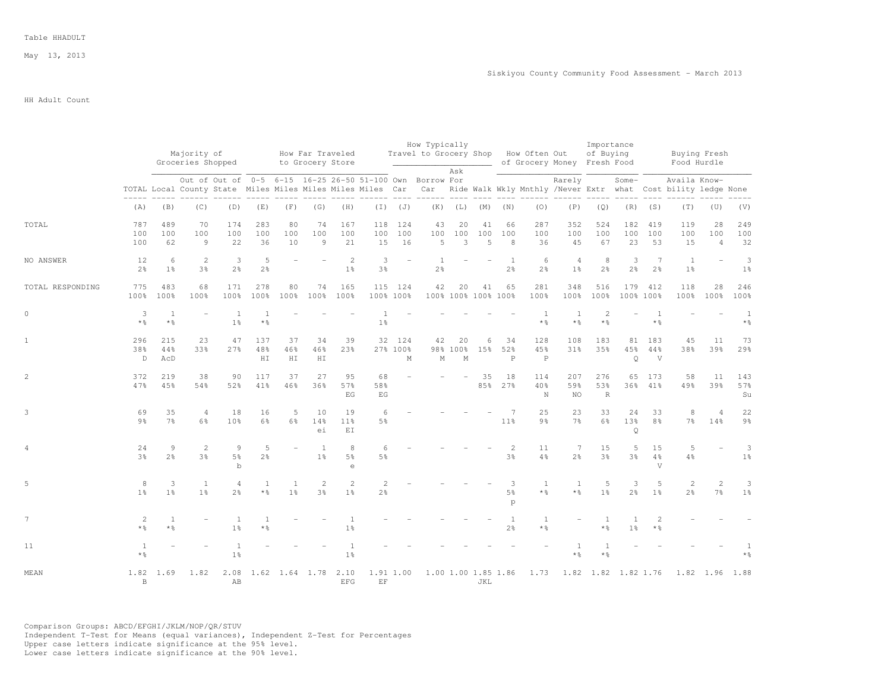May 13, 2013

## HH Adult Count

|                  |                        |                                  | Majority of<br>Groceries Shopped |                                    |                      |                                  | How Far Traveled<br>to Grocery Store |                                |                                                                                                                        |                         | How Typically                    |                           |                   |                                | Travel to Grocery Shop How Often Out | of Grocery Money Fresh Food | Importance<br>of Buying |                                |                                        | Buying Fresh<br>Food Hurdle                                                       |                             |                        |
|------------------|------------------------|----------------------------------|----------------------------------|------------------------------------|----------------------|----------------------------------|--------------------------------------|--------------------------------|------------------------------------------------------------------------------------------------------------------------|-------------------------|----------------------------------|---------------------------|-------------------|--------------------------------|--------------------------------------|-----------------------------|-------------------------|--------------------------------|----------------------------------------|-----------------------------------------------------------------------------------|-----------------------------|------------------------|
|                  |                        |                                  |                                  |                                    |                      |                                  |                                      |                                | Out of Out of 0-5 6-15 16-25 26-50 51-100 Own Borrow For<br>TOTAL Local County State Miles Miles Miles Miles Miles Car |                         |                                  | Ask                       |                   |                                | ------                               | Rarely                      |                         | Some-                          |                                        | Availa Know-<br>Car Ride Walk Wkly Mnthly /Never Extr what Cost bility ledge None |                             |                        |
|                  | (A)                    | (B)                              | (C)                              | (D)                                | (E)                  | (F)                              | (G)                                  | (H)                            | $(\top)$                                                                                                               | (J)                     | (K)                              |                           | $(L)$ $(M)$       | (N)                            | (0)                                  | (P)                         | (Q)                     | (R)                            | (S)                                    | (T)                                                                               | (U)                         | (V)                    |
| TOTAL            | 787<br>100<br>100      | 489<br>100<br>62                 | 70<br>100<br>9                   | 174<br>100<br>22                   | 283<br>100<br>36     | 80<br>100<br>10                  | 74<br>100<br>$\overline{9}$          | 167<br>100<br>21               | 118<br>100<br>15                                                                                                       | 124<br>100<br>16        | 43<br>100<br>5                   | 20<br>100<br>3            | 41<br>100<br>5    | 66<br>100<br>8                 | 287<br>100<br>36                     | 352<br>100<br>45            | 524<br>100<br>67        | 182<br>100<br>23               | 419<br>100<br>53                       | 119<br>100<br>15                                                                  | 28<br>100<br>$\overline{4}$ | 249<br>100<br>32       |
| NO ANSWER        | 12<br>$2\frac{6}{9}$   | 6<br>1 <sup>°</sup>              | 2<br>3 <sup>8</sup>              | 3<br>$2\frac{6}{6}$                | 5<br>$2\frac{6}{6}$  |                                  |                                      | 2<br>1 <sup>°</sup>            | 3<br>3 <sup>°</sup>                                                                                                    | $\equiv$                | $\overline{1}$<br>2 <sup>°</sup> |                           |                   | 1<br>$2\frac{6}{6}$            | 6<br>2%                              | $\overline{4}$<br>$1\%$     | 8<br>$2\frac{6}{6}$     | 3<br>$2\frac{6}{9}$            | $7\phantom{.0}$<br>2%                  | <sup>1</sup><br>$1\frac{6}{6}$                                                    |                             | 3<br>1 <sup>°</sup>    |
| TOTAL RESPONDING | 775<br>100%            | 483<br>100%                      | 68<br>100%                       | 171<br>100%                        | 278<br>100%          | 80<br>100%                       | 74<br>100%                           | 165<br>100%                    | 100% 100%                                                                                                              | 115 124                 | 42                               | 20<br>100% 100% 100% 100% | 41                | 65                             | 281<br>100%                          | 348<br>100%                 | 516<br>100%             | 179                            | 412<br>100% 100%                       | 118<br>100%                                                                       | 28<br>100%                  | 246<br>100%            |
| $\circ$          | 3<br>$*$ $\frac{6}{5}$ | $\mathbf{1}$<br>$*$ %            |                                  | 1<br>1 <sup>°</sup>                | $*$ $\frac{6}{6}$    |                                  |                                      |                                | 1 <sup>°</sup>                                                                                                         |                         |                                  |                           |                   |                                | $*$ %                                | -1<br>$*$ %                 | $\mathcal{D}$<br>$*$ %  |                                | $*$ %                                  |                                                                                   |                             | 1<br>$*$ $\frac{6}{6}$ |
| $\mathbf{1}$     | 296<br>38%<br>D        | 215<br>44%<br>AcD                | 23<br>33%                        | 47<br>27%                          | 137<br>48%<br>HI     | 37<br>46%<br>${\rm H\,I}$        | 34<br>46%<br>H I                     | 39<br>23%                      |                                                                                                                        | 32 124<br>27% 100%<br>М | 42<br>М                          | 20<br>98% 100%<br>M       | $\epsilon$<br>15% | 34<br>52%<br>$\, {\bf P}$      | 128<br>45%<br>$\mathbb P$            | 108<br>31%                  | 183<br>35%              | 81<br>45%<br>$\circ$           | 183<br>44%<br>V                        | 45<br>38%                                                                         | 11<br>39%                   | 73<br>29%              |
| 2                | 372<br>47%             | 219<br>45%                       | 38<br>54%                        | 90<br>52%                          | 117<br>41%           | 37<br>46%                        | 27<br>36%                            | 95<br>57%<br>F.G               | 68<br>58%<br>EG                                                                                                        |                         |                                  |                           | 35<br>85%         | 18<br>27%                      | 114<br>40%<br>N                      | 207<br>59%<br>NO.           | 276<br>53%<br>R         | 65<br>36%                      | 173<br>41%                             | 58<br>49%                                                                         | 11<br>39%                   | 143<br>57%<br>Su       |
| 3                | 69<br>$9\frac{6}{6}$   | 35<br>$7\frac{6}{6}$             | $\overline{4}$<br>$6\frac{6}{9}$ | 18<br>10 <sup>8</sup>              | 16<br>$6\frac{6}{9}$ | 5<br>6%                          | 10<br>14%<br>ei                      | 19<br>11 <sup>°</sup><br>EI    | 6<br>5 <sup>°</sup>                                                                                                    |                         |                                  |                           |                   | 7<br>11 <sup>8</sup>           | 25<br>$9\frac{6}{6}$                 | 23<br>7 <sup>°</sup>        | 33<br>6%                | 24<br>13%<br>$\circ$           | 33<br>8 <sup>°</sup>                   | 8<br>7 <sup>°</sup>                                                               | $\overline{4}$<br>14%       | 22<br>$9\frac{6}{6}$   |
|                  | 24<br>3 <sup>°</sup>   | $\overline{9}$<br>2 <sup>o</sup> | 2<br>3 <sup>°</sup>              | 9<br>5 <sup>°</sup><br>$\mathbf b$ | 5<br>2 <sup>°</sup>  |                                  | <sup>1</sup><br>1 <sup>°</sup>       | 8<br>5%<br>$\epsilon$          | 6<br>5 <sup>°</sup>                                                                                                    |                         |                                  |                           |                   | $\mathbf{2}$<br>3%             | 11<br>$4\frac{6}{6}$                 | 7<br>2 <sup>°</sup>         | 15<br>3 <sup>°</sup>    | 5<br>3 <sup>°</sup>            | 15<br>$4\frac{6}{6}$<br>$\overline{V}$ | 5<br>$4\frac{6}{6}$                                                               |                             | 3<br>$1\frac{6}{6}$    |
| 5                | 8<br>1 <sup>8</sup>    | 3<br>1 <sup>8</sup>              | <sup>1</sup><br>1 <sup>°</sup>   | $\overline{4}$<br>2 <sup>o</sup>   | 1<br>$*$ %           | $\overline{1}$<br>1 <sup>°</sup> | $\overline{2}$<br>3%                 | 2<br>1 <sup>8</sup>            | $\mathbf{2}$<br>2 <sup>°</sup>                                                                                         |                         |                                  |                           |                   | 3<br>5 <sup>°</sup><br>p       | $\overline{1}$<br>$*$ %              | 1<br>$*$ %                  | 5<br>1 <sup>8</sup>     | 3<br>2 <sup>8</sup>            | 5<br>1 <sup>°</sup>                    | $\mathbf{2}$<br>2 <sup>°</sup>                                                    | $\overline{c}$<br>7%        | 3<br>1 <sup>°</sup>    |
| $7\phantom{.0}$  | 2<br>$*$ %             | $\mathbf{1}$<br>* ÷              |                                  | $\mathbf{1}$<br>1 <sup>°</sup>     |                      |                                  |                                      | $\mathbf{1}$<br>1 <sup>°</sup> |                                                                                                                        |                         |                                  |                           |                   | $\mathbf{1}$<br>2 <sup>o</sup> | $\mathbf{1}$<br>* %                  |                             | 1<br>* %                | $\mathbf{1}$<br>$1\frac{6}{9}$ | $\overline{c}$<br>$*$ %                |                                                                                   |                             |                        |
| 11               | $*$ $\frac{6}{6}$      |                                  |                                  | $1\frac{6}{9}$                     |                      |                                  |                                      | 1 <sup>°</sup>                 |                                                                                                                        |                         |                                  |                           |                   |                                |                                      | $*$ %                       | * %                     |                                |                                        |                                                                                   |                             |                        |
| MEAN             | 1.82<br>$\,$ B         | 1.69                             | 1.82                             | 2.08<br>AB                         |                      |                                  | 1.62 1.64 1.78 2.10                  | <b>EFG</b>                     | 1.91 1.00<br>$\operatorname{EF}$                                                                                       |                         |                                  | 1.00 1.00 1.85 1.86       | JKL               |                                | 1.73                                 |                             | 1.82 1.82 1.82 1.76     |                                |                                        |                                                                                   | 1.82 1.96                   | 1.88                   |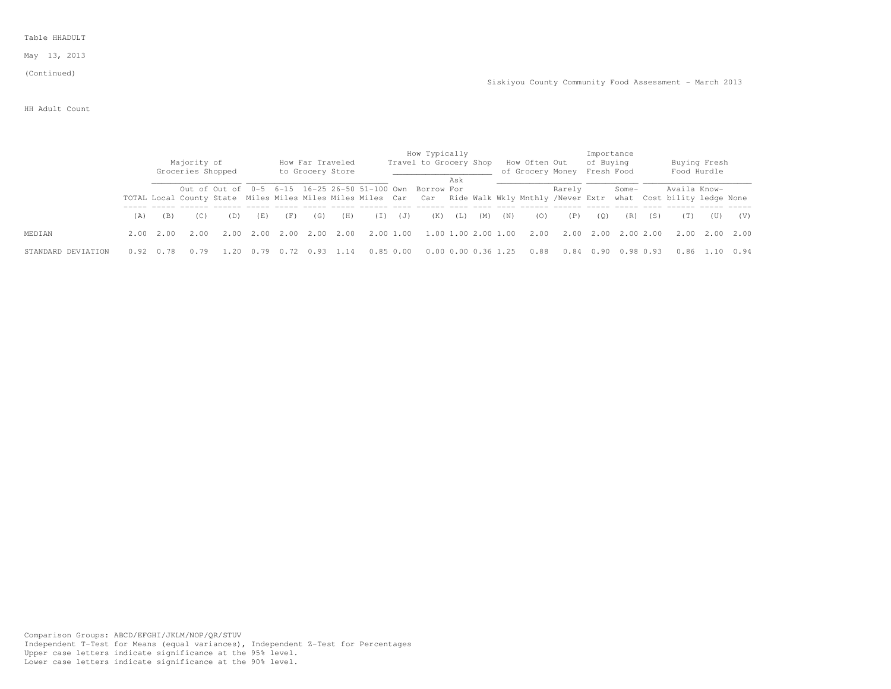May 13, 2013

## (Continued)

Siskiyou County Community Food Assessment - March 2013

HH Adult Count

|                    |      |           | Majority of<br>Groceries Shopped |      |      |           |      | How Far Traveled<br>to Grocery Store |           |          | How Typically<br>Travel to Grocery Shop                                                                                                                                            |     |                     |     | How Often Out<br>of Grocery Money Fresh Food |        | Importance<br>of Buying |           |     | Food Hurdle  | Buying Fresh   |      |
|--------------------|------|-----------|----------------------------------|------|------|-----------|------|--------------------------------------|-----------|----------|------------------------------------------------------------------------------------------------------------------------------------------------------------------------------------|-----|---------------------|-----|----------------------------------------------|--------|-------------------------|-----------|-----|--------------|----------------|------|
|                    |      |           |                                  |      |      |           |      |                                      |           |          | Out of Out of 0-5 6-15 16-25 26-50 51-100 Own Borrow For<br>TOTAL Local County State Miles Miles Miles Miles Car Car Ride Walk Wkly Mnthly /Never Extr what Cost bility ledge None | Ask |                     |     |                                              | Rarely |                         | Some-     |     | Availa Know- |                |      |
|                    | (A)  | (B)       | (C)                              | (D)  | (E)  | (F)       | (G)  | (H)                                  | ( I )     | (J)      | (K)                                                                                                                                                                                | (L) | (M)                 | (N) | (0)                                          | (P)    | (O)                     | (R)       | (S) | (T)          | (U)            | (V)  |
| MEDIAN             |      | 2.00 2.00 | 2.00                             | 2.00 |      | 2.00 2.00 | 2.00 | 2.00                                 | 2.00 1.00 |          |                                                                                                                                                                                    |     |                     |     | 1.00 1.00 2.00 1.00 2.00                     | 2.00   | 2.00                    | 2.002.00  |     |              | 2.00 2.00 2.00 |      |
| STANDARD DEVIATION | 0.92 | 0.78      |                                  | 1.20 | 0.79 |           | 0.93 | 1.14                                 |           | 0.850.00 |                                                                                                                                                                                    |     | 0.00 0.00 0.36 1.25 |     | 0.88                                         | 0.84   | 0.90                    | 0.98 0.93 |     |              | 0.86 1.10      | 0.94 |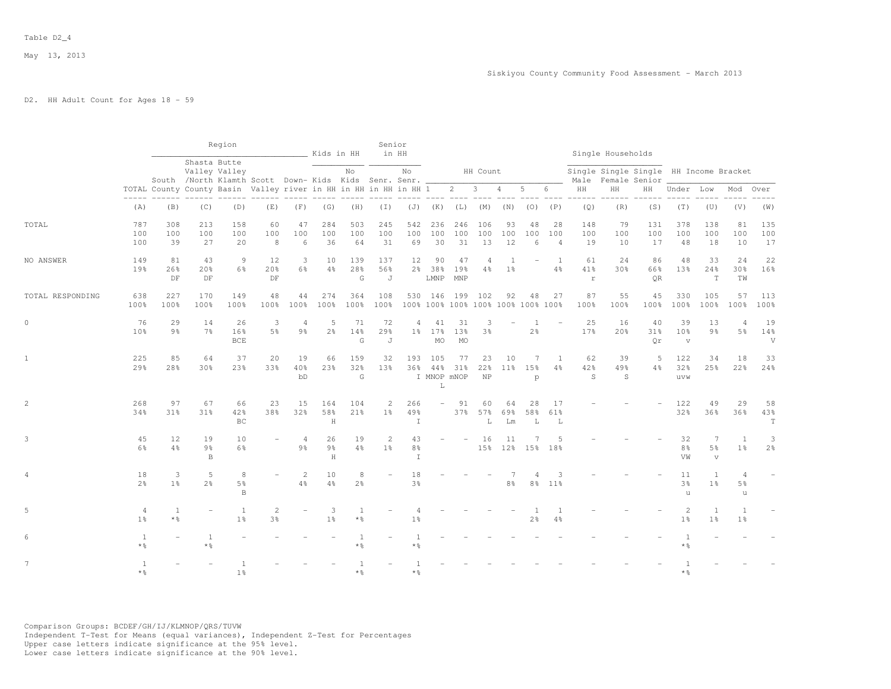## D2. HH Adult Count for Ages 18 - 59

|                  |                        |                        |                                      | Region                             |                                                                        |                                  | __________ Kids in HH     |                             | Senior<br>in HH                |                                |                                                   |                                                                                                                                                                                                                                                                                                                                                                                                                                                                                          |                                  |                 |                     |                             |                          | Single Households                                            |                        |                                  |                                    |                                  |                          |
|------------------|------------------------|------------------------|--------------------------------------|------------------------------------|------------------------------------------------------------------------|----------------------------------|---------------------------|-----------------------------|--------------------------------|--------------------------------|---------------------------------------------------|------------------------------------------------------------------------------------------------------------------------------------------------------------------------------------------------------------------------------------------------------------------------------------------------------------------------------------------------------------------------------------------------------------------------------------------------------------------------------------------|----------------------------------|-----------------|---------------------|-----------------------------|--------------------------|--------------------------------------------------------------|------------------------|----------------------------------|------------------------------------|----------------------------------|--------------------------|
|                  |                        |                        |                                      | Shasta Butte<br>Valley Valley      | South /North Klamth Scott Down- Kids Kids Senr. Senr. __               |                                  |                           | No                          |                                | No                             |                                                   |                                                                                                                                                                                                                                                                                                                                                                                                                                                                                          | HH Count                         |                 |                     |                             |                          | Single Single Single HH Income Bracket<br>Male Female Senior |                        |                                  |                                    |                                  |                          |
|                  |                        |                        |                                      |                                    | TOTAL County County Basin Valley river in HH in HH in HH in HH 1 2 3 4 |                                  |                           |                             |                                |                                |                                                   | $\begin{array}{cccccc} - & - & - & - & - & - \\ & - & - & - & - \\ & & - & - & - \\ & & - & - & - \\ & & - & - & - \\ & & - & - & - \\ & & - & - & - \\ & & - & - & - \\ & & - & - & - \\ & & - & - & - \\ & & - & - & - \\ & & - & - & - \\ & & - & - & - \\ & & - & - & - \\ & & - & - & - \\ & & - & - & - \\ & & - & - & - \\ & & - & - & - \\ & & - & - & - \\ & & - & - & - \\ & & - & - & - \\ & & - & - & - \\ & & - & - & - \\ & & - & - & - \\ & & - & - & - \\ & & - & - & -$ |                                  |                 | $5 -$               | 6                           | HH                       | HH                                                           | HH                     | Under Low                        |                                    | Mod                              | Over                     |
|                  | (A)                    | (B)                    | (C)                                  | (D)                                | (E)                                                                    | (F)                              | (G)                       | (H)                         | $(\top)$                       |                                | $(J)$ $(K)$ $(L)$ $(M)$ $(N)$                     |                                                                                                                                                                                                                                                                                                                                                                                                                                                                                          |                                  |                 | (0)                 | (P)                         | (Q)                      | (R)                                                          | (S)                    | (T)                              | (U)                                | (V)                              | (W)                      |
| TOTAL            | 787<br>100<br>100      | 308<br>100<br>39       | 213<br>100<br>27                     | 158<br>100<br>20                   | 60<br>100<br>8                                                         | 47<br>100<br>6                   | 284<br>100<br>36          | 503<br>100<br>64            | 245<br>100<br>31               | 542<br>100<br>69               | 236<br>100<br>30                                  | 246<br>100<br>31                                                                                                                                                                                                                                                                                                                                                                                                                                                                         | 106<br>100<br>13                 | 93<br>100<br>12 | 48<br>100<br>6      | 28<br>100<br>$\overline{4}$ | 148<br>100<br>19         | 79<br>100<br>10                                              | 131<br>100<br>17       | 378<br>100<br>48                 | 138<br>100<br>18                   | 81<br>100<br>10                  | 135<br>100<br>17         |
| NO ANSWER        | 149<br>19 <sub>8</sub> | 81<br>26%<br>DF        | 43<br>20 <sub>8</sub><br>DF          | 9<br>6%                            | 12<br>20%<br>DF                                                        | 3<br>$6\frac{6}{9}$              | 10<br>4%                  | 139<br>28 <sup>8</sup><br>G | 137<br>56%<br>J                | 12                             | 90<br>2% 38%<br>LMNP                              | 47<br>19%<br>MNP                                                                                                                                                                                                                                                                                                                                                                                                                                                                         | $\overline{4}$<br>$4\frac{6}{9}$ | -1<br>$1\%$     |                     | 1<br>4%                     | 61<br>41%<br>$\mathbf r$ | 24<br>30 <sub>8</sub>                                        | 86<br>66%<br><b>OR</b> | 48<br>13%                        | 33<br>24%<br>$\mathbf T$           | 24<br>30%<br>TW                  | 22<br>16%                |
| TOTAL RESPONDING | 638<br>100%            | 227<br>100%            | 170<br>100%                          | 149<br>100%                        | 48<br>100%                                                             | 44<br>100%                       | 274<br>100%               | 364<br>100%                 | 108<br>100%                    |                                | 530 146 199<br>100% 100% 100% 100% 100% 100% 100% |                                                                                                                                                                                                                                                                                                                                                                                                                                                                                          | 102                              | 92              | 48                  | 27                          | 87<br>100%               | 55<br>100%                                                   | 45<br>100%             | 330<br>100%                      | 105<br>100%                        | 57<br>100%                       | 113<br>100%              |
| $\circ$          | 76<br>10 <sup>8</sup>  | 29<br>9 <sub>8</sub>   | 14<br>7 <sup>°</sup>                 | 26<br>16%<br><b>BCE</b>            | 3<br>5 <sup>°</sup>                                                    | 4<br>$9\frac{6}{6}$              | 5<br>$2\frac{6}{9}$       | 71<br>14%<br>G              | 72<br>29%<br>J                 | $\overline{4}$                 | 41<br>1% 17%<br>MO                                | 31<br>13%<br><b>MO</b>                                                                                                                                                                                                                                                                                                                                                                                                                                                                   | 3<br>3 <sup>°</sup>              |                 | 1<br>$2\frac{6}{9}$ |                             | 25<br>17%                | 16<br>20%                                                    | 40<br>31%<br>Qr        | 39<br>10%<br>$\mathbf v$         | 13<br>9%                           | $\overline{A}$<br>5 <sup>°</sup> | 19<br>14%<br>V           |
| $\mathbf{1}$     | 225<br>29%             | 85<br>28%              | 64<br>30%                            | 37<br>23%                          | 20<br>33%                                                              | 19<br>40%<br>bD                  | 66<br>23%                 | 159<br>32%<br>G             | 32<br>13%                      | 193<br>36%                     | 105<br>44%<br>I MNOP mNOP<br>L                    | 77<br>31%                                                                                                                                                                                                                                                                                                                                                                                                                                                                                | 23<br>22%<br>NP                  | 10<br>$11\%$    | 7<br>1.5%<br>p      | 1<br>4%                     | 62<br>42%<br>S           | 39<br>49%<br>S                                               | 5<br>4%                | 122<br>32%<br>uvw                | 34<br>25%                          | 18<br>22%                        | 33<br>24%                |
| $\overline{c}$   | 268<br>34%             | 97<br>31%              | 67<br>31%                            | 66<br>42%<br>ВC                    | 23<br>38%                                                              | 15<br>32%                        | 164<br>58%<br>H           | 104<br>21%                  | $\mathbf{2}$<br>$1\%$          | 266<br>49%<br>I                | $\overline{\phantom{a}}$                          | 91<br>37%                                                                                                                                                                                                                                                                                                                                                                                                                                                                                | 60<br>57%<br>L                   | 64<br>69%<br>Lm | 28<br>58%<br>L      | 17<br>61%<br>L              |                          |                                                              |                        | 122<br>32%                       | 49<br>36%                          | 29<br>36%                        | 58<br>43%<br>$\mathbf T$ |
| 3                | 45<br>6%               | 12<br>4%               | 19<br>$9\frac{6}{9}$<br>$\, {\bf B}$ | 10<br>6%                           |                                                                        | $\overline{4}$<br>$9\frac{6}{6}$ | 26<br>$9\frac{6}{9}$<br>H | 19<br>$4\frac{6}{6}$        | $\mathbf{2}$<br>1 <sup>°</sup> | 43<br>8 <sup>°</sup><br>$\top$ |                                                   |                                                                                                                                                                                                                                                                                                                                                                                                                                                                                          | 16                               | 11<br>15% 12%   | 15%                 | .5<br>18%                   |                          |                                                              |                        | 32<br>8 <sup>°</sup><br>VW       | 7<br>5 <sup>°</sup><br>$\mathbf v$ | 1<br>1 <sup>°</sup>              | 3<br>2 <sup>°</sup>      |
| 4                | 18<br>2.8              | 3<br>1 <sup>°</sup>    | 5<br>$2\frac{6}{9}$                  | 8<br>5 <sup>°</sup><br>$\mathbb B$ |                                                                        | 2<br>4%                          | 10<br>4%                  | 8<br>$2\frac{6}{6}$         | ÷.                             | 18<br>3 <sup>°</sup>           |                                                   |                                                                                                                                                                                                                                                                                                                                                                                                                                                                                          |                                  | $8\frac{6}{6}$  | 4<br>8%             | 3<br>11%                    |                          |                                                              |                        | 11<br>3%<br>$\mathbf u$          | 1<br>1 <sup>°</sup>                | 4<br>5%<br>u                     |                          |
| 5                | 4<br>1 <sup>°</sup>    | 1<br>$*$ $\frac{6}{5}$ | ÷                                    | <sup>1</sup><br>1 <sup>°</sup>     | 2<br>3 <sup>°</sup>                                                    |                                  | 3<br>1 <sup>°</sup>       | $\mathbf{1}$<br>* 음         |                                | 1 <sup>°</sup>                 |                                                   |                                                                                                                                                                                                                                                                                                                                                                                                                                                                                          |                                  |                 | 2 <sup>8</sup>      | $\mathbf{1}$<br>4%          |                          |                                                              |                        | $\overline{c}$<br>1 <sup>°</sup> | 1<br>1 <sup>°</sup>                | $\mathbf{1}$<br>1 <sup>°</sup>   |                          |
| 6                | 1<br>$*$ $\frac{6}{5}$ |                        | $\overline{1}$<br>$*$ %              |                                    |                                                                        |                                  |                           | * 응                         |                                | $\star$ %                      |                                                   |                                                                                                                                                                                                                                                                                                                                                                                                                                                                                          |                                  |                 |                     |                             |                          |                                                              |                        | * 응                              |                                    |                                  |                          |
| $7\phantom{.0}$  | 1<br>$*$ 2             |                        |                                      | -1<br>1 <sup>8</sup>               |                                                                        |                                  |                           | * 2                         |                                | * &                            |                                                   |                                                                                                                                                                                                                                                                                                                                                                                                                                                                                          |                                  |                 |                     |                             |                          |                                                              |                        | * &                              |                                    |                                  |                          |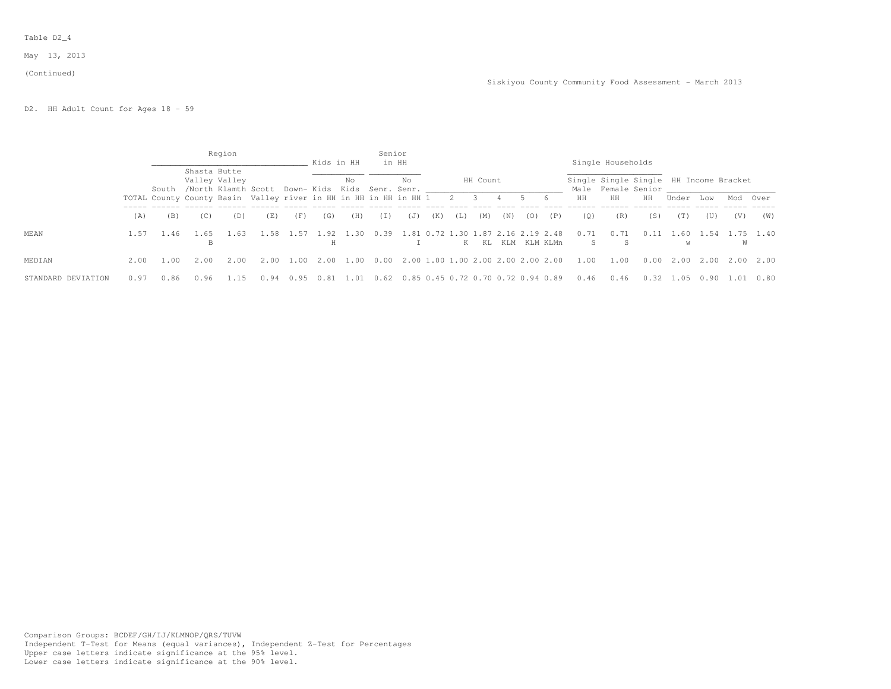### Table D2\_4

May 13, 2013

#### (Continued)

D2. HH Adult Count for Ages 18 - 59

|                    |      |                                                                  |              | Region                               |      |                             | Kids in HH |      | Senior | in HH                                   |     |           |                          |     |              |     |            | Single Households                                            |      |           |      |        |      |
|--------------------|------|------------------------------------------------------------------|--------------|--------------------------------------|------|-----------------------------|------------|------|--------|-----------------------------------------|-----|-----------|--------------------------|-----|--------------|-----|------------|--------------------------------------------------------------|------|-----------|------|--------|------|
|                    |      | South                                                            | Shasta Butte | Valley Valley<br>/North Klamth Scott |      | Down- Kids Kids Senr. Senr. |            | No   |        | No                                      |     |           | HH Count                 |     |              |     |            | Single Single Single HH Income Bracket<br>Male Female Senior |      |           |      |        |      |
|                    |      | TOTAL County County Basin Valley river in HH in HH in HH in HH 1 |              |                                      |      |                             |            |      |        |                                         |     | 2         | $\overline{\phantom{a}}$ | 4   |              | - 6 | HH         | HH                                                           | HH   | Under     | Low  | Mod    | Over |
|                    | (A)  | (B)                                                              | (C)          | (D)                                  | (E)  | (F)                         | (G)        | (H)  | (I)    | (J)                                     | (K) | $\perp$ ) | (M)                      | (N) | (0)          | (P) | (0)        | (R)                                                          | (S)  | (T)       | (U)  | (V)    | (W)  |
| MEAN               | 1.57 | 1.46                                                             | . 65<br>B    | .63                                  | .58  |                             | 1.57 1.92  | 1.30 | 0.39   | 1.81 0.72 1.30 1.87 2.16 2.19 2.48      |     |           | K KL                     |     | KLM KLM KLMn |     | 0.71<br>S. | 0.71<br>-S                                                   | 0.11 | 1.60<br>W | 1.54 | W      | 1.40 |
| MEDIAN             | 2.00 | 1.00                                                             | 2.00         | 2.00                                 | 2.00 | 1.00                        | 2.00       | 1.00 | 0.00   | 2.00 1.00 1.00 2.00 2.00 2.00 2.00      |     |           |                          |     |              |     | 1.00       | 1.00                                                         | 0.00 | 2.00      | 2.00 | 2.00   | 2.00 |
| STANDARD DEVIATION | 0.97 | 0.86                                                             | 0.96         |                                      |      |                             | 0.81       | 1.01 |        | 0.62 0.85 0.45 0.72 0.70 0.72 0.94 0.89 |     |           |                          |     |              |     | 0.46       | 0.46                                                         | 0.32 | 1.05      | 0.90 | - 1.01 | 0.80 |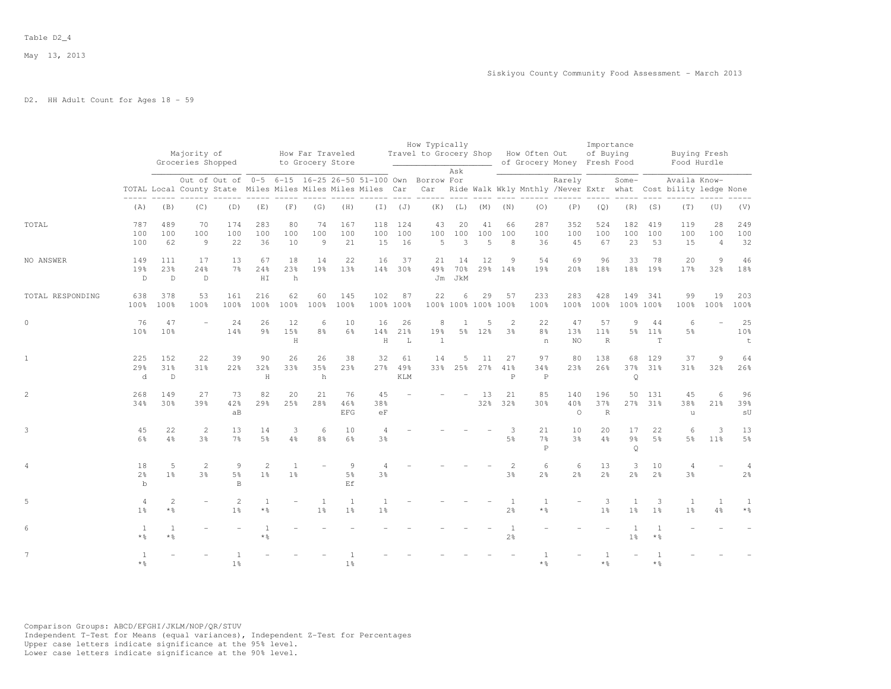## D2. HH Adult Count for Ages 18 - 59

|                  |                             |                                        | Majority of<br>Groceries Shopped |                           |                         |                                  | How Far Traveled<br>to Grocery Store |                                         |                                |                         | How Typically<br>Travel to Grocery Shop How Often Out    | Ask                       |                         |                                     |                                      | of Grocery Money Fresh Food | Importance<br>of Buying |                                 |                             | Buying Fresh<br>Food Hurdle                                                                                                                  |                             |                                     |
|------------------|-----------------------------|----------------------------------------|----------------------------------|---------------------------|-------------------------|----------------------------------|--------------------------------------|-----------------------------------------|--------------------------------|-------------------------|----------------------------------------------------------|---------------------------|-------------------------|-------------------------------------|--------------------------------------|-----------------------------|-------------------------|---------------------------------|-----------------------------|----------------------------------------------------------------------------------------------------------------------------------------------|-----------------------------|-------------------------------------|
|                  |                             |                                        |                                  |                           |                         |                                  |                                      |                                         |                                |                         | Out of Out of 0-5 6-15 16-25 26-50 51-100 Own Borrow For |                           |                         |                                     |                                      | Rarely                      |                         | Some-                           |                             | Availa Know-<br>TOTAL Local County State Miles Miles Miles Miles Miles Car Car Ride Walk Wkly Mnthly /Never Extr what Cost bility ledge None |                             |                                     |
|                  | (A)                         | (B)                                    | (C)                              | (D)                       | (E)                     | (F)                              | (G)                                  | (H)                                     |                                | $(I)$ $(J)$             |                                                          |                           | $(K)$ $(L)$ $(M)$ $(N)$ |                                     | (0)                                  | (P)                         | (Q)                     |                                 | $(R)$ $(S)$                 | (T)                                                                                                                                          | (U)                         | (V)                                 |
| TOTAL            | 787<br>100<br>100           | 489<br>100<br>62                       | 70<br>100<br>9                   | 174<br>100<br>22          | 283<br>100<br>36        | 80<br>100<br>10                  | 74<br>100<br>9                       | 167<br>100<br>21                        | 100<br>15                      | 118 124<br>100<br>16    | 43<br>100<br>5                                           | 20<br>100<br>$\mathbf{3}$ | 41<br>100<br>5          | 66<br>100<br>8                      | 287<br>100<br>36                     | 352<br>100<br>45            | 524<br>100<br>67        | 182<br>100<br>23                | 419<br>100<br>53            | 119<br>100<br>15                                                                                                                             | 28<br>100<br>$\overline{4}$ | 249<br>100<br>32                    |
| NO ANSWER        | 149<br>19%<br>D.            | 111<br>23%<br>$\mathbb{D}$             | 17<br>24%<br>$\mathbb D$         | 13<br>7 <sup>°</sup>      | 67<br>24%<br>HI         | 18<br>23%<br>h                   | 14<br>19%                            | 22<br>13%                               | 16                             | 37<br>14% 30%           | 21                                                       | 14<br>49% 70%<br>Jm JkM   | 12                      | 9<br>29% 14%                        | 54<br>19 <sub>8</sub>                | 69<br>20%                   | 96<br>18%               | 33                              | 78<br>18% 19%               | 20<br>17%                                                                                                                                    | $\overline{9}$<br>32%       | 46<br>18%                           |
| TOTAL RESPONDING | 638<br>100%                 | 378<br>100%                            | 53<br>100%                       | 161<br>100%               | 216<br>100%             | 62<br>100%                       | 60<br>100%                           | 145<br>100%                             | 102                            | 87<br>100% 100%         | 22                                                       | 6                         | 29                      | 57<br>100% 100% 100% 100%           | 233<br>100%                          | 283<br>100%                 | 428<br>100%             | 149                             | 341<br>100% 100%            | 99<br>100%                                                                                                                                   | 19<br>100%                  | 203<br>100%                         |
| $\circ$          | 76<br>10 <sup>8</sup>       | 47<br>10 <sup>9</sup>                  | $\equiv$                         | 24<br>14%                 | 26<br>$9\frac{6}{3}$    | 12<br>15%<br>H                   | 6<br>8 <sup>8</sup>                  | 10<br>6%                                | 16<br>14%<br>H                 | 26<br>21%<br>L          | 8<br>19%<br>$\mathbf{1}$                                 | 1                         | 5<br>5% 12%             | 2<br>3%                             | 22<br>8 <sup>°</sup><br>n            | 47<br>13%<br><b>NO</b>      | 57<br>11%<br>R          | 9                               | 44<br>5% 11%<br>$\mathbb T$ | 6<br>5%                                                                                                                                      | $\equiv$                    | 25<br>10%<br>$\ddot{\tau}$          |
| $\mathbf{1}$     | 225<br>29%<br>$\mathbf d$   | 152<br>31 <sup>8</sup><br>$\mathbb{D}$ | 22<br>$31\%$                     | 39<br>22%                 | 90<br>32%<br>H          | 26<br>33%                        | 26<br>35%<br>h                       | 38<br>23%                               | 32<br>27%                      | 61<br>49%<br><b>KLM</b> | 14                                                       | 5<br>33% 25%              | 11                      | 27<br>$27\%$ $41\%$<br>$\mathsf{P}$ | 97<br>34%<br>$\mathsf{P}$            | 80<br>23%                   | 138<br>26%              | 68<br>$\circ$                   | 129<br>37% 31%              | 37<br>31%                                                                                                                                    | $\overline{9}$<br>32%       | 64<br>26%                           |
| $\mathbf{2}$     | 268<br>34%                  | 149<br>30 <sup>8</sup>                 | 27<br>39%                        | 73<br>42%<br>aB           | 82<br>29%               | 20<br>25%                        | 21<br>28%                            | 76<br>46%<br><b>EFG</b>                 | 45<br>38%<br>eF                |                         |                                                          |                           | 13                      | 21<br>32% 32%                       | 85<br>30 <sup>o</sup>                | 140<br>40%<br>$\Omega$      | 196<br>37%<br>R         | 50                              | 131<br>27% 31%              | 45<br>38%<br>u                                                                                                                               | 6<br>21%                    | 96<br>39%<br>$\mathop{\mathsf{SU}}$ |
| 3                | 45<br>$6\%$                 | 22<br>4%                               | $\overline{c}$<br>3 <sup>°</sup> | 13<br>7 <sup>°</sup>      | 14<br>5 <sup>9</sup>    | 3<br>4%                          | 6<br>8 <sup>°</sup>                  | 10<br>$6\%$                             | 4<br>3%                        |                         |                                                          |                           |                         | 5%                                  | 21<br>7 <sup>°</sup><br>$\mathsf{P}$ | 10<br>3%                    | 20<br>4%                | 17<br>$9\frac{6}{9}$<br>$\circ$ | 22<br>5%                    | 6<br>$5\frac{6}{9}$                                                                                                                          | 3<br>11 <sup>8</sup>        | 13<br>$5\frac{6}{9}$                |
| $\overline{4}$   | 18<br>$2\frac{6}{9}$<br>$b$ | 5<br>1 <sup>8</sup>                    | 2<br>3%                          | 9<br>5 <sup>°</sup><br>B. | 2<br>1 <sup>°</sup>     | $\overline{1}$<br>1 <sup>8</sup> |                                      | $\overline{9}$<br>5 <sup>°</sup><br>F.f | 4<br>3 <sup>°</sup>            |                         |                                                          |                           |                         | $\overline{2}$<br>3%                | 6<br>2 <sup>o</sup>                  | 6<br>2 <sup>°</sup>         | 13<br>2 <sup>o</sup>    | 3<br>2 <sup>o</sup>             | 10<br>2 <sup>o</sup>        | $\overline{4}$<br>3%                                                                                                                         |                             | 2 <sup>o</sup>                      |
| 5                | 4<br>1 <sup>8</sup>         | 2<br>$*$ %                             |                                  | 2<br>1 <sup>°</sup>       | $\overline{1}$<br>$*$ % |                                  | $\overline{1}$<br>1 <sup>°</sup>     | $\overline{1}$<br>1 <sup>8</sup>        | $\mathbf{1}$<br>1 <sup>°</sup> |                         |                                                          |                           |                         | <sup>1</sup><br>$2\frac{6}{6}$      | $\mathbf{1}$<br>$*$ $\frac{6}{5}$    |                             | 3<br>1 <sup>8</sup>     | $\mathbf{1}$<br>1 <sup>°</sup>  | 3<br>1 <sup>8</sup>         | -1<br>1 <sup>°</sup>                                                                                                                         | $\mathbf{1}$<br>4%          | $\mathbf{1}$<br>$*$ $\frac{6}{5}$   |
| 6                | $\overline{1}$<br>$*$ &     | $\overline{1}$<br>$*$ 2                |                                  |                           | * %                     |                                  |                                      |                                         |                                |                         |                                                          |                           |                         | $\mathbf{1}$<br>$2\frac{6}{6}$      |                                      |                             |                         | 1 <sup>°</sup>                  | $*$ $\frac{6}{5}$           |                                                                                                                                              |                             |                                     |
| 7                | $*$ $\frac{6}{5}$           |                                        |                                  | $1\frac{6}{6}$            |                         |                                  |                                      | $1\%$                                   |                                |                         |                                                          |                           |                         |                                     | * 응                                  |                             | $\star$ %               |                                 | $*$ %                       |                                                                                                                                              |                             |                                     |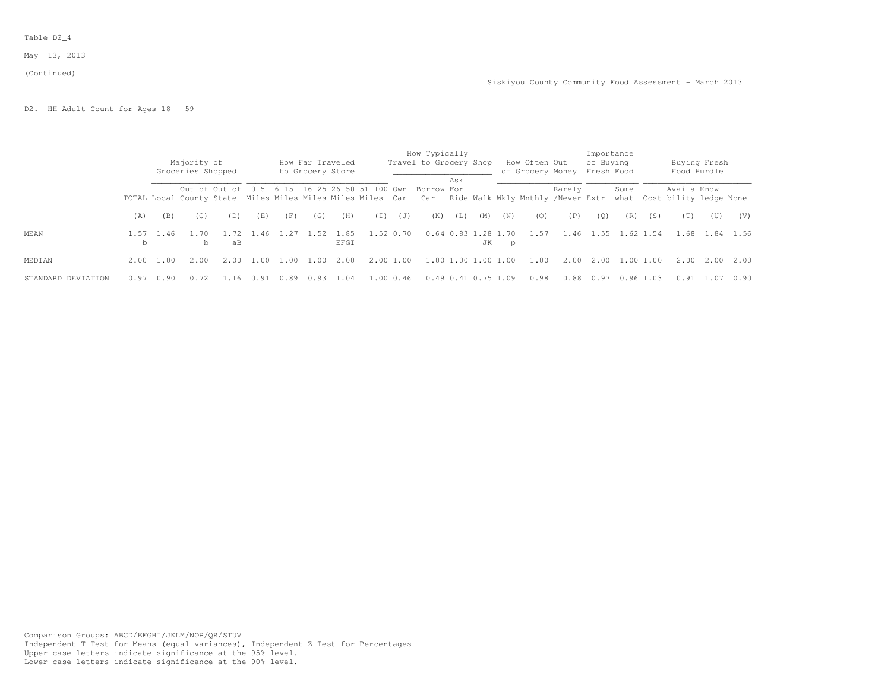### Table D2\_4

May 13, 2013

#### (Continued)

D2. HH Adult Count for Ages 18 - 59

|                    |           |           | Majority of<br>Groceries Shopped |                                                                                                                 |      |      | How Far Traveled<br>to Grocery Store |              |     |           | How Typically<br>Travel to Grocery Shop |     |                           |     | How Often Out<br>of Grocery Money Fresh Food                  |        | Importance<br>of Buying |           |     |              | Buying Fresh<br>Food Hurdle |      |
|--------------------|-----------|-----------|----------------------------------|-----------------------------------------------------------------------------------------------------------------|------|------|--------------------------------------|--------------|-----|-----------|-----------------------------------------|-----|---------------------------|-----|---------------------------------------------------------------|--------|-------------------------|-----------|-----|--------------|-----------------------------|------|
|                    |           |           |                                  | Out of Out of 0-5 6-15 16-25 26-50 51-100 Own<br>TOTAL Local County State Miles Miles Miles Miles Miles Car Car |      |      |                                      |              |     |           | Borrow For                              | Ask |                           |     | Ride Walk Wkly Mnthly /Never Extr what Cost bility ledge None | Rarely |                         | Some-     |     | Availa Know- |                             |      |
|                    | (A)       | (B)       | (C)                              | (D)                                                                                                             | (E)  | (F)  | (G)                                  | (H)          | (T) | (J)       | (K)                                     | (L) | (M)                       | (N) | (0)                                                           | (P)    | (0)                     | (R)       | (S) | (T)          | (U)                         | (V)  |
| MEAN               | 1.57<br>b | 1.46      | 1.70<br>b                        | 1.72<br>aB                                                                                                      | 1.46 | 1.27 | 1.52                                 | 1.85<br>EFGI |     | 1.52 0.70 |                                         |     | 0.64 0.83 1.28 1.70<br>JK | p   | 1.57                                                          | 1.46   | $\perp$ .55             | 1.62 1.54 |     |              | 1.68 1.84 1.56              |      |
| MEDIAN             |           | 2.00 1.00 | 2.00                             | 2.00                                                                                                            | 1.00 | 1.00 | L. NN                                | 2.00         |     | 2.00 1.00 |                                         |     | 1.00 1.00 1.00 1.00       |     | 1.00                                                          | 2.00   | 2.00                    | 1.001.00  |     |              | $2.00\quad 2.00$            | 2.00 |
| STANDARD DEVIATION | 0.97      | 0.90      | 0.72                             |                                                                                                                 | U.91 |      |                                      | . 04         |     | 1.00 0.46 |                                         |     | 0.49 0.41 0.75 1.09       |     | 0.98                                                          | 0.88   | 0.97                    | 0.961     | .03 | 0.91         | 1.07                        | 0.90 |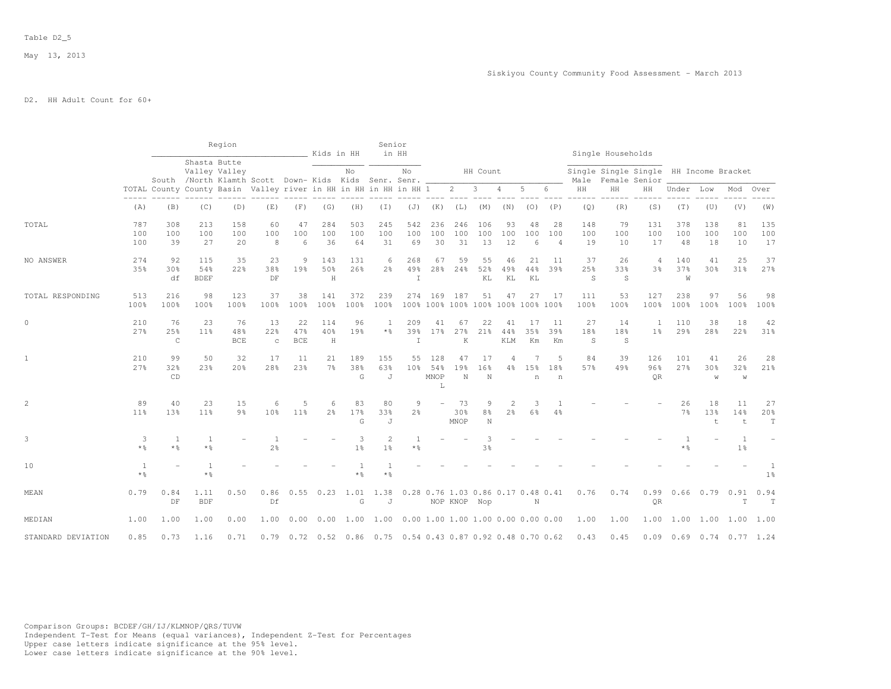# D2. HH Adult Count for 60+

|                    |                                   |                                                                  |                                   | Region                                                                  |                          |                         | Kids in HH                                                       |                         | Senior                           | in HH                                     |                         |                                                    |                                    |                                  |                 |                             |                  | Single Households |                                                         |                      |                           |                                |                          |
|--------------------|-----------------------------------|------------------------------------------------------------------|-----------------------------------|-------------------------------------------------------------------------|--------------------------|-------------------------|------------------------------------------------------------------|-------------------------|----------------------------------|-------------------------------------------|-------------------------|----------------------------------------------------|------------------------------------|----------------------------------|-----------------|-----------------------------|------------------|-------------------|---------------------------------------------------------|----------------------|---------------------------|--------------------------------|--------------------------|
|                    |                                   |                                                                  | Shasta Butte                      | Valley Valley<br>South /North Klamth Scott Down-Kids Kids Senr. Senr. _ |                          |                         |                                                                  | No                      |                                  | No                                        |                         |                                                    | HH Count                           |                                  |                 |                             | Male             |                   | Single Single Single HH Income Bracket<br>Female Senior |                      |                           |                                |                          |
|                    |                                   | TOTAL County County Basin Valley river in HH in HH in HH in HH 1 |                                   |                                                                         |                          |                         |                                                                  |                         |                                  |                                           |                         | $\overline{2}$                                     | $\mathbf{3}$                       | 4                                | 5               | 6                           | HH               | HH                | ΗH                                                      | Under                | Low                       | Mod                            | Over                     |
|                    | (A)                               | (B)                                                              | (C)                               | (D)                                                                     | (E)                      | (F)                     | (G)                                                              | (H)                     | (T)                              | (J)                                       | (K)                     | (L)                                                | (M)                                | (N)                              | (0)             | (P)                         | (Q)              | (R)               | (S)                                                     | (T)                  | (U)                       | (V)                            | (W)                      |
| TOTAL              | 787<br>100<br>100                 | 308<br>100<br>39                                                 | 213<br>100<br>27                  | 158<br>100<br>20                                                        | 60<br>100<br>8           | 47<br>100<br>6          | 284<br>100<br>36                                                 | 503<br>100<br>64        | 245<br>100<br>31                 | 542<br>100<br>69                          | 236<br>100<br>30        | 246<br>100<br>31                                   | 106<br>100<br>13                   | 93<br>100<br>12                  | 48<br>100<br>6  | 28<br>100<br>$\overline{4}$ | 148<br>100<br>19 | 79<br>100<br>10   | 131<br>100<br>17                                        | 378<br>100<br>48     | 138<br>100<br>18          | 81<br>100<br>10                | 135<br>100<br>17         |
| NO ANSWER          | 274<br>35%                        | 92<br>30%<br>df                                                  | 115<br>54%<br><b>BDEF</b>         | 35<br>22%                                                               | 23<br>38%<br>DF          | 9<br>19%                | 143<br>50%<br>$\rm H$                                            | 131<br>26%              | 6<br>2 <sup>°</sup>              | 268<br>49%<br>I                           | 67<br>28%               | 59<br>24%                                          | 55<br>52%<br>KL                    | 46<br>49%<br>ΚL                  | 21<br>44%<br>KL | 11<br>39%                   | 37<br>25%<br>S   | 26<br>33%<br>S    | $\overline{4}$<br>3 <sup>8</sup>                        | 140<br>37%<br>W      | 41<br>30%                 | 25<br>31%                      | 37<br>27%                |
| TOTAL RESPONDING   | 513<br>100%                       | 216<br>100%                                                      | 98<br>100%                        | 123<br>100%                                                             | 37<br>100%               | 38<br>100%              | 141<br>100%                                                      | 372<br>100%             | 239<br>100%                      | 274                                       | 169                     | 187<br>100% 100% 100% 100% 100% 100% 100%          | 51                                 | 47                               | 27              | -17                         | 111<br>100%      | 53<br>100%        | 127<br>100%                                             | 238<br>100%          | 97<br>100%                | 56<br>100%                     | 98<br>100%               |
| $\circ$            | 210<br>27%                        | 76<br>25%<br>$\mathsf C$                                         | 23<br>11 <sup>°</sup>             | 76<br>48%<br><b>BCE</b>                                                 | 13<br>22%<br>$\mathbb C$ | 22<br>47%<br><b>BCE</b> | 114<br>40%<br>H                                                  | 96<br>19%               | $\mathbf{1}$<br>* %              | 209<br>39%<br>I                           | 41<br>17%               | 67<br>27%<br>K                                     | 22<br>21%                          | 41<br>44%<br>KLM                 | 17<br>35%<br>Кm | -11<br>39%<br>Km            | 27<br>18%<br>S   | 14<br>18%<br>S    | 1<br>1 <sup>°</sup>                                     | 110<br>29%           | 38<br>28%                 | 18<br>22%                      | 42<br>31%                |
| $\mathbf{1}$       | 210<br>27%                        | 99<br>32%<br>CD                                                  | 50<br>23%                         | 32<br>20%                                                               | 17<br>28%                | 11<br>23%               | 21<br>7 <sup>°</sup>                                             | 189<br>38%<br>G         | 155<br>63%<br>J                  | 55<br>10 <sup>8</sup>                     | 128<br>54%<br>MNOP<br>L | 47<br>19%<br>N                                     | 17<br>16%<br>N                     | 4<br>$4\%$                       | 15%<br>n        | 5<br>18%<br>n               | 84<br>57%        | 39<br>49%         | 126<br>96%<br>OR                                        | 101<br>27%           | 41<br>30%<br>W            | 26<br>32%<br>W                 | 28<br>21%                |
| 2                  | 89<br>$11\%$                      | 40<br>13%                                                        | 23<br>11%                         | 15<br>9%                                                                | 6<br>10%                 | 5<br>$11\%$             | 6<br>2 <sup>°</sup>                                              | 83<br>17%<br>G          | 80<br>33%<br>J                   | 9<br>$2\frac{6}{6}$                       | $\equiv$                | 73<br>30%<br>MNOP                                  | 9<br>$8\frac{6}{9}$<br>$\mathbf N$ | $\overline{2}$<br>$2\frac{6}{6}$ | 3<br>6%         | 4%                          |                  |                   |                                                         | 26<br>7 <sup>°</sup> | 18<br>13%<br>t            | 11<br>14%<br>t                 | 27<br>20%<br>$\mathbb T$ |
| 3                  | 3<br>$*$ $\frac{6}{5}$            | 1<br>* %                                                         | 1<br>$*$ $\frac{6}{5}$            |                                                                         | 2 <sup>°</sup>           |                         |                                                                  | 3<br>1 <sup>°</sup>     | $\overline{2}$<br>1 <sup>°</sup> | * %                                       |                         |                                                    | 3%                                 |                                  |                 |                             |                  |                   |                                                         | * 응                  |                           | $\mathbf{1}$<br>1 <sup>°</sup> |                          |
| 10                 | $\mathbf{1}$<br>$*$ $\frac{6}{5}$ |                                                                  | $\mathbf{1}$<br>$*$ $\frac{6}{6}$ |                                                                         |                          |                         |                                                                  | $\overline{1}$<br>$*$ 2 | $\mathbf{1}$<br>$*$ %            |                                           |                         |                                                    |                                    |                                  |                 |                             |                  |                   |                                                         |                      |                           |                                | 1<br>$1\%$               |
| MEAN               | 0.79                              | 0.84<br>DF                                                       | 1.11<br><b>BDF</b>                | 0.50                                                                    | 0.86<br>Df               | 0.55                    | 0.23                                                             | 1.01<br>G               | 1.38<br>J                        |                                           |                         | 0.28 0.76 1.03 0.86 0.17 0.48 0.41<br>NOP KNOP Nop |                                    |                                  | N               |                             | 0.76             | 0.74              | 0.99<br>QR                                              | 0.66                 | $0.79$ $0.91$             | T                              | 0.94<br>T                |
| MEDIAN             | 1.00                              | 1.00                                                             | 1.00                              | 0.00                                                                    | 1.00                     | 0.00                    | 0.00                                                             | 1.00                    |                                  | $1.00$ 0.00 1.00 1.00 1.00 0.00 0.00 0.00 |                         |                                                    |                                    |                                  |                 |                             | 1.00             | 1.00              | 1.00                                                    |                      | 1.00 1.00 1.00            |                                | 1.00                     |
| STANDARD DEVIATION | 0.85                              | 0.73                                                             | 1.16                              | 0.71                                                                    | 0.79                     |                         | 0.72  0.52  0.86  0.75  0.54  0.43  0.87  0.92  0.48  0.70  0.62 |                         |                                  |                                           |                         |                                                    |                                    |                                  |                 |                             | 0.43             | 0.45              | 0.09                                                    |                      | $0.69$ $0.74$ $0.77$ 1.24 |                                |                          |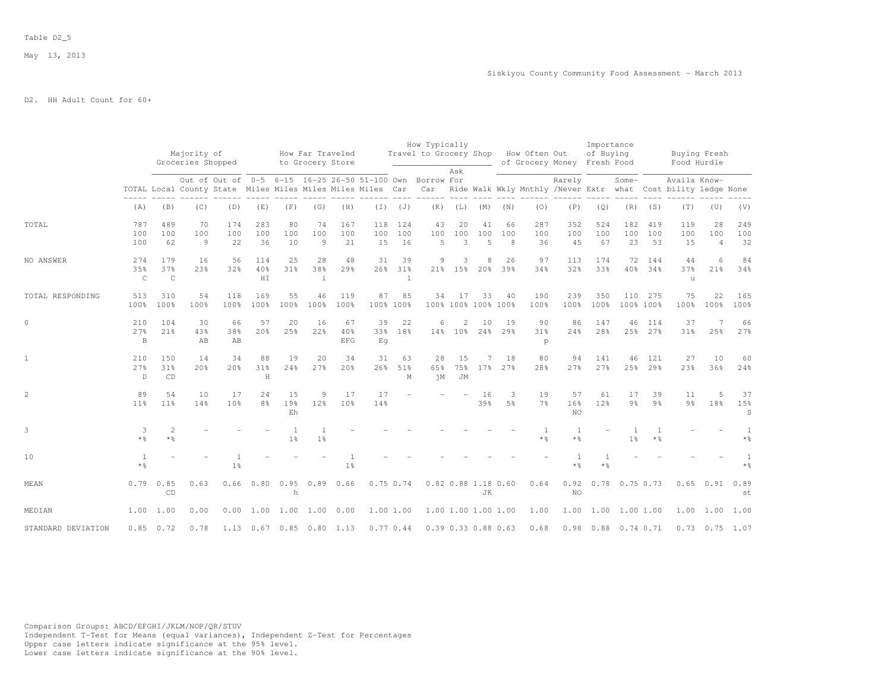# D2. HH Adult Count for 60+

|                    |                            |                            |                                  |                                                                                                                        |                      |                 |                                      |                       |                  |                           | How Typically          |                           |                           |                |                      |                             | Importance       |                      |                      |                                                                               |                             |                   |
|--------------------|----------------------------|----------------------------|----------------------------------|------------------------------------------------------------------------------------------------------------------------|----------------------|-----------------|--------------------------------------|-----------------------|------------------|---------------------------|------------------------|---------------------------|---------------------------|----------------|----------------------|-----------------------------|------------------|----------------------|----------------------|-------------------------------------------------------------------------------|-----------------------------|-------------------|
|                    |                            |                            | Majority of<br>Groceries Shopped |                                                                                                                        |                      |                 | How Far Traveled<br>to Grocery Store |                       |                  |                           | Travel to Grocery Shop |                           |                           |                | How Often Out        | of Grocery Money Fresh Food | of Buying        |                      |                      |                                                                               | Buying Fresh<br>Food Hurdle |                   |
|                    |                            |                            |                                  | Out of Out of 0-5 6-15 16-25 26-50 51-100 Own Borrow For<br>TOTAL Local County State Miles Miles Miles Miles Miles Car |                      |                 |                                      |                       |                  |                           | Car                    | Ask                       |                           |                |                      | Rarely                      |                  | Some-                |                      | Availa Know-<br>Ride Walk Wkly Mnthly /Never Extr what Cost bility ledge None |                             |                   |
|                    | (A)                        | (B)                        | (C)                              | (D)                                                                                                                    | (E)                  | (F)             | (G)                                  | (H)                   | $(\top)$         | (J)                       | (K)                    | (L)                       | (M)                       | (N)            | (0)                  | (P)                         | (Q)              | (R)                  | (S)                  | (T)                                                                           | (U)                         | (V)               |
| TOTAL              | 787<br>100<br>100          | 489<br>100<br>62           | 70<br>100<br>9                   | 174<br>100<br>22                                                                                                       | 283<br>100<br>36     | 80<br>100<br>10 | 74<br>100<br>9                       | 167<br>100<br>21      | 118<br>100<br>15 | 124<br>100<br>16          | 43<br>100<br>5         | 20<br>100<br>3            | 41<br>100<br>5            | 66<br>100<br>8 | 287<br>100<br>36     | 352<br>100<br>45            | 524<br>100<br>67 | 182<br>100<br>23     | 419<br>100<br>53     | 119<br>100<br>15                                                              | 28<br>100<br>$\overline{4}$ | 249<br>100<br>32  |
| NO ANSWER          | 274<br>35%<br>$\mathsf C$  | 179<br>37%<br>$\mathsf{C}$ | 16<br>23%                        | 56<br>32%                                                                                                              | 114<br>40%<br>H I    | 25<br>31%       | 28<br>38%<br>$\perp$                 | 48<br>29%             | 31<br>26%        | 39<br>31%<br>$\mathbf{1}$ | 9                      | 3<br>21% 15%              | 8<br>20%                  | 26<br>39%      | 97<br>34%            | 113<br>32%                  | 174<br>33%       | 72<br>$40\%$         | 144<br>34%           | 44<br>37%<br>u                                                                | 6<br>21%                    | 84<br>34%         |
| TOTAL RESPONDING   | 513<br>100%                | 310<br>100%                | 54<br>100%                       | 118<br>100%                                                                                                            | 169<br>100%          | 55<br>100%      | 46<br>100%                           | 119<br>100%           | 87<br>100% 100%  | 85                        | 34                     | 17                        | 33<br>100% 100% 100% 100% | 40             | 190<br>100%          | 239<br>100%                 | 350<br>100%      | 110                  | 275<br>100% 100%     | 75<br>100%                                                                    | 22<br>100%                  | 165<br>100%       |
| $\circ$            | 210<br>27%<br>$\, {\bf B}$ | 104<br>21%                 | 30<br>43%<br>AB                  | 66<br>38%<br>AB                                                                                                        | 57<br>20%            | 20<br>25%       | 16<br>22%                            | 67<br>40%<br>EFG      | 39<br>33%<br>Eq  | 22<br>18%                 | 6                      | $\overline{c}$<br>14% 10% | 10<br>24%                 | 19<br>29%      | 90<br>31%<br>p       | 86<br>24%                   | 147<br>28%       | 46                   | 114<br>25% 27%       | 37<br>31%                                                                     | 25%                         | 66<br>27%         |
| $\mathbf{1}$       | 210<br>27%<br>D            | 1.50<br>31%<br>CD          | 14<br>20%                        | 34<br>20%                                                                                                              | 88<br>31%<br>H       | 19<br>24%       | 20<br>27%                            | 34<br>20 <sup>8</sup> | 31<br>26%        | 63<br>51%<br>М            | 28<br>65%<br>ήM        | 15<br>75%<br>JM           | $\overline{7}$<br>17%     | 18<br>27%      | 80<br>28%            | 94<br>27 <sup>8</sup>       | 141<br>27%       | 46<br>25%            | 121<br>29%           | 27<br>23%                                                                     | 10<br>36%                   | 60<br>24%         |
| $\overline{c}$     | 89<br>11%                  | 54<br>11 <sup>8</sup>      | 10<br>14%                        | 17<br>10 <sup>8</sup>                                                                                                  | 24<br>8 <sup>°</sup> | 15<br>19%<br>Eh | 9<br>12%                             | 17<br>10%             | 17<br>14%        |                           |                        |                           | 16<br>39%                 | 3<br>5%        | 19<br>7 <sup>°</sup> | 57<br>16%<br>NO.            | 61<br>12%        | 17<br>9 <sub>8</sub> | 39<br>9 <sub>8</sub> | 11<br>9 <sub>8</sub>                                                          | 5<br>18%                    | 37<br>15%<br>S    |
| 3                  | 3<br>$*$ $\frac{6}{2}$     | $\overline{c}$<br>$*$ %    |                                  |                                                                                                                        |                      | 1 <sup>°</sup>  | 1 <sup>°</sup>                       |                       |                  |                           |                        |                           |                           |                | $*$ %                | 1<br>$*$ %                  |                  | 1 <sup>°</sup>       | $*$ $\frac{6}{5}$    |                                                                               |                             | $*$ $\frac{6}{5}$ |
| 10                 | 1<br>$*$ $\frac{6}{6}$     |                            |                                  | 1 <sup>°</sup>                                                                                                         |                      |                 |                                      | 1 <sup>°</sup>        |                  |                           |                        |                           |                           |                |                      | $\overline{1}$<br>$\star$ % | * %              |                      |                      |                                                                               |                             | * 응               |
| MEAN               | 0.79                       | 0.85<br>CD                 | 0.63                             |                                                                                                                        |                      | h               | 0.66 0.80 0.95 0.89 0.66             |                       | $0.75$ 0.74      |                           |                        |                           | 0.82 0.88 1.18 0.60<br>JK |                | 0.64                 | 0.92<br>NO.                 |                  | $0.78$ $0.75$ $0.73$ |                      |                                                                               | $0.65$ $0.91$               | 0.89<br>st        |
| MEDIAN             | 1.00                       | 1.00                       | 0.00                             | 0.00                                                                                                                   | 1.00                 | 1.00            | 1.00 0.00                            |                       | 1.00 1.00        |                           | 1.00 1.00 1.00 1.00    |                           |                           |                | 1.00                 | 1.00                        |                  | 1.00 1.00 1.00       |                      | 1.00                                                                          | 1.00                        | 1.00              |
| STANDARD DEVIATION | 0.85                       | 0.72                       | 0.78                             | 1.13                                                                                                                   |                      |                 | $0.67$ $0.85$ $0.80$ $1.13$          |                       | 0.77 0.44        |                           |                        |                           | 0.39 0.33 0.88 0.63       |                | 0.68                 |                             |                  | 0.98 0.88 0.74 0.71  |                      |                                                                               | $0.73$ $0.75$ 1.07          |                   |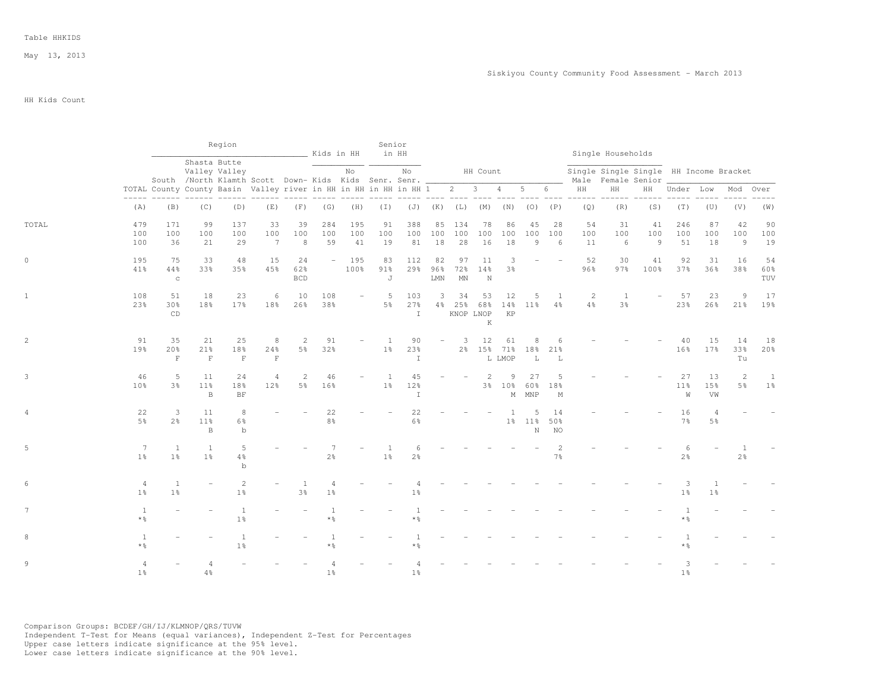## HH Kids Count

|                |                                   |                                |                                                                        | Region                           |                                           | Kids in HH                       |                      |                          | Senior                           | in HH                      |                                               |                                         |                                         |                 |                    |                                |                                  | Single Households                                            |                             |                      |                      |                 |                     |
|----------------|-----------------------------------|--------------------------------|------------------------------------------------------------------------|----------------------------------|-------------------------------------------|----------------------------------|----------------------|--------------------------|----------------------------------|----------------------------|-----------------------------------------------|-----------------------------------------|-----------------------------------------|-----------------|--------------------|--------------------------------|----------------------------------|--------------------------------------------------------------|-----------------------------|----------------------|----------------------|-----------------|---------------------|
|                |                                   |                                | South /North Klamth Scott Down- Kids Kids Senr. Senr. __               | Shasta Butte<br>Valley Valley    |                                           |                                  |                      | No                       |                                  | No                         |                                               |                                         | HH Count                                |                 |                    |                                |                                  | Single Single Single HH Income Bracket<br>Male Female Senior |                             |                      |                      |                 |                     |
|                |                                   |                                | TOTAL County County Basin Valley river in HH in HH in HH in HH 1 2 3 4 |                                  |                                           |                                  |                      |                          |                                  |                            |                                               |                                         |                                         |                 | $5\qquad 6$        |                                | HH                               | HH                                                           |                             | HH Under Low         |                      | Mod             | Over                |
|                | (A)                               | (B)                            | (C)                                                                    | (D)                              | (E)                                       | (F)                              | (G)                  | (H)                      | $(\top)$                         |                            | -- ---- ----<br>$(J)$ $(K)$ $(L)$ $(M)$ $(N)$ |                                         |                                         |                 |                    | $(O)$ $(P)$                    | (Q)                              | (R)                                                          | (S)                         | (T)                  | (U)                  | (V)             | (W)                 |
| TOTAL          | 479<br>100<br>100                 | 171<br>100<br>36               | 99<br>100<br>21                                                        | 137<br>100<br>29                 | 33<br>100<br>$7\phantom{.0}\phantom{.0}7$ | 39<br>100<br>8                   | 284<br>100<br>59     | 195<br>100<br>41         | 91<br>100<br>19                  | 388<br>100<br>81           | 85<br>100<br>18                               | 134<br>100<br>28                        | 78<br>100<br>16                         | 86<br>100<br>18 | 45<br>100<br>9     | 28<br>100<br>6                 | 54<br>100<br>11                  | 31<br>100<br>6                                               | 41<br>100<br>$\overline{9}$ | 246<br>100<br>51     | 87<br>100<br>18      | 42<br>100<br>9  | 90<br>100<br>19     |
| $\circ$        | 195<br>41%                        | 75<br>44%<br>$_{\rm C}$        | 33<br>33%                                                              | 48<br>35%                        | 15<br>45%                                 | 24<br>62%<br><b>BCD</b>          | $\sim$ $-$           | 195<br>100%              | 83<br>$91\%$<br>J                | 112<br>29%                 | 82<br>96%<br>${\rm LMN}$                      | 97<br>72%<br>$\mathop{\rm MN}\nolimits$ | 11<br>14%<br>$\mathbf N$                | 3<br>3%         |                    |                                | 52<br>96%                        | 30<br>97%                                                    | 41<br>100%                  | 92<br>37%            | 31<br>36%            | 16<br>38%       | 54<br>60%<br>TUV    |
| $\mathbf{1}$   | 108<br>23%                        | 51<br>30%<br>CD                | 18<br>18%                                                              | 23<br>17 <sup>8</sup>            | 6<br>18%                                  | 10<br>26%                        | 108<br>38%           | $\overline{\phantom{a}}$ | 5<br>5%                          | 103<br>27%<br>$\mathbb{I}$ | 3<br>4%                                       | 34<br>25%                               | 53<br>68%<br>KNOP LNOP<br>$\mathbbm{K}$ | 12<br>14%<br>KP | 5<br>11%           | $\mathbf{1}$<br>$4\frac{6}{6}$ | $\overline{c}$<br>$4\frac{6}{6}$ | <sup>1</sup><br>3 <sup>°</sup>                               | $\overline{\phantom{a}}$    | 57<br>23%            | 23<br>26%            | 9<br>21%        | 17<br>19%           |
| $\overline{c}$ | 91<br>19%                         | 35<br>20%<br>$\mathbf F$       | 21<br>21%<br>$\mathbf F$                                               | 25<br>18%<br>$\;$ F              | 8<br>24%<br>$\mathbf F$                   | $\overline{c}$<br>$5\frac{6}{9}$ | 91<br>32%            |                          | <sup>1</sup><br>$1\%$            | 90<br>23%<br>$\mathbbm{I}$ |                                               | 3                                       | 12<br>2% 15% 71%                        | 61<br>L LMOP    | 8<br>18%<br>L      | 6<br>21%<br>L                  |                                  |                                                              |                             | 40<br>16%            | 15<br>17%            | 14<br>33%<br>Tu | 18<br>20%           |
| 3              | 46<br>10 <sup>8</sup>             | 5<br>3%                        | 11<br>11%<br>B                                                         | 24<br>18%<br>$\rm{BF}$           | $\overline{4}$<br>12%                     | 2<br>5 <sup>°</sup>              | 46<br>16%            |                          | $\overline{1}$<br>1 <sup>°</sup> | 45<br>12%<br>I             |                                               |                                         | 2                                       | 9<br>3% 10%     | 27<br>60%<br>M MNP | $\overline{5}$<br>18%<br>М     |                                  |                                                              |                             | 27<br>11%<br>W       | 13<br>15%<br>VW      | 2<br>5%         | 1<br>1 <sup>°</sup> |
| 4              | 22<br>5%                          | 3<br>2 <sup>°</sup>            | 11<br>11%<br>B                                                         | 8<br>6%<br>$\,$ b                |                                           |                                  | 22<br>8 <sup>°</sup> |                          |                                  | 22<br>$6\frac{6}{9}$       |                                               |                                         |                                         | 1               | 5<br>1% 11%<br>N   | 14<br>50%<br>NO                |                                  |                                                              |                             | 16<br>$7\frac{6}{6}$ | 4<br>5%              |                 |                     |
| 5              | $7\phantom{.0}$<br>1 <sup>°</sup> | <sup>1</sup><br>1 <sup>°</sup> | <sup>1</sup><br>1 <sup>°</sup>                                         | 5<br>4%<br>$\mathbf b$           |                                           |                                  | $2\frac{6}{9}$       |                          | -1<br>1 <sup>°</sup>             | 6<br>2 <sup>o</sup>        |                                               |                                         |                                         |                 |                    | $\overline{2}$<br>$7\%$        |                                  |                                                              |                             | 6<br>$2\frac{6}{6}$  |                      | 2%              |                     |
| 6              | 4<br>1 <sup>°</sup>               | <sup>1</sup><br>1 <sup>°</sup> | $\overline{\phantom{a}}$                                               | $\overline{c}$<br>$1\frac{6}{6}$ |                                           | 1<br>$3\frac{6}{9}$              | 4<br>$1\frac{6}{6}$  |                          |                                  | 1 <sup>°</sup>             |                                               |                                         |                                         |                 |                    |                                |                                  |                                                              |                             | 3<br>$1\frac{6}{6}$  | -1<br>1 <sup>°</sup> |                 |                     |
| 7              | <sup>1</sup><br>$*$ $\frac{6}{5}$ |                                |                                                                        | 1<br>1 <sup>°</sup>              |                                           |                                  | 1<br>* 응             |                          |                                  | $\mathbf{1}$<br>* 응        |                                               |                                         |                                         |                 |                    |                                |                                  |                                                              |                             | -1<br>* 응            |                      |                 |                     |
| 8              | 1<br>$*$ %                        |                                |                                                                        | 1<br>$1\frac{6}{6}$              |                                           |                                  | $*$ $\frac{6}{9}$    |                          |                                  | * 응                        |                                               |                                         |                                         |                 |                    |                                |                                  |                                                              |                             | * 응                  |                      |                 |                     |
| 9              | $\overline{4}$<br>1 <sup>°</sup>  |                                | 4<br>4%                                                                |                                  |                                           |                                  | 1 <sup>8</sup>       |                          |                                  | 1 <sup>°</sup>             |                                               |                                         |                                         |                 |                    |                                |                                  |                                                              |                             | 3<br>1 <sup>°</sup>  |                      |                 |                     |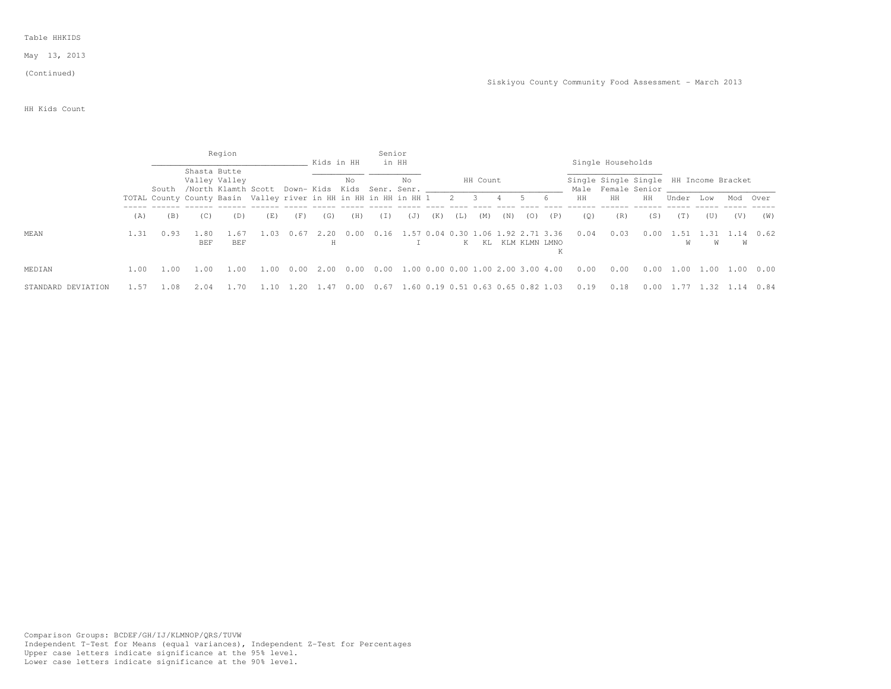May 13, 2013

#### (Continued)

HH Kids Count

|                    |      |      |              | Region                                                                     |      |      | Kids in HH |      | Senior<br>in HH |                                                                                     |     |     |                               |     |     |                   |      | Single Households                                            |      |           |             |           |      |
|--------------------|------|------|--------------|----------------------------------------------------------------------------|------|------|------------|------|-----------------|-------------------------------------------------------------------------------------|-----|-----|-------------------------------|-----|-----|-------------------|------|--------------------------------------------------------------|------|-----------|-------------|-----------|------|
|                    |      |      | Shasta Butte | Valley Valley<br>South /North Klamth Scott Down- Kids Kids Senr. Senr.     |      |      |            | No   |                 | No                                                                                  |     |     | HH Count                      |     |     |                   |      | Single Single Single HH Income Bracket<br>Male Female Senior |      |           |             |           |      |
|                    |      |      |              | TOTAL County County Basin Valley river in HH in HH in HH in HH 1 2 3 4 5 6 |      |      |            |      |                 |                                                                                     |     |     |                               |     |     |                   | HH   | HH                                                           | HH   | Under Low |             | Mod Over  |      |
|                    | (A)  | (B)  | (C)          | (D)                                                                        | (E)  | (F)  | (G)        | (H)  | ( 1 )           | (J)                                                                                 | (K) | (L) | (M)                           | (N) | (0) | (P)               | (0)  | (R)                                                          | (S)  | (T)       | (U)         | (V)       | (W)  |
| MEAN               | 1.31 | 0.93 | BEF          | <b>BEF</b>                                                                 | .03  | 0.67 | 2.20       | 0.00 |                 | 0.16 1.57 0.04 0.30 1                                                               |     |     | K KL KLM KLMN LMNO            |     |     | 06 1.92 2.71 3.36 | 0.04 | 0.03                                                         | 0.00 | 1.51<br>W | . . 31<br>W | 1.14<br>W | 0.62 |
| MEDIAN             | 1.00 | 1.00 | 1.00         | 1.00                                                                       | 1.00 | 0.00 | 2.00       | 0.00 |                 | $0.00 \quad 1.00 \quad 0.00 \quad 0.00 \quad 1.00 \quad 2.00 \quad 3.00 \quad 4.00$ |     |     |                               |     |     |                   | 0.00 | 0.00                                                         | 0.00 | 1.00      | 1.00 1.00   |           | 0.00 |
| STANDARD DEVIATION |      | .08  |              |                                                                            |      |      | .41        | 0.00 | 0.6/            | 1.60                                                                                |     |     | 0.19 0.51 0.63 0.65 0.82 1.03 |     |     |                   | 0.19 | 0.18                                                         | 0.00 |           | .32         |           | 0.84 |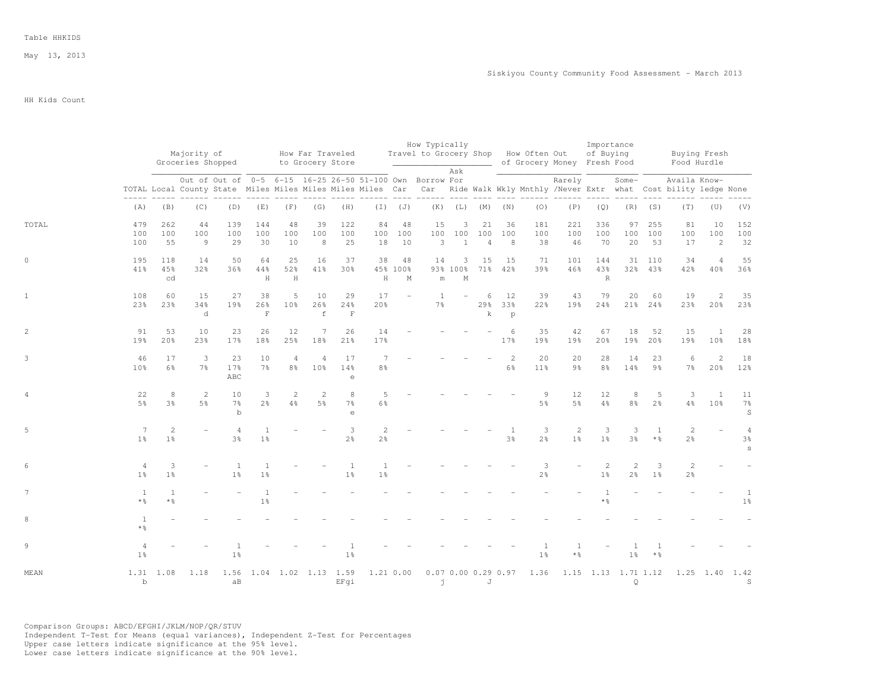May 13, 2013

HH Kids Count

|       |                                  |                      | Majority of<br>Groceries Shopped |                      |                           |                                  |                                  | How Far Traveled<br>to Grocery Store           |                      |                              | How Typically<br>Travel to Grocery Shop How Often Out    |                              |                                  |                    |                     | of Grocery Money Fresh Food | Importance<br>of Buying |                                                                                             |                     | Buying Fresh<br>Food Hurdle                                                                                                                  |                       |                                                  |
|-------|----------------------------------|----------------------|----------------------------------|----------------------|---------------------------|----------------------------------|----------------------------------|------------------------------------------------|----------------------|------------------------------|----------------------------------------------------------|------------------------------|----------------------------------|--------------------|---------------------|-----------------------------|-------------------------|---------------------------------------------------------------------------------------------|---------------------|----------------------------------------------------------------------------------------------------------------------------------------------|-----------------------|--------------------------------------------------|
|       |                                  |                      |                                  |                      |                           |                                  |                                  |                                                |                      |                              | Out of Out of 0-5 6-15 16-25 26-50 51-100 Own Borrow For | Ask                          |                                  |                    |                     | Rarely                      |                         | Some-                                                                                       |                     | Availa Know-<br>TOTAL Local County State Miles Miles Miles Miles Miles Car Car Ride Walk Wkly Mnthly /Never Extr what Cost bility ledge None |                       |                                                  |
|       | (A)                              | (B)                  | (C)                              | (D)                  | (E)                       | (F)                              | (G)                              | (H)                                            |                      | $(I)$ $(J)$                  |                                                          |                              | $(K)$ $(L)$ $(M)$ $(N)$          |                    | (0)                 | (P)                         | (Q)                     | $\begin{array}{cccc} - & - & - & - & - & - \\ & - & - & - & - \\ & & - & - & - \end{array}$ | $(R)$ $(S)$         | (T)                                                                                                                                          | (U)                   | (V)                                              |
| TOTAL | 479<br>100<br>100                | 262<br>100<br>55     | 44<br>100<br>9                   | 139<br>100<br>29     | 144<br>100<br>30          | 48<br>100<br>10                  | 39<br>100<br>8                   | 122<br>100<br>25                               | 84<br>18             | 48<br>100 100<br>10          | 15<br>100<br>$\overline{\mathbf{3}}$                     | 3<br>100<br>$\mathbf{1}$     | 21<br>100<br>$\overline{4}$      | 36<br>100<br>- 8   | 181<br>100<br>38    | 221<br>100<br>46            | 336<br>100<br>70        | 97<br>100<br>20                                                                             | 255<br>100<br>53    | 81<br>100<br>17                                                                                                                              | 10<br>100<br>2        | 152<br>100<br>32                                 |
|       | 195<br>41%                       | 118<br>45%<br>cd     | 14<br>32%                        | 50<br>36%            | 64<br>44%<br>$\, {\rm H}$ | 25<br>52%<br>$\,$ H              | 16<br>41%                        | 37<br>30%                                      | 38<br>$\rm H$        | 48<br>45% 100%<br>$_{\rm M}$ | 14<br>$\mathop{\mathrm{m}}$                              | 3<br>93% 100%<br>$\mathbb M$ | 15                               | 15<br>71% 42%      | 71<br>39%           | 101<br>46%                  | 144<br>43%<br>R         | 31                                                                                          | 110<br>32% 43%      | 34<br>42%                                                                                                                                    | $\overline{4}$<br>40% | 55<br>36%                                        |
|       | 108<br>23%                       | 60<br>23%            | 15<br>34%<br>d                   | 27<br>19%            | 38<br>26%<br>$\mathbf F$  | 5<br>10%                         | 10<br>26%<br>$\,$ f              | 29<br>24%<br>$\mathbf F$                       | 17<br>20%            |                              | 1<br>7%                                                  |                              | 6<br>$\rm k$                     | 12<br>29% 33%<br>p | 39<br>22%           | 43<br>19%                   | 79<br>24%               | 20                                                                                          | 60<br>21% 24%       | 19<br>23%                                                                                                                                    | $\overline{c}$<br>20% | 35<br>23%                                        |
|       | 91<br>19%                        | 53<br>20%            | 10<br>23%                        | 23<br>17%            | 26<br>18%                 | 12<br>25%                        | 7<br>18%                         | 26<br>21%                                      | 14<br>17%            |                              |                                                          |                              |                                  | 6<br>17%           | 35<br>19%           | 42<br>19%                   | 67<br>20%               | 18<br>19%                                                                                   | 52<br>20%           | 15<br>19%                                                                                                                                    | 1<br>10 <sup>°</sup>  | 28<br>18%                                        |
|       | 46<br>10%                        | 17<br>$6\frac{6}{3}$ | 3<br>7 <sup>°</sup>              | 23<br>17%<br>ABC     | 10<br>7 <sup>°</sup>      | $\overline{4}$<br>8 <sup>°</sup> | $\overline{4}$<br>10%            | 17<br>14%<br>$\mathsf{e}% _{t}\left( t\right)$ | 7<br>8 <sup>°</sup>  |                              |                                                          |                              |                                  | 2<br>$6\%$         | 20<br>11%           | 20<br>$9\frac{6}{6}$        | 28<br>8%                | 14<br>14%                                                                                   | 23<br>9%            | 6<br>$7\frac{6}{6}$                                                                                                                          | $\overline{c}$<br>20% | 18<br>12%                                        |
|       | 22<br>5 <sup>°</sup>             | 8<br>3%              | 2<br>5 <sup>°</sup>              | 10<br>$7\%$<br>$b$   | 3<br>$2\frac{6}{6}$       | $\overline{2}$<br>$4\frac{6}{6}$ | $\overline{c}$<br>$5\frac{6}{6}$ | 8<br>7%<br>$\epsilon$                          | 5<br>6%              |                              |                                                          |                              |                                  |                    | 9<br>5 <sup>°</sup> | 12<br>5 <sup>°</sup>        | 12<br>$4\frac{6}{6}$    | 8<br>$8\frac{6}{9}$                                                                         | -5<br>2%            | 3<br>$4\frac{6}{6}$                                                                                                                          | 1<br>10%              | 11<br>$7\frac{6}{6}$<br>$\mathbb S$              |
|       | 7<br>1 <sup>°</sup>              | 2<br>1 <sup>°</sup>  |                                  | $3\frac{6}{9}$       | 1 <sup>°</sup>            |                                  |                                  | 3<br>$2\frac{6}{9}$                            | $\overline{c}$<br>2% |                              |                                                          |                              |                                  | 3%                 | 3<br>$2\frac{6}{6}$ | $\overline{c}$<br>1%        | 3<br>1 <sup>°</sup>     | 3<br>3%                                                                                     | $*$ %               | $\overline{c}$<br>$2\frac{6}{6}$                                                                                                             |                       | $\overline{4}$<br>$3\frac{6}{6}$<br>$\mathtt{s}$ |
|       | $\overline{4}$<br>1 <sup>°</sup> | 3<br>1 <sup>°</sup>  |                                  | -1<br>$1\frac{6}{9}$ | 1 <sup>°</sup>            |                                  |                                  | 1<br>1 <sup>°</sup>                            | 1 <sup>°</sup>       |                              |                                                          |                              |                                  |                    | 3<br>$2\frac{6}{6}$ |                             | 2<br>1 <sup>°</sup>     | 2<br>$2\frac{6}{9}$                                                                         | 3<br>1 <sup>°</sup> | $\sqrt{2}$<br>$2\frac{6}{6}$                                                                                                                 |                       |                                                  |
|       | 1<br>* 응                         | 1<br>$*$ %           |                                  |                      | $1\frac{6}{6}$            |                                  |                                  |                                                |                      |                              |                                                          |                              |                                  |                    |                     |                             | 1<br>$*$ $\frac{6}{6}$  |                                                                                             |                     |                                                                                                                                              |                       | 1<br>1 <sup>°</sup>                              |
|       | 1<br>$*$ $\frac{6}{5}$           |                      |                                  |                      |                           |                                  |                                  |                                                |                      |                              |                                                          |                              |                                  |                    |                     |                             |                         |                                                                                             |                     |                                                                                                                                              |                       |                                                  |
|       | $1\frac{6}{9}$                   |                      |                                  | 1 <sup>°</sup>       |                           |                                  |                                  | 1 <sup>°</sup>                                 |                      |                              |                                                          |                              |                                  |                    | 1 <sup>°</sup>      | * %                         |                         | $1\%$                                                                                       | $*$ $\frac{6}{5}$   |                                                                                                                                              |                       |                                                  |
| MEAN  | $\mathbf b$                      | 1.31 1.08            | 1.18                             | 1.56<br>aB           |                           | 1.04 1.02 1.13 1.59              |                                  | EFqi                                           |                      | 1.21 0.00                    |                                                          | $\vec{J}$                    | $0.07$ $0.00$ $0.29$ $0.97$<br>J |                    | 1.36                |                             |                         | 1.15 1.13 1.71 1.12<br>$\mathsf{Q}$                                                         |                     |                                                                                                                                              | $1.25$ 1.40           | 1.42<br>S                                        |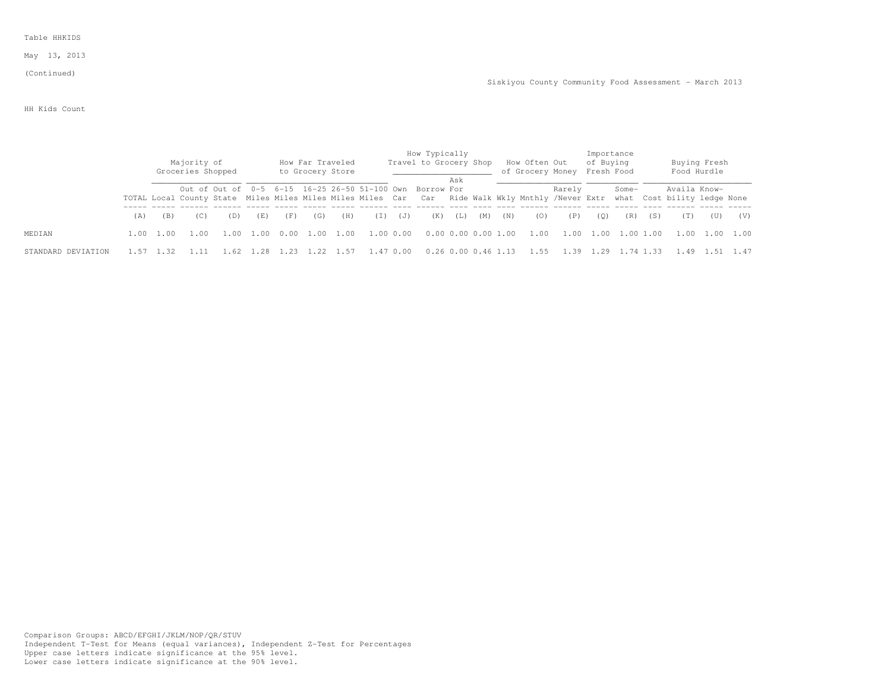May 13, 2013

(Continued)

HH Kids Count

|                    |     |           | Majority of<br>Groceries Shopped |      |      |      |      | How Far Traveled<br>to Grocery Store |           |           | How Typically<br>Travel to Grocery Shop                                                                                                                                                  |     |                     |     | How Often Out<br>of Grocery Money Fresh Food |        | Importance<br>of Buying |           |     | Food Hurdle    | Buying Fresh |     |
|--------------------|-----|-----------|----------------------------------|------|------|------|------|--------------------------------------|-----------|-----------|------------------------------------------------------------------------------------------------------------------------------------------------------------------------------------------|-----|---------------------|-----|----------------------------------------------|--------|-------------------------|-----------|-----|----------------|--------------|-----|
|                    |     |           |                                  |      |      |      |      |                                      |           |           | Out of Out of 0-5 6-15 16-25 26-50 51-100 Own Borrow For<br>TOTAL Local County State Miles Miles Miles Miles Miles Car Car Ride Walk Wkly Mnthly /Never Extr what Cost bility ledge None | Ask |                     |     |                                              | Rarely |                         | Some-     |     | Availa Know-   |              |     |
|                    | (A) | (B)       | (C)                              | (D)  | (E)  | (F)  | (G)  | (H)                                  | (I)       | (J)       | (K)                                                                                                                                                                                      | (L) | (M)                 | (N) | (0)                                          | (P)    | (O)                     | (R)       | (S) |                | (U)          | (V) |
| MEDIAN.            |     | 1.00 1.00 | 1.00                             | 1.00 | 1.00 | 0.00 | 1.00 | 1.00                                 | 1.00 0.00 |           | 0.0000.0000001.00                                                                                                                                                                        |     |                     |     | 1.00                                         | 1.00   | 1.00                    | 1.00 1.00 |     | 1.00 1.00 1.00 |              |     |
| STANDARD DEVIATION |     |           |                                  |      |      |      |      | 1.57                                 |           | 1.47 0.00 |                                                                                                                                                                                          |     | 0.26 0.00 0.46 1.13 |     | - 1.55                                       |        |                         |           |     |                |              |     |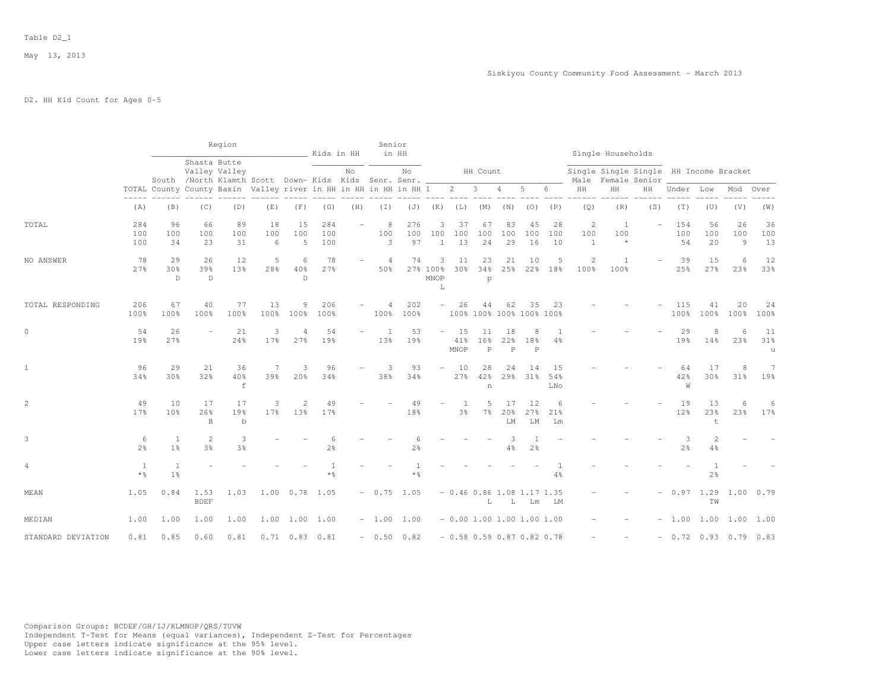May 13, 2013

# D2. HH Kid Count for Ages 0-5

|                    |                                   |                             |                           | Region                                                                 |                      |                              | Kids in HH          |     | Senior                | in HH               |                            |                   |                                           |                           |                                         |                  |                          | Single Households                                            |                          |                       |                              |                             |                 |
|--------------------|-----------------------------------|-----------------------------|---------------------------|------------------------------------------------------------------------|----------------------|------------------------------|---------------------|-----|-----------------------|---------------------|----------------------------|-------------------|-------------------------------------------|---------------------------|-----------------------------------------|------------------|--------------------------|--------------------------------------------------------------|--------------------------|-----------------------|------------------------------|-----------------------------|-----------------|
|                    |                                   |                             | Shasta Butte              | Valley Valley<br>South /North Klamth Scott Down- Kids Kids Senr. Senr. |                      |                              |                     | No  |                       | No                  |                            |                   | HH Count                                  |                           |                                         |                  |                          | Single Single Single HH Income Bracket<br>Male Female Senior |                          |                       |                              |                             |                 |
|                    |                                   |                             |                           | TOTAL County County Basin Valley river in HH in HH in HH in HH 1       |                      |                              |                     |     |                       |                     |                            |                   | $2 \t 3 \t 4$                             |                           | $5 -$                                   | 6                | HH                       | HH                                                           |                          | HH Under Low          |                              | Mod                         | Over            |
|                    | (A)                               | (B)                         | (C)                       | ______________________________<br>(D)                                  | (E)                  | (F)                          | (G)                 | (H) | $(\top)$              |                     | $(J)$ $(K)$ $(L)$ $(M)$    |                   |                                           | (N)                       |                                         | $(O)$ $(P)$      | (Q)                      | (R)                                                          | (S)                      | (T)                   | (U)                          | (V)                         | (W)             |
| TOTAL              | 284<br>100<br>100                 | 96<br>100<br>34             | 66<br>100<br>23           | 89<br>100<br>31                                                        | 18<br>100<br>6       | 15<br>100<br>5               | 284<br>100<br>100   |     | 8<br>100<br>3         | 276<br>100<br>97    | 3<br>100<br>$\mathbf{1}$   | 37<br>100<br>13   | 67<br>100<br>24                           | 83<br>100<br>29           | 45<br>100<br>16                         | 28<br>100<br>10  | 2<br>100<br>$\mathbf{1}$ | $\overline{1}$<br>100<br>$\star$                             | $\overline{\phantom{a}}$ | 154<br>100<br>54      | 56<br>100<br>20              | 26<br>100<br>$\overline{9}$ | 36<br>100<br>13 |
| NO ANSWER          | 78<br>27%                         | 29<br>30 <sub>8</sub><br>D. | 26<br>39%<br>$\mathbb{D}$ | 12<br>13%                                                              | 5<br>28%             | 6<br>40%<br>D.               | 78<br>27%           |     | $\overline{4}$<br>50% | 74                  | 3<br>27% 100%<br>MNOP<br>L | 11<br>30%         | 23<br>34%<br>p                            | 21<br>25%                 | 10                                      | 5<br>22% 18%     | 2<br>100%                | <sup>1</sup><br>100%                                         |                          | 39<br>25%             | 15<br>27%                    | 6<br>23%                    | 12<br>33%       |
| TOTAL RESPONDING   | 206<br>100%                       | 67<br>100%                  | 40<br>100%                | 77<br>100%                                                             | 13<br>100%           | 9<br>100%                    | 206<br>100%         |     | 4<br>100%             | 202<br>100%         | $\overline{\phantom{0}}$   | 26                | 44                                        | 62                        | 35<br>100% 100% 100% 100% 100%          | 23               |                          |                                                              |                          | 115<br>100%           | 41<br>100%                   | 20<br>100%                  | 24<br>100%      |
| $\circ$            | 54<br>19%                         | 26<br>27%                   | $\equiv$                  | 21<br>24%                                                              | 3<br>17%             | 4<br>27%                     | 54<br>19%           |     | $\overline{1}$<br>13% | 53<br>19%           | $\overline{\phantom{a}}$   | 15<br>41%<br>MNOP | 11<br>16 <sup>°</sup><br>$\, {\mathbb P}$ | 18<br>22%<br>$\mathsf{P}$ | 8<br>18%<br>$\mathbf P$                 | -1<br>4%         |                          |                                                              |                          | 29<br>19%             | 8<br>14%                     | 6<br>23%                    | 11<br>31%<br>u  |
| $\mathbf{1}$       | 96<br>34%                         | 29<br>30 <sub>8</sub>       | 21<br>32%                 | 36<br>40%<br>$\mathbf f$                                               | 7<br>39%             | 3<br>20%                     | 96<br>34%           |     | 3<br>38%              | 93<br>34%           | ÷.                         | 10<br>27%         | 28<br>42%<br>$\,$ n                       | 24<br>29%                 | 14<br>31%                               | 15<br>54%<br>LNo |                          |                                                              |                          | 64<br>42%<br>W        | 17<br>30%                    | 8<br>31%                    | 7<br>19%        |
| $\overline{c}$     | 49<br>17 <sup>8</sup>             | 10<br>10 <sub>8</sub>       | 17<br>26%<br>B            | 17<br>19%<br>$\mathbf b$                                               | 3<br>17 <sup>8</sup> | $\mathbf{2}^{\prime}$<br>13% | 49<br>17%           |     |                       | 49<br>18%           |                            | -1<br>3%          | 5<br>$7\%$                                | 17<br>20%<br>LM           | 12<br>27%<br>${\rm LM}$                 | 6<br>21%<br>Lm   |                          |                                                              |                          | 19<br>12 <sub>8</sub> | 13<br>23%<br>$\mathbf t$     | 6<br>23%                    | 6<br>17%        |
| 3                  | 6<br>2.8                          | 1<br>1 <sup>8</sup>         | 2<br>3%                   | 3<br>3%                                                                |                      |                              | 6<br>$2\frac{6}{9}$ |     |                       | 6<br>2 <sup>o</sup> |                            |                   |                                           | 3<br>$4\frac{6}{6}$       | $2\frac{6}{9}$                          |                  |                          |                                                              |                          | 3<br>$2\frac{6}{9}$   | $\mathbf{2}$<br>4%           |                             |                 |
| $\overline{4}$     | $\mathbf{1}$<br>$*$ $\frac{6}{6}$ | 1<br>1 <sup>°</sup>         |                           |                                                                        |                      |                              | $*$ %               |     |                       | $\star$ %           |                            |                   |                                           |                           |                                         | $4\%$            |                          |                                                              |                          |                       | $2\frac{6}{6}$               |                             |                 |
| <b>MEAN</b>        | 1.05                              | 0.84                        | 1.53<br><b>BDEF</b>       | 1.03                                                                   |                      |                              | 1.00 0.78 1.05      |     | $-0.75$ 1.05          |                     |                            |                   | L                                         |                           | $-0.46$ 0.86 1.08 1.17 1.35<br>$L$ $Lm$ | LM               |                          |                                                              |                          |                       | $-0.97$ 1.29 1.00 0.79<br>TW |                             |                 |
| MEDIAN             | 1.00                              | 1.00                        | 1.00                      | 1.00                                                                   |                      |                              | 1.00 1.00 1.00      |     | $-1.00$ 1.00          |                     |                            |                   |                                           |                           | $-0.00$ 1.00 1.00 1.00 1.00             |                  |                          |                                                              |                          |                       | $-1.00$ 1.00 1.00 1.00       |                             |                 |
| STANDARD DEVIATION | 0.81                              | 0.85                        | 0.60                      | 0.81                                                                   |                      | $0.71$ $0.83$ $0.81$         |                     |     | $-0.50$ 0.82          |                     |                            |                   |                                           |                           | $-0.58$ 0.59 0.87 0.82 0.78             |                  |                          |                                                              |                          |                       | $-0.72$ 0.93 0.79 0.83       |                             |                 |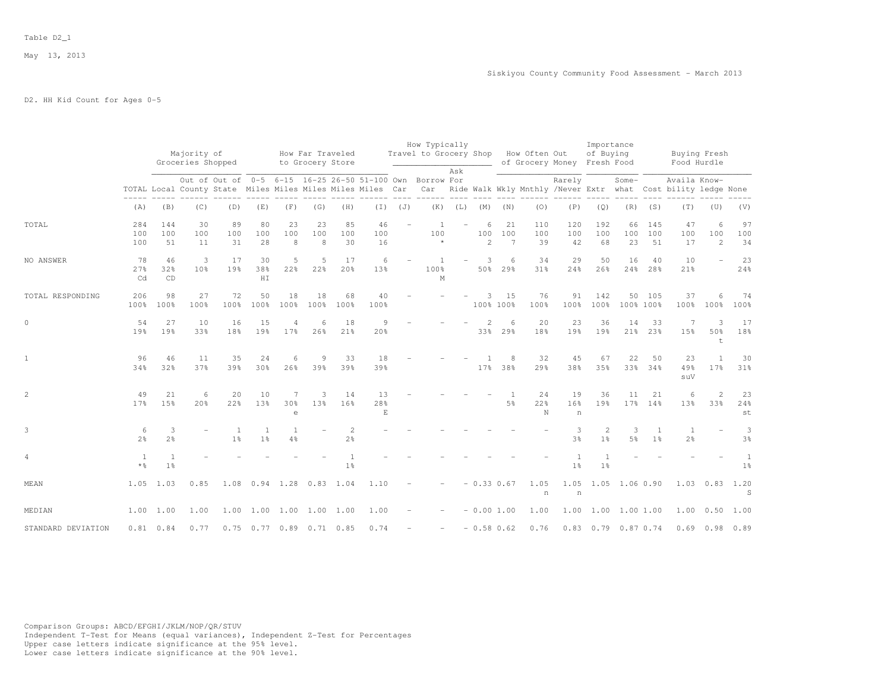May 13, 2013

# D2. HH Kid Count for Ages 0-5

|                    |                                   |                                |                                  |                                                                                                                        |                  |                               |                                      |                       |                 |             | How Typically                        |     |                |                      |                       |                                                                             | Importance                       |                     |                      |                      |                       |                     |
|--------------------|-----------------------------------|--------------------------------|----------------------------------|------------------------------------------------------------------------------------------------------------------------|------------------|-------------------------------|--------------------------------------|-----------------------|-----------------|-------------|--------------------------------------|-----|----------------|----------------------|-----------------------|-----------------------------------------------------------------------------|----------------------------------|---------------------|----------------------|----------------------|-----------------------|---------------------|
|                    |                                   |                                | Majority of<br>Groceries Shopped |                                                                                                                        |                  |                               | How Far Traveled<br>to Grocery Store |                       |                 |             | Travel to Grocery Shop How Often Out |     |                |                      |                       | of Grocery Money Fresh Food                                                 | of Buying                        |                     |                      | Food Hurdle          | Buying Fresh          |                     |
|                    |                                   |                                |                                  |                                                                                                                        |                  |                               |                                      |                       |                 |             |                                      | Ask |                |                      |                       |                                                                             |                                  |                     |                      |                      |                       |                     |
|                    |                                   |                                |                                  | Out of Out of 0-5 6-15 16-25 26-50 51-100 Own Borrow For<br>TOTAL Local County State Miles Miles Miles Miles Miles Car |                  |                               |                                      |                       |                 |             |                                      |     |                |                      |                       | Rarely<br>Car Ride Walk Wkly Mnthly /Never Extr what Cost bility ledge None |                                  | Some-               |                      | Availa Know-         |                       |                     |
|                    | (A)                               | (B)                            | (C)                              | (D)                                                                                                                    | (E)              | (F)                           | (G)                                  | (H)                   |                 | $(J)$ $(J)$ | (K)                                  | (L) | (M)            | (N)                  | (0)                   | (P)                                                                         | (Q)                              | (R)                 | (S)                  | (T)                  | (U)                   | (V)                 |
| TOTAL              | 284<br>100<br>100                 | 144<br>100<br>51               | 30<br>100<br>11                  | 89<br>100<br>31                                                                                                        | 80<br>100<br>28  | 23<br>100<br>8                | 23<br>100<br>8                       | 85<br>100<br>30       | 46<br>100<br>16 |             | $\overline{1}$<br>100<br>$\star$     |     | 6<br>100<br>2  | 21<br>100<br>7       | 110<br>100<br>39      | 120<br>100<br>42                                                            | 192<br>100<br>68                 | 66<br>100<br>23     | 145<br>100<br>51     | 47<br>100<br>17      | 6<br>100<br>2         | 97<br>100<br>34     |
| NO ANSWER          | 78<br>27%<br>Cd                   | 46<br>32%<br>CD                | 3<br>10 <sup>°</sup>             | 17<br>19%                                                                                                              | 30<br>38%<br>H I | 5<br>22%                      | 5<br>22%                             | 17<br>20 <sup>8</sup> | 6<br>13%        |             | 100%<br>$\mathbb M$                  |     | 3<br>50%       | 6<br>29%             | 34<br>31%             | 29<br>24%                                                                   | 50<br>26%                        | 16<br>24%           | 40<br>28%            | 10<br>21%            |                       | 23<br>24%           |
| TOTAL RESPONDING   | 206<br>100%                       | 98<br>100%                     | 27<br>100%                       | 72<br>100%                                                                                                             | 50<br>100%       | 18<br>100%                    | 18<br>100%                           | 68<br>100%            | 40<br>100%      |             |                                      |     | 3<br>100% 100% | 15                   | 76<br>100%            | 91<br>100%                                                                  | 142<br>100%                      | 100% 100%           | 50 105               | 37<br>100%           | 6<br>100%             | 74<br>100%          |
| $\circ$            | 54<br>19%                         | 27<br>19%                      | 10<br>33%                        | 16<br>18%                                                                                                              | 15<br>19%        | 17%                           | 6<br>26%                             | 18<br>21%             | 9<br>20%        |             |                                      |     | 2<br>33%       | 6<br>29%             | 20<br>18%             | 23<br>19%                                                                   | 36<br>19%                        | 14<br>21%           | 33<br>23%            | 15%                  | 3<br>50%<br>t         | 17<br>18%           |
| $\mathbf{1}$       | 96<br>34%                         | 46<br>32%                      | 11<br>37%                        | 35<br>39%                                                                                                              | 24<br>30%        | 6<br>26%                      | 9<br>39%                             | 33<br>39%             | 18<br>39%       |             |                                      |     | 17%            | 8<br>38%             | 32<br>29 <sub>8</sub> | 45<br>38%                                                                   | 67<br>35%                        | 22                  | 50<br>33% 34%        | 23<br>49%<br>suV     | $\overline{1}$<br>17% | 30<br>31%           |
| $\overline{c}$     | 49<br>17%                         | 21<br>15%                      | 6<br>20%                         | 20<br>22%                                                                                                              | 10<br>13%        | 7<br>30 <sup>o</sup><br>$\in$ | 3<br>13%                             | 14<br>16%             | 13<br>28%<br>E  |             |                                      |     |                | $\overline{1}$<br>5% | 24<br>22%<br>N        | 19<br>16%<br>n                                                              | 36<br>19%                        | 11<br>17%           | 21<br>14%            | 6<br>13 <sup>8</sup> | 2<br>33%              | 23<br>24%<br>st     |
| 3                  | 6<br>2 <sup>°</sup>               | 3<br>2 <sup>°</sup>            |                                  | 1 <sup>°</sup>                                                                                                         | 1 <sup>°</sup>   | 4%                            |                                      | $\overline{2}$<br>2%  |                 |             |                                      |     |                |                      |                       | 3<br>3%                                                                     | $\overline{2}$<br>1 <sup>°</sup> | 3<br>5%             | -1<br>1 <sup>°</sup> | 1<br>$2\frac{6}{6}$  |                       | 3<br>3 <sup>°</sup> |
| $\overline{4}$     | $\mathbf{1}$<br>$*$ $\frac{6}{5}$ | $\mathbf{1}$<br>$1\frac{6}{6}$ |                                  |                                                                                                                        |                  |                               |                                      | 1 <sup>°</sup>        |                 |             |                                      |     |                |                      |                       | 1 <sup>°</sup>                                                              | 1 <sup>°</sup>                   |                     |                      |                      |                       | $\mathbf{1}$<br>1%  |
| MEAN               | 1.05                              | 1.03                           | 0.85                             |                                                                                                                        |                  |                               | 1.08  0.94  1.28  0.83  1.04         |                       | 1.10            |             |                                      |     | $-0.33 0.67$   |                      | 1.05<br>n             | 1.05<br>n                                                                   |                                  | 1.05 1.06 0.90      |                      | 1.03 0.83            |                       | 1.20<br>S           |
| MEDIAN             |                                   | 1.00 1.00                      | 1.00                             | 1.00                                                                                                                   |                  |                               | 1.00 1.00 1.00                       | 1.00                  | 1.00            |             |                                      |     | $-0.001.00$    |                      | 1.00                  | 1.00                                                                        | 1.00                             | 1.00 1.00           |                      | 1.00                 | 0.50                  | 1.00                |
| STANDARD DEVIATION |                                   | $0.81$ $0.84$                  | 0.77                             |                                                                                                                        |                  |                               | 0.75 0.77 0.89 0.71 0.85             |                       | 0.74            |             |                                      |     |                | $-0.58$ 0.62         | 0.76                  |                                                                             |                                  | 0.83 0.79 0.87 0.74 |                      |                      | $0.69$ $0.98$ $0.89$  |                     |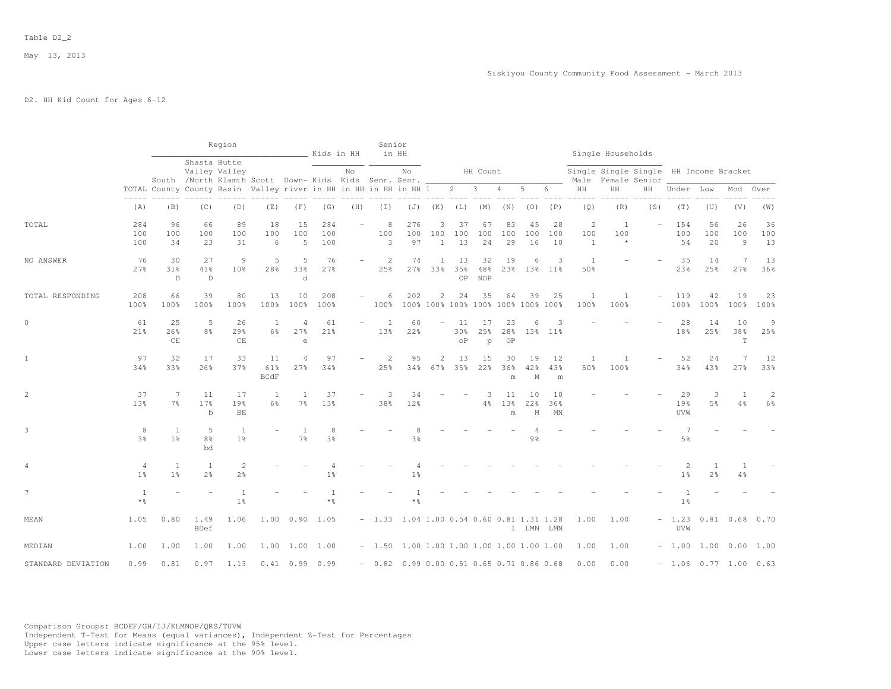May 13, 2013

# D2. HH Kid Count for Ages 6-12

|                    |                     |                                |                                                                         | Region                           |                          |                       | Kids in HH              |                          | Senior                                     | in HH            |                          |                        |                         |                 |                                          |                 |                                       | Single Households                                            |        |                                  |                        |                |                                  |
|--------------------|---------------------|--------------------------------|-------------------------------------------------------------------------|----------------------------------|--------------------------|-----------------------|-------------------------|--------------------------|--------------------------------------------|------------------|--------------------------|------------------------|-------------------------|-----------------|------------------------------------------|-----------------|---------------------------------------|--------------------------------------------------------------|--------|----------------------------------|------------------------|----------------|----------------------------------|
|                    |                     |                                | Shasta Butte<br>South /North Klamth Scott Down- Kids Kids Senr. Senr. _ | Valley Valley                    |                          |                       |                         | No                       |                                            | No               |                          |                        | HH Count                |                 |                                          |                 |                                       | Single Single Single HH Income Bracket<br>Male Female Senior |        |                                  |                        |                |                                  |
|                    |                     |                                | TOTAL County County Basin Valley river in HH in HH in HH in HH 1        |                                  |                          |                       |                         |                          |                                            |                  |                          | $2^{\circ}$            | 3                       | $\overline{4}$  | 5                                        | 6               | HH                                    | HH                                                           | HН     | Under Low                        |                        | Mod            | Over                             |
|                    | (A)                 | (B)                            | (C)                                                                     | (D)                              | (E)                      | (F)                   | (G)                     | (H)                      | (I)                                        |                  | $(J)$ $(K)$              | $(L)$ $(M)$            |                         | (N)             | (0)                                      | (P)             | (Q)                                   | (R)                                                          | (S)    | (T)                              | (U)                    | (V)            | (W)                              |
| TOTAL              | 284<br>100<br>100   | 96<br>100<br>34                | 66<br>100<br>23                                                         | 89<br>100<br>31                  | 18<br>100<br>6           | 15<br>100<br>5        | 284<br>100<br>100       |                          | 8<br>100<br>3                              | 276<br>100<br>97 | 3<br>100<br>$\mathbf{1}$ | 37<br>100<br>13        | 67<br>100<br>24         | 83<br>100<br>29 | 45<br>100<br>16                          | 28<br>100<br>10 | $\overline{c}$<br>100<br>$\mathbf{1}$ | 1<br>100<br>$\star$                                          |        | 154<br>100<br>54                 | 56<br>100<br>20        | 26<br>100<br>9 | 36<br>100<br>13                  |
| NO ANSWER          | 76<br>27%           | 30<br>31%<br>$\mathbb D$       | 27<br>41%<br>$\mathbb D$                                                | 9<br>10%                         | 5<br>28%                 | 5<br>33%<br>d         | 76<br>27%               |                          | 2<br>25%                                   | 74<br>27%        | $\mathbf{1}$<br>33%      | 13<br>35%<br>OP        | 32<br>48%<br><b>NOP</b> | 19<br>23%       | 6<br>13%                                 | 3<br>$11\%$     | $\overline{1}$<br>50%                 |                                                              |        | 35<br>23%                        | 14<br>25%              | 7<br>27%       | 13<br>36%                        |
| TOTAL RESPONDING   | 208<br>100%         | 66<br>100%                     | 39<br>100%                                                              | 80<br>100%                       | 13<br>100%               | 10<br>100%            | 208<br>100%             |                          | 6<br>100%                                  | 202              | $\overline{c}$           | 24                     | 35                      | 64              | 39<br>100% 100% 100% 100% 100% 100% 100% | 25              | 1<br>100%                             | 1<br>100%                                                    | $\sim$ | 119<br>100%                      | 42<br>100%             | 19<br>100%     | 23<br>100%                       |
| $\circ$            | 61<br>21%           | 25<br>26%<br>CE                | 5<br>8 <sup>°</sup>                                                     | 26<br>29%<br>CE                  | <sup>1</sup><br>$6\%$    | 4<br>27%<br>e         | 61<br>21%               | $\overline{\phantom{a}}$ | 1<br>13%                                   | 60<br>22%        | ÷.                       | 11<br>30%<br>$\circ$ P | 17<br>25%<br>p          | 23<br>28%<br>OP | 6                                        | 3<br>13% 11%    |                                       |                                                              |        | 28<br>18%                        | 14<br>25%              | 10<br>38%<br>T | 9<br>25%                         |
| $\mathbf{1}$       | 97<br>34%           | 32<br>33%                      | 17<br>26%                                                               | 33<br>37%                        | 11<br>61%<br><b>BCdF</b> | $\overline{4}$<br>27% | 97<br>34%               |                          | 2<br>25%                                   | 95<br>34%        | 2<br>67%                 | 13<br>35%              | 15<br>22%               | 30<br>36%<br>m  | 19<br>42%<br>$\mathbb M$                 | 12<br>43%<br>m  | $\overline{1}$<br>50%                 | $\overline{1}$<br>100%                                       |        | 52<br>34%                        | 24<br>43%              | 27%            | 12<br>33%                        |
| $\overline{c}$     | 37<br>13%           | 7<br>7 <sup>°</sup>            | 11<br>17%<br>$\mathbf b$                                                | 17<br>19%<br>$\rm BE$            | 1<br>6%                  | -1<br>$7\frac{6}{9}$  | 37<br>13%               |                          | 3<br>38%                                   | 34<br>12%        |                          |                        | 3<br>4%                 | 11<br>13%<br>m  | 10<br>22%<br>М                           | 10<br>36%<br>MN |                                       |                                                              |        | 29<br>19%<br>UVW                 | 3<br>5%                | 1<br>4%        | $\overline{c}$<br>$6\frac{6}{9}$ |
| 3                  | 8<br>3 <sup>°</sup> | 1<br>1 <sup>°</sup>            | 5<br>8 <sup>°</sup><br>bd                                               | -1<br>1 <sup>°</sup>             |                          | -1<br>7 <sup>°</sup>  | 8<br>$3\frac{6}{9}$     |                          |                                            | 3 <sup>o</sup>   |                          |                        |                         |                 | 9 <sub>8</sub>                           |                 |                                       |                                                              |        | 7<br>$5\frac{6}{9}$              |                        |                |                                  |
| 4                  | 4<br>1 <sup>°</sup> | $\mathbf{1}$<br>1 <sup>8</sup> | $\mathbf{1}$<br>2 <sup>o</sup>                                          | $\overline{2}$<br>2 <sup>°</sup> |                          |                       | 1 <sup>8</sup>          |                          |                                            | 1 <sup>°</sup>   |                          |                        |                         |                 |                                          |                 |                                       |                                                              |        | $\overline{c}$<br>1 <sup>°</sup> | $2\frac{6}{6}$         | 4%             |                                  |
| 7                  | 1<br>$*$ %          |                                | ÷,                                                                      | $\overline{1}$<br>1 <sup>°</sup> |                          |                       | $\overline{1}$<br>$*$ % |                          |                                            | 1<br>$*$ %       |                          |                        |                         |                 |                                          |                 |                                       |                                                              |        | 1<br>1 <sup>°</sup>              |                        |                |                                  |
| MEAN               | 1.05                | 0.80                           | 1.49<br><b>BDef</b>                                                     | 1.06                             | 1.00                     |                       | 0.90 1.05               |                          | $-1.33$ 1.04 1.00 0.54 0.60 0.81 1.31 1.28 |                  |                          |                        |                         |                 | 1 LMN LMN                                |                 | 1.00                                  | 1.00                                                         |        | $-1.23$<br>UVW                   |                        | $0.81$ $0.68$  | 0.70                             |
| MEDIAN             | 1.00                | 1.00                           | 1.00                                                                    | 1.00                             |                          |                       | 1.00 1.00 1.00          |                          | $-1.50$ 1.00 1.00 1.00 1.00 1.00 1.00 1.00 |                  |                          |                        |                         |                 |                                          |                 | 1.00                                  | 1.00                                                         |        |                                  | $-1.00$ 1.00 0.00      |                | 1.00                             |
| STANDARD DEVIATION | 0.99                | 0.81                           | 0.97                                                                    | 1.13                             |                          | $0.41$ 0.99           | 0.99                    |                          | $-0.82$ 0.99 0.00 0.51 0.65 0.71 0.86 0.68 |                  |                          |                        |                         |                 |                                          |                 | 0.00                                  | 0.00                                                         |        |                                  | $-1.06$ 0.77 1.00 0.63 |                |                                  |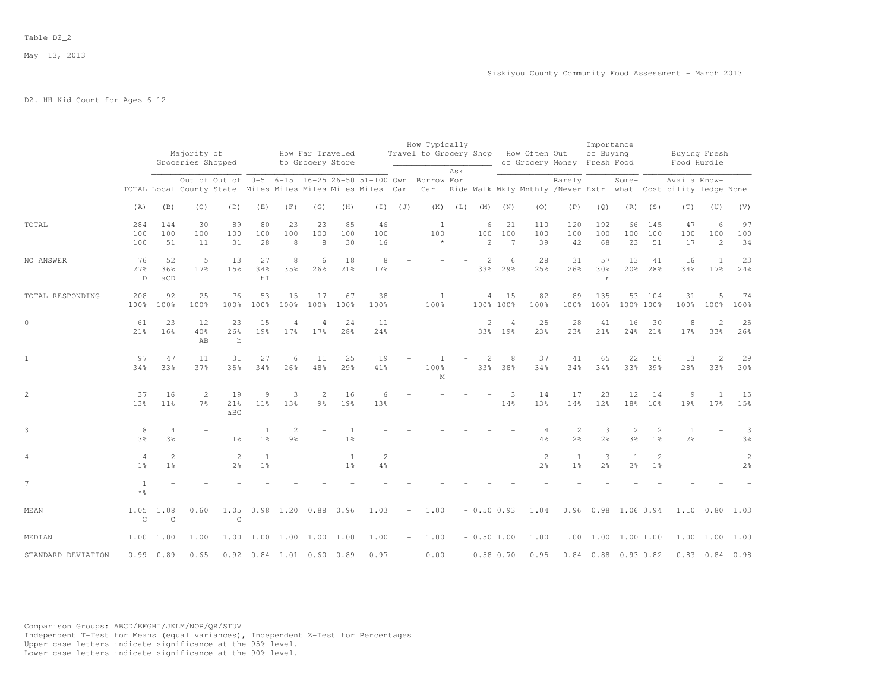May 13, 2013

# D2. HH Kid Count for Ages 6-12

|                    |                                   |                                  | Majority of<br>Groceries Shopped |                                                                                                                                                                                    |                                |                                  | How Far Traveled<br>to Grocery Store |                     |                 |                          | How Typically<br>Travel to Grocery Shop How Often Out | Ask         |               |                 |                                  | of Grocery Money Fresh Food    | Importance<br>of Buying  |                                |                                  | Food Hurdle                    | Buying Fresh          |                                  |
|--------------------|-----------------------------------|----------------------------------|----------------------------------|------------------------------------------------------------------------------------------------------------------------------------------------------------------------------------|--------------------------------|----------------------------------|--------------------------------------|---------------------|-----------------|--------------------------|-------------------------------------------------------|-------------|---------------|-----------------|----------------------------------|--------------------------------|--------------------------|--------------------------------|----------------------------------|--------------------------------|-----------------------|----------------------------------|
|                    |                                   |                                  |                                  | Out of Out of 0-5 6-15 16-25 26-50 51-100 Own Borrow For<br>TOTAL Local County State Miles Miles Miles Miles Car Car Ride Walk Wkly Mnthly /Never Extr what Cost bility ledge None |                                |                                  |                                      |                     |                 |                          |                                                       |             |               |                 |                                  | Rarely                         |                          | Some-                          |                                  | Availa Know-                   |                       |                                  |
|                    | (A)                               | (B)                              | (C)                              | (D)                                                                                                                                                                                | (E)                            | (F)                              | (G)                                  | (H)                 | $(\top)$        | (J)                      |                                                       | $(K)$ $(L)$ |               | $(M)$ $(N)$     | (0)                              | (P)                            | (Q)                      | (R)                            | (S)                              | (T)                            | (U)                   | (V)                              |
| TOTAL              | 284<br>100<br>100                 | 144<br>100<br>51                 | 30<br>100<br>11                  | 89<br>100<br>31                                                                                                                                                                    | 80<br>100<br>28                | 23<br>100<br>8                   | 23<br>100<br>8                       | 85<br>100<br>30     | 46<br>100<br>16 |                          | $\overline{1}$<br>100<br>$\star$                      |             | 6<br>100<br>2 | 21<br>100<br>7  | 110<br>100<br>39                 | 120<br>100<br>42               | 192<br>100<br>68         | 66<br>100<br>23                | 145<br>100<br>51                 | 47<br>100<br>17                | 6<br>100<br>2         | 97<br>100<br>34                  |
| NO ANSWER          | 76<br>27%<br>D                    | 52<br>36%<br>aCD                 | 5<br>17%                         | 13<br>15%                                                                                                                                                                          | 27<br>34%<br>hI                | 8<br>35%                         | 6<br>26%                             | 18<br>21%           | 8<br>17%        |                          |                                                       |             | 2<br>33%      | 6<br>29%        | 28<br>25%                        | 31<br>26%                      | 57<br>30%<br>$\mathbf r$ | 13<br>20%                      | 41<br>28 <sup>8</sup>            | 16<br>34%                      | 1<br>17%              | 23<br>24%                        |
| TOTAL RESPONDING   | 208<br>100%                       | 92<br>100%                       | 25<br>100%                       | 76<br>100%                                                                                                                                                                         | 53<br>100%                     | 15<br>100%                       | 17<br>100%                           | 67<br>100%          | 38<br>100%      |                          | $\overline{1}$<br>100%                                |             | 4             | 15<br>100% 100% | 82<br>100%                       | 89<br>100%                     | 135<br>100%              | 100% 100%                      | 53 104                           | 31<br>100%                     | 5<br>100%             | 74<br>100%                       |
| $\circ$            | 61<br>21%                         | 23<br>16%                        | 12<br>40%<br>AB                  | 23<br>26%<br>$\mathbf b$                                                                                                                                                           | 15<br>19 <sub>8</sub>          | 4<br>17%                         | $17$ %                               | 24<br>28%           | 11<br>24%       |                          |                                                       |             | 33%           | 19%             | 25<br>23%                        | 28<br>23%                      | 41<br>21%                | 16<br>24%                      | 30<br>21%                        | 8<br>17%                       | $\overline{c}$<br>33% | 25<br>26%                        |
| $\mathbf{1}$       | 97<br>34%                         | 47<br>33%                        | 11<br>37%                        | 31<br>35%                                                                                                                                                                          | 27<br>34%                      | 6<br>26%                         | 11<br>48%                            | 25<br>29%           | 19<br>41%       |                          | $\overline{1}$<br>100%<br>M                           |             | 2<br>33%      | 8<br>38%        | 37<br>34%                        | 41<br>34%                      | 65<br>34%                | 22                             | 56<br>33% 39%                    | 13<br>28%                      | 2<br>33%              | 29<br>30%                        |
| $\overline{c}$     | 37<br>13%                         | 16<br>$11\%$                     | 2<br>7 <sup>°</sup>              | 19<br>21%<br>aBC                                                                                                                                                                   | 9<br>$11\%$                    | 3<br>13%                         | 2<br>$9\frac{6}{6}$                  | 16<br>19%           | 6<br>13%        |                          |                                                       |             |               | 3<br>14%        | 14<br>13%                        | 17<br>14%                      | 23<br>12%                | 12                             | 14<br>18% 10%                    | $\overline{9}$<br>19%          | $\overline{1}$<br>17% | 15<br>15%                        |
| 3                  | 8<br>3 <sup>°</sup>               | $\overline{4}$<br>3%             |                                  | $\mathbf{1}$<br>1 <sup>°</sup>                                                                                                                                                     | 1<br>1 <sup>°</sup>            | $\overline{2}$<br>$9\frac{6}{6}$ |                                      | 1<br>1 <sup>°</sup> |                 |                          |                                                       |             |               |                 | $\overline{4}$<br>$4\frac{6}{6}$ | 2<br>$2\frac{6}{6}$            | 3<br>2 <sup>o</sup>      | 2<br>3 <sup>°</sup>            | $\overline{2}$<br>1 <sup>°</sup> | <sup>1</sup><br>$2\frac{6}{9}$ |                       | 3<br>3 <sup>°</sup>              |
| 4                  | $\overline{4}$<br>$1\frac{6}{9}$  | $\overline{c}$<br>1 <sup>°</sup> |                                  | $\mathbf{2}$<br>2 <sup>o</sup>                                                                                                                                                     | $\mathbf{1}$<br>1 <sup>°</sup> |                                  |                                      | 1<br>1 <sup>°</sup> | 2<br>4%         |                          |                                                       |             |               |                 | $\mathbf{2}$<br>2 <sup>°</sup>   | $\mathbf{1}$<br>1 <sup>°</sup> | 3<br>2 <sup>°</sup>      | <sup>1</sup><br>2 <sup>o</sup> | $\mathbf{2}$<br>1 <sup>°</sup>   |                                |                       | $\overline{c}$<br>2 <sup>o</sup> |
| $7\phantom{.}$     | $\mathbf{1}$<br>$*$ $\frac{6}{5}$ |                                  |                                  |                                                                                                                                                                                    |                                |                                  |                                      |                     |                 |                          |                                                       |             |               |                 |                                  |                                |                          |                                |                                  |                                |                       |                                  |
| MEAN               | 1.05<br>$\mathsf C$               | 1.08<br>$\mathcal{C}$            | 0.60                             | 1.05<br>$\mathsf C$                                                                                                                                                                |                                |                                  | 0.98 1.20 0.88 0.96                  |                     | 1.03            | $\overline{\phantom{a}}$ | 1.00                                                  |             | $-0.50$ 0.93  |                 | 1.04                             |                                |                          | 0.96 0.98 1.06 0.94            |                                  |                                | $1.10 \t 0.80$        | 1.03                             |
| MEDIAN             | 1.00                              | 1.00                             | 1.00                             |                                                                                                                                                                                    |                                |                                  | 1.00 1.00 1.00 1.00 1.00             |                     | 1.00            | $\overline{\phantom{a}}$ | 1.00                                                  |             | $-0.50$ 1.00  |                 | 1.00                             |                                |                          | 1.00 1.00 1.00 1.00            |                                  |                                |                       | 1.00 1.00 1.00                   |
| STANDARD DEVIATION |                                   | 0.99 0.89                        | 0.65                             |                                                                                                                                                                                    |                                |                                  | $0.92$ $0.84$ 1.01 0.60 0.89         |                     | 0.97            | $\overline{\phantom{m}}$ | 0.00                                                  |             | $-0.58$ 0.70  |                 | 0.95                             |                                |                          | $0.84$ $0.88$ $0.93$ $0.82$    |                                  |                                |                       | $0.83$ $0.84$ $0.98$             |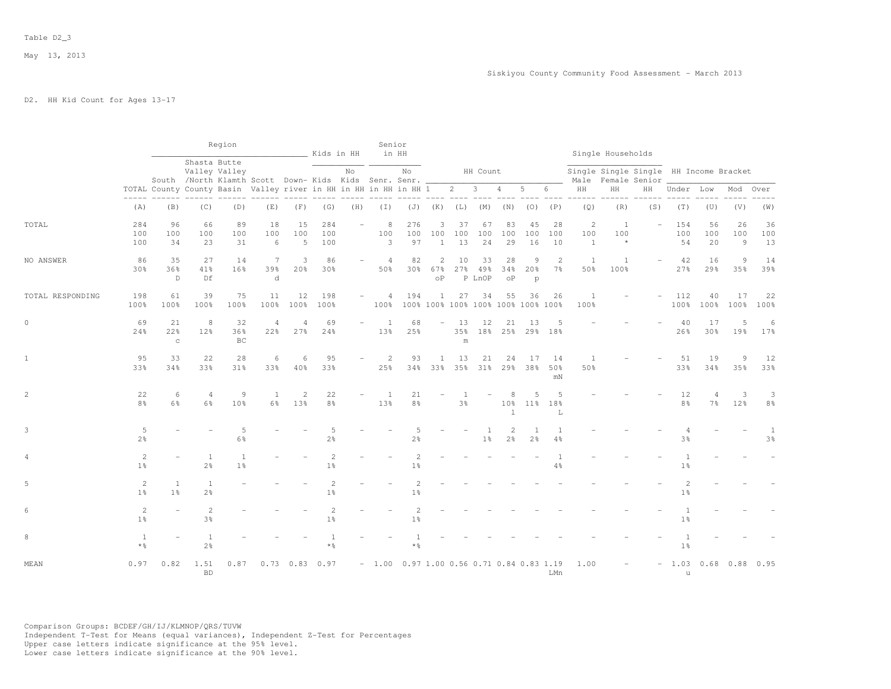# D2. HH Kid Count for Ages 13-17

|                  |                                   |                                                                      |                                  | Region                                                                                 |                       |                      | Kids in HH                       |                          | Senior<br>in HH                            |                                           |                          |                                  |                         |                                      |                                      |                      |                          | Single Households                                            |                          |                                  |                      |                             |                                |
|------------------|-----------------------------------|----------------------------------------------------------------------|----------------------------------|----------------------------------------------------------------------------------------|-----------------------|----------------------|----------------------------------|--------------------------|--------------------------------------------|-------------------------------------------|--------------------------|----------------------------------|-------------------------|--------------------------------------|--------------------------------------|----------------------|--------------------------|--------------------------------------------------------------|--------------------------|----------------------------------|----------------------|-----------------------------|--------------------------------|
|                  |                                   |                                                                      |                                  | Shasta Butte<br>Valley Valley<br>South /North Klamth Scott Down- Kids Kids Senr. Senr. |                       |                      |                                  | No                       |                                            | No                                        |                          |                                  | HH Count                |                                      |                                      |                      |                          | Single Single Single HH Income Bracket<br>Male Female Senior |                          |                                  |                      |                             |                                |
|                  |                                   | TOTAL County County Basin Valley river in HH in HH in HH in HH 1 2 3 |                                  |                                                                                        |                       |                      |                                  |                          |                                            |                                           |                          |                                  |                         | $\overline{4}$                       | 5                                    | 6                    | $\rm{HH}$                | HH                                                           | HH                       | Under Low                        |                      | Mod                         | Over                           |
|                  | $- - - - -$<br>(A)                | (B)                                                                  | (C)                              | (D)                                                                                    | (E)                   | (F)                  | (G)                              | (H)                      | $(\top)$                                   | (J)                                       | (K)                      | (L)                              | (M)                     | (N)                                  | (0)                                  | (P)                  | (Q)                      | (R)                                                          | (S)                      | (T)                              | (U)                  | (V)                         | (W)                            |
| TOTAL            | 284<br>100<br>100                 | 96<br>100<br>34                                                      | 66<br>100<br>23                  | 89<br>100<br>31                                                                        | 18<br>100<br>6        | 15<br>100<br>5       | 284<br>100<br>100                | $\equiv$                 | 8<br>100<br>3                              | 276<br>100<br>97                          | 3<br>100<br>$\mathbf{1}$ | 37<br>100<br>13                  | 67<br>100<br>24         | 83<br>100<br>29                      | 45<br>100<br>16                      | 28<br>100<br>10      | 2<br>100<br><sup>1</sup> | <sup>1</sup><br>100<br>$\star$                               | $\overline{\phantom{a}}$ | 154<br>100<br>54                 | 56<br>100<br>20      | 26<br>100<br>$\overline{9}$ | 36<br>100<br>13                |
| NO ANSWER        | 86<br>30%                         | 35<br>36%<br>D                                                       | 27<br>41%<br>Df                  | 14<br>16%                                                                              | 7<br>39%<br>d         | 3<br>20%             | 86<br>30%                        |                          | $\overline{4}$<br>50%                      | 82<br>30%                                 | 2<br>67%<br>οP           | 10                               | 33<br>27% 49%<br>P LnOP | 28<br>34%<br>οP                      | 9<br>20 <sub>8</sub><br>$\mathsf{p}$ | 2<br>7 <sup>°</sup>  | 1<br>50%                 | 1<br>100%                                                    |                          | 42<br>27%                        | 16<br>29%            | 9<br>35%                    | 14<br>39%                      |
| TOTAL RESPONDING | 198<br>100%                       | 61<br>100%                                                           | 39<br>100%                       | 75<br>100%                                                                             | 11<br>100%            | 12<br>100%           | 198<br>100%                      | $\overline{\phantom{a}}$ | $\overline{4}$<br>100%                     | 194<br>100% 100% 100% 100% 100% 100% 100% | $\mathbf{1}$             | 27                               | 34                      | 55                                   | 36                                   | 26                   | $\overline{1}$<br>100%   |                                                              |                          | 112<br>100%                      | 40<br>100%           | 17<br>100%                  | 22<br>100%                     |
| $\mathbb O$      | 69<br>24%                         | 21<br>22%<br>$\rm ^c$                                                | 8<br>12%                         | 32<br>36%<br>BC                                                                        | $\overline{4}$<br>22% | $\Delta$<br>27%      | 69<br>24%                        |                          | $\overline{1}$<br>13%                      | 68<br>25%                                 | $\equiv$                 | 13<br>35%<br>${\rm m}$           | 12<br>18%               | 21                                   | 13<br>25% 29% 18%                    | -5                   |                          |                                                              |                          | 40<br>26%                        | 17<br>30%            | 5<br>19%                    | 6<br>17%                       |
| $\mathbf{1}$     | 95<br>33%                         | 33<br>34%                                                            | 22<br>33%                        | 28<br>31%                                                                              | 6<br>33%              | 6<br>40%             | 95<br>33%                        |                          | $\overline{c}$<br>25%                      | 93<br>34%                                 | -1<br>33%                | 13                               | 21<br>35% 31%           | 24                                   | 17<br>29% 38%                        | 14<br>50%<br>mN      | $\overline{1}$<br>50%    |                                                              |                          | 51<br>33%                        | 19<br>34%            | 9<br>35%                    | 12<br>33%                      |
| 2                | 22<br>8 <sup>°</sup>              | 6<br>6%                                                              | $\overline{4}$<br>6%             | 9<br>10 <sup>8</sup>                                                                   | 1<br>$6\%$            | 2<br>13%             | 22<br>8 <sup>°</sup>             | $\overline{a}$           | 1<br>13 <sup>8</sup>                       | 21<br>8 <sup>°</sup>                      |                          | $\overline{1}$<br>3 <sup>°</sup> |                         | 8<br>10 <sup>8</sup><br>$\mathbf{1}$ | 5<br>11%                             | 5<br>18%<br>L        |                          |                                                              |                          | 12<br>$8\frac{6}{9}$             | $\overline{4}$<br>7% | 3<br>12%                    | 3<br>8 <sup>°</sup>            |
| 3                | 5<br>2 <sup>°</sup>               |                                                                      |                                  | -5<br>6%                                                                               |                       |                      | 5<br>2 <sup>°</sup>              |                          |                                            | 5<br>$2\frac{6}{6}$                       |                          |                                  | 1<br>1%                 | $\overline{2}$<br>$2\frac{6}{6}$     | 1<br>2 <sup>°</sup>                  | $\overline{1}$<br>4% |                          |                                                              |                          | $\overline{4}$<br>3 <sup>°</sup> |                      |                             | $\mathbf{1}$<br>3 <sup>°</sup> |
| 4                | 2<br>1 <sup>°</sup>               |                                                                      | 1<br>2.8                         | 1<br>1 <sup>°</sup>                                                                    |                       |                      | 1 <sup>°</sup>                   |                          |                                            | 1 <sup>°</sup>                            |                          |                                  |                         |                                      |                                      | 4%                   |                          |                                                              |                          | 1 <sup>°</sup>                   |                      |                             |                                |
| 5                | 2<br>1 <sup>8</sup>               | 1<br>1 <sup>8</sup>                                                  | <sup>1</sup><br>2 <sup>°</sup>   |                                                                                        |                       |                      | $\overline{2}$<br>1 <sup>°</sup> |                          |                                            | $\overline{2}$<br>1 <sup>°</sup>          |                          |                                  |                         |                                      |                                      |                      |                          |                                                              |                          | 2<br>1 <sup>°</sup>              |                      |                             |                                |
| 6                | 2<br>1 <sup>°</sup>               |                                                                      | $\overline{2}$<br>3%             |                                                                                        |                       |                      | $\overline{c}$<br>$1\frac{6}{9}$ |                          |                                            | 2<br>$1\frac{6}{6}$                       |                          |                                  |                         |                                      |                                      |                      |                          |                                                              |                          | <sup>1</sup><br>1 <sup>°</sup>   |                      |                             |                                |
| 8                | $\mathbf{1}$<br>$*$ $\frac{6}{5}$ |                                                                      | $\overline{1}$<br>2 <sup>o</sup> |                                                                                        |                       |                      | $*$ %                            |                          |                                            | * %                                       |                          |                                  |                         |                                      |                                      |                      |                          |                                                              |                          | 1 <sup>°</sup>                   |                      |                             |                                |
| MEAN             | 0.97                              | 0.82                                                                 | 1.51<br><b>BD</b>                | 0.87                                                                                   |                       | $0.73$ $0.83$ $0.97$ |                                  |                          | $-1.00$ 0.97 1.00 0.56 0.71 0.84 0.83 1.19 |                                           |                          |                                  |                         |                                      |                                      | LMn                  | 1.00                     |                                                              |                          | $-1.03$<br>$\mathbf u$           |                      | $0.68$ $0.88$               | 0.95                           |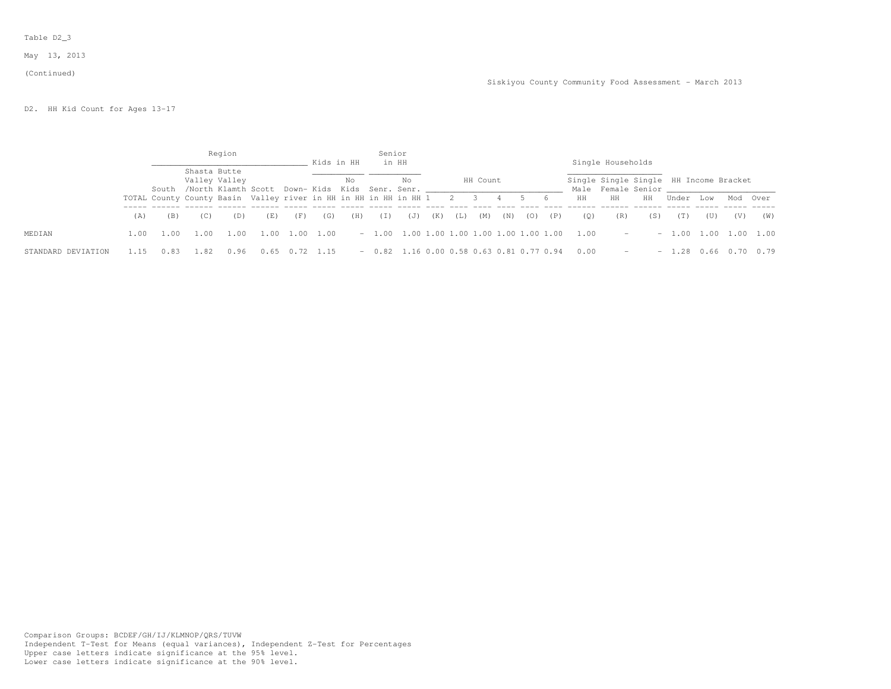May 13, 2013

#### (Continued)

D2. HH Kid Count for Ages 13-17

|                    |      |                                                                      |              | Region                                                                |      |      | Kids in HH  |     | Senior<br>in HH                            |     |     |     |          |     |     |     |      | Single Households                                                           |     |         |           |          |      |
|--------------------|------|----------------------------------------------------------------------|--------------|-----------------------------------------------------------------------|------|------|-------------|-----|--------------------------------------------|-----|-----|-----|----------|-----|-----|-----|------|-----------------------------------------------------------------------------|-----|---------|-----------|----------|------|
|                    |      |                                                                      | Shasta Butte | Valley Valley<br>South /North Klamth Scott Down-Kids Kids Senr. Senr. |      |      |             | No  |                                            | No  |     |     | HH Count |     |     |     |      | Single Single Single HH Income Bracket<br>Male Female Senior and the Senior |     |         |           |          |      |
|                    |      | TOTAL County County Basin Valley river in HH in HH in HH in HH 1 2 3 |              |                                                                       |      |      |             |     |                                            |     |     |     |          | 4   | 56  |     | HH   | HH                                                                          | HH  | Under   | Low       | Mod Over |      |
|                    | (A)  | (B)                                                                  | (C)          | (D)                                                                   | (E)  | (F)  | (G)         | (H) | (I)                                        | (J) | (K) | (L) | (M)      | (N) | (0) | (P) | (0)  | (R)                                                                         | (S) | (T)     | (U)       | (V)      | (W)  |
| MEDIAN             | 1.00 | 1.00                                                                 | 1.00         | 1.00                                                                  | 00   | 1.00 | 1.00        |     |                                            |     |     |     |          |     |     |     |      | <b>Service</b> Service                                                      |     | $-1.00$ | 1.00 1.00 |          | 1.00 |
| STANDARD DEVIATION | 1.15 |                                                                      |              |                                                                       | 0.65 |      | $0.72$ 1.15 |     | $-0.82$ 1.16 0.00 0.58 0.63 0.81 0.77 0.94 |     |     |     |          |     |     |     | 0.00 | $\sim$                                                                      |     | $-1.28$ | 0.66      |          | 0.79 |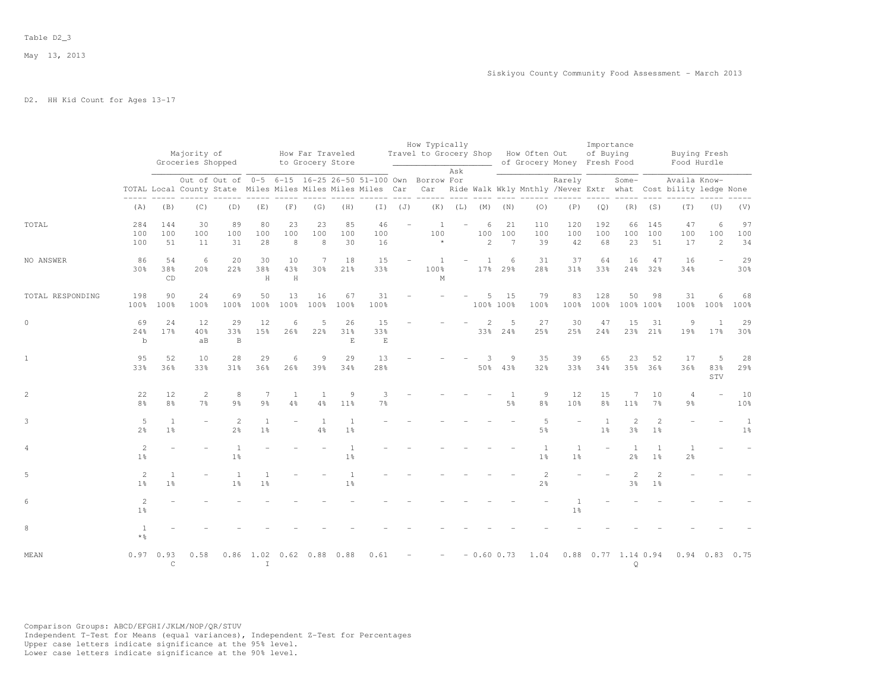# D2. HH Kid Count for Ages 13-17

|                  |                                     |                                | Majority of<br>Groceries Shopped |                                                                                                                        |                                |                | How Far Traveled<br>to Grocery Store |                                  |                          |     | How Typically<br>Travel to Grocery Shop How Often Out | Ask   |                          |                             |                                  | of Grocery Money Fresh Food      | Importance<br>of Buying |                                |                     | Buying Fresh<br>Food Hurdle                                                       |                       |                                |
|------------------|-------------------------------------|--------------------------------|----------------------------------|------------------------------------------------------------------------------------------------------------------------|--------------------------------|----------------|--------------------------------------|----------------------------------|--------------------------|-----|-------------------------------------------------------|-------|--------------------------|-----------------------------|----------------------------------|----------------------------------|-------------------------|--------------------------------|---------------------|-----------------------------------------------------------------------------------|-----------------------|--------------------------------|
|                  |                                     |                                |                                  | Out of Out of 0-5 6-15 16-25 26-50 51-100 Own Borrow For<br>TOTAL Local County State Miles Miles Miles Miles Miles Car |                                |                |                                      |                                  |                          |     |                                                       | $---$ |                          |                             |                                  | Rarely                           |                         | Some-                          |                     | Availa Know-<br>Car Ride Walk Wkly Mnthly /Never Extr what Cost bility ledge None |                       |                                |
|                  | (A)                                 | (B)                            | (C)                              | (D)                                                                                                                    | (E)                            | (F)            | (G)                                  | (H)                              | (I)                      | (J) | (K)                                                   |       | $(L)$ $(M)$ $(N)$        |                             | (0)                              | (P)                              | (Q)                     | (R)                            | (S)                 | (T)                                                                               | (U)                   | (V)                            |
| TOTAL            | 284<br>100<br>100                   | 144<br>100<br>51               | 30<br>100<br>11                  | 89<br>100<br>31                                                                                                        | 80<br>100<br>28                | 23<br>100<br>8 | 23<br>100<br>8                       | 85<br>100<br>30                  | 46<br>100<br>16          |     | $\overline{1}$<br>100<br>$\star$                      |       | 6<br>100<br>$\mathbf{2}$ | 21<br>100<br>$\overline{7}$ | 110<br>100<br>39                 | 120<br>100<br>42                 | 192<br>100<br>68        | 66<br>100<br>23                | 145<br>100<br>51    | 47<br>100<br>17                                                                   | 6<br>100<br>2         | 97<br>100<br>34                |
| NO ANSWER        | 86<br>30%                           | 54<br>38%<br>CD                | - 6<br>20 <sub>8</sub>           | 20<br>22%                                                                                                              | 30<br>38%<br>H                 | 10<br>43%<br>H | 7<br>30 <sup>8</sup>                 | 18<br>21%                        | 15<br>33%                |     | 1<br>100%<br>$\mathbb M$                              |       | 1<br>17 <sub>8</sub>     | 6<br>29%                    | 31<br>28%                        | 37<br>31%                        | 64<br>33%               | 16                             | 47<br>24% 32%       | 16<br>34%                                                                         |                       | 29<br>30%                      |
| TOTAL RESPONDING | 198<br>100%                         | 90<br>100%                     | 24<br>100%                       | 69<br>100%                                                                                                             | 50<br>100%                     | 13<br>100%     | 16<br>100%                           | 67<br>100%                       | 31<br>100%               |     |                                                       |       | 5                        | 15<br>100% 100%             | 79<br>100%                       | 83<br>100%                       | 128<br>100%             | 50                             | 98<br>100% 100%     | 31<br>100%                                                                        | 6<br>100%             | 68<br>100%                     |
| $\circ$          | 69<br>24%<br>$\mathbf b$            | 24<br>17%                      | 12<br>40%<br>aB                  | 29<br>33%<br>$\mathbf B$                                                                                               | 12<br>15%                      | 6<br>26%       | 5<br>22%                             | 26<br>31%<br>E                   | 15<br>33%<br>$\mathbf E$ |     |                                                       |       | 2                        | 5<br>33% 24%                | 27<br>25%                        | 30<br>25%                        | 47<br>24%               | 15<br>23%                      | 31<br>21%           | 9<br>19%                                                                          | $\overline{1}$<br>17% | 29<br>30%                      |
| $\mathbf{1}$     | 95<br>33%                           | 52<br>36%                      | 10<br>33%                        | 28<br>31%                                                                                                              | 29<br>36%                      | 6<br>26%       | 9<br>39%                             | 29<br>34%                        | 13<br>28%                |     |                                                       |       | 3<br>50%                 | 9<br>43%                    | 35<br>32%                        | 39<br>33%                        | 65<br>34%               | 23                             | 52<br>35% 36%       | 17<br>36%                                                                         | 5<br>83%<br>STV       | 28<br>29%                      |
| 2                | 22<br>8 <sup>8</sup>                | 12<br>8 <sup>o</sup>           | 2<br>7 <sup>8</sup>              | 8<br>9 <sub>8</sub>                                                                                                    | 7<br>9 <sub>8</sub>            | 1<br>4%        | 1<br>4%                              | 9<br>11 <sup>8</sup>             | 3<br>7%                  |     |                                                       |       |                          | $\overline{1}$<br>5%        | 9<br>8 <sup>°</sup>              | 12<br>10 <sup>8</sup>            | 15<br>8 <sup>°</sup>    | 7<br>11 <sup>°</sup>           | 10<br>7%            | $\overline{4}$<br>$9\frac{6}{6}$                                                  |                       | 10<br>10%                      |
| 3                | 5<br>2 <sup>°</sup>                 | $\mathbf{1}$<br>1 <sup>°</sup> |                                  | 2<br>2 <sup>o</sup>                                                                                                    | <sup>1</sup><br>1 <sup>°</sup> |                | $\overline{1}$<br>$4\%$              | 1<br>1 <sup>°</sup>              |                          |     |                                                       |       |                          |                             | 5<br>$5\frac{6}{9}$              | $\equiv$                         | 1<br>1 <sup>°</sup>     | 2<br>3 <sup>°</sup>            | 2<br>1 <sup>°</sup> |                                                                                   |                       | $\mathbf{1}$<br>$1\frac{6}{6}$ |
| 4                | 2<br>$1\%$                          |                                |                                  | $\mathbf{1}$<br>$1\frac{6}{6}$                                                                                         |                                |                |                                      | $\overline{1}$<br>1 <sup>°</sup> |                          |     |                                                       |       |                          |                             | 1<br>1 <sup>°</sup>              | <sup>1</sup><br>1 <sup>°</sup>   |                         | <sup>1</sup><br>2 <sup>°</sup> | 1<br>1 <sup>°</sup> | 1<br>$2\frac{6}{9}$                                                               |                       |                                |
| 5                | 2<br>1 <sup>°</sup>                 | $\mathbf{1}$<br>1 <sup>°</sup> |                                  | $\mathbf{1}$<br>$1\frac{6}{9}$                                                                                         | 1 <sup>°</sup>                 |                |                                      | $\mathbf{1}$<br>1 <sup>°</sup>   |                          |     |                                                       |       |                          |                             | $\overline{c}$<br>$2\frac{6}{6}$ |                                  |                         | $\mathbf{2}$<br>3 <sup>°</sup> | 2<br>1 <sup>°</sup> |                                                                                   |                       |                                |
| 6                | 2<br>1 <sup>°</sup>                 |                                |                                  |                                                                                                                        |                                |                |                                      |                                  |                          |     |                                                       |       |                          |                             |                                  | $\overline{1}$<br>1 <sup>°</sup> |                         |                                |                     |                                                                                   |                       |                                |
| 8                | $\overline{1}$<br>$*$ $\frac{6}{5}$ |                                |                                  |                                                                                                                        |                                |                |                                      |                                  |                          |     |                                                       |       |                          |                             |                                  |                                  |                         |                                |                     |                                                                                   |                       |                                |
| MEAN             |                                     | 0.970.93<br>$\mathsf{C}$       | 0.58                             | 0.86                                                                                                                   | $\mathbb{I}$                   |                | 1.02 0.62 0.88 0.88                  |                                  | 0.61                     |     |                                                       |       |                          | $-0.60$ 0.73                | 1.04                             |                                  | 0.88 0.77 1.14 0.94     | $\circ$                        |                     |                                                                                   | $0.94$ 0.83           | 0.75                           |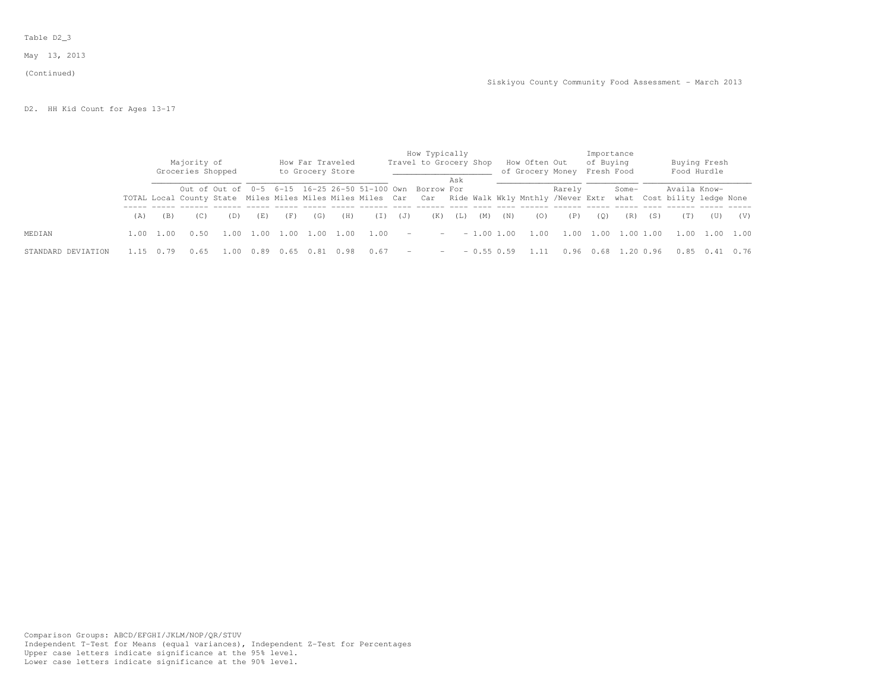May 13, 2013

#### (Continued)

D2. HH Kid Count for Ages 13-17

|                    |     |           | Majority of<br>Groceries Shopped |      |      |      |      | How Far Traveled<br>to Grocery Store |      |        | How Typically<br>Travel to Grocery Shop                                                                                                                                            |                          |              |     | How Often Out<br>of Grocery Money Fresh Food |        | Importance<br>of Buying |        |         |              | Buying Fresh<br>Food Hurdle |      |
|--------------------|-----|-----------|----------------------------------|------|------|------|------|--------------------------------------|------|--------|------------------------------------------------------------------------------------------------------------------------------------------------------------------------------------|--------------------------|--------------|-----|----------------------------------------------|--------|-------------------------|--------|---------|--------------|-----------------------------|------|
|                    |     |           |                                  |      |      |      |      |                                      |      |        | Out of Out of 0-5 6-15 16-25 26-50 51-100 Own Borrow For<br>TOTAL Local County State Miles Miles Miles Miles Car Car Ride Walk Wkly Mnthly /Never Extr what Cost bility ledge None | Ask                      |              |     |                                              | Rarely |                         | Some-  |         | Availa Know- |                             |      |
|                    | (A) | (B)       | (C)                              | (D)  | (E)  | (F)  | (G)  | (H)                                  | (I)  | (J)    | (K)                                                                                                                                                                                | (L)                      | (M)          | (N) | (0)                                          | (P)    | (0)                     | (R)    | (S)     | (T)          | (U)                         | (V)  |
| MEDIAN             |     | 1.00 1.00 | 0.50                             | .00. | 1.00 | 1.00 | 1.00 | 1.00                                 | 1.00 | $\sim$ |                                                                                                                                                                                    | <b>Contract Contract</b> | $-1.00$ 1.00 |     | 1.00                                         | 1.00   | 1.00                    |        | .001.00 |              | 1.00 1.00 1.00              |      |
| STANDARD DEVIATION |     |           | 0.65                             | . 00 | 0.89 |      |      |                                      | 0.67 | $\sim$ | $\sim$                                                                                                                                                                             |                          | $-0.55$ 0.59 |     |                                              | 0.96   |                         | . . 20 | 0.96    |              | $0.85$ $0.41$               | 0.76 |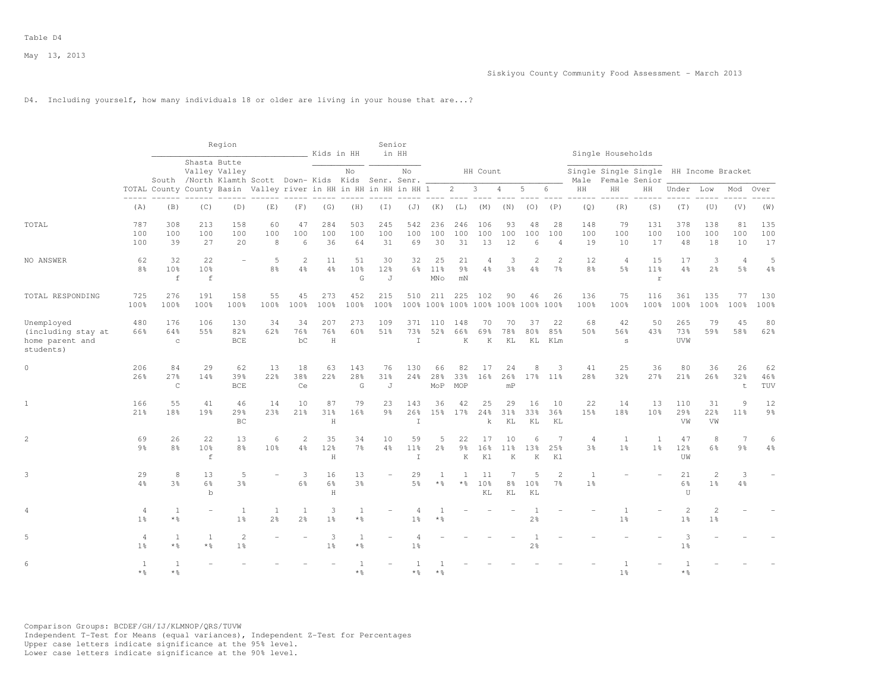# D4. Including yourself, how many individuals 18 or older are living in your house that are...?

|                                                                  |                                  |                                   |                                                                       | Region                    |                     |                     | Kids in HH               |                            | Senior<br>in HH            |                                  |                              |                                           |                      |                           |                      |                                  |                                  | Single Households                |                                        |                                  |                                  |                       |                      |
|------------------------------------------------------------------|----------------------------------|-----------------------------------|-----------------------------------------------------------------------|---------------------------|---------------------|---------------------|--------------------------|----------------------------|----------------------------|----------------------------------|------------------------------|-------------------------------------------|----------------------|---------------------------|----------------------|----------------------------------|----------------------------------|----------------------------------|----------------------------------------|----------------------------------|----------------------------------|-----------------------|----------------------|
|                                                                  |                                  |                                   | Shasta Butte<br>South /North Klamth Scott Down- Kids Kids Senr. Senr. | Valley Valley             |                     |                     |                          | No                         |                            | No                               |                              |                                           | HH Count             |                           |                      |                                  | Male                             |                                  | Single Single Single<br>Female Senior  |                                  | HH Income Bracket                |                       |                      |
|                                                                  |                                  |                                   | TOTAL County County Basin Valley river in HH in HH in HH in HH 1      |                           |                     |                     |                          |                            |                            |                                  |                              | $2^{\circ}$                               | $\mathbf{3}$         | $\overline{4}$            | 5                    | 6                                | HH                               | HH                               | HH                                     | Under                            | Low                              | Mod                   | Over                 |
|                                                                  | $- - - - -$<br>(A)               | (B)                               | (C)                                                                   | (D)                       | (E)                 | (F)                 | (G)                      | (H)                        | $(\bot)$                   | (J)                              | (K)                          | (L)                                       | (M)                  | (N)                       | (0)                  | (P)                              | (Q)                              | (R)                              | (S)                                    | (T)                              | (U)                              | (V)                   | (W)                  |
| TOTAL                                                            | 787<br>100<br>100                | 308<br>100<br>39                  | 213<br>100<br>27                                                      | 158<br>100<br>20          | 60<br>100<br>8      | 47<br>100<br>6      | 284<br>100<br>36         | 503<br>100<br>64           | 245<br>100<br>31           | 542<br>100<br>69                 | 236<br>100<br>30             | 246<br>100<br>31                          | 106<br>100<br>13     | 93<br>100<br>12           | 48<br>100<br>6       | 28<br>100<br>$\overline{4}$      | 148<br>100<br>19                 | 79<br>100<br>10                  | 131<br>100<br>17                       | 378<br>100<br>48                 | 138<br>100<br>18                 | 81<br>100<br>10       | 135<br>100<br>17     |
| NO ANSWER                                                        | 62<br>8 <sup>°</sup>             | 32<br>10 <sup>8</sup><br>$\,$ f   | 22<br>10 <sup>8</sup><br>$\mathtt{f}$                                 |                           | 5<br>8 <sup>°</sup> | 2<br>4%             | 11<br>4%                 | 51<br>10 <sup>8</sup><br>G | 30<br>12 <sub>8</sub><br>J | 32<br>6%                         | 25<br>11%<br>MN <sub>O</sub> | 21<br>9 <sup>8</sup><br>mN                | $\overline{4}$<br>4% | 3<br>3%                   | $\overline{2}$<br>4% | $\mathcal{L}$<br>7 <sup>°</sup>  | 12<br>8 <sup>°</sup>             | $\overline{4}$<br>5 <sup>8</sup> | 15<br>11 <sup>8</sup><br>$\mathbbm{r}$ | 17<br>4%                         | 3<br>2 <sup>°</sup>              | $\overline{4}$<br>.5% | 5<br>$4\%$           |
| TOTAL RESPONDING                                                 | 725<br>100%                      | 276<br>100%                       | 191<br>100%                                                           | 158<br>100%               | 55<br>100%          | 45<br>100%          | 273<br>100%              | 452<br>100%                | 215<br>100%                | 510                              | 211                          | 225<br>100% 100% 100% 100% 100% 100% 100% | 102                  | 90                        | 46                   | 26                               | 136<br>100%                      | 75<br>100%                       | 116<br>100%                            | 361<br>100%                      | 135<br>100%                      | 77<br>100%            | 130<br>100%          |
| Unemployed<br>(including stay at<br>home parent and<br>students) | 480<br>66%                       | 176<br>64%<br>$\rm _C$            | 106<br>55%                                                            | 130<br>82%<br><b>BCE</b>  | 34<br>62%           | 34<br>76%<br>bC     | 207<br>76%<br>H          | 273<br>60%                 | 109<br>51%                 | 371<br>73%<br>$\mathbb{I}$       | 110<br>52%                   | 148<br>66%<br>K                           | 70<br>69%<br>K       | 70<br>78%<br>KL           | 37<br>80%<br>ΚL      | 22<br>85%<br>KLm                 | 68<br>50%                        | 42<br>56%<br>s                   | 50<br>43%                              | 265<br>73%<br>UVW                | 79<br>59%                        | 45<br>58%             | 80<br>62%            |
| $\circ$                                                          | 206<br>26%                       | 84<br>27%<br>$\mathsf{C}$         | 29<br>14%                                                             | 62<br>39%<br>$_{\rm BCE}$ | 13<br>22%           | 18<br>38%<br>Ce     | 63<br>22%                | 143<br>28%<br>G            | 76<br>31%<br>J             | 130<br>24%                       | 66<br>28%<br>MoP             | 82<br>33%<br>MOP                          | 17<br>16%            | 24<br>26%<br>mP           | 8                    | 3<br>17% 11%                     | 41<br>28 <sup>8</sup>            | 25<br>32%                        | 36<br>27%                              | 80<br>21%                        | 36<br>26%                        | 26<br>32%<br>t        | 62<br>46%<br>TUV     |
| $\mathbf{1}$                                                     | 166<br>21%                       | 55<br>18%                         | 41<br>19%                                                             | 46<br>29%<br>BC           | 14<br>23%           | 10<br>21%           | 87<br>31%<br>$\mathbf H$ | 79<br>16%                  | 23<br>9 <sub>8</sub>       | 143<br>26%<br>$\mathbb{I}$       | 36<br>15%                    | 42<br>17%                                 | 25<br>24%<br>k       | 29<br>31%<br>KL           | 16<br>33%<br>KL      | 10<br>36%<br>KL                  | 22<br>15%                        | 14<br>18%                        | 13<br>10 <sup>8</sup>                  | 110<br>29%<br>VW                 | 31<br>22%<br>VW                  | 9<br>11%              | 12<br>$9\frac{6}{9}$ |
| $\overline{2}$                                                   | 69<br>9 <sub>8</sub>             | 26<br>8 <sup>°</sup>              | 22<br>10%<br>$\mathbf f$                                              | 13<br>8 <sup>°</sup>      | 6<br>10%            | 2<br>4%             | 35<br>12%<br>$\mathbf H$ | 34<br>$7\frac{6}{6}$       | 10<br>$4\frac{6}{6}$       | 59<br>$11\%$<br>$\mathbb{I}$     | 5<br>$2\frac{6}{9}$          | 22<br>$9\frac{6}{6}$<br>K                 | 17<br>16%<br>K1      | 10<br>$11\%$<br>K         | 6<br>13%<br>K        | 7<br>25%<br>K1                   | $\overline{4}$<br>3 <sup>°</sup> | <sup>1</sup><br>1 <sup>°</sup>   | 1<br>1 <sup>°</sup>                    | 47<br>12%<br>UW                  | 8<br>6%                          | $\overline{7}$<br>9%  | 6<br>4%              |
| 3                                                                | 29<br>4%                         | 8<br>3%                           | 13<br>$6\%$<br>$\mathbf b$                                            | 5<br>3%                   |                     | 3<br>6%             | 16<br>6%<br>$\mathbf H$  | 13<br>3 <sup>8</sup>       | ÷.                         | 29<br>5 <sup>9</sup>             | 1<br>$*$ %                   | $\overline{1}$<br>$*$ $\frac{6}{5}$       | 11<br>10%<br>ΚL      | 7<br>$8\frac{6}{6}$<br>KL | 5<br>10%<br>KL       | $\overline{2}$<br>7 <sup>°</sup> | $\mathbf{1}$<br>1 <sup>°</sup>   |                                  |                                        | 21<br>6%<br>U                    | $\mathbf{2}$<br>1 <sup>°</sup>   | 3<br>4%               |                      |
|                                                                  | 4<br>1 <sup>°</sup>              | 1<br>$*$ %                        | ÷                                                                     | 1<br>1 <sup>°</sup>       | 1<br>2 <sup>o</sup> | 1<br>2 <sup>°</sup> | 3<br>1 <sup>°</sup>      | 1<br>$\star$ %             |                            | $\overline{4}$<br>1 <sup>8</sup> | $*$ &                        |                                           |                      |                           | -1<br>$2\frac{6}{9}$ |                                  |                                  | 1<br>1 <sup>°</sup>              |                                        | $\overline{c}$<br>1 <sup>°</sup> | $\overline{2}$<br>1 <sup>°</sup> |                       |                      |
| 5                                                                | $\overline{4}$<br>1 <sup>8</sup> | $\mathbf{1}$<br>$*$ $\frac{6}{5}$ | 1<br>$*$ $\frac{6}{5}$                                                | 2<br>1 <sup>°</sup>       |                     |                     | 3<br>1 <sup>°</sup>      | $\overline{1}$<br>$*$ %    |                            | 1 <sup>°</sup>                   |                              |                                           |                      |                           | $2\frac{6}{9}$       |                                  |                                  |                                  |                                        | 1 <sup>°</sup>                   |                                  |                       |                      |
| 6                                                                | <sup>1</sup><br>$*$ %            | $\overline{1}$<br>$*$ &           |                                                                       |                           |                     |                     |                          | $*$ %                      |                            | * ÷                              |                              |                                           |                      |                           |                      |                                  |                                  | 1 <sup>°</sup>                   |                                        | $*$ %                            |                                  |                       |                      |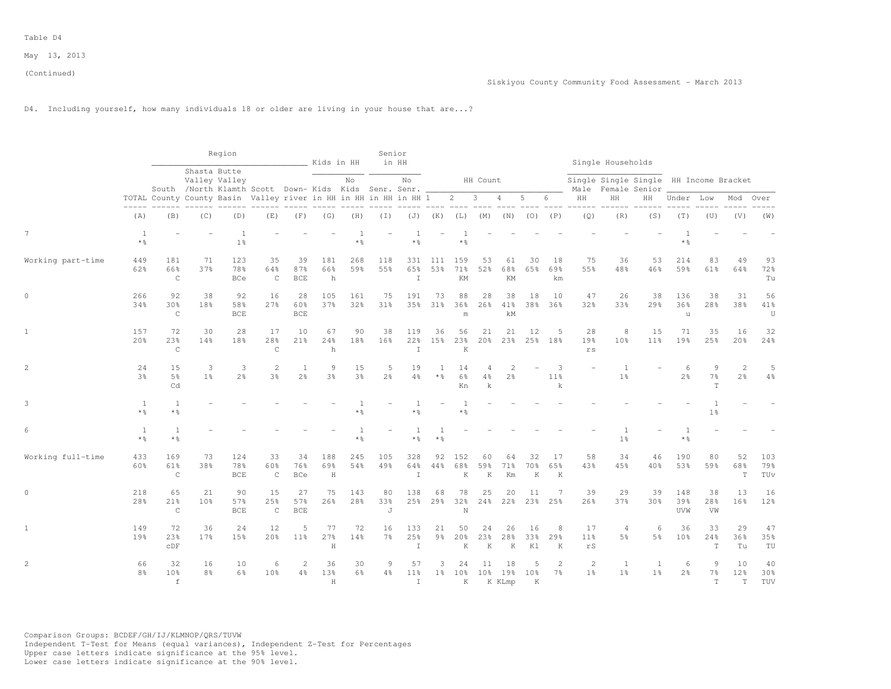# D4. Including yourself, how many individuals 18 or older are living in your house that are...?

|                   |                         |                            |                      | Region                                                                 |                            |                                | Kids in HH                       |            | Senior              | in HH                        |                       |                            |                        |                            |                      |                                  |                                               | Single Households                                       |                       |                       |                          |                                                                                                                                                                                                                                                                                                                                                                                                                                              |                   |
|-------------------|-------------------------|----------------------------|----------------------|------------------------------------------------------------------------|----------------------------|--------------------------------|----------------------------------|------------|---------------------|------------------------------|-----------------------|----------------------------|------------------------|----------------------------|----------------------|----------------------------------|-----------------------------------------------|---------------------------------------------------------|-----------------------|-----------------------|--------------------------|----------------------------------------------------------------------------------------------------------------------------------------------------------------------------------------------------------------------------------------------------------------------------------------------------------------------------------------------------------------------------------------------------------------------------------------------|-------------------|
|                   |                         |                            | Shasta Butte         | Valley Valley<br>South /North Klamth Scott Down- Kids Kids Senr. Senr. |                            |                                |                                  | No         |                     | No                           |                       |                            | HH Count               |                            |                      |                                  | Male                                          | Single Single Single HH Income Bracket<br>Female Senior |                       |                       |                          |                                                                                                                                                                                                                                                                                                                                                                                                                                              |                   |
|                   |                         |                            |                      | TOTAL County County Basin Valley river in HH in HH in HH in HH 1       |                            |                                |                                  |            |                     |                              |                       | $2 \t 3$                   |                        | $\overline{4}$             | 5                    | 6                                | $\rm{HH}$                                     | HH                                                      | HH                    | Under Low             |                          | Mod                                                                                                                                                                                                                                                                                                                                                                                                                                          | Over              |
|                   | (A)                     | (B)                        | (C)                  | (D)                                                                    | (E)                        | (F)                            | (G)                              | (H)        | (I)                 |                              | $(J)$ $(K)$           |                            | $(L)$ $(M)$ $(N)$      |                            | $(O)$ $(P)$          |                                  | (Q)                                           | (R)                                                     | (S)                   | (T)                   | (U)                      | (V)                                                                                                                                                                                                                                                                                                                                                                                                                                          | (W)               |
| $7\phantom{.0}$   | <sup>1</sup><br>$*$ %   |                            |                      | $\overline{1}$<br>1 <sup>°</sup>                                       |                            |                                |                                  | $\star$ %  |                     | $*$ %                        |                       | * ÷                        |                        |                            |                      |                                  |                                               |                                                         |                       | $*$ %                 |                          |                                                                                                                                                                                                                                                                                                                                                                                                                                              |                   |
| Working part-time | 449<br>62%              | 181<br>66%<br>$\mathtt{C}$ | 71<br>37%            | 123<br>78%<br>BCe                                                      | 35<br>64%<br>$\mathsf C$   | 39<br>87%<br><b>BCE</b>        | 181<br>66%<br>h                  | 268<br>59% | 118<br>55%          | 331<br>65%<br>$\mathbbm{I}$  | 111<br>53%            | 159<br>71%<br>KM           | 53<br>52%              | 61<br>68%<br>KM            | 30<br>65%            | 18<br>69%<br>km                  | 75<br>55%                                     | 36<br>48%                                               | 53<br>46%             | 214<br>59%            | 83<br>61%                | 49<br>64%                                                                                                                                                                                                                                                                                                                                                                                                                                    | 93<br>72%<br>Tu   |
| $\mathbf{0}$      | 266<br>34%              | 92<br>30%<br>$\mathsf C$   | 38<br>18%            | 92<br>58%<br>BCE                                                       | 16<br>27%                  | 28<br>60%<br><b>BCE</b>        | 105<br>37%                       | 161<br>32% | 75<br>31%           | 191<br>35%                   | 73<br>31%             | 88<br>36%<br>m             | 28<br>26%              | 38<br>41%<br>kM            | 18                   | 10<br>38% 36%                    | 47<br>32%                                     | 26<br>33%                                               | 38<br>29%             | 136<br>36%<br>u       | 38<br>28%                | 31<br>38%                                                                                                                                                                                                                                                                                                                                                                                                                                    | 56<br>41%<br>U    |
| $\mathbf{1}$      | 157<br>2.0%             | 72<br>2.3%<br>$\mathsf C$  | 30<br>14%            | 28<br>18%                                                              | 17<br>28%<br>$\mathtt{C}$  | 10<br>21%                      | 67<br>24%<br>h                   | 90<br>18%  | 38<br>16%           | 119<br>22%<br>$\mathbbm{I}$  | 36<br>15%             | 56<br>23%<br>K             | 21<br>20%              | 21<br>23%                  | 12                   | .5<br>25% 18%                    | 28<br>19%<br>rs                               | 8<br>10 <sup>8</sup>                                    | 15<br>11 <sup>8</sup> | 71<br>19%             | 35<br>2.5%               | 16<br>20%                                                                                                                                                                                                                                                                                                                                                                                                                                    | 32<br>24%         |
| 2                 | 24<br>3 <sup>8</sup>    | 15<br>5 <sup>8</sup><br>Cd | 3<br>1 <sup>8</sup>  | 3<br>2 <sup>°</sup>                                                    | $\mathbf{2}$<br>3%         | $\mathbf{1}$<br>2 <sup>°</sup> | 9<br>3 <sup>8</sup>              | 15<br>3%   | 5<br>2 <sup>o</sup> | 19<br>4%                     | $\mathbf{1}$<br>$*$ % | 14<br>6 <sup>9</sup><br>Kn | 4<br>4%<br>$\mathbf k$ | $\mathfrak{D}$<br>2.8      |                      | 3<br>11 <sup>8</sup><br>k        |                                               | <sup>1</sup><br>1 <sup>°</sup>                          |                       | 6<br>2 <sup>o</sup>   | 9<br>7 <sup>°</sup><br>T | $\mathfrak{D}_{1}^{2}(\mathfrak{D}_{1})=\mathfrak{D}_{2}^{2}(\mathfrak{D}_{2})=\mathfrak{D}_{2}^{2}(\mathfrak{D}_{1})=\mathfrak{D}_{2}^{2}(\mathfrak{D}_{2})=\mathfrak{D}_{2}^{2}(\mathfrak{D}_{1})=\mathfrak{D}_{2}^{2}(\mathfrak{D}_{1})=\mathfrak{D}_{2}^{2}(\mathfrak{D}_{1})=\mathfrak{D}_{2}^{2}(\mathfrak{D}_{2})=\mathfrak{D}_{2}^{2}(\mathfrak{D}_{1})=\mathfrak{D}_{2}^{2}(\mathfrak{D}_{1})=\mathfrak{D}_{2}^{$<br>2 <sup>°</sup> | 5<br>4%           |
| 3                 | $\mathbf{1}$<br>$*$ %   | 1<br>$*$ %                 |                      |                                                                        |                            |                                |                                  | 1<br>$*$ % |                     | $\mathbf{1}$<br>$*$ %        |                       | **                         |                        |                            |                      |                                  |                                               |                                                         |                       |                       | -1<br>1 <sup>°</sup>     |                                                                                                                                                                                                                                                                                                                                                                                                                                              |                   |
| 6                 | $\overline{1}$<br>$*$ % | $\overline{1}$<br>$*$ %    |                      |                                                                        |                            |                                |                                  | $*$ %      |                     |                              | $*$ &                 |                            |                        |                            |                      |                                  |                                               | 1 <sup>°</sup>                                          |                       | $*$ $\frac{6}{5}$     |                          |                                                                                                                                                                                                                                                                                                                                                                                                                                              |                   |
| Working full-time | 433<br>60%              | 169<br>61%<br>$\mathsf C$  | 73<br>38%            | 124<br>78%<br>BCE                                                      | 33<br>60%<br>$\mathcal{C}$ | 34<br>76%<br>BCe               | 188<br>69%<br>$\,$ H             | 245<br>54% | 105<br>49%          | 328<br>64%<br>$\mathbbm{I}$  | 92<br>44%             | 152<br>68%<br>$\rm K$      | 60<br>59%<br>K         | 64<br>71%<br>Km            | 32<br>70%<br>K       | 17<br>65%<br>K                   | 58<br>43%                                     | 34<br>45%                                               | 46<br>40%             | 190<br>53%            | 80<br>59%                | 52<br>68%<br>$\mathbf T$                                                                                                                                                                                                                                                                                                                                                                                                                     | 103<br>79%<br>TUv |
| $\mathbf{0}$      | 218<br>28%              | 65<br>21%<br>$\mathtt{C}$  | 21<br>10%            | 90<br>57%<br>BCE                                                       | 15<br>25%<br>$\mathbb{C}$  | 27<br>57%<br>$_{\rm BCE}$      | 75<br>26%                        | 143<br>28% | 80<br>33%<br>J      | 138<br>25%                   | 68<br>29%             | 78<br>32%<br>$\mathbb N$   | 25<br>24%              | 20<br>22%                  | 11                   | 7<br>23% 25%                     | 39<br>26%                                     | 29<br>37%                                               | 39<br>30 %            | 148<br>39%<br>UVW     | 38<br>28%<br>VW          | 13<br>16%                                                                                                                                                                                                                                                                                                                                                                                                                                    | 16<br>12%         |
| $\mathbf{1}$      | 149<br>19%              | 72<br>23%<br>$_{\rm CDF}$  | 36<br>17%            | 24<br>15%                                                              | 12<br>20%                  | 5<br>11 <sup>°</sup>           | 77<br>27%<br>$\rm H$             | 72<br>14%  | 16<br>$7\%$         | 133<br>25%<br>$\mathbbm{I}$  | 21<br>$9\frac{6}{9}$  | 50<br>20%<br>$\mathbbm{K}$ | 24<br>23%<br>K         | 26<br>28%<br>$\mathbbm{K}$ | 16<br>33%<br>Κl      | 8<br>29%<br>K                    | 17<br>11 <sup>°</sup><br>${\tt r} \, {\tt S}$ | $\overline{4}$<br>5 <sup>8</sup>                        | 6<br>$5\frac{6}{9}$   | 36<br>10 <sup>8</sup> | 33<br>24%<br>$\mathbb T$ | 29<br>36%<br>Tu                                                                                                                                                                                                                                                                                                                                                                                                                              | 47<br>35%<br>TU   |
| $\overline{c}$    | 66<br>8%                | 32<br>10%<br>$\mathbf f$   | 16<br>8 <sup>°</sup> | 10<br>6%                                                               | 6<br>10%                   | $\mathfrak{D}$<br>4%           | 36<br>13 <sup>8</sup><br>$\rm H$ | 30<br>6%   | 9<br>$4\%$          | 57<br>$11\%$<br>$\mathbb{I}$ | 3                     | 24<br>1% 10%<br>K          | 11<br>10 <sup>8</sup>  | 18<br>19%<br>K KLmp        | 10 <sup>8</sup><br>K | $\mathfrak{D}$<br>$7\frac{6}{6}$ | $\sqrt{2}$<br>1 <sup>°</sup>                  | 1<br>1 <sup>°</sup>                                     | 1<br>1 <sup>°</sup>   | 6<br>2 <sup>°</sup>   | 9<br>7%<br>T.            | 10<br>12%<br>T.                                                                                                                                                                                                                                                                                                                                                                                                                              | 40<br>30%<br>TUV  |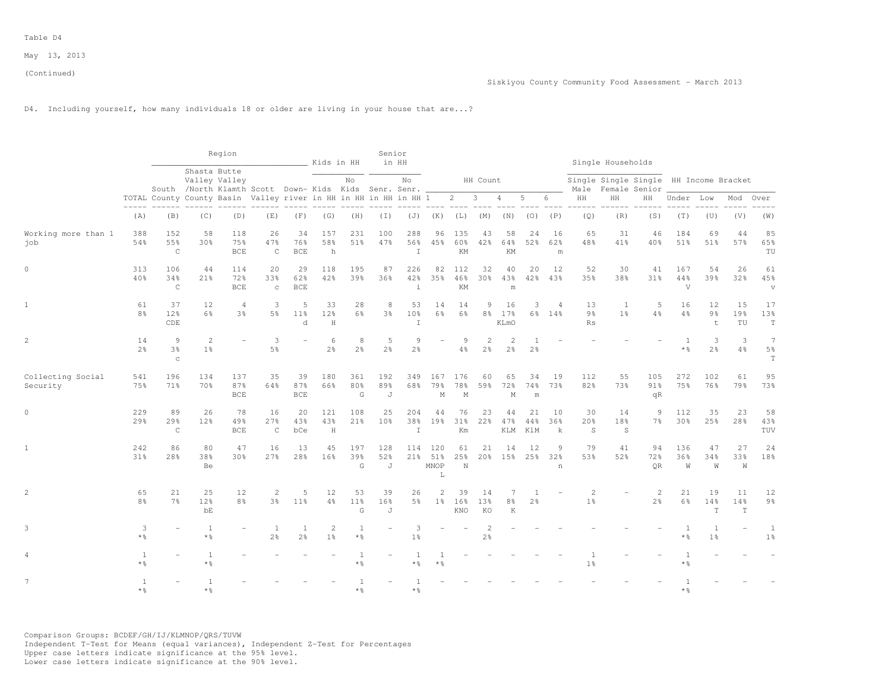# D4. Including yourself, how many individuals 18 or older are living in your house that are...?

|                               |                       |                                                                                                              |                         | Region                        |                                                                  |                            | Kids in HH          |                                       | Senior                      | in HH                      |                                         |                          |                                |                                     |                                  |                           |                                  | Single Households         |                                                         |                              |                           |                 |                                                 |
|-------------------------------|-----------------------|--------------------------------------------------------------------------------------------------------------|-------------------------|-------------------------------|------------------------------------------------------------------|----------------------------|---------------------|---------------------------------------|-----------------------------|----------------------------|-----------------------------------------|--------------------------|--------------------------------|-------------------------------------|----------------------------------|---------------------------|----------------------------------|---------------------------|---------------------------------------------------------|------------------------------|---------------------------|-----------------|-------------------------------------------------|
|                               |                       |                                                                                                              |                         | Shasta Butte<br>Valley Valley | South /North Klamth Scott Down- Kids Kids Senr. Senr.            |                            |                     | No                                    |                             | No                         |                                         |                          | HH Count                       |                                     |                                  |                           | Male                             |                           | Single Single Single HH Income Bracket<br>Female Senior |                              |                           |                 |                                                 |
|                               |                       | $\begin{array}{ccccccccc} - & - & - & - & - & - & - \\ & - & - & - & - & - \\ & & - & - & - & - \end{array}$ |                         |                               | TOTAL County County Basin Valley river in HH in HH in HH in HH 1 |                            |                     |                                       |                             |                            |                                         | $2 \qquad 3$             |                                | $\overline{4}$                      | 5                                | 6                         | $\rm{HH}$                        | HH                        | HH                                                      | Under Low                    |                           | Mod             | Over                                            |
|                               | (A)                   | (B)                                                                                                          | (C)                     | (D)                           | (E)                                                              | (F)                        | (G)                 | (H)                                   | $(\top)$                    | (J)                        | (K)                                     | (L)                      | (M)                            | (N)                                 | (0)                              | (P)                       | (Q)                              | (R)                       | (S)                                                     | (T)                          | (U)                       | (V)             | (W)                                             |
| Working more than 1<br>job    | 388<br>54%            | 152<br>55%<br>$\mathsf C$                                                                                    | 58<br>30%               | 118<br>75%<br><b>BCE</b>      | 26<br>47%<br>$\mathsf{C}$                                        | 34<br>76%<br><b>BCE</b>    | 157<br>58%<br>h     | 231<br>51%                            | 100<br>47%                  | 288<br>56%<br>$\top$       | 96<br>45%                               | 135<br>60%<br>KM         | 43<br>42%                      | 58<br>64%<br>KM                     | 24<br>52%                        | 16<br>62%<br>m            | 65<br>48%                        | 31<br>41%                 | 46<br>40%                                               | 184<br>51%                   | 69<br>51%                 | 44<br>57%       | 85<br>65%<br>TU                                 |
| $\mathbf{0}$                  | 313<br>40%            | 106<br>34%<br>$\mathsf{C}$                                                                                   | 44<br>21%               | 114<br>72%<br><b>BCE</b>      | 20<br>33%<br>$\mathbf C$                                         | 29<br>62%<br><b>BCE</b>    | 118<br>42%          | 195<br>39%                            | 87<br>36%                   | 226<br>42%<br>$\ddot{1}$   | 82<br>35%                               | 112<br>46%<br>KM         | 32<br>30 <sub>8</sub>          | 40<br>43%<br>m                      | 20<br>42%                        | 12<br>43%                 | 52<br>35%                        | 30<br>38%                 | 41<br>31%                                               | 167<br>44%<br>$\overline{V}$ | 54<br>39%                 | 26<br>32%       | 61<br>45%<br>$\boldsymbol{\mathrm{V}}$          |
| $\mathbf{1}$                  | 61<br>8 <sup>o</sup>  | 37<br>12%<br>CDE                                                                                             | 12<br>6%                | $\overline{4}$<br>3%          | 3<br>5 <sup>9</sup>                                              | 5<br>11 <sup>°</sup><br>d. | 33<br>12%<br>H      | 28<br>6%                              | 8<br>3%                     | 53<br>10%<br>$\top$        | 14<br>$6\frac{6}{9}$                    | 14<br>6 <sup>°</sup>     | 9<br>8 <sup>°</sup>            | 16<br>17%<br>KLmO                   | 3                                | $\overline{4}$<br>6% 14%  | 13<br>9%<br><b>Rs</b>            | 1<br>1 <sup>°</sup>       | 5<br>4%                                                 | 16<br>4%                     | 12<br>9 <sub>8</sub><br>t | 15<br>19%<br>TU | 17<br>13%<br>$\mathbf T$                        |
| $\overline{c}$                | 14<br>2 <sup>°</sup>  | 9<br>3 <sup>8</sup><br>$\mathbf C$                                                                           | 2<br>1 <sup>°</sup>     |                               | 3<br>5%                                                          |                            | 6<br>2 <sup>°</sup> | 8<br>2 <sup>o</sup>                   | 5<br>2 <sup>°</sup>         | 9<br>2 <sup>o</sup>        | $\overline{ }$                          | 9<br>$4\frac{6}{6}$      | $\mathbf{2}$<br>$2\frac{6}{9}$ | $\mathfrak{D}$<br>$2\frac{6}{6}$    | $\overline{1}$<br>2 <sup>°</sup> |                           |                                  |                           |                                                         | $\overline{1}$<br>* %        | 3<br>2 <sup>°</sup>       | 3<br>4%         | $\overline{7}$<br>$5\frac{6}{9}$<br>$\mathbf T$ |
| Collecting Social<br>Security | 541<br>75%            | 196<br>71%                                                                                                   | 134<br>70%              | 137<br>87%<br><b>BCE</b>      | 35<br>64%                                                        | 39<br>87%<br><b>BCE</b>    | 180<br>66%          | 361<br>80%<br>G                       | 192<br>89%<br>J             | 349<br>68%                 | 167<br>79%<br>M                         | 176<br>78%<br>M          | 60<br>59%                      | 65<br>72%<br>M                      | 34<br>74%<br>m                   | 19<br>73%                 | 112<br>82%                       | 55<br>73%                 | 105<br>91%<br>qR                                        | 272<br>75%                   | 102<br>76%                | 61<br>79%       | 95<br>73%                                       |
| $\circ$                       | 229<br>29%            | 89<br>29%<br>$\mathsf{C}$                                                                                    | 26<br>12%               | 78<br>49%<br><b>BCE</b>       | 16<br>27%<br>$\mathsf{C}$                                        | 20<br>43%<br>bCe           | 121<br>43%<br>H     | 108<br>21%                            | 25<br>10 <sup>8</sup>       | 204<br>38%<br>$\mathbf{I}$ | 44<br>19%                               | 76<br>31%<br>Km          | 23<br>22%                      | 44<br>47%<br>KLM                    | 21<br>44%<br>KlM                 | 10<br>36%<br>$\mathbf{k}$ | 30<br>20%<br>S                   | 14<br>18%<br><sub>S</sub> | 9<br>7 <sup>°</sup>                                     | 112<br>30 <sup>8</sup>       | 35<br>25%                 | 23<br>28%       | 58<br>43%<br>TUV                                |
| $\mathbf{1}$                  | 242<br>31%            | 86<br>28%                                                                                                    | 80<br>38%<br>Be         | 47<br>30%                     | 16<br>27%                                                        | 13<br>28%                  | 45<br>16%           | 197<br>39%<br>G                       | 128<br>52%<br>J             | 114                        | 120<br>21% 51%<br>MNOP<br>L             | 61<br>25%<br>$\mathbb N$ | 21                             | 14<br>20% 15% 25% 32%               | 12                               | 9<br>n                    | 79<br>53%                        | 41<br>52%                 | 94<br>72%<br><b>OR</b>                                  | 136<br>36%<br>W              | 47<br>34%<br>W            | 27<br>33%<br>W  | 24<br>18%                                       |
| $\overline{c}$                | 65<br>8 <sup>°</sup>  | 21<br>7 <sup>8</sup>                                                                                         | 25<br>12%<br>bE         | 12<br>8 <sup>°</sup>          | 2<br>3%                                                          | 5<br>11 <sup>°</sup>       | 12<br>4%            | 53<br>11 <sup>°</sup><br>$\mathsf{G}$ | 39<br>16%<br>$\overline{J}$ | 26<br>5%                   | $\mathbf{2}^{\prime}$<br>1 <sup>8</sup> | 39<br>16%<br>KNO         | 14<br>13%<br>KO                | 7<br>$8\frac{6}{6}$<br>$\mathbb{K}$ | -1<br>2 <sup>°</sup>             |                           | $\overline{c}$<br>1 <sup>°</sup> |                           | 2<br>2 <sup>°</sup>                                     | 21<br>6%                     | 19<br>14%<br>T.           | 11<br>14%<br>T  | 12<br>$9\frac{6}{9}$                            |
| 3                             | 3<br>$*$ %            |                                                                                                              | 1<br>$*$ %              |                               | $\overline{1}$<br>2 <sup>9</sup>                                 | 1<br>2 <sup>°</sup>        | 2<br>1 <sup>°</sup> | 1<br>$*$ %                            |                             | 3<br>1 <sup>°</sup>        |                                         |                          | 2<br>$2\frac{6}{9}$            |                                     |                                  |                           |                                  |                           |                                                         | $\overline{1}$<br>$*$ %      | 1<br>1 <sup>°</sup>       |                 | 1<br>1 <sup>°</sup>                             |
| 4                             | 1<br>$*$ %            |                                                                                                              | -1<br>$*$ $\frac{6}{6}$ |                               |                                                                  |                            |                     | 1<br>$*$ %                            |                             | **                         | * %                                     |                          |                                |                                     |                                  |                           | 1 <sup>°</sup>                   |                           |                                                         | * %                          |                           |                 |                                                 |
| $7\phantom{.0}$               | $\mathbf{1}$<br>$*$ 2 |                                                                                                              | $\overline{1}$<br>* &   |                               |                                                                  |                            |                     | $*$ 2                                 |                             | * %                        |                                         |                          |                                |                                     |                                  |                           |                                  |                           |                                                         | * %                          |                           |                 |                                                 |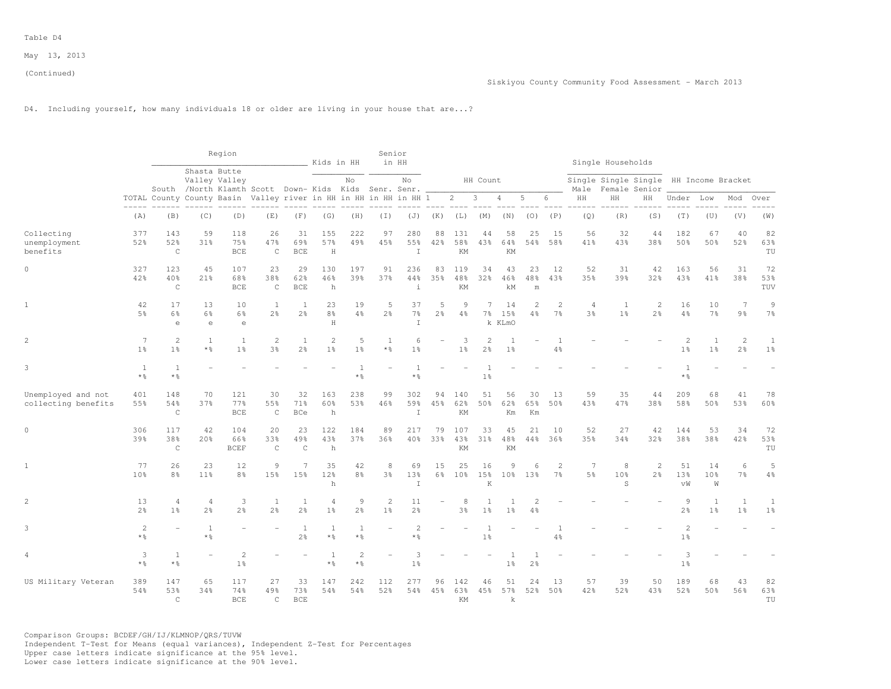# D4. Including yourself, how many individuals 18 or older are living in your house that are...?

|                                           |                                  |                                  |                                  | Region                                                                                 |                                |                                | Kids in HH                            |                                     | Senior                       | in HH                          |                      |                     |                                |                         |                 |                                  |                                   | Single Households                                       |                     |                                            |                                |                                |                                |
|-------------------------------------------|----------------------------------|----------------------------------|----------------------------------|----------------------------------------------------------------------------------------|--------------------------------|--------------------------------|---------------------------------------|-------------------------------------|------------------------------|--------------------------------|----------------------|---------------------|--------------------------------|-------------------------|-----------------|----------------------------------|-----------------------------------|---------------------------------------------------------|---------------------|--------------------------------------------|--------------------------------|--------------------------------|--------------------------------|
|                                           |                                  |                                  |                                  | Shasta Butte<br>Valley Valley<br>South /North Klamth Scott Down- Kids Kids Senr. Senr. |                                |                                |                                       | No                                  |                              | No                             |                      |                     | HH Count                       |                         |                 |                                  | Male                              | Single Single Single HH Income Bracket<br>Female Senior |                     |                                            |                                |                                |                                |
|                                           |                                  |                                  |                                  | TOTAL County County Basin Valley river in HH in HH in HH in HH 1                       |                                |                                |                                       |                                     |                              |                                |                      | $2 \quad$           | $\overline{\mathbf{3}}$        | 4                       | 5               | 6                                | HH                                | HH                                                      | HН                  | Under                                      | Low                            | Mod                            | Over                           |
|                                           | (A)                              | (B)                              | (C)                              | (D)                                                                                    | (E)                            | (F)                            | (G)                                   | (H)                                 | $(\top)$                     | (J)                            | (K)                  | (L)                 | (M)                            | (N)                     | (0)             | (P)                              | (Q)                               | (R)                                                     | (S)                 | (T)                                        | (U)                            | (V)                            | (W)                            |
| Collecting<br>unemployment<br>benefits    | 377<br>52%                       | 143<br>52%<br>$\mathcal{C}$      | 59<br>31%                        | 118<br>75%<br><b>BCE</b>                                                               | 26<br>47%<br>$\mathsf{C}$      | 31<br>69%<br><b>BCE</b>        | 155<br>57%<br>H                       | 222<br>49%                          | 97<br>45%                    | 280<br>55%<br>$\top$           | 88<br>42%            | 131<br>58%<br>KM    | 44<br>43%                      | 58<br>64%<br>KM         | 25<br>54%       | 1.5<br>58%                       | 56<br>41%                         | 32<br>43%                                               | 44<br>38%           | 182<br>50%                                 | 67<br>50%                      | 40<br>52%                      | 82<br>63%<br>TU                |
| $\circ$                                   | 327<br>42%                       | 123<br>40%<br>$\mathsf{C}$       | 45<br>21%                        | 107<br>68%<br><b>BCE</b>                                                               | 23<br>38%<br>$\mathsf C$       | 29<br>62%<br><b>BCE</b>        | 130<br>46%<br>h                       | 197<br>39%                          | 91<br>37%                    | 236<br>44%<br>$\ddot{1}$       | 83<br>35%            | 119<br>48%<br>KM    | 34<br>32%                      | 43<br>46%<br>kM         | 23<br>48%<br>m  | 12<br>43%                        | 52<br>35%                         | 31<br>39%                                               | 42<br>32%           | 163<br>43%                                 | 56<br>41%                      | 31<br>38%                      | 72<br>53%<br>TUV               |
| $1\,$                                     | 42<br>5.8                        | 17<br>6%<br>$\epsilon$           | 13<br>6%<br>$\in$                | 10<br>6%<br>$\epsilon$                                                                 | $\mathbf{1}$<br>$2\frac{6}{6}$ | 1<br>$2\frac{6}{9}$            | 23<br>8%<br>H                         | 19<br>$4\frac{6}{6}$                | 5<br>$2\frac{6}{6}$          | 37<br>$7\frac{6}{6}$<br>$\top$ | 5<br>$2\frac{6}{9}$  | 9<br>$4\frac{6}{6}$ | $\overline{7}$<br>$7\%$        | 14<br>15%<br>k KLmO     | 2<br>4%         | $\overline{c}$<br>$7\%$          | $\overline{4}$<br>3 <sup>°</sup>  | $\mathbf{1}$<br>1 <sup>°</sup>                          | 2<br>$2\frac{6}{6}$ | 16<br>4%                                   | 10<br>$7\frac{6}{6}$           | $\overline{7}$<br>9%           | 9<br>7%                        |
| 2                                         | $\overline{7}$<br>1 <sup>°</sup> | 2<br>1 <sup>°</sup>              | $\mathbf{1}$<br>* 응              | 1<br>1 <sup>°</sup>                                                                    | 2<br>$3\frac{6}{6}$            | $\mathbf{1}$<br>2 <sup>°</sup> | $\overline{c}$<br>$1\frac{6}{6}$      | 5<br>$1\frac{6}{6}$                 | $\mathbf{1}$<br>* %          | 6<br>1 <sup>°</sup>            |                      | 3<br>1 <sup>°</sup> | 2<br>2 <sup>°</sup>            | $\overline{1}$<br>$1\%$ |                 | $\mathbf{1}$<br>$4\frac{6}{6}$   |                                   |                                                         |                     | $\overline{\mathcal{L}}$<br>1 <sup>°</sup> | <sup>1</sup><br>$1\frac{6}{6}$ | $\mathbf{2}$<br>$2\frac{6}{9}$ | $\mathbf{1}$<br>1 <sup>°</sup> |
| 3                                         | 1<br>$*$ %                       | 1<br>$*$ %                       |                                  |                                                                                        |                                |                                |                                       | 1<br>$\star$ $\frac{6}{6}$          |                              | * 응                            |                      |                     | 1 <sup>°</sup>                 |                         |                 |                                  |                                   |                                                         |                     | * %                                        |                                |                                |                                |
| Unemployed and not<br>collecting benefits | 401<br>55%                       | 148<br>54%<br>$\mathsf C$        | 70<br>37%                        | 121<br>77%<br><b>BCE</b>                                                               | 30<br>55%<br>$\mathsf{C}$      | 32<br>71%<br><b>BCe</b>        | 163<br>60%<br>h                       | 238<br>53%                          | 99<br>46%                    | 302<br>59%<br>$\mathbb{I}$     | 94<br>45%            | 140<br>62%<br>KM    | 51<br>50%                      | 56<br>62%<br>Km         | 30<br>65%<br>Km | 13<br>50%                        | 59<br>43%                         | 35<br>47%                                               | 44<br>38%           | 209<br>58%                                 | 68<br>50%                      | 41<br>53%                      | 78<br>60%                      |
| $\circ$                                   | 306<br>39%                       | 117<br>38%<br>$\mathsf{C}$       | 42<br>20%                        | 104<br>66%<br><b>BCEF</b>                                                              | 20<br>33%<br>$\mathsf{C}$      | 23<br>49%<br>$\mathsf{C}$      | 122<br>43%<br>h                       | 184<br>37%                          | 89<br>36%                    | 217<br>40%                     | 79<br>33%            | 107<br>43%<br>KM    | 33<br>$31\%$                   | 45<br>48%<br>ΚM         | 21<br>44%       | 10<br>36%                        | 52<br>35%                         | 27<br>34%                                               | 42<br>32%           | 144<br>38%                                 | 53<br>38%                      | 34<br>42%                      | 72<br>53%<br>TU                |
| $\mathbf{1}$                              | 77<br>10 <sup>8</sup>            | 26<br>8 <sup>°</sup>             | 23<br>11%                        | 12<br>8%                                                                               | $\overline{9}$<br>15%          | 7<br>15%                       | 35<br>12%<br>$\mathbf h$              | 42<br>$8\frac{6}{6}$                | 8<br>$3\frac{6}{6}$          | 69<br>13%<br>$\top$            | 15<br>$6\frac{6}{9}$ | 25<br>10%           | 16<br>15%<br>K                 | 9<br>10 <sup>8</sup>    | 6<br>13%        | $\overline{c}$<br>7 <sup>°</sup> | $7\phantom{.0}$<br>5 <sup>°</sup> | 8<br>10%<br>S                                           | 2<br>2 <sup>°</sup> | 51<br>13%<br>vW                            | 14<br>10%<br>W                 | 6<br>7 <sup>°</sup>            | 5<br>4%                        |
| $\overline{c}$                            | 13<br>2 <sup>°</sup>             | $\overline{4}$<br>1 <sup>°</sup> | $\overline{4}$<br>2 <sup>°</sup> | 3<br>2 <sup>°</sup>                                                                    | $\mathbf{1}$<br>2 <sup>o</sup> | $\mathbf{1}$<br>2 <sup>°</sup> | $\overline{4}$<br>1 <sup>°</sup>      | $\mathcal{G}$<br>$2\frac{6}{6}$     | $\sqrt{2}$<br>1 <sup>°</sup> | 11<br>2 <sup>o</sup>           |                      | 8<br>3%             | $\mathbf{1}$<br>1 <sup>°</sup> | 1 <sup>°</sup>          | 2<br>4%         |                                  |                                   |                                                         |                     | $\overline{9}$<br>2 <sup>o</sup>           | $\mathbf{1}$<br>1 <sup>°</sup> | $\mathbf{1}$<br>1 <sup>°</sup> | $\mathbf{1}$<br>1 <sup>°</sup> |
| 3                                         | $\overline{c}$<br>$*$ %          |                                  | $\mathbf{1}$<br>$\star$ %        |                                                                                        |                                | 1<br>$2\frac{6}{9}$            | $\mathbf{1}$<br>$\star$ $\frac{6}{9}$ | $\mathbf{1}$<br>$*$ %               |                              | $\overline{2}$<br>* 응          |                      |                     | $1\frac{6}{6}$                 |                         |                 | $4\frac{6}{6}$                   |                                   |                                                         |                     | $\overline{c}$<br>1 <sup>°</sup>           |                                |                                |                                |
| 4                                         | 3<br>$*$ %                       | 1<br>$*$ $\frac{6}{5}$           |                                  | $\overline{c}$<br>1 <sup>°</sup>                                                       |                                |                                | 1<br>$*$ $\frac{6}{9}$                | $\overline{c}$<br>$*$ $\frac{6}{6}$ |                              | 3<br>$1\frac{6}{6}$            |                      |                     |                                | 1<br>$1\frac{6}{6}$     | $2\frac{6}{9}$  |                                  |                                   |                                                         |                     | 3<br>1 <sup>°</sup>                        |                                |                                |                                |
| US Military Veteran                       | 389<br>54%                       | 147<br>53%<br>$\mathcal{C}$      | 65<br>34%                        | 117<br>74%<br>BCE.                                                                     | 27<br>49.8<br>$\mathsf{C}$     | 33<br>73%<br><b>BCE</b>        | 147<br>54%                            | 242<br>54%                          | 112<br>52%                   | 277<br>54%                     | 96<br>45%            | 142<br>63%<br>KM    | 46<br>45%                      | 51<br>57%<br>k          | 24<br>52%       | 13<br>50%                        | 57<br>42%                         | 39<br>52%                                               | 50<br>43%           | 189<br>52%                                 | 68<br>50%                      | 43<br>56%                      | 82<br>63%<br>TU                |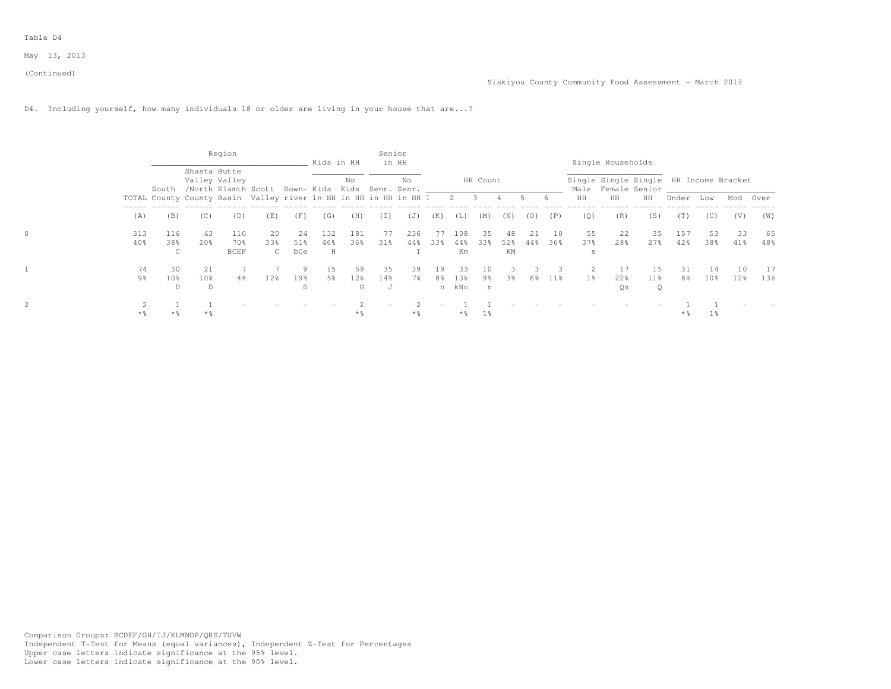Table D4

May 13, 2013

D4. Including yourself, how many individuals 18 or older are living in your house that are...?

|       |                      |                      | Region                                                                            |                     |            | Kids in HH |             | Senior   | in HH |         |                        |          |           |       |        |           | Single Households                                                   |                      |            |                 |     |           |
|-------|----------------------|----------------------|-----------------------------------------------------------------------------------|---------------------|------------|------------|-------------|----------|-------|---------|------------------------|----------|-----------|-------|--------|-----------|---------------------------------------------------------------------|----------------------|------------|-----------------|-----|-----------|
|       | South                | Shasta Butte         | Valley Valley<br>/North Klamth Scott Down- Kids Kids Senr. Senr. ________________ |                     |            |            | No          |          | No    |         |                        | HH Count |           |       |        |           | Single Single Single HH Income Bracket<br>Male Female Senior ______ |                      |            |                 |     |           |
|       |                      |                      | TOTAL County County Basin Valley river in HH in HH in HH in HH 1 2 3 4            |                     |            |            |             |          |       |         |                        |          |           | $5 -$ | 6      | HH        | HH                                                                  | HH                   | Under      | Low             | Mod | Over      |
| (A)   | (B)                  | (C)                  | (D)                                                                               | (E)                 | (F)        | (G)        | (H)         | (I)      | (J)   | (K)     | (L)                    | (M)      | (N)       | (0)   | (P)    | (0)       | (R)                                                                 | (S)                  | (T)        | (U)             | (V) | (W)       |
| 313   | 116                  | 43                   | 110<br>70 %                                                                       | 20                  | -24        | 132        | 181         |          | 236   | 77      | 108                    | 35       | 48        | 2.1   | - 10   | 55<br>37% | 22<br>28%                                                           | 35                   | 157<br>42% | 53              | 33  | 65<br>48% |
| 40%   | 38%                  | 20%                  | <b>BCEF</b>                                                                       | 33%<br>$\mathbb{C}$ | 51%<br>bCe | 46%<br>H   | 36%         | 31%      | 44%   | 33%     | 44%<br>Km              | 33%      | 52%<br>KM | 44%   | 36%    | s         |                                                                     | 27%                  |            | 38%             | 41% |           |
| 74    | 30                   | 2.1                  |                                                                                   |                     |            | 15         | 59.         | 35       | 39    | 19      | 33                     | 10       |           |       |        |           |                                                                     | 15                   | 31         | 14              | 1 ∩ |           |
| 9%    | 10 <sub>8</sub><br>D | 10 <sub>8</sub><br>D | 4%                                                                                | 12 <sub>8</sub>     | 19%<br>D   | 5%         | $12\%$<br>G | 14%<br>J | 7월    | 8%<br>n | 13 <sup>8</sup><br>kNo | 9%<br>n  | 3%        | 6%    | $11\%$ | 1 응       | $22\%$<br>Os                                                        | 11 <sub>8</sub><br>Q | 8%         | 10 <sub>8</sub> | 12% | $13\%$    |
| $*$ % | $*$ %                | $*$ %                |                                                                                   |                     |            |            | **          |          | $*$ % |         | $*$ %                  | $1\,$    |           |       |        |           |                                                                     |                      | $*$ %      | $1\%$           |     |           |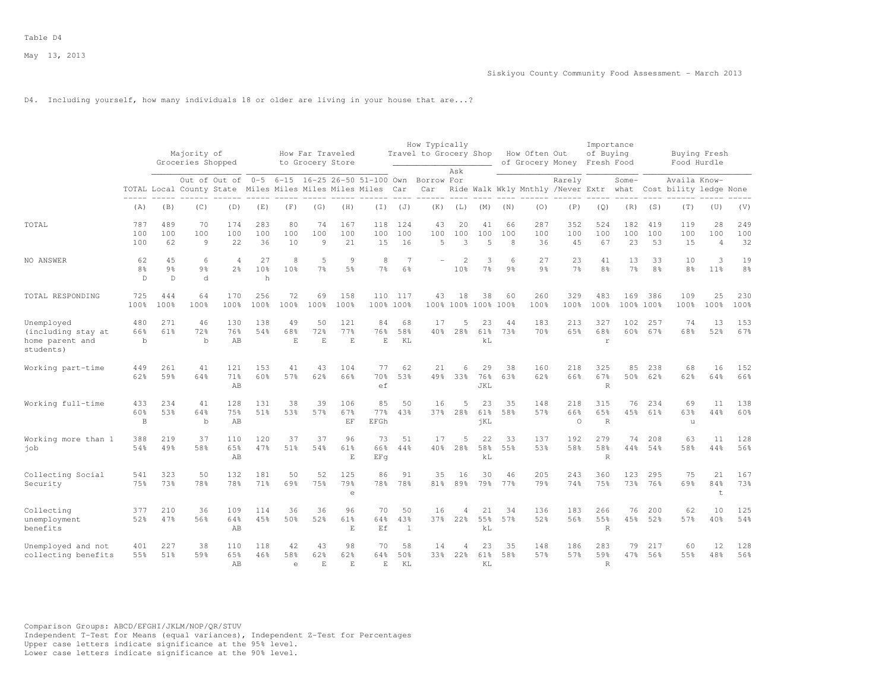# D4. Including yourself, how many individuals 18 or older are living in your house that are...?

|                                                                  |                                     |                           | Majority of<br>Groceries Shopped |                                                                         |                            |                         | How Far Traveled<br>to Grocery Store |                          |                        |                  | How Typically<br>Travel to Grocery Shop |                            |                             |                     | How Often Out<br>of Grocery Money |                       | Importance<br>of Buying<br>Fresh Food |                  |                      | Buying Fresh<br>Food Hurdle            |                             |                      |
|------------------------------------------------------------------|-------------------------------------|---------------------------|----------------------------------|-------------------------------------------------------------------------|----------------------------|-------------------------|--------------------------------------|--------------------------|------------------------|------------------|-----------------------------------------|----------------------------|-----------------------------|---------------------|-----------------------------------|-----------------------|---------------------------------------|------------------|----------------------|----------------------------------------|-----------------------------|----------------------|
|                                                                  |                                     |                           |                                  | Out of Out of<br>TOTAL Local County State Miles Miles Miles Miles Miles | $0 - 5$                    | $6 - 15$                |                                      |                          | 16-25 26-50 51-100 Own | Car              | Borrow For<br>Car                       | Ask                        |                             |                     | Ride Walk Wkly Mnthly /Never Extr | Rarely                |                                       | Some-<br>what    |                      | Availa Know-<br>Cost bility ledge None |                             |                      |
|                                                                  | (A)                                 | (B)                       | (C)                              | (D)                                                                     | (E)                        | (F)                     | (G)                                  | (H)                      | (T)                    | (J)              | (K)                                     | (L)                        | (M)                         | (N)                 | (0)                               | (P)                   | (Q)                                   | (R)              | (S)                  | (T)                                    | (U)                         | (V)                  |
| TOTAL                                                            | 787<br>100<br>100                   | 489<br>100<br>62          | 70<br>100<br>9                   | 174<br>100<br>22                                                        | 283<br>100<br>36           | 80<br>100<br>10         | 74<br>100<br>9                       | 167<br>100<br>21         | 118<br>100<br>15       | 124<br>100<br>16 | 43<br>100<br>5                          | 20<br>100<br>$\mathcal{R}$ | 41<br>100<br>$\overline{5}$ | 66<br>100<br>8      | 287<br>100<br>36                  | 352<br>100<br>45      | 524<br>100<br>67                      | 182<br>100<br>23 | 419<br>100<br>53     | 119<br>100<br>15                       | 28<br>100<br>$\overline{4}$ | 249<br>100<br>32     |
| NO ANSWER                                                        | 62<br>8 <sup>°</sup><br>$\mathbb D$ | 45<br>9 <sub>8</sub><br>D | 6<br>9 <sub>8</sub><br>d         | $\Delta$<br>2 <sup>°</sup>                                              | 27<br>10 <sup>8</sup><br>h | 8<br>10 <sup>8</sup>    | 5<br>7 <sup>°</sup>                  | 9<br>5%                  | 8<br>7%                | 7<br>6%          |                                         | $\overline{2}$<br>10%      | 3<br>7%                     | 6<br>9 <sub>8</sub> | 27<br>9 <sub>8</sub>              | 23<br>7%              | 41<br>8 <sup>°</sup>                  | 13<br>7%         | 33<br>8 <sup>°</sup> | 10<br>8 <sup>°</sup>                   | 3<br>11 <sup>8</sup>        | 19<br>8 <sup>°</sup> |
| TOTAL RESPONDING                                                 | 725<br>100%                         | 444<br>100%               | 64<br>100%                       | 170<br>100%                                                             | 256<br>100%                | 72<br>100%              | 69<br>100%                           | 158<br>100%              | 110<br>100% 100%       | 117              | 43<br>100%                              | 18<br>100%                 | 38                          | 60<br>100% 100%     | 260<br>100%                       | 329<br>100%           | 483<br>100%                           | 169<br>100%      | 386<br>100%          | 109<br>100%                            | 25<br>100%                  | 230<br>100%          |
| Unemployed<br>(including stay at<br>home parent and<br>students) | 480<br>66%<br>$\mathbf b$           | 271<br>61%                | 46<br>72%<br>$\mathbf b$         | 130<br>76%<br>AB                                                        | 138<br>54%                 | 49<br>68%<br>E          | 50<br>72%<br>E                       | 121<br>77%<br>F.         | 84<br>76%<br>E         | 68<br>58%<br>KL  | 17<br>40%                               | 5<br>28%                   | 23<br>61%<br>kL             | 44<br>73%           | 183<br>70%                        | 213<br>65%            | 327<br>68%<br>$\mathbf r$             | 102<br>60%       | 257<br>67%           | 74<br>68%                              | 13<br>52%                   | 153<br>67%           |
| Working part-time                                                | 449<br>62%                          | 261<br>59%                | 41<br>64%                        | 121<br>71%<br>AB                                                        | 153<br>60%                 | 41<br>57%               | 43<br>62%                            | 104<br>66%               | 77<br>70 %<br>ef       | 62<br>53%        | 21<br>49.8                              | 6<br>33%                   | 29<br>76%<br>JKL            | 38<br>63%           | 160<br>62%                        | 218<br>66%            | 325<br>67%<br>$\,$ R                  | 85<br>50%        | 238<br>62%           | 68<br>62%                              | 16<br>64%                   | 152<br>66%           |
| Working full-time                                                | 433<br>60%<br>B                     | 234<br>53%                | 41<br>64%<br>$\mathbf b$         | 128<br>75%<br>AB                                                        | 131<br>51%                 | 38<br>53%               | 39<br>57%                            | 106<br>67%<br>EF         | 85<br>77%<br>EFGh      | 50<br>43%        | 16<br>37%                               | 5<br>28%                   | 23<br>61%<br>jKL            | 35<br>58%           | 148<br>57%                        | 218<br>66%<br>$\circ$ | 315<br>65%<br>$\mathbb{R}$            | 76<br>45%        | 234<br>61%           | 69<br>63%<br>u                         | 11<br>44%                   | 138<br>60%           |
| Working more than 1<br>job                                       | 388<br>54%                          | 219<br>49%                | 37<br>58%                        | 110<br>65%<br>AB                                                        | 120<br>47%                 | 37<br>51%               | 37<br>54%                            | 96<br>61%<br>E           | 73<br>66%<br>EFg       | .51<br>44%       | 17<br>40%                               | 5<br>28%                   | 22<br>58%<br>kL             | 33<br>55%           | 137<br>53%                        | 192<br>58%            | 279<br>58%<br>$\,$ R                  | 74<br>44%        | 208<br>54%           | 63<br>58%                              | 11<br>44%                   | 128<br>56%           |
| Collecting Social<br>Security                                    | 541<br>75%                          | 323<br>73%                | 50<br>78%                        | 132<br>78%                                                              | 181<br>71%                 | 50<br>69%               | 52<br>75%                            | 125<br>79%<br>$\epsilon$ | 86<br>78%              | 91<br>78%        | 35<br>81%                               | 16<br>89%                  | 30<br>79%                   | 46<br>77%           | 205<br>79%                        | 243<br>74%            | 360<br>75%                            | 123<br>73%       | 295<br>76%           | 75<br>69%                              | 21<br>84%<br>t              | 167<br>73%           |
| Collecting<br>unemployment<br>benefits                           | 377<br>52%                          | 210<br>47%                | 36<br>56%                        | 109<br>64%<br>AB                                                        | 114<br>45%                 | 36<br>50%               | 36<br>52%                            | 96<br>61%<br>F.          | 70<br>64%<br>Εf        | 50<br>43%<br>1   | 16<br>37%                               | 4<br>22%                   | 21<br>55%<br>kL             | 34<br>57%           | 136<br>52%                        | 183<br>56%            | 266<br>55%<br>$\mathbb R$             | 76<br>45%        | 200<br>52%           | 62<br>57%                              | 10<br>40%                   | 125<br>54%           |
| Unemployed and not<br>collecting benefits                        | 401<br>55%                          | 227<br>51%                | 38<br>59%                        | 110<br>65%<br>AB                                                        | 118<br>46%                 | 42<br>58%<br>$\epsilon$ | 43<br>62%<br>E.                      | 98<br>62%<br>E.          | 70<br>64%<br>F.        | 58<br>50%<br>KI. | 14<br>33%                               | 4<br>22%                   | 23<br>61%<br>KT.            | 35<br>58%           | 148<br>57%                        | 186<br>57%            | 283<br>59%<br>R                       | 79<br>47%        | 217<br>56%           | 60<br>55%                              | 12<br>48%                   | 128<br>56%           |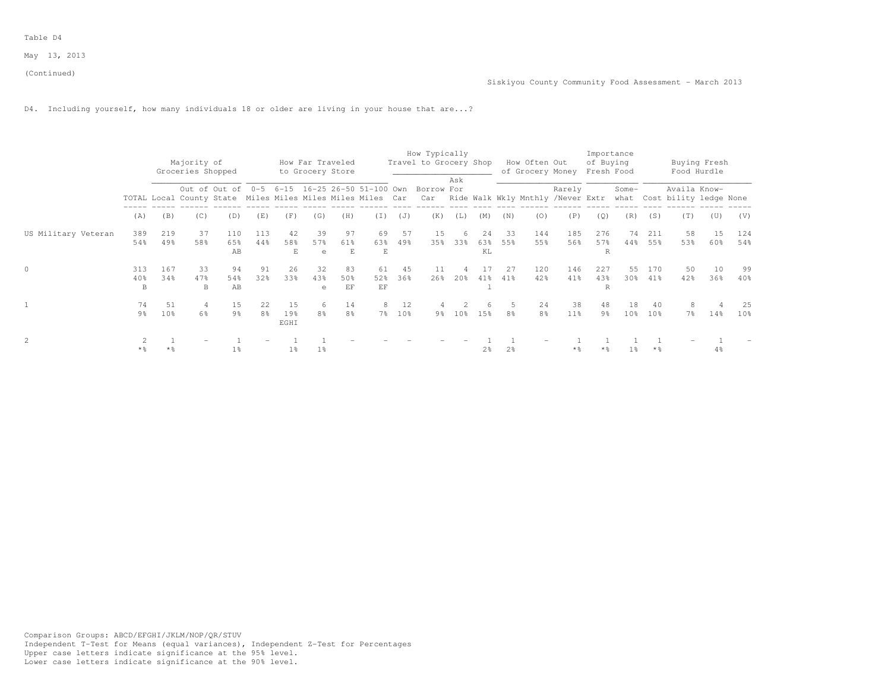D4. Including yourself, how many individuals 18 or older are living in your house that are...?

|                     |                |                 |                                  |                |                |                         |                                      |                |           |        | How Typically                                                                                                          |                 |                |                |                                   |               | Importance              |                 |                 |                |                             |                 |
|---------------------|----------------|-----------------|----------------------------------|----------------|----------------|-------------------------|--------------------------------------|----------------|-----------|--------|------------------------------------------------------------------------------------------------------------------------|-----------------|----------------|----------------|-----------------------------------|---------------|-------------------------|-----------------|-----------------|----------------|-----------------------------|-----------------|
|                     |                |                 | Majority of<br>Groceries Shopped |                |                |                         | How Far Traveled<br>to Grocery Store |                |           |        | Travel to Grocery Shop                                                                                                 |                 |                |                | How Often Out<br>of Grocery Money |               | of Buying<br>Fresh Food |                 |                 |                | Buying Fresh<br>Food Hurdle |                 |
|                     |                |                 |                                  |                |                |                         |                                      |                |           |        | Out of Out of 0-5 6-15 16-25 26-50 51-100 Own Borrow For                                                               | Ask             |                |                |                                   | Rarely        |                         | Some-           |                 | Availa Know-   |                             |                 |
|                     |                |                 |                                  |                |                |                         |                                      |                |           |        | TOTAL Local County State Miles Miles Miles Miles Car Car Ride Walk Wkly Mnthly /Never Extr what Cost bility ledge None |                 |                |                |                                   |               |                         |                 |                 |                |                             |                 |
|                     | (A)            | (B)             | (C)                              | (D)            | (E)            | (F)                     | (G)                                  | (H)            | (T)       | (J)    | (K)                                                                                                                    | (L)             | (M)            | (N)            | (0)                               | (P)           | (0)                     | (R)             | (S)             | (T)            | (U)                         | (V)             |
| US Military Veteran | 389            | 219             | 37                               | 110            | 113            | 42                      | 39                                   | 97             | 69        | 57     | 15                                                                                                                     | -6              | 24             | 33             | 144                               | 185           | 276                     | 74              | 211             | 58             | 15                          | 124             |
|                     | 54%            | 49%             | 58%                              | 65%<br>AB      | 44%            | 58%<br>E                | 57%<br>e                             | 61%<br>Е       | 63%<br>E  | 49%    | 35%                                                                                                                    | 33%             | 63%<br>ΚL      | 55%            | 55%                               | 56%           | 57%<br>R                | 44%             | 55%             | 53%            | 60%                         | 54%             |
| $\circ$             | 313            | 167             | 33                               | 94             | 91             | 26                      | 32                                   | 83             | 61        | 45     | 11                                                                                                                     |                 | 17             | 27             | 120                               | 146           | 227                     | 55              | 170             | 50             | 10                          | 99              |
|                     | 40%<br>B       | 34%             | 47%<br><sub>B</sub>              | 54%<br>AB      | 32%            | 33%                     | 43%<br>$\epsilon$                    | 50%<br>EF      | 52%<br>EF | 36%    | 26%                                                                                                                    | $20\%$          | 41%            | 41%            | 42%                               | 41%           | 43%<br>R                | 30%             | $41\%$          | 42%            | 36%                         | 40%             |
|                     | 74             | 51              | $\overline{4}$                   | 15             | 22             | 15                      | -6                                   | 14             | 8         | 12     |                                                                                                                        |                 |                |                | 24                                | 38            | 48                      | 18              | 40              | 8              |                             | 25              |
|                     | 9 <sup>°</sup> | 10 <sup>°</sup> | 6%                               | 9 <sup>8</sup> | 8 <sup>°</sup> | 19 <sub>8</sub><br>EGHI | 8 <sup>8</sup>                       | 8 <sup>°</sup> |           | 7% 10% | 9월                                                                                                                     | 10 <sup>8</sup> | 15%            | 8 <sup>°</sup> | 8 <sup>°</sup>                    | $11\%$        | 9 <sup>°</sup>          | 10 <sup>8</sup> | 10 <sup>°</sup> | $7\frac{6}{6}$ | $14\%$                      | 10 <sup>8</sup> |
| 2                   |                |                 |                                  |                |                |                         |                                      |                |           |        |                                                                                                                        |                 |                |                |                                   |               |                         |                 |                 |                |                             |                 |
|                     | $*$ %          | $*$ %           |                                  | $1\%$          |                | $1\%$                   | $1\%$                                |                |           |        |                                                                                                                        |                 | 2 <sup>°</sup> | 2 <sup>°</sup> |                                   | $*$ $\approx$ | $*$ %                   | 1 <sub>8</sub>  | * %             |                | 4%                          |                 |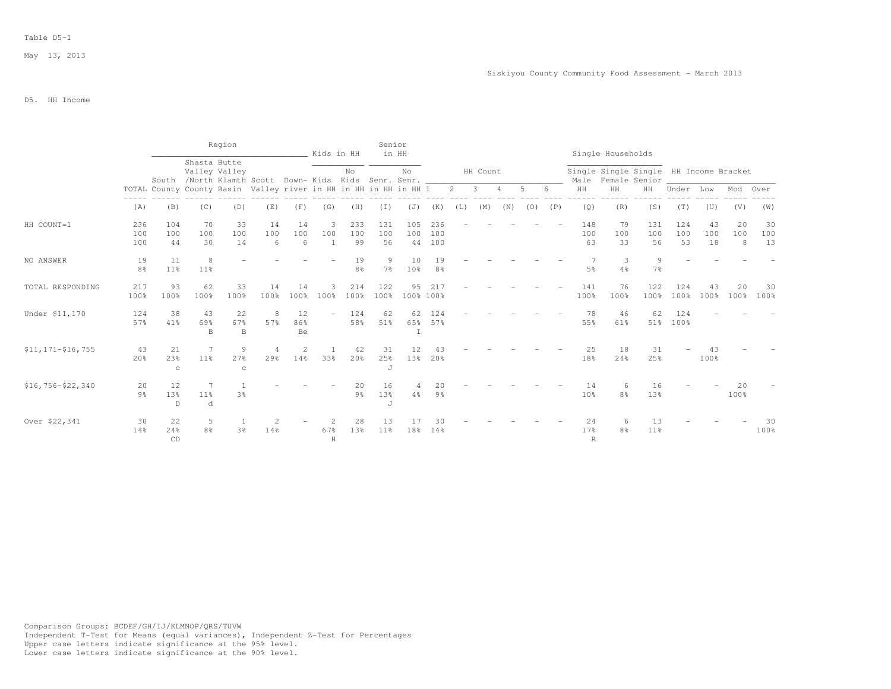|                       |                      |                          |                                                                       | Region                   |                |                      | Kids in HH     |                      | Senior              | in HH               |                      |     |          |     |     |     |                  | Single Households                      |                       |                  |                 |                |                 |
|-----------------------|----------------------|--------------------------|-----------------------------------------------------------------------|--------------------------|----------------|----------------------|----------------|----------------------|---------------------|---------------------|----------------------|-----|----------|-----|-----|-----|------------------|----------------------------------------|-----------------------|------------------|-----------------|----------------|-----------------|
|                       |                      |                          | Shasta Butte<br>South /North Klamth Scott Down- Kids Kids Senr. Senr. | Valley Valley            |                |                      |                | No                   |                     | No                  |                      |     | HH Count |     |     |     | Male             | Single Single Single HH Income Bracket | Female Senior         |                  |                 |                |                 |
|                       |                      |                          | TOTAL County County Basin Valley river in HH in HH in HH in HH 1      |                          |                |                      |                |                      |                     |                     |                      | 2   | 3        | 4   | 5   |     | HH               | HH                                     | HH                    | Under            | Low             | Mod            | Over            |
|                       | (A)                  | (B)                      | (C)                                                                   | (D)                      | (E)            | (F)                  | (G)            | (H)                  | (I)                 | (J)                 | (K)                  | (L) | (M)      | (N) | (0) | (P) | (Q)              | (R)                                    | (S)                   | (T)              | (U)             | (V)            | (W)             |
| HH COUNT=1            | 236<br>100<br>100    | 104<br>100<br>44         | 70<br>100<br>30                                                       | 33<br>100<br>14          | 14<br>100<br>6 | 14<br>100<br>6       | -3<br>100<br>1 | 233<br>100<br>99     | 131<br>100<br>56    | 105<br>100<br>44    | 236<br>100<br>100    |     |          |     |     |     | 148<br>100<br>63 | 79<br>100<br>33                        | 131<br>100<br>56      | 124<br>100<br>53 | 43<br>100<br>18 | 20<br>100<br>8 | 30<br>100<br>13 |
| NO ANSWER             | 19<br>8 <sup>°</sup> | 11<br>11 <sup>°</sup>    | 8<br>11%                                                              |                          |                |                      |                | 19<br>8 <sup>°</sup> | 9<br>7 <sup>°</sup> | 10<br>10%           | 19<br>8 <sup>°</sup> |     |          |     |     |     | $5\frac{6}{6}$   | $\overline{7}$<br>$\mathcal{R}$<br>4%  | 9<br>7%               |                  |                 |                |                 |
| TOTAL RESPONDING      | 217<br>100%          | 93<br>100%               | 62<br>100%                                                            | 33<br>100%               | 14<br>100%     | 14<br>100%           | 3<br>100%      | 214<br>100%          | 122<br>100%         | 95                  | 217<br>100% 100%     |     |          |     |     |     | 141<br>100%      | 76<br>100%                             | 122<br>100%           | 124<br>100%      | 43<br>100%      | 20<br>100%     | 30<br>100%      |
| Under \$11,170        | 124<br>57%           | 38<br>41%                | 43<br>69%<br>$\, {\bf B}$                                             | 22<br>67%<br>$\mathbb B$ | 8<br>57%       | 12<br>86%<br>Be      |                | 124<br>58%           | 62<br>51%           | 62<br>65%<br>$\top$ | 124<br>57%           |     |          |     |     |     | 78<br>55%        | 46<br>61%                              | 62<br>51%             | 124<br>100%      |                 |                |                 |
| $$11, 171 - $16, 755$ | 43<br>20%            | 21<br>23%<br>$\mathbf C$ | 7<br>11 <sup>°</sup>                                                  | 9<br>27%<br>$\mathbf C$  | 4<br>29%       | 2<br>14 <sup>°</sup> | 33%            | 42<br>20%            | 31<br>25%<br>J      | 12<br>13%           | 43<br>20%            |     |          |     |     |     | 25<br>18%        | 18<br>24%                              | 31<br>25%             |                  | 43<br>100%      |                |                 |
| $$16,756 - $22,340$   | 20<br>9 <sub>8</sub> | 12<br>13%<br>D           | 7<br>11%<br>d                                                         | 3%                       |                |                      |                | 20<br>$9\frac{6}{6}$ | 16<br>13%<br>J      | 4<br>$4\frac{6}{6}$ | 20<br>9 <sub>8</sub> |     |          |     |     |     | 14<br>10%        | 8%                                     | 16<br>13%             |                  |                 | 20<br>100%     |                 |
| Over \$22,341         | 30<br>14%            | 22<br>24%<br>CD          | 5<br>8 <sup>°</sup>                                                   | 3 <sup>°</sup>           | 14%            |                      | 2<br>67%<br>H  | 28<br>13%            | 13<br>11%           | 18%                 | 30<br>14%            |     |          |     |     |     | 24<br>17%        | 8%<br>$\mathbb{R}$                     | 13<br>11 <sup>°</sup> |                  |                 |                | 30<br>100%      |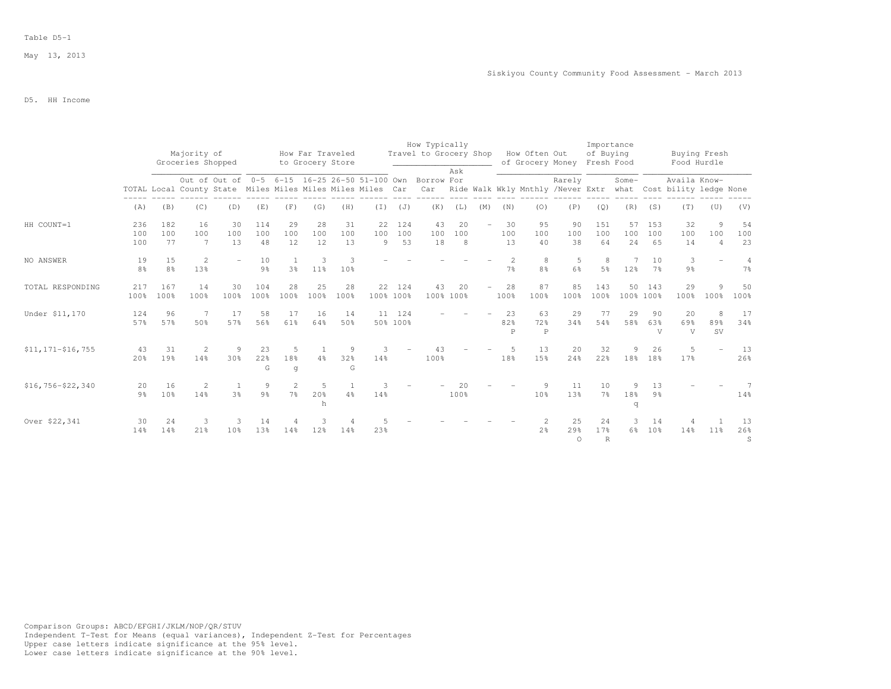## Table D5-1

# D5. HH Income

|                       |                      |                       |                                                                                                                                      |                      |                      |                                  |                                      |                 |                |                    | How Typically          |                 |     |                                 |                           |                       | Importance                |                 |                       |                                                                               |                            |                         |
|-----------------------|----------------------|-----------------------|--------------------------------------------------------------------------------------------------------------------------------------|----------------------|----------------------|----------------------------------|--------------------------------------|-----------------|----------------|--------------------|------------------------|-----------------|-----|---------------------------------|---------------------------|-----------------------|---------------------------|-----------------|-----------------------|-------------------------------------------------------------------------------|----------------------------|-------------------------|
|                       |                      |                       | Majority of<br>Groceries Shopped                                                                                                     |                      |                      |                                  | How Far Traveled<br>to Grocery Store |                 |                |                    | Travel to Grocery Shop |                 |     |                                 | How Often Out             | of Grocery Money      | of Buying<br>Fresh Food   |                 |                       | Buying Fresh<br>Food Hurdle                                                   |                            |                         |
|                       |                      |                       | Out of Out of 0-5 6-15 16-25 26-50 51-100 Own Borrow For<br>TOTAL Local County State Miles Miles Miles Miles Miles Car<br>(C)<br>(D) |                      |                      |                                  |                                      |                 |                |                    | Car                    | Ask             |     |                                 |                           | Rarely                |                           | Some-           |                       | Availa Know-<br>Ride Walk Wkly Mnthly /Never Extr what Cost bility ledge None |                            |                         |
|                       | (A)                  | (B)                   |                                                                                                                                      |                      | (E)                  | (F)                              | (G)                                  | (H)             | (T)            | (J)                | (K)                    | (L)             | (M) | (N)                             | (0)                       | (P)                   | (Q)                       | (R)             | (S)                   | (T)                                                                           | (U)                        | (V)                     |
| HH COUNT=1            | 236<br>100<br>100    | 182<br>100<br>77      | 16<br>100<br>$7\phantom{.0}$                                                                                                         | 30<br>100<br>13      | 114<br>100<br>48     | 29<br>100<br>12                  | 28<br>100<br>12                      | 31<br>100<br>13 | 22<br>100<br>9 | 124<br>100<br>53   | 43<br>100<br>18        | 20<br>100<br>8  |     | 30<br>100<br>13                 | 95<br>100<br>40           | 90<br>100<br>38       | 151<br>100<br>64          | 57<br>100<br>24 | 153<br>100<br>65      | 32<br>100<br>14                                                               | 9<br>100<br>$\overline{4}$ | 54<br>100<br>23         |
| NO ANSWER             | 19<br>8 <sup>°</sup> | 15<br>8 <sup>°</sup>  | 2<br>13%                                                                                                                             |                      | 10<br>$9\frac{6}{9}$ | 3%                               | 3<br>$11\%$                          | -3<br>10%       |                |                    |                        |                 |     | $\mathcal{L}$<br>7 <sup>°</sup> | 8<br>8 <sup>°</sup>       | 5<br>6%               | 8<br>5 <sup>°</sup>       | 7<br>12%        | 10<br>$7\%$           | 3<br>$9\frac{6}{9}$                                                           |                            | $\overline{4}$<br>$7\%$ |
| TOTAL RESPONDING      | 217<br>100%          | 167<br>100%           | 14<br>100%                                                                                                                           | 30<br>100%           | 104<br>100%          | 28<br>100%                       | 25<br>100%                           | 28<br>100%      | 100% 100%      | 22 124             | 43                     | 20<br>100% 100% |     | 28<br>100%                      | 87<br>100%                | 85<br>100%            | 143<br>100%               | 50              | 143<br>100% 100%      | 29<br>100%                                                                    | 9<br>100%                  | 50<br>100%              |
| Under \$11,170        | 124<br>57%           | 96<br>57%             | 7<br>50%                                                                                                                             | 17<br>57%            | 58<br>56%            | 17<br>61%                        | 16<br>64%                            | 14<br>50%       |                | 11 124<br>50% 100% |                        |                 |     | 23<br>82%<br>P                  | 63<br>72%<br>$\mathsf{P}$ | 29<br>34%             | 77<br>54%                 | 29<br>58%       | 90<br>63%<br>V        | 20<br>69%<br>V                                                                | 8<br>89%<br><b>SV</b>      | 17<br>34%               |
| $$11, 171 - $16, 755$ | 43<br>20%            | 31<br>19%             | 2<br>14%                                                                                                                             | 9<br>30 <sup>o</sup> | 23<br>22%<br>G       | 5<br>18%<br>q                    | <sup>1</sup><br>$4\frac{6}{6}$       | -9<br>32%<br>G  | 3<br>14%       |                    | 43<br>100%             |                 |     | 5.<br>18%                       | 13<br>15%                 | 20<br>24%             | 32<br>22%                 | 9<br>18%        | 26<br>18%             | 5<br>17%                                                                      |                            | 13<br>26%               |
| $$16,756 - $22,340$   | 20<br>9 <sub>8</sub> | 16<br>10 <sup>8</sup> | 2<br>14%                                                                                                                             | 3 <sup>°</sup>       | 9<br>$9\frac{6}{6}$  | $\overline{2}$<br>7 <sup>°</sup> | -5<br>20%<br>h                       | 4%              | 14%            |                    |                        | 20<br>100%      |     |                                 | 9<br>10 <sup>8</sup>      | 11<br>13%             | 10<br>7 <sup>°</sup>      | 9<br>18%<br>q   | 13<br>9 <sup>°</sup>  |                                                                               |                            | 14%                     |
| Over \$22,341         | 30<br>14%            | 24<br>14%             | 3<br>21%                                                                                                                             | 3<br>10 <sup>8</sup> | 14<br>13%            | 14%                              | 12%                                  | 14%             | 23%            |                    |                        |                 |     |                                 | 2 <sup>o</sup>            | 25<br>29%<br>$\Omega$ | 24<br>17%<br>$\mathbb{R}$ | 3<br>6%         | 14<br>10 <sup>°</sup> | 14 <sup>°</sup>                                                               | $11\%$                     | 13<br>26%<br>S          |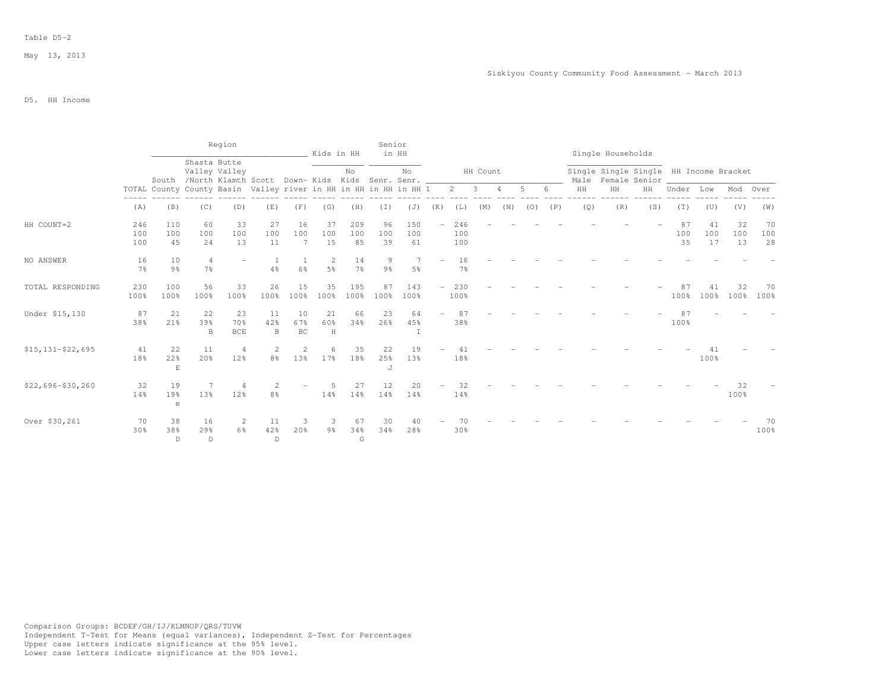|                       |                      |                                                                  |                                                                       | Region                     |                           |                 | Kids in HH           |                      | Senior               | in HH               |                          |                      |          |     |     |     |     | Single Households |                                                              |                 |                 |                 |                 |
|-----------------------|----------------------|------------------------------------------------------------------|-----------------------------------------------------------------------|----------------------------|---------------------------|-----------------|----------------------|----------------------|----------------------|---------------------|--------------------------|----------------------|----------|-----|-----|-----|-----|-------------------|--------------------------------------------------------------|-----------------|-----------------|-----------------|-----------------|
|                       |                      |                                                                  | Shasta Butte<br>South /North Klamth Scott Down- Kids Kids Senr. Senr. | Valley Valley              |                           |                 |                      | No                   |                      | No                  |                          |                      | HH Count |     |     |     |     |                   | Single Single Single HH Income Bracket<br>Male Female Senior |                 |                 |                 |                 |
|                       |                      | TOTAL County County Basin Valley river in HH in HH in HH in HH 1 |                                                                       |                            |                           |                 |                      |                      |                      |                     |                          | $\overline{2}$       | -3       |     | 5   |     | HH  | HH                | HH                                                           | Under           | Low             | Mod             | Over            |
|                       | (A)                  | (B)                                                              | (C)                                                                   | (D)                        | (E)                       | (F)             | (G)                  | (H)                  | (I)                  | (J)                 | (K)                      | (L)                  | (M)      | (N) | (0) | (P) | (Q) | (R)               | (S)                                                          | (T)             | (U)             | (V)             | (W)             |
| HH COUNT=2            | 246<br>100<br>100    | 110<br>100<br>45                                                 | 60<br>100<br>24                                                       | 33<br>100<br>13            | 27<br>100<br>11           | 16<br>100<br>7  | 37<br>100<br>15      | 209<br>100<br>85     | 96<br>100<br>39      | 150<br>100<br>61    | $\overline{\phantom{0}}$ | 246<br>100<br>100    |          |     |     |     |     |                   |                                                              | 87<br>100<br>35 | 41<br>100<br>17 | 32<br>100<br>13 | 70<br>100<br>28 |
| NO ANSWER             | 16<br>7 <sup>8</sup> | 10<br>9%                                                         | $\overline{4}$<br>$7\frac{6}{9}$                                      |                            | 4%                        | 6%              | 2<br>5 <sup>°</sup>  | 14<br>7 <sup>°</sup> | 9<br>9 <sub>8</sub>  | 7<br>5%             | $\equiv$                 | 16<br>7 <sup>°</sup> |          |     |     |     |     |                   |                                                              |                 |                 |                 |                 |
| TOTAL RESPONDING      | 230<br>100%          | 100<br>100%                                                      | 56<br>100%                                                            | 33<br>100%                 | 26<br>100%                | 15<br>100%      | 35<br>100%           | 195<br>100%          | 87<br>100%           | 143<br>100%         | $\overline{\phantom{0}}$ | 230<br>100%          |          |     |     |     |     |                   |                                                              | 87<br>100%      | 41<br>100%      | 32<br>100%      | 70<br>100%      |
| Under \$15,130        | 87<br>38%            | 21<br>21%                                                        | 22<br>39%<br>B                                                        | 23<br>70 %<br>$_{\rm BCE}$ | 11<br>42%<br>$\, {\bf B}$ | 10<br>67%<br>BC | 21<br>60%<br>$\,$ H  | 66<br>34%            | 23<br>26%            | 64<br>45%<br>$\top$ |                          | 87<br>38%            |          |     |     |     |     |                   |                                                              | 100%            |                 |                 |                 |
| $$15, 131 - $22, 695$ | 41<br>18%            | 22<br>22%<br>$\mathbf E$                                         | 11<br>20%                                                             | $\overline{4}$<br>12%      | 2<br>8 <sup>°</sup>       | 2<br>13%        | 6<br>17 <sup>°</sup> | 35<br>18%            | 22<br>25%<br>$\cdot$ | 19<br>13%           |                          | 18%                  |          |     |     |     |     |                   |                                                              |                 | 100%            |                 |                 |
| $$22,696 - $30,260$   | 32<br>14%            | 19<br>19%<br>e                                                   | 7<br>13%                                                              | 4<br>12%                   | 2<br>8 <sup>°</sup>       |                 | -5<br>14%            | 27<br>14%            | 12<br>14%            | 20<br>14%           |                          | 32<br>14%            |          |     |     |     |     |                   |                                                              |                 |                 | 32<br>100%      |                 |
| Over \$30,261         | 70<br>30%            | 38<br>38%<br>$\mathbb{D}$                                        | 16<br>29%<br>$\mathbb{D}$                                             | 2<br>6%                    | 11<br>42%<br>$\mathbb{D}$ | З<br>20%        | -3<br>$9\frac{6}{9}$ | 67<br>34%<br>G       | 30<br>34%            | 28%                 |                          | 30%                  |          |     |     |     |     |                   |                                                              |                 |                 |                 | 70<br>100%      |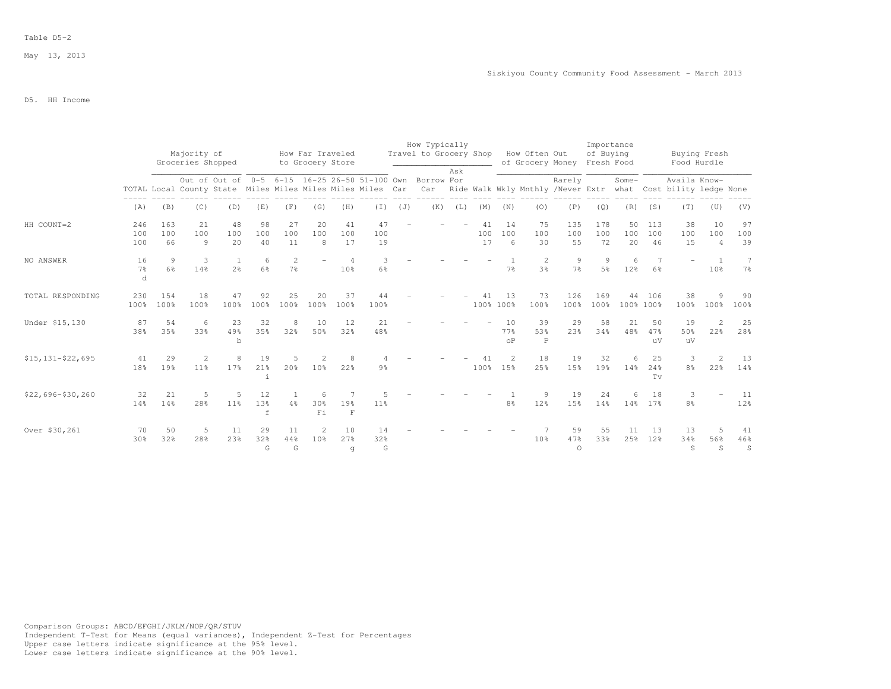## Table D5-2

# D5. HH Income

|                       |                           |                       |                                  |                                |                         |                                  |                                      |                                   |                                                                                                                        |     | How Typically                        |     |                 |                        |                           |                             | Importance          |                 |                       |                                                                               |                                   |                                 |
|-----------------------|---------------------------|-----------------------|----------------------------------|--------------------------------|-------------------------|----------------------------------|--------------------------------------|-----------------------------------|------------------------------------------------------------------------------------------------------------------------|-----|--------------------------------------|-----|-----------------|------------------------|---------------------------|-----------------------------|---------------------|-----------------|-----------------------|-------------------------------------------------------------------------------|-----------------------------------|---------------------------------|
|                       |                           |                       | Majority of<br>Groceries Shopped |                                |                         |                                  | How Far Traveled<br>to Grocery Store |                                   |                                                                                                                        |     | Travel to Grocery Shop How Often Out | Ask |                 |                        |                           | of Grocery Money Fresh Food | of Buying           |                 |                       | Buying Fresh<br>Food Hurdle                                                   |                                   |                                 |
|                       |                           |                       |                                  |                                |                         |                                  |                                      |                                   | Out of Out of 0-5 6-15 16-25 26-50 51-100 Own Borrow For<br>TOTAL Local County State Miles Miles Miles Miles Miles Car |     | Car                                  |     |                 |                        |                           | Rarely                      |                     | Some-           |                       | Availa Know-<br>Ride Walk Wkly Mnthly /Never Extr what Cost bility ledge None |                                   |                                 |
|                       | (A)                       | (B)                   | (C)                              | (D)                            | (E)                     | (F)                              | (G)                                  | (H)                               | $(\top)$                                                                                                               | (J) | (K)                                  | (L) | (M)             | (N)                    | (0)                       | (P)                         | (Q)                 | (R)             | (S)                   | (T)                                                                           | (U)                               | (V)                             |
| HH COUNT=2            | 246<br>100<br>100         | 163<br>100<br>66      | 21<br>100<br>$\circ$             | 48<br>100<br>20                | 98<br>100<br>40         | 27<br>100<br>11                  | 20<br>100<br>8                       | 41<br>100<br>17                   | 47<br>100<br>19                                                                                                        |     |                                      |     | 41<br>100<br>17 | 14<br>100<br>6         | 75<br>100<br>30           | 135<br>100<br>55            | 178<br>100<br>72    | 50<br>100<br>20 | 113<br>100<br>46      | 38<br>100<br>15                                                               | 10<br>100<br>$\overline{4}$       | 97<br>100<br>39                 |
| NO ANSWER             | 16<br>7 <sup>°</sup><br>d | 9<br>6%               | 3<br>14%                         | $\mathbf{1}$<br>2 <sup>°</sup> | 6<br>6%                 | $\overline{2}$<br>$7\frac{6}{6}$ |                                      | $\overline{4}$<br>10 <sup>8</sup> | 3<br>6%                                                                                                                |     |                                      |     |                 | 7 <sup>°</sup>         | 2<br>3 <sup>8</sup>       | 9<br>$7\frac{6}{6}$         | 9<br>5 <sup>°</sup> | 6<br>12%        | 6%                    |                                                                               | $\overline{1}$<br>10 <sup>8</sup> | 7<br>$7\frac{6}{6}$             |
| TOTAL RESPONDING      | 230<br>100%               | 154<br>100%           | 18<br>100%                       | 47<br>100%                     | 92<br>100%              | 25<br>100%                       | 20<br>100%                           | 37<br>100%                        | 44<br>100%                                                                                                             |     |                                      |     | 41              | 13<br>100% 100%        | 73<br>100%                | 126<br>100%                 | 169<br>100%         | 44<br>100% 100% | 106                   | 38<br>100%                                                                    | 9<br>100%                         | 90<br>100%                      |
| Under \$15,130        | 87<br>38%                 | 54<br>35%             | - 6<br>33%                       | 23<br>49%<br>$\mathbf b$       | 32<br>35%               | 8<br>32%                         | 10<br>50%                            | 12<br>32%                         | 21<br>48%                                                                                                              |     |                                      |     |                 | 10<br>77%<br>$\circ$ P | 39<br>53%<br>$\mathsf{P}$ | 29<br>23%                   | 58<br>34%           | 21<br>48%       | 50<br>47%<br>11V      | 19<br>50%<br>uV                                                               | $\overline{2}$<br>22%             | 25<br>28%                       |
| $$15, 131 - $22, 695$ | 41<br>18%                 | 29<br>19%             | 2<br>11%                         | 8<br>17%                       | 19<br>21%<br>i          | 5<br>20%                         | 2<br>10 <sup>°</sup>                 | -8<br>22%                         | 9 <sup>°</sup>                                                                                                         |     |                                      |     | 41<br>100%      | $\overline{2}$<br>15%  | 18<br>25%                 | 19<br>15%                   | 32<br>19%           | 6<br>14%        | 25<br>24%<br>Tv       | 3<br>8 <sup>°</sup>                                                           | $\overline{2}$<br>22%             | 13<br>14%                       |
| $$22,696 - $30,260$   | 32<br>14%                 | 21<br>14 <sup>°</sup> | -5<br>28%                        | .5<br>11%                      | 12<br>13%<br>$\epsilon$ | 1<br>4%                          | -6<br>30%<br>Fi                      | 19%<br>$\mathbf{F}$               | .5<br>11%                                                                                                              |     |                                      |     |                 | 8 <sup>°</sup>         | 9<br>12%                  | 19<br>15%                   | 24<br>14%           | 6               | 18<br>14% 17%         | 3<br>8 <sup>°</sup>                                                           |                                   | 11<br>12%                       |
| Over \$30,261         | 70<br>30%                 | 50<br>32%             | 5<br>28%                         | 11<br>23%                      | 29<br>32%<br>G          | 11<br>44%<br>G                   | 2<br>10%                             | 10<br>27%<br>q                    | 14<br>32%<br>G                                                                                                         |     |                                      |     |                 |                        | 10 <sup>8</sup>           | 59<br>47%<br>$\Omega$       | 55<br>33%           | 11<br>25%       | 13<br>12 <sup>°</sup> | 13<br>34%<br>S                                                                | 5<br>56%<br>S                     | 41<br>46%<br>$\, \mathbb{S} \,$ |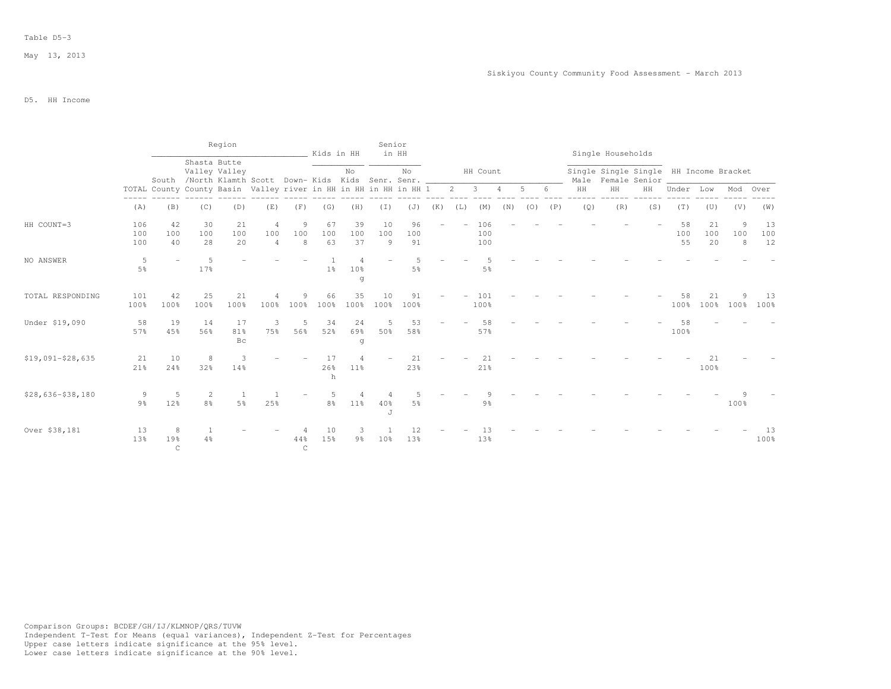|                   |                     |                                                                  |                     | Region          |                                                      |                     | Kids in HH      |                     | Senior          | in HH           |     |                |                         |                |             |     |     | Single Households                                            |     |                 |                 |               |                 |
|-------------------|---------------------|------------------------------------------------------------------|---------------------|-----------------|------------------------------------------------------|---------------------|-----------------|---------------------|-----------------|-----------------|-----|----------------|-------------------------|----------------|-------------|-----|-----|--------------------------------------------------------------|-----|-----------------|-----------------|---------------|-----------------|
|                   |                     |                                                                  | Shasta Butte        | Valley Valley   | South /North Klamth Scott Down-Kids Kids Senr. Senr. |                     |                 | No                  |                 | No              |     |                | HH Count                |                |             |     |     | Single Single Single HH Income Bracket<br>Male Female Senior |     |                 |                 |               |                 |
|                   |                     | TOTAL County County Basin Valley river in HH in HH in HH in HH 1 |                     |                 |                                                      |                     |                 |                     |                 |                 |     | $\overline{2}$ | $\overline{\mathbf{3}}$ | $\overline{4}$ | $5^{\circ}$ |     | HH  | HH                                                           | HH  | Under           | Low             | Mod Over      |                 |
|                   | (A)                 | (B)                                                              | (C)                 | (D)             | (E)                                                  | (F)                 | (G)             | (H)                 | (T)             | (J)             | (K) | (L)            | (M)                     | (N)            | (0)         | (P) | (Q) | (R)                                                          | (S) | (T)             | (U)             | (V)           | (W)             |
| HH COUNT=3        | 106<br>100<br>100   | 42<br>100<br>40                                                  | 30<br>100<br>28     | 21<br>100<br>20 | $\overline{4}$<br>100<br>$\overline{4}$              | 9<br>100<br>8       | 67<br>100<br>63 | 39<br>100<br>37     | 10<br>100<br>9  | 96<br>100<br>91 |     |                | 106<br>100<br>100       |                |             |     |     |                                                              |     | 58<br>100<br>55 | 21<br>100<br>20 | 9<br>100<br>8 | 13<br>100<br>12 |
| NO ANSWER         | 5<br>5%             |                                                                  | -5<br>17%           |                 |                                                      |                     | 1 <sup>°</sup>  | 10%<br>g            |                 | 5%              |     |                | 5%                      |                |             |     |     |                                                              |     |                 |                 |               |                 |
| TOTAL RESPONDING  | 101<br>100%         | 42<br>100%                                                       | 25<br>100%          | 21<br>100%      | 100%                                                 | 9<br>100%           | 66<br>100%      | 35<br>100%          | 10<br>100%      | 91<br>100%      |     |                | 101<br>100%             |                |             |     |     |                                                              |     | 58<br>100%      | 21<br>100%      | 100%          | -13<br>100%     |
| Under \$19,090    | 58<br>57%           | 19<br>45%                                                        | 14<br>56%           | 17<br>81%<br>Bc | 3<br>75%                                             | 5<br>56%            | 34<br>52%       | 24<br>69%<br>g      | 5<br>50%        | 53<br>58%       |     |                | 58<br>57%               |                |             |     |     |                                                              |     | 58<br>100%      |                 |               |                 |
| $$19,091-$28,635$ | 21<br>21%           | 10<br>24%                                                        | 8<br>32%            | 3<br>14%        |                                                      |                     | 17<br>26%<br>h  | 11 <sup>8</sup>     |                 | 21<br>23%       |     |                | 21<br>21%               |                |             |     |     |                                                              |     |                 | 21<br>100%      |               |                 |
| $$28,636-$38,180$ | 9<br>9 <sub>8</sub> | 5<br>12%                                                         | 2<br>8 <sup>°</sup> | 5 <sup>°</sup>  | 25%                                                  |                     | 8 <sup>°</sup>  | 11%                 | 40%<br>J        | 5%              |     |                | 9%                      |                |             |     |     |                                                              |     |                 |                 | 100%          |                 |
| Over \$38,181     | 13<br>13%           | 8<br>19%<br>$\mathsf C$                                          | 4%                  |                 |                                                      | 44%<br>$\mathsf{C}$ | 10<br>15%       | 3<br>$9\frac{6}{6}$ | 10 <sup>8</sup> | 13%             |     |                | 13%                     |                |             |     |     |                                                              |     |                 |                 |               | 13<br>100%      |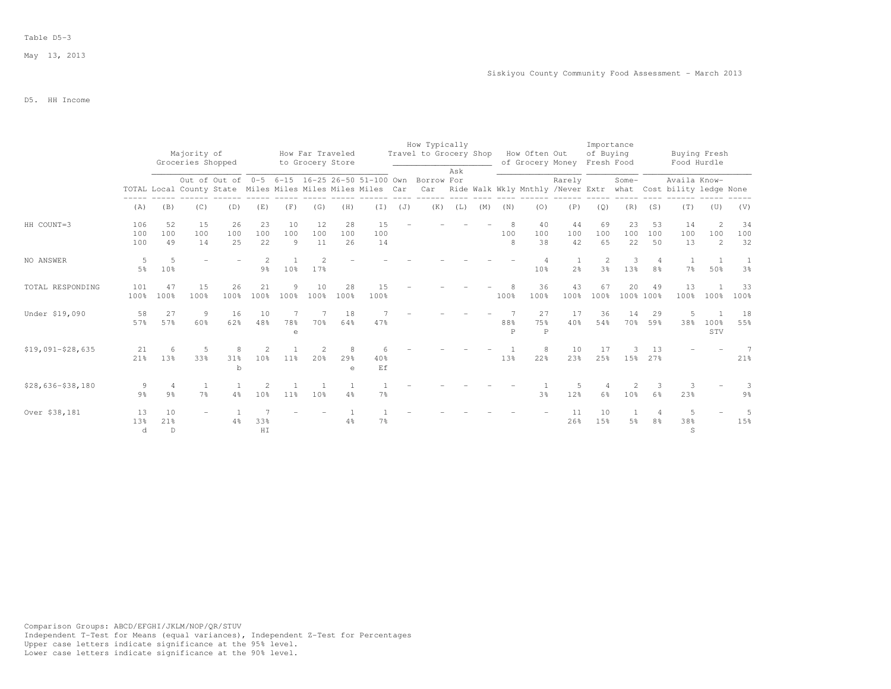## Table D5-3

# D5. HH Income

|                   |                     |                          | Majority of<br>Groceries Shopped |                 |                      |                             | How Far Traveled<br>to Grocery Store |                         |                                                            |     | How Typically<br>Travel to Grocery Shop                  |     |     |          | How Often Out             | of Grocery Money | Importance<br>of Buying<br>Fresh Food |                     |                                  | Buying Fresh<br>Food Hurdle |                            |                     |
|-------------------|---------------------|--------------------------|----------------------------------|-----------------|----------------------|-----------------------------|--------------------------------------|-------------------------|------------------------------------------------------------|-----|----------------------------------------------------------|-----|-----|----------|---------------------------|------------------|---------------------------------------|---------------------|----------------------------------|-----------------------------|----------------------------|---------------------|
|                   |                     |                          |                                  |                 |                      |                             |                                      |                         |                                                            |     | Out of Out of 0-5 6-15 16-25 26-50 51-100 Own Borrow For | Ask |     |          |                           | Rarely           |                                       | Some-               |                                  | Availa Know-                |                            |                     |
|                   |                     |                          |                                  |                 |                      |                             |                                      |                         | TOTAL Local County State Miles Miles Miles Miles Miles Car |     | Car Ride Walk Wkly Mnthly /Never Extr                    |     |     |          |                           |                  |                                       |                     |                                  | what Cost bility ledge None |                            |                     |
|                   | (A)                 | (B)                      | (C)                              | (D)             | (E)                  | (F)                         | (G)                                  | (H)                     | $(\bot)$                                                   | (J) | (K)                                                      | (L) | (M) | (N)      | (0)                       | (P)              | (Q)                                   | (R)                 | (S)                              | (T)                         | (U)                        | (V)                 |
| HH COUNT=3        | 106<br>100<br>100   | 52<br>100<br>49          | 15<br>100<br>14                  | 26<br>100<br>25 | 23<br>100<br>22      | 10<br>100<br>$\overline{9}$ | 12<br>100<br>11                      | 28<br>100<br>26         | 15<br>100<br>14                                            |     |                                                          |     |     | 100<br>8 | 40<br>100<br>38           | 44<br>100<br>42  | 69<br>100<br>65                       | 23<br>100<br>22     | 53<br>100<br>50                  | 14<br>100<br>13             | $\overline{2}$<br>100<br>2 | 34<br>100<br>32     |
| NO ANSWER         | 5<br>$5\%$          | 5<br>10%                 |                                  |                 | 9 <sup>°</sup>       | 10 <sup>8</sup>             | 17%                                  |                         |                                                            |     |                                                          |     |     |          | 10%                       | 2 <sup>°</sup>   | $\overline{2}$<br>3 <sup>°</sup>      | 3<br>13%            | $\overline{4}$<br>8%             | -1.<br>7%                   | 50%                        | 1<br>3 <sup>°</sup> |
| TOTAL RESPONDING  | 101<br>100%         | 47<br>100%               | 15<br>100%                       | 26<br>100%      | 21<br>100%           | Q<br>$100\%$                | 10<br>100%                           | 28<br>100%              | 1.5<br>100%                                                |     |                                                          |     |     | 100%     | 36<br>100%                | 43<br>100%       | 67<br>100%                            | 20<br>100% 100%     | 49                               | 13<br>100%                  | 100%                       | 33<br>100%          |
| Under \$19,090    | 58<br>57%           | 27<br>57%                | 9<br>60%                         | 16<br>62%       | 10<br>48%            | 78%<br>$\epsilon$           | 70%                                  | 18<br>64%               | 47%                                                        |     |                                                          |     |     | 88%<br>P | 27<br>75%<br>$\mathsf{P}$ | 17<br>40%        | 36<br>54%                             | 14<br>70%           | 29<br>59%                        | 5<br>38%                    | 100%<br>STV                | 18<br>55%           |
| $$19,091-$28,635$ | 21<br>21%           | $\epsilon$<br>13%        | -5<br>33%                        | 31%<br>b        | 10 <sup>°</sup>      | $11\%$                      | 20%                                  | -8<br>29%<br>$\epsilon$ | 40%<br>Ef                                                  |     |                                                          |     |     | 13%      | 8<br>22%                  | 10<br>23%        | 17<br>25%                             |                     | 13<br>15% 27%                    |                             |                            | 7<br>21%            |
| $$28,636-$38,180$ | 9<br>9 <sub>8</sub> | 4<br>9 <sub>8</sub>      | 7 <sup>°</sup>                   | 4%              | 2<br>10 <sup>°</sup> | 11 <sup>°</sup>             | $\overline{1}$<br>10%                | 4%                      | 7%                                                         |     |                                                          |     |     |          | 3%                        | .5<br>12%        | 6 <sup>°</sup>                        | 2<br>10%            | 3<br>6%                          | 3<br>23%                    |                            | 3<br>9%             |
| Over \$38,181     | 13<br>13%<br>d      | 10<br>21%<br>$\mathbb D$ |                                  | 4%              | 33%<br>HI            |                             |                                      | 4%                      | 7 <sup>°</sup>                                             |     |                                                          |     |     |          |                           | 11<br>26%        | 10<br>15%                             | 1<br>5 <sup>°</sup> | $\overline{4}$<br>8 <sup>°</sup> | 5<br>38%<br>S               |                            | .5<br>15%           |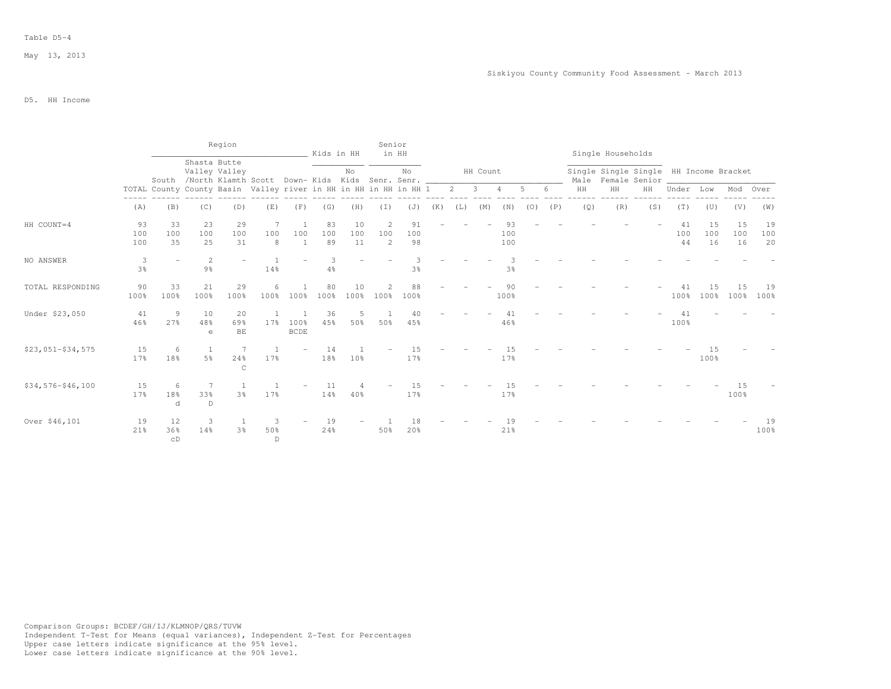|                     |                     |                                                                  |                                                                       | Region              |                 |                     | Kids in HH      |                 | Senior        | in HH           |     |                |          |                  |     |     |     | Single Households |                                                              |                 |                 |                 |                 |
|---------------------|---------------------|------------------------------------------------------------------|-----------------------------------------------------------------------|---------------------|-----------------|---------------------|-----------------|-----------------|---------------|-----------------|-----|----------------|----------|------------------|-----|-----|-----|-------------------|--------------------------------------------------------------|-----------------|-----------------|-----------------|-----------------|
|                     |                     |                                                                  | Shasta Butte<br>South /North Klamth Scott Down- Kids Kids Senr. Senr. | Valley Valley       |                 |                     |                 | No              |               | No              |     |                | HH Count |                  |     |     |     |                   | Single Single Single HH Income Bracket<br>Male Female Senior |                 |                 |                 |                 |
|                     |                     | TOTAL County County Basin Valley river in HH in HH in HH in HH 1 |                                                                       |                     |                 |                     |                 |                 |               |                 |     | $\overline{2}$ | 3        |                  |     |     | HH  | $\rm{HH}$         | HH                                                           | Under           | Low             | Mod             | Over            |
|                     | (A)                 | (B)                                                              | (C)                                                                   | (D)                 | (E)             | (F)                 | (G)             | (H)             | (I)           | (J)             | (K) | (L)            | (M)      | (N)              | (0) | (P) | (Q) | (R)               | (S)                                                          | (T)             | (U)             | (V)             | (W)             |
| HH COUNT=4          | 93<br>100<br>100    | 33<br>100<br>35                                                  | 23<br>100<br>25                                                       | 29<br>100<br>31     | 7<br>100<br>8   | 100<br>1            | 83<br>100<br>89 | 10<br>100<br>11 | 2<br>100<br>2 | 91<br>100<br>98 |     |                |          | 93<br>100<br>100 |     |     |     |                   |                                                              | 41<br>100<br>44 | 15<br>100<br>16 | 15<br>100<br>16 | 19<br>100<br>20 |
| NO ANSWER           | 3<br>3 <sup>°</sup> |                                                                  | 2<br>$9\frac{6}{9}$                                                   |                     | 14%             |                     | 3<br>4%         |                 |               | 3 <sup>°</sup>  |     |                |          | 3%               |     |     |     |                   |                                                              |                 |                 |                 |                 |
| TOTAL RESPONDING    | 90<br>100%          | 33<br>100%                                                       | 21<br>100%                                                            | 29<br>100%          | 6<br>100%       | 100%                | 80<br>100%      | 10<br>100%      | 100%          | 88<br>100%      |     |                |          | 90<br>100%       |     |     |     |                   |                                                              | 41<br>100%      | 1.5<br>100%     | 15<br>100%      | 19<br>100%      |
| Under \$23,050      | 41<br>46%           | 9<br>27%                                                         | 10<br>48%<br>$\epsilon$                                               | 20<br>69%<br>$BE$   | 17 <sup>°</sup> | 100%<br><b>BCDE</b> | 36<br>45%       | 5<br>50%        | 50%           | 40<br>45%       |     |                |          | 41<br>46%        |     |     |     |                   |                                                              | 41<br>100%      |                 |                 |                 |
| $$23,051-$34,575$   | 15<br>17%           | 6<br>18%                                                         | 5 <sup>°</sup>                                                        | 24%<br>$\mathsf{C}$ | 17%             |                     | 14<br>18%       | 10 <sup>°</sup> |               | 15<br>17%       |     |                |          | 15<br>17%        |     |     |     |                   |                                                              |                 | 15<br>100%      |                 |                 |
| $$34,576 - $46,100$ | 15<br>17%           | 6<br>18%<br>d                                                    | 7<br>33%<br>D                                                         | 3%                  | 17%             |                     | 11<br>14%       | 40%             |               | 1.5<br>17%      |     |                |          | 15<br>17%        |     |     |     |                   |                                                              |                 |                 | 15<br>100%      |                 |
| Over \$46,101       | 19<br>21%           | 12<br>36%<br>CD                                                  | 3<br>14%                                                              | 3%                  | 3<br>50%<br>D   |                     | 19<br>24%       |                 | 50%           | 18<br>20%       |     |                |          | 21%              |     |     |     |                   |                                                              |                 |                 |                 | 19<br>100%      |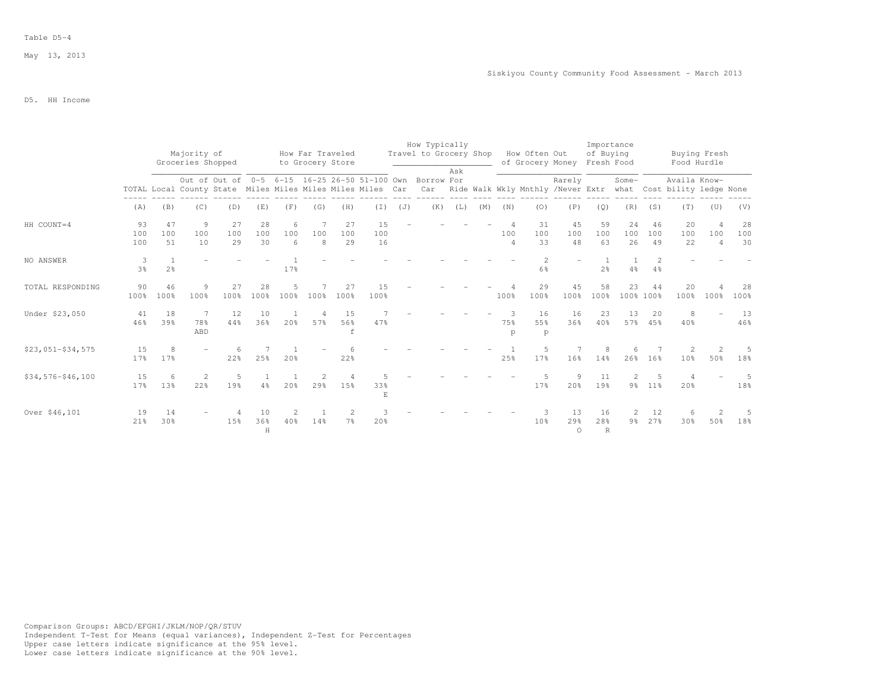## Table D5-4

# D5. HH Income

|                   |                     |                 | Majority of       |                 |                 |               | How Far Traveled |                 |                                                            |     | How Typically<br>Travel to Grocery Shop                         |     |     |               | How Often Out                     |                       | Importance<br>of Buying   |                     |                     | Buying Fresh                                |                                         |                 |
|-------------------|---------------------|-----------------|-------------------|-----------------|-----------------|---------------|------------------|-----------------|------------------------------------------------------------|-----|-----------------------------------------------------------------|-----|-----|---------------|-----------------------------------|-----------------------|---------------------------|---------------------|---------------------|---------------------------------------------|-----------------------------------------|-----------------|
|                   |                     |                 | Groceries Shopped |                 |                 |               | to Grocery Store |                 |                                                            |     |                                                                 | Ask |     |               | of Grocery Money                  |                       | Fresh Food                |                     |                     | Food Hurdle                                 |                                         |                 |
|                   |                     |                 |                   |                 |                 |               |                  |                 | TOTAL Local County State Miles Miles Miles Miles Miles Car |     | Out of Out of 0-5 6-15 16-25 26-50 51-100 Own Borrow For<br>Car |     |     |               | Ride Walk Wkly Mnthly /Never Extr | Rarely                |                           | Some-               |                     | Availa Know-<br>what Cost bility ledge None |                                         |                 |
|                   | (A)                 | (B)             | (C)               | (D)             | (E)             | (F)           | (G)              | (H)             | $(\bot)$                                                   | (J) | (K)                                                             | (L) | (M) | (N)           | (0)                               | (P)                   | (Q)                       | (R)                 | (S)                 | (T)                                         | (U)                                     | (V)             |
| HH COUNT=4        | 93<br>100<br>100    | 47<br>100<br>51 | 9<br>100<br>10    | 27<br>100<br>29 | 28<br>100<br>30 | 6<br>100<br>6 | 100<br>8         | 27<br>100<br>29 | 15<br>100<br>16                                            |     |                                                                 |     |     | 100<br>4      | 31<br>100<br>33                   | 45<br>100<br>48       | 59<br>100<br>63           | 24<br>100<br>26     | 46<br>100<br>49     | 20<br>100<br>22                             | $\overline{4}$<br>100<br>$\overline{4}$ | 28<br>100<br>30 |
| NO ANSWER         | 3<br>3 <sup>°</sup> | 2 <sup>o</sup>  |                   |                 |                 | 17%           |                  |                 |                                                            |     |                                                                 |     |     |               | $\mathfrak{D}$<br>6%              |                       | 2 <sup>o</sup>            | $\mathbf{1}$<br>4%  | 2<br>$4\frac{6}{6}$ |                                             |                                         |                 |
| TOTAL RESPONDING  | 90<br>100%          | 46<br>100%      | 9<br>100%         | 27<br>100%      | 28<br>100%      | 100%          | 100%             | 27<br>100%      | 15<br>100%                                                 |     |                                                                 |     |     | 100%          | 29<br>100%                        | 45<br>100%            | 58<br>100%                | 23<br>100% 100%     | 44                  | 20<br>100%                                  | 100%                                    | 28<br>100%      |
| Under \$23,050    | 41<br>46%           | 18<br>39%       | 7<br>78%<br>ABD   | 12<br>44%       | 10<br>36%       | 20%           | 57%              | 15<br>56%<br>f  | 47%                                                        |     |                                                                 |     |     | 3<br>75%<br>p | 16<br>55%<br>p                    | 16<br>36%             | 23<br>40%                 | 13<br>57%           | 20<br>45%           | 8<br>40%                                    |                                         | 13<br>46%       |
| $$23,051-$34,575$ | 15<br>17%           | 8<br>17%        |                   | 22%             | 25%             | 20%           |                  | 22%             |                                                            |     |                                                                 |     |     | 25%           | .5<br>17%                         | 16%                   | 8<br>14%                  | 6<br>26%            | 16%                 | 2<br>10 <sup>8</sup>                        | 50%                                     | .5<br>18%       |
| $$34,576-$46,100$ | 15<br>17%           | 6<br>13%        | 2<br>22%          | 5<br>19%        | $4\frac{6}{6}$  | 20%           | 29%              | 15%             | 33%<br>E                                                   |     |                                                                 |     |     |               | 17%                               | 9<br>20%              | 11<br>19%                 | 2                   | 5<br>9% 11%         | 20%                                         |                                         | 5<br>18%        |
| Over \$46,101     | 19<br>21%           | 14<br>30%       |                   | 15%             | 10<br>36%<br>Н  | 2<br>40%      | 14%              | 7 <sup>°</sup>  | 20%                                                        |     |                                                                 |     |     |               | 10 <sup>8</sup>                   | 13<br>29%<br>$\Omega$ | 16<br>28%<br>$\mathbb{R}$ | 2<br>9 <sub>8</sub> | 12<br>27%           | 6<br>30%                                    | $\overline{2}$<br>50%                   | 5<br>18%        |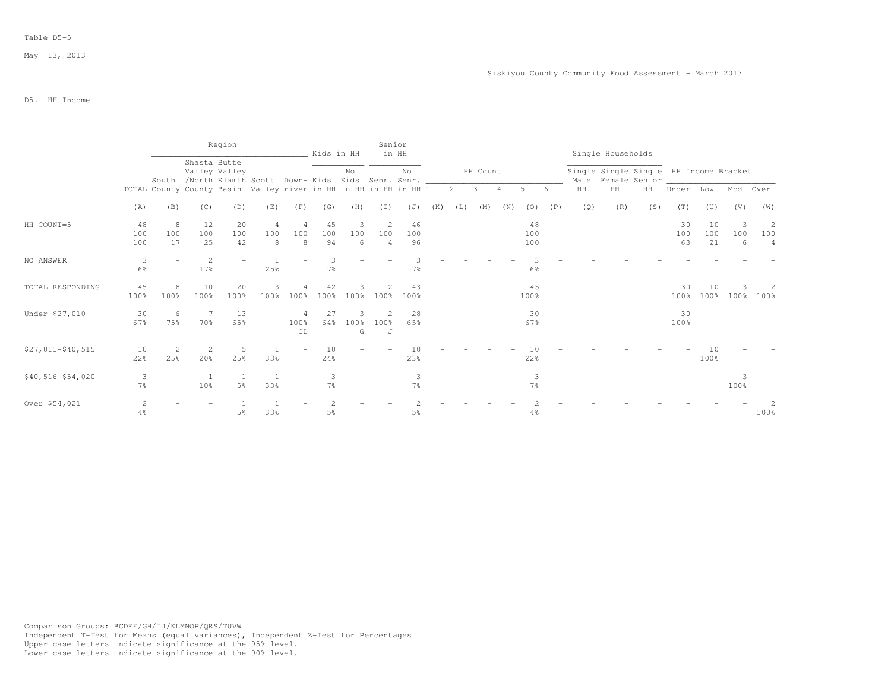|                     |                     |                |                 | Region          |                                                                  |            | Kids in HH          |                | Senior                     | in HH           |     |             |              |     |            |     |     | Single Households |                                                              |                 |                 |               |               |
|---------------------|---------------------|----------------|-----------------|-----------------|------------------------------------------------------------------|------------|---------------------|----------------|----------------------------|-----------------|-----|-------------|--------------|-----|------------|-----|-----|-------------------|--------------------------------------------------------------|-----------------|-----------------|---------------|---------------|
|                     |                     |                | Shasta Butte    | Valley Valley   | South /North Klamth Scott Down-Kids Kids Senr. Senr. __          |            |                     | No             |                            | No              |     |             | HH Count     |     |            |     |     |                   | Single Single Single HH Income Bracket<br>Male Female Senior |                 |                 |               |               |
|                     |                     |                |                 |                 | TOTAL County County Basin Valley river in HH in HH in HH in HH 1 |            |                     |                |                            |                 |     | $2^{\circ}$ | $\mathbf{3}$ | 4   | 5          | -6  | HH  | HH                | HH                                                           | Under           | Low             | Mod Over      |               |
|                     | (A)                 | (B)            | (C)             | (D)             | (E)                                                              | (F)        | (G)                 | (H)            | (T)                        | (J)             | (K) | (L)         | (M)          | (N) | (0)        | (P) | (Q) | (R)               | (S)                                                          | (T)             | (U)             | (V)           | (W)           |
| HH COUNT=5          | 48<br>100<br>100    | 8<br>100<br>17 | 12<br>100<br>25 | 20<br>100<br>42 | 4<br>100<br>8                                                    | 100<br>8   | 45<br>100<br>94     | 3<br>100<br>6  | 2<br>100<br>$\overline{4}$ | 46<br>100<br>96 |     |             |              |     | 100<br>100 |     |     |                   |                                                              | 30<br>100<br>63 | 10<br>100<br>21 | 3<br>100<br>6 | 2<br>100<br>4 |
| NO ANSWER           | 3<br>$6\%$          |                | 2<br>17%        |                 | 25%                                                              |            | 3<br>7%             |                |                            | 7%              |     |             |              |     | 6%         |     |     |                   |                                                              |                 |                 |               |               |
| TOTAL RESPONDING    | 45<br>100%          | 8<br>100%      | 10<br>100%      | 20<br>100%      | 3<br>100%                                                        | 100%       | 42<br>100%          | 100%           | 100%                       | 43<br>100%      |     |             |              |     | 100%       |     |     |                   |                                                              | 30<br>100%      | 10<br>100%      | 100%          | 2<br>100%     |
| Under \$27,010      | 30<br>67%           | -6<br>75%      | 7<br>70%        | 13<br>65%       |                                                                  | 100%<br>CD | 27<br>64%           | 3<br>100%<br>G | 100%<br>J                  | 28<br>65%       |     |             |              |     | 30<br>67%  |     |     |                   |                                                              | 30<br>100%      |                 |               |               |
| $$27,011 - $40,515$ | 10<br>22%           | 2<br>25%       | 2<br>20%        | 5<br>25%        | 33%                                                              |            | 10<br>24%           |                |                            | 10<br>23%       |     |             |              |     | 10<br>22%  |     |     |                   |                                                              |                 | 10<br>100%      |               |               |
| $$40,516-$54,020$   | 3<br>$7\frac{6}{9}$ |                | -1<br>10%       | 5%              | 33%                                                              |            | 3<br>7 <sup>°</sup> |                |                            | 7 <sup>°</sup>  |     |             |              |     | 7%         |     |     |                   |                                                              |                 |                 | 100%          |               |
| Over \$54,021       | 2<br>4%             |                |                 | 5%              | 33%                                                              |            | 5 <sup>°</sup>      |                |                            | 5%              |     |             |              |     | 4%         |     |     |                   |                                                              |                 |                 |               | 100%          |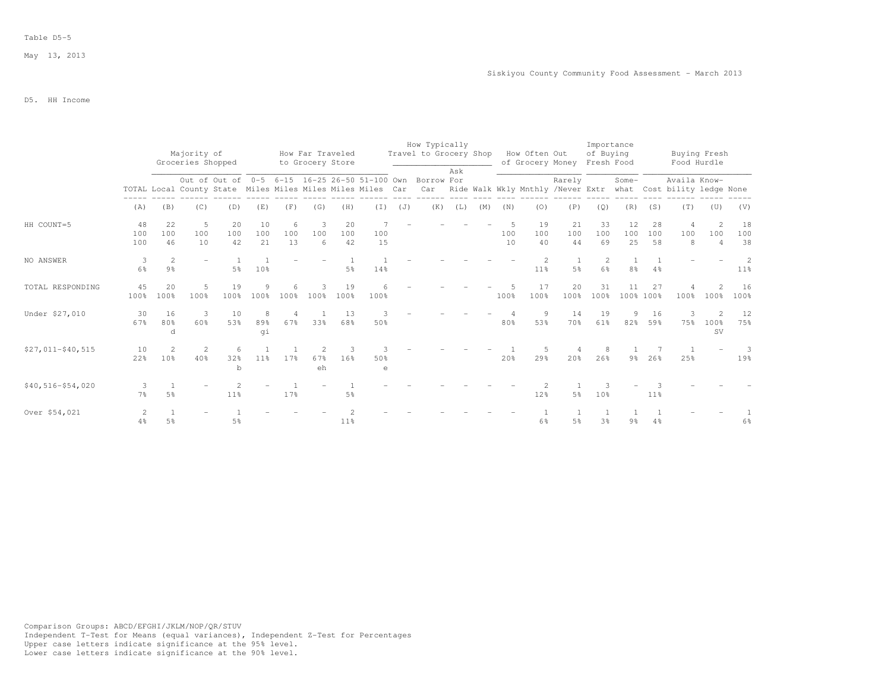## Table D5-5

# D5. HH Income

|                   |                     |                                  | Majority of<br>Groceries Shopped |                 |                  |                | How Far Traveled<br>to Grocery Store |                 |           |     | How Typically<br>Travel to Grocery Shop                                                                                                                                            |     |     |           | How Often Out<br>of Grocery Money |                 | Importance<br>of Buying<br>Fresh Food |                  |                 | Buying Fresh<br>Food Hurdle |                                         |                      |
|-------------------|---------------------|----------------------------------|----------------------------------|-----------------|------------------|----------------|--------------------------------------|-----------------|-----------|-----|------------------------------------------------------------------------------------------------------------------------------------------------------------------------------------|-----|-----|-----------|-----------------------------------|-----------------|---------------------------------------|------------------|-----------------|-----------------------------|-----------------------------------------|----------------------|
|                   |                     |                                  |                                  |                 |                  |                |                                      |                 |           |     | Out of Out of 0-5 6-15 16-25 26-50 51-100 Own Borrow For<br>TOTAL Local County State Miles Miles Miles Miles Car Car Ride Walk Wkly Mnthly /Never Extr what Cost bility ledge None | Ask |     |           |                                   | Rarely          |                                       | Some-            |                 | Availa Know-                |                                         |                      |
|                   | (A)                 | (B)                              | (C)                              | (D)             | (E)              | (F)            | (G)                                  | (H)             | $(\bot)$  | (J) | (K)                                                                                                                                                                                | (L) | (M) | (N)       | (0)                               | (P)             | (Q)                                   | (R)              | (S)             | (T)                         | (U)                                     | (V)                  |
| HH COUNT=5        | 48<br>100<br>100    | 22<br>100<br>46                  | - 5<br>100<br>10                 | 20<br>100<br>42 | 10<br>100<br>2.1 | 6<br>100<br>13 | $\overline{\mathbf{3}}$<br>100<br>-6 | 20<br>100<br>42 | 100<br>15 |     |                                                                                                                                                                                    |     |     | 100<br>10 | 19<br>100<br>40                   | 21<br>100<br>44 | 33<br>100<br>69                       | 12<br>100<br>2.5 | 28<br>100<br>58 | 4<br>100<br>8               | $\overline{2}$<br>100<br>$\overline{4}$ | 18<br>100<br>38      |
| NO ANSWER         | 3<br>6%             | $\overline{2}$<br>$9\frac{6}{9}$ | $\equiv$                         | 5%              | 10 <sup>°</sup>  |                |                                      | 5%              | 14%       |     |                                                                                                                                                                                    |     |     |           | 11%                               | 5 <sup>°</sup>  | 6%                                    | 8 <sup>°</sup>   | 4%              |                             |                                         | $\mathcal{L}$<br>11% |
| TOTAL RESPONDING  | 45<br>100%          | 20<br>100%                       | 5<br>100%                        | 19<br>100%      | 9<br>100%        | 6<br>100%      | 3<br>100%                            | 19<br>100%      | 6<br>100% |     |                                                                                                                                                                                    |     |     | 100%      | 17<br>100%                        | 20<br>100%      | 31<br>100%                            | 11<br>100% 100%  | 27              | 100%                        | $\mathcal{D}$<br>100%                   | 16<br>100%           |
| Under \$27,010    | 30<br>67%           | 16<br>80%<br>d                   | 3<br>60%                         | 10<br>53%       | 8<br>89%<br>αi   | 67%            | 33%                                  | 13<br>68%       | 50%       |     |                                                                                                                                                                                    |     |     | 80%       | 9<br>53%                          | 14<br>70%       | 19<br>61%                             | 9<br>82%         | 16<br>59%       | 75%                         | $\overline{2}$<br>100%<br><b>SV</b>     | 12<br>75%            |
| $$27,011-$40,515$ | 10<br>22%           | $\overline{2}$<br>10%            | 2<br>40%                         | 6<br>32%<br>b   | 11 <sup>°</sup>  | 17%            | 67%<br>eh                            | 3<br>16%        | 50%<br>e  |     |                                                                                                                                                                                    |     |     | 20%       | 29%                               | 20%             | 26%                                   | $9\%$            | 26%             | 25%                         |                                         | 3<br>19%             |
| $$40,516-$54,020$ | 3<br>7 <sup>°</sup> | 5 <sup>°</sup>                   |                                  | 11 <sup>°</sup> |                  | 17%            |                                      | 5%              |           |     |                                                                                                                                                                                    |     |     |           | 12%                               | 5 <sup>°</sup>  | 10%                                   |                  | 11 <sup>°</sup> |                             |                                         |                      |
| Over \$54,021     | $4\frac{6}{9}$      | 5%                               |                                  | 5%              |                  |                |                                      | 11%             |           |     |                                                                                                                                                                                    |     |     |           | 6%                                | 5 <sup>°</sup>  | 3 <sup>°</sup>                        | 9%               | 4%              |                             |                                         | 6%                   |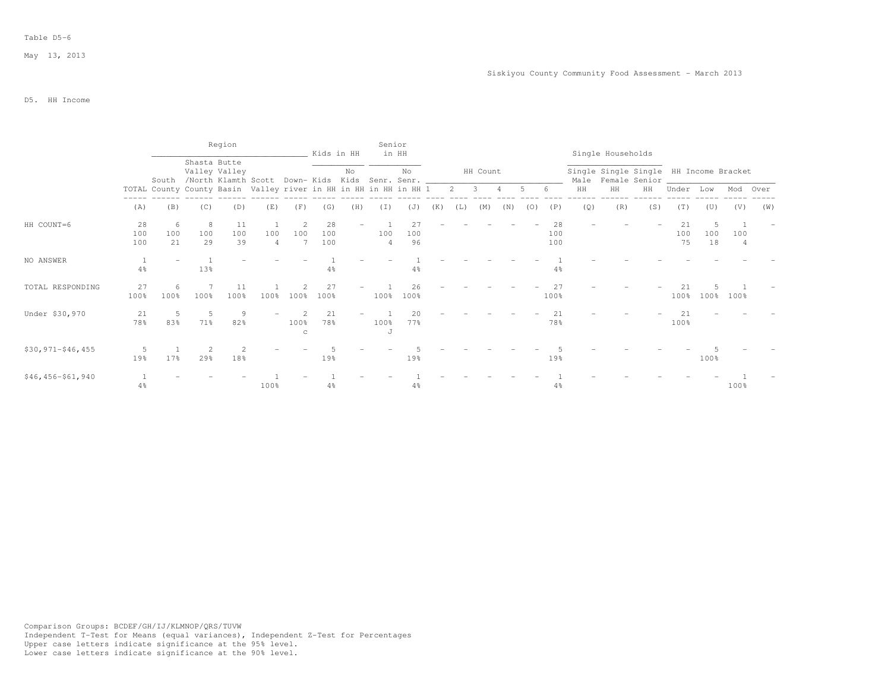|                       |                  |                 |                | Region                                                                |          |           | Kids in HH       |     | Senior    | in HH               |     |     |          |     |     |                  |     | Single Households                                            |     |                 |                 |          |     |
|-----------------------|------------------|-----------------|----------------|-----------------------------------------------------------------------|----------|-----------|------------------|-----|-----------|---------------------|-----|-----|----------|-----|-----|------------------|-----|--------------------------------------------------------------|-----|-----------------|-----------------|----------|-----|
|                       |                  |                 | Shasta Butte   | Valley Valley<br>South /North Klamth Scott Down-Kids Kids Senr. Senr. |          |           |                  | No  |           | No                  |     |     | HH Count |     |     |                  |     | Single Single Single HH Income Bracket<br>Male Female Senior |     |                 |                 |          |     |
|                       |                  |                 |                | TOTAL County County Basin Valley river in HH in HH in HH in HH 1      |          |           |                  |     |           |                     |     | 2   | -3       |     |     | 6                | HH  | HH                                                           | HH  | Under           | Low             | Mod Over |     |
|                       | (A)              | (B)             | (C)            | (D)                                                                   | (E)      | (F)       | (G)              | (H) | $(\bot)$  | (J)                 | (K) | (L) | (M)      | (N) | (0) | (P)              | (Q) | (R)                                                          | (S) | (T)             | (U)             | (V)      | (W) |
| HH COUNT=6            | 28<br>100<br>100 | -6<br>100<br>21 | 8<br>100<br>29 | 11<br>100<br>39                                                       | 100<br>4 | 100       | 28<br>100<br>100 | $-$ | 100<br>4  | 27<br>100<br>96     |     |     |          |     |     | 28<br>100<br>100 |     |                                                              |     | 21<br>100<br>75 | .5<br>100<br>18 | 100      |     |
| NO ANSWER             | 4%               |                 | 13%            |                                                                       |          |           | 4%               |     |           |                     |     |     |          |     |     | $4\%$            |     |                                                              |     |                 |                 |          |     |
| TOTAL RESPONDING      | 27<br>100%       | 6<br>100%       | 100%           | 11<br>100%                                                            | 100%     | 100%      | 27<br>100%       |     | 100%      | 26<br>100%          |     |     |          |     |     | 27<br>100%       |     |                                                              |     | 21<br>100%      | 100%            | 100%     |     |
| Under \$30,970        | 21<br>78%        | 5<br>83%        | -5<br>71%      | 9<br>82%                                                              |          | 100%<br>C | 21<br>78%        |     | 100%<br>J | $20^{\circ}$<br>77% |     |     |          |     |     | 2.1<br>78%       |     |                                                              |     | 21<br>100%      |                 |          |     |
| $$30, 971 - $46, 455$ | .5.<br>19%       | 17%             | $29$ $%$       | 18%                                                                   |          |           | 19%              |     |           | 19%                 |     |     |          |     |     | 19%              |     |                                                              |     |                 | 100%            |          |     |
| $$46, 456 - $61, 940$ | $4\%$            |                 |                |                                                                       | 100%     |           | $4\%$            |     |           | $4\%$               |     |     |          |     |     | $4\%$            |     |                                                              |     |                 |                 | 100%     |     |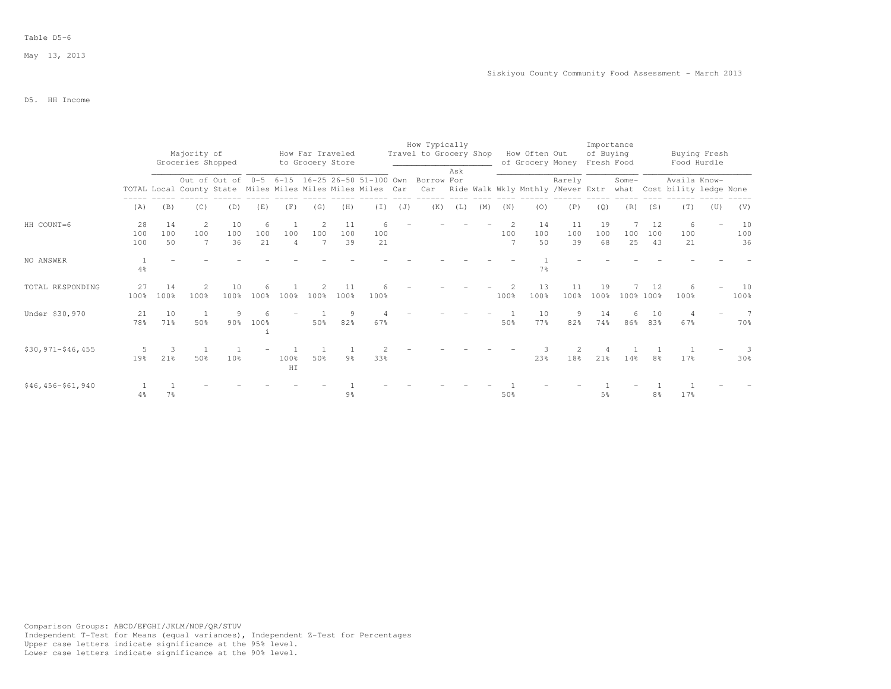## Table D5-6

# D5. HH Income

|                       |                  |                 | Majority of       |                 |                |                       | How Far Traveled |                 |                                                            |     | How Typically<br>Travel to Grocery Shop                         |     |     |      | How Often Out    |                 | Importance<br>of Buying |           |                 | Buying Fresh                                                                  |     |                 |
|-----------------------|------------------|-----------------|-------------------|-----------------|----------------|-----------------------|------------------|-----------------|------------------------------------------------------------|-----|-----------------------------------------------------------------|-----|-----|------|------------------|-----------------|-------------------------|-----------|-----------------|-------------------------------------------------------------------------------|-----|-----------------|
|                       |                  |                 | Groceries Shopped |                 |                |                       | to Grocery Store |                 |                                                            |     |                                                                 | Ask |     |      | of Grocery Money |                 | Fresh Food              |           |                 | Food Hurdle                                                                   |     |                 |
|                       |                  |                 |                   |                 |                |                       |                  |                 | TOTAL Local County State Miles Miles Miles Miles Miles Car |     | Out of Out of 0-5 6-15 16-25 26-50 51-100 Own Borrow For<br>Car |     |     |      |                  | Rarely          |                         | Some-     |                 | Availa Know-<br>Ride Walk Wkly Mnthly /Never Extr what Cost bility ledge None |     |                 |
|                       | (A)              | (B)             | (C)               | (D)             | (E)            | (F)                   | (G)              | (H)             | (T)                                                        | (J) | (K)                                                             | (L) | (M) | (N)  | (0)              | (P)             | (Q)                     | (R)       | (S)             | (T)                                                                           | (U) | (V)             |
| HH COUNT=6            | 28<br>100<br>100 | 14<br>100<br>50 | -2<br>100<br>7    | 10<br>100<br>36 | 6<br>100<br>21 | 100<br>$\overline{4}$ | -2<br>100<br>7   | 11<br>100<br>39 | 6<br>100<br>21                                             |     |                                                                 |     |     | 100  | 14<br>100<br>50  | 11<br>100<br>39 | 19<br>100<br>68         | 100<br>25 | 12<br>100<br>43 | 6<br>100<br>21                                                                |     | 10<br>100<br>36 |
| NO ANSWER             | $4\%$            |                 |                   |                 |                |                       |                  |                 |                                                            |     |                                                                 |     |     |      | 7%               |                 |                         |           |                 |                                                                               |     |                 |
| TOTAL RESPONDING      | 27<br>100%       | 14<br>100%      | 2<br>100%         | 10<br>100%      | 6<br>100%      | 100%                  | 100%             | 11<br>100%      | 100%                                                       |     |                                                                 |     |     | 100% | 13<br>100%       | 11<br>100%      | 19<br>100%              | 100% 100% | 12              | 6<br>100%                                                                     |     | 10<br>100%      |
| Under \$30,970        | 21<br>78%        | 10<br>71%       | - 1<br>50%        | 9<br>90%        | 100%           |                       | 50%              | 9<br>82%        | 67%                                                        |     |                                                                 |     |     | 50%  | 10<br>77%        | 9<br>82%        | 14<br>74%               | 6<br>86%  | 10<br>83%       | $\overline{4}$<br>67%                                                         |     | 7<br>70%        |
| $$30, 971 - $46, 455$ | 5<br>19%         | 3<br>21%        | 50%               | 10%             |                | 100%<br>HI            | 50%              | 9 <sub>8</sub>  | 33%                                                        |     |                                                                 |     |     |      | 23%              | 2<br>18%        | 21%                     | 14%       | 8%              | 17%                                                                           |     | 3<br>30%        |
| $$46, 456 - $61, 940$ | 4%               | 7%              |                   |                 |                |                       |                  | 9%              |                                                            |     |                                                                 |     |     | 50%  |                  |                 | 5 <sup>°</sup>          |           | 8%              | 17%                                                                           |     |                 |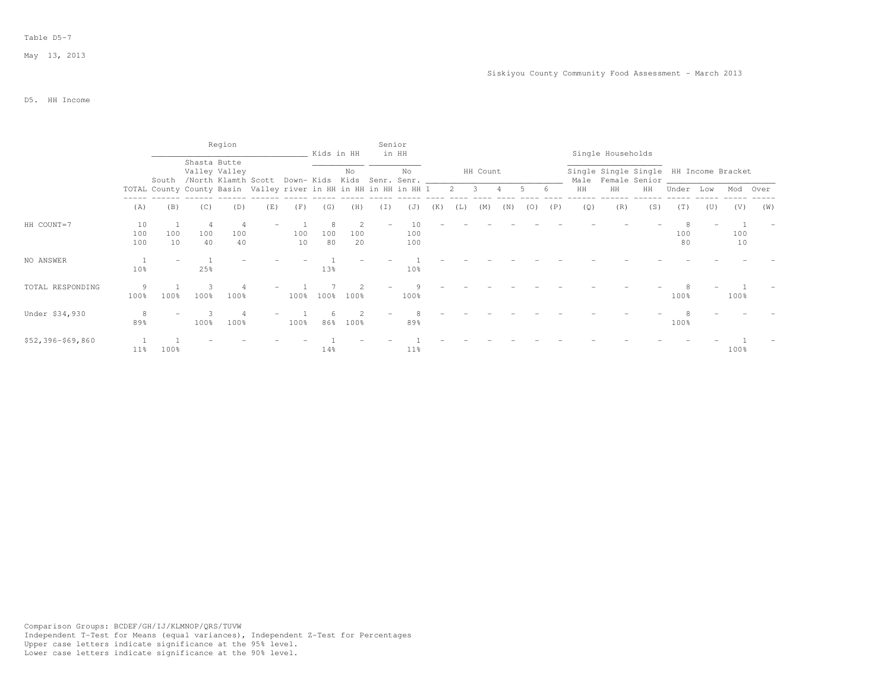|                   |                  |           |                | Region                                                           |     |           | Kids in HH      |                | Senior | in HH                                         |     |     |               |     |       |     |     | Single Households                                            |     |           |     |           |     |
|-------------------|------------------|-----------|----------------|------------------------------------------------------------------|-----|-----------|-----------------|----------------|--------|-----------------------------------------------|-----|-----|---------------|-----|-------|-----|-----|--------------------------------------------------------------|-----|-----------|-----|-----------|-----|
|                   |                  | South     |                | Shasta Butte<br>Valley Valley<br>/North Klamth Scott             |     |           |                 | No             |        | No<br>Down- Kids Kids Senr. Senr. ___________ |     |     | HH Count      |     |       |     |     | Single Single Single HH Income Bracket<br>Male Female Senior |     |           |     |           |     |
|                   |                  |           |                | TOTAL County County Basin Valley river in HH in HH in HH in HH 1 |     |           |                 |                |        |                                               |     |     | $2 \t 3 \t 4$ |     | $5 -$ |     | HH  | HH                                                           | HH  | Under     | Low | Mod Over  |     |
|                   | (A)              | (B)       | (C)            | (D)                                                              | (E) | (F)       | (G)             | (H)            | (I)    | (J)                                           | (K) | (L) | (M)           | (N) | (0)   | (P) | (Q) | (R)                                                          | (S) | (T)       | (U) | (V)       | (W) |
| HH COUNT=7        | 10<br>100<br>100 | 100<br>10 | 4<br>100<br>40 | 100<br>40                                                        |     | 100<br>10 | -8<br>100<br>80 | 2<br>100<br>20 |        | 10<br>100<br>100                              |     |     |               |     |       |     |     |                                                              |     | 100<br>80 |     | 100<br>10 |     |
| NO ANSWER         | 10%              |           | 25%            |                                                                  |     |           | 13%             |                |        | 10 <sup>8</sup>                               |     |     |               |     |       |     |     |                                                              |     |           |     |           |     |
| TOTAL RESPONDING  | 9<br>100%        | 100%      | 3<br>100%      | 100%                                                             |     | 100%      | 100%            | $100\%$        |        | 100%                                          |     |     |               |     |       |     |     |                                                              |     | 100%      |     | 100%      |     |
| Under \$34,930    | 8<br>89%         |           | 100%           | 100%                                                             |     | 100%      | 86%             | 100%           |        | 89%                                           |     |     |               |     |       |     |     |                                                              |     | 100%      |     |           |     |
| \$52,396-\$69,860 | 11%              | $100\%$   |                |                                                                  |     |           | 14%             |                |        | 11 <sub>8</sub>                               |     |     |               |     |       |     |     |                                                              |     |           |     | 100%      |     |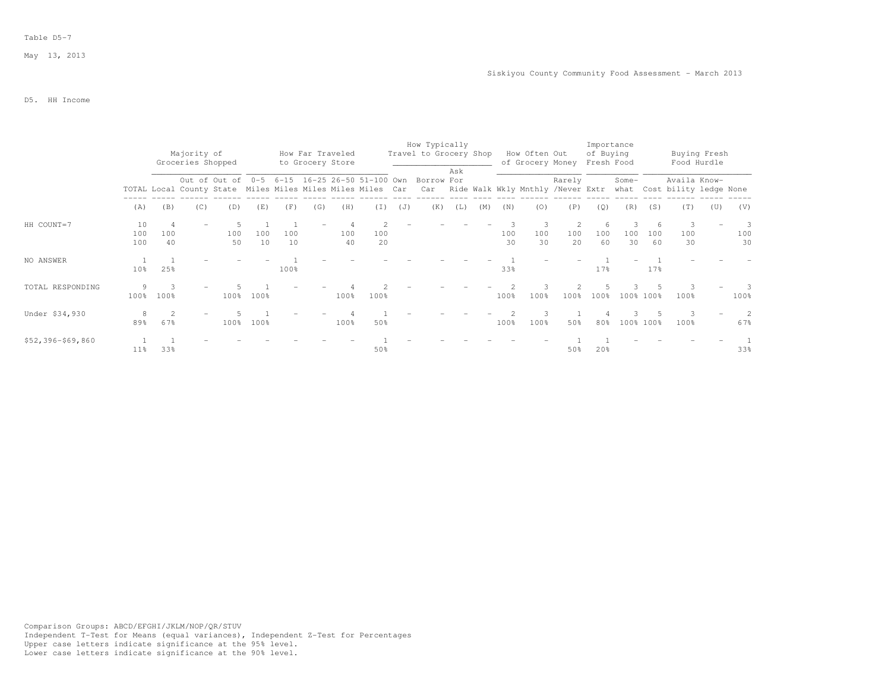#### Table D5-7

# D5. HH Income

|                   |                  |           | Majority of<br>Groceries Shopped |                                                            |           |           | How Far Traveled<br>to Grocery Store |           |           |     | How Typically<br>Travel to Grocery Shop                  |     |     |           | How Often Out<br>of Grocery Money |           | Importance<br>of Buying<br>Fresh Food |           |           | Buying Fresh<br>Food Hurdle                                                       |     |                |
|-------------------|------------------|-----------|----------------------------------|------------------------------------------------------------|-----------|-----------|--------------------------------------|-----------|-----------|-----|----------------------------------------------------------|-----|-----|-----------|-----------------------------------|-----------|---------------------------------------|-----------|-----------|-----------------------------------------------------------------------------------|-----|----------------|
|                   |                  |           |                                  | TOTAL Local County State Miles Miles Miles Miles Miles Car |           |           |                                      |           |           |     | Out of Out of 0-5 6-15 16-25 26-50 51-100 Own Borrow For | Ask |     |           |                                   | Rarely    |                                       | Some-     |           | Availa Know-<br>Car Ride Walk Wkly Mnthly /Never Extr what Cost bility ledge None |     |                |
|                   | (A)              | (B)       | (C)                              | (D)                                                        | (E)       | (F)       | (G)                                  | (H)       | (T)       | (J) | (K)                                                      | (L) | (M) | (N)       | (0)                               | (P)       | (Q)                                   | (R)       | (S)       | (T)                                                                               | (U) | (V)            |
| HH COUNT=7        | 10<br>100<br>100 | 100<br>40 |                                  | 100<br>50                                                  | 100<br>10 | 100<br>10 |                                      | 100<br>40 | 100<br>20 |     |                                                          |     |     | 100<br>30 | 100<br>30                         | 100<br>20 | $\sqrt{2}$<br>100<br>60               | 100<br>30 | 100<br>60 | 100<br>30                                                                         |     | 3<br>100<br>30 |
| NO ANSWER         | 10 <sup>°</sup>  | 25%       |                                  |                                                            |           | 100%      |                                      |           |           |     |                                                          |     |     | 33%       |                                   |           | 17 <sub>8</sub>                       |           | 17%       |                                                                                   |     |                |
| TOTAL RESPONDING  | 9<br>100%        | 100%      |                                  | 100%                                                       | 100%      |           |                                      | 100%      | 100%      |     |                                                          |     |     | 100%      | 100%                              | 100%      | 100%                                  |           | 100% 100% | 100%                                                                              |     | 3<br>100%      |
| Under \$34,930    | 8<br>89%         | 67%       |                                  | 100%                                                       | 100%      |           |                                      | 100%      | 50%       |     |                                                          |     |     | 100%      | 100%                              | 50%       | 80%                                   |           | 100% 100% | 100 <sub>8</sub>                                                                  |     | 2<br>67%       |
| \$52,396-\$69,860 | 11 <sup>8</sup>  | 33%       |                                  |                                                            |           |           |                                      |           | 50%       |     |                                                          |     |     |           |                                   | 50%       | 2.0%                                  |           |           |                                                                                   |     | 33%            |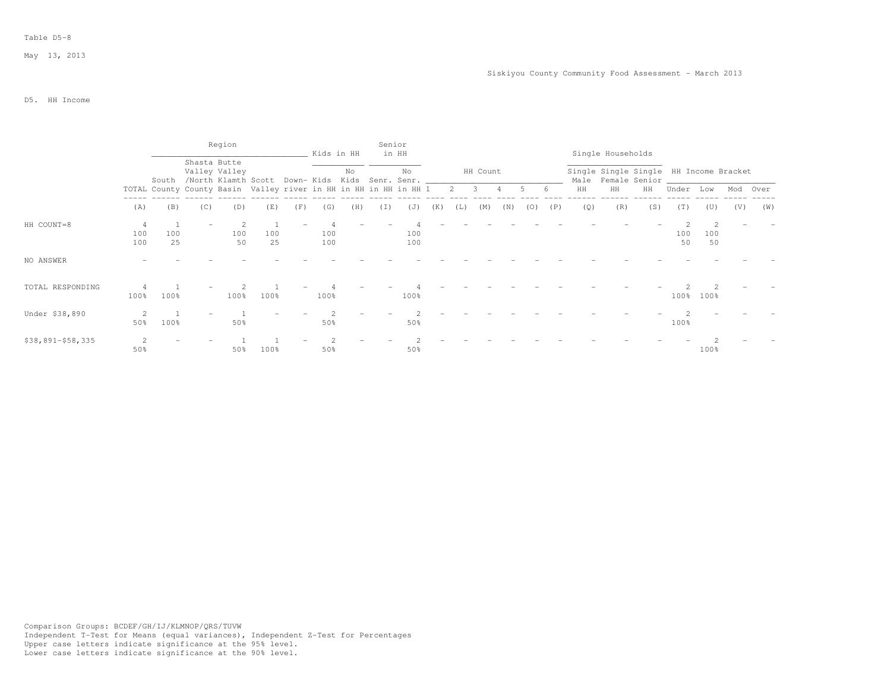|                   |                 |           |                   | Region                                                                                                             |           |     | Kids in HH |     |     | Senior<br>in HH |     |     |             |     |       |     |     | Single Households                                            |     |           |           |          |     |
|-------------------|-----------------|-----------|-------------------|--------------------------------------------------------------------------------------------------------------------|-----------|-----|------------|-----|-----|-----------------|-----|-----|-------------|-----|-------|-----|-----|--------------------------------------------------------------|-----|-----------|-----------|----------|-----|
|                   |                 | South     |                   | Shasta Butte<br>Valley Valley<br>/North Klamth Scott Down-Kids Kids Senr. Senr. __________________________________ |           |     |            | No  |     | No              |     |     | HH Count    |     |       |     |     | Single Single Single HH Income Bracket<br>Male Female Senior |     |           |           |          |     |
|                   |                 |           |                   | TOTAL County County Basin Valley river in HH in HH in HH in HH 1                                                   |           |     |            |     |     |                 |     |     | $2 \t3 \t4$ |     | $5 -$ | . რ | HH  | HH                                                           | HH  | Under     | Low       | Mod Over |     |
|                   | (A)             | (B)       | (C)               | (D)                                                                                                                | (E)       | (F) | (G)        | (H) | (T) | (J)             | (K) | (L) | (M)         | (N) | (0)   | (P) | (Q) | (R)                                                          | (S) | (T)       | (U)       | (V)      | (W) |
| HH COUNT=8        | 4<br>100<br>100 | 100<br>25 | $\qquad \qquad -$ | 100<br>50                                                                                                          | 100<br>25 |     | 100<br>100 |     |     | 100<br>100      |     |     |             |     |       |     |     |                                                              |     | 100<br>50 | 100<br>50 |          |     |
| NO ANSWER         |                 |           |                   |                                                                                                                    |           |     |            |     |     |                 |     |     |             |     |       |     |     |                                                              |     |           |           |          |     |
| TOTAL RESPONDING  | 100%            | 100%      |                   | 100%                                                                                                               | 100%      |     | 100%       |     |     | 100%            |     |     |             |     |       |     |     |                                                              |     | 100%      | 100%      |          |     |
| Under \$38,890    | 2<br>50%        | 100%      |                   | 50%                                                                                                                |           |     | 50%        |     |     | 50%             |     |     |             |     |       |     |     |                                                              |     | 100%      |           |          |     |
| \$38,891-\$58,335 | 50%             |           |                   | 50%                                                                                                                | 100%      |     | 50%        |     |     | 50%             |     |     |             |     |       |     |     |                                                              |     |           | 100%      |          |     |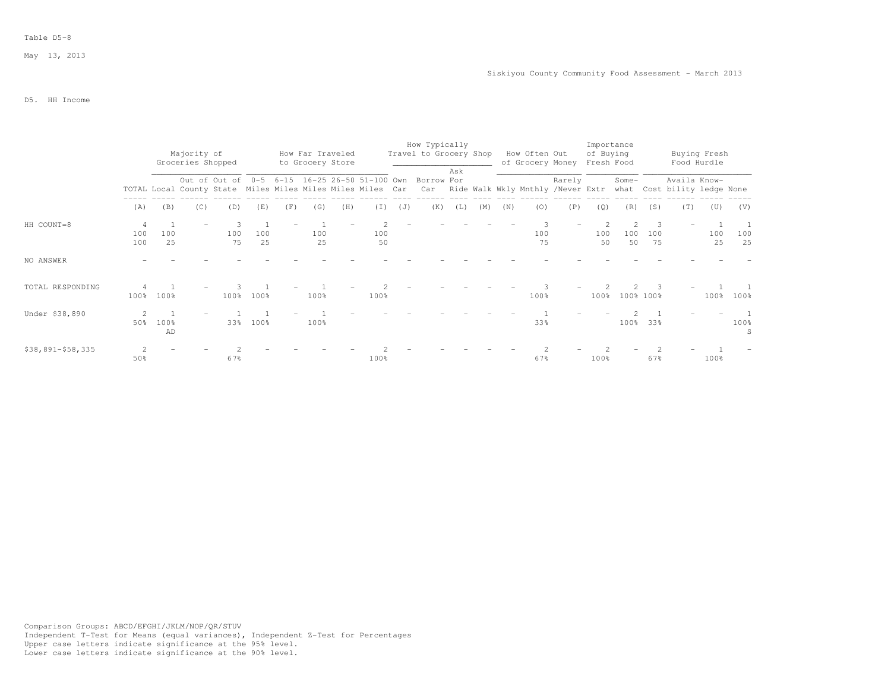#### Table D5-8

### D5. HH Income

|                     |                       |            |                                                            |                                                          |           |     |                                      |     |           |     | How Typically          |     |     |     |                                       |        | Importance              |                             |           |                                             |                             |           |
|---------------------|-----------------------|------------|------------------------------------------------------------|----------------------------------------------------------|-----------|-----|--------------------------------------|-----|-----------|-----|------------------------|-----|-----|-----|---------------------------------------|--------|-------------------------|-----------------------------|-----------|---------------------------------------------|-----------------------------|-----------|
|                     |                       |            | Majority of<br>Groceries Shopped                           |                                                          |           |     | How Far Traveled<br>to Grocery Store |     |           |     | Travel to Grocery Shop |     |     |     | How Often Out<br>of Grocery Money     |        | of Buying<br>Fresh Food |                             |           |                                             | Buying Fresh<br>Food Hurdle |           |
|                     |                       |            | TOTAL Local County State Miles Miles Miles Miles Miles Car | Out of Out of 0-5 6-15 16-25 26-50 51-100 Own Borrow For |           |     |                                      |     |           |     |                        | Ask |     |     | Car Ride Walk Wkly Mnthly /Never Extr | Rarely |                         | Some-                       |           | Availa Know-<br>what Cost bility ledge None |                             |           |
|                     | (A)                   | (B)        | (C)                                                        | (D)                                                      | (E)       | (F) | (G)                                  | (H) | (I)       | (J) | (K)                    | (L) | (M) | (N) | (0)                                   | (P)    | (Q)                     | (R)                         | (S)       | (T)                                         | (U)                         | (V)       |
| HH COUNT=8          | 4<br>100<br>100       | 100<br>25  |                                                            | 100<br>75                                                | 100<br>25 |     | 100<br>25                            |     | 100<br>50 |     |                        |     |     |     | 100<br>75                             |        | 100<br>50               | $\mathfrak{D}$<br>100<br>50 | 100<br>75 |                                             | 100<br>25                   | 100<br>25 |
| NO ANSWER           |                       |            |                                                            |                                                          |           |     |                                      |     |           |     |                        |     |     |     |                                       |        |                         |                             |           |                                             |                             |           |
| TOTAL RESPONDING    | 100%                  | 100%       |                                                            | 100%                                                     | 100%      |     | 100%                                 |     | 100%      |     |                        |     |     |     | 100%                                  |        | 100%                    |                             | 100% 100% |                                             | 100%                        | 100%      |
| Under \$38,890      | 2<br>50%              | 100%<br>AD |                                                            | 33%                                                      | 100%      |     | 100%                                 |     |           |     |                        |     |     |     | 33%                                   |        |                         |                             | 100% 33%  |                                             |                             | 100%<br>S |
| $$38,891 - $58,335$ | $\mathfrak{D}$<br>50% |            |                                                            | 67%                                                      |           |     |                                      |     | 100%      |     |                        |     |     |     | 67%                                   |        | 100%                    |                             | 67%       |                                             | 100%                        |           |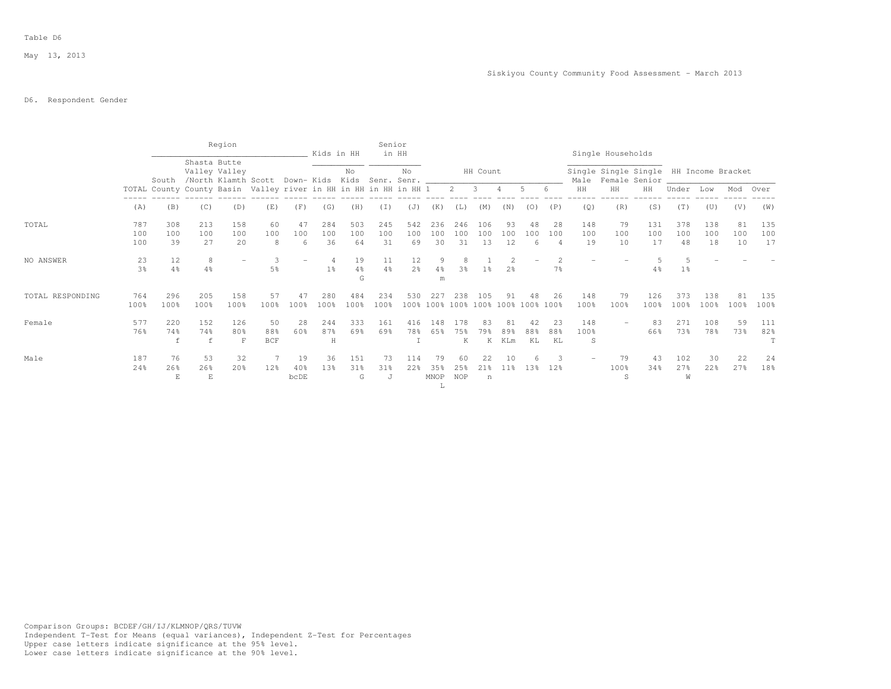### D6. Respondent Gender

|                  |                      |                                                                           |                  | Region           |                                                        |                   | Kids in HH       |                           | Senior               | in HH                |                         |                  |                  |                       |                                          |                 |                  | Single Households          |                                                                    |                  |                  |                 |                  |
|------------------|----------------------|---------------------------------------------------------------------------|------------------|------------------|--------------------------------------------------------|-------------------|------------------|---------------------------|----------------------|----------------------|-------------------------|------------------|------------------|-----------------------|------------------------------------------|-----------------|------------------|----------------------------|--------------------------------------------------------------------|------------------|------------------|-----------------|------------------|
|                  |                      | South<br>TOTAL County County Basin Valley river in HH in HH in HH in HH 1 | Shasta Butte     | Valley Valley    | /North Klamth Scott Down- Kids Kids Senr. Senr. ______ |                   |                  | No                        |                      | No.                  |                         | $2 \t 3$         | HH Count         | $\overline{4}$        | 5                                        | 6               | HH               | $\rm{HH}$                  | Single Single Single HH Income Bracket<br>Male Female Senior<br>HH | Under            | Low              | Mod Over        |                  |
|                  |                      |                                                                           |                  |                  |                                                        |                   |                  |                           |                      |                      |                         |                  |                  |                       |                                          |                 |                  |                            |                                                                    |                  |                  |                 |                  |
|                  | (A)                  | (B)                                                                       | (C)              | (D)              | (E)                                                    | (F)               | (G)              | (H)                       | (I)                  | (J)                  | (K)                     | (L)              | (M)              | (N)                   | (0)                                      | (P)             | (Q)              | (R)                        | (S)                                                                | (T)              | (U)              | (V)             | (W)              |
| TOTAL            | 787<br>100<br>100    | 308<br>100<br>39                                                          | 213<br>100<br>27 | 158<br>100<br>20 | 60<br>100<br>8                                         | 47<br>100<br>6    | 284<br>100<br>36 | 503<br>100<br>64          | 245<br>100<br>31     | 542<br>100<br>69     | 236<br>100<br>30        | 246<br>100<br>31 | 106<br>100<br>13 | 93<br>100<br>12       | 48<br>100<br>6                           | 28<br>100       | 148<br>100<br>19 | 79<br>100<br>10            | 131<br>100<br>17                                                   | 378<br>100<br>48 | 138<br>100<br>18 | 81<br>100<br>10 | 135<br>100<br>17 |
| NO ANSWER        | 23<br>3 <sup>°</sup> | 12<br>4%                                                                  | 8<br>4%          |                  | 5%                                                     |                   | $1\%$            | 19<br>$4\frac{6}{6}$<br>G | 11<br>$4\frac{6}{6}$ | 12<br>2 <sup>o</sup> | 9<br>$4\%$<br>m         | 8<br>3%          | 1 <sup>°</sup>   | 2 <sup>°</sup>        |                                          | 2<br>7%         |                  |                            | 4%                                                                 | $1\%$            |                  |                 |                  |
| TOTAL RESPONDING | 764<br>100%          | 296<br>100%                                                               | 205<br>100%      | 158<br>100%      | 57<br>100%                                             | 47<br>100%        | 280<br>100%      | 484<br>100%               | 234<br>100%          | 530                  | 227                     | 238              | 105              | 91                    | 48<br>100% 100% 100% 100% 100% 100% 100% | 26              | 148<br>100%      | 79<br>100%                 | 126<br>100%                                                        | 373<br>100%      | 138<br>100%      | 81<br>100%      | 135<br>100%      |
| Female           | 577<br>76%           | 220<br>74%<br>f                                                           | 152<br>74%<br>f  | 126<br>80%<br>F  | 50<br>88%<br><b>BCF</b>                                | 28<br>60%         | 244<br>87%<br>H  | 333<br>69%                | 161<br>69%           | 416<br>78%           | 148<br>65%              | 178<br>75%<br>K  | 83<br>79왕<br>K   | 81<br>89%<br>KLm      | 42<br>88%<br>KL                          | 23<br>88%<br>KL | 148<br>100%<br>S |                            | 83<br>66%                                                          | 2.71<br>73%      | 108<br>78%       | 59<br>73%       | 111<br>82%       |
| Male             | 187<br>24%           | 76<br>26%<br>E                                                            | 53<br>26%<br>E   | 32<br>20%        | 12%                                                    | 19<br>40%<br>bcDE | 36<br>13%        | 151<br>31%<br>G           | 73<br>$31\%$<br>J    | 114<br>22%           | 79<br>35%<br>MNOP<br>л. | 60<br>25%<br>NOP | 22<br>21%<br>n   | 10<br>11 <sub>8</sub> | 13%                                      | 3<br>12%        |                  | 79<br>100%<br><sup>S</sup> | 43<br>34%                                                          | 102<br>27%<br>W  | 30<br>22%        | 22<br>27%       | 24<br>18%        |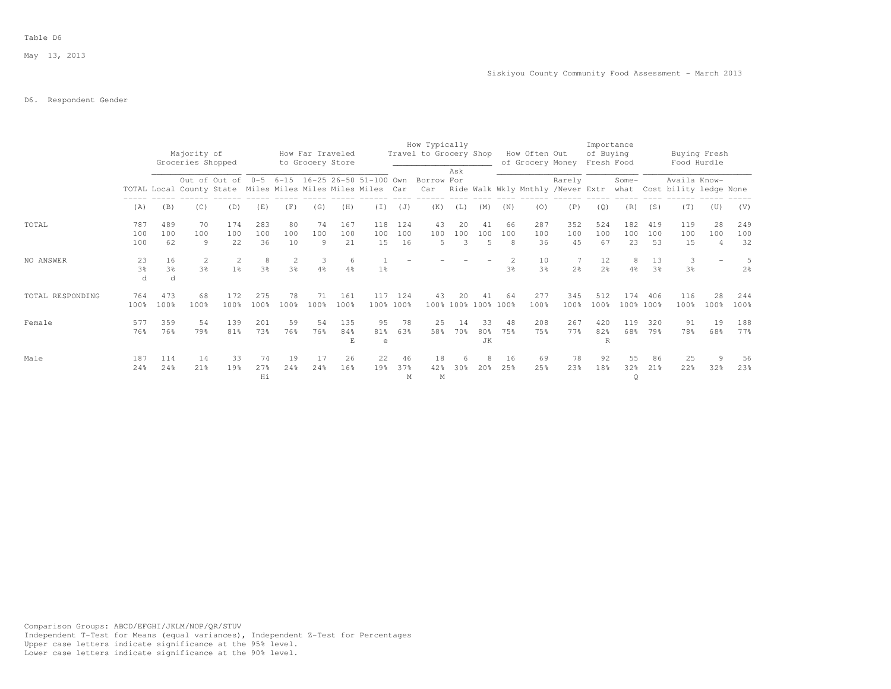### D6. Respondent Gender

|                  |                           |                           | Majority of<br>Groceries Shopped |                     |                     |                 | How Far Traveled<br>to Grocery Store |                  |                       |                  | How Typically<br>Travel to Grocery Shop                  |                |                           |                | How Often Out        | of Grocery Money Fresh Food | Importance<br>of Buying |                            |                      | Buying Fresh<br>Food Hurdle                                                                                                            |                             |                     |
|------------------|---------------------------|---------------------------|----------------------------------|---------------------|---------------------|-----------------|--------------------------------------|------------------|-----------------------|------------------|----------------------------------------------------------|----------------|---------------------------|----------------|----------------------|-----------------------------|-------------------------|----------------------------|----------------------|----------------------------------------------------------------------------------------------------------------------------------------|-----------------------------|---------------------|
|                  |                           |                           |                                  |                     |                     |                 |                                      |                  |                       |                  | Out of Out of 0-5 6-15 16-25 26-50 51-100 Own Borrow For | Ask            |                           |                |                      | Rarely                      |                         | Some-                      |                      | Availa Know-<br>TOTAL Local County State Miles Miles Miles Miles Car Car Ride Walk Wkly Mnthly /Never Extr what Cost bility ledge None |                             |                     |
|                  | (A)                       | (B)                       | (C)                              | (D)                 | (E)                 | (F)             | (G)                                  | (H)              | (T)                   | (J)              | (K)                                                      | (L)            | (M)                       | (N)            | (0)                  | (P)                         | (Q)                     | (R)                        | (S)                  | (T)                                                                                                                                    | (U)                         | (V)                 |
| TOTAL            | 787<br>100<br>100         | 489<br>100<br>62          | 70<br>100<br>9                   | 174<br>100<br>22    | 283<br>100<br>36    | 80<br>100<br>10 | 74<br>100<br>9                       | 167<br>100<br>21 | 118<br>100<br>15      | 124<br>100<br>16 | 43<br>100<br>5                                           | 20<br>100<br>3 | 41<br>100<br>5            | 66<br>100<br>8 | 287<br>100<br>36     | 352<br>100<br>45            | 524<br>100<br>67        | 182<br>100<br>23           | 419<br>100<br>53     | 119<br>100<br>15                                                                                                                       | 28<br>100<br>$\overline{4}$ | 249<br>100<br>32    |
| NO ANSWER        | 23<br>3 <sup>°</sup><br>d | 16<br>3 <sup>8</sup><br>d | 2<br>3 <sup>°</sup>              | 2<br>1 <sup>°</sup> | 8<br>3 <sup>o</sup> | 3 <sup>°</sup>  | 3<br>4%                              | 6<br>4%          | 1 <sup>°</sup>        |                  |                                                          |                |                           | 3 <sup>°</sup> | 10<br>3 <sup>o</sup> | 2 <sup>°</sup>              | 12<br>2 <sup>o</sup>    | 8<br>4%                    | 13<br>3 <sup>o</sup> | 3<br>3 <sup>°</sup>                                                                                                                    |                             | 5<br>2 <sup>o</sup> |
| TOTAL RESPONDING | 764<br>100%               | 473<br>100%               | 68<br>100%                       | 172<br>100%         | 275<br>100%         | 78<br>100%      | 71<br>100%                           | 161<br>100%      | 117                   | 124<br>100% 100% | 43                                                       | 20             | 41<br>100% 100% 100% 100% | 64             | 277<br>100%          | 345<br>100%                 | 512<br>100%             | 174                        | 406<br>100% 100%     | 116<br>100%                                                                                                                            | 28<br>100%                  | 244<br>100%         |
| Female           | 577<br>76%                | 359<br>76%                | 54<br>79%                        | 139<br>81%          | 201<br>73%          | 59<br>76%       | 54<br>76%                            | 135<br>84%       | 95<br>81%<br>e        | 78<br>63%        | 25<br>58%                                                | 14<br>70%      | 33<br>80%<br><b>JK</b>    | 48<br>75%      | 208<br>75%           | 267<br>77%                  | 420<br>82%<br>R         | 119<br>68%                 | 320<br>79%           | 91<br>78%                                                                                                                              | 19<br>68%                   | 188<br>77%          |
| Male             | 187<br>24%                | 114<br>24%                | 14<br>21%                        | 33<br>19%           | 74<br>27%<br>Hi     | 19<br>24%       | 17<br>24%                            | 26<br>16%        | 22<br>19 <sub>8</sub> | 46<br>37%<br>M   | 18<br>42%<br>М                                           | 6<br>30%       | 2.0%                      | 16<br>25%      | 69<br>25%            | 78<br>23%                   | 92<br>18%               | 55<br>32 <sub>8</sub><br>Q | 86<br>$21\%$         | 25<br>22%                                                                                                                              | 9<br>32%                    | 56<br>23%           |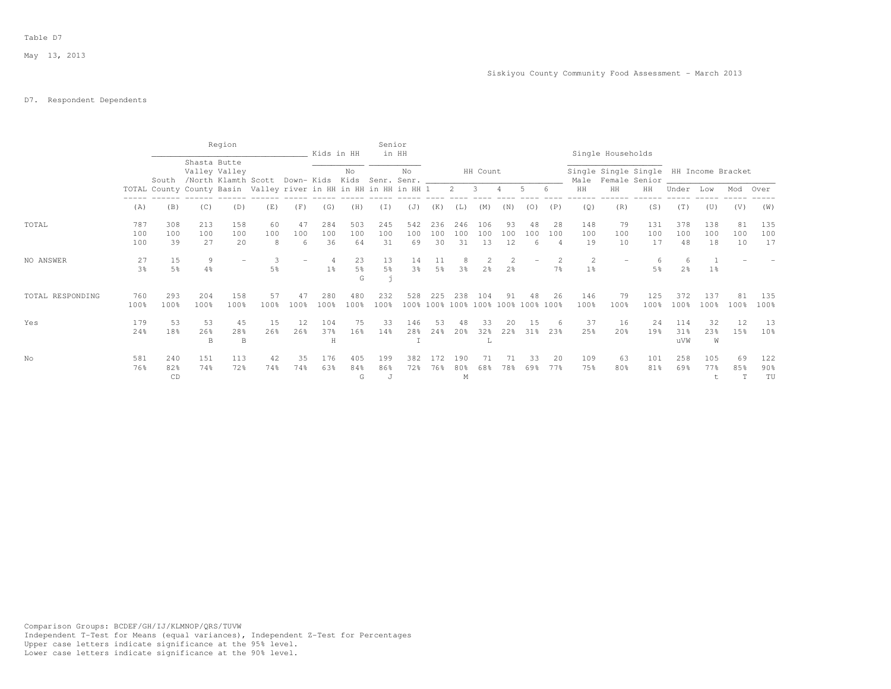## D7. Respondent Dependents

|                  |                      |                  |                  | Region           |                                                                                  |                | Kids in HH              |                           | Senior               | in HH                |                      |                  |                                  |                 |                                          |                             |                     | Single Households     |                                                         |                   |                  |                 |                              |
|------------------|----------------------|------------------|------------------|------------------|----------------------------------------------------------------------------------|----------------|-------------------------|---------------------------|----------------------|----------------------|----------------------|------------------|----------------------------------|-----------------|------------------------------------------|-----------------------------|---------------------|-----------------------|---------------------------------------------------------|-------------------|------------------|-----------------|------------------------------|
|                  |                      | South            | Shasta Butte     | Valley Valley    | /North Klamth Scott Down-Kids Kids Senr. Senr. _________________________________ |                |                         | No                        |                      | No                   |                      |                  | HH Count                         |                 |                                          |                             | Male                |                       | Single Single Single HH Income Bracket<br>Female Senior |                   |                  |                 |                              |
|                  |                      |                  |                  |                  | TOTAL County County Basin Valley river in HH in HH in HH in HH 1 2 3 4 5 6       |                |                         |                           |                      |                      |                      |                  |                                  |                 |                                          |                             | HH                  | HH                    | HH                                                      | Under             | Low              | Mod             | Over                         |
|                  | (A)                  | (B)              | (C)              | (D)              | (E)                                                                              | (F)            | (G)                     | (H)                       | (T)                  | (J)                  | (K)                  | (L)              | (M)                              | (N)             | (0)                                      | (P)                         | (Q)                 | (R)                   | (S)                                                     | (T)               | (U)              | (V)             | (W)                          |
| TOTAL            | 787<br>100<br>100    | 308<br>100<br>39 | 213<br>100<br>27 | 158<br>100<br>20 | 60<br>100<br>8                                                                   | 47<br>100<br>6 | 284<br>100<br>36        | 503<br>100<br>64          | 245<br>100<br>31     | 542<br>100<br>69     | 236<br>100<br>30     | 246<br>100<br>31 | 106<br>100<br>13                 | 93<br>100<br>12 | 48<br>100<br>6                           | 28<br>100<br>$\overline{4}$ | 148<br>100<br>19    | 79<br>100<br>10       | 131<br>100<br>17                                        | 378<br>100<br>48  | 138<br>100<br>18 | 81<br>100<br>10 | 135<br>100<br>17             |
| NO ANSWER        | 27<br>$3\frac{6}{9}$ | 15<br>5%         | 9<br>4%          |                  | 5%                                                                               |                | $\overline{4}$<br>$1\%$ | 23<br>$5\frac{6}{9}$<br>G | 13<br>$5\frac{6}{9}$ | 14<br>3 <sup>8</sup> | 11<br>5 <sup>°</sup> | 3 <sup>°</sup>   | $\mathfrak{D}$<br>2 <sup>°</sup> | 2 <sup>°</sup>  |                                          | 7 <sup>°</sup>              | 2<br>1 <sup>°</sup> |                       | 5%                                                      | $2\frac{6}{9}$    | 1%               |                 |                              |
| TOTAL RESPONDING | 760<br>100%          | 293<br>100%      | 204<br>100%      | 158<br>100%      | 57<br>100%                                                                       | 47<br>100%     | 280<br>100%             | 480<br>100%               | 232<br>100%          | 528                  | 225                  | 238              | 104                              | 91              | 48<br>100% 100% 100% 100% 100% 100% 100% | 26                          | 146<br>100%         | 79<br>100%            | 125<br>100%                                             | 372<br>100%       | 137<br>100%      | 81<br>100%      | 135<br>100%                  |
| Yes              | 179<br>24%           | 53<br>18%        | 53<br>26%<br>B   | 45<br>28%<br>B.  | 15<br>26%                                                                        | 12<br>26%      | 104<br>37%<br>H         | 75<br>16%                 | 33<br>14%            | 146<br>28%           | 53<br>24%            | 48<br>20%        | 33<br>32%<br>L                   | 20<br>22%       | 15<br>31%                                | -6<br>23%                   | 37<br>25%           | 16<br>20 <sub>8</sub> | 24<br>19%                                               | 114<br>31%<br>uVW | 32<br>23%<br>W   | 12<br>15%       | 13<br>10%                    |
| No               | 581<br>76%           | 240<br>82%<br>CD | 151<br>74%       | 113<br>72%       | 42<br>74%                                                                        | 35<br>74%      | 176<br>63%              | 405<br>84%<br>G           | 199<br>86%<br>J      | 382<br>72%           | 172<br>76%           | 190<br>80%<br>M  | 71<br>68%                        | 71<br>78%       | 33<br>69%                                | 20<br>77%                   | 109<br>75%          | 63<br>80%             | 101<br>81%                                              | 258<br>69%        | 105<br>77%<br>t  | 69<br>85%<br>T  | 122<br>90 <sub>8</sub><br>TU |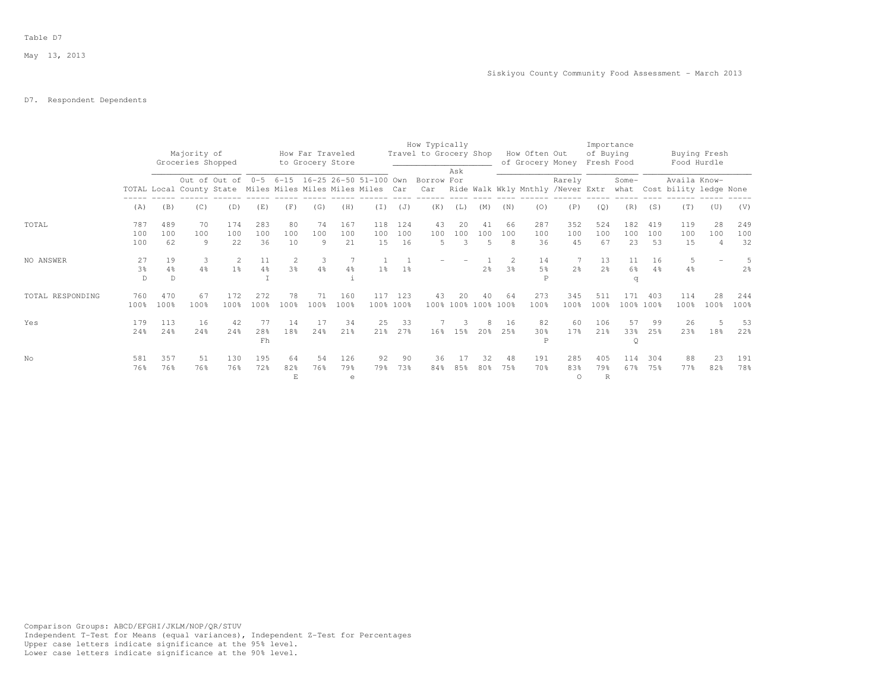# D7. Respondent Dependents

|                  |                           |                            | Majority of<br>Groceries Shopped                           |                     |                      |                 | How Far Traveled<br>to Grocery Store |                  |                  |                  | How Typically<br>Travel to Grocery Shop                  |                |                           |                                         | How Often Out<br>of Grocery Money |                       | Importance<br>of Buying<br>Fresh Food |                      |                      | Buying Fresh<br>Food Hurdle                                                       |            |                     |
|------------------|---------------------------|----------------------------|------------------------------------------------------------|---------------------|----------------------|-----------------|--------------------------------------|------------------|------------------|------------------|----------------------------------------------------------|----------------|---------------------------|-----------------------------------------|-----------------------------------|-----------------------|---------------------------------------|----------------------|----------------------|-----------------------------------------------------------------------------------|------------|---------------------|
|                  |                           |                            | TOTAL Local County State Miles Miles Miles Miles Miles Car |                     |                      |                 |                                      |                  |                  |                  | Out of Out of 0-5 6-15 16-25 26-50 51-100 Own Borrow For | Ask            |                           |                                         |                                   | Rarely                |                                       | Some-                |                      | Availa Know-<br>Car Ride Walk Wkly Mnthly /Never Extr what Cost bility ledge None |            |                     |
|                  | (A)                       | (B)                        | (C)                                                        | (D)                 | (E)                  | (F)             | (G)                                  | (H)              | (T)              | (J)              | (K)                                                      | (L)            | (M)                       | (N)                                     | (0)                               | (P)                   | (Q)                                   | (R)                  | (S)                  | (T)                                                                               | (U)        | (V)                 |
| TOTAL            | 787<br>100<br>100         | 489<br>100<br>62           | 70<br>100<br>$\overline{9}$                                | 174<br>100<br>22    | 283<br>100<br>36     | 80<br>100<br>10 | 74<br>100<br>9                       | 167<br>100<br>21 | 118<br>100<br>15 | 124<br>100<br>16 | 43<br>100<br>5                                           | 20<br>100<br>3 | 41<br>100<br>5            | 66<br>100<br>8                          | 287<br>100<br>36                  | 352<br>100<br>45      | 524<br>100<br>67                      | 182<br>100<br>23     | 419<br>100<br>53     | 119<br>100<br>15                                                                  | 28<br>100  | 249<br>100<br>32    |
| NO ANSWER        | 27<br>3 <sup>°</sup><br>D | 19<br>$4\frac{6}{6}$<br>D. | 3<br>4%                                                    | 2<br>1 <sup>°</sup> | 11<br>$4\frac{6}{6}$ | 3 <sup>°</sup>  | 3<br>$4\frac{6}{6}$                  | $4\frac{6}{6}$   | 1 <sup>8</sup>   | 1 <sup>°</sup>   |                                                          |                | 2 <sup>°</sup>            | $\mathbf{2}^{\prime}$<br>3 <sup>°</sup> | 14<br>$5\frac{6}{6}$<br>P         | 7<br>$2\frac{6}{6}$   | 13<br>2 <sup>o</sup>                  | 11<br>$6\%$<br>q     | 16<br>$4\frac{6}{9}$ | 5<br>$4\frac{6}{6}$                                                               |            | 5<br>2 <sup>°</sup> |
| TOTAL RESPONDING | 760<br>100%               | 470<br>100%                | 67<br>100%                                                 | 172<br>100%         | 272<br>100%          | 78<br>100%      | 71<br>100%                           | 160<br>100%      | 117              | 123<br>100% 100% | 43                                                       | 20             | 40<br>100% 100% 100% 100% | 64                                      | 273<br>100%                       | 345<br>100%           | 511<br>100%                           | 171                  | 403<br>100% 100%     | 114<br>100%                                                                       | 28<br>100% | 244<br>100%         |
| Yes              | 179<br>24%                | 113<br>24%                 | 16<br>24%                                                  | 42<br>24%           | 77<br>28%<br>Fh      | 14<br>18%       | 17<br>24%                            | 34<br>21%        | 25<br>21%        | 33<br>27%        |                                                          | 3<br>16% 15%   | 8<br>20%                  | 16<br>25%                               | 82<br>30 <sup>8</sup><br>P        | 60<br>17%             | 106<br>21%                            | 57<br>33%<br>$\circ$ | 99<br>25%            | 26<br>23%                                                                         | 18%        | 53<br>22%           |
| No               | 581<br>76%                | 357<br>76%                 | 51<br>76%                                                  | 130<br>76%          | 195<br>72%           | 64<br>82%<br>E  | 54<br>76%                            | 126<br>79%<br>e  | 92<br>79%        | 90<br>73%        | 36<br>84%                                                | 17<br>85%      | 32<br>80%                 | 48<br>75%                               | 191<br>70%                        | 285<br>83%<br>$\circ$ | 405<br>79%<br>$\mathbb{R}$            | 114<br>67%           | 304<br>75%           | 88<br>77%                                                                         | 23<br>82%  | 191<br>78%          |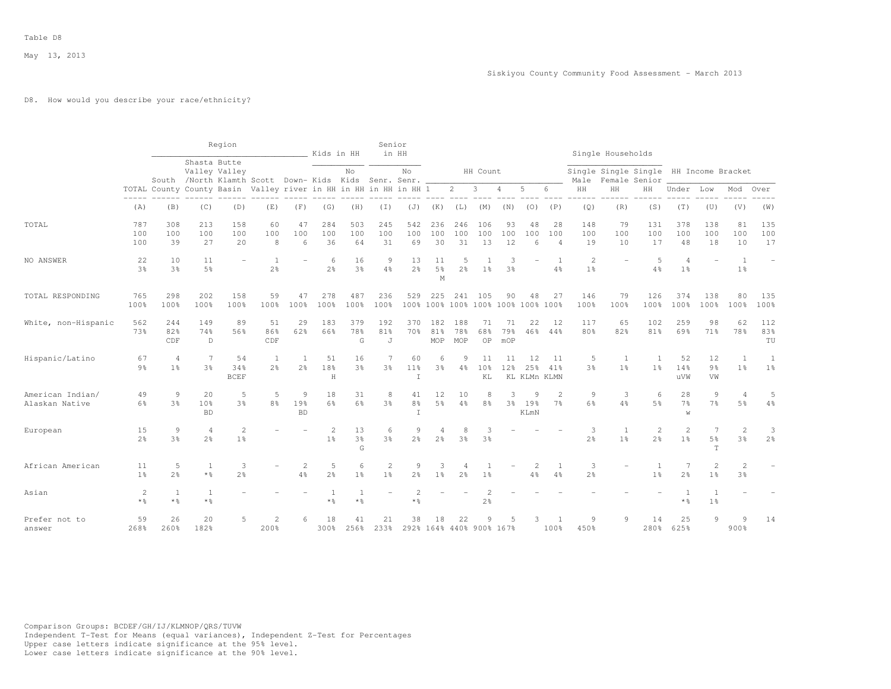May 13, 2013

### D8. How would you describe your race/ethnicity?

|                                    |                         |                       |                                  | Region                                                                 |                        |                          | Kids in HH            |                           | Senior                           | in HH                                 |                                     |                     |                                  |                  |                           |                                 |                                  | Single Households                      |                                         |                                     |                                |                                  |                          |
|------------------------------------|-------------------------|-----------------------|----------------------------------|------------------------------------------------------------------------|------------------------|--------------------------|-----------------------|---------------------------|----------------------------------|---------------------------------------|-------------------------------------|---------------------|----------------------------------|------------------|---------------------------|---------------------------------|----------------------------------|----------------------------------------|-----------------------------------------|-------------------------------------|--------------------------------|----------------------------------|--------------------------|
|                                    |                         |                       | Shasta Butte                     | Valley Valley<br>South /North Klamth Scott Down- Kids Kids Senr. Senr. |                        |                          |                       | No                        |                                  | No                                    |                                     |                     | HH Count                         |                  |                           |                                 | Male                             | Single Single Single HH Income Bracket | Female Senior                           |                                     |                                |                                  |                          |
|                                    |                         |                       |                                  | TOTAL County County Basin Valley river in HH in HH in HH in HH 1       |                        |                          |                       |                           |                                  |                                       |                                     | $\overline{c}$      | 3                                | $\overline{4}$   | 5                         | 6                               | $\rm{HH}$                        | $\rm{HH}$                              | HH                                      | Under                               | Low                            | Mod                              | Over                     |
|                                    | (A)                     | (B)                   | (C)                              | (D)                                                                    | (E)                    | (F)                      | (G)                   | (H)                       | $(\top)$                         | (J)                                   | (K)                                 | (L)                 | (M)                              | (N)              | (0)                       | (P)                             | (Q)                              | (R)                                    | (S)                                     | (T)                                 | (U)                            | (V)                              | (W)                      |
| TOTAL                              | 787<br>100<br>100       | 308<br>100<br>39      | 213<br>100<br>27                 | 158<br>100<br>20                                                       | 60<br>100<br>8         | 47<br>100<br>6           | 284<br>100<br>36      | 503<br>100<br>64          | 245<br>100<br>31                 | 542<br>100<br>69                      | 236<br>100<br>30                    | 246<br>100<br>31    | 106<br>100<br>13                 | 93<br>100<br>12  | 48<br>100<br>6            | 28<br>100<br>4                  | 148<br>100<br>19                 | 79<br>100<br>10                        | 131<br>100<br>17                        | 378<br>100<br>48                    | 138<br>100<br>18               | 81<br>100<br>10                  | 135<br>100<br>17         |
| NO ANSWER                          | 22<br>3 <sup>8</sup>    | 10<br>3%              | 11<br>5%                         |                                                                        | 1<br>2 <sup>o</sup>    | $\overline{\phantom{0}}$ | 6<br>$2\frac{6}{9}$   | 16<br>3%                  | $\overline{9}$<br>$4\%$          | 13<br>2 <sup>o</sup>                  | 11<br>$5\frac{6}{9}$<br>$\mathbf M$ | 5<br>$2\frac{6}{6}$ | 1 <sup>°</sup>                   | 3%               |                           | $\overline{1}$<br>4%            | $\overline{c}$<br>1 <sup>°</sup> |                                        | 5<br>4%                                 | $\overline{4}$<br>1 <sup>°</sup>    | ÷                              | 1<br>1 <sup>°</sup>              | $\overline{\phantom{a}}$ |
| TOTAL RESPONDING                   | 765<br>100%             | 298<br>100%           | 202<br>100%                      | 158<br>100%                                                            | 59<br>100%             | 47<br>100%               | 278<br>100%           | 487<br>100%               | 236<br>100%                      | 529                                   | 225<br>100% 100%                    | 241<br>100%         | 105<br>100% 100%                 | 90               | 48<br>$100\%$             | 27<br>100%                      | 146<br>100%                      | 79<br>100%                             | 126<br>100%                             | 374<br>100%                         | 138<br>100%                    | 80<br>100%                       | 135<br>100%              |
| White, non-Hispanic                | 562<br>73%              | 244<br>82%<br>CDF     | 149<br>74%<br>$\mathbb{D}$       | 89<br>56%                                                              | 51<br>86%<br>CDF       | 29<br>62%                | 183<br>66%            | 379<br>78%<br>G           | 192<br>81%<br>J                  | 370<br>70%                            | 182<br>81%<br>MOP                   | 188<br>78%<br>MOP   | 71<br>68%<br>OP                  | 71<br>79%<br>mOP | 22<br>46%                 | 12<br>44%                       | 117<br>80%                       | 65<br>82%                              | 102<br>81%                              | 259<br>69%                          | 98<br>71%                      | 62<br>78%                        | 112<br>83%<br>TU         |
| Hispanic/Latino                    | 67<br>9 <sub>8</sub>    | 4<br>1 <sup>8</sup>   | 7<br>3%                          | 54<br>34%<br><b>BCEF</b>                                               | 1<br>2.8               | -1<br>2%                 | 51<br>18%<br>$\rm H$  | 16<br>3%                  | 7<br>3%                          | 60<br>11%<br>$\top$                   | 6<br>3 <sup>8</sup>                 | Q<br>4%             | 11<br>10%<br>KL                  | 11<br>12%        | 12<br>25%<br>KL KLMn KLMN | 11<br>41%                       | 5<br>3%                          | 1<br>1 <sup>8</sup>                    | 1<br>1%                                 | 52<br>14%<br><b>UVM</b>             | 12<br>9 <sub>8</sub><br>VW     | 1<br>1 <sup>8</sup>              | 1<br>1 <sup>°</sup>      |
| American Indian/<br>Alaskan Native | 49<br>6%                | 9<br>3%               | 20<br>10%<br><b>BD</b>           | 5<br>3%                                                                | 5<br>$8\frac{6}{6}$    | 9<br>19%<br><b>BD</b>    | 18<br>6%              | 31<br>6%                  | 8<br>3 <sup>8</sup>              | 41<br>8 <sup>°</sup><br>$\mathbbm{I}$ | 12<br>$5\frac{6}{9}$                | 10<br>$4\%$         | 8<br>8%                          | 3<br>3%          | 9<br>19%<br>KLmN          | $\mathcal{L}$<br>7 <sup>°</sup> | 9<br>6%                          | 3<br>4%                                | 6<br>5 <sup>°</sup>                     | 28<br>$7\frac{6}{9}$<br>$\mathbf W$ | 9<br>7%                        | $\overline{A}$<br>5 <sup>°</sup> | 5<br>4%                  |
| European                           | 15<br>2 <sup>°</sup>    | 9<br>3%               | $\overline{4}$<br>2 <sup>o</sup> | $\overline{c}$<br>1 <sup>°</sup>                                       |                        |                          | 2<br>1 <sup>°</sup>   | 13<br>3 <sup>°</sup><br>G | 6<br>3%                          | 9<br>2 <sup>o</sup>                   | 4<br>2 <sup>°</sup>                 | 8<br>3 <sup>8</sup> | 3<br>3%                          |                  |                           |                                 | 3<br>$2\frac{6}{9}$              | -1<br>1 <sup>8</sup>                   | $\mathbf{2}^{\prime}$<br>2 <sup>°</sup> | $\overline{2}$<br>1 <sup>°</sup>    | 7<br>5%<br>T                   | $\overline{2}$<br>3 <sup>8</sup> | 3<br>2 <sup>°</sup>      |
| African American                   | 11<br>1 <sup>8</sup>    | 5<br>2.8              | 1<br>$*$ %                       | 3<br>2 <sup>°</sup>                                                    |                        | $\overline{c}$<br>4%     | 5<br>$2\frac{6}{9}$   | 6<br>1 <sup>°</sup>       | $\overline{c}$<br>1 <sup>°</sup> | $\overline{9}$<br>2 <sup>8</sup>      | 3<br>1 <sup>°</sup>                 | $2\frac{6}{6}$      | 1 <sup>°</sup>                   |                  |                           | $\overline{1}$<br>4%            | 3<br>2 <sup>o</sup>              |                                        | $\mathbf{1}$<br>1 <sup>°</sup>          | 7<br>$2\frac{6}{9}$                 | $\mathbf{2}$<br>1 <sup>°</sup> | 2<br>3 <sup>8</sup>              |                          |
| Asian                              | $\overline{c}$<br>$*$ % | $\mathbf{1}$<br>$*$ % | $\mathbf{1}$<br>$\star$ %        |                                                                        |                        |                          | <sup>1</sup><br>$*$ % | $\mathbf{1}$<br>$*$ %     |                                  | $\overline{c}$<br>* %                 |                                     |                     | $\overline{2}$<br>2 <sup>°</sup> |                  |                           |                                 |                                  |                                        |                                         | <sup>1</sup><br>* %                 | $\mathbf{1}$<br>1 <sup>°</sup> |                                  |                          |
| Prefer not to<br>answer            | 59<br>268%              | 26<br>260%            | 20<br>182%                       | 5                                                                      | $\mathfrak{D}$<br>200% | 6.                       | 18<br>300%            | 41<br>256%                | 21<br>233%                       | 38                                    | 18                                  | 22                  | 9<br>292% 164% 440% 900% 167%    |                  |                           | 100%                            | 9<br>450%                        | 9                                      | 14<br>280%                              | 25<br>625%                          | 9                              | $\mathcal{Q}$<br>900%            | 14                       |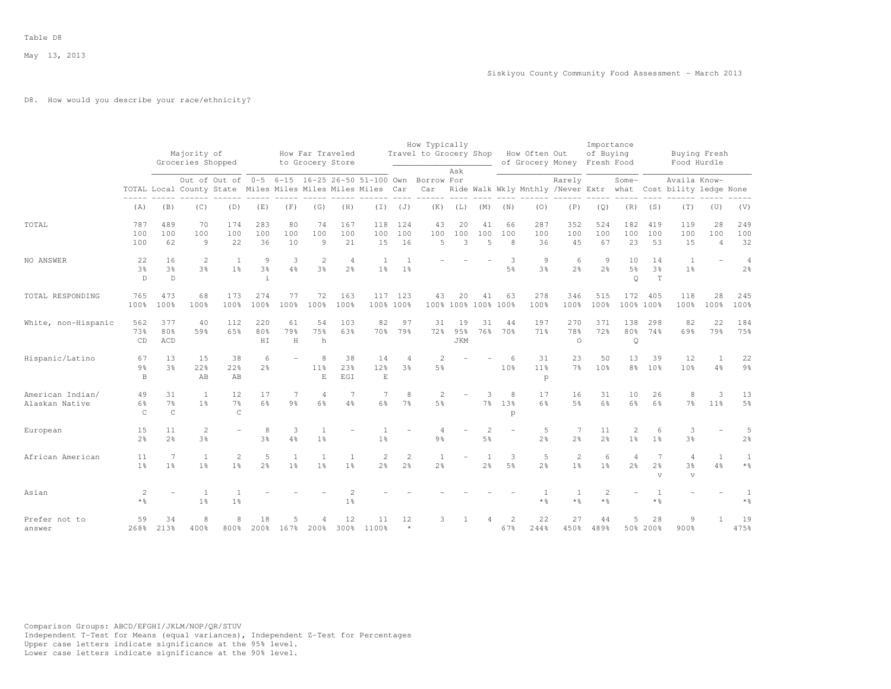May 13, 2013

### D8. How would you describe your race/ethnicity?

|                                    |                                     |                                      | Majority of<br>Groceries Shopped                           |                                               |                                     |                     | How Far Traveled<br>to Grocery Store |                                  |                                  |                                  | How Typically<br>Travel to Grocery Shop How Often Out |                         |                             |                           | of Grocery Money                  |                                  | Importance<br>of Buying<br>Fresh Food |                                |                                     | Buying Fresh<br>Food Hurdle            |                             |                                       |
|------------------------------------|-------------------------------------|--------------------------------------|------------------------------------------------------------|-----------------------------------------------|-------------------------------------|---------------------|--------------------------------------|----------------------------------|----------------------------------|----------------------------------|-------------------------------------------------------|-------------------------|-----------------------------|---------------------------|-----------------------------------|----------------------------------|---------------------------------------|--------------------------------|-------------------------------------|----------------------------------------|-----------------------------|---------------------------------------|
|                                    |                                     |                                      | TOTAL Local County State Miles Miles Miles Miles Miles Car | Out of Out of 0-5 6-15 16-25 26-50 51-100 Own |                                     |                     |                                      |                                  |                                  |                                  | Borrow For<br>Car                                     | Ask                     |                             |                           | Ride Walk Wkly Mnthly /Never Extr | Rarely                           |                                       | $Some-$<br>what                |                                     | Availa Know-<br>Cost bility ledge None |                             |                                       |
|                                    | (A)                                 | (B)                                  | (C)                                                        | (D)                                           | (E)                                 | (F)                 | (G)                                  | (H)                              | (T)                              | (J)                              | (K)                                                   | (L)                     | (M)                         | (N)                       | (0)                               | (P)                              | (Q)                                   | (R)                            | (S)                                 | (T)                                    | (U)                         | (V)                                   |
| TOTAL                              | 787<br>100<br>100                   | 489<br>100<br>62                     | 70<br>100<br>$\overline{9}$                                | 174<br>100<br>22                              | 283<br>100<br>36                    | 80<br>100<br>10     | 74<br>100<br>9                       | 167<br>100<br>21                 | 118<br>100<br>15                 | 124<br>100<br>16                 | 43<br>100<br>5                                        | 20<br>100<br>3          | 41<br>100<br>$\overline{5}$ | 66<br>100<br>8            | 287<br>100<br>36                  | 352<br>100<br>45                 | 524<br>100<br>67                      | 182<br>100<br>23               | 419<br>100<br>53                    | 119<br>100<br>15                       | 28<br>100<br>$\overline{4}$ | 249<br>100<br>32                      |
| NO ANSWER                          | 22<br>3%<br>$\mathbb D$             | 16<br>3%<br>$\mathbb{D}$             | 2<br>3%                                                    | $\mathbf{1}$<br>1 <sup>°</sup>                | 9<br>$3\frac{6}{9}$<br>$\mathbf{i}$ | 3<br>$4\frac{6}{6}$ | 2<br>3%                              | $\overline{4}$<br>2 <sup>°</sup> | $\mathbf{1}$<br>1 <sup>°</sup>   | $\overline{1}$<br>1%             |                                                       |                         |                             | 3<br>$5\frac{6}{6}$       | 9<br>3 <sup>°</sup>               | 6<br>2 <sup>°</sup>              | 9<br>2 <sup>°</sup>                   | 10<br>$5\%$<br>$\circ$         | 14<br>3%<br>$\mathbb T$             | $\mathbf{1}$<br>$1\frac{6}{6}$         |                             | $\overline{4}$<br>$2\frac{6}{6}$      |
| TOTAL RESPONDING                   | 765<br>100%                         | 473<br>100%                          | 68<br>100%                                                 | 173<br>100%                                   | 274<br>100%                         | 77<br>100%          | 72<br>100%                           | 163<br>100%                      | 117<br>100% 100%                 | 123                              | 43                                                    | 20                      | 41<br>100% 100% 100%        | 63<br>100%                | 278<br>100%                       | 346<br>100%                      | 515<br>100%                           | 172                            | 405<br>100% 100%                    | 118<br>100%                            | 28<br>100%                  | 245<br>100%                           |
| White, non-Hispanic                | 562<br>73%<br>$_{\rm CD}$           | 377<br>80%<br>ACD                    | 40<br>59%                                                  | 112<br>65%                                    | 220<br>80%<br>HI                    | 61<br>79%<br>H      | 54<br>75%<br>h                       | 103<br>63%                       | 82<br>70 %                       | 97<br>79%                        | 31<br>72%                                             | 19<br>95%<br><b>JKM</b> | 31<br>76%                   | 44<br>70%                 | 197<br>71%                        | 270<br>78%<br>$\circ$            | 371<br>72%                            | 138<br>80%<br>$\mathsf{Q}$     | 298<br>74%                          | 82<br>69%                              | 22<br>79%                   | 184<br>75%                            |
| Hispanic/Latino                    | 67<br>$9\frac{6}{9}$<br>$\mathbf B$ | 13<br>3%                             | 15<br>22%<br>AB                                            | 38<br>22%<br>AB                               | 6<br>2 <sup>°</sup>                 |                     | 8<br>11%<br>E.                       | 38<br>23%<br>EGI                 | 14<br>12%<br>$\mathbf E$         | $\overline{4}$<br>3 <sup>8</sup> | $\mathfrak{D}$<br>5%                                  |                         |                             | 6<br>10%                  | 31<br>11 <sup>8</sup><br>p        | 23<br>7 <sup>°</sup>             | 50<br>10%                             | 13<br>8 <sup>°</sup>           | 39<br>10 <sup>°</sup>               | 12<br>10 <sup>°</sup>                  | 1<br>4%                     | 22<br>$9\frac{6}{6}$                  |
| American Indian/<br>Alaskan Native | 49<br>6%<br>$\mathsf{C}$            | 31<br>7 <sup>°</sup><br>$\mathsf{C}$ | $\overline{1}$<br>1 <sup>8</sup>                           | 12<br>$7\frac{6}{9}$<br>$\mathsf{C}$          | 17<br>6%                            | $9\frac{6}{6}$      | $\overline{4}$<br>6 <sup>8</sup>     | 7<br>4%                          | 6%                               | 8<br>7%                          | $\overline{2}$<br>5 <sup>8</sup>                      |                         | 3<br>7 <sup>°</sup>         | 8<br>13 <sup>8</sup><br>p | 17<br>6%                          | 16<br>5 <sup>8</sup>             | 31<br>6%                              | 10<br>$6\%$                    | 26<br>$6\frac{6}{9}$                | 8<br>7 <sup>°</sup>                    | 3<br>11 <sup>°</sup>        | 13<br>5%                              |
| European                           | 15<br>2.8                           | 11<br>2.8                            | $\overline{c}$<br>3%                                       |                                               | 8<br>3%                             | 3<br>4%             | -1<br>1 <sup>°</sup>                 |                                  | 1 <sup>°</sup>                   |                                  | 9 <sub>8</sub>                                        |                         | $\overline{2}$<br>5%        |                           | 5<br>2 <sup>8</sup>               | 7<br>2 <sup>8</sup>              | 11<br>2.8                             | $\mathbf{2}$<br>1 <sup>8</sup> | 6<br>1 <sup>8</sup>                 | 3<br>3 <sup>o</sup>                    |                             | 5<br>2 <sup>o</sup>                   |
| African American                   | 11<br>1 <sup>°</sup>                | $7\phantom{.0}$<br>1 <sup>°</sup>    | <sup>1</sup><br>1 <sup>°</sup>                             | $\overline{c}$<br>1 <sup>°</sup>              | 5<br>$2\frac{6}{6}$                 | 1<br>1 <sup>°</sup> | -1<br>1 <sup>°</sup>                 | -1<br>1 <sup>°</sup>             | $\overline{2}$<br>2 <sup>°</sup> | 2<br>2 <sup>o</sup>              | $\overline{1}$<br>2 <sup>°</sup>                      |                         | 2 <sup>°</sup>              | 3<br>5 <sup>8</sup>       | 5<br>2 <sup>o</sup>               | $\overline{c}$<br>1 <sup>°</sup> | 6<br>1 <sup>°</sup>                   | 4<br>$2\frac{6}{9}$            | 7<br>2 <sup>°</sup><br>$\mathbf{v}$ | 4<br>$3\frac{6}{9}$<br>$\mathbf{V}$    | 1<br>4%                     | $\mathbf{1}$<br>$\star$ $\frac{6}{6}$ |
| Asian                              | 2<br>$*$ %                          |                                      | <sup>1</sup><br>$1\frac{6}{6}$                             | $\mathbf{1}$<br>1 <sup>°</sup>                |                                     |                     |                                      | 1 <sup>°</sup>                   |                                  |                                  |                                                       |                         |                             |                           | $*$ %                             | $\mathbf{1}$<br>$*$ %            | $\overline{2}$<br>* %                 |                                | $*$ $\frac{6}{6}$                   |                                        |                             | 1<br>$*$ $\frac{6}{5}$                |
| Prefer not to<br>answer            | 59<br>268%                          | 34<br>213%                           | 8<br>400%                                                  | 8<br>800%                                     | 18<br>200%                          | 167%                | 200%                                 | 12<br>300%                       | 11<br>1100%                      | 12<br>$\star$                    | 3                                                     |                         |                             | $\mathfrak{D}$<br>67%     | 22<br>244%                        | 27<br>450%                       | 44<br>489%                            | 5                              | 28<br>50% 200%                      | 9<br>900%                              | $\overline{1}$              | 19<br>475%                            |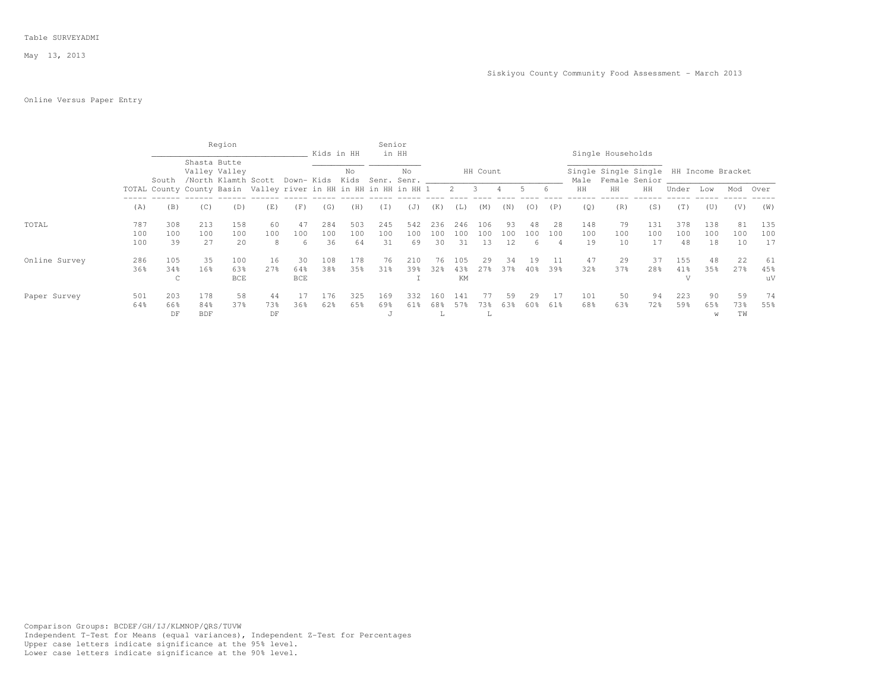### Table SURVEYADMI

May 13, 2013

# Online Versus Paper Entry

|               |                   |                                                                  |                          | Region                               |                 |                         | Kids in HH       |                  | Senior           | in HH            |                  |                  |                  |                 |                |           |                  | Single Households                          |                  |                              |                   |                        |                  |
|---------------|-------------------|------------------------------------------------------------------|--------------------------|--------------------------------------|-----------------|-------------------------|------------------|------------------|------------------|------------------|------------------|------------------|------------------|-----------------|----------------|-----------|------------------|--------------------------------------------|------------------|------------------------------|-------------------|------------------------|------------------|
|               |                   | South                                                            | Shasta Butte             | Valley Valley<br>/North Klamth Scott |                 | Down- Kids              |                  | No<br>Kids       | Senr.            | No<br>Senr.      |                  |                  | HH Count         |                 |                |           |                  | Single Single Single<br>Male Female Senior |                  |                              | HH Income Bracket |                        |                  |
|               |                   | TOTAL County County Basin Valley river in HH in HH in HH in HH 1 |                          |                                      |                 |                         |                  |                  |                  |                  |                  | $2 \quad 3$      |                  |                 | 5.             | 6         | HH               | HH                                         | HH               | Under                        | Low               | Mod                    | Over             |
|               | (A)               | (B)                                                              | (C)                      | (D)                                  | (E)             | (F)                     | (G)              | (H)              | (I)              | (J)              | (K)              | (L)              | (M)              | (N)             | (0)            | (P)       | (Q)              | (R)                                        | (S)              | (T)                          | (U)               | (V)                    | (W)              |
| TOTAL         | 787<br>100<br>100 | 308<br>100<br>39                                                 | 213<br>100<br>27         | 158<br>100<br>20                     | 60<br>100<br>8  | 47<br>100<br>6.         | 284<br>100<br>36 | 503<br>100<br>64 | 245<br>100<br>31 | 542<br>100<br>69 | 236<br>100<br>30 | 246<br>100<br>31 | 106<br>100<br>13 | 93<br>100<br>12 | 48<br>100<br>6 | 28<br>100 | 148<br>100<br>19 | 79<br>100<br>10                            | 131<br>100<br>17 | 378<br>100<br>48             | 138<br>100<br>18  | 81<br>100<br>10        | 135<br>100<br>17 |
| Online Survey | 286<br>36%        | 105<br>34%<br>C                                                  | 35<br>16%                | 100<br>63%<br><b>BCE</b>             | 16<br>2.7%      | 30<br>64%<br><b>BCE</b> | 108<br>38%       | 178<br>35%       | 76<br>31%        | 210<br>39%       | 76<br>32%        | 105<br>43%<br>KM | 29<br>2.7%       | 34<br>37%       | 19<br>40%      | 39%       | 47<br>32%        | 29<br>37%                                  | 37<br>28%        | 155<br>41%<br>$\overline{V}$ | 48<br>35%         | 22<br>2.7%             | 61<br>45%<br>uV  |
| Paper Survey  | 501<br>64%        | 203<br>66%<br>DF                                                 | 178<br>84%<br><b>BDF</b> | 58<br>37%                            | 44<br>73%<br>DF | 36%                     | 176<br>62%       | 325<br>65%       | 169<br>69%<br>J  | 332<br>61%       | 160<br>68%<br>÷. | 141              | /3%<br>P         | 59<br>63%       | 29<br>60%      | 61%       | 101<br>68%       | 50<br>63%                                  | 94<br>72%        | 223<br>59%                   | 90<br>65%<br>W    | 59<br>73%<br><b>TW</b> | 74<br>55%        |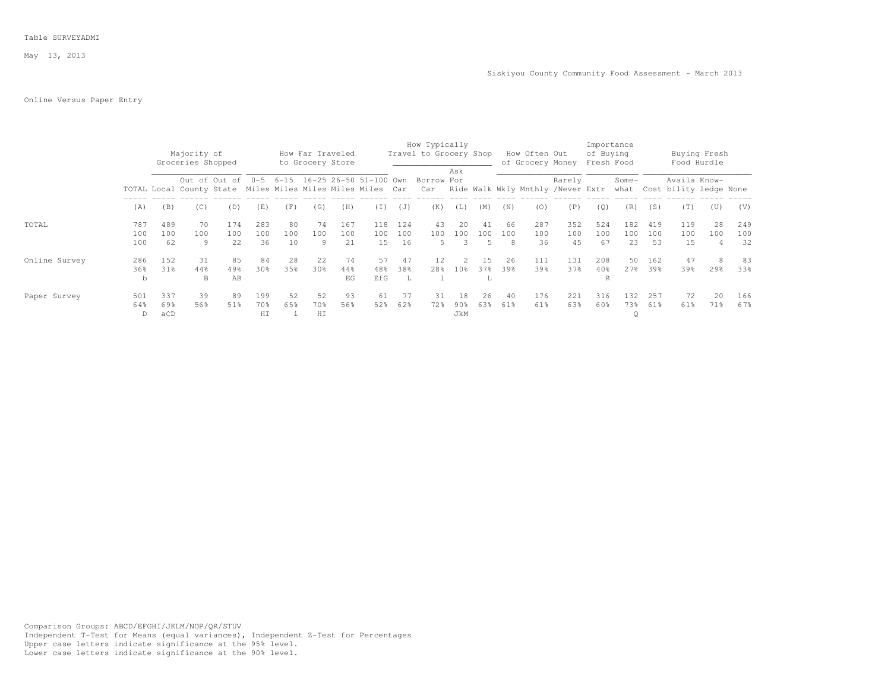### Table SURVEYADMI

May 13, 2013

#### Siskiyou County Community Food Assessment - March 2013

# Online Versus Paper Entry

|               |                   |                      |                                  |                    |                  |                 |                                      |                   |                             |                  | How Typically          |                      |                             |           |                                                                                                                              |                  |                         | Importance            |                  |                   |                             |                  |
|---------------|-------------------|----------------------|----------------------------------|--------------------|------------------|-----------------|--------------------------------------|-------------------|-----------------------------|------------------|------------------------|----------------------|-----------------------------|-----------|------------------------------------------------------------------------------------------------------------------------------|------------------|-------------------------|-----------------------|------------------|-------------------|-----------------------------|------------------|
|               |                   |                      | Majority of<br>Groceries Shopped |                    |                  |                 | How Far Traveled<br>to Grocery Store |                   |                             |                  | Travel to Grocery Shop |                      |                             |           | How Often Out<br>of Grocery Money                                                                                            |                  | of Buying<br>Fresh Food |                       |                  |                   | Buying Fresh<br>Food Hurdle |                  |
|               |                   |                      |                                  | Out of Out of      | $0 - 5$          |                 |                                      |                   | 6-15 16-25 26-50 51-100 Own |                  | Borrow For             | Ask                  |                             |           | TOTAL Local County State Miles Miles Miles Miles Miles Car Car Ride Walk Wkly Mnthly /Never Extr what Cost bility ledge None | Rarely           |                         | Some-                 |                  | Availa Know-      |                             |                  |
|               | (A)               | (B)                  | (C)                              | (D)                | (E)              | (F)             | (G)                                  | (H)               | (T)                         | (J)              | (K)                    | (L)                  | (M)                         | (N)       | (0)                                                                                                                          | (P)              | (Q)                     | (R)                   | (S)              | (T)               | (U)                         | (V)              |
| TOTAL         | 787<br>100<br>100 | 489<br>$100 -$<br>62 | 70<br>100<br>9                   | 174<br>100<br>22.2 | 283<br>100<br>36 | 80<br>100<br>10 | 74<br>100<br>9                       | 167<br>100<br>2.1 | 118<br>100<br>1.5           | 124<br>100<br>16 | 43<br>100<br>5.        | 20<br>100<br>२       | 41<br>100<br>$\overline{5}$ | 66<br>100 | 287<br>100<br>36                                                                                                             | 352<br>100<br>45 | 524<br>100<br>67        | 182<br>100<br>23      | 419<br>100<br>53 | 119<br>100<br>1.5 | 2.8<br>100<br>Δ             | 249<br>100<br>32 |
| Online Survey | 286<br>36%<br>b   | 152<br>31%           | -31<br>44%<br>B                  | 85<br>49%<br>AB    | 84<br>30%        | 28<br>35%       | 22<br>30%                            | 74<br>44%<br>EG   | 57<br>48%<br>EfG            | 47<br>38%<br>- L | 12.<br>28왕             | $\mathcal{L}$<br>10% | 1.5<br>37%                  | 26<br>39% | 111<br>39%                                                                                                                   | 131<br>37%       | 208<br>40%<br>R         | 50<br>27%             | 162<br>39%       | 47<br>39%         | 8<br>29%                    | 83<br>33%        |
| Paper Survey  | 501<br>64%        | 337<br>69%<br>aCD    | 39<br>56%                        | 89<br>51%          | 199<br>70%<br>HI | 52<br>6.5%      | 52<br>70%<br>HI                      | 93<br>56%         | 61<br>52%                   | 77<br>62%        | 31<br>72%              | 18<br>90%<br>JkM     | 26<br>63%                   | 40<br>61% | 176<br>61%                                                                                                                   | 221<br>63%       | 316<br>60%              | 132<br>73%<br>$\circ$ | 257<br>61%       | 72<br>61%         | 20<br>71%                   | 166<br>67%       |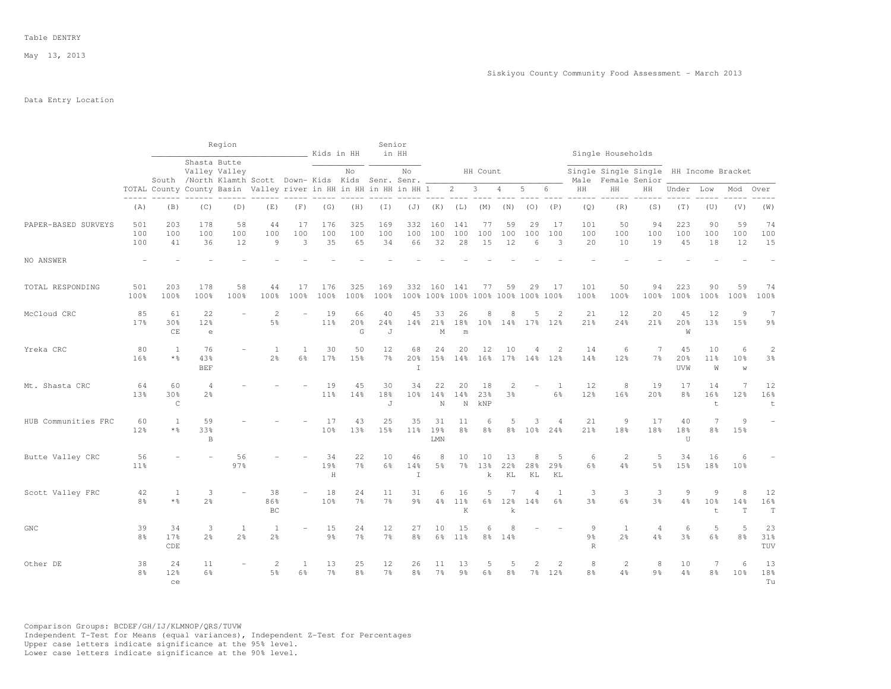May 13, 2013

## Data Entry Location

|                     |                      |                           |                         | Region                                                                                                                    |                                |                | Kids in HH           |                      | Senior               | in HH                                |                      |                                               |                       |                                |                                  |                       |                                                  | Single Households                      |                                  |                      |                                    |                         |                          |
|---------------------|----------------------|---------------------------|-------------------------|---------------------------------------------------------------------------------------------------------------------------|--------------------------------|----------------|----------------------|----------------------|----------------------|--------------------------------------|----------------------|-----------------------------------------------|-----------------------|--------------------------------|----------------------------------|-----------------------|--------------------------------------------------|----------------------------------------|----------------------------------|----------------------|------------------------------------|-------------------------|--------------------------|
|                     |                      |                           | Shasta Butte            | Valley Valley                                                                                                             |                                |                |                      | No                   |                      | No                                   |                      |                                               | HH Count              |                                |                                  |                       |                                                  | Single Single Single HH Income Bracket |                                  |                      |                                    |                         |                          |
|                     |                      |                           |                         | South /North Klamth Scott Down- Kids Kids Senr. Senr.<br>TOTAL County County Basin Valley river in HH in HH in HH in HH 1 |                                |                |                      |                      |                      |                                      |                      | $2 \quad 3$                                   |                       | $\overline{4}$                 | 5                                | 6                     | Male<br>HH                                       | Female Senior<br>HH                    | HH                               | Under Low            |                                    | Mod                     | Over                     |
|                     | (A)                  | (B)                       | (C)                     | (D)                                                                                                                       | (E)                            | (F)            | (G)                  | (H)                  | (I)                  | (J)                                  | (K)                  | (L)                                           | (M)                   | (N)                            | (0)                              | (P)                   | (Q)                                              | (R)                                    | (S)                              | (T)                  | (U)                                | (V)                     | (W)                      |
| PAPER-BASED SURVEYS | 501<br>100<br>100    | 203<br>100<br>41          | 178<br>100<br>36        | 58<br>100<br>12                                                                                                           | 44<br>100<br>9                 | 17<br>100<br>3 | 176<br>100<br>35     | 325<br>100<br>65     | 169<br>100<br>34     | 332<br>100<br>66                     | 160<br>100<br>32     | 141<br>100<br>28                              | 77<br>100<br>15       | 59<br>100<br>12                | 29<br>100<br>6                   | -17<br>100<br>3       | 101<br>100<br>20                                 | 50<br>100<br>10                        | 94<br>100<br>19                  | 223<br>100<br>45     | 90<br>100<br>18                    | 59<br>100<br>12         | 74<br>100<br>15          |
| NO ANSWER           |                      |                           |                         |                                                                                                                           |                                |                |                      |                      |                      |                                      |                      |                                               |                       |                                |                                  |                       |                                                  |                                        |                                  |                      |                                    |                         |                          |
| TOTAL RESPONDING    | 501<br>100%          | 203<br>100%               | 178<br>100%             | 58<br>100%                                                                                                                | 44<br>100%                     | 17<br>100%     | 176<br>100%          | 325<br>100%          | 169<br>100%          | 332                                  |                      | 160 141<br>100% 100% 100% 100% 100% 100% 100% | 77                    | 59                             | 29                               | 17                    | 101<br>100%                                      | 50<br>100%                             | 94<br>100%                       | 223<br>100%          | 90<br>100%                         | 59<br>100%              | 74<br>100%               |
| McCloud CRC         | 85<br>17%            | 61<br>30%<br>CE           | 22<br>12%<br>$\epsilon$ |                                                                                                                           | $\mathbf{2}$<br>5%             |                | 19<br>11%            | 66<br>20%<br>G       | 40<br>24%<br>J       | 45<br>14%                            | 33<br>21%<br>M       | 26<br>18%<br>m                                | 8<br>10 <sup>°</sup>  | 8<br>$14\%$                    | 5<br>$17$ %                      | $\mathcal{D}$<br>12%  | 21<br>21%                                        | 12<br>24%                              | 20<br>21%                        | 45<br>20%<br>W       | 12<br>13%                          | 9<br>15%                | 7<br>$9\frac{6}{9}$      |
| Yreka CRC           | 80<br>16%            | 1<br>$*$ %                | 76<br>43%<br><b>BEF</b> |                                                                                                                           | 1<br>2.8                       | 1<br>6%        | 30<br>17%            | 50<br>15%            | 12<br>7%             | 68<br>20 <sup>8</sup><br>$\mathbb T$ | 24<br>15%            | 20<br>14%                                     | 12<br>16 <sup>°</sup> | 10<br>17%                      | 4<br>14%                         | $\overline{2}$<br>12% | 14<br>14%                                        | 6<br>12%                               | 7<br>7 <sup>°</sup>              | 45<br>20%<br>UVW     | 10<br>11 <sup>°</sup><br>W         | 6<br>10%<br>$\mathbb W$ | $\sqrt{2}$<br>3%         |
| Mt. Shasta CRC      | 64<br>13%            | 60<br>30%<br>$\mathsf{C}$ | 4<br>2 <sup>o</sup>     |                                                                                                                           |                                |                | 19<br>11%            | 45<br>14%            | 30<br>18%<br>J       | 34<br>10 <sup>8</sup>                | 22<br>14%<br>N       | 20<br>14%<br>N                                | 18<br>23%<br>kNP      | $\mathbf{2}$<br>3 <sup>°</sup> |                                  | 1<br>6%               | 12<br>12%                                        | 8<br>16%                               | 19<br>20%                        | 17<br>8 <sup>°</sup> | 14<br>16%<br>t                     | $\overline{7}$<br>12%   | 12<br>16%<br>$\mathsf t$ |
| HUB Communities FRC | 60<br>12%            | <sup>1</sup><br>$*$ %     | 59<br>33%<br>B          |                                                                                                                           |                                |                | 17<br>10%            | 43<br>13%            | 25<br>15%            | 35<br>11 <sup>8</sup>                | 31<br>19%<br>LMN     | 11<br>$8\frac{6}{6}$                          | 6<br>8 <sup>°</sup>   | 5<br>8 <sup>8</sup>            | 3<br>10 <sup>8</sup>             | $\overline{4}$<br>24% | 21<br>21%                                        | 9<br>18%                               | 17<br>18%                        | 40<br>18%<br>U       | 7<br>8 <sup>°</sup>                | 9<br>15%                |                          |
| Butte Valley CRC    | 56<br>11%            |                           |                         | 56<br>97%                                                                                                                 |                                |                | 34<br>19%<br>$\rm H$ | 22<br>$7\frac{6}{9}$ | 10<br>$6\frac{6}{9}$ | 46<br>14%<br>$\mathbbm{I}$           | 8<br>5 <sup>°</sup>  | 10<br>$7\frac{6}{6}$                          | 10<br>13%<br>k        | 13<br>22%<br>KL                | 8<br>28%<br>KL                   | .5<br>29%<br>KL       | 6<br>$6\frac{6}{9}$                              | $\overline{2}$<br>4%                   | 5<br>5 <sup>°</sup>              | 34<br>15%            | 16<br>18%                          | 6<br>10 <sub>8</sub>    |                          |
| Scott Valley FRC    | 42<br>8 <sup>8</sup> | 1<br>$*$ $\frac{6}{5}$    | 3<br>2.8                |                                                                                                                           | 38<br>86%<br>BC                |                | 18<br>10%            | 24<br>7%             | 11<br>7%             | 31<br>9 <sub>8</sub>                 | 6<br>4%              | 16<br>11 <sup>8</sup><br>K                    | 5<br>$6\frac{6}{9}$   | 12%<br>k                       | $\overline{A}$<br>14%            | 1<br>6%               | 3<br>3%                                          | 3<br>6%                                | 3<br>3%                          | 9<br>4%              | 9<br>10 <sup>9</sup><br>$\ddagger$ | 8<br>14%<br>$\mathbf T$ | 12<br>16%<br>$\mathbf T$ |
| ${\tt GNC}$         | 39<br>8%             | 34<br>17%<br>CDE          | 3<br>2 <sup>°</sup>     | $\mathbf{1}$<br>2 <sup>°</sup>                                                                                            | $\mathbf{1}$<br>2 <sup>o</sup> | ÷              | 15<br>9 <sub>8</sub> | 24<br>7 <sup>°</sup> | 12<br>$7\frac{6}{6}$ | 27<br>8%                             | 10<br>6%             | 15<br>11 <sup>8</sup>                         | 6<br>8 <sup>°</sup>   | 8<br>14%                       |                                  |                       | $\overline{9}$<br>9 <sub>8</sub><br>$\mathbb{R}$ | $\mathbf{1}$<br>2 <sup>°</sup>         | $\overline{4}$<br>$4\frac{6}{6}$ | 6<br>3 <sup>8</sup>  | 5<br>6%                            | 5<br>8%                 | 23<br>31%<br>TUV         |
| Other DE            | 38<br>8%             | 24<br>12%<br>ce           | 11<br>$6\%$             |                                                                                                                           | 2<br>5 <sup>°</sup>            | 1<br>6%        | 13<br>$7\frac{6}{9}$ | 25<br>$8\frac{6}{9}$ | 12<br>$7\frac{6}{6}$ | 26<br>8%                             | 11<br>7 <sup>°</sup> | 13<br>$9\frac{6}{6}$                          | 5<br>6%               | 5<br>8%                        | $\mathfrak{D}$<br>7 <sup>°</sup> | $\mathcal{L}$<br>12%  | 8<br>8 <sup>°</sup>                              | $\overline{2}$<br>4%                   | 8<br>9 <sub>8</sub>              | 10<br>4%             | 7<br>8 <sup>°</sup>                | 6<br>10 <sub>8</sub>    | 13<br>18%<br>Tu          |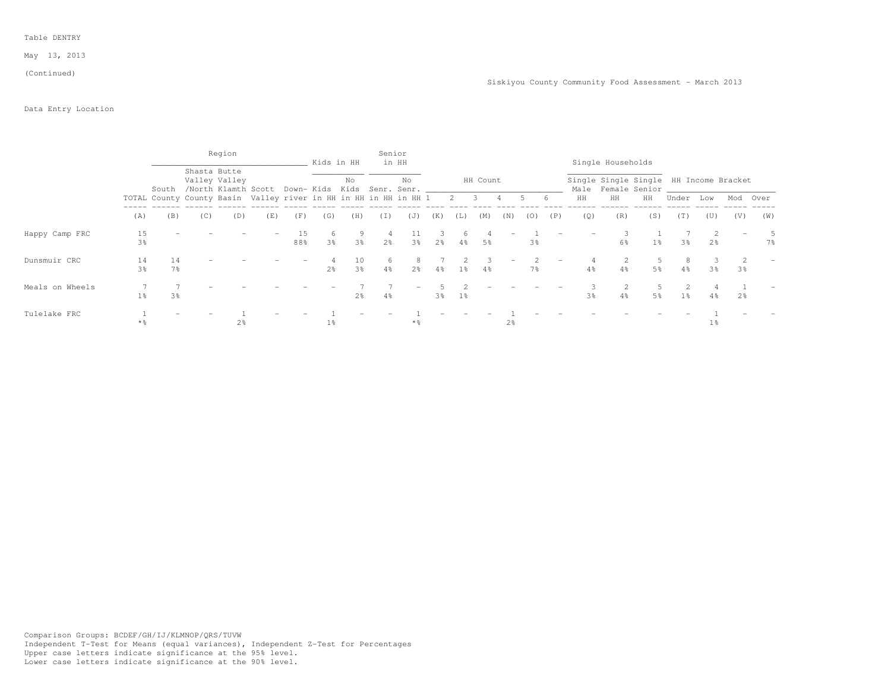#### May 13, 2013

(Continued)

## Data Entry Location

|                 |                |                      |              | Region                                                           |     |           |                     | Kids in HH           | Senior              | in HH                             |                |                |          |                          |                |     |                | Single Households                                            |                |       |                |                |          |
|-----------------|----------------|----------------------|--------------|------------------------------------------------------------------|-----|-----------|---------------------|----------------------|---------------------|-----------------------------------|----------------|----------------|----------|--------------------------|----------------|-----|----------------|--------------------------------------------------------------|----------------|-------|----------------|----------------|----------|
|                 |                | South                | Shasta Butte | Valley Valley<br>/North Klamth Scott                             |     |           |                     | No                   |                     | No<br>Down- Kids Kids Senr. Senr. |                |                | HH Count |                          |                |     |                | Single Single Single HH Income Bracket<br>Male Female Senior |                |       |                |                |          |
|                 |                |                      |              | TOTAL County County Basin Valley river in HH in HH in HH in HH 1 |     |           |                     |                      |                     |                                   |                | 2 3            |          | $4 -$                    | 5              | - 6 | HH             | HH                                                           | HH             | Under | Low            |                | Mod Over |
|                 | (A)            | (B)                  | (C)          | (D)                                                              | (E) | (F)       | (G)                 | (H)                  | (I)                 | (J)                               | (K)            | (L)            | (M)      | (N)                      | (0)            | (P) | (Q)            | (R)                                                          | (S)            | (T)   | (U)            | (V)            | (W)      |
| Happy Camp FRC  | 15<br>3%       |                      |              |                                                                  |     | 15<br>88% | 6<br>3 <sup>°</sup> | 9<br>3%              | 4<br>2 <sup>8</sup> | $3\frac{6}{5}$                    | 2 <sup>8</sup> | $4\%$          | 5%       |                          | 3%             |     |                | 6%                                                           | 1 <sup>°</sup> | 3%    | 2 <sup>o</sup> |                | 7%       |
| Dunsmuir CRC    | 14<br>3%       | 14<br>7 <sup>°</sup> |              |                                                                  |     |           | 2 <sup>°</sup>      | 10<br>3 <sup>°</sup> | 6<br>$4\frac{6}{6}$ | 2 <sup>o</sup>                    | 4%             | 1 <sup>8</sup> | 4%       | $\overline{\phantom{m}}$ | 7 <sup>°</sup> |     | 4%             | $4\frac{6}{6}$                                               | 5 <sup>°</sup> | 4%    | 3%             | 3 <sup>8</sup> |          |
| Meals on Wheels | 1 <sup>°</sup> | 3 <sup>8</sup>       |              |                                                                  |     |           |                     | 2 <sup>°</sup>       | 4%                  |                                   | 3%             | $1\%$          |          |                          |                |     | 3 <sup>8</sup> | $4\%$                                                        | 5%             | $1\%$ | $4\%$          | 2%             |          |
| Tulelake FRC    | * %            |                      |              | 2 <sup>8</sup>                                                   |     |           | $1\%$               |                      |                     | $\star$ %                         |                |                |          | 2 <sup>8</sup>           |                |     |                |                                                              |                |       | $1\,$          |                |          |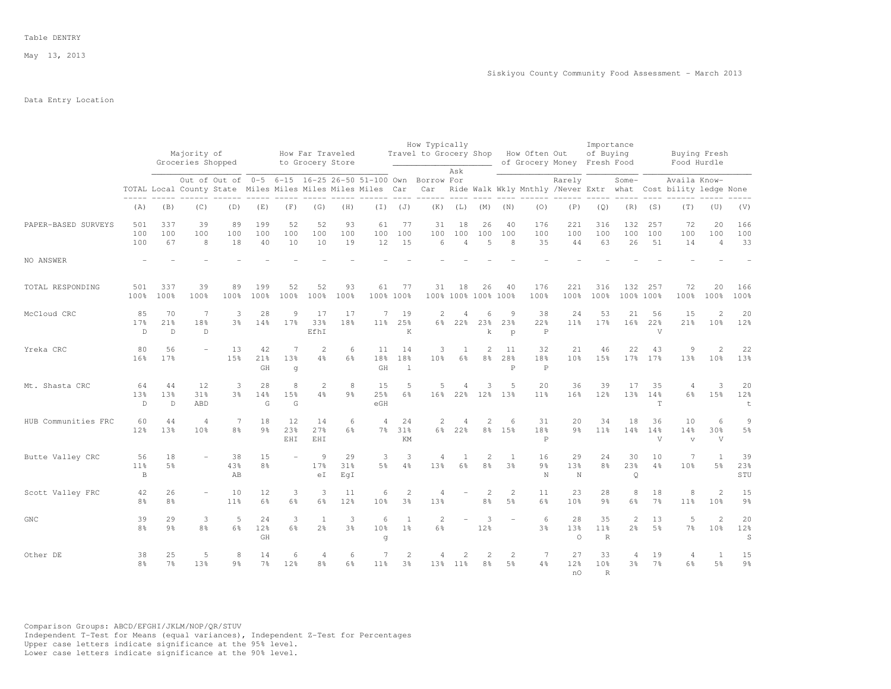May 13, 2013

## Data Entry Location

|                     |                                       |                           | Majority of<br>Groceries Shopped |                     |                      |                     | How Far Traveled               |                     |                                                                                                             |                                  | How Typically<br>Travel to Grocery Shop |                             |                                                                                                                                                                                                                                                                                                                                                                                                                                              |                                  | How Often Out                      |                             | Importance<br>of Buying   |                      |                      | Buying Fresh                                                                  |                                   |                         |
|---------------------|---------------------------------------|---------------------------|----------------------------------|---------------------|----------------------|---------------------|--------------------------------|---------------------|-------------------------------------------------------------------------------------------------------------|----------------------------------|-----------------------------------------|-----------------------------|----------------------------------------------------------------------------------------------------------------------------------------------------------------------------------------------------------------------------------------------------------------------------------------------------------------------------------------------------------------------------------------------------------------------------------------------|----------------------------------|------------------------------------|-----------------------------|---------------------------|----------------------|----------------------|-------------------------------------------------------------------------------|-----------------------------------|-------------------------|
|                     |                                       |                           |                                  |                     |                      |                     | to Grocery Store               |                     |                                                                                                             |                                  |                                         | Ask                         |                                                                                                                                                                                                                                                                                                                                                                                                                                              |                                  |                                    | of Grocery Money Fresh Food |                           |                      |                      | Food Hurdle                                                                   |                                   |                         |
|                     |                                       |                           |                                  |                     |                      |                     |                                |                     | Out of Out of 0-5 6-15 16-25 26-50 51-100 Own<br>TOTAL Local County State Miles Miles Miles Miles Miles Car |                                  | Borrow For<br>Car                       |                             |                                                                                                                                                                                                                                                                                                                                                                                                                                              |                                  |                                    | Rarely                      |                           | Some-                |                      | Availa Know-<br>Ride Walk Wkly Mnthly /Never Extr what Cost bility ledge None |                                   |                         |
|                     | (A)                                   | (B)                       | (C)                              | (D)                 | (E)                  | (F)                 | (G)                            | (H)                 |                                                                                                             | $(J)$ $(J)$                      | (K)                                     | (L)                         | (M)                                                                                                                                                                                                                                                                                                                                                                                                                                          | (N)                              | (0)                                | (P)                         | (Q)                       | (R)                  | (S)                  | (T)                                                                           | (U)                               | (V)                     |
| PAPER-BASED SURVEYS | 501<br>100<br>100                     | 337<br>100<br>67          | 39<br>100<br>8                   | 89<br>100<br>18     | 199<br>100<br>40     | 52<br>100<br>10     | 52<br>100<br>10                | 93<br>100<br>19     | 61<br>100<br>12                                                                                             | 77<br>100<br>15                  | 31<br>100<br>6                          | 18<br>100<br>$\overline{4}$ | 26<br>100<br>5                                                                                                                                                                                                                                                                                                                                                                                                                               | 40<br>100<br>8                   | 176<br>100<br>35                   | 221<br>100<br>44            | 316<br>100<br>63          | 132<br>100<br>26     | 257<br>100<br>51     | 72<br>100<br>14                                                               | 20<br>100<br>$\overline{4}$       | 166<br>100<br>33        |
| NO ANSWER           |                                       |                           |                                  |                     |                      |                     |                                |                     |                                                                                                             |                                  |                                         |                             |                                                                                                                                                                                                                                                                                                                                                                                                                                              |                                  |                                    |                             |                           |                      |                      |                                                                               |                                   |                         |
| TOTAL RESPONDING    | 501<br>100%                           | 337<br>100%               | 39<br>100%                       | 89<br>100%          | 199<br>100%          | 52<br>100%          | 52<br>100%                     | 93<br>100%          | 61<br>100% 100%                                                                                             | 77                               | 31                                      | 18                          | 26<br>100% 100% 100% 100%                                                                                                                                                                                                                                                                                                                                                                                                                    | 40                               | 176<br>100%                        | 221<br>100%                 | 316<br>100%               | 132<br>100% 100%     | 257                  | 72<br>100%                                                                    | 20<br>100%                        | 166<br>100%             |
| McCloud CRC         | 85<br>17%<br>$\mathbb{D}$             | 70<br>21%<br>$\mathbb{D}$ | 7<br>18%<br>D                    | 3<br>3%             | 28<br>14%            | 9<br>17%            | 17<br>33%<br>EfhI              | 17<br>18%           | 7<br>11 <sup>8</sup>                                                                                        | 19<br>25%<br>K                   | 2<br>6%                                 | 4<br>22%                    | 6<br>23%<br>k                                                                                                                                                                                                                                                                                                                                                                                                                                | 9<br>23%<br>$\mathcal{D}$        | 38<br>22%<br>$\mathbb P$           | 24<br>11 <sup>°</sup>       | 53<br>17%                 | 21<br>16%            | 56<br>22%<br>V       | 15<br>21%                                                                     | $\mathfrak{D}$<br>10 <sup>8</sup> | 20<br>12%               |
| Yreka CRC           | 80<br>16%                             | 56<br>17%                 |                                  | 13<br>1.5%          | 42<br>21%<br>GH      | 7<br>13%<br>q       | $\overline{2}$<br>4%           | 6<br>6%             | 11<br>18%<br>GH                                                                                             | 14<br>18%<br>$\mathbf{1}$        | 3<br>10%                                | 1<br>$6\%$                  | 2<br>8 <sup>°</sup>                                                                                                                                                                                                                                                                                                                                                                                                                          | 11<br>28%<br>$\mathsf{P}$        | 32<br>18%<br>$\mathsf{P}$          | 21<br>10%                   | 46<br>15%                 | 22<br>17%            | 43<br>17%            | $\overline{9}$<br>13%                                                         | 2<br>10 <sup>8</sup>              | 22<br>13%               |
| Mt. Shasta CRC      | 64<br>13%<br>$\mathbb{D}$             | 44<br>13%<br>$\mathbb{D}$ | 12<br>31%<br>ABD                 | 3<br>3%             | 28<br>14%<br>G       | 8<br>15%<br>G       | $\overline{2}$<br>4%           | 8<br>9 <sub>8</sub> | 15<br>25%<br>eGH                                                                                            | 5<br>$6\frac{6}{9}$              | .5<br>16%                               | $\overline{4}$<br>22%       | 3<br>12%                                                                                                                                                                                                                                                                                                                                                                                                                                     | 5<br>13%                         | 20<br>11 <sup>8</sup>              | 36<br>16%                   | 39<br>12%                 | 17<br>13%            | 35<br>14%<br>T       | $\overline{4}$<br>$6\frac{6}{9}$                                              | 3<br>15%                          | 20<br>12%<br>t          |
| HUB Communities FRC | 60<br>12%                             | 44<br>13%                 | $\overline{4}$<br>10%            | 7<br>8 <sup>°</sup> | 18<br>9 <sub>8</sub> | 12<br>23%<br>EHI    | 14<br>27%<br>EHI               | 6<br>6%             | $\overline{4}$<br>$7\frac{6}{6}$                                                                            | 24<br>31%<br>KM                  | 2                                       | $\overline{4}$<br>6% 22%    | 2                                                                                                                                                                                                                                                                                                                                                                                                                                            | 6<br>8% 15%                      | 31<br>18%<br>$\mathsf{P}$          | 20<br>9 <sub>8</sub>        | 34<br>11 <sup>8</sup>     | 18<br>14%            | 36<br>14%<br>V       | 10<br>14%<br>$\overline{V}$                                                   | 6<br>30%<br>$\mathbf{V}$          | $\overline{9}$<br>$5\%$ |
| Butte Valley CRC    | 56<br>11 <sup>8</sup><br>$\, {\bf B}$ | 18<br>5 <sup>8</sup>      |                                  | 38<br>43%<br>AB     | 15<br>8 <sup>°</sup> |                     | 9<br>17%<br>eI                 | 29<br>31%<br>EqI    | 3<br>5 <sup>°</sup>                                                                                         | 3<br>$4\frac{6}{6}$              | 4<br>13%                                | 1<br>$6\%$                  | $\overline{2}$<br>8 <sup>°</sup>                                                                                                                                                                                                                                                                                                                                                                                                             | $\overline{1}$<br>3 <sup>8</sup> | 16<br>9 <sup>°</sup><br>N          | 29<br>1.3%<br>N             | 24<br>8 <sup>°</sup>      | 30<br>23%<br>$\circ$ | 10<br>4 <sup>°</sup> | 7<br>10 <sup>8</sup>                                                          | $\overline{1}$<br>$5\frac{6}{6}$  | 39<br>23%<br>STU        |
| Scott Valley FRC    | 42<br>8%                              | 26<br>$8\frac{6}{6}$      |                                  | 10<br>$11\%$        | 12<br>6%             | 3<br>$6\frac{6}{9}$ | 3<br>6%                        | 11<br>12%           | 6<br>10%                                                                                                    | $\overline{2}$<br>3 <sup>o</sup> | $\overline{4}$<br>13%                   |                             | $\mathfrak{D}_{1}^{2}(\mathfrak{D}_{1})=\mathfrak{D}_{2}^{2}(\mathfrak{D}_{2})=\mathfrak{D}_{2}^{2}(\mathfrak{D}_{1})=\mathfrak{D}_{2}^{2}(\mathfrak{D}_{2})=\mathfrak{D}_{2}^{2}(\mathfrak{D}_{1})=\mathfrak{D}_{2}^{2}(\mathfrak{D}_{1})=\mathfrak{D}_{2}^{2}(\mathfrak{D}_{1})=\mathfrak{D}_{2}^{2}(\mathfrak{D}_{1})=\mathfrak{D}_{2}^{2}(\mathfrak{D}_{1})=\mathfrak{D}_{2}^{2}(\mathfrak{D}_{1})=\mathfrak{D}_{2}^{$<br>8 <sup>°</sup> | $\mathfrak{D}$<br>5 <sup>8</sup> | 11<br>6 <sup>°</sup>               | 23<br>10 <sup>8</sup>       | 28<br>9 <sub>8</sub>      | 8<br>6%              | 18<br>7 <sup>°</sup> | 8<br>11 <sup>8</sup>                                                          | $\overline{\mathcal{L}}$<br>10%   | 15<br>$9\frac{6}{6}$    |
| GNC                 | 39<br>8%                              | 29<br>9 <sup>°</sup>      | 3<br>8 <sup>°</sup>              | 5<br>6%             | 24<br>12%<br>GH      | 3<br>$6\frac{6}{3}$ | <sup>1</sup><br>2 <sup>°</sup> | 3<br>3%             | 6<br>10%<br>q                                                                                               | $\mathbf{1}$<br>1 <sup>°</sup>   | $\overline{2}$<br>6%                    |                             | 3<br>12%                                                                                                                                                                                                                                                                                                                                                                                                                                     |                                  | $6 \overline{6}$<br>3 <sup>°</sup> | 28<br>13%<br>$\circ$        | 35<br>11%<br>$\mathbb{R}$ | $\mathbf{2}$<br>2.8  | 13<br>5 <sup>°</sup> | 5<br>7 <sup>°</sup>                                                           | $\overline{c}$<br>10%             | 20<br>12%<br>S          |
| Other DE            | 38<br>8%                              | 25<br>7 <sup>°</sup>      | 5<br>13%                         | 8<br>$9\frac{6}{9}$ | 14<br>7 <sup>°</sup> | 6<br>12%            | 4<br>8%                        | 6<br>6%             | $\overline{7}$<br>11%                                                                                       | 2<br>3 <sup>8</sup>              | $\overline{4}$                          | $\mathfrak{D}$<br>13% 11%   | 2<br>8%                                                                                                                                                                                                                                                                                                                                                                                                                                      | $\overline{2}$<br>5%             | 7<br>4%                            | 27<br>12%<br>nO             | 33<br>10%<br>$\mathbb{R}$ | 4<br>3%              | 19<br>7 <sup>°</sup> | 4<br>6%                                                                       | 1<br>$5\frac{6}{6}$               | 15<br>$9\frac{6}{6}$    |